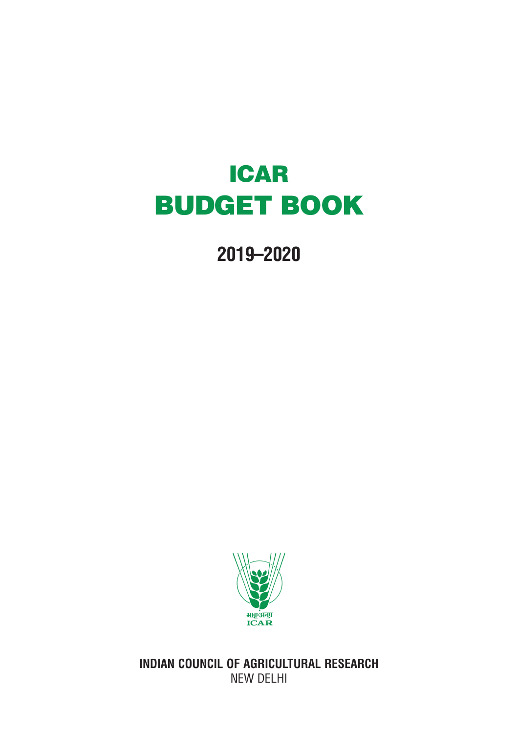## ICAR BUDGET BOOK

**2019–2020**



**INDIAN COUNCIL OF AGRICULTURAL RESEARCH** NEW DELHI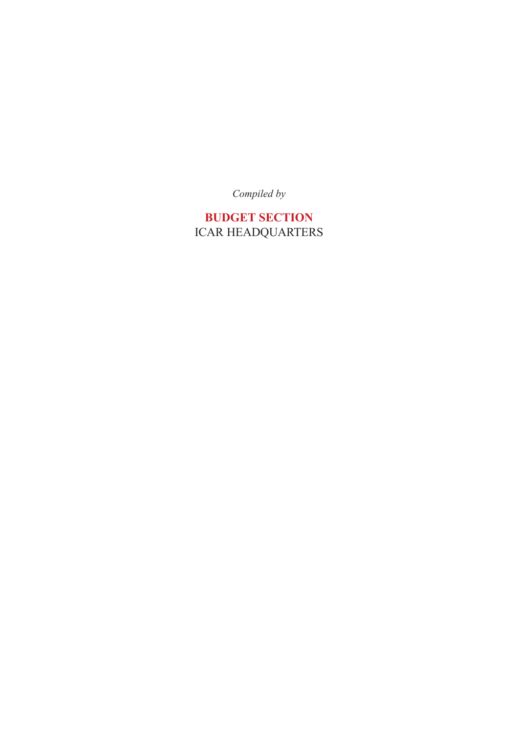*Compiled by*

**BUDGET SECTION** ICAR HEADQUARTERS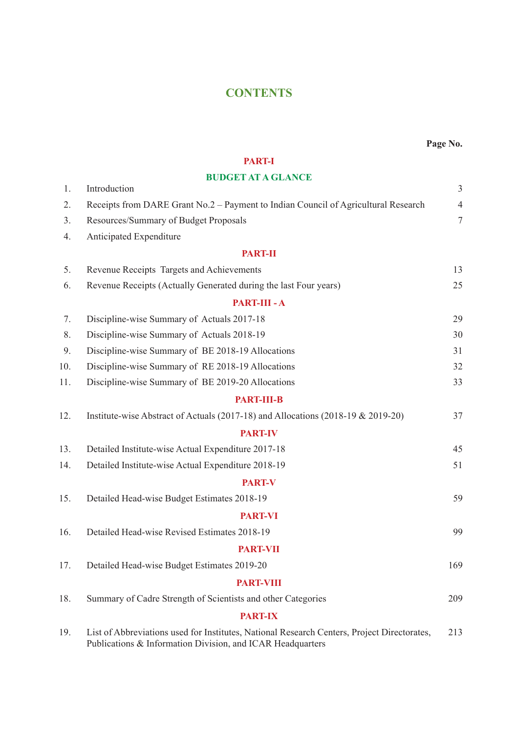## **CONTENTS**

#### **PART-I**

#### **BUDGET AT A GLANCE**

|     | DUDUEI AI A ULANCE                                                                                                                                        |                  |
|-----|-----------------------------------------------------------------------------------------------------------------------------------------------------------|------------------|
| 1.  | Introduction                                                                                                                                              | $\mathfrak{Z}$   |
| 2.  | Receipts from DARE Grant No.2 – Payment to Indian Council of Agricultural Research                                                                        | $\overline{4}$   |
| 3.  | Resources/Summary of Budget Proposals                                                                                                                     | $\boldsymbol{7}$ |
| 4.  | Anticipated Expenditure                                                                                                                                   |                  |
|     | <b>PART-II</b>                                                                                                                                            |                  |
| 5.  | Revenue Receipts Targets and Achievements                                                                                                                 | 13               |
| 6.  | Revenue Receipts (Actually Generated during the last Four years)                                                                                          | 25               |
|     | PART-III - A                                                                                                                                              |                  |
| 7.  | Discipline-wise Summary of Actuals 2017-18                                                                                                                | 29               |
| 8.  | Discipline-wise Summary of Actuals 2018-19                                                                                                                | 30               |
| 9.  | Discipline-wise Summary of BE 2018-19 Allocations                                                                                                         | 31               |
| 10. | Discipline-wise Summary of RE 2018-19 Allocations                                                                                                         | 32               |
| 11. | Discipline-wise Summary of BE 2019-20 Allocations                                                                                                         | 33               |
|     | <b>PART-III-B</b>                                                                                                                                         |                  |
| 12. | Institute-wise Abstract of Actuals (2017-18) and Allocations (2018-19 & 2019-20)                                                                          | 37               |
|     | <b>PART-IV</b>                                                                                                                                            |                  |
| 13. | Detailed Institute-wise Actual Expenditure 2017-18                                                                                                        | 45               |
| 14. | Detailed Institute-wise Actual Expenditure 2018-19                                                                                                        | 51               |
|     | <b>PART-V</b>                                                                                                                                             |                  |
| 15. | Detailed Head-wise Budget Estimates 2018-19                                                                                                               | 59               |
|     | <b>PART-VI</b>                                                                                                                                            |                  |
| 16. | Detailed Head-wise Revised Estimates 2018-19                                                                                                              | 99               |
|     | <b>PART-VII</b>                                                                                                                                           |                  |
| 17. | Detailed Head-wise Budget Estimates 2019-20                                                                                                               | 169              |
|     | <b>PART-VIII</b>                                                                                                                                          |                  |
| 18. | Summary of Cadre Strength of Scientists and other Categories                                                                                              | 209              |
|     | <b>PART-IX</b>                                                                                                                                            |                  |
| 19. | List of Abbreviations used for Institutes, National Research Centers, Project Directorates,<br>Publications & Information Division, and ICAR Headquarters | 213              |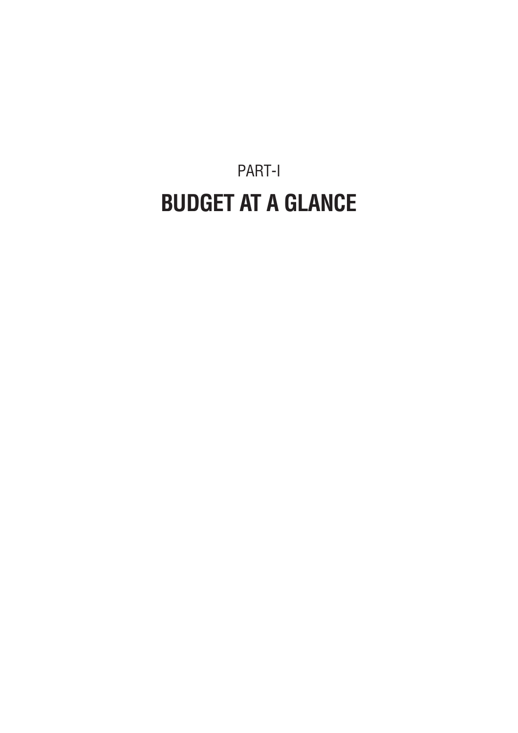PART-I **BUDGET AT A GLANCE**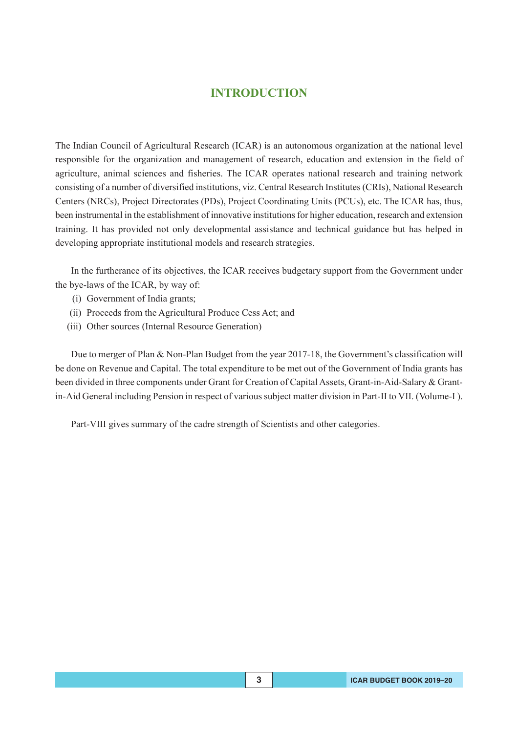### **INTRODUCTION**

The Indian Council of Agricultural Research (ICAR) is an autonomous organization at the national level responsible for the organization and management of research, education and extension in the field of agriculture, animal sciences and fisheries. The ICAR operates national research and training network consisting of a number of diversified institutions, viz. Central Research Institutes (CRIs), National Research Centers (NRCs), Project Directorates (PDs), Project Coordinating Units (PCUs), etc. The ICAR has, thus, been instrumental in the establishment of innovative institutions for higher education, research and extension training. It has provided not only developmental assistance and technical guidance but has helped in developing appropriate institutional models and research strategies.

In the furtherance of its objectives, the ICAR receives budgetary support from the Government under the bye-laws of the ICAR, by way of:

- (i) Government of India grants;
- (ii) Proceeds from the Agricultural Produce Cess Act; and
- (iii) Other sources (Internal Resource Generation)

Due to merger of Plan & Non-Plan Budget from the year 2017-18, the Government's classification will be done on Revenue and Capital. The total expenditure to be met out of the Government of India grants has been divided in three components under Grant for Creation of Capital Assets, Grant-in-Aid-Salary & Grantin-Aid General including Pension in respect of various subject matter division in Part-II to VII. (Volume-I ).

Part-VIII gives summary of the cadre strength of Scientists and other categories.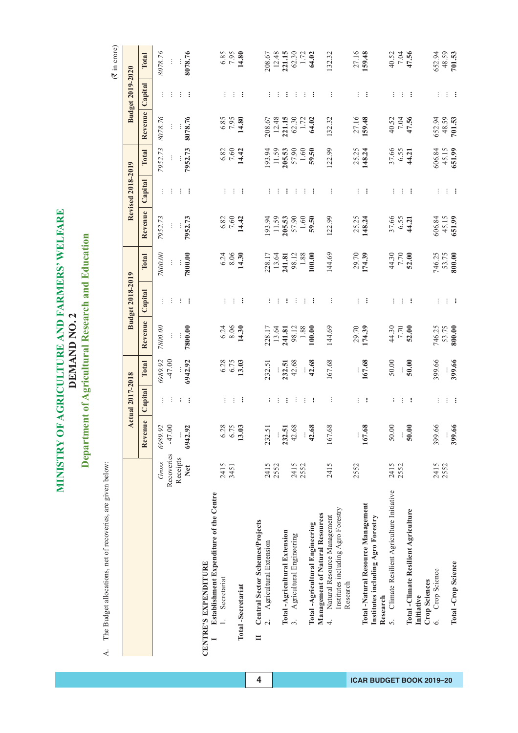MINISTRY OF AGRICULTURE AND FARMERS' WELFARE **MINISTRY OF AGRICULTURE AND FARMERS' WELFARE** Department of Agricultural Research and Education **Department of Agricultural Research and Education** DEMAND NO. 2 **DEMAND NO. 2**

A. The Budget allocations, net of recoveries, are given below: A. The Budget allocations, net of recoveries, are given below:

 $(\overline{\mathfrak{F}}$  in crore)

|                                                                                                 |                     |                                         | <b>Actual 2017-2018</b> |                       |                                                | Budget 2018-2019 |                                                   |                           | Revised 2018-2019 |                           |                                  | <b>Budget 2019-2020</b> |                                                                   |
|-------------------------------------------------------------------------------------------------|---------------------|-----------------------------------------|-------------------------|-----------------------|------------------------------------------------|------------------|---------------------------------------------------|---------------------------|-------------------|---------------------------|----------------------------------|-------------------------|-------------------------------------------------------------------|
|                                                                                                 |                     | Revenue                                 | Capital                 | Total                 | Revenue                                        | Capital          | Total                                             | Revenue                   | Capital           | Total                     | Revenue                          | Capital                 | Total                                                             |
|                                                                                                 | Recoveries<br>Gross | 6989.92<br>$\ddot{\mathrm{S}}$<br>$-47$ |                         | 6989.92<br>-47.00     | 7800.06<br>$\vdots$                            |                  | <b>800.00</b><br>$\vdots$                         | 7952.73<br>Ì              | ÷                 | 7952.73                   | 8078.76                          |                         | 8078.76<br>$\vdots$                                               |
|                                                                                                 | Receipts<br>Net     | 92<br>6942                              |                         | 5942.92               | 7800.00                                        |                  | 7800.00                                           | 7952.73                   |                   | 7952.73                   | 8078.76                          |                         | 8078.76                                                           |
| Establishment Expenditure of the Centre<br>CENTRE'S EXPENDITURE                                 |                     |                                         |                         |                       |                                                |                  |                                                   |                           |                   |                           |                                  |                         |                                                                   |
| Secretariat<br><b>Total-Secretariat</b>                                                         | 2415<br>3451        | 28<br>පූ<br>$\mathbf{13}$               | ÷                       | 6.28<br>6.75<br>13.03 | $6.24$<br>8.06<br>14.30                        |                  | $6.24$<br>$8.06$<br>$14.30$                       | $6.82$<br>7.60<br>14.42   |                   | $6.82$<br>7.60<br>14.42   | $\frac{6.85}{7.95}$              |                         | $6.85$<br>7.95<br>14.80                                           |
| Central Sector Schemes/Projects<br>Agricultural Extension<br>$\overline{2}$<br>$\equiv$         | 2415                | 5<br>232                                |                         | 232.51                |                                                |                  |                                                   |                           |                   |                           |                                  |                         |                                                                   |
| Total-Agricultural Extension                                                                    | 2552                | ត្<br>232                               |                         |                       |                                                |                  |                                                   | 193.94                    |                   | 193.94<br>205.53          | 208.67<br>12.48<br><b>221.15</b> |                         |                                                                   |
| Agricultural Engineering<br>$\ddot{\mathcal{L}}$                                                | 2415<br>2552        | .68<br>42<br>$\ddot{\cdot}$             |                         | $232.51$<br>42.68     | $228.17$<br>13.64<br>13.41.81<br>98.12<br>1.88 |                  | 228.17<br>13.64<br><b>241.81</b><br>98.12<br>1.88 | 205.53<br>$1.60\,$        |                   | 57.90<br>1.60             | $62.30$<br>1.72                  |                         | 208.67<br>12.48<br><b>221.15</b><br>62.30<br>1.72<br><b>64.02</b> |
| Management of Natural Resources<br>Total-Agricultural Engineering                               |                     | $\ddot{\text{o}}$<br>$\frac{4}{3}$      | ÷                       | $\frac{1}{42.68}$     | 00.00                                          |                  | 100.00                                            | 59.50                     |                   | 59.50                     | 64.02                            |                         |                                                                   |
| Institutes including Agro Forestry<br>Natural Resource Management<br>Research<br>$\overline{+}$ | 2415                | $\frac{8}{3}$<br>167                    |                         | 67.68                 | 144.69                                         |                  | 144.69                                            | 122.99                    |                   | 122.99                    | 132.32                           |                         | 132.32                                                            |
|                                                                                                 | 2552                |                                         |                         |                       | 29.70                                          |                  | 29.70<br>174.39                                   | 25.25<br>148.24           |                   | 25.25<br>148.24           | 27.16<br>159.48                  |                         | 27.16<br>159.48                                                   |
| Total-Natural Resource Management<br>Institutes including Agro Forestry<br>Research             |                     | $\frac{8}{3}$<br>167                    | ÷                       | 167.68                |                                                |                  |                                                   |                           | ÷                 |                           |                                  |                         |                                                                   |
| 5. Climate Resilient Agriculture Initiative                                                     | 2415<br>2552        | $\odot$<br>$50\,$                       |                         | 50.00                 | 44.30<br>7.70<br><b>52.00</b>                  |                  | 44.30<br>7.70<br><b>52.00</b>                     | 37.66<br>6.55<br>44.21    |                   | 37.66<br>6.55<br>44.21    | $40.52$<br>7.04<br>47.56         |                         | $40.52$<br>7.04<br>47.56                                          |
| Total -Climate Resilient Agriculture<br>Initiative                                              |                     | ຣຸ<br>$\tilde{5}$                       | ÷                       | 50.00                 |                                                |                  |                                                   |                           | ፧                 |                           |                                  |                         |                                                                   |
| Crop Science<br><b>Crop Sciences</b><br>$\circ$                                                 | 2415                | 66<br>399                               |                         | 399.66                |                                                |                  |                                                   |                           |                   |                           |                                  |                         | 652.94                                                            |
| <b>Total-Crop Science</b>                                                                       | 2552                | $\frac{99}{100}$<br>399                 |                         | 399.66                | 746.25<br>53.75<br>800.00                      |                  | 746.25<br>53.75<br>800.00                         | 606.84<br>45.15<br>651.99 |                   | 606.84<br>45.15<br>651.99 | 652.94<br>48.59<br><b>701.53</b> |                         | $48.59$<br>701.53                                                 |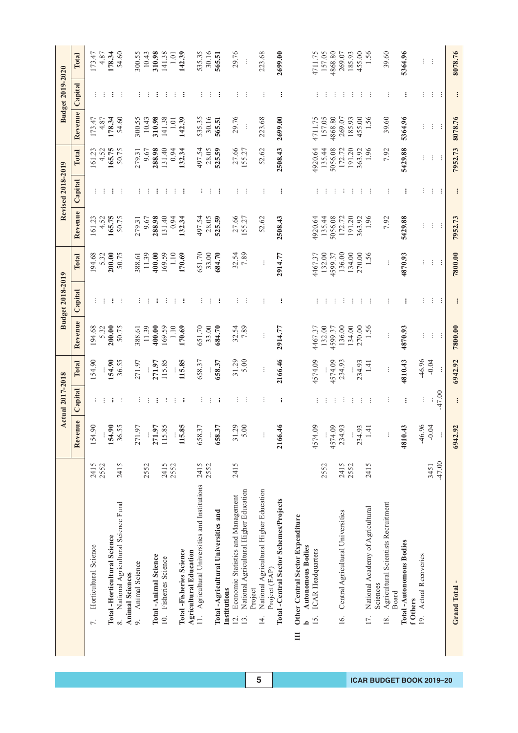|                                                                 |          |                         | <b>Actual 2017-2018</b> |               |               | <b>Budget 2018-2019</b> |         |               | <b>Revised 2018-2019</b> |         |               | <b>Budget 2019-2020</b> |               |
|-----------------------------------------------------------------|----------|-------------------------|-------------------------|---------------|---------------|-------------------------|---------|---------------|--------------------------|---------|---------------|-------------------------|---------------|
|                                                                 |          | Revenue                 | Capital                 | Total         | Revenue       | Capital                 | Total   | Revenue       | Capital                  | Total   | Revenue       | Capital                 | Total         |
| Horticultural Science<br>$\overline{r}$ .                       | 2415     | $\infty$<br>154.        |                         | 54.90         | 194.68        |                         | 194.68  | 161.23        |                          | 161.23  | 173.47        |                         | 173.47        |
|                                                                 | 2552     |                         |                         |               | 5.32          |                         | 5.32    | 4.52          |                          | 4.52    | 4.87          |                         | 4.87          |
| <b>Total-Horticultural Science</b>                              |          | 154.90                  | $\vdots$                | 154.90        | 200.00        |                         | 200.00  | 165.75        | $\vdots$                 | 165.75  | 178.34        |                         | 178.34        |
| National Agricultural Science Fund<br>$\infty$                  | 2415     | 36.55                   |                         | 36.55         | 50.75         |                         | 50.75   | 50.75         |                          | 50.75   | 54.60         |                         | 54.60         |
| <b>Animal Sciences</b>                                          |          |                         |                         |               |               |                         |         |               |                          |         |               |                         |               |
| Animal Science<br>o.                                            |          | 57<br>271.              |                         | 271.97        | 388.61        |                         | 388.61  | 279.31        |                          | 279.31  | 300.55        |                         | 300.55        |
|                                                                 | 2552     | $\vdots$                |                         |               | 11.39         |                         | 11.39   | 9.67          |                          | 9.67    | 10.43         |                         | 10.43         |
| Total-Animal Science                                            |          | 271.97                  |                         | 271.97        | 400.00        | ÷                       | 400.00  | 288.98        | ÷                        | 288.98  | 310.98        |                         | 310.98        |
| 10. Fisheries Science                                           | 2415     | 115.85                  |                         | 115.85        | 169.59        |                         | 169.59  | 131.40        |                          | 131.40  | 141.38        |                         | 141.38        |
|                                                                 | 2552     |                         |                         |               | 1.10          |                         | 1.10    | 0.94          |                          | 0.94    | 1.01          |                         | 1.01          |
| <b>Total -Fisheries Science</b>                                 |          | 115.85                  | ÷                       | 115.85        | 170.69        | ÷                       | 170.69  | 132.34        | ÷                        | 132.34  | 142.39        |                         | 142.39        |
| <b>Agricultural Education</b>                                   |          |                         |                         |               |               |                         |         |               |                          |         |               |                         |               |
| Agricultural Universities and Institutions<br>$\overline{11}$ . | 2415     | 658.37                  |                         | 658.37        | 651.70        |                         | 651.70  | 497.54        |                          | 497.54  | 535.35        |                         | 535.35        |
|                                                                 | 2552     |                         |                         |               | 33.00         |                         | 33.00   | 28.05         |                          | 28.05   | 30.16         |                         | 30.16         |
| Total -Agricultural Universities and                            |          | 658.37                  | ÷                       | 658.37        | 684.70        |                         | 684.70  | 525.59        | ÷                        | 525.59  | 565.51        |                         | 565.51        |
| Institutions                                                    |          |                         |                         |               |               |                         |         |               |                          |         |               |                         |               |
| Economic Statistics and Management<br>$\overline{12}$ .         | 2415     | 31.29                   | ÷                       | 31.29         | 32.54<br>7.89 |                         | 32.54   | 27.66         | ÷                        | 27.66   | 29.76         |                         | 29.76         |
| National Agricultural Higher Education<br>13.                   |          | 5.00                    |                         | 5.00          |               |                         | 7.89    | 155.27        | -÷                       | 155.27  | $\vdots$      |                         | $\vdots$      |
| Project                                                         |          |                         |                         |               |               |                         |         |               |                          |         |               |                         |               |
| National Agricultural Higher Education<br>$\overline{4}$        |          | ÷                       | ÷                       | ÷             | ÷             |                         | ÷       | 52.62         | ŧ                        | 52.62   | 223.68        |                         | 223.68        |
| Project (EAP)                                                   |          |                         |                         |               |               |                         |         |               |                          |         |               |                         |               |
| Total -Central Sector Schemes/Projects                          |          | 2166.46                 | $\vdots$                | 2166.46       | 2914.77       | ፧                       | 2914.77 | 2508.43       | $\vdots$                 | 2508.43 | 2699.00       | $\vdots$                | 2699.00       |
| Other Central Sector Expenditure<br>$\equiv$                    |          |                         |                         |               |               |                         |         |               |                          |         |               |                         |               |
| <b>Autonomous Bodies</b><br>م                                   |          |                         |                         |               |               |                         |         |               |                          |         |               |                         |               |
| ICAR Headquarters<br>15.                                        |          | 4574.09                 |                         | 4574.09       | 4467.37       |                         | 4467.37 | 4920.64       |                          | 4920.64 | 4711.75       |                         | 4711.75       |
|                                                                 | 2552     |                         |                         |               | 132.00        |                         | 132.00  | 135.44        |                          | 135.44  | 157.05        |                         | 157.05        |
|                                                                 |          | $\overline{0}$<br>4574. |                         | 4574.09       | 4599.37       |                         | 4599.37 | 5056.08       |                          | 5056.08 | 4868.80       |                         | 4868.80       |
| Central Agricultural Universities<br>16.                        | 2415     | 234.93                  |                         | 234.93        | 136.00        |                         | 136.00  | 172.72        |                          | 172.72  | 269.07        |                         | 269.07        |
|                                                                 | 2552     |                         |                         | $\frac{1}{4}$ | 134.00        |                         | 134.00  | 191.20        |                          | 191.20  | 185.93        |                         | 185.93        |
|                                                                 |          | 93<br>234.              |                         | 234.93        | 270.00        |                         | 270.00  | 363.92        | ÷                        | 363.92  | 455.00        |                         | 455.00        |
| National Academy of Agricultural<br>17.                         | 2415     | $1.41\,$                |                         | 1.41          | 1.56          |                         | 1.56    | 1.96          |                          | 1.96    | 1.56          |                         | 1.56          |
| Sciences                                                        |          |                         |                         |               |               |                         |         |               |                          |         |               |                         |               |
| Agricultural Scientists Recruitment<br>18.                      |          | ÷                       |                         |               | $\vdots$      |                         | ŧ,      | 7.92          |                          | 7.92    | 39.60         |                         | 39.60         |
| Board                                                           |          |                         |                         |               |               |                         |         |               |                          |         |               |                         |               |
| Total -Autonomous Bodies<br>f Others                            |          | 4810.43                 | $\vdots$                | 4810.43       | 4870.93       |                         | 4870.93 | 5429.88       |                          | 5429.88 | 5364.96       |                         | 5364.96       |
| Actual Recoveries<br>$\overline{9}$                             |          | 46.96                   |                         | $-46.96$      |               |                         |         |               |                          |         |               |                         |               |
|                                                                 | 3451     | $-0.04$                 | ÷                       | $-0.04$       | ÷<br>÷        | ÷                       | ÷       | $\vdots$<br>÷ |                          | ÷       | $\vdots$<br>÷ |                         | $\vdots$<br>÷ |
|                                                                 | $-47.00$ | ÷                       | $-47.00$                | ÷             | ÷             |                         | ÷       |               | ÷                        | ÷       |               |                         |               |
| Grand Total-                                                    |          | 6942.92                 |                         | 6942.92       | 7800.00       |                         | 7800.00 | 7952.73       |                          | 7952.73 | 8078.76       | $\vdots$                | 8078.76       |
|                                                                 |          |                         | $\vdots$                |               |               | $\vdots$                |         |               | $\colon$                 |         |               |                         |               |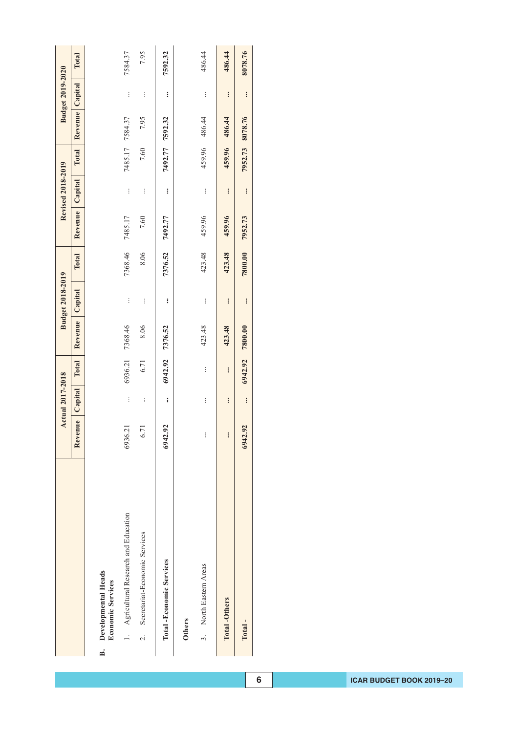|                                                       |                | <b>Actual 2017-2018</b> |          |         | <b>Budget 2018-2019</b> |         |         | <b>Revised 2018-2019</b> |         |                 | <b>Budget 2019-2020</b> |         |
|-------------------------------------------------------|----------------|-------------------------|----------|---------|-------------------------|---------|---------|--------------------------|---------|-----------------|-------------------------|---------|
|                                                       | Revenue        | Capital                 | Total    | Revenue | Capital                 | Total   | Revenue | Capital                  | Total   | Revenue         | Capital                 | Total   |
| Developmental Heads<br><b>Economic Services</b><br>B. |                |                         |          |         |                         |         |         |                          |         |                 |                         |         |
| 1. Agricultural Research and Education                | 6936.21        | $\vdots$                | 6936.21  | 7368.46 | $\vdots$                | 7368.46 | 7485.17 | $\vdots$                 |         | 7485.17 7584.37 | $\vdots$                | 7584.37 |
| Secretariat-Economic Services<br>$\overline{a}$       | 5.71           | $\vdots$                | 6.71     | 8.06    | $\vdots$                | 8.06    | 7.60    | $\vdots$                 | 7.60    | 7.95            | $\vdots$                | 7.95    |
| Total -Economic Services                              | 6942.92        | $\vdots$                | 6942.92  | 7376.52 | $\vdots$                | 7376.52 | 7492.77 | $\vdots$                 | 7492.77 | 7592.32         | $\vdots$                | 7592.32 |
| <b>Others</b>                                         |                |                         |          |         |                         |         |         |                          |         |                 |                         |         |
| 3. North Eastern Areas                                | ŀ              | $\vdots$                | $\vdots$ | 423.48  | $\vdots$                | 423.48  | 459.96  | $\vdots$                 |         | 459.96 486.44   | $\vdots$                | 486.44  |
| <b>Total-Others</b>                                   | $\ddot{\cdot}$ | $\vdots$                | $\vdots$ | 423.48  | $\vdots$                | 423.48  | 459.96  | $\ddot{\cdot}$           |         | 459.96 486.44   | $\vdots$                | 486.44  |
| Total-                                                | 6942.92        | $\vdots$                | 6942.92  | 7800.00 | $\ddot{\cdot}$          | 7800.00 | 7952.73 | $\vdots$                 | 7952.73 | 8078.76         | $\vdots$                | 8078.76 |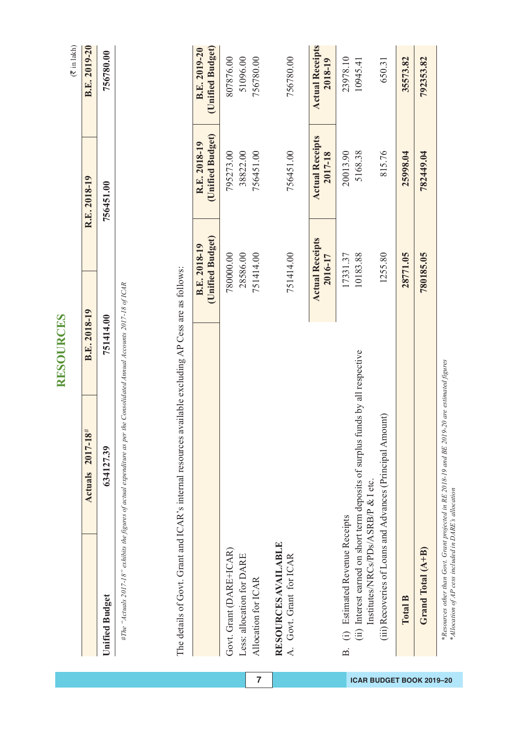|                                                          |                                                                                                                           | <b>RESOURCES</b>                            |                                   | $(\overline{\tau}$ in lakh)       |
|----------------------------------------------------------|---------------------------------------------------------------------------------------------------------------------------|---------------------------------------------|-----------------------------------|-----------------------------------|
|                                                          | <b>Actuals</b> 2017-18 <sup>#</sup>                                                                                       | B.E. 2018-19                                | R.E. 2018-19                      | B.E. 2019-20                      |
| <b>Unified Budget</b>                                    | 634127.39                                                                                                                 | 751414.00                                   | 756451.00                         | 756780.00                         |
| The details of Govt. Grant and ICAR's internal resources | #The "Actuals 2017-18" exhibits the figures of actual expenditure as per the Consolidated Annual Accounts 2017-18 of ICAR | available excluding AP Cess are as follows: |                                   |                                   |
|                                                          |                                                                                                                           | (Unified Budget)<br>B.E. 2018-19            | (Unified Budget)<br>R.E. 2018-19  | (Unified Budget)<br>B.E. 2019-20  |
| Govt. Grant (DARE+ICAR)                                  |                                                                                                                           | 780000.00                                   | 795273.00                         | 807876.00                         |
| Less: allocation for DARE<br>Allocation for ICAR         |                                                                                                                           | 28586.00<br>751414.00                       | 756451.00<br>38822.00             | 756780.00<br>51096.00             |
| RESOURCES AVAILABLE<br>A. Govt. Grant for ICAR           |                                                                                                                           | 751414.00                                   | 756451.00                         | 756780.00                         |
|                                                          |                                                                                                                           | <b>Actual Receipts</b><br>2016-17           | <b>Actual Receipts</b><br>2017-18 | <b>Actual Receipts</b><br>2018-19 |
| (i) Estimated Revenue Receipts<br>$\Delta$               | (ii) Interest earned on short term deposits of surplus funds by all respective                                            | 10183.88<br>17331.37                        | 20013.90<br>5168.38               | 23978.10<br>10945.41              |
| Institutes/NRCs/PDs/ASRB/P & I etc.                      | (iii) Recoveries of Loans and Advances (Principal Amount)                                                                 | 1255.80                                     | 815.76                            | 650.31                            |
| Total B                                                  |                                                                                                                           | 28771.05                                    | 25998.04                          | 35573.82                          |
| Grand Total (A+B)                                        |                                                                                                                           | 780185.05                                   | 782449.04                         | 792353.82                         |

\*Resources other than Govt. Grant projected in RE 2018-19 and BE 2019-20 are estimated figures<br>\*Allocation of AP cess included in DARE's allocation *\*Resources other than Govt. Grant projected in RE 2018-19 and BE 2019-20 are estimated figures \*Allocation of AP cess included in DARE's allocation*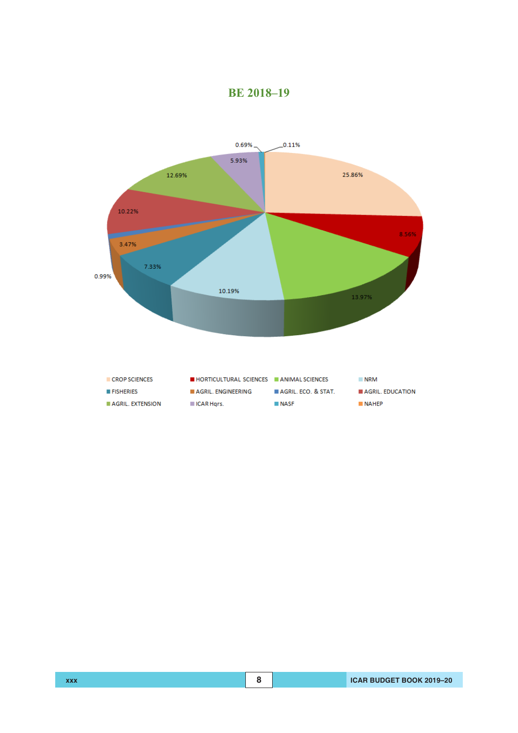

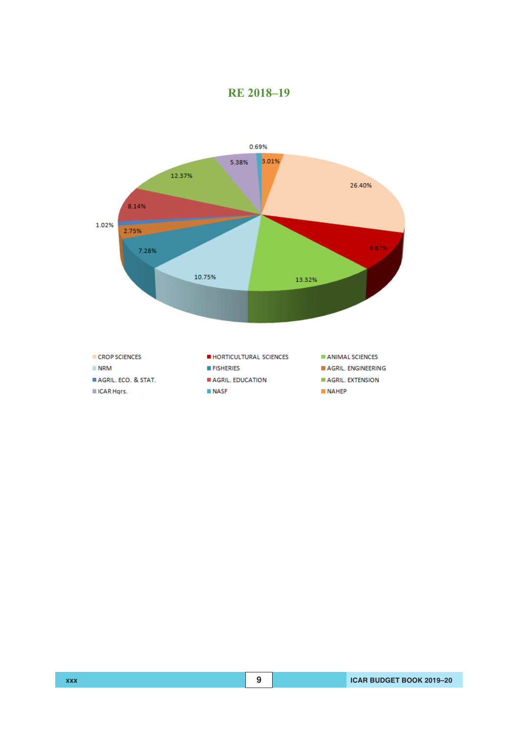

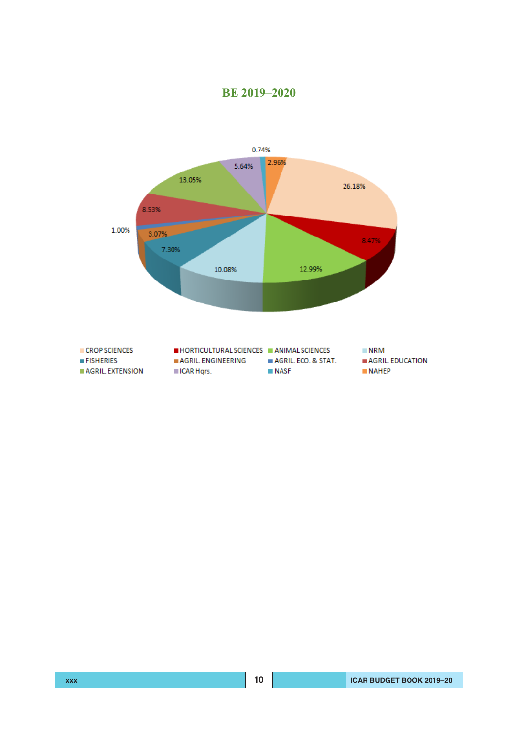

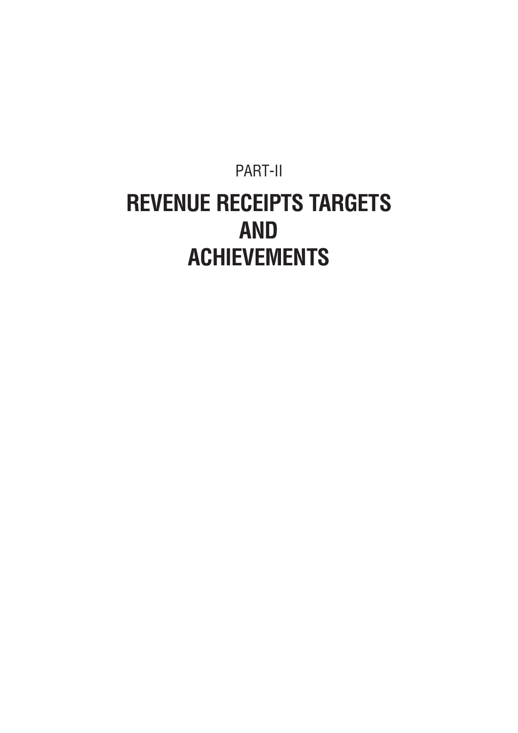## PART-II **REVENUE RECEIPTS TARGETS AND ACHIEVEMENTS**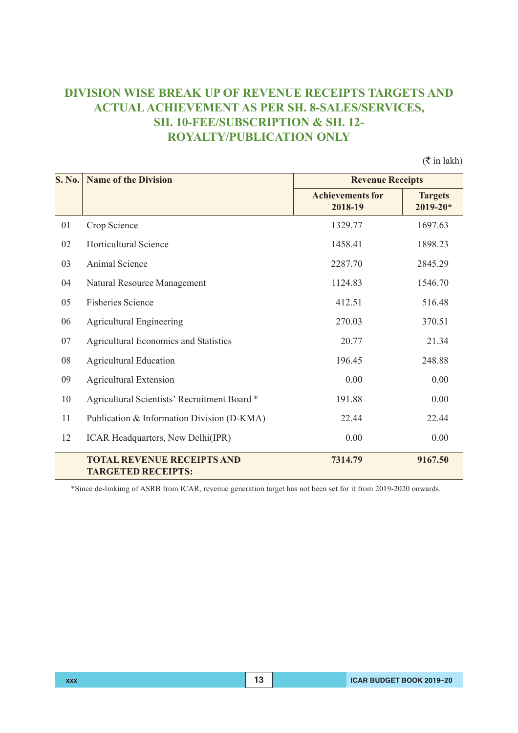## **DIVISION WISE BREAK UP OF REVENUE RECEIPTS TARGETS AND ACTUAL ACHIEVEMENT AS PER SH. 8-SALES/SERVICES, SH. 10-FEE/SUBSCRIPTION & SH. 12- ROYALTY/PUBLICATION ONLY**

 $(\overline{\mathfrak{F}}$  in lakh)

| <b>S. No.</b> | <b>Name of the Division</b>                                    | <b>Revenue Receipts</b>            |                                |
|---------------|----------------------------------------------------------------|------------------------------------|--------------------------------|
|               |                                                                | <b>Achievements for</b><br>2018-19 | <b>Targets</b><br>$2019 - 20*$ |
| 01            | Crop Science                                                   | 1329.77                            | 1697.63                        |
| 02            | <b>Horticultural Science</b>                                   | 1458.41                            | 1898.23                        |
| 03            | Animal Science                                                 | 2287.70                            | 2845.29                        |
| 04            | Natural Resource Management                                    | 1124.83                            | 1546.70                        |
| 05            | <b>Fisheries Science</b>                                       | 412.51                             | 516.48                         |
| 06            | <b>Agricultural Engineering</b>                                | 270.03                             | 370.51                         |
| 07            | <b>Agricultural Economics and Statistics</b>                   | 20.77                              | 21.34                          |
| 08            | <b>Agricultural Education</b>                                  | 196.45                             | 248.88                         |
| 09            | <b>Agricultural Extension</b>                                  | 0.00                               | 0.00                           |
| 10            | Agricultural Scientists' Recruitment Board *                   | 191.88                             | 0.00                           |
| 11            | Publication & Information Division (D-KMA)                     | 22.44                              | 22.44                          |
| 12            | ICAR Headquarters, New Delhi(IPR)                              | 0.00                               | 0.00                           |
|               | <b>TOTAL REVENUE RECEIPTS AND</b><br><b>TARGETED RECEIPTS:</b> | 7314.79                            | 9167.50                        |

\*Since de-linkimg of ASRB from ICAR, revenue generation target has not been set for it from 2019-2020 onwards.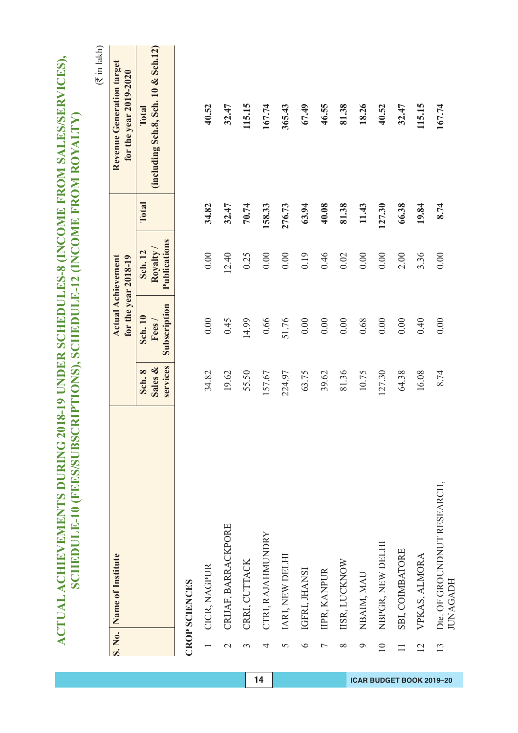|                 |                                                |                               |                                         |                                                   |        | $(\overline{\mathbf{x}}$ in lakh)                   |
|-----------------|------------------------------------------------|-------------------------------|-----------------------------------------|---------------------------------------------------|--------|-----------------------------------------------------|
|                 | S. No. Name of Institute                       |                               |                                         | <b>Actual Achievement</b><br>for the year 2018-19 |        | Revenue Generation target<br>for the year 2019-2020 |
|                 |                                                | services<br>Sales &<br>Sch. 8 | Subscription<br><b>Sch. 10</b><br>Fees/ | Publications<br>Royalty/<br>Sch. 12               | Total  | (including Sch.8, Sch. 10 & Sch.12)<br>Total        |
|                 | <b>CROP SCIENCES</b>                           |                               |                                         |                                                   |        |                                                     |
|                 | CICR, NAGPUR                                   | 34.82                         | $0.00\,$                                | 0.00                                              | 34.82  | 40.52                                               |
| $\mathcal{L}$   | CRIJAF, BARRACKPORE                            | 19.62                         | 0.45                                    | 12.40                                             | 32.47  | 32.47                                               |
| 3               | CRRI, CUTTACK                                  | 55.50                         | 14.99                                   | 0.25                                              | 70.74  | 115.15                                              |
| 4               | CTRI, RAJAHMUNDRY                              | 157.67                        | 0.66                                    | 0.00                                              | 158.33 | 167.74                                              |
| 5               | IARI, NEW DELHI                                | 224.97                        | 51.76                                   | 0.00                                              | 276.73 | 365.43                                              |
| $\circ$         | IGFRI, JHANSI                                  | 63.75                         | $0.00\,$                                | 0.19                                              | 63.94  | 67.49                                               |
| Γ               | IIPR, KANPUR                                   | 39.62                         | $0.00\,$                                | 0.46                                              | 40.08  | 46.55                                               |
| $\infty$        | IISR, LUCKNOW                                  | 81.36                         | 0.00                                    | 0.02                                              | 81.38  | 81.38                                               |
| $\circ$         | NBAIM, MAU                                     | 10.75                         | 0.68                                    | 0.00                                              | 11.43  | 18.26                                               |
| $\overline{10}$ | NBPGR, NEW DELHI                               | 127.30                        | 0.00                                    | 0.00                                              | 127.30 | 40.52                                               |
| $\Box$          | SBI, COIMBATORE                                | 64.38                         | 0.00                                    | 2.00                                              | 66.38  | 32.47                                               |
| 12              | VPKAS, ALMORA                                  | 16.08                         | 0.40                                    | 3.36                                              | 19.84  | 115.15                                              |
| 13              | Dte. OF GROUNDNUT RESEARCH,<br><b>JUNAGADH</b> | 8.74                          | 0.00                                    | 0.00                                              | 8.74   | 167.74                                              |

ACTUAL ACHIEVEMENTS DURING 2018-19 UNDER SCHEDULES-8 (INCOME FROM SALES/SERVICES),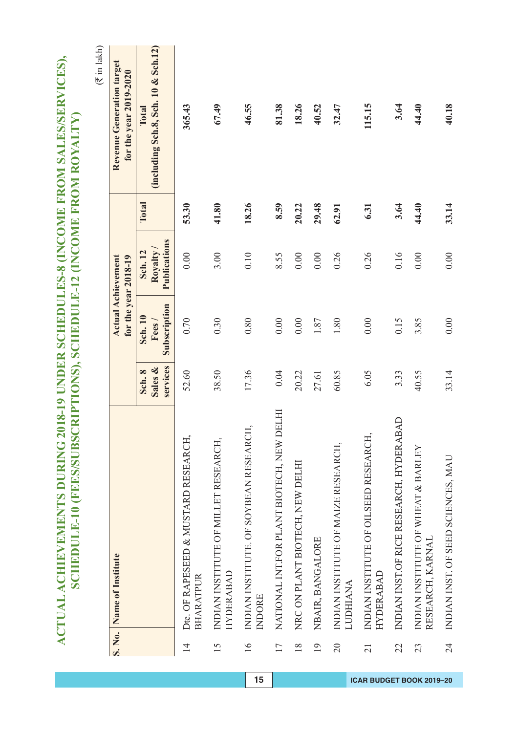| S. No.          | Name of Institute                                         |                               |                                         | <b>Actual Achievement</b><br>for the year 2018-19 |       | $(\bar{\tau}$ in lakh)<br>Revenue Generation target<br>for the year 2019-2020 |
|-----------------|-----------------------------------------------------------|-------------------------------|-----------------------------------------|---------------------------------------------------|-------|-------------------------------------------------------------------------------|
|                 |                                                           | services<br>Sales &<br>Sch. 8 | Subscription<br><b>Sch. 10</b><br>Fees/ | Publications<br>Royalty<br>Sch. 12                | Total | (including Sch.8, Sch. 10 & Sch.12)<br><b>Total</b>                           |
| $\overline{4}$  | Dte. OF RAPESEED & MUSTARD RESEARCH<br><b>BHARATPUR</b>   | 52.60                         | 0.70                                    | 0.00                                              | 53.30 | 365.43                                                                        |
| 15              | INDIAN INSTITUTE OF MILLET RESEARCH,<br><b>HYDERABAD</b>  | 38.50                         | 0.30                                    | 3.00                                              | 41.80 | 67.49                                                                         |
| $\overline{16}$ | INDIAN INSTITUTE. OF SOYBEAN RESEARCH,<br>INDORE          | 17.36                         | 0.80                                    | 0.10                                              | 18.26 | 46.55                                                                         |
| 17              | DELHI<br>NATIONAL INT.FOR PLANT BIOTECH, NEW              | 0.04                          | 0.00                                    | 8.55                                              | 8.59  | 81.38                                                                         |
| $\frac{8}{18}$  | NRC ON PLANT BIOTECH, NEW DELHI                           | 20.22                         | 0.00                                    | 0.00                                              | 20.22 | 18.26                                                                         |
| 19              | NBAIR, BANGALORE                                          | 27.61                         | $1.87\,$                                | 0.00                                              | 29.48 | 40.52                                                                         |
| $\overline{0}$  | INDIAN INSTITUTE OF MAIZE RESEARCH,<br><b>LUDHIANA</b>    | 60.85                         | 1.80                                    | 0.26                                              | 62.91 | 32.47                                                                         |
| $\overline{21}$ | INDIAN INSTITUTE OF OILSEED RESEARCH,<br><b>HYDERABAD</b> | 6.05                          | 0.00                                    | 0.26                                              | 6.31  | 115.15                                                                        |
| 22              | INDIAN INST.OF RICE RESEARCH, HYDERABAD                   | 3.33                          | 0.15                                    | 0.16                                              | 3.64  | 3.64                                                                          |
| 23              | INDIAN INSTITUTE OF WHEAT & BARLEY<br>RESEARCH, KARNAL    | 40.55                         | 3.85                                    | 0.00                                              | 44.40 | 44.40                                                                         |
| $\overline{24}$ | INDIAN INST. OF SEED SCIENCES, MAU                        | 33.14                         | $0.00$                                  | 0.00                                              | 33.14 | 40.18                                                                         |

ACTUAL ACHIEVEMENTS DURING 2018-19 UNDER SCHEDULES-8 (INCOME FROM SALES/SERVICES),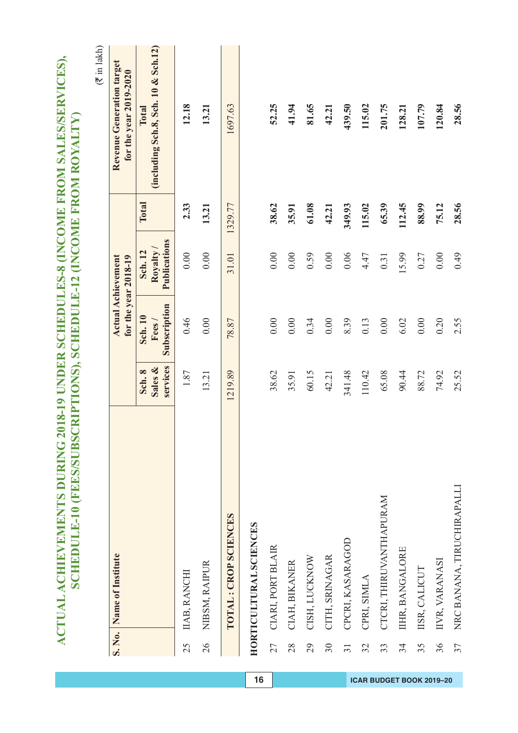|                 |                               |                               |                                  |                                                   |         | $(\overline{\xi}$ in lakh)                          |
|-----------------|-------------------------------|-------------------------------|----------------------------------|---------------------------------------------------|---------|-----------------------------------------------------|
| S. No.          | Name of Institute             |                               |                                  | <b>Actual Achievement</b><br>for the year 2018-19 |         | Revenue Generation target<br>for the year 2019-2020 |
|                 |                               | services<br>Sales &<br>Sch. 8 | Subscription<br>Sch. 10<br>Fees/ | Publications<br>Royalty<br>Sch. 12                | Total   | (including Sch.8, Sch. 10 & Sch.12)<br>Total        |
| 25              | IIAB, RANCHI                  | 1.87                          | 0.46                             | 0.00                                              | 2.33    | 12.18                                               |
| 26              | NIBSM, RAIPUR                 | 13.21                         | 0.00                             | 0.00                                              | 13.21   | 13.21                                               |
|                 | <b>TOTAL: CROP SCIENCES</b>   | 1219.89                       | 78.87                            | 31.01                                             | 1329.77 | 1697.63                                             |
|                 | <b>HORTICULTURAL SCIENCES</b> |                               |                                  |                                                   |         |                                                     |
| 27              | CIARI, PORT BLAIR             | 38.62                         | 0.00                             | 0.00                                              | 38.62   | 52.25                                               |
| 28              | CIAH, BIKANER                 | 35.91                         | 0.00                             | 0.00                                              | 35.91   | 41.94                                               |
| 29              | CISH, LUCKNOW                 | 60.15                         | 0.34                             | 0.59                                              | 61.08   | 81.65                                               |
| 30              | CITH, SRINAGAR                | 42.21                         | 0.00                             | 0.00                                              | 42.21   | 42.21                                               |
| $\overline{31}$ | CPCRI, KASARAGOD              | 341.48                        | 8.39                             | 0.06                                              | 349.93  | 439.50                                              |
| 32              | CPRI, SIMLA                   | 110.42                        | 0.13                             | 4.47                                              | 115.02  | 115.02                                              |
| 33              | CTCRI, THIRUVANTHAPURAM       | 65.08                         | 0.00                             | 0.31                                              | 65.39   | 201.75                                              |
| 34              | IIHR, BANGALORE               | 90.44                         | 6.02                             | 15.99                                             | 112.45  | 128.21                                              |
| 35              | IISR, CALICUT                 | 88.72                         | $0.00\,$                         | 0.27                                              | 88.99   | 107.79                                              |
| 36              | IIVR, VARANASI                | 74.92                         | 0.20                             | 0.00                                              | 75.12   | 120.84                                              |
| 37              | NRC BANANA, TIRUCHIRAPALLI    | 25.52                         | 2.55                             | 64.0                                              | 28.56   | 28.56                                               |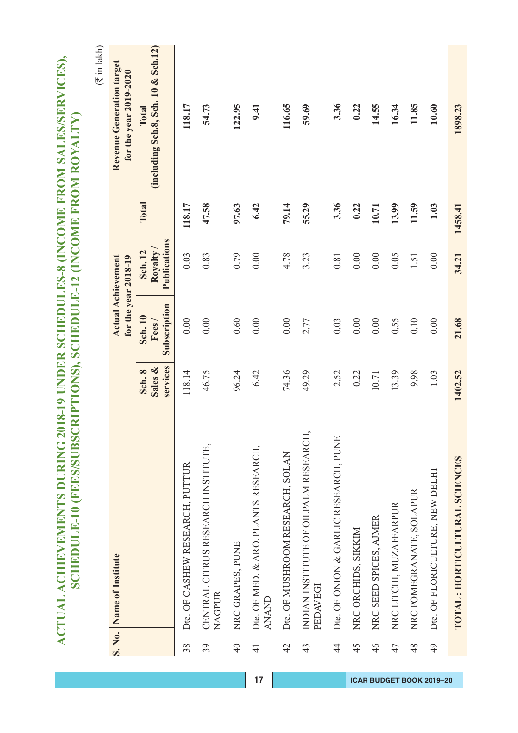|                 | S. No. Name of Institute                             |                               |                                          | <b>Actual Achievement</b><br>for the year 2018-19 |         | Revenue Generation target<br>for the year 2019-2020 |
|-----------------|------------------------------------------------------|-------------------------------|------------------------------------------|---------------------------------------------------|---------|-----------------------------------------------------|
|                 |                                                      | services<br>Sales &<br>Sch. 8 | Subscription<br><b>Sch. 10</b><br>Fees / | Publications<br>Royalty/<br><b>Sch. 12</b>        | Total   | (including Sch.8, Sch. 10 & Sch.12)<br>Total        |
| 38              | Dte. OF CASHEW RESEARCH, PUTTUR                      | 118.14                        | 0.00                                     | 0.03                                              | 118.17  | 118.17                                              |
| 39              | CENTRAL CITRUS RESEARCH INSTITUTE,<br><b>NAGPUR</b>  | 46.75                         | 0.00                                     | 0.83                                              | 47.58   | 54.73                                               |
| $\overline{40}$ | NRC GRAPES, PUNE                                     | 96.24                         | 0.60                                     | 0.79                                              | 97.63   | 122.95                                              |
| $\frac{1}{4}$   | Dte. OF MED. & ARO. PLANTS RESEARCH,<br><b>ANAND</b> | 6.42                          | 0.00                                     | 0.00                                              | 6.42    | 9.41                                                |
| $\frac{1}{4}$   | Dte. OF MUSHROOM RESEARCH, SOLAN                     | 74.36                         | 0.00                                     | 4.78                                              | 79.14   | 116.65                                              |
| 43              | INDIAN INSTITUTE OF OILPALM RESEARCH,<br>PEDAVEGI    | 49.29                         | 2.77                                     | 3.23                                              | 55.29   | 59.69                                               |
| $rac{4}{4}$     | Dte. OF ONION & GARLIC RESEARCH, PUNE                | 2.52                          | 0.03                                     | 0.81                                              | 3.36    | 3.36                                                |
| 45              | NRC ORCHIDS, SIKKIM                                  | 0.22                          | 0.00                                     | 0.00                                              | 0.22    | 0.22                                                |
| 46              | NRC SEED SPICES, AJMER                               | 10.71                         | 0.00                                     | 0.00                                              | 10.71   | 14.55                                               |
| 47              | NRC LITCHI, MUZAFFARPUR                              | 13.39                         | 0.55                                     | 0.05                                              | 13.99   | 16.34                                               |
| 48              | NRC POMEGRANATE, SOLAPUR                             | 9.98                          | 0.10                                     | 1.51                                              | 11.59   | 11.85                                               |
| 49              | Dte. OF FLORICULTURE, NEW DELHI                      | 1.03                          | 0.00                                     | 0.00                                              | 1.03    | 10.60                                               |
|                 | TOTAL: HORTICULTURAL SCIENCES                        | 1402.52                       | 21.68                                    | 34.21                                             | 1458.41 | 1898.23                                             |

ACTUAL ACHIEVEMENTS DURING 2018-19 UNDER SCHEDULES-8 (INCOME FROM SALES/SERVICES),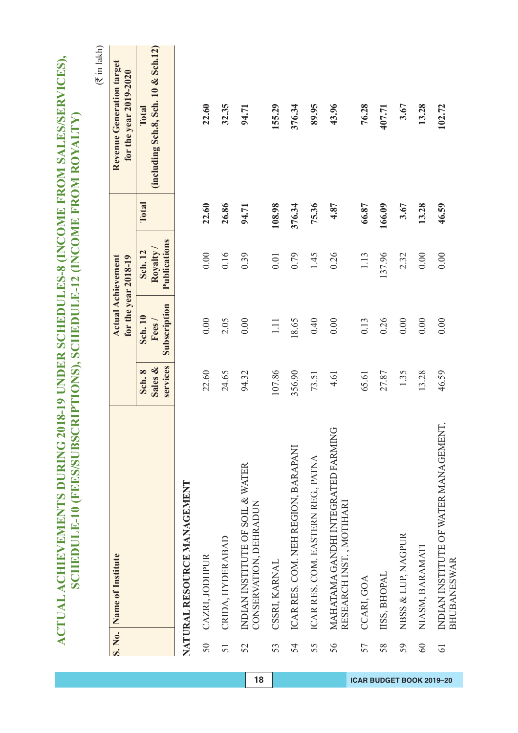|                 |                                                                |                               |                                  |                                                   |        | $(\bar{\tau}$ in lakh)                              |
|-----------------|----------------------------------------------------------------|-------------------------------|----------------------------------|---------------------------------------------------|--------|-----------------------------------------------------|
| S. No.          | Name of Institute                                              |                               |                                  | <b>Actual Achievement</b><br>for the year 2018-19 |        | Revenue Generation target<br>for the year 2019-2020 |
|                 |                                                                | services<br>Sales &<br>Sch. 8 | Subscription<br>Sch. 10<br>Fees/ | Publications<br>Royalty/<br>Sch. 12               | Total  | (including Sch.8, Sch. 10 & Sch.12)<br>Total        |
|                 | NATURAL RESOURCE MANAGEMENT                                    |                               |                                  |                                                   |        |                                                     |
| 50 <sub>o</sub> | CAZRI, JODHPUR                                                 | 22.60                         | $0.00\,$                         | 0.00                                              | 22.60  | 22.60                                               |
| 51              | CRIDA, HYDERABAD                                               | 24.65                         | 2.05                             | 0.16                                              | 26.86  | 32.35                                               |
| 52              | INDIAN INSTITUTE OF SOIL & WATER<br>CONSERVATION, DEHRADUN     | 94.32                         | 0.00                             | 0.39                                              | 94.71  | 94.71                                               |
| 53              | CSSRI, KARNAL                                                  | 107.86                        | $1.11\,$                         | $0.01$                                            | 108.98 | 155.29                                              |
| 54              | ICAR RES. COM. NEH REGION, BARAPANI                            | 356.90                        | 18.65                            | 0.79                                              | 376.34 | 376.34                                              |
| 55              | ICAR RES. COM. EASTERN REG, PATNA                              | 73.51                         | 0.40                             | 1.45                                              | 75.36  | 89.95                                               |
| 56              | MAHATAMA GANDHI INTEGRATED FARMING<br>RESEARCH INST., MOTIHARI | 4.61                          | 0.00                             | 0.26                                              | 4.87   | 43.96                                               |
| 57              | CCARI, GOA                                                     | 65.61                         | 0.13                             | 1.13                                              | 66.87  | 76.28                                               |
| 58              | IISS, BHOPAL                                                   | 27.87                         | 0.26                             | 137.96                                            | 166.09 | 407.71                                              |
| 59              | NBSS & LUP, NAGPUR                                             | 1.35                          | 0.00                             | 2.32                                              | 3.67   | 3.67                                                |
| 60              | NIASM, BARAMATI                                                | 13.28                         | 0.00                             | 0.00                                              | 13.28  | 13.28                                               |
| $\overline{6}$  | INDIAN INSTITUTE OF WATER MANAGEMENT,<br><b>BHUBANESWAR</b>    | 46.59                         | 0.00                             | 0.00                                              | 46.59  | 102.72                                              |

ACTUAL ACHIEVEMENTS DURING 2018-19 UNDER SCHEDULES-8 (INCOME FROM SALES/SERVICES),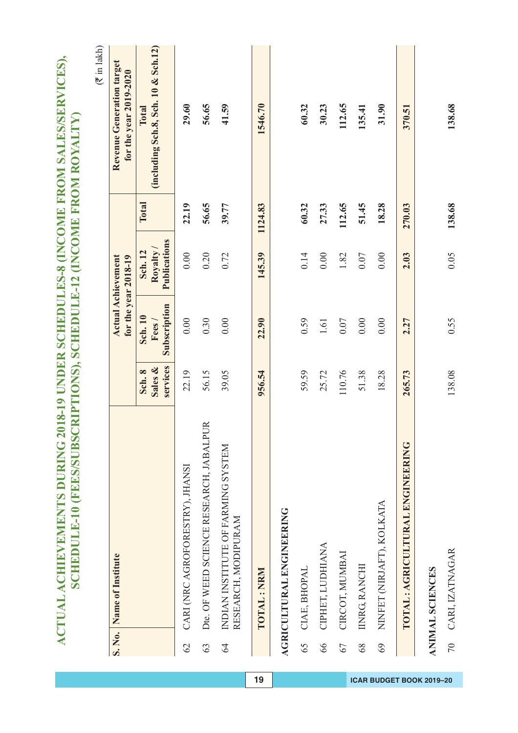|                |                                                           |                               |                                         |                                                   |         | $(\bar{\tau}$ in lakh)                              |
|----------------|-----------------------------------------------------------|-------------------------------|-----------------------------------------|---------------------------------------------------|---------|-----------------------------------------------------|
| S. No.         | Name of Institute                                         |                               |                                         | <b>Actual Achievement</b><br>for the year 2018-19 |         | Revenue Generation target<br>for the year 2019-2020 |
|                |                                                           | services<br>Sales &<br>Sch. 8 | Subscription<br><b>Sch. 10</b><br>Fees/ | Publications<br>Royalty/<br>Sch. 12               | Total   | (including Sch.8, Sch. 10 & Sch.12)<br>Total        |
| 62             | CARI (NRC AGROFORESTRY), JHANSI                           | 22.19                         | 0.00                                    | 0.00                                              | 22.19   | 29.60                                               |
| 63             | Dte. OF WEED SCIENCE RESEARCH, JABALPUR                   | 56.15                         | 0.30                                    | 0.20                                              | 56.65   | 56.65                                               |
| $\overline{6}$ | INDIAN INSTITUTE OF FARMING SYSTEM<br>RESEARCH, MODIPURAM | 39.05                         | $0.00\,$                                | 0.72                                              | 39.77   | 41.59                                               |
|                | TOTAL: NRM                                                | 956.54                        | 22.90                                   | 145.39                                            | 1124.83 | 1546.70                                             |
|                | <b>AGRICULTURAL ENGINEERING</b>                           |                               |                                         |                                                   |         |                                                     |
| 65             | CIAE, BHOPAL                                              | 59.59                         | 0.59                                    | 0.14                                              | 60.32   | 60.32                                               |
| 66             | CIPHET, LUDHIANA                                          | 25.72                         | $1.61\,$                                | 0.00                                              | 27.33   | 30.23                                               |
| 67             | CIRCOT, MUMBAI                                            | 110.76                        | $0.07\,$                                | 1.82                                              | 112.65  | 112.65                                              |
| 68             | IINRG, RANCHI                                             | 51.38                         | 0.00                                    | 0.07                                              | 51.45   | 135.41                                              |
| 69             | NINFET (NIRJAFT), KOLKATA                                 | 18.28                         | 0.00                                    | 0.00                                              | 18.28   | 31.90                                               |
|                | TOTAL: AGRICULTURAL ENGINE ERING                          | 265.73                        | 2.27                                    | 2.03                                              | 270.03  | 370.51                                              |
|                | <b>ANIMAL SCIENCES</b>                                    |                               |                                         |                                                   |         |                                                     |
| $\overline{C}$ | CARI, IZATNAGAR                                           | 138.08                        | 0.55                                    | 0.05                                              | 138.68  | 138.68                                              |

ACTUAL ACHIEVEMENTS DURING 2018-19 UNDER SCHEDULES-8 (INCOME FROM SALES/SERVICES),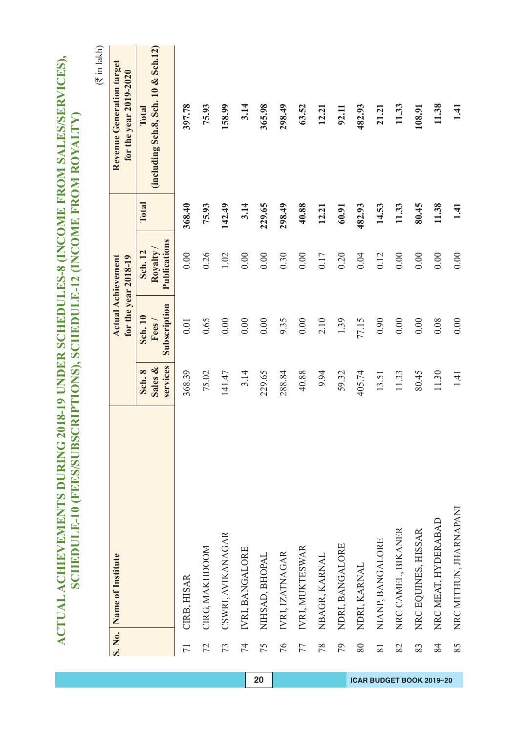|                 |                          |                               |                                  |                                    |        | $(3 \times 1)$ akh)                                 |
|-----------------|--------------------------|-------------------------------|----------------------------------|------------------------------------|--------|-----------------------------------------------------|
|                 | S. No. Name of Institute |                               | for the year 2018-19             | <b>Actual Achievement</b>          |        | Revenue Generation target<br>for the year 2019-2020 |
|                 |                          | services<br>Sales &<br>Sch. 8 | Subscription<br>Sch. 10<br>Fees/ | Publications<br>Royalty<br>Sch. 12 | Total  | (including Sch.8, Sch. 10 & Sch.12)<br>Total        |
| $\overline{71}$ | CIRB, HISAR              | 368.39                        | 0.01                             | 0.00                               | 368.40 | 397.78                                              |
| 72              | CIRG, MAKHDOOM           | 75.02                         | 0.65                             | 0.26                               | 75.93  | 75.93                                               |
| 73              | CSWRI, AVIKANAGAR        | 141.47                        | 0.00                             | 1.02                               | 142.49 | 158.99                                              |
| 74              | IVRI, BANGALORE          | 3.14                          | 0.00                             | 0.00                               | 3.14   | 3.14                                                |
| 75              | NIHSAD, BHOPAL           | 229.65                        | 0.00                             | 0.00                               | 229.65 | 365.98                                              |
| 76              | IVRI, IZATNAGAR          | 288.84                        | 9.35                             | 0.30                               | 298.49 | 298.49                                              |
| 77              | IVRI, MUKTESWAR          | 40.88                         | 0.00                             | 0.00                               | 40.88  | 63.52                                               |
| 78              | NBAGR, KARNAL            | 9.94                          | 2.10                             | 0.17                               | 12.21  | 12.21                                               |
| 79              | NDRI, BANGALORE          | 59.32                         | 1.39                             | 0.20                               | 60.91  | 92.11                                               |
| 80              | NDRI, KARNAL             | 405.74                        | 77.15                            | 0.04                               | 482.93 | 482.93                                              |
| 81              | NIANP, BANGALORE         | 13.51                         | 0.90                             | 0.12                               | 14.53  | 21.21                                               |
| 82              | NRC CAMEL, BIKANER       | 11.33                         | $0.00$                           | 0.00                               | 11.33  | 11.33                                               |
| 83              | NRC EQUINES, HISSAR      | 80.45                         | $0.00\,$                         | 0.00                               | 80.45  | 108.91                                              |
| 84              | NRC MEAT, HYDERABAD      | 11.30                         | 0.08                             | 0.00                               | 11.38  | 11.38                                               |
| 85              | NRC MITHUN, JHARNAPANI   | 1.41                          | 0.00                             | 0.00                               | 1.41   | 1.41                                                |

ACTUAL ACHIEVEMENTS DURING 2018-19 UNDER SCHEDULES-8 (INCOME FROM SALES/SERVICES),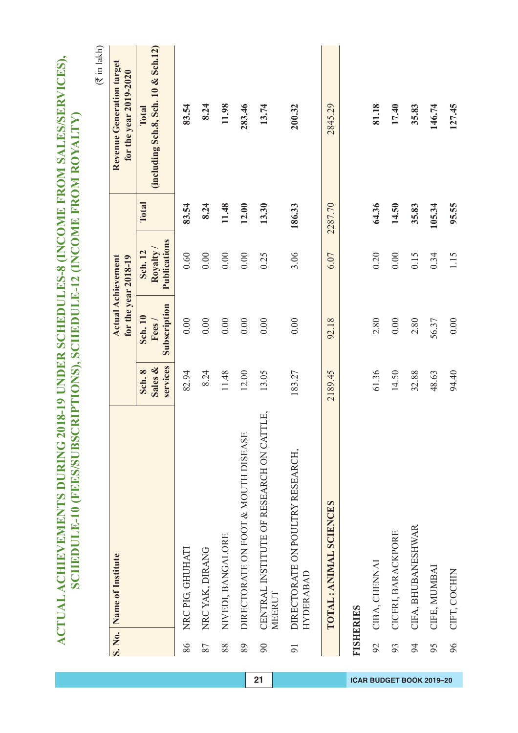|    |                                                      |                               |                                         |                                                   |         | $(\bar{\tau}$ in lakh)                              |
|----|------------------------------------------------------|-------------------------------|-----------------------------------------|---------------------------------------------------|---------|-----------------------------------------------------|
|    | S. No. Name of Institute                             |                               |                                         | <b>Actual Achievement</b><br>for the year 2018-19 |         | Revenue Generation target<br>for the year 2019-2020 |
|    |                                                      | services<br>Sales &<br>Sch. 8 | Subscription<br><b>Sch. 10</b><br>Fees/ | Publications<br>Royalty /<br>Sch. 12              | Total   | (including Sch.8, Sch. 10 & Sch.12)<br>Total        |
| 86 | NRC PIG, GHUHATI                                     | 82.94                         | 0.00                                    | 0.60                                              | 83.54   | 83.54                                               |
| 87 | NRCYAK, DIRANG                                       | 8.24                          | 0.00                                    | 0.00                                              | 8.24    | 8.24                                                |
| 88 | NIVEDI, BANGALORE                                    | 11.48                         | $0.00\,$                                | 0.00                                              | 11.48   | 11.98                                               |
| 89 | DIRECTORATE ON FOOT & MOUTH DISEASE                  | 12.00                         | 0.00                                    | 0.00                                              | 12.00   | 283.46                                              |
| 90 | CENTRAL INSTITUTE OF RESEARCH ON CATTLE,<br>MEERUT   | 13.05                         | 0.00                                    | 0.25                                              | 13.30   | 13.74                                               |
| 91 | DIRECTORATE ON POULTRY RESEARCH,<br><b>HYDERABAD</b> | 183.27                        | 0.00                                    | 3.06                                              | 186.33  | 200.32                                              |
|    | TOTAL: ANIMAL SCIENCES                               | 2189.45                       | 92.18                                   | 6.07                                              | 2287.70 | 2845.29                                             |
|    | <b>FISHERIES</b>                                     |                               |                                         |                                                   |         |                                                     |
| 92 | CIBA, CHENNAI                                        | 61.36                         | 2.80                                    | 0.20                                              | 64.36   | 81.18                                               |
| 93 | CICFRI, BARACKPORE                                   | 14.50                         | 0.00                                    | 0.00                                              | 14.50   | 17.40                                               |
| 94 | CIFA, BHUBANESHWAR                                   | 32.88                         | 2.80                                    | 0.15                                              | 35.83   | 35.83                                               |
| 95 | CIFE, MUMBAI                                         | 48.63                         | 56.37                                   | 0.34                                              | 105.34  | 146.74                                              |
| 96 | CIFT, COCHIN                                         | 94.40                         | 0.00                                    | 1.15                                              | 95.55   | 127.45                                              |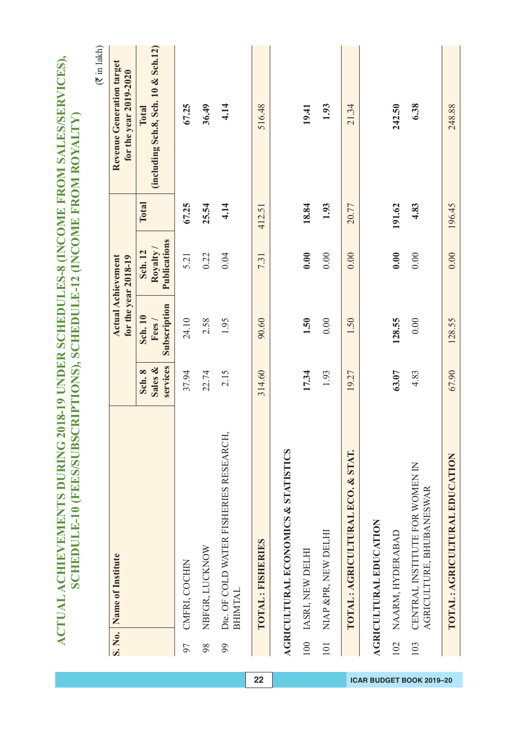|     |                                                            |                               |                                  |                                                   |        | $(\vec{\tau}$ in lakh)                              |
|-----|------------------------------------------------------------|-------------------------------|----------------------------------|---------------------------------------------------|--------|-----------------------------------------------------|
|     | S. No. Name of Institute                                   |                               |                                  | <b>Actual Achievement</b><br>for the year 2018-19 |        | Revenue Generation target<br>for the year 2019-2020 |
|     |                                                            | services<br>Sales &<br>Sch. 8 | Subscription<br>Sch. 10<br>Fees/ | Publications<br>Royalty /<br>Sch. 12              | Total  | (including Sch.8, Sch. 10 & Sch.12)<br>Total        |
| 97  | CMFRI, COCHIN                                              | 37.94                         | 24.10                            | 5.21                                              | 67.25  | 67.25                                               |
| 98  | NBFGR, LUCKNOW                                             | 22.74                         | 2.58                             | 0.22                                              | 25.54  | 36.49                                               |
| 99  | Dte. OF COLD WATER FISHERIES RESEARCH,<br><b>BHIMTAL</b>   | 2.15                          | 1.95                             | 0.04                                              | 4.14   | 4.14                                                |
|     | TOTAL: FISHERIES                                           | 314.60                        | 90.60                            | 7.31                                              | 412.51 | 516.48                                              |
|     | AGRICULTURAL ECONOMICS & STATISTICS                        |                               |                                  |                                                   |        |                                                     |
| 100 | IASRI, NEW DELHI                                           | 17.34                         | 1.50                             | 0.00                                              | 18.84  | 19.41                                               |
| 101 | NIAP &PR, NEW DELHI                                        | 1.93                          | 0.00                             | 0.00                                              | 1.93   | 1.93                                                |
|     | TOTAL : AGRICULTURAL ECO. & STAT.                          | 19.27                         | 1.50                             | 0.00                                              | 20.77  | 21.34                                               |
|     | <b>AGRICULTURAL EDUCATION</b>                              |                               |                                  |                                                   |        |                                                     |
| 102 | NAARM, HYDERABAD                                           | 63.07                         | 128.55                           | 0.00                                              | 191.62 | 242.50                                              |
| 103 | CENTRAL INSTITUTE FOR WOMEN IN<br>AGRICULTURE, BHUBANESWAR | 4.83                          | 0.00                             | 0.00                                              | 4.83   | 6.38                                                |
|     | TOTAL: AGRICULTURAL EDUCATION                              | 67.90                         | 128.55                           | 0.00                                              | 196.45 | 248.88                                              |

ACTUAL ACHIEVEMENTS DURING 2018-19 UNDER SCHEDULES-8 (INCOME FROM SALES/SERVICES),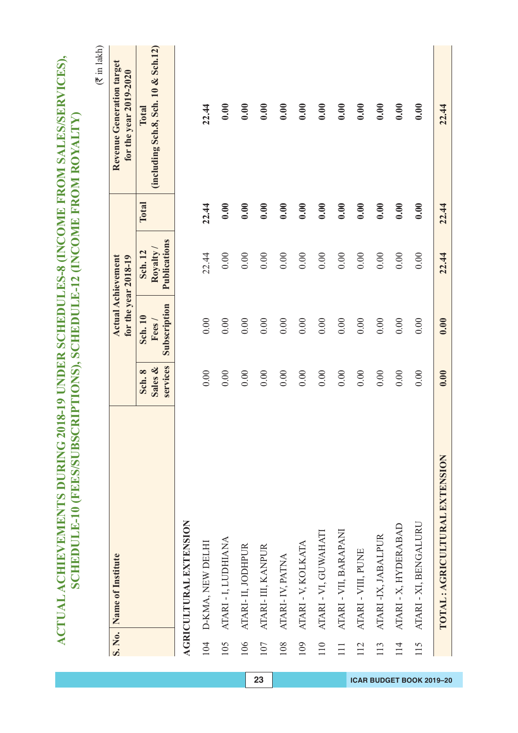| 22.44                                               | 22.44 | 22.44                                             | 0.00                                    | 0.00                          | TOTAL : AGRICULTURAL EXTENSION                                                                                                                            |          |
|-----------------------------------------------------|-------|---------------------------------------------------|-----------------------------------------|-------------------------------|-----------------------------------------------------------------------------------------------------------------------------------------------------------|----------|
| 0.00                                                | 0.00  | 0.00                                              | 0.00                                    | 0.00                          | ATARI - XI, BENGALURU                                                                                                                                     | 115      |
| 0.00                                                | 0.00  | 0.00                                              | 0.00                                    | 0.00                          | ATARI - X, HYDERABAD                                                                                                                                      | 114      |
| 0.00                                                | 0.00  | 0.00                                              | 0.00                                    | 0.00                          | ATARI-IX, JABALPUR                                                                                                                                        | 113      |
| 0.00                                                | 0.00  | 0.00                                              | 0.00                                    | 0.00                          | ATARI - VIII, PUNE                                                                                                                                        | 112      |
| 0.00                                                | 0.00  | 0.00                                              | 0.00                                    | 0.00                          | ATARI - VII, BARAPANI                                                                                                                                     | $\equiv$ |
| 0.00                                                | 0.00  | 0.00                                              | $0.00\,$                                | 0.00                          | ATARI - VI, GUWAHATI                                                                                                                                      | 110      |
| 0.00                                                | 0.00  | 0.00                                              | 0.00                                    | 0.00                          | ATARI - V, KOLKATA                                                                                                                                        | 109      |
| 0.00                                                | 0.00  | 0.00                                              | 0.00                                    | 0.00                          | ATARI-IV, PATNA                                                                                                                                           | 108      |
| 0.00                                                | 0.00  | 0.00                                              | 0.00                                    | 0.00                          | ATARI- III, KANPUR                                                                                                                                        | 107      |
| 0.00                                                | 0.00  | 0.00                                              | 0.00                                    | 0.00                          | ATARI-II, JODHPUR                                                                                                                                         | 106      |
| 0.00                                                | 0.00  | 0.00                                              | 0.00                                    | 0.00                          | ATARI - I, LUDHIANA                                                                                                                                       | 105      |
| 22.44                                               | 22.44 | 22.44                                             | 0.00                                    | 0.00                          | 104 D-KMA, NEW DELHI                                                                                                                                      |          |
|                                                     |       |                                                   |                                         |                               | <b>AGRICULTURAL EXTENSION</b>                                                                                                                             |          |
| (including Sch.8, Sch. 10 & Sch.12)<br>Total        | Total | Publications<br>Royalty<br>Sch. 12                | Subscription<br><b>Sch. 10</b><br>Fees/ | services<br>Sales &<br>Sch. 8 |                                                                                                                                                           |          |
| Revenue Generation target<br>for the year 2019-2020 |       | <b>Actual Achievement</b><br>for the year 2018-19 |                                         |                               | S. No. Name of Institute                                                                                                                                  |          |
| $(\overline{\tau}$ in lakh)                         |       |                                                   |                                         |                               |                                                                                                                                                           |          |
|                                                     |       |                                                   |                                         |                               | ACTUAL ACHIEVEMENTS DURING 2018-19 UNDER SCHEDULES-8 (INCOME FROM SALES/SERVICES),<br>SCHEDULE-10 (FEES/SUBSCRIPTIONS), SCHEDULE-12 (INCOME FROM ROYALTY) |          |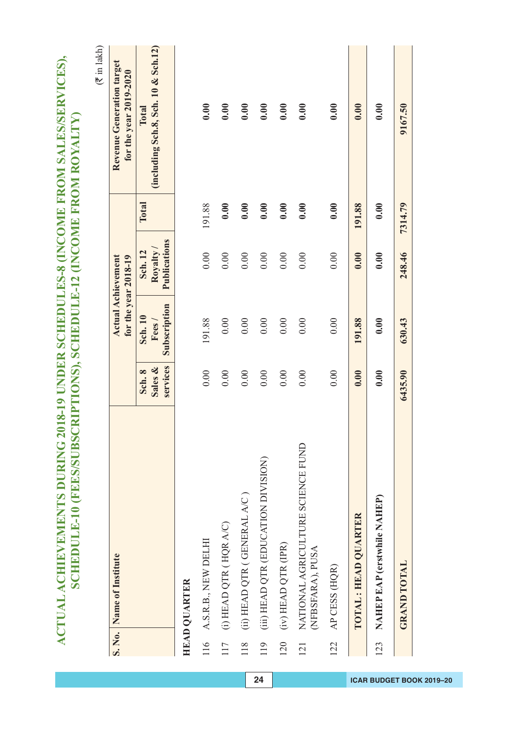|     | ACTUAL ACHIEVEMENTS DURING 2018-19 UNDER SCHEDULES-8 (INCOME FROM SALES/SERVICES),<br>SCHEDULE-10 (FEES/SUBSCRIPTIONS), SCHEDULE-12 (INCOME FROM ROYALTY) |                               |                                         |                                    |         |                                                     |
|-----|-----------------------------------------------------------------------------------------------------------------------------------------------------------|-------------------------------|-----------------------------------------|------------------------------------|---------|-----------------------------------------------------|
|     |                                                                                                                                                           |                               |                                         |                                    |         | $(\vec{\tau}$ in lakh)                              |
|     | S. No. Name of Institute                                                                                                                                  |                               | for the year 2018-19                    | <b>Actual Achievement</b>          |         | Revenue Generation target<br>for the year 2019-2020 |
|     |                                                                                                                                                           | services<br>Sales &<br>Sch. 8 | Subscription<br><b>Sch. 10</b><br>Fees/ | Publications<br>Royalty<br>Sch. 12 | Total   | (including Sch.8, Sch. 10 & Sch.12)<br>Total        |
|     | <b>HEAD QUARTER</b>                                                                                                                                       |                               |                                         |                                    |         |                                                     |
| 116 | A.S.R.B., NEW DELHI                                                                                                                                       | 0.00                          | 191.88                                  | 0.00                               | 191.88  | 0.00                                                |
| 117 | $(i)$ HEAD QTR (HQR A/C)                                                                                                                                  | 0.00                          | 0.00                                    | 0.00                               | 0.00    | 0.00                                                |
| 118 | (ii) HEAD QTR (GENERAL A/C)                                                                                                                               | 0.00                          | $0.00\,$                                | 0.00                               | 0.00    | 0.00                                                |
| 119 | (iii) HEAD QTR (EDUCATION DIVISION)                                                                                                                       | 0.00                          | 0.00                                    | 0.00                               | 0.00    | 0.00                                                |
| 120 | (iv) HEAD QTR (IPR)                                                                                                                                       | 0.00                          | 0.00                                    | 0.00                               | 0.00    | 0.00                                                |
| 121 | NATIONAL AGRICULTURE SCIENCE FUND<br>(NFBSFARA), PUSA                                                                                                     | 0.00                          | 0.00                                    | 0.00                               | 0.00    | 0.00                                                |
| 122 | AP CESS (HQR)                                                                                                                                             | 0.00                          | 0.00                                    | 0.00                               | 0.00    | 0.00                                                |
|     | TOTAL : HEAD QUARTER                                                                                                                                      | 0.00                          | 191.88                                  | 0.00                               | 191.88  | 0.00                                                |
| 123 | NAHEP EAP (erstwhile NAHEP)                                                                                                                               | 0.00                          | 0.00                                    | 0.00                               | 0.00    | 0.00                                                |
|     | <b>GRAND TOTAL</b>                                                                                                                                        | 6435.90                       | 630.43                                  | 248.46                             | 7314.79 | 9167.50                                             |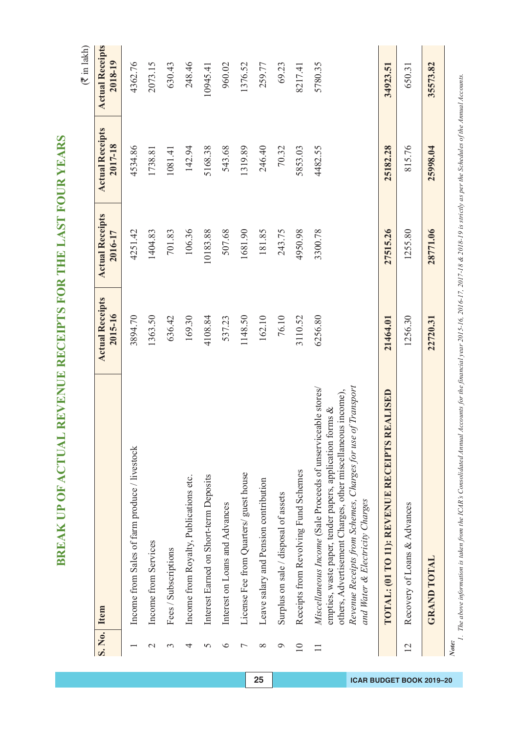|                 |                                                                                                                                                                                                                                                                                              |                                   |                                   |                                   | $(\bar{\tau}$ in lakh)            |
|-----------------|----------------------------------------------------------------------------------------------------------------------------------------------------------------------------------------------------------------------------------------------------------------------------------------------|-----------------------------------|-----------------------------------|-----------------------------------|-----------------------------------|
| S. No.          | Item                                                                                                                                                                                                                                                                                         | <b>Actual Receipts</b><br>2015-16 | <b>Actual Receipts</b><br>2016-17 | <b>Actual Receipts</b><br>2017-18 | <b>Actual Receipts</b><br>2018-19 |
|                 | Income from Sales of farm produce / livestock                                                                                                                                                                                                                                                | 3894.70                           | 4251.42                           | 4534.86                           | 4362.76                           |
| $\mathbf{\sim}$ | Income from Services                                                                                                                                                                                                                                                                         | 1363.50                           | 1404.83                           | 1738.81                           | 2073.15                           |
| 3               | Fees / Subscriptions                                                                                                                                                                                                                                                                         | 636.42                            | 701.83                            | 1081.41                           | 630.43                            |
| 4               | Income from Royalty, Publications etc.                                                                                                                                                                                                                                                       | 169.30                            | 106.36                            | 142.94                            | 248.46                            |
| 5               | Interest Earned on Short-term Deposits                                                                                                                                                                                                                                                       | 4108.84                           | 10183.88                          | 5168.38                           | 10945.41                          |
| $\circ$         | Interest on Loans and Advances                                                                                                                                                                                                                                                               | 537.23                            | 507.68                            | 543.68                            | 960.02                            |
| $\overline{ }$  | License Fee from Quarters/ guest house                                                                                                                                                                                                                                                       | 1148.50                           | 1681.90                           | 1319.89                           | 1376.52                           |
| $\infty$        | Leave salary and Pension contribution                                                                                                                                                                                                                                                        | 162.10                            | 181.85                            | 246.40                            | 259.77                            |
| $\circ$         | Surplus on sale / disposal of assets                                                                                                                                                                                                                                                         | 76.10                             | 243.75                            | 70.32                             | 69.23                             |
| $\overline{10}$ | Receipts from Revolving Fund Schemes                                                                                                                                                                                                                                                         | 3110.52                           | 4950.98                           | 5853.03                           | 8217.41                           |
| $\Box$          | of Transporu<br>Miscellaneous Income (Sale Proceeds of unserviceable stores)<br>others, Advertisement Charges, other miscellaneous income),<br>empties, waste paper, tender papers, application forms &<br>Revenue Receipts from Schemes, Charges for use<br>and Water & Electricity Charges | 6256.80                           | 3300.78                           | 4482.55                           | 5780.35                           |
|                 | TOTAL: (01 TO 11): REVENUE RECEIPTS REALISED                                                                                                                                                                                                                                                 | 21464.01                          | 27515.26                          | 25182.28                          | 34923.51                          |
| 12              | Recovery of Loans & Advances                                                                                                                                                                                                                                                                 | 1256.30                           | 1255.80                           | 815.76                            | 650.31                            |
|                 | <b>GRAND TOTAL</b>                                                                                                                                                                                                                                                                           | 22720.31                          | 28771.06                          | 25998.04                          | 35573.82                          |
|                 |                                                                                                                                                                                                                                                                                              |                                   |                                   |                                   |                                   |

Note:<br>1. The above information is taken from the ICAR's Consolidated Amual Accounts for the financial year 2015-16, 2016-17, 2017-18 & 2018-19 is strictly as per the Schedules of the Annual Accounts. *1. The above information is taken from the ICAR's Consolidated Annual Accounts for the financial year 2015-16, 2016-17, 2017-18 & 2018-19 is strictly as per the Schedules of the Annual Accounts.*

## **25 ICAR BUDGET BOOK 2019–20**

BREAK UP OF ACTUAL REVENUE RECEIPTS FOR THE LAST FOUR YEARS **BREAK UP OF ACTUAL REVENUE RECEIPTS FOR THE LAST FOUR YEARS**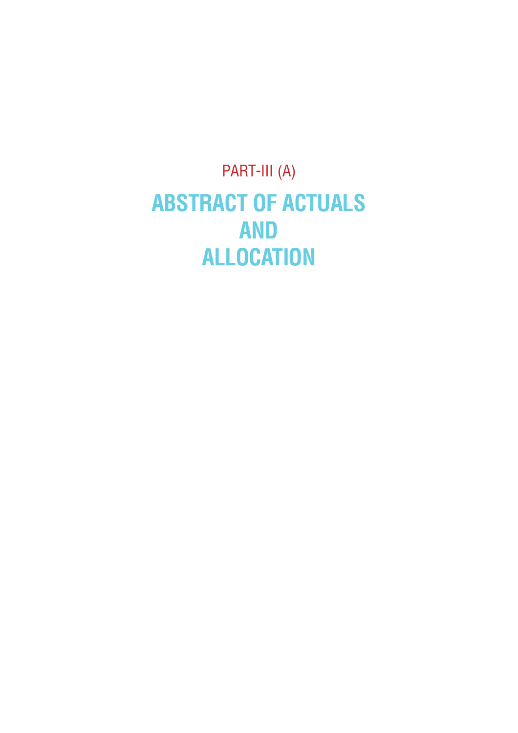PART-III (A) **ABSTRACT OF ACTUALS AND ALLOCATION**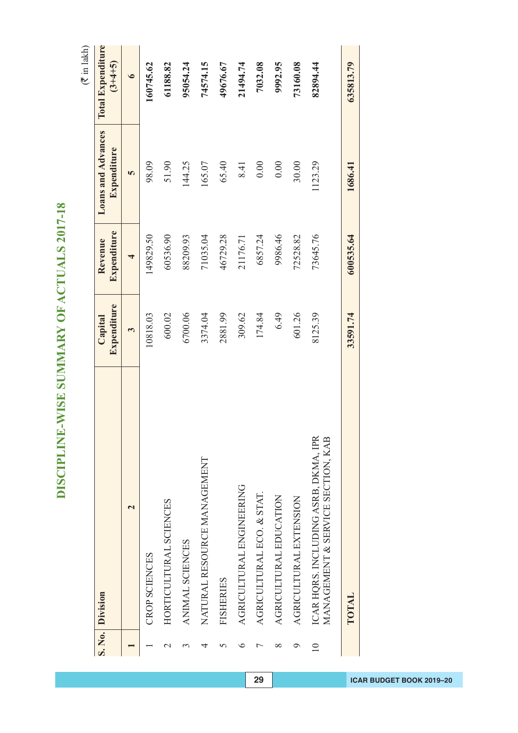DISCIPLINE-WISE SUMMARY OF ACTUALS 2017-18 **DISCIPLINE-WISE SUMMARY OF ACTUALS 2017-18**

 $(\overline{\mathfrak{F}}$  in lakh)

|                          | S. No. Division                                                           | Expenditure<br>Capital | Expenditure<br>Revenue | Loans and Advances<br>Expenditure | <b>Total Expenditure</b><br>$(3+4+5)$ |
|--------------------------|---------------------------------------------------------------------------|------------------------|------------------------|-----------------------------------|---------------------------------------|
|                          | $\mathrel{\mathsf{N}}$                                                    | 3                      | 4                      | 5                                 | $\bullet$                             |
|                          | <b>CROP SCIENCES</b>                                                      | 10818.03               | 149829.50              | 98.09                             | 160745.62                             |
|                          | HORTICULTURAL SCIENCES                                                    | 600.02                 | 60536.90               | 51.90                             | 61188.82                              |
|                          | ANIMAL SCIENCES                                                           | 6700.06                | 88209.93               | 144.25                            | 95054.24                              |
|                          | NATURAL RESOURCE MANAGEMENT                                               | 3374.04                | 71035.04               | 165.07                            | 74574.15                              |
|                          | <b>FISHERIES</b>                                                          | 2881.99                | 46729.28               | 65.40                             | 49676.67                              |
|                          | AGRICULTURAL ENGINEERING                                                  | 309.62                 | 21176.71               | 8.41                              | 21494.74                              |
|                          | AGRICULTURAL ECO. & STAT.                                                 | 174.84                 | 6857.24                | 0.00                              | 7032.08                               |
| ∞                        | AGRICULTURAL EDUCATION                                                    | 6.49                   | 9986.46                | 0.00                              | 9992.95                               |
|                          | AGRICULTURAL EXTENSION                                                    | 601.26                 | 72528.82               | 30.00                             | 73160.08                              |
| $\overline{\phantom{0}}$ | ICAR HQRS. INCLUDING ASRB, DKMA, IPR<br>MANAGEMENT & SERVICE SECTION, KAB | 8125.39                | 73645.76               | 1123.29                           | 82894.44                              |
|                          | TOTAL                                                                     | 33591.74               | 600535.64              | 1686.41                           | 635813.79                             |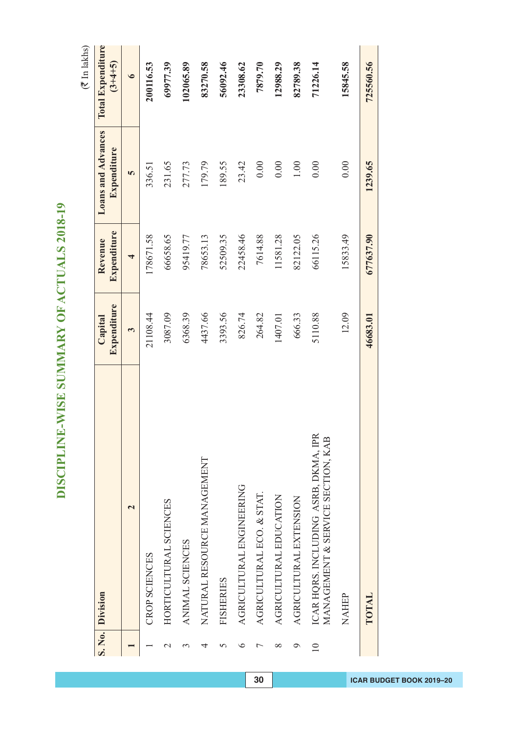DISCIPLINE-WISE SUMMARY OF ACTUALS 2018-19 **DISCIPLINE-WISE SUMMARY OF ACTUALS 2018-19**

 $(\overline{\tau}$  In lakhs)

|                  | S. No. Division                                                           | Expenditure<br>Capital | Expenditure<br>Revenue | <b>Loans and Advances</b><br>Expenditure | <b>Total Expenditure</b><br>$(3+4+5)$ |
|------------------|---------------------------------------------------------------------------|------------------------|------------------------|------------------------------------------|---------------------------------------|
|                  | 2                                                                         | 3                      | 4                      | 5                                        | $\bullet$                             |
|                  | CROP SCIENCES                                                             | 21108.44               | 178671.58              | 336.51                                   | 200116.53                             |
| $\mathrel{\sim}$ | HORTICULTURAL SCIENCES                                                    | 3087.09                | 66658.65               | 231.65                                   | 69977.39                              |
|                  | ANIMAL SCIENCES                                                           | 6368.39                | 95419.77               | 277.73                                   | 102065.89                             |
| 4                | NATURAL RESOURCE MANAGEMENT                                               | 4437.66                | 78653.13               | 179.79                                   | 83270.58                              |
|                  | <b>FISHERIES</b>                                                          | 3393.56                | 52509.35               | 189.55                                   | 56092.46                              |
| ≏                | AGRICULTURAL ENGINEERING                                                  | 826.74                 | 22458.46               | 23.42                                    | 23308.62                              |
|                  | AGRICULTURAL ECO. & STAT.                                                 | 264.82                 | 7614.88                | 0.00                                     | 7879.70                               |
| ∞                | AGRICULTURAL EDUCATION                                                    | 1407.01                | 11581.28               | 0.00                                     | 12988.29                              |
| ⌒                | AGRICULTURAL EXTENSION                                                    | 666.33                 | 82122.05               | $1.00\,$                                 | 82789.38                              |
| $\supseteq$      | ICAR HQRS. INCLUDING ASRB, DKMA, IPR<br>MANAGEMENT & SERVICE SECTION, KAB | 5110.88                | 66115.26               | 0.00                                     | 71226.14                              |
|                  | NAHEP                                                                     | 12.09                  | 15833.49               | 0.00                                     | 15845.58                              |
|                  | TOTAL                                                                     | 46683.01               | 677637.90              | 1239.65                                  | 725560.56                             |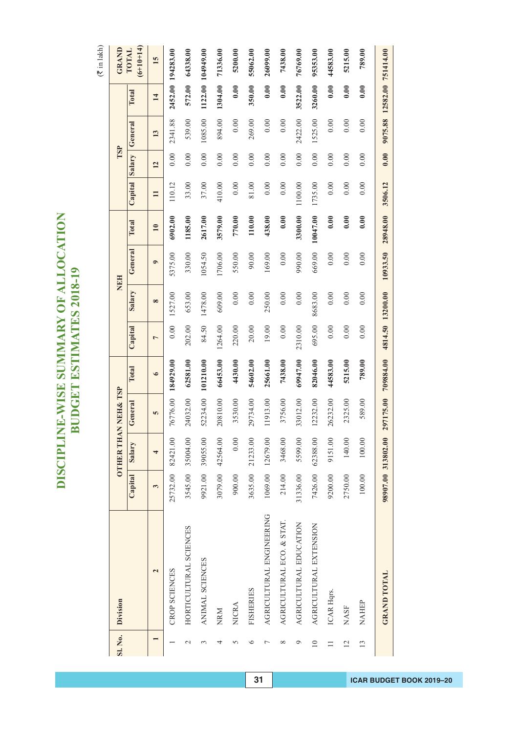## DISCIPLINE-WISE SUMMARY OF ALLOCATION **DISCIPLINE-WISE SUMMARY OF ALLOCATION BUDGET ESTIMATES 2018-19 BUDGET ESTIMATES 2018-19**

 $(\overline{\mathfrak{F}}$  in lakh)

| Sl. No.                  | Division                  |          | <b>OTHER THA</b>   | NNEH& TSP |           |                  |          | NEH       |                 |          | TSP    |         |                            | GRAND                |
|--------------------------|---------------------------|----------|--------------------|-----------|-----------|------------------|----------|-----------|-----------------|----------|--------|---------|----------------------------|----------------------|
|                          |                           | Capital  | Salary             | General   | Total     | Capital          | Salary   | General   | Total           | Capital  | Salary | General | Total                      | $(6+10+14)$<br>TOTAL |
|                          | $\overline{\mathbf{c}}$   | 3        | 4                  | S         | $\circ$   | $\overline{ }$   | $\infty$ | $\bullet$ | $\overline{10}$ | $\equiv$ | 12     | 13      | 14                         | 15                   |
|                          | CROP SCIENCES             | 25732.00 | 82421.00           | 76776.00  | 184929.00 | 0.00             | 1527.00  | 5375.00   | 6902.00         | 110.12   | 0.00   | 2341.88 |                            | 2452.00 194283.00    |
| $\overline{\mathcal{C}}$ | HORTICULTURAL SCIENCES    | 3545.00  | 35004.00           | 24032.00  | 62581.00  | 202.00           | 653.00   | 330.00    | 1185.00         | 33.00    | 0.00   | 539.00  | 572.00                     | 64338.00             |
| 3                        | ANIMAL SCIENCES           | 9921.00  | 39055.00           | 52234.00  | 101210.00 | 84.50            | 1478.00  | 1054.50   | 2617.00         | 37.00    | 0.00   | 1085.00 |                            | 1122.00 104949.00    |
|                          | <b>NRM</b>                | 3079.00  | 42564.00           | 20810.00  | 66453.00  | 1264.00          | 609.00   | 1706.00   | 3579.00         | 410.00   | 0.00   | 894.00  | 1304.00                    | 71336.00             |
| 5                        | <b>NICRA</b>              | 900.00   | $0.00$             | 3530.00   | 4430.00   | 220.00           | 0.00     | 550.00    | 770.00          | 0.00     | 0.00   | 0.00    | 0.00                       | 5200.00              |
| $\circ$                  | <b>FISHERIES</b>          |          | 3635.00 21233.00   | 29734.00  | 54602.00  | 20.00            | 0.00     | 90.00     | 110.00          | 81.00    | 0.00   | 269.00  | 350.00                     | 55062.00             |
| Γ                        | AGRICULTURAL ENGINEERING  |          | 1069.00 12679.00   | 11913.00  | 25661.00  | 19.00            | 250.00   | 169.00    | 438.00          | 0.00     | 0.00   | 0.00    | 0.00                       | 26099.00             |
| ${}^{\circ}$             | AGRICULTURAL ECO. & STAT. | 214.00   | 3468.00            | 3756.00   | 7438.00   | 0.00             | 0.00     | 0.00      | 0.00            | 0.00     | 0.00   | 0.00    | 0.00                       | 7438.00              |
| Q                        | AGRICULTURAL EDUCATION    | 31336.00 | 5599.00            | 33012.00  | 69947.00  | 2310.00          | 0.00     | 990.00    | 3300.00         | 1100.00  | 0.00   | 2422.00 | 3522.00                    | 76769.00             |
| $\supseteq$              | AGRICULTURAL EXTENSION    | 7426.00  | 62388.00           | 12232.00  | 82046.00  | 695.00           | 8683.00  | 669.00    | 10047.00        | 1735.00  | 0.00   | 1525.00 | 3260.00                    | 95355.00             |
| $\Box$                   | ICAR Hqrs.                | 9200.00  | 9151.00            | 26232.00  | 44583.00  | 0.00             | 0.00     | 0.00      | 0.00            | 0.00     | 0.00   | 0.00    | 0.00                       | 44583.00             |
| $\overline{12}$          | <b>NASF</b>               | 2750.00  | 140.00             | 2325.00   | 5215.00   | 0.00             | 0.00     | 0.00      | 0.00            | 0.00     | 0.00   | 0.00    | 0.00                       | 5215.00              |
| 13                       | NAHEP                     | 100.00   | 100.00             | 589.00    | 789.00    | 0.00             | 0.00     | 0.00      | 0.00            | 0.00     | 0.00   | 0.00    | 0.00                       | 789.00               |
|                          | <b>GRAND TOTAL</b>        |          | 98907.00 313802.00 | 297175.00 | 709884.00 | 4814.50 13200.00 |          | 10933.50  | 28948.00        | 3506.12  | 0.00   |         | 9075.88 12582.00 751414.00 |                      |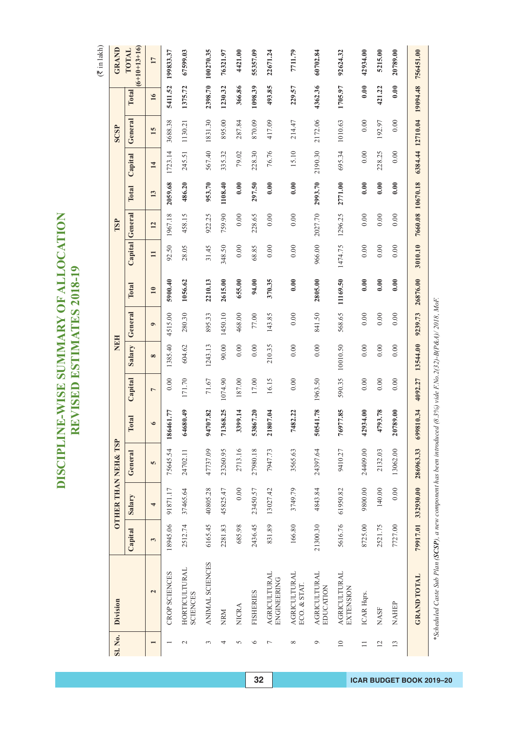# DISCIPLINE-WISE SUMMARY OF ALLOCATION<br>REVISED ESTIMATES 2018-19 **DISCIPLINE-WISE SUMMARY OF ALLOCATION REVISED ESTIMATES 2018-19**

 $(\overline{\mathfrak{F}}$  in lakh)

| SI. No.         | Division                                                                                                       |          |           | <b>OTHER THAN NEH&amp; TSP</b> |                          |                | NEH      |           |               |          | TSP              |         |         | <b>SCSP</b>      |                 | GRAND                   |
|-----------------|----------------------------------------------------------------------------------------------------------------|----------|-----------|--------------------------------|--------------------------|----------------|----------|-----------|---------------|----------|------------------|---------|---------|------------------|-----------------|-------------------------|
|                 |                                                                                                                | Capital  | Salary    | General                        | Total                    | Capital        | Salary   | General   | Total         | Capital  | General          | Total   | Capital | General          | Total           | $(6+10+13+16)$<br>TOTAL |
|                 | $\overline{\mathbf{c}}$                                                                                        | 3        | 4         | 5                              | $\bullet$                | $\overline{ }$ | $\infty$ | $\bullet$ | $\mathbf{10}$ | $\equiv$ | 12               | 13      | 14      | 15               | $\overline{16}$ | $\overline{17}$         |
|                 | CROP SCIENCES                                                                                                  | 18945.06 | 91871.17  | 75645.54                       | <b>1461.77</b><br>186    | 0.00           | 1385.40  | 4515.00   | 5900.40       | 92.50    | 1967.18          | 2059.68 | 1723.14 | 3688.38          | 5411.52         | 199833.37               |
| $\sim$          | HORTICULTURAL<br><b>SCIENCES</b>                                                                               | 2512.74  | 37465.64  | 24702.11                       | 64680.49                 | 171.70         | 604.62   | 280.30    | 1056.62       | 28.05    | 458.15           | 486.20  | 245.51  | 1130.21          | 1375.72         | 67599.03                |
| 3               | ANIMAL SCIENCES                                                                                                | 6165.45  | 40805.28  | 47737.09                       | 94707.82                 | 71.67          | 1243.13  | 895.33    | 2210.13       | 31.45    | 922.25           | 953.70  | 567.40  | 1831.30          |                 | 2398.70 100270.35       |
| 4               | NRM                                                                                                            | 2281.83  | 45825.47  | 23260.95                       | 368.25<br>$\overline{r}$ | 1074.90        | 90.00    | 1450.10   | 2615.00       | 348.50   | 759.90           | 1108.40 | 335.32  | 895.00           | 1230.32         | 76321.97                |
| 5               | <b>NICRA</b>                                                                                                   | 685.98   | 0.00      | 2713.16                        | 3399.14                  | 187.00         | 0.00     | 468.00    | 655.00        | 0.00     | 0.00             | 0.00    | 79.02   | 287.84           | 366.86          | 4421.00                 |
| $\circ$         | <b>FISHERIES</b>                                                                                               | 2436.45  | 23450.57  | 27980.18                       | 1867.20<br>္မ            | 17.00          | 0.00     | 77.00     | 94.00         | 68.85    | 228.65           | 297.50  | 228.30  | 870.09           | 1098.39         | 55357.09                |
| Γ               | <b>AGRICULTURAL</b><br>ENGINEERING                                                                             | 831.89   | 13027.42  | 7947.73                        | 807.04<br>$\overline{z}$ | 16.15          | 210.35   | 143.85    | 370.35        | 0.00     | 0.00             | 0.00    | 76.76   | 417.09           | 493.85          | 22671.24                |
| ${}^{\circ}$    | <b>AGRICULTURAL</b><br>ECO. & STAT                                                                             | 166.80   | 3749.79   | 3565.63                        | 1482.22                  | 0.00           | 0.00     | 0.00      | 0.00          | 0.00     | 0.00             | 0.00    | 15.10   | 214.47           | 229.57          | 7711.79                 |
| Ò               | <b>AGRICULTURAL</b><br>EDUCATION                                                                               | 21300.30 | 4843.84   | 24397.64                       | 541.78<br>5              | 1963.50        | 0.00     | 841.50    | 2805.00       | 966.00   | 2027.70          | 2993.70 | 2190.30 | 2172.06          | 4362.36         | 60702.84                |
| $\overline{10}$ | <b>AGRICULTURAL</b><br>EXTENSION                                                                               | 5616.76  | 61950.82  | 9410.27                        | 76977.85                 | 590.35         | 10010.50 | 568.65    | 11169.50      | 1474.75  | 1296.25          | 2771.00 | 695.34  | 1010.63          | 1705.97         | 92624.32                |
| $\Box$          | ICAR Hqrs.                                                                                                     | 8725.00  | 9800.00   | 24409.00                       | 42934.00                 | 0.00           | 0.00     | 0.00      | 0.00          | 0.00     | 0.00             | 0.00    | 0.00    | 0.00             | 0.00            | 42934.00                |
| 12              | <b>NASF</b>                                                                                                    | 2521.75  | 140.00    | 2132.03                        | 1793.78                  | 0.00           | 0.00     | 0.00      | 0.00          | 0.00     | 0.00             | 0.00    | 228.25  | 192.97           | 421.22          | 5215.00                 |
| 13              | NAHEP                                                                                                          | 7727.00  | 0.00      | 13062.00                       | 20789.00                 | 0.00           | 0.00     | 0.00      | 0.00          | 0.00     | 0.00             | 0.00    | 0.00    | 0.00             | 0.00            | 20789.00                |
|                 | <b>GRAND TOTAL</b>                                                                                             | 79917.01 | 332930.00 | 286963.33                      | 9810.34<br>699           | 4092.27        | 13544.00 | 9239.73   | 26876.00      | 3010.10  | 7660.08 10670.18 |         |         | 6384.44 12710.04 | 19094.48        | 756451.00               |
|                 | *Scheduled Caste Sub Plan (SCSP), a new component has been introduced (8.3%) vide F.No.2(32)-B(P&A)/ 2018, MoF |          |           |                                |                          |                |          |           |               |          |                  |         |         |                  |                 |                         |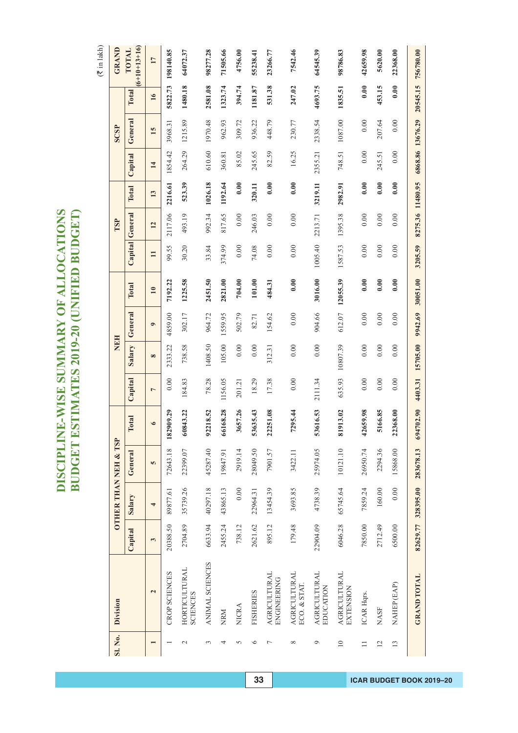| )<br>ד               | 人間になる アール           |
|----------------------|---------------------|
| ĺ<br><b>LIN ADIO</b> | É                   |
| <b>ISE SUNIMAR</b>   | <b>ATES 2019-20</b> |
| ś                    |                     |
| F                    | <b>GET EST</b>      |

| Division                                                                        |  | <b>OTHER THAN NEH &amp; TSP</b> |           |                | NEH      |           |               |              | TSP              |         |         | SCSP             |               | <b>GRAND</b>            |
|---------------------------------------------------------------------------------|--|---------------------------------|-----------|----------------|----------|-----------|---------------|--------------|------------------|---------|---------|------------------|---------------|-------------------------|
| General<br>Salary<br>Capital                                                    |  |                                 | Total     | Capital        | Salary   | General   | Total         | Capital      | General          | Total   | Capital | General          | Total         | $(6+10+13+16)$<br>TOTAL |
| S<br>4<br>3<br>$\overline{\mathbf{c}}$                                          |  |                                 | $\circ$   | $\overline{ }$ | $\infty$ | $\bullet$ | $\mathbf{10}$ | $\mathbf{H}$ | 12               | 13      | 14      | 15               | $\frac{1}{6}$ | $\overline{17}$         |
| 72643.18<br>89877.61<br>20388.50<br><b>CROP SCIENCES</b>                        |  |                                 | 182909.29 | 0.00           | 2333.22  | 4859.00   | 7192.22       | 99.55        | 2117.06          | 2216.61 | 1854.42 | 3968.31          | 5822.73       | 198140.85               |
| 22399.07<br>35739.26<br>2704.89<br>HORTICULTURAL<br><b>SCIENCES</b>             |  |                                 | 60843.22  | 184.83         | 738.58   | 302.17    | 1225.58       | 30.20        | 493.19           | 523.39  | 264.29  | 1215.89          | 1480.18       | 64072.37                |
| 92218.52<br>45287.40<br>40297.18<br>6633.94<br>ANIMAL SCIENCES                  |  |                                 |           | 78.28          | 1408.50  | 964.72    | 2451.50       | 33.84        | 992.34           | 1026.18 | 610.60  | 1970.48          | 2581.08       | 98277.28                |
| 19847.91<br>43865.13<br>2455.24<br>NRM                                          |  |                                 | 6168.28   | 1156.05        | 105.00   | 1559.95   | 2821.00       | 374.99       | 817.65           | 1192.64 | 360.81  | 962.93           | 1323.74       | 71505.66                |
| 2919.14<br>0.00<br>738.12<br>NICRA                                              |  |                                 | 3657.26   | 201.21         | 0.00     | 502.79    | 704.00        | 0.00         | 0.00             | 0.00    | 85.02   | 309.72           | 394.74        | 4756.00                 |
| 53635.43<br>28049.50<br>22964.31<br>2621.62<br><b>FISHERIES</b>                 |  |                                 |           | 18.29          | 0.00     | 82.71     | 101.00        | 74.08        | 246.03           | 320.11  | 245.65  | 936.22           | 1181.87       | 55238.41                |
| 22251.08<br>7901.57<br>13454.39<br>895.12<br><b>AGRICULTURAL</b><br>ENGINEERING |  |                                 |           | 17.38          | 312.31   | 154.62    | 484.31        | 0.00         | 0.00             | 0.00    | 82.59   | 448.79           | 531.38        | 23266.77                |
| 7295.44<br>3422.11<br>3693.85<br>179.48<br><b>AGRICULTURAL</b><br>ECO. & STAT.  |  |                                 |           | 0.00           | 0.00     | 0.00      | 0.00          | 0.00         | 0.00             | 0.00    | 16.25   | 230.77           | 247.02        | 7542.46                 |
| 25974.05<br>4738.39<br>22904.09<br><b>AGRICULTURAL</b><br>EDUCATION             |  |                                 | 53616.53  | 2111.34        | 0.00     | 904.66    | 3016.00       | 1005.40      | 2213.71          | 3219.11 | 2355.21 | 2338.54          | 4693.75       | 64545.39                |
| 10121.10<br>65745.64<br>6046.28<br><b>AGRICULTURAL</b><br>EXTENSION             |  |                                 | 81913.02  | 635.93         | 10807.39 | 612.07    | 12055.39      | 1587.53      | 1395.38          | 2982.91 | 748.51  | 1087.00          | 1835.51       | 98786.83                |
| 26950.74<br>7859.24<br>7850.00<br>ICAR Hqrs.                                    |  |                                 | 2659.98   | 0.00           | 0.00     | 0.00      | 0.00          | 0.00         | 0.00             | 0.00    | 0.00    | 0.00             | 0.00          | 42659.98                |
| 5166.85<br>2294.36<br>160.00<br>2712.49<br><b>NASF</b>                          |  |                                 |           | 0.00           | 0.00     | 0.00      | 0.00          | 0.00         | 0.00             | 0.00    | 245.51  | 207.64           | 453.15        | 5620.00                 |
| 22368.00<br>15868.00<br>0.00<br>6500.00<br>NAHEP (EAP)                          |  |                                 |           | 0.00           | 0.00     | 0.00      | 0.00          | 0.00         | 0.00             | 0.00    | 0.00    | 0.00             | 0.00          | 22368.00                |
| 694702.90<br>283678.13<br>82629.77 328395.00<br><b>GRAND TOTAL</b>              |  |                                 |           | 4403.31        | 15705.00 | 9942.69   | 30051.00      | 3205.59      | 8275.36 11480.95 |         |         | 6868.86 13676.29 | 20545.15      | 756780.00               |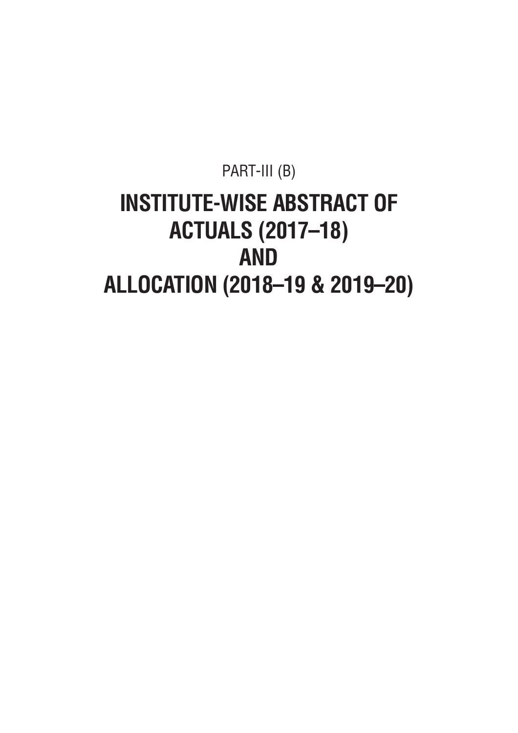### PART-III (B) **INSTITUTE-WISE ABSTRACT OF ACTUALS (2017–18) AND ALLOCATION (2018–19 & 2019–20)**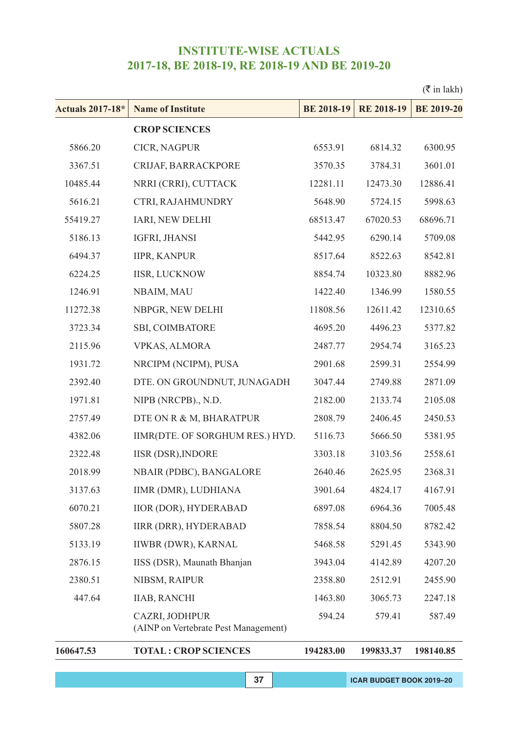|                         |                                                        |                   |                   | $(\bar{\bar{\mathbf{x}}}$ in lakh) |
|-------------------------|--------------------------------------------------------|-------------------|-------------------|------------------------------------|
| <b>Actuals 2017-18*</b> | <b>Name of Institute</b>                               | <b>BE 2018-19</b> | <b>RE 2018-19</b> | <b>BE 2019-20</b>                  |
|                         | <b>CROP SCIENCES</b>                                   |                   |                   |                                    |
| 5866.20                 | CICR, NAGPUR                                           | 6553.91           | 6814.32           | 6300.95                            |
| 3367.51                 | CRIJAF, BARRACKPORE                                    | 3570.35           | 3784.31           | 3601.01                            |
| 10485.44                | NRRI (CRRI), CUTTACK                                   | 12281.11          | 12473.30          | 12886.41                           |
| 5616.21                 | CTRI, RAJAHMUNDRY                                      | 5648.90           | 5724.15           | 5998.63                            |
| 55419.27                | IARI, NEW DELHI                                        | 68513.47          | 67020.53          | 68696.71                           |
| 5186.13                 | IGFRI, JHANSI                                          | 5442.95           | 6290.14           | 5709.08                            |
| 6494.37                 | <b>IIPR, KANPUR</b>                                    | 8517.64           | 8522.63           | 8542.81                            |
| 6224.25                 | <b>IISR, LUCKNOW</b>                                   | 8854.74           | 10323.80          | 8882.96                            |
| 1246.91                 | NBAIM, MAU                                             | 1422.40           | 1346.99           | 1580.55                            |
| 11272.38                | NBPGR, NEW DELHI                                       | 11808.56          | 12611.42          | 12310.65                           |
| 3723.34                 | SBI, COIMBATORE                                        | 4695.20           | 4496.23           | 5377.82                            |
| 2115.96                 | <b>VPKAS, ALMORA</b>                                   | 2487.77           | 2954.74           | 3165.23                            |
| 1931.72                 | NRCIPM (NCIPM), PUSA                                   | 2901.68           | 2599.31           | 2554.99                            |
| 2392.40                 | DTE. ON GROUNDNUT, JUNAGADH                            | 3047.44           | 2749.88           | 2871.09                            |
| 1971.81                 | NIPB (NRCPB)., N.D.                                    | 2182.00           | 2133.74           | 2105.08                            |
| 2757.49                 | DTE ON R & M, BHARATPUR                                | 2808.79           | 2406.45           | 2450.53                            |
| 4382.06                 | IIMR(DTE. OF SORGHUM RES.) HYD.                        | 5116.73           | 5666.50           | 5381.95                            |
| 2322.48                 | <b>IISR (DSR), INDORE</b>                              | 3303.18           | 3103.56           | 2558.61                            |
| 2018.99                 | NBAIR (PDBC), BANGALORE                                | 2640.46           | 2625.95           | 2368.31                            |
| 3137.63                 | IIMR (DMR), LUDHIANA                                   | 3901.64           | 4824.17           | 4167.91                            |
| 6070.21                 | IIOR (DOR), HYDERABAD                                  | 6897.08           | 6964.36           | 7005.48                            |
| 5807.28                 | <b>IIRR (DRR), HYDERABAD</b>                           | 7858.54           | 8804.50           | 8782.42                            |
| 5133.19                 | IIWBR (DWR), KARNAL                                    | 5468.58           | 5291.45           | 5343.90                            |
| 2876.15                 | IISS (DSR), Maunath Bhanjan                            | 3943.04           | 4142.89           | 4207.20                            |
| 2380.51                 | NIBSM, RAIPUR                                          | 2358.80           | 2512.91           | 2455.90                            |
| 447.64                  | <b>IIAB, RANCHI</b>                                    | 1463.80           | 3065.73           | 2247.18                            |
|                         | CAZRI, JODHPUR<br>(AINP on Vertebrate Pest Management) | 594.24            | 579.41            | 587.49                             |
| 160647.53               | <b>TOTAL: CROP SCIENCES</b>                            | 194283.00         | 199833.37         | 198140.85                          |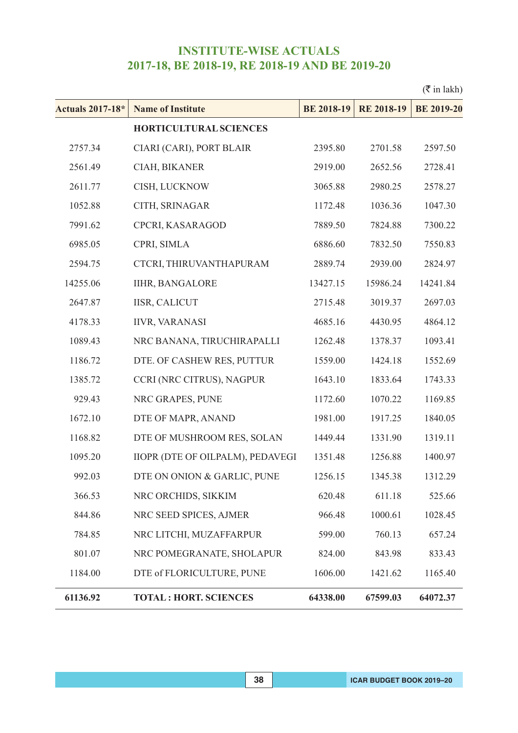|                         |                                         |                   |                   | $(\bar{\bar{\mathbf{\tau}}}$ in lakh) |
|-------------------------|-----------------------------------------|-------------------|-------------------|---------------------------------------|
| <b>Actuals 2017-18*</b> | <b>Name of Institute</b>                | <b>BE 2018-19</b> | <b>RE 2018-19</b> | <b>BE 2019-20</b>                     |
|                         | <b>HORTICULTURAL SCIENCES</b>           |                   |                   |                                       |
| 2757.34                 | CIARI (CARI), PORT BLAIR                | 2395.80           | 2701.58           | 2597.50                               |
| 2561.49                 | CIAH, BIKANER                           | 2919.00           | 2652.56           | 2728.41                               |
| 2611.77                 | CISH, LUCKNOW                           | 3065.88           | 2980.25           | 2578.27                               |
| 1052.88                 | CITH, SRINAGAR                          | 1172.48           | 1036.36           | 1047.30                               |
| 7991.62                 | CPCRI, KASARAGOD                        | 7889.50           | 7824.88           | 7300.22                               |
| 6985.05                 | CPRI, SIMLA                             | 6886.60           | 7832.50           | 7550.83                               |
| 2594.75                 | CTCRI, THIRUVANTHAPURAM                 | 2889.74           | 2939.00           | 2824.97                               |
| 14255.06                | <b>IIHR, BANGALORE</b>                  | 13427.15          | 15986.24          | 14241.84                              |
| 2647.87                 | <b>IISR, CALICUT</b>                    | 2715.48           | 3019.37           | 2697.03                               |
| 4178.33                 | <b>IIVR, VARANASI</b>                   | 4685.16           | 4430.95           | 4864.12                               |
| 1089.43                 | NRC BANANA, TIRUCHIRAPALLI              | 1262.48           | 1378.37           | 1093.41                               |
| 1186.72                 | DTE. OF CASHEW RES, PUTTUR              | 1559.00           | 1424.18           | 1552.69                               |
| 1385.72                 | CCRI (NRC CITRUS), NAGPUR               | 1643.10           | 1833.64           | 1743.33                               |
| 929.43                  | NRC GRAPES, PUNE                        | 1172.60           | 1070.22           | 1169.85                               |
| 1672.10                 | DTE OF MAPR, ANAND                      | 1981.00           | 1917.25           | 1840.05                               |
| 1168.82                 | DTE OF MUSHROOM RES, SOLAN              | 1449.44           | 1331.90           | 1319.11                               |
| 1095.20                 | <b>IIOPR (DTE OF OILPALM), PEDAVEGI</b> | 1351.48           | 1256.88           | 1400.97                               |
| 992.03                  | DTE ON ONION & GARLIC, PUNE             | 1256.15           | 1345.38           | 1312.29                               |
| 366.53                  | NRC ORCHIDS, SIKKIM                     | 620.48            | 611.18            | 525.66                                |
| 844.86                  | NRC SEED SPICES, AJMER                  | 966.48            | 1000.61           | 1028.45                               |
| 784.85                  | NRC LITCHI, MUZAFFARPUR                 | 599.00            | 760.13            | 657.24                                |
| 801.07                  | NRC POMEGRANATE, SHOLAPUR               | 824.00            | 843.98            | 833.43                                |
| 1184.00                 | DTE of FLORICULTURE, PUNE               | 1606.00           | 1421.62           | 1165.40                               |
| 61136.92                | <b>TOTAL: HORT. SCIENCES</b>            | 64338.00          | 67599.03          | 64072.37                              |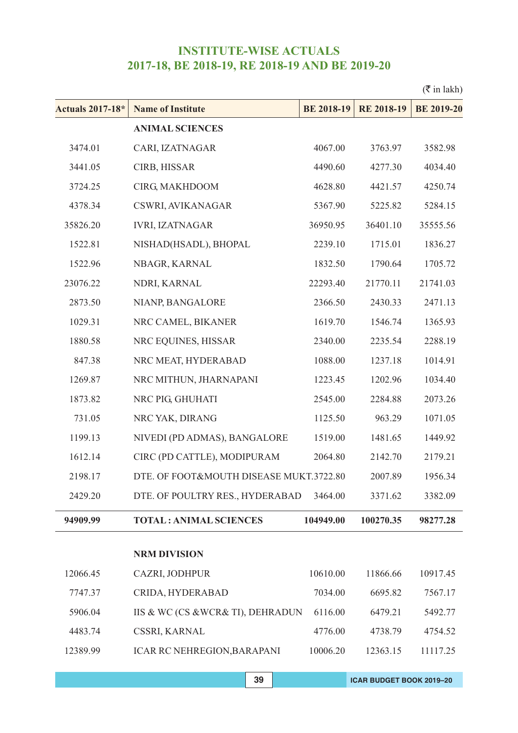|                         |                                         |                   |                   | $(\bar{\bar{\mathbf{\tau}}}$ in lakh) |
|-------------------------|-----------------------------------------|-------------------|-------------------|---------------------------------------|
| <b>Actuals 2017-18*</b> | <b>Name of Institute</b>                | <b>BE 2018-19</b> | <b>RE 2018-19</b> | <b>BE 2019-20</b>                     |
|                         | <b>ANIMAL SCIENCES</b>                  |                   |                   |                                       |
| 3474.01                 | CARI, IZATNAGAR                         | 4067.00           | 3763.97           | 3582.98                               |
| 3441.05                 | CIRB, HISSAR                            | 4490.60           | 4277.30           | 4034.40                               |
| 3724.25                 | CIRG, MAKHDOOM                          | 4628.80           | 4421.57           | 4250.74                               |
| 4378.34                 | CSWRI, AVIKANAGAR                       | 5367.90           | 5225.82           | 5284.15                               |
| 35826.20                | <b>IVRI, IZATNAGAR</b>                  | 36950.95          | 36401.10          | 35555.56                              |
| 1522.81                 | NISHAD(HSADL), BHOPAL                   | 2239.10           | 1715.01           | 1836.27                               |
| 1522.96                 | NBAGR, KARNAL                           | 1832.50           | 1790.64           | 1705.72                               |
| 23076.22                | NDRI, KARNAL                            | 22293.40          | 21770.11          | 21741.03                              |
| 2873.50                 | NIANP, BANGALORE                        | 2366.50           | 2430.33           | 2471.13                               |
| 1029.31                 | NRC CAMEL, BIKANER                      | 1619.70           | 1546.74           | 1365.93                               |
| 1880.58                 | NRC EQUINES, HISSAR                     | 2340.00           | 2235.54           | 2288.19                               |
| 847.38                  | NRC MEAT, HYDERABAD                     | 1088.00           | 1237.18           | 1014.91                               |
| 1269.87                 | NRC MITHUN, JHARNAPANI                  | 1223.45           | 1202.96           | 1034.40                               |
| 1873.82                 | NRC PIG, GHUHATI                        | 2545.00           | 2284.88           | 2073.26                               |
| 731.05                  | NRC YAK, DIRANG                         | 1125.50           | 963.29            | 1071.05                               |
| 1199.13                 | NIVEDI (PD ADMAS), BANGALORE            | 1519.00           | 1481.65           | 1449.92                               |
| 1612.14                 | CIRC (PD CATTLE), MODIPURAM             | 2064.80           | 2142.70           | 2179.21                               |
| 2198.17                 | DTE. OF FOOT&MOUTH DISEASE MUKT.3722.80 |                   | 2007.89           | 1956.34                               |
| 2429.20                 | DTE. OF POULTRY RES., HYDERABAD         | 3464.00           | 3371.62           | 3382.09                               |
| 94909.99                | <b>TOTAL: ANIMAL SCIENCES</b>           | 104949.00         | 100270.35         | 98277.28                              |
|                         | <b>NRM DIVISION</b>                     |                   |                   |                                       |
| 12066.45                | CAZRI, JODHPUR                          | 10610.00          | 11866.66          | 10917.45                              |
| 7747.37                 | CRIDA, HYDERABAD                        | 7034.00           | 6695.82           | 7567.17                               |
| 5906.04                 | IIS & WC (CS & WCR& TI), DEHRADUN       | 6116.00           | 6479.21           | 5492.77                               |
| 4483.74                 | CSSRI, KARNAL                           | 4776.00           | 4738.79           | 4754.52                               |
| 12389.99                | <b>ICAR RC NEHREGION, BARAPANI</b>      | 10006.20          | 12363.15          | 11117.25                              |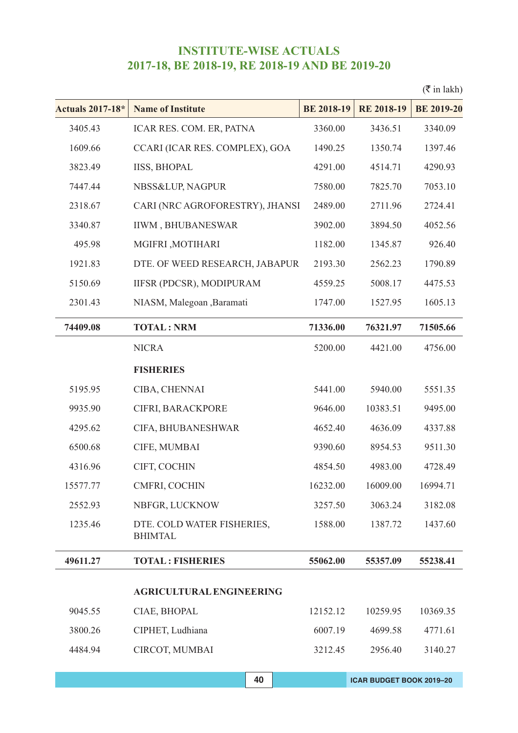|                                              |                   |                                                                   | $(\bar{\bar{\mathbf{\tau}}}$ in lakh) |
|----------------------------------------------|-------------------|-------------------------------------------------------------------|---------------------------------------|
| <b>Name of Institute</b>                     | <b>BE 2018-19</b> | <b>RE 2018-19</b>                                                 | <b>BE 2019-20</b>                     |
| ICAR RES. COM. ER, PATNA                     | 3360.00           | 3436.51                                                           | 3340.09                               |
| CCARI (ICAR RES. COMPLEX), GOA               | 1490.25           | 1350.74                                                           | 1397.46                               |
| <b>IISS, BHOPAL</b>                          | 4291.00           | 4514.71                                                           | 4290.93                               |
| NBSS&LUP, NAGPUR                             | 7580.00           | 7825.70                                                           | 7053.10                               |
|                                              | 2489.00           | 2711.96                                                           | 2724.41                               |
| <b>IIWM, BHUBANESWAR</b>                     | 3902.00           | 3894.50                                                           | 4052.56                               |
| MGIFRI, MOTIHARI                             | 1182.00           | 1345.87                                                           | 926.40                                |
|                                              | 2193.30           | 2562.23                                                           | 1790.89                               |
| IIFSR (PDCSR), MODIPURAM                     | 4559.25           | 5008.17                                                           | 4475.53                               |
| NIASM, Malegoan , Baramati                   | 1747.00           | 1527.95                                                           | 1605.13                               |
| <b>TOTAL: NRM</b>                            | 71336.00          | 76321.97                                                          | 71505.66                              |
| <b>NICRA</b>                                 | 5200.00           | 4421.00                                                           | 4756.00                               |
| <b>FISHERIES</b>                             |                   |                                                                   |                                       |
| CIBA, CHENNAI                                | 5441.00           | 5940.00                                                           | 5551.35                               |
| CIFRI, BARACKPORE                            | 9646.00           | 10383.51                                                          | 9495.00                               |
| CIFA, BHUBANESHWAR                           | 4652.40           | 4636.09                                                           | 4337.88                               |
| CIFE, MUMBAI                                 | 9390.60           | 8954.53                                                           | 9511.30                               |
| CIFT, COCHIN                                 | 4854.50           | 4983.00                                                           | 4728.49                               |
| CMFRI, COCHIN                                | 16232.00          | 16009.00                                                          | 16994.71                              |
| NBFGR, LUCKNOW                               | 3257.50           | 3063.24                                                           | 3182.08                               |
| DTE. COLD WATER FISHERIES,<br><b>BHIMTAL</b> | 1588.00           | 1387.72                                                           | 1437.60                               |
| <b>TOTAL: FISHERIES</b>                      | 55062.00          | 55357.09                                                          | 55238.41                              |
| <b>AGRICULTURAL ENGINEERING</b>              |                   |                                                                   |                                       |
| CIAE, BHOPAL                                 | 12152.12          | 10259.95                                                          | 10369.35                              |
| CIPHET, Ludhiana                             | 6007.19           | 4699.58                                                           | 4771.61                               |
| CIRCOT, MUMBAI                               | 3212.45           | 2956.40                                                           | 3140.27                               |
|                                              |                   | CARI (NRC AGROFORESTRY), JHANSI<br>DTE. OF WEED RESEARCH, JABAPUR |                                       |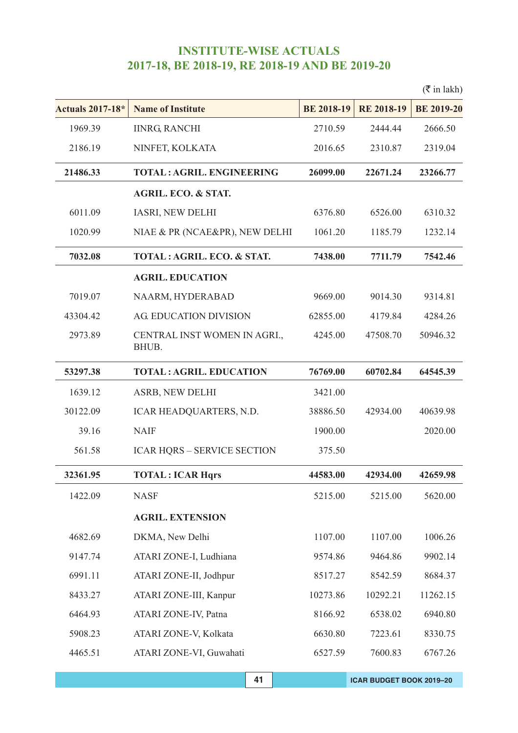|                         |                                       |                   |                   | $(\bar{\bar{\mathbf{x}}}$ in lakh) |
|-------------------------|---------------------------------------|-------------------|-------------------|------------------------------------|
| <b>Actuals 2017-18*</b> | <b>Name of Institute</b>              | <b>BE 2018-19</b> | <b>RE 2018-19</b> | <b>BE 2019-20</b>                  |
| 1969.39                 | <b>IINRG, RANCHI</b>                  | 2710.59           | 2444.44           | 2666.50                            |
| 2186.19                 | NINFET, KOLKATA                       | 2016.65           | 2310.87           | 2319.04                            |
| 21486.33                | <b>TOTAL: AGRIL. ENGINEERING</b>      | 26099.00          | 22671.24          | 23266.77                           |
|                         | <b>AGRIL. ECO. &amp; STAT.</b>        |                   |                   |                                    |
| 6011.09                 | IASRI, NEW DELHI                      | 6376.80           | 6526.00           | 6310.32                            |
| 1020.99                 | NIAE & PR (NCAE&PR), NEW DELHI        | 1061.20           | 1185.79           | 1232.14                            |
| 7032.08                 | TOTAL: AGRIL. ECO. & STAT.            | 7438.00           | 7711.79           | 7542.46                            |
|                         | <b>AGRIL. EDUCATION</b>               |                   |                   |                                    |
| 7019.07                 | NAARM, HYDERABAD                      | 9669.00           | 9014.30           | 9314.81                            |
| 43304.42                | AG. EDUCATION DIVISION                | 62855.00          | 4179.84           | 4284.26                            |
| 2973.89                 | CENTRAL INST WOMEN IN AGRI.,<br>BHUB. | 4245.00           | 47508.70          | 50946.32                           |
| 53297.38                | <b>TOTAL: AGRIL. EDUCATION</b>        | 76769.00          | 60702.84          | 64545.39                           |
| 1639.12                 | ASRB, NEW DELHI                       | 3421.00           |                   |                                    |
| 30122.09                | ICAR HEADQUARTERS, N.D.               | 38886.50          | 42934.00          | 40639.98                           |
| 39.16                   | <b>NAIF</b>                           | 1900.00           |                   | 2020.00                            |
| 561.58                  | <b>ICAR HQRS - SERVICE SECTION</b>    | 375.50            |                   |                                    |
| 32361.95                | <b>TOTAL: ICAR Hqrs</b>               | 44583.00          | 42934.00          | 42659.98                           |
| 1422.09                 | <b>NASF</b>                           | 5215.00           | 5215.00           | 5620.00                            |
|                         | <b>AGRIL. EXTENSION</b>               |                   |                   |                                    |
| 4682.69                 | DKMA, New Delhi                       | 1107.00           | 1107.00           | 1006.26                            |
| 9147.74                 | ATARI ZONE-I, Ludhiana                | 9574.86           | 9464.86           | 9902.14                            |
| 6991.11                 | ATARI ZONE-II, Jodhpur                | 8517.27           | 8542.59           | 8684.37                            |
| 8433.27                 | ATARI ZONE-III, Kanpur                | 10273.86          | 10292.21          | 11262.15                           |
| 6464.93                 | ATARI ZONE-IV, Patna                  | 8166.92           | 6538.02           | 6940.80                            |
| 5908.23                 | ATARI ZONE-V, Kolkata                 | 6630.80           | 7223.61           | 8330.75                            |
| 4465.51                 | ATARI ZONE-VI, Guwahati               | 6527.59           | 7600.83           | 6767.26                            |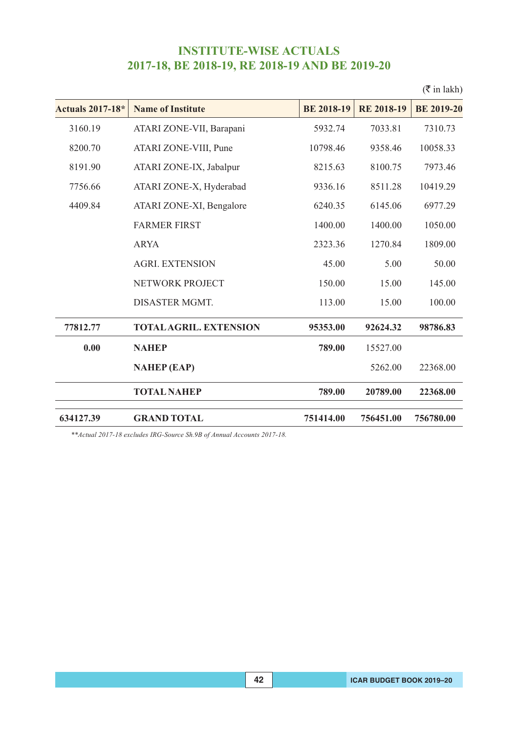|                               |                   |                   | $(\bar{\bar{\mathbf{x}}}$ in lakh) |
|-------------------------------|-------------------|-------------------|------------------------------------|
| <b>Name of Institute</b>      | <b>BE 2018-19</b> | <b>RE 2018-19</b> | <b>BE 2019-20</b>                  |
| ATARI ZONE-VII, Barapani      | 5932.74           | 7033.81           | 7310.73                            |
| ATARI ZONE-VIII, Pune         | 10798.46          | 9358.46           | 10058.33                           |
| ATARI ZONE-IX, Jabalpur       | 8215.63           | 8100.75           | 7973.46                            |
| ATARI ZONE-X, Hyderabad       | 9336.16           | 8511.28           | 10419.29                           |
| ATARI ZONE-XI, Bengalore      | 6240.35           | 6145.06           | 6977.29                            |
| <b>FARMER FIRST</b>           | 1400.00           | 1400.00           | 1050.00                            |
| <b>ARYA</b>                   | 2323.36           | 1270.84           | 1809.00                            |
| <b>AGRI. EXTENSION</b>        | 45.00             | 5.00              | 50.00                              |
| NETWORK PROJECT               | 150.00            | 15.00             | 145.00                             |
| <b>DISASTER MGMT.</b>         | 113.00            | 15.00             | 100.00                             |
| <b>TOTAL AGRIL. EXTENSION</b> | 95353.00          | 92624.32          | 98786.83                           |
| <b>NAHEP</b>                  | 789.00            | 15527.00          |                                    |
| <b>NAHEP</b> (EAP)            |                   | 5262.00           | 22368.00                           |
| <b>TOTAL NAHEP</b>            | 789.00            | 20789.00          | 22368.00                           |
| <b>GRAND TOTAL</b>            | 751414.00         | 756451.00         | 756780.00                          |
|                               |                   |                   |                                    |

*\*\*Actual 2017-18 excludes IRG-Source Sh.9B of Annual Accounts 2017-18.*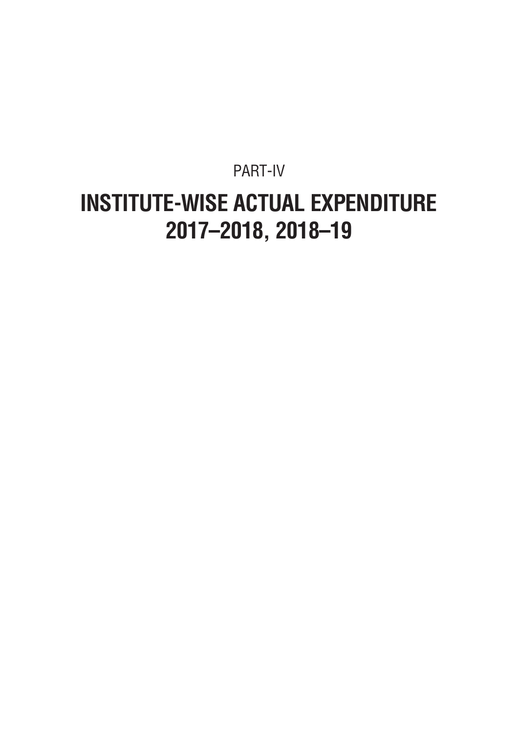### PART-IV **INSTITUTE-WISE ACTUAL EXPENDITURE 2017–2018, 2018–19**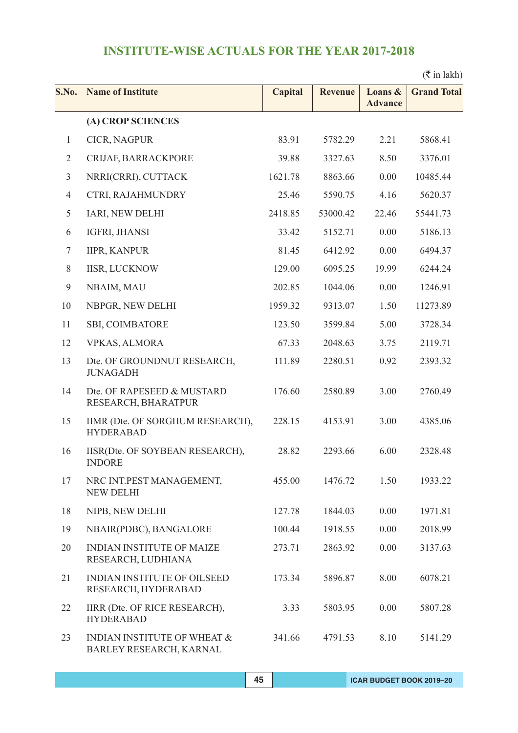$(\bar{\bar{\tau}}$  in lakh)

| S.No.          | <b>Name of Institute</b>                                  | <b>Capital</b> | <b>Revenue</b> | Loans &<br><b>Advance</b> | <b>Grand Total</b> |
|----------------|-----------------------------------------------------------|----------------|----------------|---------------------------|--------------------|
|                | (A) CROP SCIENCES                                         |                |                |                           |                    |
| $\mathbf{1}$   | CICR, NAGPUR                                              | 83.91          | 5782.29        | 2.21                      | 5868.41            |
| $\overline{2}$ | CRIJAF, BARRACKPORE                                       | 39.88          | 3327.63        | 8.50                      | 3376.01            |
| $\mathfrak{Z}$ | NRRI(CRRI), CUTTACK                                       | 1621.78        | 8863.66        | 0.00                      | 10485.44           |
| $\overline{4}$ | CTRI, RAJAHMUNDRY                                         | 25.46          | 5590.75        | 4.16                      | 5620.37            |
| 5              | IARI, NEW DELHI                                           | 2418.85        | 53000.42       | 22.46                     | 55441.73           |
| 6              | IGFRI, JHANSI                                             | 33.42          | 5152.71        | 0.00                      | 5186.13            |
| $\tau$         | <b>IIPR, KANPUR</b>                                       | 81.45          | 6412.92        | 0.00                      | 6494.37            |
| $8\,$          | <b>IISR, LUCKNOW</b>                                      | 129.00         | 6095.25        | 19.99                     | 6244.24            |
| 9              | NBAIM, MAU                                                | 202.85         | 1044.06        | 0.00                      | 1246.91            |
| 10             | NBPGR, NEW DELHI                                          | 1959.32        | 9313.07        | 1.50                      | 11273.89           |
| 11             | <b>SBI, COIMBATORE</b>                                    | 123.50         | 3599.84        | 5.00                      | 3728.34            |
| 12             | <b>VPKAS, ALMORA</b>                                      | 67.33          | 2048.63        | 3.75                      | 2119.71            |
| 13             | Dte. OF GROUNDNUT RESEARCH,<br><b>JUNAGADH</b>            | 111.89         | 2280.51        | 0.92                      | 2393.32            |
| 14             | Dte. OF RAPESEED & MUSTARD<br>RESEARCH, BHARATPUR         | 176.60         | 2580.89        | 3.00                      | 2760.49            |
| 15             | IIMR (Dte. OF SORGHUM RESEARCH),<br><b>HYDERABAD</b>      | 228.15         | 4153.91        | 3.00                      | 4385.06            |
| 16             | IISR(Dte. OF SOYBEAN RESEARCH),<br><b>INDORE</b>          | 28.82          | 2293.66        | 6.00                      | 2328.48            |
| 17             | NRC INT.PEST MANAGEMENT,<br><b>NEW DELHI</b>              | 455.00         | 1476.72        | 1.50                      | 1933.22            |
| 18             | NIPB, NEW DELHI                                           | 127.78         | 1844.03        | 0.00                      | 1971.81            |
| 19             | NBAIR(PDBC), BANGALORE                                    | 100.44         | 1918.55        | 0.00                      | 2018.99            |
| 20             | <b>INDIAN INSTITUTE OF MAIZE</b><br>RESEARCH, LUDHIANA    | 273.71         | 2863.92        | 0.00                      | 3137.63            |
| 21             | <b>INDIAN INSTITUTE OF OILSEED</b><br>RESEARCH, HYDERABAD | 173.34         | 5896.87        | 8.00                      | 6078.21            |
| 22             | IIRR (Dte. OF RICE RESEARCH),<br><b>HYDERABAD</b>         | 3.33           | 5803.95        | 0.00                      | 5807.28            |
| 23             | INDIAN INSTITUTE OF WHEAT &<br>BARLEY RESEARCH, KARNAL    | 341.66         | 4791.53        | 8.10                      | 5141.29            |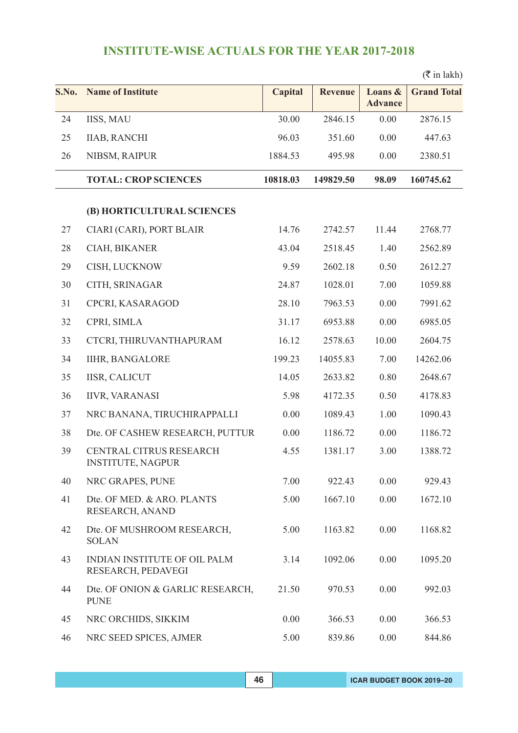|       |                                                           |                |                |                           | $(\overline{\mathfrak{k}}$ in lakh) |
|-------|-----------------------------------------------------------|----------------|----------------|---------------------------|-------------------------------------|
| S.No. | <b>Name of Institute</b>                                  | <b>Capital</b> | <b>Revenue</b> | Loans &<br><b>Advance</b> | <b>Grand Total</b>                  |
| 24    | <b>IISS, MAU</b>                                          | 30.00          | 2846.15        | 0.00                      | 2876.15                             |
| 25    | <b>IIAB, RANCHI</b>                                       | 96.03          | 351.60         | 0.00                      | 447.63                              |
| 26    | NIBSM, RAIPUR                                             | 1884.53        | 495.98         | 0.00                      | 2380.51                             |
|       | <b>TOTAL: CROP SCIENCES</b>                               | 10818.03       | 149829.50      | 98.09                     | 160745.62                           |
|       | (B) HORTICULTURAL SCIENCES                                |                |                |                           |                                     |
| 27    | CIARI (CARI), PORT BLAIR                                  | 14.76          | 2742.57        | 11.44                     | 2768.77                             |
| 28    | CIAH, BIKANER                                             | 43.04          | 2518.45        | 1.40                      | 2562.89                             |
| 29    | CISH, LUCKNOW                                             | 9.59           | 2602.18        | 0.50                      | 2612.27                             |
| 30    | CITH, SRINAGAR                                            | 24.87          | 1028.01        | 7.00                      | 1059.88                             |
| 31    | CPCRI, KASARAGOD                                          | 28.10          | 7963.53        | 0.00                      | 7991.62                             |
| 32    | CPRI, SIMLA                                               | 31.17          | 6953.88        | 0.00                      | 6985.05                             |
| 33    | CTCRI, THIRUVANTHAPURAM                                   | 16.12          | 2578.63        | 10.00                     | 2604.75                             |
| 34    | <b>IIHR, BANGALORE</b>                                    | 199.23         | 14055.83       | 7.00                      | 14262.06                            |
| 35    | <b>IISR, CALICUT</b>                                      | 14.05          | 2633.82        | 0.80                      | 2648.67                             |
| 36    | <b>IIVR, VARANASI</b>                                     | 5.98           | 4172.35        | 0.50                      | 4178.83                             |
| 37    | NRC BANANA, TIRUCHIRAPPALLI                               | 0.00           | 1089.43        | 1.00                      | 1090.43                             |
| 38    | Dte. OF CASHEW RESEARCH, PUTTUR                           | 0.00           | 1186.72        | 0.00                      | 1186.72                             |
| 39    | CENTRAL CITRUS RESEARCH<br><b>INSTITUTE, NAGPUR</b>       | 4.55           | 1381.17        | 3.00                      | 1388.72                             |
| 40    | NRC GRAPES, PUNE                                          | 7.00           | 922.43         | 0.00                      | 929.43                              |
| 41    | Dte. OF MED. & ARO. PLANTS<br>RESEARCH, ANAND             | 5.00           | 1667.10        | 0.00                      | 1672.10                             |
| 42    | Dte. OF MUSHROOM RESEARCH,<br><b>SOLAN</b>                | 5.00           | 1163.82        | 0.00                      | 1168.82                             |
| 43    | <b>INDIAN INSTITUTE OF OIL PALM</b><br>RESEARCH, PEDAVEGI | 3.14           | 1092.06        | 0.00                      | 1095.20                             |
| 44    | Dte. OF ONION & GARLIC RESEARCH,<br><b>PUNE</b>           | 21.50          | 970.53         | 0.00                      | 992.03                              |
| 45    | NRC ORCHIDS, SIKKIM                                       | 0.00           | 366.53         | 0.00                      | 366.53                              |
| 46    | NRC SEED SPICES, AJMER                                    | 5.00           | 839.86         | 0.00                      | 844.86                              |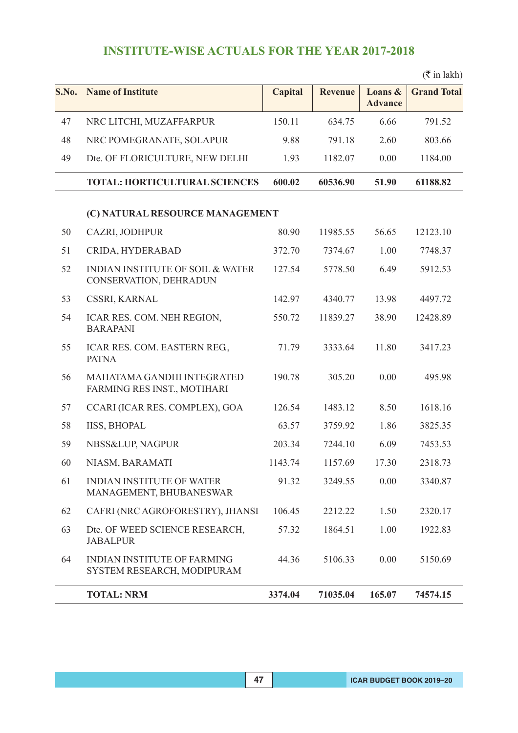|       |                                                                       |                |                |                           | $(\overline{\mathfrak{k}}$ in lakh) |
|-------|-----------------------------------------------------------------------|----------------|----------------|---------------------------|-------------------------------------|
| S.No. | <b>Name of Institute</b>                                              | <b>Capital</b> | <b>Revenue</b> | Loans &<br><b>Advance</b> | <b>Grand Total</b>                  |
| 47    | NRC LITCHI, MUZAFFARPUR                                               | 150.11         | 634.75         | 6.66                      | 791.52                              |
| 48    | NRC POMEGRANATE, SOLAPUR                                              | 9.88           | 791.18         | 2.60                      | 803.66                              |
| 49    | Dte. OF FLORICULTURE, NEW DELHI                                       | 1.93           | 1182.07        | 0.00                      | 1184.00                             |
|       | <b>TOTAL: HORTICULTURAL SCIENCES</b>                                  | 600.02         | 60536.90       | 51.90                     | 61188.82                            |
|       | (C) NATURAL RESOURCE MANAGEMENT                                       |                |                |                           |                                     |
| 50    | CAZRI, JODHPUR                                                        | 80.90          | 11985.55       | 56.65                     | 12123.10                            |
| 51    | CRIDA, HYDERABAD                                                      | 372.70         | 7374.67        | 1.00                      | 7748.37                             |
| 52    | <b>INDIAN INSTITUTE OF SOIL &amp; WATER</b><br>CONSERVATION, DEHRADUN | 127.54         | 5778.50        | 6.49                      | 5912.53                             |
| 53    | CSSRI, KARNAL                                                         | 142.97         | 4340.77        | 13.98                     | 4497.72                             |
| 54    | ICAR RES. COM. NEH REGION,<br><b>BARAPANI</b>                         | 550.72         | 11839.27       | 38.90                     | 12428.89                            |
| 55    | ICAR RES. COM. EASTERN REG.,<br><b>PATNA</b>                          | 71.79          | 3333.64        | 11.80                     | 3417.23                             |
| 56    | MAHATAMA GANDHI INTEGRATED<br>FARMING RES INST., MOTIHARI             | 190.78         | 305.20         | 0.00                      | 495.98                              |
| 57    | CCARI (ICAR RES. COMPLEX), GOA                                        | 126.54         | 1483.12        | 8.50                      | 1618.16                             |
| 58    | <b>IISS, BHOPAL</b>                                                   | 63.57          | 3759.92        | 1.86                      | 3825.35                             |
| 59    | NBSS&LUP, NAGPUR                                                      | 203.34         | 7244.10        | 6.09                      | 7453.53                             |
| 60    | NIASM, BARAMATI                                                       | 1143.74        | 1157.69        | 17.30                     | 2318.73                             |
| 61    | <b>INDIAN INSTITUTE OF WATER</b><br>MANAGEMENT, BHUBANESWAR           | 91.32          | 3249.55        | 0.00                      | 3340.87                             |
| 62    | CAFRI (NRC AGROFORESTRY), JHANSI                                      | 106.45         | 2212.22        | 1.50                      | 2320.17                             |
| 63    | Dte. OF WEED SCIENCE RESEARCH,<br><b>JABALPUR</b>                     | 57.32          | 1864.51        | 1.00                      | 1922.83                             |
| 64    | <b>INDIAN INSTITUTE OF FARMING</b><br>SYSTEM RESEARCH, MODIPURAM      | 44.36          | 5106.33        | 0.00                      | 5150.69                             |
|       | <b>TOTAL: NRM</b>                                                     | 3374.04        | 71035.04       | 165.07                    | 74574.15                            |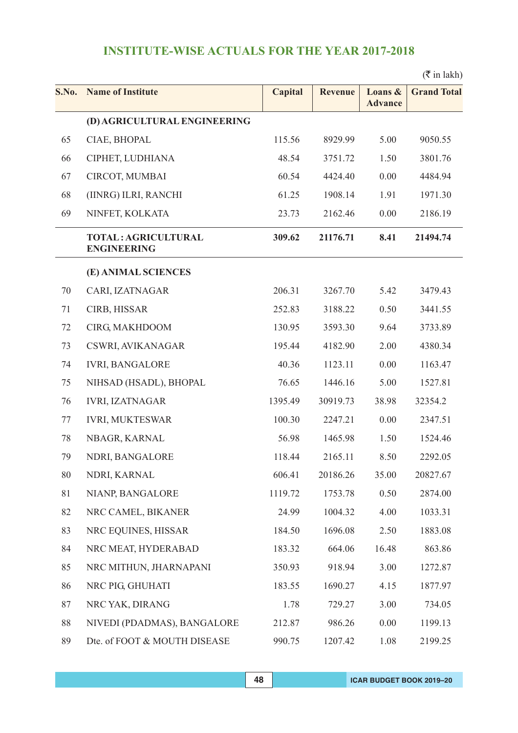### $(\bar{\bar{\tau}}$  in lakh)

| S.No. | <b>Name of Institute</b>                         | Capital | <b>Revenue</b> | Loans &<br><b>Advance</b> | <b>Grand Total</b> |
|-------|--------------------------------------------------|---------|----------------|---------------------------|--------------------|
|       | (D) AGRICULTURAL ENGINEERING                     |         |                |                           |                    |
| 65    | CIAE, BHOPAL                                     | 115.56  | 8929.99        | 5.00                      | 9050.55            |
| 66    | CIPHET, LUDHIANA                                 | 48.54   | 3751.72        | 1.50                      | 3801.76            |
| 67    | CIRCOT, MUMBAI                                   | 60.54   | 4424.40        | 0.00                      | 4484.94            |
| 68    | (IINRG) ILRI, RANCHI                             | 61.25   | 1908.14        | 1.91                      | 1971.30            |
| 69    | NINFET, KOLKATA                                  | 23.73   | 2162.46        | 0.00                      | 2186.19            |
|       | <b>TOTAL: AGRICULTURAL</b><br><b>ENGINEERING</b> | 309.62  | 21176.71       | 8.41                      | 21494.74           |
|       | (E) ANIMAL SCIENCES                              |         |                |                           |                    |
| 70    | CARI, IZATNAGAR                                  | 206.31  | 3267.70        | 5.42                      | 3479.43            |
| 71    | CIRB, HISSAR                                     | 252.83  | 3188.22        | 0.50                      | 3441.55            |
| 72    | CIRG, MAKHDOOM                                   | 130.95  | 3593.30        | 9.64                      | 3733.89            |
| 73    | CSWRI, AVIKANAGAR                                | 195.44  | 4182.90        | 2.00                      | 4380.34            |
| 74    | <b>IVRI, BANGALORE</b>                           | 40.36   | 1123.11        | 0.00                      | 1163.47            |
| 75    | NIHSAD (HSADL), BHOPAL                           | 76.65   | 1446.16        | 5.00                      | 1527.81            |
| 76    | <b>IVRI, IZATNAGAR</b>                           | 1395.49 | 30919.73       | 38.98                     | 32354.2            |
| 77    | <b>IVRI, MUKTESWAR</b>                           | 100.30  | 2247.21        | 0.00                      | 2347.51            |
| 78    | NBAGR, KARNAL                                    | 56.98   | 1465.98        | 1.50                      | 1524.46            |
| 79    | NDRI, BANGALORE                                  | 118.44  | 2165.11        | 8.50                      | 2292.05            |
| 80    | NDRI, KARNAL                                     | 606.41  | 20186.26       | 35.00                     | 20827.67           |
| 81    | NIANP, BANGALORE                                 | 1119.72 | 1753.78        | 0.50                      | 2874.00            |
| 82    | NRC CAMEL, BIKANER                               | 24.99   | 1004.32        | 4.00                      | 1033.31            |
| 83    | NRC EQUINES, HISSAR                              | 184.50  | 1696.08        | 2.50                      | 1883.08            |
| 84    | NRC MEAT, HYDERABAD                              | 183.32  | 664.06         | 16.48                     | 863.86             |
| 85    | NRC MITHUN, JHARNAPANI                           | 350.93  | 918.94         | 3.00                      | 1272.87            |
| 86    | NRC PIG, GHUHATI                                 | 183.55  | 1690.27        | 4.15                      | 1877.97            |
| 87    | NRC YAK, DIRANG                                  | 1.78    | 729.27         | 3.00                      | 734.05             |
| 88    | NIVEDI (PDADMAS), BANGALORE                      | 212.87  | 986.26         | 0.00                      | 1199.13            |
| 89    | Dte. of FOOT & MOUTH DISEASE                     | 990.75  | 1207.42        | 1.08                      | 2199.25            |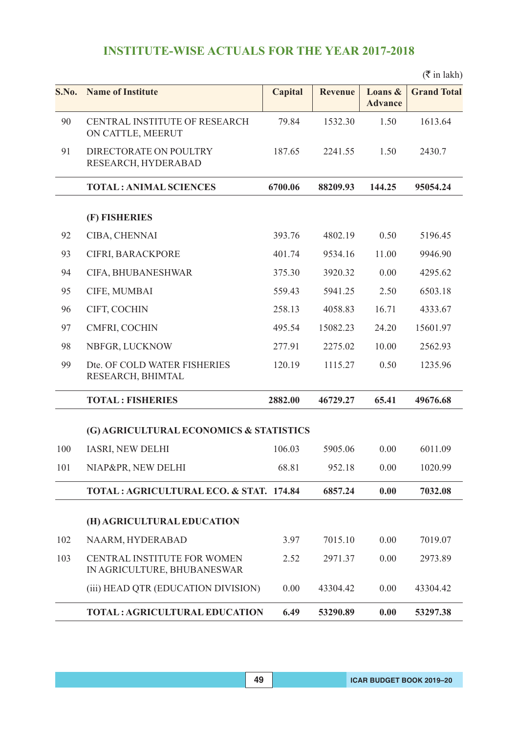|       |                                                                   |                |                |                           | $(\bar{\bar{\mathbf{\tau}}}$ in lakh) |
|-------|-------------------------------------------------------------------|----------------|----------------|---------------------------|---------------------------------------|
| S.No. | <b>Name of Institute</b>                                          | <b>Capital</b> | <b>Revenue</b> | Loans &<br><b>Advance</b> | <b>Grand Total</b>                    |
| 90    | CENTRAL INSTITUTE OF RESEARCH<br>ON CATTLE, MEERUT                | 79.84          | 1532.30        | 1.50                      | 1613.64                               |
| 91    | DIRECTORATE ON POULTRY<br>RESEARCH, HYDERABAD                     | 187.65         | 2241.55        | 1.50                      | 2430.7                                |
|       | <b>TOTAL: ANIMAL SCIENCES</b>                                     | 6700.06        | 88209.93       | 144.25                    | 95054.24                              |
|       | (F) FISHERIES                                                     |                |                |                           |                                       |
| 92    | CIBA, CHENNAI                                                     | 393.76         | 4802.19        | 0.50                      | 5196.45                               |
| 93    | CIFRI, BARACKPORE                                                 | 401.74         | 9534.16        | 11.00                     | 9946.90                               |
| 94    | CIFA, BHUBANESHWAR                                                | 375.30         | 3920.32        | 0.00                      | 4295.62                               |
| 95    | CIFE, MUMBAI                                                      | 559.43         | 5941.25        | 2.50                      | 6503.18                               |
| 96    | CIFT, COCHIN                                                      | 258.13         | 4058.83        | 16.71                     | 4333.67                               |
| 97    | CMFRI, COCHIN                                                     | 495.54         | 15082.23       | 24.20                     | 15601.97                              |
| 98    | NBFGR, LUCKNOW                                                    | 277.91         | 2275.02        | 10.00                     | 2562.93                               |
| 99    | Dte. OF COLD WATER FISHERIES<br>RESEARCH, BHIMTAL                 | 120.19         | 1115.27        | 0.50                      | 1235.96                               |
|       | <b>TOTAL: FISHERIES</b>                                           | 2882.00        | 46729.27       | 65.41                     | 49676.68                              |
|       | (G) AGRICULTURAL ECONOMICS & STATISTICS                           |                |                |                           |                                       |
| 100   | <b>IASRI, NEW DELHI</b>                                           | 106.03         | 5905.06        | 0.00                      | 6011.09                               |
| 101   | NIAP&PR, NEW DELHI                                                | 68.81          | 952.18         | 0.00                      | 1020.99                               |
|       | <b>TOTAL: AGRICULTURAL ECO. &amp; STAT. 174.84</b>                |                | 6857.24        | 0.00                      | 7032.08                               |
|       | (H) AGRICULTURAL EDUCATION                                        |                |                |                           |                                       |
| 102   | NAARM, HYDERABAD                                                  | 3.97           | 7015.10        | 0.00                      | 7019.07                               |
| 103   | <b>CENTRAL INSTITUTE FOR WOMEN</b><br>IN AGRICULTURE, BHUBANESWAR | 2.52           | 2971.37        | 0.00                      | 2973.89                               |
|       | (iii) HEAD QTR (EDUCATION DIVISION)                               | 0.00           | 43304.42       | 0.00                      | 43304.42                              |
|       | <b>TOTAL: AGRICULTURAL EDUCATION</b>                              | 6.49           | 53290.89       | 0.00                      | 53297.38                              |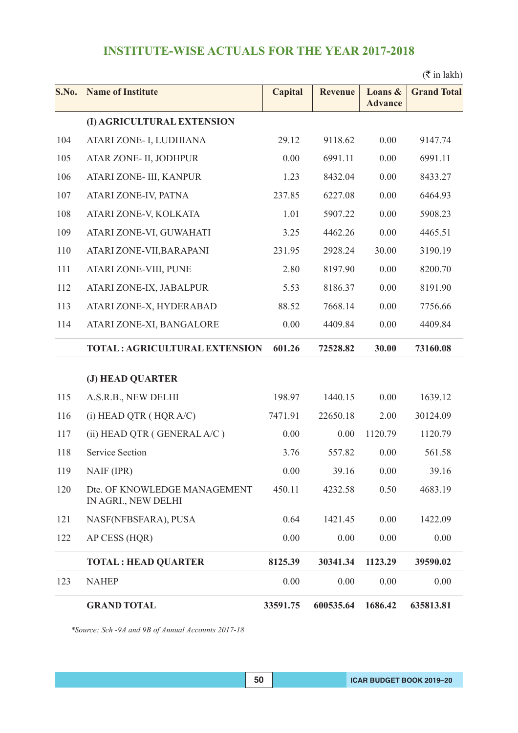|       |                                                     |                |                |                           | $(\overline{\mathfrak{k}}$ in lakh) |
|-------|-----------------------------------------------------|----------------|----------------|---------------------------|-------------------------------------|
| S.No. | <b>Name of Institute</b>                            | <b>Capital</b> | <b>Revenue</b> | Loans &<br><b>Advance</b> | <b>Grand Total</b>                  |
|       | (I) AGRICULTURAL EXTENSION                          |                |                |                           |                                     |
| 104   | ATARI ZONE- I, LUDHIANA                             | 29.12          | 9118.62        | 0.00                      | 9147.74                             |
| 105   | ATAR ZONE- II, JODHPUR                              | 0.00           | 6991.11        | 0.00                      | 6991.11                             |
| 106   | ATARI ZONE- III, KANPUR                             | 1.23           | 8432.04        | 0.00                      | 8433.27                             |
| 107   | ATARI ZONE-IV, PATNA                                | 237.85         | 6227.08        | 0.00                      | 6464.93                             |
| 108   | ATARI ZONE-V, KOLKATA                               | 1.01           | 5907.22        | 0.00                      | 5908.23                             |
| 109   | ATARI ZONE-VI, GUWAHATI                             | 3.25           | 4462.26        | 0.00                      | 4465.51                             |
| 110   | ATARI ZONE-VII, BARAPANI                            | 231.95         | 2928.24        | 30.00                     | 3190.19                             |
| 111   | ATARI ZONE-VIII, PUNE                               | 2.80           | 8197.90        | 0.00                      | 8200.70                             |
| 112   | ATARI ZONE-IX, JABALPUR                             | 5.53           | 8186.37        | 0.00                      | 8191.90                             |
| 113   | ATARI ZONE-X, HYDERABAD                             | 88.52          | 7668.14        | 0.00                      | 7756.66                             |
| 114   | ATARI ZONE-XI, BANGALORE                            | 0.00           | 4409.84        | 0.00                      | 4409.84                             |
|       | <b>TOTAL: AGRICULTURAL EXTENSION</b>                | 601.26         | 72528.82       | 30.00                     | 73160.08                            |
|       | (J) HEAD QUARTER                                    |                |                |                           |                                     |
| 115   | A.S.R.B., NEW DELHI                                 | 198.97         | 1440.15        | 0.00                      | 1639.12                             |
| 116   | $(i)$ HEAD QTR $($ HQR A/C $)$                      | 7471.91        | 22650.18       | 2.00                      | 30124.09                            |
| 117   | (ii) HEAD QTR (GENERAL A/C)                         | 0.00           | 0.00           | 1120.79                   | 1120.79                             |
| 118   | <b>Service Section</b>                              | 3.76           | 557.82         | 0.00                      | 561.58                              |
| 119   | NAIF (IPR)                                          | 0.00           | 39.16          | 0.00                      | 39.16                               |
| 120   | Dte. OF KNOWLEDGE MANAGEMENT<br>IN AGRI., NEW DELHI | 450.11         | 4232.58        | 0.50                      | 4683.19                             |
| 121   | NASF(NFBSFARA), PUSA                                | 0.64           | 1421.45        | 0.00                      | 1422.09                             |
| 122   | AP CESS (HQR)                                       | 0.00           | 0.00           | 0.00                      | 0.00                                |
|       | <b>TOTAL: HEAD QUARTER</b>                          | 8125.39        | 30341.34       | 1123.29                   | 39590.02                            |
| 123   | <b>NAHEP</b>                                        | 0.00           | 0.00           | 0.00                      | 0.00                                |
|       | <b>GRAND TOTAL</b>                                  | 33591.75       | 600535.64      | 1686.42                   | 635813.81                           |

*\*Source: Sch -9A and 9B of Annual Accounts 2017-18*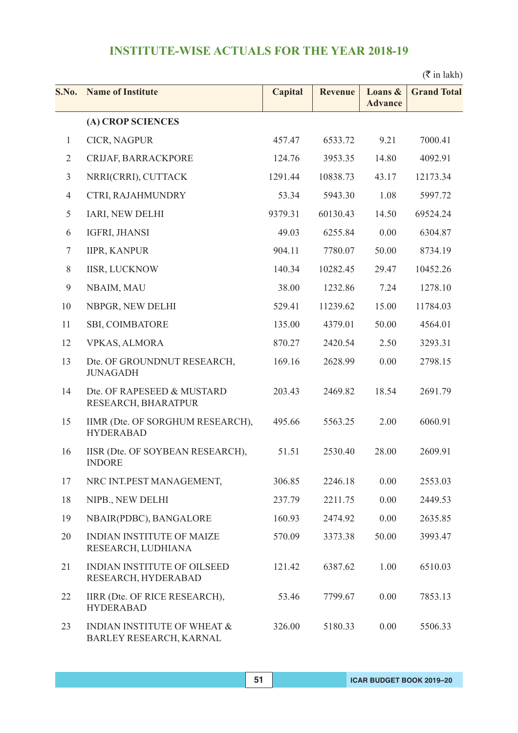$(\bar{\bar{\tau}}$  in lakh)

| S.No.          | <b>Name of Institute</b>                                          | <b>Capital</b> | <b>Revenue</b> | Loans &<br><b>Advance</b> | <b>Grand Total</b> |
|----------------|-------------------------------------------------------------------|----------------|----------------|---------------------------|--------------------|
|                | (A) CROP SCIENCES                                                 |                |                |                           |                    |
| $\mathbf{1}$   | CICR, NAGPUR                                                      | 457.47         | 6533.72        | 9.21                      | 7000.41            |
| $\overline{2}$ | CRIJAF, BARRACKPORE                                               | 124.76         | 3953.35        | 14.80                     | 4092.91            |
| $\mathfrak{Z}$ | NRRI(CRRI), CUTTACK                                               | 1291.44        | 10838.73       | 43.17                     | 12173.34           |
| $\overline{4}$ | CTRI, RAJAHMUNDRY                                                 | 53.34          | 5943.30        | 1.08                      | 5997.72            |
| 5              | IARI, NEW DELHI                                                   | 9379.31        | 60130.43       | 14.50                     | 69524.24           |
| 6              | IGFRI, JHANSI                                                     | 49.03          | 6255.84        | 0.00                      | 6304.87            |
| $\tau$         | <b>IIPR, KANPUR</b>                                               | 904.11         | 7780.07        | 50.00                     | 8734.19            |
| $8\,$          | <b>IISR, LUCKNOW</b>                                              | 140.34         | 10282.45       | 29.47                     | 10452.26           |
| 9              | NBAIM, MAU                                                        | 38.00          | 1232.86        | 7.24                      | 1278.10            |
| 10             | NBPGR, NEW DELHI                                                  | 529.41         | 11239.62       | 15.00                     | 11784.03           |
| 11             | <b>SBI, COIMBATORE</b>                                            | 135.00         | 4379.01        | 50.00                     | 4564.01            |
| 12             | <b>VPKAS, ALMORA</b>                                              | 870.27         | 2420.54        | 2.50                      | 3293.31            |
| 13             | Dte. OF GROUNDNUT RESEARCH,<br><b>JUNAGADH</b>                    | 169.16         | 2628.99        | 0.00                      | 2798.15            |
| 14             | Dte. OF RAPESEED & MUSTARD<br>RESEARCH, BHARATPUR                 | 203.43         | 2469.82        | 18.54                     | 2691.79            |
| 15             | IIMR (Dte. OF SORGHUM RESEARCH),<br><b>HYDERABAD</b>              | 495.66         | 5563.25        | 2.00                      | 6060.91            |
| 16             | IISR (Dte. OF SOYBEAN RESEARCH),<br><b>INDORE</b>                 | 51.51          | 2530.40        | 28.00                     | 2609.91            |
| 17             | NRC INT.PEST MANAGEMENT,                                          | 306.85         | 2246.18        | 0.00                      | 2553.03            |
| 18             | NIPB., NEW DELHI                                                  | 237.79         | 2211.75        | 0.00                      | 2449.53            |
| 19             | NBAIR(PDBC), BANGALORE                                            | 160.93         | 2474.92        | 0.00                      | 2635.85            |
| 20             | <b>INDIAN INSTITUTE OF MAIZE</b><br>RESEARCH, LUDHIANA            | 570.09         | 3373.38        | 50.00                     | 3993.47            |
| 21             | INDIAN INSTITUTE OF OILSEED<br>RESEARCH, HYDERABAD                | 121.42         | 6387.62        | 1.00                      | 6510.03            |
| 22             | IIRR (Dte. OF RICE RESEARCH),<br><b>HYDERABAD</b>                 | 53.46          | 7799.67        | 0.00                      | 7853.13            |
| 23             | <b>INDIAN INSTITUTE OF WHEAT &amp;</b><br>BARLEY RESEARCH, KARNAL | 326.00         | 5180.33        | 0.00                      | 5506.33            |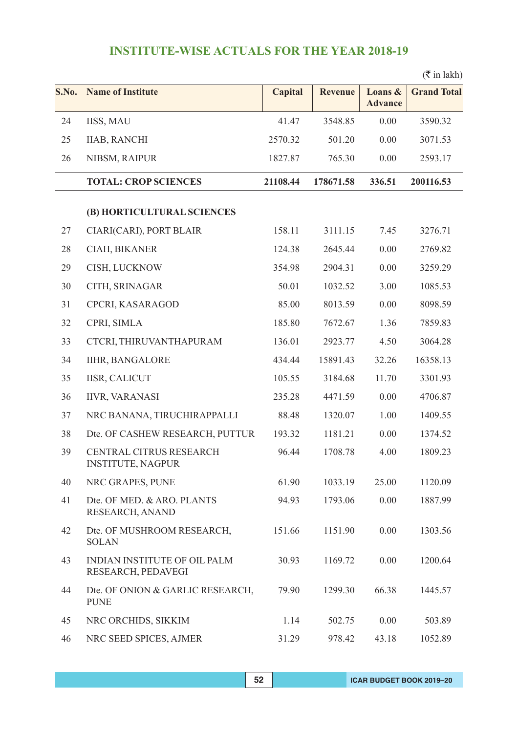| S.No. | <b>Name of Institute</b>                                  | <b>Capital</b> | <b>Revenue</b> | Loans &<br><b>Advance</b> | <b>Grand Total</b> |
|-------|-----------------------------------------------------------|----------------|----------------|---------------------------|--------------------|
| 24    | IISS, MAU                                                 | 41.47          | 3548.85        | 0.00                      | 3590.32            |
| 25    | <b>IIAB, RANCHI</b>                                       | 2570.32        | 501.20         | 0.00                      | 3071.53            |
| 26    | NIBSM, RAIPUR                                             | 1827.87        | 765.30         | 0.00                      | 2593.17            |
|       | <b>TOTAL: CROP SCIENCES</b>                               | 21108.44       | 178671.58      | 336.51                    | 200116.53          |
|       | (B) HORTICULTURAL SCIENCES                                |                |                |                           |                    |
| 27    | CIARI(CARI), PORT BLAIR                                   | 158.11         | 3111.15        | 7.45                      | 3276.71            |
| 28    | CIAH, BIKANER                                             | 124.38         | 2645.44        | 0.00                      | 2769.82            |
| 29    | CISH, LUCKNOW                                             | 354.98         | 2904.31        | 0.00                      | 3259.29            |
| 30    | CITH, SRINAGAR                                            | 50.01          | 1032.52        | 3.00                      | 1085.53            |
| 31    | CPCRI, KASARAGOD                                          | 85.00          | 8013.59        | 0.00                      | 8098.59            |
| 32    | CPRI, SIMLA                                               | 185.80         | 7672.67        | 1.36                      | 7859.83            |
| 33    | CTCRI, THIRUVANTHAPURAM                                   | 136.01         | 2923.77        | 4.50                      | 3064.28            |
| 34    | <b>IIHR, BANGALORE</b>                                    | 434.44         | 15891.43       | 32.26                     | 16358.13           |
| 35    | <b>IISR, CALICUT</b>                                      | 105.55         | 3184.68        | 11.70                     | 3301.93            |
| 36    | <b>IIVR, VARANASI</b>                                     | 235.28         | 4471.59        | 0.00                      | 4706.87            |
| 37    | NRC BANANA, TIRUCHIRAPPALLI                               | 88.48          | 1320.07        | 1.00                      | 1409.55            |
| 38    | Dte. OF CASHEW RESEARCH, PUTTUR                           | 193.32         | 1181.21        | 0.00                      | 1374.52            |
| 39    | CENTRAL CITRUS RESEARCH<br><b>INSTITUTE, NAGPUR</b>       | 96.44          | 1708.78        | 4.00                      | 1809.23            |
| 40    | NRC GRAPES, PUNE                                          | 61.90          | 1033.19        | 25.00                     | 1120.09            |
| 41    | Dte. OF MED. & ARO. PLANTS<br>RESEARCH, ANAND             | 94.93          | 1793.06        | 0.00                      | 1887.99            |
| 42    | Dte. OF MUSHROOM RESEARCH,<br><b>SOLAN</b>                | 151.66         | 1151.90        | 0.00                      | 1303.56            |
| 43    | <b>INDIAN INSTITUTE OF OIL PALM</b><br>RESEARCH, PEDAVEGI | 30.93          | 1169.72        | 0.00                      | 1200.64            |
| 44    | Dte. OF ONION & GARLIC RESEARCH,<br><b>PUNE</b>           | 79.90          | 1299.30        | 66.38                     | 1445.57            |
| 45    | NRC ORCHIDS, SIKKIM                                       | 1.14           | 502.75         | 0.00                      | 503.89             |
| 46    | NRC SEED SPICES, AJMER                                    | 31.29          | 978.42         | 43.18                     | 1052.89            |

 $(\bar{\bar{\zeta}}$  in lakh)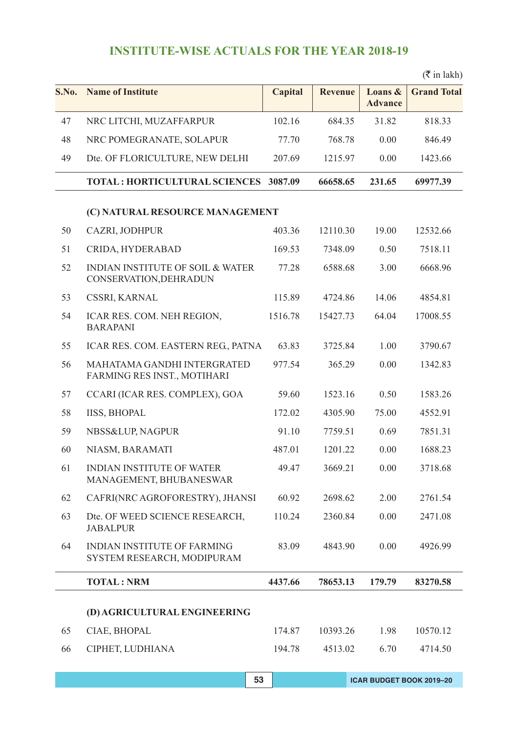| S.No. | <b>Name of Institute</b>                                              | Capital | <b>Revenue</b> | Loans &<br><b>Advance</b> | <b>Grand Total</b> |
|-------|-----------------------------------------------------------------------|---------|----------------|---------------------------|--------------------|
| 47    | NRC LITCHI, MUZAFFARPUR                                               | 102.16  | 684.35         | 31.82                     | 818.33             |
| 48    | NRC POMEGRANATE, SOLAPUR                                              | 77.70   | 768.78         | 0.00                      | 846.49             |
| 49    | Dte. OF FLORICULTURE, NEW DELHI                                       | 207.69  | 1215.97        | 0.00                      | 1423.66            |
|       | TOTAL: HORTICULTURAL SCIENCES 3087.09                                 |         | 66658.65       | 231.65                    | 69977.39           |
|       | (C) NATURAL RESOURCE MANAGEMENT                                       |         |                |                           |                    |
| 50    | CAZRI, JODHPUR                                                        | 403.36  | 12110.30       | 19.00                     | 12532.66           |
| 51    | CRIDA, HYDERABAD                                                      | 169.53  | 7348.09        | 0.50                      | 7518.11            |
| 52    | <b>INDIAN INSTITUTE OF SOIL &amp; WATER</b><br>CONSERVATION, DEHRADUN | 77.28   | 6588.68        | 3.00                      | 6668.96            |
| 53    | CSSRI, KARNAL                                                         | 115.89  | 4724.86        | 14.06                     | 4854.81            |
| 54    | ICAR RES. COM. NEH REGION,<br><b>BARAPANI</b>                         | 1516.78 | 15427.73       | 64.04                     | 17008.55           |
| 55    | ICAR RES. COM. EASTERN REG., PATNA                                    | 63.83   | 3725.84        | 1.00                      | 3790.67            |
| 56    | MAHATAMA GANDHI INTERGRATED<br>FARMING RES INST., MOTIHARI            | 977.54  | 365.29         | 0.00                      | 1342.83            |
| 57    | CCARI (ICAR RES. COMPLEX), GOA                                        | 59.60   | 1523.16        | 0.50                      | 1583.26            |
| 58    | <b>IISS, BHOPAL</b>                                                   | 172.02  | 4305.90        | 75.00                     | 4552.91            |
| 59    | NBSS&LUP, NAGPUR                                                      | 91.10   | 7759.51        | 0.69                      | 7851.31            |
| 60    | NIASM, BARAMATI                                                       | 487.01  | 1201.22        | 0.00                      | 1688.23            |
| 61    | INDIAN INSTITUTE OF WATER<br>MANAGEMENT, BHUBANESWAR                  | 49.47   | 3669.21        | 0.00                      | 3718.68            |
| 62    | CAFRI(NRC AGROFORESTRY), JHANSI                                       | 60.92   | 2698.62        | 2.00                      | 2761.54            |
| 63    | Dte. OF WEED SCIENCE RESEARCH,<br><b>JABALPUR</b>                     | 110.24  | 2360.84        | 0.00                      | 2471.08            |
| 64    | <b>INDIAN INSTITUTE OF FARMING</b><br>SYSTEM RESEARCH, MODIPURAM      | 83.09   | 4843.90        | 0.00                      | 4926.99            |
|       | <b>TOTAL: NRM</b>                                                     | 4437.66 | 78653.13       | 179.79                    | 83270.58           |
|       | (D) AGRICULTURAL ENGINEERING                                          |         |                |                           |                    |
| 65    | CIAE, BHOPAL                                                          | 174.87  | 10393.26       | 1.98                      | 10570.12           |
| 66    | CIPHET, LUDHIANA                                                      | 194.78  | 4513.02        | 6.70                      | 4714.50            |

 $(\bar{\bar{\mathbf{x}}}$  in lakh)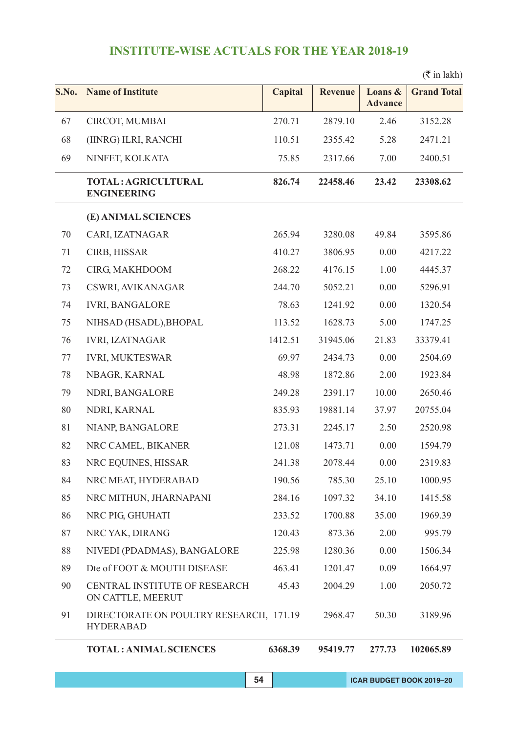### $(\bar{\bar{\tau}}$  in lakh)

| S.No. | <b>Name of Institute</b>                                    | Capital | <b>Revenue</b> | Loans &<br><b>Advance</b> | <b>Grand Total</b> |
|-------|-------------------------------------------------------------|---------|----------------|---------------------------|--------------------|
| 67    | CIRCOT, MUMBAI                                              | 270.71  | 2879.10        | 2.46                      | 3152.28            |
| 68    | (IINRG) ILRI, RANCHI                                        | 110.51  | 2355.42        | 5.28                      | 2471.21            |
| 69    | NINFET, KOLKATA                                             | 75.85   | 2317.66        | 7.00                      | 2400.51            |
|       | TOTAL: AGRICULTURAL<br><b>ENGINEERING</b>                   | 826.74  | 22458.46       | 23.42                     | 23308.62           |
|       | (E) ANIMAL SCIENCES                                         |         |                |                           |                    |
| 70    | CARI, IZATNAGAR                                             | 265.94  | 3280.08        | 49.84                     | 3595.86            |
| 71    | CIRB, HISSAR                                                | 410.27  | 3806.95        | 0.00                      | 4217.22            |
| 72    | CIRG, MAKHDOOM                                              | 268.22  | 4176.15        | 1.00                      | 4445.37            |
| 73    | CSWRI, AVIKANAGAR                                           | 244.70  | 5052.21        | 0.00                      | 5296.91            |
| 74    | <b>IVRI, BANGALORE</b>                                      | 78.63   | 1241.92        | 0.00                      | 1320.54            |
| 75    | NIHSAD (HSADL), BHOPAL                                      | 113.52  | 1628.73        | 5.00                      | 1747.25            |
| 76    | <b>IVRI, IZATNAGAR</b>                                      | 1412.51 | 31945.06       | 21.83                     | 33379.41           |
| 77    | <b>IVRI, MUKTESWAR</b>                                      | 69.97   | 2434.73        | 0.00                      | 2504.69            |
| 78    | NBAGR, KARNAL                                               | 48.98   | 1872.86        | 2.00                      | 1923.84            |
| 79    | NDRI, BANGALORE                                             | 249.28  | 2391.17        | 10.00                     | 2650.46            |
| 80    | NDRI, KARNAL                                                | 835.93  | 19881.14       | 37.97                     | 20755.04           |
| 81    | NIANP, BANGALORE                                            | 273.31  | 2245.17        | 2.50                      | 2520.98            |
| 82    | NRC CAMEL, BIKANER                                          | 121.08  | 1473.71        | 0.00                      | 1594.79            |
| 83    | NRC EQUINES, HISSAR                                         | 241.38  | 2078.44        | 0.00                      | 2319.83            |
| 84    | NRC MEAT, HYDERABAD                                         | 190.56  | 785.30         | 25.10                     | 1000.95            |
| 85    | NRC MITHUN, JHARNAPANI                                      | 284.16  | 1097.32        | 34.10                     | 1415.58            |
| 86    | NRC PIG, GHUHATI                                            | 233.52  | 1700.88        | 35.00                     | 1969.39            |
| 87    | NRC YAK, DIRANG                                             | 120.43  | 873.36         | 2.00                      | 995.79             |
| 88    | NIVEDI (PDADMAS), BANGALORE                                 | 225.98  | 1280.36        | 0.00                      | 1506.34            |
| 89    | Dte of FOOT & MOUTH DISEASE                                 | 463.41  | 1201.47        | 0.09                      | 1664.97            |
| 90    | CENTRAL INSTITUTE OF RESEARCH<br>ON CATTLE, MEERUT          | 45.43   | 2004.29        | 1.00                      | 2050.72            |
| 91    | DIRECTORATE ON POULTRY RESEARCH, 171.19<br><b>HYDERABAD</b> |         | 2968.47        | 50.30                     | 3189.96            |
|       | <b>TOTAL: ANIMAL SCIENCES</b>                               | 6368.39 | 95419.77       | 277.73                    | 102065.89          |
|       |                                                             |         |                |                           |                    |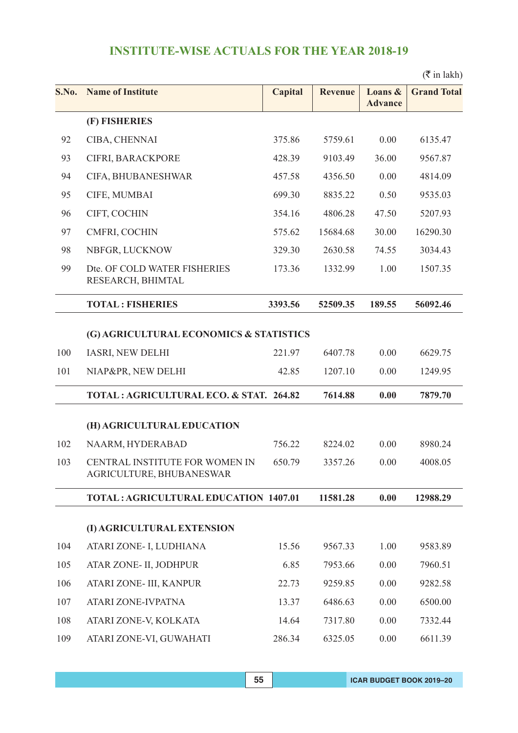|       |                                                            |                |                |                           | $(\bar{\bar{\mathbf{\tau}}}$ in lakh) |
|-------|------------------------------------------------------------|----------------|----------------|---------------------------|---------------------------------------|
| S.No. | <b>Name of Institute</b>                                   | <b>Capital</b> | <b>Revenue</b> | Loans &<br><b>Advance</b> | <b>Grand Total</b>                    |
|       | (F) FISHERIES                                              |                |                |                           |                                       |
| 92    | CIBA, CHENNAI                                              | 375.86         | 5759.61        | 0.00                      | 6135.47                               |
| 93    | CIFRI, BARACKPORE                                          | 428.39         | 9103.49        | 36.00                     | 9567.87                               |
| 94    | CIFA, BHUBANESHWAR                                         | 457.58         | 4356.50        | 0.00                      | 4814.09                               |
| 95    | CIFE, MUMBAI                                               | 699.30         | 8835.22        | 0.50                      | 9535.03                               |
| 96    | CIFT, COCHIN                                               | 354.16         | 4806.28        | 47.50                     | 5207.93                               |
| 97    | CMFRI, COCHIN                                              | 575.62         | 15684.68       | 30.00                     | 16290.30                              |
| 98    | NBFGR, LUCKNOW                                             | 329.30         | 2630.58        | 74.55                     | 3034.43                               |
| 99    | Dte. OF COLD WATER FISHERIES<br>RESEARCH, BHIMTAL          | 173.36         | 1332.99        | 1.00                      | 1507.35                               |
|       | <b>TOTAL: FISHERIES</b>                                    | 3393.56        | 52509.35       | 189.55                    | 56092.46                              |
|       | (G) AGRICULTURAL ECONOMICS & STATISTICS                    |                |                |                           |                                       |
| 100   | <b>IASRI, NEW DELHI</b>                                    | 221.97         | 6407.78        | 0.00                      | 6629.75                               |
| 101   | NIAP&PR, NEW DELHI                                         | 42.85          | 1207.10        | 0.00                      | 1249.95                               |
|       | TOTAL: AGRICULTURAL ECO. & STAT. 264.82                    |                | 7614.88        | 0.00                      | 7879.70                               |
|       | (H) AGRICULTURAL EDUCATION                                 |                |                |                           |                                       |
| 102   | NAARM, HYDERABAD                                           | 756.22         | 8224.02        | 0.00                      | 8980.24                               |
| 103   | CENTRAL INSTITUTE FOR WOMEN IN<br>AGRICULTURE, BHUBANESWAR | 650.79         | 3357.26        | 0.00                      | 4008.05                               |
|       | <b>TOTAL: AGRICULTURAL EDUCATION 1407.01</b>               |                | 11581.28       | 0.00                      | 12988.29                              |
|       | (I) AGRICULTURAL EXTENSION                                 |                |                |                           |                                       |
| 104   | ATARI ZONE- I, LUDHIANA                                    | 15.56          | 9567.33        | 1.00                      | 9583.89                               |
| 105   | ATAR ZONE- II, JODHPUR                                     | 6.85           | 7953.66        | 0.00                      | 7960.51                               |
| 106   | ATARI ZONE- III, KANPUR                                    | 22.73          | 9259.85        | 0.00                      | 9282.58                               |
| 107   | ATARI ZONE-IVPATNA                                         | 13.37          | 6486.63        | 0.00                      | 6500.00                               |
| 108   | ATARI ZONE-V, KOLKATA                                      | 14.64          | 7317.80        | 0.00                      | 7332.44                               |
| 109   | ATARI ZONE-VI, GUWAHATI                                    | 286.34         | 6325.05        | 0.00                      | 6611.39                               |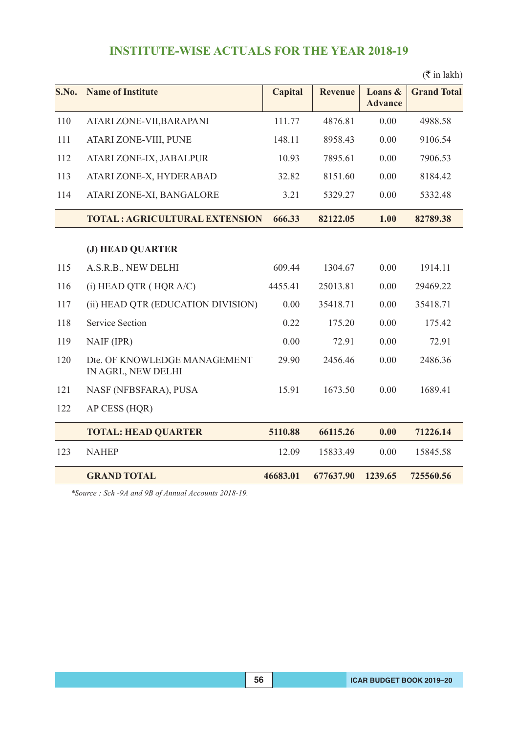### **S.No.** Name of Institute Capital Revenue Loans & Grand Total **Advance** 110 ATARI ZONE-VII,BARAPANI 111.77 4876.81 0.00 4988.58 111 ATARI ZONE-VIII, PUNE 148.11 8958.43 0.00 9106.54 112 ATARI ZONE-IX, JABALPUR 10.93 7895.61 0.00 7906.53 113 ATARI ZONE-X, HYDERABAD 32.82 8151.60 0.00 8184.42 114 ATARI ZONE-XI, BANGALORE 3.21 5329.27 0.00 5332.48 **TOTAL : AGRICULTURAL EXTENSION 666.33 82122.05 1.00 82789.38 (J) HEAD QUARTER** 115 A.S.R.B., NEW DELHI 609.44 1304.67 0.00 1914.11 116 (i) HEAD QTR ( HQR A/C) 4455.41 25013.81 0.00 29469.22 117 (ii) HEAD QTR (EDUCATION DIVISION) 0.00 35418.71 0.00 35418.71 118 Service Section 0.22 175.20 0.00 175.42 119 NAIF (IPR) 0.00 72.91 0.00 72.91 120 Dte. OF KNOWLEDGE MANAGEMENT 29.90 2456.46 0.00 2486.36 IN AGRI., NEW DELHI 121 NASF (NFBSFARA), PUSA 15.91 1673.50 0.00 1689.41 122 AP CESS (HQR) **TOTAL: HEAD QUARTER 5110.88 66115.26 0.00 71226.14** 123 NAHEP 12.09 15833.49 0.00 15845.58 **GRAND TOTAL 46683.01 677637.90 1239.65 725560.56**

*\*Source : Sch -9A and 9B of Annual Accounts 2018-19.*

 $(\bar{\bar{\mathbf{\tau}}}$  in lakh)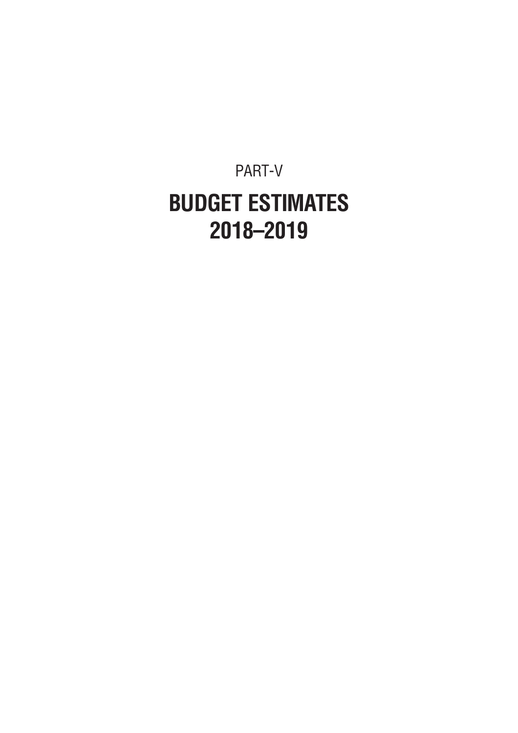PART-V **BUDGET ESTIMATES 2018–2019**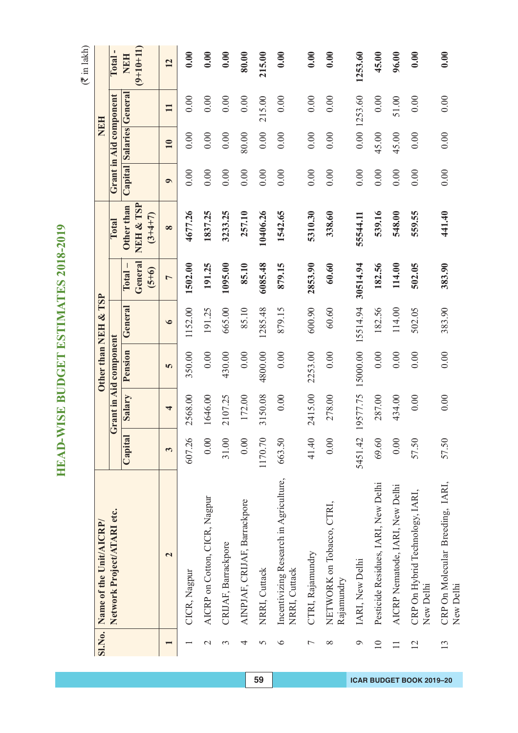|                 | SI.No. Name of the Unit/AICRP/                          |         |                   | Other than NEH & TSP   |           |                              |                                      |           | NEH                      |              |                           |
|-----------------|---------------------------------------------------------|---------|-------------------|------------------------|-----------|------------------------------|--------------------------------------|-----------|--------------------------|--------------|---------------------------|
|                 | Network Project/ATARI etc.                              |         |                   | Grant in Aid component |           |                              | Total                                |           | Grant in Aid component   |              | Total-                    |
|                 |                                                         | Capital | Salary            | Pension                | General   | General<br>$(5+6)$<br>Total. | NEH & TSP<br>Other than<br>$(3+4+7)$ |           | Capital Salaries General |              | $(9+10+11)$<br><b>NEH</b> |
|                 | $\overline{\mathbf{C}}$                                 | 3       | 4                 | 5                      | $\bullet$ | $\overline{a}$               | $\infty$                             | $\bullet$ | 10                       | $\mathbf{I}$ | 12                        |
|                 | CICR, Nagpur                                            | 607.26  | 2568.00           | 350.00                 | 1152.00   | 1502.00                      | 4677.26                              | 0.00      | 0.00                     | 0.00         | 0.00                      |
| $\mathcal{C}$   | AICRP on Cotton, CICR, Nagpur                           | 0.00    | 1646.00           | 0.00                   | 191.25    | 191.25                       | 1837.25                              | 0.00      | 0.00                     | 0.00         | 0.00                      |
| 3               | CRIJAF, Barrackpore                                     | 31.00   | 2107.25           | 430.00                 | 665.00    | 1095.00                      | 3233.25                              | 0.00      | 0.00                     | 0.00         | 0.00                      |
| 4               | AINPJAF, CRIJAF, Barrackpore                            | 0.00    | 172.00            | 0.00                   | 85.10     | 85.10                        | 257.10                               | 0.00      | 80.00                    | 0.00         | 80.00                     |
| 5               | NRRI, Cuttack                                           | 1170.70 | 3150.08           | 4800.00                | 1285.48   | 6085.48                      | 10406.26                             | 0.00      | 0.00                     | 215.00       | 215.00                    |
| ৩               | Incentivizing Research in Agriculture,<br>NRRI, Cuttack | 663.50  | 0.00              | 0.00                   | 879.15    | 879.15                       | 1542.65                              | 0.00      | 0.00                     | 0.00         | 0.00                      |
| $\overline{ }$  | CTRI, Rajamundry                                        | 41.40   | 2415.00           | 2253.00                | 600.90    | 2853.90                      | 5310.30                              | 0.00      | 0.00                     | 0.00         | 0.00                      |
| $\infty$        | NETWORK on Tobacco, CTRI,<br>Rajamundry                 | 0.00    | 278.00            | $0.00$                 | 60.60     | 60.60                        | 338.60                               | 0.00      | 0.00                     | 0.00         | 0.00                      |
| $\circ$         | IARI, New Delhi                                         | 5451.42 | 19577.75 15000.00 |                        | 15514.94  | 30514.94                     | 55544.11                             | 0.00      |                          | 0.00 1253.60 | 1253.60                   |
| $\overline{10}$ | Pesticide Residues, IARI, New Delhi                     | 69.60   | 287.00            | 0.00                   | 182.56    | 182.56                       | 539.16                               | 0.00      | 45.00                    | 0.00         | 45.00                     |
| $\Box$          | AICRP Nematode, IARI, New Delhi                         | 0.00    | 434.00            | 0.00                   | 114.00    | 114.00                       | 548.00                               | 0.00      | 45.00                    | 51.00        | 96.00                     |
| 12              | CRP On Hybrid Technology, IARI,<br>New Delhi            | 57.50   | 0.00              | 0.00                   | 502.05    | 502.05                       | 559.55                               | 0.00      | 0.00                     | 0.00         | 0.00                      |
| 13              | CRP On Molecular Breeding, IARI,<br>New Delhi           | 57.50   | 0.00              | 0.00                   | 383.90    | 383.90                       | 441.40                               | 0.00      | 0.00                     | 0.00         | 0.00                      |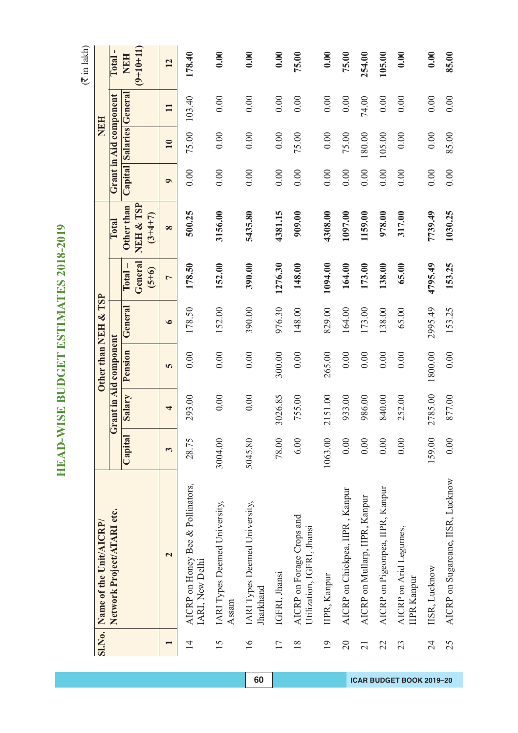|                 | SI.No. Name of the Unit/AICRP/                          |         |         |                        | Other than NEH & TSP |                                 |                                      |           |                         | NEH          |                           |
|-----------------|---------------------------------------------------------|---------|---------|------------------------|----------------------|---------------------------------|--------------------------------------|-----------|-------------------------|--------------|---------------------------|
|                 | Network Project/ATARI etc.                              |         |         | Grant in Aid component |                      |                                 | Total                                |           | Grant in Aid component  |              | Total                     |
|                 |                                                         | Capital | Salary  | Pension                | General              | General<br>$Total -$<br>$(5+6)$ | NEH & TSP<br>Other than<br>$(3+4+7)$ |           | Capital Salaries Genera |              | $(9+10+11)$<br><b>NBH</b> |
|                 | $\overline{\mathbf{c}}$                                 | 3       | 4       | 5                      | $\bullet$            | $\overline{ }$                  | $\infty$                             | $\bullet$ | 10                      | $\mathbf{I}$ | 12                        |
| $\overline{1}$  | AICRP on Honey Bee & Pollinators,<br>IARI, New Delhi    | 28.75   | 293.00  | 0.00                   | 178.50               | 178.50                          | 500.25                               | 0.00      | 75.00                   | 103.40       | 178.40                    |
| 15              | IARI Types Deemed University,<br>Assam                  | 3004.00 | 0.00    | 0.00                   | 152.00               | 152.00                          | 3156.00                              | 0.00      | 0.00                    | 0.00         | 0.00                      |
| 16              | IARI Types Deemed University,<br><b>harkhand</b>        | 5045.80 | 0.00    | 0.00                   | 390.00               | 390.00                          | 5435.80                              | 0.00      | 0.00                    | 0.00         | 0.00                      |
| $\overline{17}$ | IGFRI, Jhansi                                           | 78.00   | 3026.85 | 300.00                 | 976.30               | 1276.30                         | 4381.15                              | 0.00      | 0.00                    | 0.00         | 0.00                      |
| $\frac{8}{18}$  | AICRP on Forage Crops and<br>Utilization, IGFRI, Jhansi | 6.00    | 755.00  | 0.00                   | 148.00               | 148.00                          | 909.00                               | 0.00      | 75.00                   | 0.00         | 75.00                     |
| $\overline{19}$ | IIPR, Kanpur                                            | 1063.00 | 2151.00 | 265.00                 | 829.00               | 1094.00                         | 4308.00                              | 0.00      | 0.00                    | 0.00         | 0.00                      |
| $\overline{20}$ | AICRP on Chickpea, IIPR, Kanpur                         | 0.00    | 933.00  | $0.00$                 | 164.00               | 164.00                          | 1097.00                              | 0.00      | 75.00                   | 0.00         | 75.00                     |
| $\overline{21}$ | AICRP on Mullarp, IIPR, Kanpur                          | 0.00    | 986.00  | 0.00                   | 173.00               | 173.00                          | 1159.00                              | 0.00      | 180.00                  | 74.00        | 254.00                    |
| 22              | AICRP on Pigeonpea, IIPR, Kanpur                        | 0.00    | 840.00  | 0.00                   | 138.00               | 138.00                          | 978.00                               | 0.00      | 105.00                  | 0.00         | 105.00                    |
| 23              | AICRP on Arid Legumes,<br><b>IIPR Kanpur</b>            | 0.00    | 252.00  | 0.00                   | 65.00                | 65.00                           | 317.00                               | 0.00      | 0.00                    | 0.00         | 0.00                      |
| 24              | IISR, Lucknow                                           | 159.00  | 2785.00 | 1800.00                | 2995.49              | 4795.49                         | 7739.49                              | 0.00      | 0.00                    | 0.00         | 0.00                      |
| 25              | AICRP on Sugarcane, IISR, Lucknow                       | 0.00    | 877.00  | 0.00                   | 153.25               | 153.25                          | 1030.25                              | 0.00      | 85.00                   | 0.00         | 85.00                     |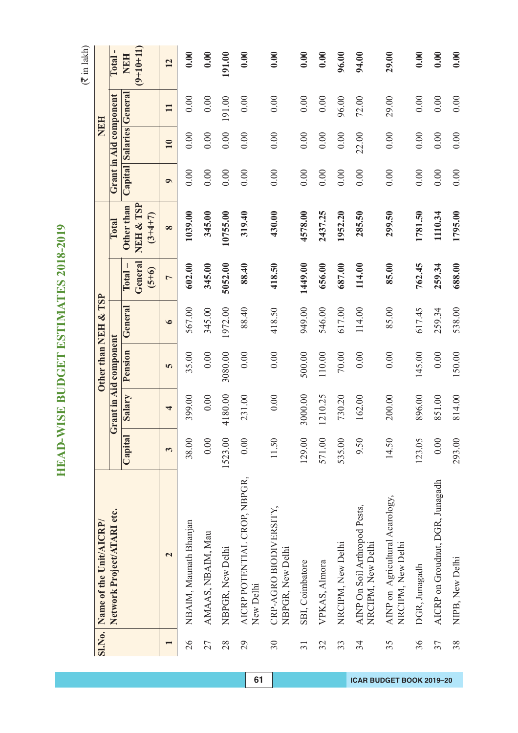|                 | Sl.No. Name of the Unit/AICRP/                       |         |                         | Other than NEH & TSP   |           |                                    |                                      |           | <b>HRIN</b>              |              |                           |
|-----------------|------------------------------------------------------|---------|-------------------------|------------------------|-----------|------------------------------------|--------------------------------------|-----------|--------------------------|--------------|---------------------------|
|                 | Network Project/ATARI etc.                           |         |                         | Grant in Aid component |           |                                    | Total                                |           | Grant in Aid component   |              | Total                     |
|                 |                                                      | Capital | Salary                  | Pension                | General   | General<br>$(5+6)$<br><b>Total</b> | NEH & TSP<br>Other than<br>$(3+4+7)$ |           | Capital Salaries General |              | $(9+10+11)$<br><b>NEH</b> |
|                 | $\mathbf{\Omega}$                                    | 3       | $\overline{\mathbf{r}}$ | 5                      | $\bullet$ | $\overline{a}$                     | $\infty$                             | $\bullet$ | 10                       | $\mathbf{1}$ | 12                        |
| 26              | NBAIM, Maunath Bhanjan                               | 38.00   | 399.00                  | 35.00                  | 567.00    | 602.00                             | 1039.00                              | 0.00      | 0.00                     | 0.00         | 0.00                      |
| 27              | AMAAS, NBAIM, Mau                                    | 0.00    | 0.00                    | 0.00                   | 345.00    | 345.00                             | 345.00                               | 0.00      | 0.00                     | 0.00         | 0.00                      |
| 28              | NBPGR, New Delhi                                     | 1523.00 | 4180.00                 | 3080.00                | 1972.00   | 5052.00                            | 10755.00                             | 0.00      | 0.00                     | 191.00       | 191.00                    |
| 29              | AICRP POTENTIAL CROP, NBPGR,<br>New Delhi            | 0.00    | 231.00                  | 0.00                   | 88.40     | 88.40                              | 319.40                               | 0.00      | 0.00                     | 0.00         | 0.00                      |
| 30              | CRP-AGRO BIODIVERSITY,<br>NBPGR, New Delhi           | 11.50   | 0.00                    | 0.00                   | 418.50    | 418.50                             | 430.00                               | 0.00      | 0.00                     | 0.00         | 0.00                      |
| $\overline{31}$ | SBI, Coimbatore                                      | 129.00  | 3000.00                 | 500.00                 | 949.00    | 1449.00                            | 4578.00                              | 0.00      | 0.00                     | 0.00         | 0.00                      |
| 32              | VPKAS, Almora                                        | 571.00  | 1210.25                 | 110.00                 | 546.00    | 656.00                             | 2437.25                              | 0.00      | 0.00                     | 0.00         | 0.00                      |
| 33              | NRCIPM, New Delhi                                    | 535.00  | 730.20                  | $70.00\,$              | 617.00    | 687.00                             | 1952.20                              | 0.00      | 0.00                     | 96.00        | 96.00                     |
| 34              | AINP On Soil Arthropod Pests,<br>NRCIPM, New Delhi   | 9.50    | 162.00                  | 0.00                   | 114.00    | 114.00                             | 285.50                               | 0.00      | 22.00                    | 72.00        | 94.00                     |
| 35              | AINP on Agricultural Acarology,<br>NRCIPM, New Delhi | 14.50   | 200.00                  | 0.00                   | 85.00     | 85.00                              | 299.50                               | 0.00      | 0.00                     | 29.00        | 29.00                     |
| 36              | DGR, Junagadh                                        | 123.05  | 896.00                  | 145.00                 | 617.45    | 762.45                             | 1781.50                              | 0.00      | 0.00                     | 0.00         | 0.00                      |
| 37              | AICRP on Groudnut, DGR, Junagadh                     | 0.00    | 851.00                  | 0.00                   | 259.34    | 259.34                             | 1110.34                              | 0.00      | 0.00                     | 0.00         | 0.00                      |
| 38              | NIPB, New Delhi                                      | 293.00  | 814.00                  | 150.00                 | 538.00    | 688.00                             | 1795.00                              | 0.00      | 0.00                     | 0.00         | 0.00                      |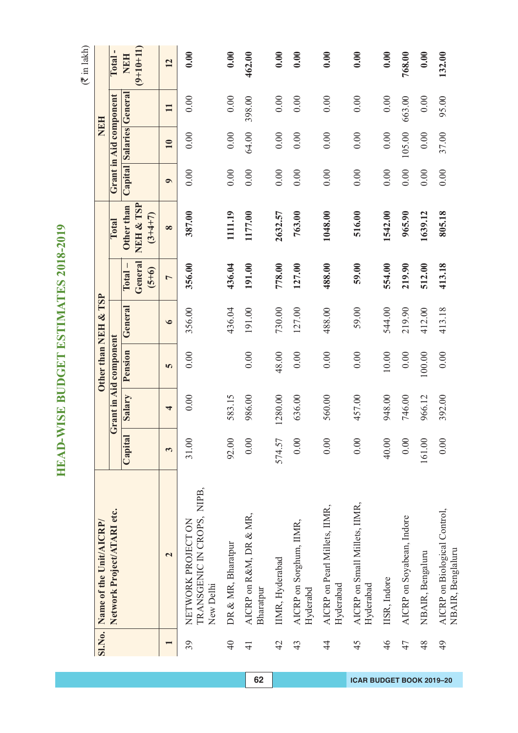$(\overline{\mathfrak{F}}$  in lakh)

|                 |                                                               |         |         |                        |                      |                              |                                      |           |                          | NEH          |                           |
|-----------------|---------------------------------------------------------------|---------|---------|------------------------|----------------------|------------------------------|--------------------------------------|-----------|--------------------------|--------------|---------------------------|
|                 | SI.No. Name of the Unit/AICRP/                                |         |         |                        | Other than NEH & TSP |                              |                                      |           |                          |              |                           |
|                 | Network Project/ATARI etc.                                    |         |         | Grant in Aid component |                      |                              | Total                                |           | Grant in Aid component   |              | $\blacksquare$<br>Total   |
|                 |                                                               | Capital | Salary  | Pension                | General              | General<br>$(5+6)$<br>Total. | NEH & TSP<br>Other than<br>$(3+4+7)$ |           | Capital Salaries General |              | $(9+10+11)$<br><b>NEH</b> |
|                 | $\mathbf{\tilde{c}}$                                          | 3       | 4       | 5                      | $\bullet$            | $\overline{a}$               | $\infty$                             | $\bullet$ | 10                       | $\mathbf{I}$ | 12                        |
| 39              | TRANSGENIC IN CROPS, NIPB,<br>NETWORK PROJECT ON<br>New Delhi | 31.00   | 0.00    | 0.00                   | 356.00               | 356.00                       | 387.00                               | 0.00      | 0.00                     | 0.00         | 0.00                      |
| $\overline{40}$ | DR & MR, Bharatpur                                            | 92.00   | 583.15  |                        | 436.04               | 436.04                       | 1111.19                              | 0.00      | 0.00                     | 0.00         | 0.00                      |
| $\overline{4}$  | AICRP on R&M, DR & MR,<br>Bharatpur                           | 0.00    | 986.00  | 0.00                   | 191.00               | 191.00                       | 1177.00                              | 0.00      | 64.00                    | 398.00       | 462.00                    |
| 42              | IIMR, Hyderabad                                               | 574.57  | 1280.00 | 48.00                  | 730.00               | 778.00                       | 2632.57                              | 0.00      | 0.00                     | 0.00         | 0.00                      |
| 43              | AICRP on Sorghum, IIMR,<br>Hyderabd                           | 0.00    | 636.00  | 0.00                   | 127.00               | 127.00                       | 763.00                               | 0.00      | 0.00                     | 0.00         | 0.00                      |
| $\frac{4}{4}$   | AICRP on Pearl Millets, IIMR,<br>Hyderabad                    | 0.00    | 560.00  | 0.00                   | 488.00               | 488.00                       | 1048.00                              | 0.00      | 0.00                     | 0.00         | 0.00                      |
| 45              | AICRP on Small Millets, IIMR,<br>Hyderabad                    | 0.00    | 457.00  | 0.00                   | 59.00                | 59.00                        | 516.00                               | 0.00      | 0.00                     | 0.00         | 0.00                      |
| 46              | IISR, Indore                                                  | 40.00   | 948.00  | $10.00$                | 544.00               | 554.00                       | 1542.00                              | 0.00      | 0.00                     | 0.00         | 0.00                      |
| 47              | AICRP on Soyabean, Indore                                     | 0.00    | 746.00  | 0.00                   | 219.90               | 219.90                       | 965.90                               | 0.00      | 105.00                   | 663.00       | 768.00                    |
| 48              | NBAIR, Bengaluru                                              | 161.00  | 966.12  | 100.00                 | 412.00               | 512.00                       | 1639.12                              | 0.00      | 0.00                     | 0.00         | 0.00                      |
| $\frac{49}{5}$  | AICRP on Biological Control,<br>NBAIR, Benglaluru             | 0.00    | 392.00  | 0.00                   | 413.18               | 413.18                       | 805.18                               | 0.00      | 37.00                    | 95.00        | 132.00                    |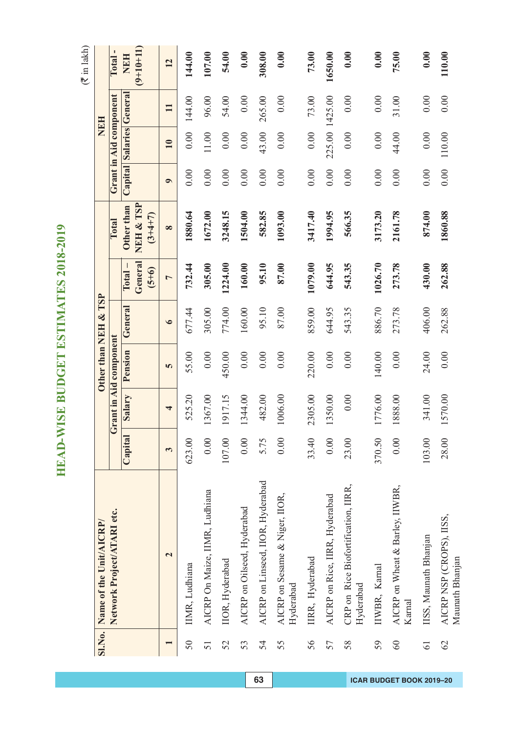$(\overline{\mathfrak{F}}$  in lakh)

|                 | Sl.No. Name of the Unit/AICRP/                   |         |         |                        | Other than NEH & TSP |                             |                                      |           | <b>NEH</b>             |              |                           |
|-----------------|--------------------------------------------------|---------|---------|------------------------|----------------------|-----------------------------|--------------------------------------|-----------|------------------------|--------------|---------------------------|
|                 | Network Project/ATARI etc.                       |         |         | Grant in Aid component |                      |                             | Total                                |           | Grant in Aid component |              | Total-                    |
|                 |                                                  | Capital | Salary  | Pension                | General              | General<br>$(5+6)$<br>Total | NEH & TSP<br>Other than<br>$(3+4+7)$ | Capital   | Salaries General       |              | $(9+10+11)$<br><b>NEH</b> |
|                 | $\overline{\mathbf{C}}$                          | 3       | 4       | 5                      | $\bullet$            | $\overline{a}$              | $\infty$                             | $\bullet$ | 10                     | $\mathbf{I}$ | $\overline{12}$           |
| 50              | IIMR, Ludhiana                                   | 623.00  | 525.20  | 55.00                  | 677.44               | 732.44                      | 1880.64                              | 0.00      | 0.00                   | 144.00       | 144.00                    |
| 51              | AICRP On Maize, IIMR, Ludhiana                   | 0.00    | 1367.00 | 0.00                   | 305.00               | 305.00                      | 1672.00                              | 0.00      | 11.00                  | 96.00        | 107.00                    |
| 52              | IIOR, Hyderabad                                  | 107.00  | 1917.15 | 450.00                 | 774.00               | 1224.00                     | 3248.15                              | 0.00      | 0.00                   | 54.00        | 54.00                     |
| 53              | AICRP on Oilseed, Hyderabad                      | 0.00    | 1344.00 | 0.00                   | 160.00               | 160.00                      | 1504.00                              | 0.00      | 0.00                   | 0.00         | 0.00                      |
| 54              | AICRP on Linseed, IIOR, Hyderabad                | 5.75    | 482.00  | 0.00                   | 95.10                | 95.10                       | 582.85                               | 0.00      | 43.00                  | 265.00       | 308.00                    |
| 55              | AICRP on Sesame & Niger, IIOR,<br>Hyderabad      | 0.00    | 1006.00 | 0.00                   | 87.00                | 87.00                       | 1093.00                              | 0.00      | 0.00                   | 0.00         | 0.00                      |
| 56              | IIRR, Hyderabad                                  | 33.40   | 2305.00 | 220.00                 | 859.00               | 1079.00                     | 3417.40                              | 0.00      | 0.00                   | 73.00        | 73.00                     |
| 57              | AICRP on Rice, IIRR, Hyderabad                   | 0.00    | 1350.00 | 0.00                   | 644.95               | 644.95                      | 1994.95                              | 0.00      | 225.00 1425.00         |              | 1650.00                   |
| 58              | CRP on Rice Biofortification, IIRR,<br>Hyderabad | 23.00   | 0.00    | 0.00                   | 543.35               | 543.35                      | 566.35                               | 0.00      | 0.00                   | 0.00         | 0.00                      |
| 59              | IIWBR, Kamal                                     | 370.50  | 1776.00 | 140.00                 | 886.70               | 1026.70                     | 3173.20                              | 0.00      | 0.00                   | 0.00         | 0.00                      |
| 60              | AICRP on Wheat & Barley, IIWBR,<br>Karnal        | 0.00    | 1888.00 | 0.00                   | 273.78               | 273.78                      | 2161.78                              | 0.00      | 44.00                  | 31.00        | 75.00                     |
| $\overline{61}$ | IISS, Maunath Bhanjan                            | 103.00  | 341.00  | 24.00                  | 406.00               | 430.00                      | 874.00                               | 0.00      | 0.00                   | 0.00         | 0.00                      |
| 62              | AICRP NSP (CROPS), IISS,<br>Maunath Bhanjan      | 28.00   | 1570.00 | 0.00                   | 262.88               | 262.88                      | 1860.88                              | 0.00      | 110.00                 | 0.00         | 110.00                    |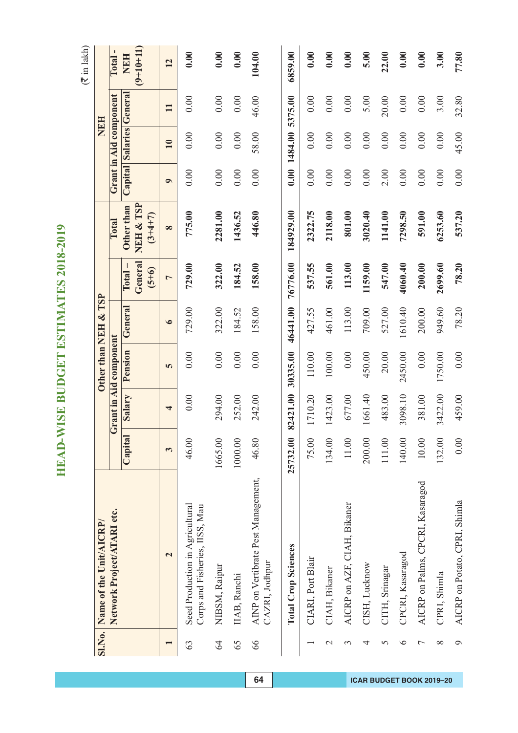$(\overline{\mathfrak{F}}$  in lakh)

|                | Sl.No. Name of the Unit/AICRP/                                    |           |          | Other than NEH & TSP   |           |                    |                        |           | <b>NEH</b>               |              |             |
|----------------|-------------------------------------------------------------------|-----------|----------|------------------------|-----------|--------------------|------------------------|-----------|--------------------------|--------------|-------------|
|                | Network Project/ATARI etc.                                        |           |          | Grant in Aid component |           |                    | Total                  |           | Grant in Aid component   |              | Total-      |
|                |                                                                   | Capital   | Salary   | Pension                | General   | $\Gamma$ otal –    | Other than             |           | Capital Salaries General |              | <b>NEH</b>  |
|                |                                                                   |           |          |                        |           | General<br>$(5+6)$ | NEH & TSP<br>$(3+4+7)$ |           |                          |              | $(9+10+11)$ |
|                | $\overline{\mathbf{c}}$                                           | 3         | 4        | 5                      | $\bullet$ | $\overline{ }$     | $\infty$               | $\bullet$ | 10                       | $\mathbf{I}$ | 12          |
| 63             | Seed Production in Agricultural<br>Corps and Fisheries, IISS, Mau | 46.00     | 0.00     | 0.00                   | 729.00    | 729.00             | 775.00                 | 0.00      | 0.00                     | 0.00         | 0.00        |
| 64             | NIBSM, Raipur                                                     | 1665.00   | 294.00   | 0.00                   | 322.00    | 322.00             | 2281.00                | 0.00      | 0.00                     | 0.00         | 0.00        |
| 65             | IIAB, Ranchi                                                      | 1000.00   | 252.00   | 0.00                   | 184.52    | 184.52             | 1436.52                | 0.00      | 0.00                     | 0.00         | 0.00        |
| 66             | AINP on Vertibrate Pest Management,<br>CAZRI, Jodhpur             | 46.80     | 242.00   | 0.00                   | 158.00    | 158.00             | 446.80                 | 0.00      | 58.00                    | 46.00        | 104.00      |
|                | <b>Total Crop Sciences</b>                                        | 25732.00  | 82421.00 | 30335.00               | 46441.00  | 76776.00           | 184929.00              |           | 0.00 1484.00             | 5375.00      | 6859.00     |
|                | CIARI, Port Blair                                                 | 75.00     | 1710.20  | 110.00                 | 427.55    | 537.55             | 2322.75                | 0.00      | 0.00                     | 0.00         | 0.00        |
| $\mathcal{L}$  | CIAH, Bikaner                                                     | 134.00    | 1423.00  | 100.00                 | 461.00    | 561.00             | 2118.00                | 0.00      | 0.00                     | 0.00         | 0.00        |
| 3              | AICRP on AZF, CIAH, Bikaner                                       | $11.00\,$ | 677.00   | 0.00                   | 113.00    | 113.00             | 801.00                 | 0.00      | 0.00                     | 0.00         | 0.00        |
| 4              | CISH, Lucknow                                                     | 200.00    | 1661.40  | 450.00                 | 709.00    | 1159.00            | 3020.40                | 0.00      | 0.00                     | 5.00         | 5.00        |
| 5              | CITH, Srinagar                                                    | 111.00    | 483.00   | 20.00                  | 527.00    | 547.00             | 1141.00                | 2.00      | 0.00                     | 20.00        | 22.00       |
| $\circ$        | CPCRI, Kasaragod                                                  | 140.00    | 3098.10  | 2450.00                | 1610.40   | 4060.40            | 7298.50                | 0.00      | 0.00                     | 0.00         | 0.00        |
| $\overline{ }$ | AICRP on Palms, CPCRI, Kasaragod                                  | $10.00$   | 381.00   | 0.00                   | 200.00    | 200.00             | 591.00                 | 0.00      | 0.00                     | 0.00         | 0.00        |
| $\infty$       | CPRI, Shimla                                                      | 132.00    | 3422.00  | 1750.00                | 949.60    | 2699.60            | 6253.60                | 0.00      | 0.00                     | 3.00         | 3.00        |
| Ó              | AICRP on Potato, CPRI, Shimla                                     | 0.00      | 459.00   | 0.00                   | 78.20     | 78.20              | 537.20                 | 0.00      | 45.00                    | 32.80        | 77.80       |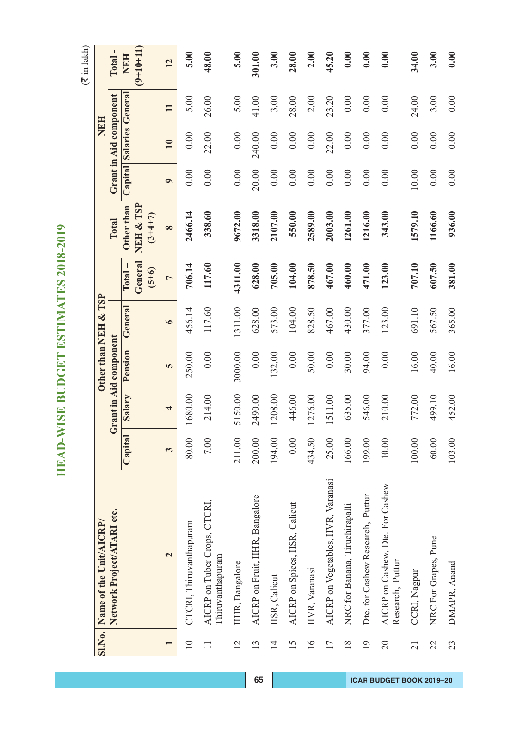|                 | Sl.No. Name of the Unit/AICRP/                       |         |         |                        | Other than NEH & TSP |                              |                                      |           |                         | <b>NEH</b>   |                           |
|-----------------|------------------------------------------------------|---------|---------|------------------------|----------------------|------------------------------|--------------------------------------|-----------|-------------------------|--------------|---------------------------|
|                 |                                                      |         |         |                        |                      |                              |                                      |           |                         |              |                           |
|                 | Network Project/ATARI etc.                           |         |         | Grant in Aid component |                      |                              | Total                                |           | Grant in Aid component  |              | Total                     |
|                 |                                                      | Capital | Salary  | Pension                | General              | General<br>$(5+6)$<br>Total. | NEH & TSP<br>Other than<br>$(3+4+7)$ |           | Capital Salaries Genera |              | $(9+10+11)$<br><b>NEH</b> |
|                 | $\overline{\mathbf{c}}$                              | 3       | 4       | 5                      | $\bullet$            | $\overline{ }$               | $\infty$                             | $\bullet$ | 10                      | $\mathbf{I}$ | 12                        |
| $\supseteq$     | CTCRI, Thiruvanthapuram                              | 80.00   | 1680.00 | 250.00                 | 456.14               | 706.14                       | 2466.14                              | 0.00      | 0.00                    | 5.00         | 5.00                      |
|                 | AICRP on Tuber Crops, CTCRI,<br>Thiruvanthapuram     | 7.00    | 214.00  | 0.00                   | 117.60               | 117.60                       | 338.60                               | 0.00      | 22.00                   | 26.00        | 48.00                     |
| 12              | IIHR, Bangalore                                      | 211.00  | 5150.00 | 3000.00                | 1311.00              | 4311.00                      | 9672.00                              | 0.00      | 0.00                    | 5.00         | 5.00                      |
| 13              | AICRP on Fruit, IIHR, Bangalore                      | 200.00  | 2490.00 | 0.00                   | 628.00               | 628.00                       | 3318.00                              | 20.00     | 240.00                  | 41.00        | 301.00                    |
| $\overline{1}$  | IISR, Calicut                                        | 194.00  | 1208.00 | 132.00                 | 573.00               | 705.00                       | 2107.00                              | 0.00      | 0.00                    | 3.00         | 3.00                      |
| 15              | AICRP on Spices, IISR, Calicut                       | 0.00    | 446.00  | 0.00                   | 104.00               | 104.00                       | 550.00                               | 0.00      | 0.00                    | 28.00        | 28.00                     |
| 16              | IIVR, Varanasi                                       | 434.50  | 1276.00 | 50.00                  | 828.50               | 878.50                       | 2589.00                              | 0.00      | 0.00                    | 2.00         | 2.00                      |
| 17              | AICRP on Vegetables, IIVR, Varanasi                  | 25.00   | 1511.00 | 0.00                   | 467.00               | 467.00                       | 2003.00                              | 0.00      | 22.00                   | 23.20        | 45.20                     |
| 18              | NRC for Banana, Tiruchirapalli                       | 166.00  | 635.00  | 30.00                  | 430.00               | 460.00                       | 1261.00                              | 0.00      | 0.00                    | 0.00         | 0.00                      |
| $\overline{19}$ | Dte. for Cashew Research, Puttur                     | 199.00  | 546.00  | 94.00                  | 377.00               | 471.00                       | 1216.00                              | 0.00      | 0.00                    | 0.00         | 0.00                      |
| $\overline{20}$ | AICRP on Cashew, Dte. For Cashew<br>Research, Puttur | 10.00   | 210.00  | 0.00                   | 123.00               | 123.00                       | 343.00                               | 0.00      | 0.00                    | 0.00         | 0.00                      |
| $\overline{21}$ | CCRI, Nagpur                                         | 100.00  | 772.00  | 16.00                  | 691.10               | 707.10                       | 1579.10                              | 10.00     | 0.00                    | 24.00        | 34.00                     |
| 22              | NRC For Grapes, Pune                                 | 60.00   | 499.10  | 40.00                  | 567.50               | 607.50                       | 1166.60                              | 0.00      | 0.00                    | 3.00         | 3.00                      |
| 23              | DMAPR, Anand                                         | 103.00  | 452.00  | 16.00                  | 365.00               | 381.00                       | 936.00                               | 0.00      | 0.00                    | 0.00         | 0.00                      |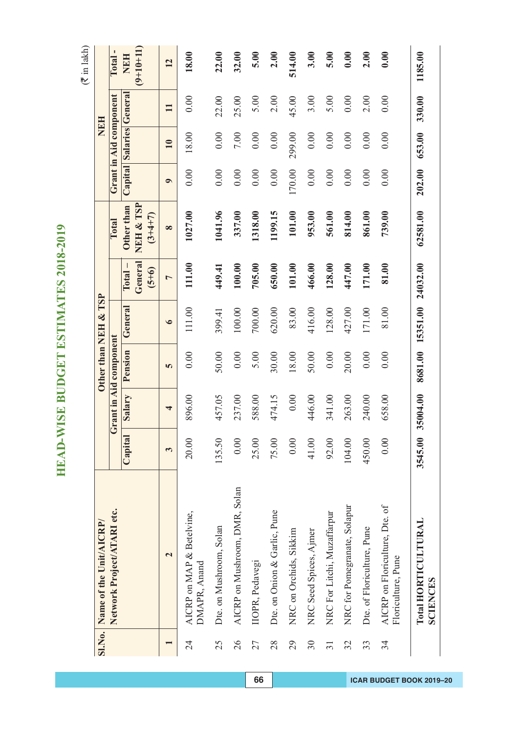|                 | SI.No. Name of the Unit/AICRP/                       |         |          |                        | Other than NEH & TSP |                    |                            |           |                          | NEH          |             |
|-----------------|------------------------------------------------------|---------|----------|------------------------|----------------------|--------------------|----------------------------|-----------|--------------------------|--------------|-------------|
|                 | Network Project/ATARI etc.                           |         |          | Grant in Aid component |                      |                    | Total                      |           | Grant in Aid component   |              | Total-      |
|                 |                                                      | Capital | Salary   | Pension                | General              | $\Gamma$ otal –    | Other than                 |           | Capital Salaries General |              | <b>NEH</b>  |
|                 |                                                      |         |          |                        |                      | General<br>$(5+6)$ | NEH & TSP<br>$(3 + 4 + 7)$ |           |                          |              | $(9+10+11)$ |
|                 | $\overline{\mathbf{c}}$                              | 3       | 4        | 5                      | $\bullet$            | $\overline{ }$     | $\infty$                   | $\bullet$ | 10                       | $\mathbf{I}$ | 12          |
| 24              | AICRP on MAP & Betelvine,<br>DMAPR, Anand            | 20.00   | 896.00   | 0.00                   | 111.00               | 111.00             | 1027.00                    | 0.00      | 18.00                    | 0.00         | 18.00       |
| 25              | Dte. on Mushroom, Solan                              | 135.50  | 457.05   | 50.00                  | 399.41               | 449.41             | 1041.96                    | 0.00      | 0.00                     | 22.00        | 22.00       |
| 26              | AICRP on Mushroom, DMR, Solan                        | 0.00    | 237.00   | 0.00                   | 100.00               | 100.00             | 337.00                     | 0.00      | 7.00                     | 25.00        | 32.00       |
| 27              | IIOPR, Pedavegi                                      | 25.00   | 588.00   | 5.00                   | 700.00               | 705.00             | 1318.00                    | 0.00      | 0.00                     | 5.00         | 5.00        |
| 28              | Dte. on Onion & Garlic, Pune                         | 75.00   | 474.15   | 30.00                  | 620.00               | 650.00             | 1199.15                    | 0.00      | 0.00                     | 2.00         | 2.00        |
| 29              | NRC on Orchids, Sikkim                               | 0.00    | 0.00     | 18.00                  | 83.00                | 101.00             | 101.00                     | 170.00    | 299.00                   | 45.00        | 514.00      |
| 30              | NRC Seed Spices, Ajmer                               | 41.00   | 446.00   | 50.00                  | 416.00               | 466.00             | 953.00                     | 0.00      | 0.00                     | 3.00         | 3.00        |
| $\overline{31}$ | NRC For Litchi, Muzaffarpur                          | 92.00   | 341.00   | 0.00                   | 128.00               | 128.00             | 561.00                     | 0.00      | 0.00                     | 5.00         | 5.00        |
| 32              | NRC for Pomegranate, Solapur                         | 104.00  | 263.00   | 20.00                  | 427.00               | 447.00             | 814.00                     | 0.00      | 0.00                     | 0.00         | 0.00        |
| 33              | Dte. of Floriculture, Pune                           | 450.00  | 240.00   | 0.00                   | 171.00               | 171.00             | 861.00                     | 0.00      | 0.00                     | 2.00         | 2.00        |
| 34              | AICRP on Floriculture, Dte. of<br>Floriculture, Pune | 0.00    | 658.00   | 0.00                   | 81.00                | 81.00              | 739.00                     | 0.00      | 0.00                     | 0.00         | 0.00        |
|                 | Total HORTICULTURAL<br><b>SCIENCES</b>               | 3545.00 | 35004.00 | 8681.00                | 15351.00             | 24032.00           | 62581.00                   | 202.00    | 653.00                   | 330.00       | 1185.00     |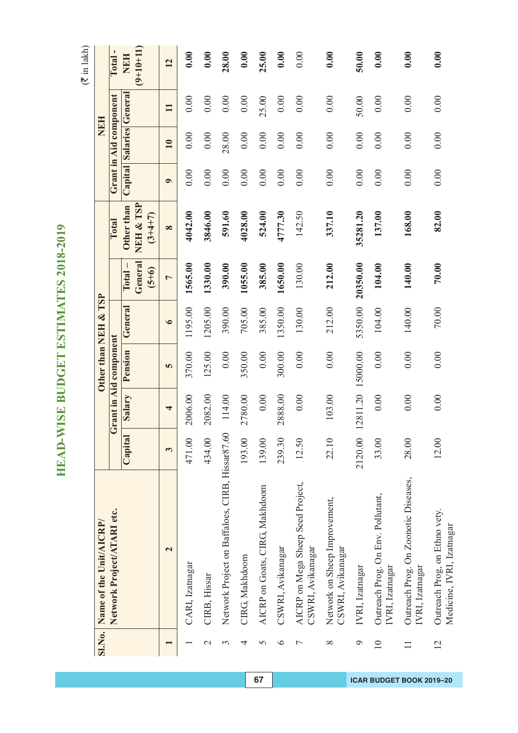|                  |                                                            |              |         | Other than NEH & TSP   |           |                                 |                                      |           | NEH                      |              |                           |
|------------------|------------------------------------------------------------|--------------|---------|------------------------|-----------|---------------------------------|--------------------------------------|-----------|--------------------------|--------------|---------------------------|
|                  | SI.No. Name of the Unit/AICRP/                             |              |         |                        |           |                                 |                                      |           |                          |              |                           |
|                  | Network Project/ATARI etc.                                 |              |         | Grant in Aid component |           |                                 | Total                                |           | Grant in Aid component   |              | Total-                    |
|                  |                                                            | Capital      | Salary  | Pension                | General   | General<br>$Total -$<br>$(5+6)$ | NEH & TSP<br>Other than<br>$(3+4+7)$ |           | Capital Salaries General |              | $(9+10+11)$<br><b>NEH</b> |
|                  | $\mathbf{\Omega}$                                          | $\mathbf{c}$ | 4       | 5                      | $\bullet$ | $\overline{a}$                  | $\infty$                             | $\bullet$ | 10                       | $\mathbf{I}$ | 12                        |
|                  | CARI, Izatnagar                                            | 471.00       | 2006.00 | 370.00                 | 1195.00   | 1565.00                         | 4042.00                              | 0.00      | 0.00                     | 0.00         | 0.00                      |
| $\mathrel{\sim}$ | CIRB, Hissar                                               | 434.00       | 2082.00 | 125.00                 | 1205.00   | 1330.00                         | 3846.00                              | 0.00      | 0.00                     | 0.00         | 0.00                      |
| 3                | Network Project on Baffaloes, CIRB, Hissar87.60            |              | 114.00  | 0.00                   | 390.00    | 390.00                          | 591.60                               | 0.00      | 28.00                    | 0.00         | 28.00                     |
| 4                | CIRG, Makhdoom                                             | 193.00       | 2780.00 | 350.00                 | 705.00    | 1055.00                         | 4028.00                              | 0.00      | 0.00                     | 0.00         | 0.00                      |
| 5                | AICRP on Goats, CIRG, Makhdoom                             | 139.00       | 0.00    | 0.00                   | 385.00    | 385.00                          | 524.00                               | 0.00      | 0.00                     | 25.00        | 25.00                     |
| $\circ$          | CSWRI, Avikanagar                                          | 239.30       | 2888.00 | 300.00                 | 1350.00   | 1650.00                         | 4777.30                              | 0.00      | 0.00                     | 0.00         | 0.00                      |
| Γ                | AICRP on Mega Sheep Seed Project,<br>CSWRI, Avikanagar     | 12.50        | 0.00    | 0.00                   | 130.00    | 130.00                          | 142.50                               | 0.00      | 0.00                     | 0.00         | 0.00                      |
| $\infty$         | Network on Sheep Improvement,<br>CSWRI, Avikanagar         | 22.10        | 103.00  | 0.00                   | 212.00    | 212.00                          | 337.10                               | 0.00      | 0.00                     | 0.00         | 0.00                      |
| $\circ$          | IVRI, Izatnagar                                            | 2120.00      |         | 12811.20 15000.00      | 5350.00   | 20350.00                        | 35281.20                             | 0.00      | 0.00                     | 50.00        | 50.00                     |
| $\overline{10}$  | Outreach Prog. On Env. Pollutant,<br>IVRI, Izatnagar       | 33.00        | 0.00    | 0.00                   | 104.00    | 104.00                          | 137.00                               | 0.00      | 0.00                     | 0.00         | 0.00                      |
| $\Box$           | Outreach Prog. On Zoonotic Diseases,<br>IVRI, Izatnagar    | 28.00        | 0.00    | 0.00                   | 140.00    | 140.00                          | 168.00                               | 0.00      | 0.00                     | 0.00         | 0.00                      |
| $\overline{c}$   | Outreach Prog, on Ethno vety.<br>Medicine, IVRI, Izatnagar | 12.00        | 0.00    | 0.00                   | $70.00$   | 70.00                           | 82.00                                | 0.00      | 0.00                     | 0.00         | 0.00                      |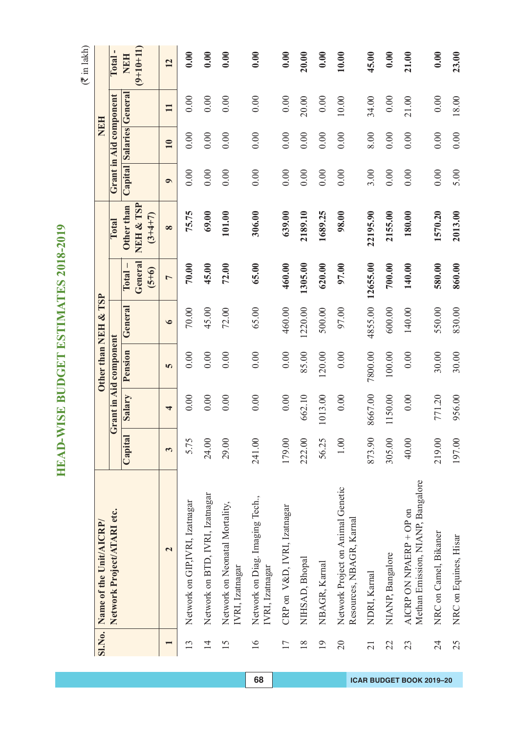|                 | SI.No. Name of the Unit/AICRP/                                |         |         |                        | Other than NEH & TSP |                                       |                                      |           |                          | <b>NEH</b>   |                           |
|-----------------|---------------------------------------------------------------|---------|---------|------------------------|----------------------|---------------------------------------|--------------------------------------|-----------|--------------------------|--------------|---------------------------|
|                 | Network Project/ATARI etc.                                    |         |         | Grant in Aid component |                      |                                       | Total                                |           | Grant in Aid component   |              | <b>Total</b>              |
|                 |                                                               | Capital | Salary  | Pension                | General              | General<br>$\Gamma$ otal –<br>$(5+6)$ | NEH & TSP<br>Other than<br>$(3+4+7)$ |           | Capital Salaries General |              | $(9+10+11)$<br><b>NEH</b> |
|                 | $\overline{\mathbf{c}}$                                       | 3       | 4       | 5                      | $\bullet$            | $\overline{a}$                        | $\infty$                             | $\bullet$ | $\overline{10}$          | $\mathbf{I}$ | 12                        |
| 13              | Network on GIP,IVRI, Izatnagar                                | 5.75    | 0.00    | 0.00                   | 70.00                | 70.00                                 | 75.75                                | 0.00      | 0.00                     | 0.00         | 0.00                      |
| $\overline{1}$  | Network on BTD, IVRI, Izatnagar                               | 24.00   | 0.00    | 0.00                   | 45.00                | 45.00                                 | 69.00                                | 0.00      | 0.00                     | 0.00         | 0.00                      |
| 15              | Network on Neonatal Mortality,<br>IVRI, Izatnagar             | 29.00   | 0.00    | 0.00                   | 72.00                | 72.00                                 | 101.00                               | 0.00      | 0.00                     | 0.00         | 0.00                      |
| 16              | Network on Diag. Imaging Tech.,<br>IVRI, Izatnagar            | 241.00  | 0.00    | 0.00                   | 65.00                | 65.00                                 | 306.00                               | 0.00      | 0.00                     | 0.00         | 0.00                      |
| 17              | CRP on V&D, IVRI, Izatnagar                                   | 179.00  | 0.00    | 0.00                   | 460.00               | 460.00                                | 639.00                               | 0.00      | 0.00                     | 0.00         | 0.00                      |
| 18              | NIHSAD, Bhopal                                                | 222.00  | 662.10  | 85.00                  | 1220.00              | 1305.00                               | 2189.10                              | 0.00      | 0.00                     | 20.00        | 20.00                     |
| 19              | NBAGR, Karnal                                                 | 56.25   | 1013.00 | 120.00                 | 500.00               | 620.00                                | 1689.25                              | 0.00      | 0.00                     | 0.00         | 0.00                      |
| $\overline{20}$ | Network Project on Animal Genetic<br>Resources, NBAGR, Karnal | 1.00    | 0.00    | 0.00                   | 97.00                | 97.00                                 | 98.00                                | 0.00      | 0.00                     | 10.00        | 10.00                     |
| $\overline{21}$ | NDRI, Kamal                                                   | 873.90  | 8667.00 | 7800.00                | 4855.00              | 12655.00                              | 22195.90                             | 3.00      | 8.00                     | 34.00        | 45.00                     |
| 22              | NIANP, Bangalore                                              | 305.00  | 1150.00 | 100.00                 | 600.00               | 700.00                                | 2155.00                              | 0.00      | 0.00                     | 0.00         | 0.00                      |
| 23              | Methan Emission, NIANP, Bangalore<br>AICRP ON NPAERP + OP on  | 40.00   | 0.00    | 0.00                   | 140.00               | 140.00                                | 180.00                               | 0.00      | 0.00                     | 21.00        | 21.00                     |
| 24              | NRC on Camel, Bikaner                                         | 219.00  | 771.20  | 30.00                  | 550.00               | 580.00                                | 1570.20                              | 0.00      | 0.00                     | 0.00         | 0.00                      |
| 25              | NRC on Equines, Hisar                                         | 197.00  | 956.00  | 30.00                  | 830.00               | 860.00                                | 2013.00                              | 5.00      | 0.00                     | 18.00        | 23.00                     |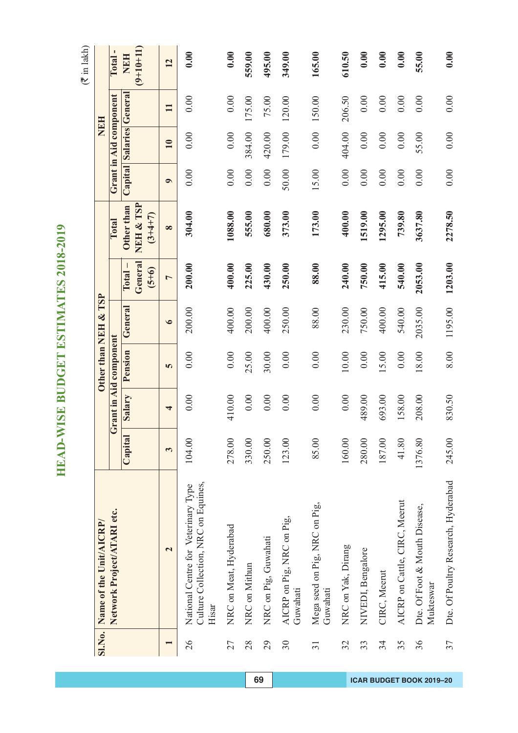$(\overline{\mathfrak{F}}$  in lakh)

|                 | Sl.No. Name of the Unit/AICRP/                                                      |         |        |                        | Other than NEH & TSP |                    |                        |           |                          | NEH          |                      |
|-----------------|-------------------------------------------------------------------------------------|---------|--------|------------------------|----------------------|--------------------|------------------------|-----------|--------------------------|--------------|----------------------|
|                 | Network Project/ATARI etc.                                                          |         |        | Grant in Aid component |                      |                    | Total                  |           | Grant in Aid component   |              | $\mathbf I$<br>Total |
|                 |                                                                                     | Capital | Salary | Pension                | General              | $Total -$          | Other than             |           | Capital Salaries General |              | <b>NEH</b>           |
|                 |                                                                                     |         |        |                        |                      | General<br>$(5+6)$ | NEH & TSP<br>$(3+4+7)$ |           |                          |              | $(9+10+11)$          |
|                 | $\mathbf{\Omega}$                                                                   | 3       | 4      | 5                      | $\bullet$            | $\overline{ }$     | $\infty$               | $\bullet$ | 10                       | $\mathbf{1}$ | 12                   |
| 26              | Culture Collection, NRC on Equines,<br>National Centre for Veterinary Type<br>Hisar | 104.00  | 0.00   | 0.00                   | 200.00               | 200.00             | 304.00                 | 0.00      | 0.00                     | 0.00         | 0.00                 |
| 27              | NRC on Meat, Hyderabad                                                              | 278.00  | 410.00 | 0.00                   | 400.00               | 400.00             | 1088.00                | 0.00      | 0.00                     | 0.00         | 0.00                 |
| 28              | NRC on Mithun                                                                       | 330.00  | 0.00   | 25.00                  | 200.00               | 225.00             | 555.00                 | 0.00      | 384.00                   | 175.00       | 559.00               |
| 29              | NRC on Pig, Guwahati                                                                | 250.00  | 0.00   | 30.00                  | 400.00               | 430.00             | 680.00                 | 0.00      | 420.00                   | 75.00        | 495.00               |
| 30              | AICRP on Pig, NRC on Pig,<br>Guwahati                                               | 123.00  | 0.00   | 0.00                   | 250.00               | 250.00             | 373.00                 | 50.00     | 179.00                   | 120.00       | 349.00               |
| $\overline{31}$ | Mega seed on Pig, NRC on Pig,<br>Guwahati                                           | 85.00   | 0.00   | 0.00                   | 88.00                | 88.00              | 173.00                 | 15.00     | 0.00                     | 150.00       | 165.00               |
| 32              | NRC on Yak, Dirang                                                                  | 160.00  | 0.00   | 10.00                  | 230.00               | 240.00             | 400.00                 | 0.00      | 404.00                   | 206.50       | 610.50               |
| 33              | NIVEDI, Bengalore                                                                   | 280.00  | 489.00 | 0.00                   | 750.00               | 750.00             | 1519.00                | 0.00      | 0.00                     | 0.00         | 0.00                 |
| 34              | CIRC, Meerut                                                                        | 187.00  | 693.00 | 5.00                   | 400.00               | 415.00             | 1295.00                | 0.00      | 0.00                     | 0.00         | 0.00                 |
| 35              | AICRP on Cattle, CIRC, Meerut                                                       | 41.80   | 158.00 | 0.00                   | 540.00               | 540.00             | 739.80                 | 0.00      | 0.00                     | 0.00         | 0.00                 |
| 36              | Dte. Of Foot & Mouth Disease,<br>Mukteswar                                          | 1376.80 | 208.00 | 18.00                  | 2035.00              | 2053.00            | 3637.80                | 0.00      | 55.00                    | 0.00         | 55.00                |
| 37              | Dte. Of Poultry Research, Hyderabad                                                 | 245.00  | 830.50 | 8.00                   | 1195.00              | 1203.00            | 2278.50                | 0.00      | 0.00                     | 0.00         | 0.00                 |

**69 ICAR BUDGET BOOK 2019–20**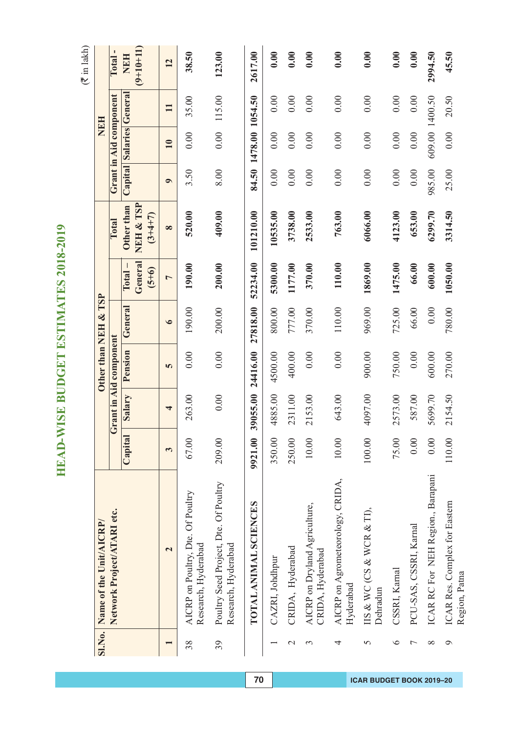$(\overline{\mathfrak{F}}$  in lakh)

|                          | SI.No. Name of the Unit/AICRP/                               |         |          |                        | Other than NEH & TSP |                    |                        |           |                         | NEH            |             |
|--------------------------|--------------------------------------------------------------|---------|----------|------------------------|----------------------|--------------------|------------------------|-----------|-------------------------|----------------|-------------|
|                          | Network Project/ATARI etc.                                   |         |          | Grant in Aid component |                      |                    | Total                  |           | Grant in Aid component  |                | Total-      |
|                          |                                                              | Capital | Salary   | Pension                | General              | $\Gamma$ otal –    | Other than             |           | Capital Salaries Genera |                | <b>NEH</b>  |
|                          |                                                              |         |          |                        |                      | General<br>$(5+6)$ | NEH & TSP<br>$(3+4+7)$ |           |                         |                | $(9+10+11)$ |
|                          | $\mathbf{\Omega}$                                            | 3       | 4        | 5                      | $\bullet$            | $\overline{ }$     | $\infty$               | $\bullet$ | 10                      | $\mathbf{I}$   | 12          |
| 38                       | AICRP on Poultry, Dte. Of Poultry<br>Research, Hyderabad     | 67.00   | 263.00   | 0.00                   | 190.00               | 190.00             | 520.00                 | 3.50      | 0.00                    | 35.00          | 38.50       |
| 39                       | Poultry Seed Project, Dte. Of Poultry<br>Research, Hyderabad | 209.00  | 0.00     | 0.00                   | 200.00               | 200.00             | 409.00                 | 8.00      | 0.00                    | 115.00         | 123.00      |
|                          | TOTAL ANIMAL SCIENCES                                        | 9921.00 | 39055.00 | 24416.00               | 27818.00             | 52234.00           | 101210.00              | 84.50     | 1478.00 1054.50         |                | 2617.00     |
| $\overline{\phantom{0}}$ | CAZRI, Johdhpur                                              | 350.00  | 4885.00  | 4500.00                | 800.00               | 5300.00            | 10535.00               | 0.00      | 0.00                    | 0.00           | 0.00        |
| $\mathcal{L}$            | CRIDA, Hyderabad                                             | 250.00  | 2311.00  | 400.00                 | 777.00               | 1177.00            | 3738.00                | 0.00      | 0.00                    | 0.00           | 0.00        |
| 3                        | AICRP on Dryland Agriculture,<br>CRIDA, Hyderabad            | $10.00$ | 2153.00  | 0.00                   | 370.00               | 370.00             | 2533.00                | 0.00      | 0.00                    | 0.00           | 0.00        |
| 4                        | AICRP on Agrometeorology, CRIDA,<br>Hyderabad                | $10.00$ | 643.00   | 0.00                   | 110.00               | 110.00             | 763.00                 | 0.00      | 0.00                    | 0.00           | 0.00        |
| 5                        | IIS & WC (CS & WCR & TI),<br>Dehradun                        | 100.00  | 4097.00  | 900.00                 | 969.00               | 1869.00            | 6066.00                | 0.00      | 0.00                    | 0.00           | 0.00        |
| $\circ$                  | CSSRI, Karnal                                                | 75.00   | 2573.00  | 750.00                 | 725.00               | 1475.00            | 4123.00                | 0.00      | 0.00                    | 0.00           | 0.00        |
| 7                        | PCU-SAS, CSSRI, Karnal                                       | 0.00    | 587.00   | $0.00\,$               | 66.00                | 66.00              | 653.00                 | 0.00      | 0.00                    | 0.00           | 0.00        |
| $\infty$                 | ICAR RC For NEH Region., Barapani                            | 0.00    | 5699.70  | 600.00                 | 0.00                 | 600.00             | 6299.70                | 985.00    |                         | 609.00 1400.50 | 2994.50     |
| $\circ$                  | ICAR Res. Complex for Eastern<br>Region, Patna               | 110.00  | 2154.50  | 270.00                 | 780.00               | 1050.00            | 3314.50                | 25.00     | 0.00                    | 20.50          | 45.50       |

**70 ICAR BUDGET BOOK 2019–20**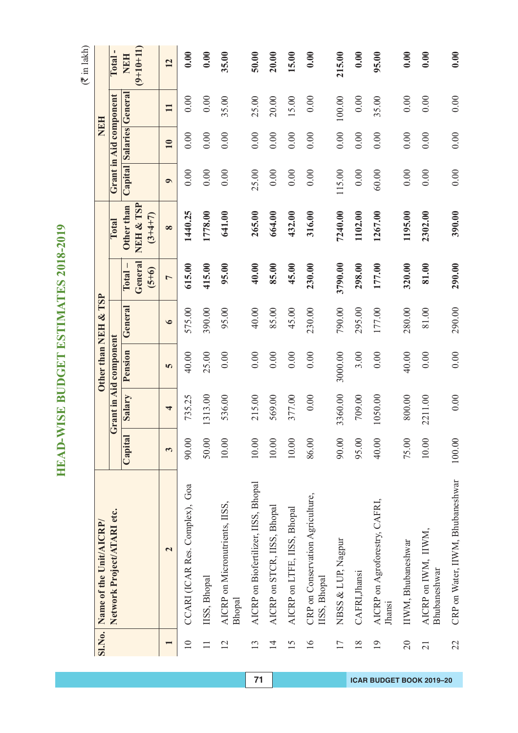|                 |                                                  |         |          | Other than NEH & TSP   |           |                    |                        |           | NEH                     |              |                   |
|-----------------|--------------------------------------------------|---------|----------|------------------------|-----------|--------------------|------------------------|-----------|-------------------------|--------------|-------------------|
|                 | Sl.No. Name of the Unit/AICRP/                   |         |          |                        |           |                    |                        |           |                         |              |                   |
|                 | Network Project/ATARI etc.                       |         |          | Grant in Aid component |           |                    | Total                  |           | Grant in Aid component  |              | п<br><b>Total</b> |
|                 |                                                  | Capital | Salary   | Pension                | General   | $\Gamma$ otal –    | Other than             |           | Capital Salaries Genera |              | <b>NEH</b>        |
|                 |                                                  |         |          |                        |           | General<br>$(5+6)$ | NEH & TSP<br>$(3+4+7)$ |           |                         |              | $(9+10+11)$       |
|                 | $\mathbf{\Omega}$                                | 3       | 4        | 5                      | $\bullet$ | $\overline{a}$     | $\infty$               | $\bullet$ | 10                      | $\mathbf{I}$ | 12                |
| $\overline{10}$ | CCARI (ICAR Res. Complex), Goa                   | 90.00   | 735.25   | 40.00                  | 575.00    | 615.00             | 1440.25                | 0.00      | 0.00                    | 0.00         | 0.00              |
|                 | IISS, Bhopal                                     | 50.00   | 1313.00  | 25.00                  | 390.00    | 415.00             | 1778.00                | 0.00      | 0.00                    | 0.00         | 0.00              |
| 12              | AICRP on Micronutrients, IISS,<br><b>Bhopal</b>  | 10.00   | 536.00   | 0.00                   | 95.00     | 95.00              | 641.00                 | 0.00      | 0.00                    | 35.00        | 35.00             |
| 13              | AICRP on Biofertilizer, IISS, Bhopal             | 10.00   | 215.00   | 0.00                   | 40.00     | 40.00              | 265.00                 | 25.00     | 0.00                    | 25.00        | 50.00             |
| 14              | AICRP on STCR, IISS, Bhopal                      | 10.00   | 569.00   | 0.00                   | 85.00     | 85.00              | 664.00                 | 0.00      | 0.00                    | 20.00        | 20.00             |
| 15              | AICRP on LTFE, IISS, Bhopal                      | 10.00   | 377.00   | 0.00                   | 45.00     | 45.00              | 432.00                 | 0.00      | 0.00                    | 15.00        | 15.00             |
| $\geq$          | CRP on Conservation Agriculture,<br>IISS, Bhopal | 86.00   | $0.00\,$ | 0.00                   | 230.00    | 230.00             | 316.00                 | 0.00      | 0.00                    | 0.00         | 0.00              |
| 17              | NBSS & LUP, Nagpur                               | 90.00   | 3360.00  | 3000.00                | 790.00    | 3790.00            | 7240.00                | 115.00    | 0.00                    | 100.00       | 215.00            |
| $\frac{8}{18}$  | CAFRI, Jhansi                                    | 95.00   | 709.00   | 3.00                   | 295.00    | 298.00             | 1102.00                | 0.00      | 0.00                    | 0.00         | 0.00              |
| $\overline{19}$ | AICRP on Agroforestry, CAFRI,<br>Jhansi          | 40.00   | 1050.00  | 0.00                   | 177.00    | 177.00             | 1267.00                | 60.00     | 0.00                    | 35.00        | 95.00             |
| $\overline{0}$  | IIWM, Bhubaneshwar                               | 75.00   | 800.00   | 40.00                  | 280.00    | 320.00             | 1195.00                | 0.00      | 0.00                    | 0.00         | 0.00              |
| $\overline{21}$ | AICRP on IWM, IIWM,<br>Bhubaneshwar              | 10.00   | 2211.00  | 0.00                   | 81.00     | 81.00              | 2302.00                | 0.00      | 0.00                    | 0.00         | 0.00              |
| 22              | CRP on Water, IIWM, Bhubaneshwar                 | 100.00  | 0.00     | 0.00                   | 290.00    | 290.00             | 390.00                 | 0.00      | 0.00                    | 0.00         | 0.00              |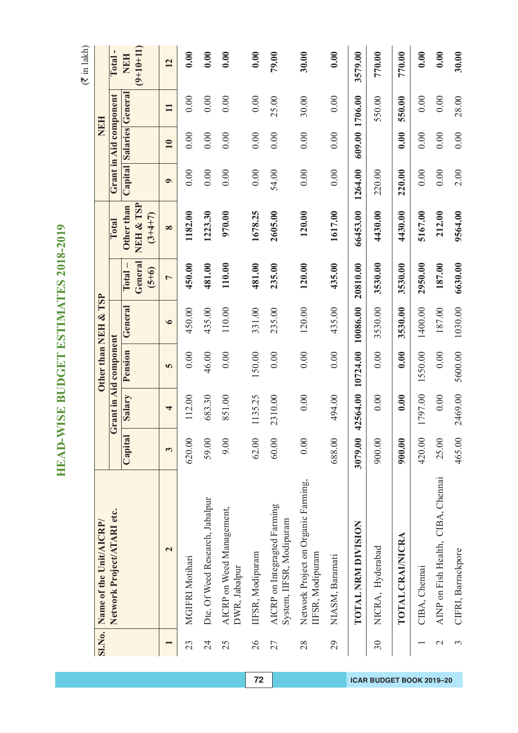|                 |                                                          |         |                   | Other than NEH & TSP   |           |                            |                         |           |                          | <b>NEH</b>   |                           |
|-----------------|----------------------------------------------------------|---------|-------------------|------------------------|-----------|----------------------------|-------------------------|-----------|--------------------------|--------------|---------------------------|
|                 | Sl.No. Name of the Unit/AICRP/                           |         |                   |                        |           |                            |                         |           |                          |              |                           |
|                 | Network Project/ATARI etc.                               |         |                   | Grant in Aid component |           |                            | Total                   |           | Grant in Aid component   |              | Total-                    |
|                 |                                                          | Capital | Salary            | Pension                | General   | General<br>$\Gamma$ otal – | NEH & TSP<br>Other than |           | Capital Salaries General |              | $(9+10+11)$<br><b>NEH</b> |
|                 |                                                          |         |                   |                        |           | $(5 + 6)$                  | $(3+4+7)$               |           |                          |              |                           |
|                 | $\overline{\mathbf{c}}$                                  | 3       | 4                 | 5                      | $\bullet$ | $\overline{ }$             | $\infty$                | $\bullet$ | 10                       | $\mathbf{H}$ | 12                        |
| 23              | MGIFRI Motihari                                          | 620.00  | 112.00            | 0.00                   | 450.00    | 450.00                     | 1182.00                 | 0.00      | 0.00                     | 0.00         | 0.00                      |
| 24              | Dte. Of Weed Research, Jabalpur                          | 59.00   | 683.30            | 46.00                  | 435.00    | 481.00                     | 1223.30                 | 0.00      | 0.00                     | 0.00         | 0.00                      |
| 25              | AICRP on Weed Management,<br>DWR, Jabalpur               | 9.00    | 851.00            | 0.00                   | 110.00    | 110.00                     | 970.00                  | 0.00      | 0.00                     | 0.00         | 0.00                      |
| 26              | IIFSR, Modipuram                                         | 62.00   | 1135.25           | 150.00                 | 331.00    | 481.00                     | 1678.25                 | 0.00      | 0.00                     | 0.00         | 0.00                      |
| 27              | AICRP on Integragted Farming<br>System, IIFSR, Modipuram | 60.00   | 2310.00           | 0.00                   | 235.00    | 235.00                     | 2605.00                 | 54.00     | 0.00                     | 25.00        | 79.00                     |
| 28              | Network Project on Organic Farming,<br>IFSR, Modipuram   | 0.00    | 0.00              | 0.00                   | 120.00    | 120.00                     | 120.00                  | 0.00      | 0.00                     | 30.00        | 30.00                     |
| 29              | NIASM, Baramati                                          | 688.00  | 494.00            | 0.00                   | 435.00    | 435.00                     | 1617.00                 | 0.00      | 0.00                     | 0.00         | 0.00                      |
|                 | TOTAL NRM DIVISION                                       | 3079.00 | 42564.00 10724.00 |                        | 10086.00  | 20810.00                   | 66453.00                | 1264.00   | 609.00                   | 1706.00      | 3579.00                   |
| 30              | NICRA, Hyderabad                                         | 900.00  | 0.00              | 0.00                   | 3530.00   | 3530.00                    | 4430.00                 | 220.00    |                          | 550.00       | 770.00                    |
|                 | TOTAL CRAI/NICRA                                         | 900.00  | 0.00              | 0.00                   | 3530.00   | 3530.00                    | 4430.00                 | 220.00    | 0.00                     | 550.00       | 770.00                    |
|                 | CIBA, Chennai                                            | 420.00  | 1797.00           | 1550.00                | 1400.00   | 2950.00                    | 5167.00                 | 0.00      | 0.00                     | 0.00         | 0.00                      |
| $\mathbf{\sim}$ | AINP on Fish Health, CIBA, Chennai                       | 25.00   | 0.00              | 0.00                   | 187.00    | 187.00                     | 212.00                  | 0.00      | 0.00                     | 0.00         | 0.00                      |
| 3               | CIFRI, Barrackpore                                       | 465.00  | 2469.00           | 5600.00                | 1030.00   | 6630.00                    | 9564.00                 | 2.00      | 0.00                     | 28.00        | 30.00                     |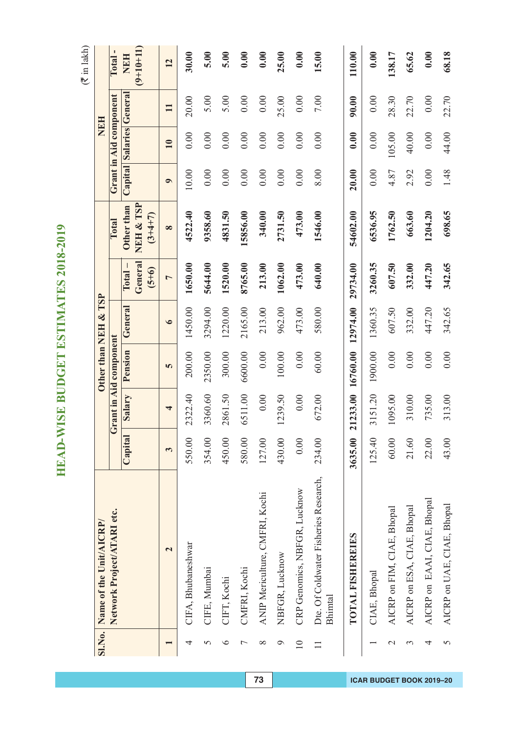$(\overline{\mathfrak{F}}$  in lakh)

|                 | Sl.No. Name of the Unit/AICRP/                   |         |                   |                        | Other than NEH & TSP |                                    |                                      |           | NEH                     |              |                           |
|-----------------|--------------------------------------------------|---------|-------------------|------------------------|----------------------|------------------------------------|--------------------------------------|-----------|-------------------------|--------------|---------------------------|
|                 |                                                  |         |                   |                        |                      |                                    | Total                                |           |                         |              | Total-                    |
|                 | Network Project/ATARI etc.                       |         |                   | Grant in Aid component |                      |                                    |                                      |           | Grant in Aid component  |              |                           |
|                 |                                                  | Capital | Salary            | Pension                | General              | General<br>$(5+6)$<br><b>Total</b> | NEH & TSP<br>Other than<br>$(3+4+7)$ |           | Capital Salaries Genera |              | $(9+10+11)$<br><b>NEH</b> |
|                 | $\overline{\mathbf{c}}$                          | 3       | 4                 | 5                      | $\bullet$            | $\overline{ }$                     | $\infty$                             | $\bullet$ | $\overline{10}$         | $\mathbf{I}$ | 12                        |
| 4               | CIFA, Bhubaneshwar                               | 550.00  | 2322.40           | 200.00                 | 1450.00              | 1650.00                            | 4522.40                              | 10.00     | 0.00                    | 20.00        | 30.00                     |
| 5               | CIFE, Mumbai                                     | 354.00  | 3360.60           | 2350.00                | 3294.00              | 5644.00                            | 9358.60                              | 0.00      | 0.00                    | 5.00         | 5.00                      |
| $\circ$         | CIFT, Kochi                                      | 450.00  | 2861.50           | 300.00                 | 1220.00              | 1520.00                            | 4831.50                              | 0.00      | 0.00                    | 5.00         | 5.00                      |
|                 | CMFRI, Kochi                                     | 580.00  | 6511.00           | 6600.00                | 2165.00              | 8765.00                            | 15856.00                             | 0.00      | 0.00                    | 0.00         | 0.00                      |
| ∞               | ANIP Mericulture, CMFRI, Kochi                   | 127.00  | 0.00              | 0.00                   | 213.00               | 213.00                             | 340.00                               | 0.00      | 0.00                    | 0.00         | 0.00                      |
| $\circ$         | NBFGR, Lucknow                                   | 430.00  | 1239.50           | 100.00                 | 962.00               | 1062.00                            | 2731.50                              | 0.00      | 0.00                    | 25.00        | 25.00                     |
| $\overline{10}$ | CRP Genomics, NBFGR, Lucknow                     | 0.00    | 0.00              | 0.00                   | 473.00               | 473.00                             | 473.00                               | 0.00      | 0.00                    | 0.00         | 0.00                      |
|                 | Dte. Of Coldwater Fisheries Research,<br>Bhimtal | 234.00  | 672.00            | 60.00                  | 580.00               | 640.00                             | 1546.00                              | 8.00      | 0.00                    | $7.00\,$     | 15.00                     |
|                 | TOTAL FISHEREIES                                 | 3635.00 | 21233.00 16760.00 |                        | 12974.00             | 29734.00                           | 54602.00                             | 20.00     | 0.00                    | 90.00        | 110.00                    |
|                 | CIAE, Bhopal                                     | 125.40  | 3151.20           | 1900.00                | 1360.35              | 3260.35                            | 6536.95                              | 0.00      | 0.00                    | 0.00         | 0.00                      |
| $\mathcal{C}$   | AICRP on FIM, CIAE, Bhopal                       | 60.00   | 1095.00           | 0.00                   | 607.50               | 607.50                             | 1762.50                              | 4.87      | 105.00                  | 28.30        | 138.17                    |
| 3               | AICRP on ESA, CIAE, Bhopal                       | 21.60   | 310.00            | 0.00                   | 332.00               | 332.00                             | 663.60                               | 2.92      | 40.00                   | 22.70        | 65.62                     |
| 4               | AICRP on EAAI, CIAE, Bhopal                      | 22.00   | 735.00            | 0.00                   | 447.20               | 447.20                             | 1204.20                              | 0.00      | 0.00                    | 0.00         | 0.00                      |
| 5               | AICRP on UAE, CIAE, Bhopal                       | 43.00   | 313.00            | 0.00                   | 342.65               | 342.65                             | 698.65                               | 1.48      | 44.00                   | 22.70        | 68.18                     |

**73 ICAR BUDGET BOOK 2019–20**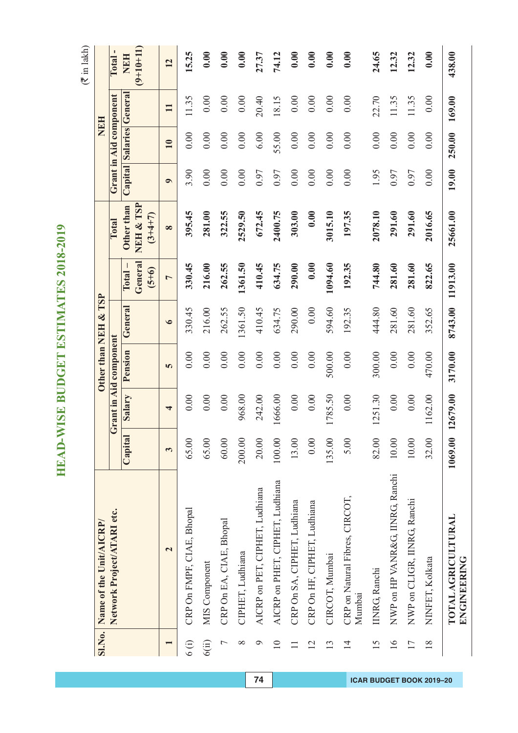|                | Sl.No. Name of the Unit/AICRP/           |         |          |                               | Other than NEH & TSP |                                       |                                      |           | NEH                     |              |                           |
|----------------|------------------------------------------|---------|----------|-------------------------------|----------------------|---------------------------------------|--------------------------------------|-----------|-------------------------|--------------|---------------------------|
|                | Network Project/ATARI etc.               |         |          | <b>Grant in Aid component</b> |                      |                                       | Total                                |           | Grant in Aid component  |              | J.<br>Total               |
|                |                                          |         |          |                               |                      |                                       |                                      |           |                         |              |                           |
|                |                                          | Capital | Salary   | Pension                       | General              | General<br>$\Gamma$ otal –<br>$(5+6)$ | NEH & TSP<br>Other than<br>$(3+4+7)$ |           | Capital Salaries Genera |              | $(9+10+11)$<br><b>NEH</b> |
|                | $\mathbf{\Omega}$                        | 3       | 4        | 5                             | $\bullet$            | $\overline{a}$                        | $\infty$                             | $\bullet$ | 10                      | $\mathbf{I}$ | 12                        |
| $6($ i)        | CRP On FMPF, CIAE, Bhopal                | 65.00   | 0.00     | 0.00                          | 330.45               | 330.45                                | 395.45                               | 3.90      | 0.00                    | 11.35        | 15.25                     |
| 6(ii)          | MIS Component                            | 65.00   | 0.00     | 0.00                          | 216.00               | 216.00                                | 281.00                               | 0.00      | 0.00                    | 0.00         | 0.00                      |
| $\overline{ }$ | CRP On EA, CIAE, Bhopal                  | 60.00   | 0.00     | 0.00                          | 262.55               | 262.55                                | 322.55                               | 0.00      | 0.00                    | 0.00         | 0.00                      |
| $\infty$       | CIPHET, Ludhiana                         | 200.00  | 968.00   | 0.00                          | 1361.50              | 1361.50                               | 2529.50                              | 0.00      | 0.00                    | 0.00         | 0.00                      |
| ⌒              | AICRP on PET, CIPHET, Ludhiana           | 20.00   | 242.00   | 0.00                          | 410.45               | 410.45                                | 672.45                               | 0.97      | 6.00                    | 20.40        | 27.37                     |
| $\supseteq$    | AICRP on PHET, CIPHET, Ludhiana          | 100.00  | 1666.00  | 0.00                          | 634.75               | 634.75                                | 2400.75                              | 0.97      | 55.00                   | 18.15        | 74.12                     |
| $\Box$         | CRP On SA, CIPHET, Ludhiana              | 13.00   | 0.00     | 0.00                          | 290.00               | 290.00                                | 303.00                               | 0.00      | 0.00                    | 0.00         | 0.00                      |
| $\overline{2}$ | CRP On HF, CIPHET, Ludhiana              | 0.00    | 0.00     | 0.00                          | 0.00                 | 0.00                                  | 0.00                                 | 0.00      | 0.00                    | 0.00         | 0.00                      |
| 13             | CIRCOT, Mumbai                           | 135.00  | 1785.50  | 500.00                        | 594.60               | 1094.60                               | 3015.10                              | 0.00      | 0.00                    | 0.00         | 0.00                      |
| $\overline{1}$ | CRP on Natural Fibres, CIRCOT,<br>Mumbai | 5.00    | 0.00     | 0.00                          | 192.35               | 192.35                                | 197.35                               | 0.00      | 0.00                    | 0.00         | 0.00                      |
| 15             | INRG, Ranchi                             | 82.00   | 1251.30  | 300.00                        | 444.80               | 744.80                                | 2078.10                              | 1.95      | 0.00                    | 22.70        | 24.65                     |
| 16             | NWP on HP VANR&G, IINRG, Ranchi          | 10.00   | 0.00     | 0.00                          | 281.60               | 281.60                                | 291.60                               | 0.97      | 0.00                    | 11.35        | 12.32                     |
| 17             | NWP on CLIGR, IINRG, Ranchi              | 10.00   | 0.00     | 0.00                          | 281.60               | 281.60                                | 291.60                               | 0.97      | 0.00                    | 11.35        | 12.32                     |
| 18             | NINFET, Kolkata                          | 32.00   | 1162.00  | 470.00                        | 352.65               | 822.65                                | 2016.65                              | 0.00      | 0.00                    | 0.00         | 0.00                      |
|                | TOTAL AGRICULTURAL<br><b>BNGINBERNG</b>  | 1069.00 | 12679.00 | 3170.00                       | 8743.00              | 11913.00                              | 25661.00                             | 19.00     | 250.00                  | 169.00       | 438.00                    |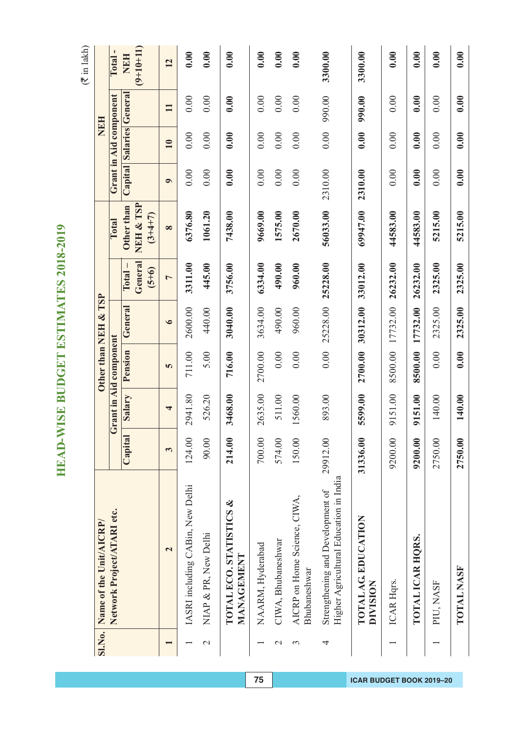$($  $\bar{z}$  in lakh)

| <b>SI.No.</b> | Name of the Unit/AICRP/                                                    |          |         |                        | Other than NEH & TSP |                                 |                                      |           | NEH                     |              |                           |
|---------------|----------------------------------------------------------------------------|----------|---------|------------------------|----------------------|---------------------------------|--------------------------------------|-----------|-------------------------|--------------|---------------------------|
|               | Network Project/ATARI etc.                                                 |          |         | Grant in Aid component |                      |                                 | Total                                |           | Grant in Aid component  |              | Total-                    |
|               |                                                                            | Capital  | Salary  | Pension                | General              | General<br>$Total -$<br>$(5+6)$ | NEH & TSP<br>Other than<br>$(3+4+7)$ |           | Capital Salaries Genera |              | $(9+10+11)$<br><b>NEH</b> |
|               | $\mathbf{\Omega}$                                                          | 3        | 4       | 5                      | $\bullet$            | $\overline{ }$                  | $\infty$                             | $\bullet$ | 10                      | $\mathbf{1}$ | 12                        |
|               | IASRI including CABin, New Delhi                                           | 124.00   | 2941.80 | 711.00                 | 2600.00              | 3311.00                         | 6376.80                              | 0.00      | 0.00                    | 0.00         | 0.00                      |
| $\mathcal{C}$ | NIAP & PR, New Delhi                                                       | 90.00    | 526.20  | 5.00                   | 440.00               | 445.00                          | 1061.20                              | 0.00      | 0.00                    | 0.00         | 0.00                      |
|               | <b>TOTAL ECO. STATISTICS &amp;</b><br>MANAGEMENT                           | 214.00   | 3468.00 | 716.00                 | 3040.00              | 3756.00                         | 7438.00                              | 0.00      | 0.00                    | 0.00         | 0.00                      |
|               | NAARM, Hyderabad                                                           | 700.00   | 2635.00 | 2700.00                | 3634.00              | 6334.00                         | 9669.00                              | 0.00      | 0.00                    | 0.00         | 0.00                      |
| $\mathcal{C}$ | CIWA, Bhubaneshwar                                                         | 574.00   | 511.00  | 0.00                   | 490.00               | 490.00                          | 1575.00                              | 0.00      | 0.00                    | 0.00         | 0.00                      |
| $\epsilon$    | AICRP on Home Science, CIWA,<br>Bhubaneshwar                               | 150.00   | 1560.00 | 0.00                   | 960.00               | 960.00                          | 2670.00                              | 0.00      | 0.00                    | 0.00         | 0.00                      |
| 4             | Higher Agricultural Education in India<br>Strengthening and Development of | 29912.00 | 893.00  | 0.00                   | 25228.00             | 25228.00                        | 56033.00                             | 2310.00   | 0.00                    | 990.00       | 3300.00                   |
|               | TOTAL AG. EDUCATION<br><b>DIVISION</b>                                     | 31336.00 | 5599.00 | 2700.00                | 30312.00             | 33012.00                        | 69947.00                             | 2310.00   | 0.00                    | 990.00       | 3300.00                   |
|               | ICAR Hqrs.                                                                 | 9200.00  | 9151.00 | 8500.00                | 17732.00             | 26232.00                        | 44583.00                             | 0.00      | 0.00                    | 0.00         | 0.00                      |
|               | TOTAL ICAR HORS.                                                           | 9200.00  | 9151.00 | 8500.00                | 17732.00             | 26232.00                        | 44583.00                             | 0.00      | 0.00                    | 0.00         | 0.00                      |
|               | PIU, NASF                                                                  | 2750.00  | 140.00  | 0.00                   | 2325.00              | 2325.00                         | 5215.00                              | 0.00      | 0.00                    | 0.00         | 0.00                      |
|               | TOTAL NASF                                                                 | 2750.00  | 140.00  | 0.00                   | 2325.00              | 2325.00                         | 5215.00                              | 0.00      | 0.00                    | 0.00         | 0.00                      |

**75 ICAR BUDGET BOOK 2019–20**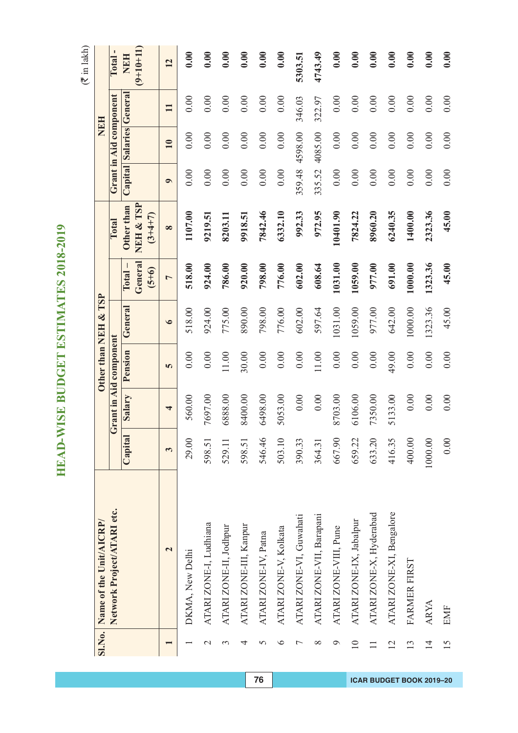|                 | Sl.No. Name of the Unit/AICRP/ |              |         |                        | Other than NEH & TSP |                    |                        |           |                         | NEH          |             |
|-----------------|--------------------------------|--------------|---------|------------------------|----------------------|--------------------|------------------------|-----------|-------------------------|--------------|-------------|
|                 | Network Project/ATARI etc.     |              |         | Grant in Aid component |                      |                    | Total                  |           | Grant in Aid component  |              | Total       |
|                 |                                | Capital      | Salary  | Pension                | General              | $\Gamma$ otal –    | Other than             |           | Capital Salaries Genera |              | <b>NEH</b>  |
|                 |                                |              |         |                        |                      | General<br>$(5+6)$ | NEH & TSP<br>$(3+4+7)$ |           |                         |              | $(9+10+11)$ |
|                 | $\overline{\mathbf{c}}$        | $\mathbf{c}$ | 4       | 5                      | $\bullet$            | $\overline{a}$     | $\infty$               | $\bullet$ | 10                      | $\mathbf{H}$ | 12          |
|                 | DKMA, New Delhi                | 29.00        | 560.00  | 0.00                   | 518.00               | 518.00             | 1107.00                | 0.00      | 0.00                    | 0.00         | 0.00        |
| $\mathcal{L}$   | ATARI ZONE-I, Ludhiana         | 598.51       | 7697.00 | 0.00                   | 924.00               | 924.00             | 9219.51                | 0.00      | 0.00                    | 0.00         | 0.00        |
| 3               | ATARI ZONE-II, Jodhpur         | 529.11       | 6888.00 | $11.00$                | 775.00               | 786.00             | 8203.11                | 0.00      | 0.00                    | 0.00         | 0.00        |
| 4               | ATARI ZONE-III, Kanpur         | 598.51       | 8400.00 | 30.00                  | 890.00               | 920.00             | 9918.51                | 0.00      | 0.00                    | 0.00         | 0.00        |
| 5               | ATARI ZONE-IV, Patna           | 546.46       | 6498.00 | 0.00                   | 798.00               | 798.00             | 7842.46                | 0.00      | 0.00                    | 0.00         | 0.00        |
| ∘               | ATARI ZONE-V, Kolkata          | 503.10       | 5053.00 | 0.00                   | 776.00               | 776.00             | 6332.10                | 0.00      | 0.00                    | 0.00         | 0.00        |
| Γ               | ATARI ZONE-VI, Guwahati        | 390.33       | 0.00    | 0.00                   | 602.00               | 602.00             | 992.33                 | 359.48    | 4598.00                 | 346.03       | 5303.51     |
| ∞               | ATARI ZONE-VII, Barapani       | 364.31       | 0.00    | $11.00$                | 597.64               | 608.64             | 972.95                 | 335.52    | 4085.00                 | 322.97       | 4743.49     |
| ᢒ               | ATARI ZONE-VIII, Pune          | 667.90       | 8703.00 | 0.00                   | 1031.00              | 1031.00            | 10401.90               | 0.00      | 0.00                    | 0.00         | 0.00        |
| $\supseteq$     | ATARI ZONE-IX, Jabalpur        | 659.22       | 6106.00 | 0.00                   | 1059.00              | 1059.00            | 7824.22                | 0.00      | 0.00                    | 0.00         | 0.00        |
|                 | ATARI ZONE-X, Hyderabad        | 633.20       | 7350.00 | 0.00                   | 977.00               | 977.00             | 8960.20                | 0.00      | 0.00                    | 0.00         | 0.00        |
| $\overline{12}$ | ATARI ZONE-XI, Bengalore       | 416.35       | 5133.00 | 49.00                  | 642.00               | 691.00             | 6240.35                | 0.00      | 0.00                    | 0.00         | 0.00        |
| 13              | FARMER FIRST                   | 400.00       | 0.00    | 0.00                   | 1000.00              | 1000.00            | 1400.00                | 0.00      | 0.00                    | 0.00         | 0.00        |
| $\overline{1}$  | <b>ARYA</b>                    | 1000.00      | 0.00    | 0.00                   | 1323.36              | 1323.36            | 2323.36                | 0.00      | 0.00                    | 0.00         | 0.00        |
| 15              | <b>EMF</b>                     | 0.00         | 0.00    | 0.00                   | 45.00                | 45.00              | 45.00                  | 0.00      | 0.00                    | 0.00         | 0.00        |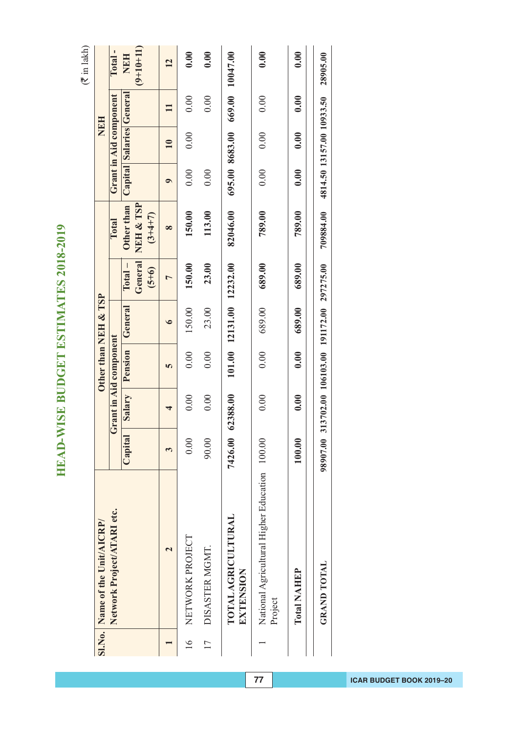$($  $\bar{z}$  in lakh)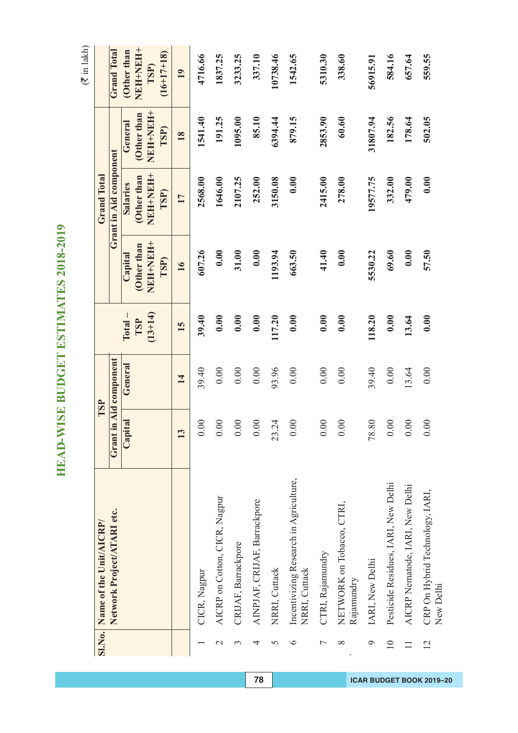**HEAD-WISE BUDGET ESTIMATES 2018-2019 HEAD-WISE BUDGET ESTIMATES 2018-2019**

|                  | Sl.No. Name of the Unit/AICRP/                          |                         | TSP                    |           |                        | <b>Grand Total</b>            |                |                      |
|------------------|---------------------------------------------------------|-------------------------|------------------------|-----------|------------------------|-------------------------------|----------------|----------------------|
|                  | Network Project/ATARI etc.                              |                         | Grant in Aid component |           |                        | <b>Grant in Aid component</b> |                | <b>Grand Total</b>   |
|                  |                                                         | Capital                 | General                | $Total -$ | Capital                | <b>Salaries</b>               | General        | Other than           |
|                  |                                                         |                         |                        | TSP       | Other than             | Other than                    | Other than     | NEH-NEH+             |
|                  |                                                         |                         |                        | $(13+14)$ | <b>HHAHHAN</b><br>TSP) | HHNEHNE<br>TSP)               | HHHHHH<br>TSP) | $(16+17+18)$<br>TSP) |
|                  |                                                         | $\overline{\mathbf{c}}$ | 14                     | 15        | 16                     | 17                            | <b>18</b>      | 19                   |
|                  | CICR, Nagpur                                            | 0.00                    | 39.40                  | 39.40     | 607.26                 | 2568.00                       | 1541.40        | 4716.66              |
| $\mathrel{\sim}$ | AICRP on Cotton, CICR, Nagpur                           | 0.00                    | 0.00                   | 0.00      | 0.00                   | 1646.00                       | 191.25         | 1837.25              |
| 3                | CRIJAF, Barrackpore                                     | 0.00                    | 0.00                   | 0.00      | 31.00                  | 2107.25                       | 1095.00        | 3233.25              |
| 4                | AINPJAF, CRIJAF, Barrackpore                            | $0.00$                  | 0.00                   | 0.00      | 0.00                   | 252.00                        | 85.10          | 337.10               |
| 5                | NRRI, Cuttack                                           | 23.24                   | 93.96                  | 117.20    | 1193.94                | 3150.08                       | 6394.44        | 10738.46             |
| ७                | Incentivizing Research in Agriculture,<br>NRRI, Cuttack | 0.00                    | 0.00                   | 0.00      | 663.50                 | 0.00                          | 879.15         | 1542.65              |
| Γ                | CTRI, Rajamundry                                        | 0.00                    | 0.00                   | 0.00      | 41.40                  | 2415.00                       | 2853.90        | 5310.30              |
| ∞                | NETWORK on Tobacco, CTRI,<br>Rajamundry                 | 0.00                    | 0.00                   | 0.00      | 0.00                   | 278.00                        | 60.60          | 338.60               |
| O                | IARI, New Delhi                                         | 78.80                   | 39.40                  | 118.20    | 5530.22                | 19577.75                      | 31807.94       | 56915.91             |
| $\overline{10}$  | Pesticide Residues, IARI, New Delhi                     | 0.00                    | 0.00                   | 0.00      | 69.60                  | 332.00                        | 182.56         | 584.16               |
|                  | AICRP Nematode, IARI, New Delhi                         | 0.00                    | 13.64                  | 13.64     | 0.00                   | 479.00                        | 178.64         | 657.64               |
| $\overline{2}$   | CRP On Hybrid Technology, IARI,<br>New Delhi            | 0.00                    | 0.00                   | 0.00      | 57.50                  | 0.00                          | 502.05         | 559.55               |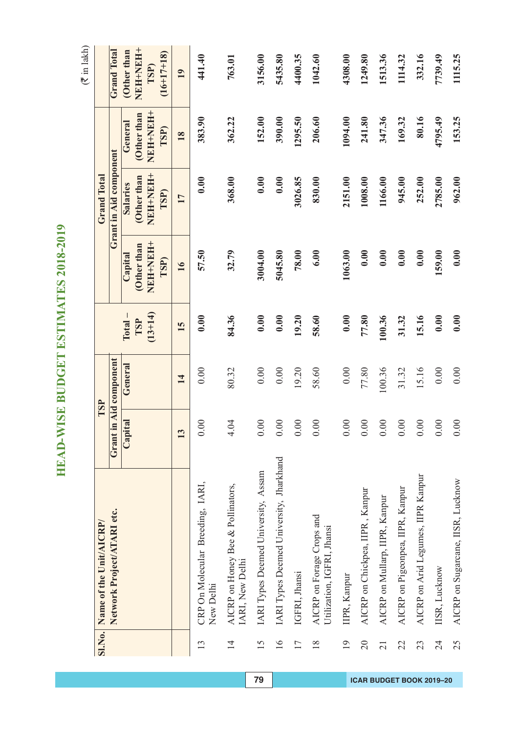**HEAD-WISE BUDGET ESTIMATES 2018-2019 HEAD-WISE BUDGET ESTIMATES 2018-2019**

 $($  $\bar{z}$  in lakh)

| <b>SI.No.</b>   | Name of the Unit/AICRP/                                 |                         | TSP                    |                  |                                | <b>Grand Total</b>             |                                |                                         |
|-----------------|---------------------------------------------------------|-------------------------|------------------------|------------------|--------------------------------|--------------------------------|--------------------------------|-----------------------------------------|
|                 | Network Project/ATARI etc.                              |                         | Grant in Aid component |                  |                                | Grant in Aid component         |                                | <b>Grand Total</b>                      |
|                 |                                                         | Capital                 | General                | $Total -$        | Capital                        | <b>Salaries</b>                | General                        | Other than                              |
|                 |                                                         |                         |                        | $(13+14)$<br>TSP | NEH+NEH+<br>Other than<br>TSP) | NEH-NEH+<br>Other than<br>TSP) | NEH-NEH+<br>Other than<br>TSP) | NEH+NEH+<br>$(16+17+18)$<br><b>TSP)</b> |
|                 |                                                         | $\overline{\mathbf{c}}$ | 14                     | 15               | 16                             | 17                             | <b>18</b>                      | 19                                      |
| 13              | CRP On Molecular Breeding, IARI,<br>New Delhi           | 0.00                    | 0.00                   | 0.00             | 57.50                          | 0.00                           | 383.90                         | 441.40                                  |
| $\overline{1}$  | AICRP on Honey Bee & Pollinators,<br>IARI, New Delhi    | 4.04                    | 80.32                  | 84.36            | 32.79                          | 368.00                         | 362.22                         | 763.01                                  |
| 15              | IARI Types Deemed University, Assam                     | 0.00                    | 0.00                   | 0.00             | 3004.00                        | 0.00                           | 152.00                         | 3156.00                                 |
| $\overline{16}$ | IARI Types Deemed University, Jharkhand                 | 0.00                    | 0.00                   | 0.00             | 5045.80                        | 0.00                           | 390.00                         | 5435.80                                 |
| 17              | IGFRI, Jhansi                                           | 0.00                    | 19.20                  | 19.20            | 78.00                          | 3026.85                        | 1295.50                        | 4400.35                                 |
| 18              | AICRP on Forage Crops and<br>Utilization, IGFRI, Jhansi | 0.00                    | 58.60                  | 58.60            | 6.00                           | 830.00                         | 206.60                         | 1042.60                                 |
| 19              | IIPR, Kanpur                                            | 0.00                    | 0.00                   | 0.00             | 1063.00                        | 2151.00                        | 1094.00                        | 4308.00                                 |
| $\overline{20}$ | AICRP on Chickpea, IIPR, Kanpur                         | $0.00\,$                | 77.80                  | 77.80            | 0.00                           | 1008.00                        | 241.80                         | 1249.80                                 |
| $\overline{21}$ | AICRP on Mullarp, IIPR, Kanpur                          | $0.00$                  | 100.36                 | 100.36           | 0.00                           | 1166.00                        | 347.36                         | 1513.36                                 |
| 22              | AICRP on Pigeonpea, IIPR, Kanpur                        | 0.00                    | 31.32                  | 31.32            | 0.00                           | 945.00                         | 169.32                         | 1114.32                                 |
| 23              | AICRP on Arid Legumes, IIPR Kanpur                      | 0.00                    | 15.16                  | 15.16            | 0.00                           | 252.00                         | 80.16                          | 332.16                                  |
| 24              | IISR, Lucknow                                           | 0.00                    | 0.00                   | 0.00             | 159.00                         | 2785.00                        | 4795.49                        | 7739.49                                 |
| 25              | AICRP on Sugarcane, IISR, Lucknow                       | $0.00\,$                | 0.00                   | 0.00             | 0.00                           | 962.00                         | 153.25                         | 1115.25                                 |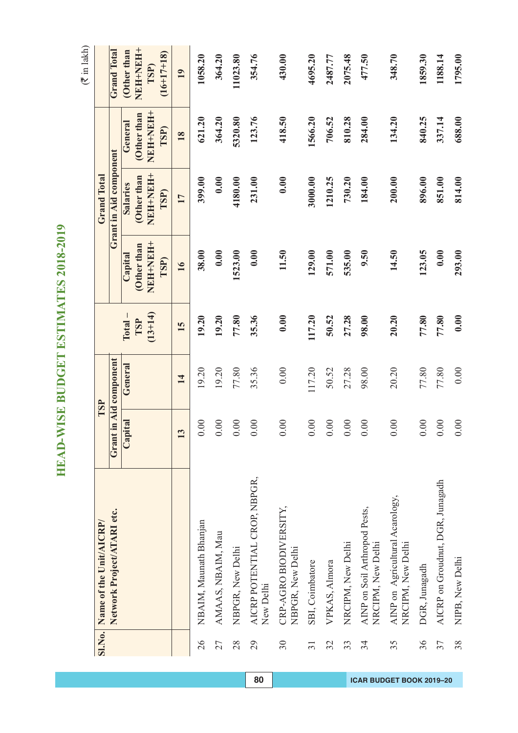**HEAD-WISE BUDGET ESTIMATES 2018-2019 HEAD-WISE BUDGET ESTIMATES 2018-2019**

 $\overline{1}$ 

|                 | Sl.No. Name of the Unit/AICRP/                       | TSP                    |         |           |                 | <b>Grand Total</b>     |                        |                      |
|-----------------|------------------------------------------------------|------------------------|---------|-----------|-----------------|------------------------|------------------------|----------------------|
|                 | Network Project/ATARI etc.                           | Grant in Aid component |         |           |                 | Grant in Aid component |                        | <b>Grand Total</b>   |
|                 |                                                      | Capital                | General | $Total -$ | Capital         | <b>Salaries</b>        | General                | Other than           |
|                 |                                                      |                        |         | TSP       | Other than      | Other than             | (Other than            | NEH-NEH+             |
|                 |                                                      |                        |         | $(13+14)$ | NEHNEH-<br>TSP) | HHHHHH<br>TSP)         | HHNEH<br>HHNEH<br>TSP) | $(16+17+18)$<br>TSP) |
|                 |                                                      | 13                     | 14      | 15        | 16              | 17                     | 18                     | 19                   |
| 26              | NBAIM, Maunath Bhanjan                               | 0.00                   | 19.20   | 19.20     | 38.00           | 399.00                 | 621.20                 | 1058.20              |
| 27              | AMAAS, NBAIM, Mau                                    | 0.00                   | 19.20   | 19.20     | 0.00            | 0.00                   | 364.20                 | 364.20               |
| 28              | NBPGR, New Delhi                                     | 0.00                   | 77.80   | 77.80     | 1523.00         | 4180.00                | 5320.80                | 11023.80             |
| 29              | AICRP POTENTIAL CROP, NBPGR,<br>New Delhi            | 0.00                   | 35.36   | 35.36     | 0.00            | 231.00                 | 123.76                 | 354.76               |
| 30              | CRP-AGRO BIODIVERSITY,<br>NBPGR, New Delhi           | 0.00                   | 0.00    | 0.00      | 11.50           | 0.00                   | 418.50                 | 430.00               |
| $\overline{31}$ | SBI, Coimbatore                                      | 0.00                   | 117.20  | 117.20    | 129.00          | 3000.00                | 1566.20                | 4695.20              |
| 32              | VPKAS, Almora                                        | 0.00                   | 50.52   | 50.52     | 571.00          | 1210.25                | 706.52                 | 2487.77              |
| 33              | NRCIPM, New Delhi                                    | 0.00                   | 27.28   | 27.28     | 535.00          | 730.20                 | 810.28                 | 2075.48              |
| 34              | AINP on Soil Arthropod Pests,<br>NRCIPM, New Delhi   | 0.00                   | 98.00   | 98.00     | 9.50            | 184.00                 | 284.00                 | 477.50               |
| 35              | AINP on Agricultural Acarology,<br>NRCIPM, New Delhi | 0.00                   | 20.20   | 20.20     | 14.50           | 200.00                 | 134.20                 | 348.70               |
| 36              | DGR, Junagadh                                        | 0.00                   | 77.80   | 77.80     | 123.05          | 896.00                 | 840.25                 | 1859.30              |
| 37              | AICRP on Groudnut, DGR, Junagadh                     | 0.00                   | 77.80   | 77.80     | 0.00            | 851.00                 | 337.14                 | 1188.14              |
| 38              | NIPB, New Delhi                                      | 0.00                   | 0.00    | 0.00      | 293.00          | 814.00                 | 688.00                 | 1795.00              |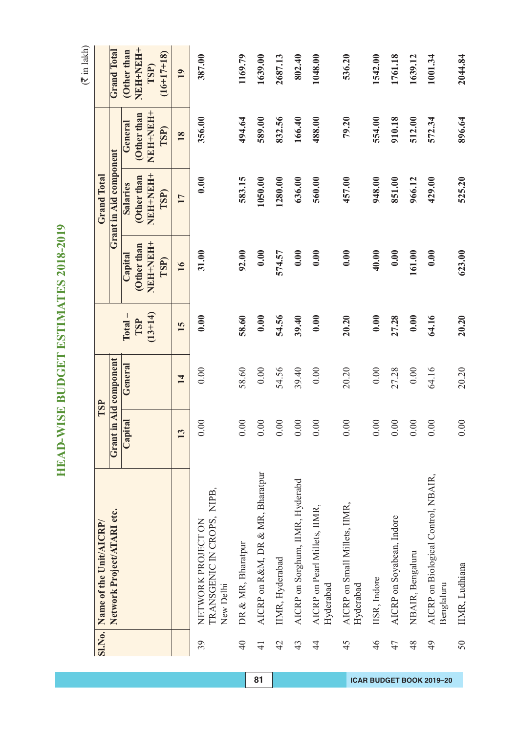**HEAD-WISE BUDGET ESTIMATES 2018-2019 HEAD-WISE BUDGET ESTIMATES 2018-2019**

|                 | Sl.No. Name of the Unit/AICRP/                                |         | TSP                    |           |            | <b>Grand Total</b>     |            |                    |
|-----------------|---------------------------------------------------------------|---------|------------------------|-----------|------------|------------------------|------------|--------------------|
|                 |                                                               |         |                        |           |            |                        |            |                    |
|                 | Network Project/ATARI etc.                                    |         | Grant in Aid component |           |            | Grant in Aid component |            | <b>Grand Total</b> |
|                 |                                                               | Capital | General                | $Total -$ | Capital    | <b>Salaries</b>        | General    | Other than         |
|                 |                                                               |         |                        | TSP       | Other than | (Other than            | Other than | NEH-NEH+           |
|                 |                                                               |         |                        | $(13+14)$ | NEH-NEH-   | NEH+NEH+               | NEH+NEH+   | TSP)               |
|                 |                                                               |         |                        |           | TSP)       | TSP)                   | TSP)       | $(16+17+18)$       |
|                 |                                                               | 13      | 14                     | 15        | 16         | 17                     | 18         | 19                 |
| 39              | TRANSGENIC IN CROPS, NIPB,<br>NETWORK PROJECT ON<br>New Delhi | 0.00    | 0.00                   | 0.00      | 31.00      | 0.00                   | 356.00     | 387.00             |
| $\overline{40}$ | DR & MR, Bharatpur                                            | 0.00    | 58.60                  | 58.60     | 92.00      | 583.15                 | 494.64     | 1169.79            |
| $\frac{1}{4}$   | AICRP on R&M, DR & MR, Bharatpur                              | 0.00    | 0.00                   | 0.00      | 0.00       | 1050.00                | 589.00     | 1639.00            |
| 42              | IIMR, Hyderabad                                               | 0.00    | 54.56                  | 54.56     | 574.57     | 1280.00                | 832.56     | 2687.13            |
| 43              | AICRP on Sorghum, IIMR, Hyderabd                              | 0.00    | 39.40                  | 39.40     | 0.00       | 636.00                 | 166.40     | 802.40             |
| $\frac{4}{3}$   | AICRP on Pearl Millets, IIMR,<br>Hyderabad                    | 0.00    | 0.00                   | 0.00      | 0.00       | 560.00                 | 488.00     | 1048.00            |
| 45              | AICRP on Small Millets, IIMR,<br>Hyderabad                    | 0.00    | 20.20                  | 20.20     | 0.00       | 457.00                 | 79.20      | 536.20             |
| 46              | IISR, Indore                                                  | 0.00    | 0.00                   | 0.00      | 40.00      | 948.00                 | 554.00     | 1542.00            |
| 47              | AICRP on Soyabean, Indore                                     | 0.00    | 27.28                  | 27.28     | 0.00       | 851.00                 | 910.18     | 1761.18            |
| 48              | NBAIR, Bengaluru                                              | 0.00    | 0.00                   | 0.00      | 161.00     | 966.12                 | 512.00     | 1639.12            |
| 49              | AICRP on Biological Control, NBAIR,<br>Benglaluru             | 0.00    | 64.16                  | 64.16     | 0.00       | 429.00                 | 572.34     | 1001.34            |
| 50              | IIMR, Ludhiana                                                | 0.00    | 20.20                  | 20.20     | 623.00     | 525.20                 | 896.64     | 2044.84            |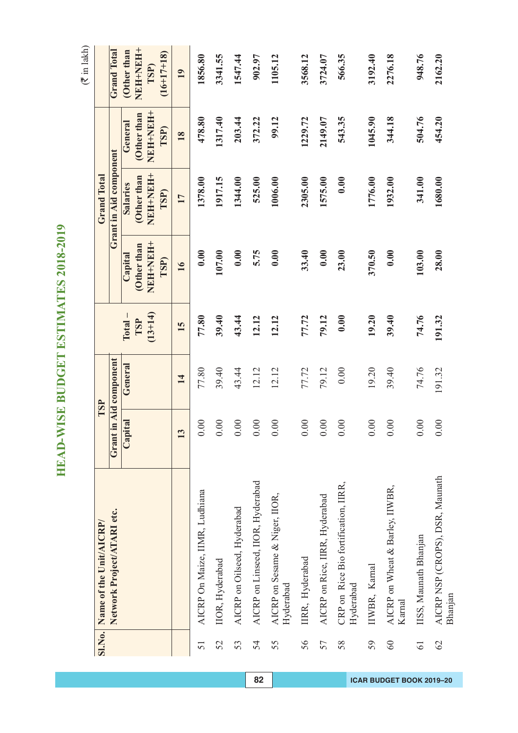HEAD-WISE BUDGET ESTIMATES 2018-2019 **HEAD-WISE BUDGET ESTIMATES 2018-2019**

|                 | Sl.No. Name of the Unit/AICRP/                    |         | TSP                    |                  |                             | <b>Grand Total</b>             |                              |                                  |
|-----------------|---------------------------------------------------|---------|------------------------|------------------|-----------------------------|--------------------------------|------------------------------|----------------------------------|
|                 | Network Project/ATARI etc.                        |         | Grant in Aid component |                  |                             | Grant in Aid component         |                              | <b>Grand Total</b>               |
|                 |                                                   | Capital | General                | $Total -$        | Capital                     | <b>Salaries</b>                | General                      | Other than                       |
|                 |                                                   |         |                        | $(13+14)$<br>TSP | HHNEH<br>Other than<br>TSP) | NEH-NEH-<br>Other than<br>TSP) | HHHHHH<br>Other than<br>TSP) | NEH+NEH+<br>$(16+17+18)$<br>TSP) |
|                 |                                                   | 13      | 14                     | 15               | 16                          | 17                             | 18                           | 19                               |
| 51              | AICRP On Maize, IIMR, Ludhiana                    | 0.00    | 77.80                  | 77.80            | 0.00                        | 1378.00                        | 478.80                       | 1856.80                          |
| 52              | IIOR, Hyderabad                                   | 0.00    | 39.40                  | 39.40            | 107.00                      | 1917.15                        | 1317.40                      | 3341.55                          |
| 53              | AICRP on Oilseed, Hyderabad                       | 0.00    | 43.44                  | 43.44            | 0.00                        | 1344.00                        | 203.44                       | 1547.44                          |
| 54              | AICRP on Linseed, IIOR, Hyderabad                 | 0.00    | 12.12                  | 12.12            | 5.75                        | 525.00                         | 372.22                       | 902.97                           |
| 55              | AICRP on Sesame & Niger, IIOR,<br>Hyderabad       | 0.00    | 12.12                  | 12.12            | 0.00                        | 1006.00                        | 99.12                        | 1105.12                          |
| 56              | IIRR, Hyderabad                                   | 0.00    | 77.72                  | 77.72            | 33.40                       | 2305.00                        | 1229.72                      | 3568.12                          |
| 57              | AICRP on Rice, IIRR, Hyderabad                    | 0.00    | 79.12                  | 79.12            | 0.00                        | 1575.00                        | 2149.07                      | 3724.07                          |
| 58              | CRP on Rice Bio fortification, IIRR,<br>Hyderabad | 0.00    | 0.00                   | 0.00             | 23.00                       | 0.00                           | 543.35                       | 566.35                           |
| 59              | IIWBR, Kamal                                      | 0.00    | 19.20                  | 19.20            | 370.50                      | 1776.00                        | 1045.90                      | 3192.40                          |
| $60\,$          | AICRP on Wheat & Barley, IIWBR,<br>Karnal         | 0.00    | 39.40                  | 39.40            | 0.00                        | 1932.00                        | 344.18                       | 2276.18                          |
| $\overline{61}$ | IISS, Maunath Bhanjan                             | 0.00    | 74.76                  | 74.76            | 103.00                      | 341.00                         | 504.76                       | 948.76                           |
| 62              | AICRP NSP (CROPS), DSR, Maunath<br>Bhanjan        | 0.00    | 191.32                 | 191.32           | 28.00                       | 1680.00                        | 454.20                       | 2162.20                          |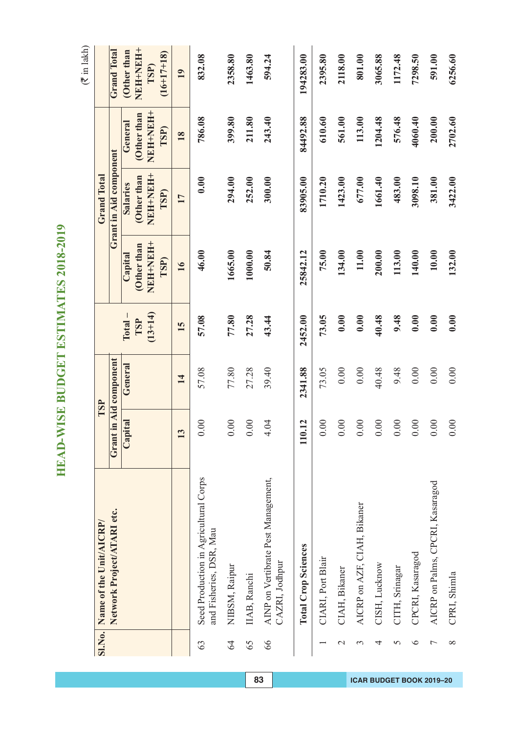HEAD-WISE BUDGET ESTIMATES 2018-2019 **HEAD-WISE BUDGET ESTIMATES 2018-2019**

|                | Sl.No. Name of the Unit/AICRP/                                   |                        | TSP                    |           |            | <b>Grand Total</b>     |             |                    |
|----------------|------------------------------------------------------------------|------------------------|------------------------|-----------|------------|------------------------|-------------|--------------------|
|                | Network Project/ATARI etc.                                       |                        | Grant in Aid component |           |            | Grant in Aid component |             | <b>Grand Total</b> |
|                |                                                                  | Capital                | General                | $Total -$ | Capital    | <b>Salaries</b>        | General     | Other than         |
|                |                                                                  |                        |                        | TSP       | Other than | (Other than            | (Other than | NEH-NEH+           |
|                |                                                                  |                        |                        | $(13+14)$ | NEH-NEH-   | NEH-NEH-               | NEH-NEH-    | TSP)               |
|                |                                                                  |                        |                        |           | TSP)       | TSP)                   | TSP)        | $(16+17+18)$       |
|                |                                                                  | $\mathbf{C}$           | 14                     | 15        | 16         | 17                     | 18          | 19                 |
| 63             | Seed Production in Agricultural Corps<br>and Fisheries, DSR, Mau | 0.00                   | 57.08                  | 57.08     | 46.00      | 0.00                   | 786.08      | 832.08             |
| 64             | NIBSM, Raipur                                                    | 0.00                   | 77.80                  | 77.80     | 1665.00    | 294.00                 | 399.80      | 2358.80            |
| 65             | IIAB, Ranchi                                                     | $0.00$                 | 27.28                  | 27.28     | 1000.00    | 252.00                 | 211.80      | 1463.80            |
| 66             | AINP on Vertibrate Pest Management,<br>CAZRI, Jodhpur            | 4.04                   | 39.40                  | 43.44     | 50.84      | 300.00                 | 243.40      | 594.24             |
|                | <b>Total Crop Sciences</b>                                       | 0.12<br>$\blacksquare$ | 2341.88                | 2452.00   | 25842.12   | 83905.00               | 84492.88    | 194283.00          |
|                | CIARI, Port Blair                                                | 0.00                   | 73.05                  | 73.05     | 75.00      | 1710.20                | 610.60      | 2395.80            |
| $\mathbf 2$    | CIAH, Bikaner                                                    | 0.00                   | 0.00                   | 0.00      | 134.00     | 1423.00                | 561.00      | 2118.00            |
| $\mathfrak{c}$ | AICRP on AZF, CIAH, Bikaner                                      | 0.00                   | 0.00                   | 0.00      | 11.00      | 677.00                 | 113.00      | 801.00             |
| 4              | CISH, Lucknow                                                    | $0.00$                 | 40.48                  | 40.48     | 200.00     | 1661.40                | 1204.48     | 3065.88            |
| 5              | CITH, Srinagar                                                   | 0.00                   | 9.48                   | 9.48      | 113.00     | 483.00                 | 576.48      | 1172.48            |
| ∘              | CPCRI, Kasaragod                                                 | 0.00                   | 0.00                   | 0.00      | 140.00     | 3098.10                | 4060.40     | 7298.50            |
| 7              | AICRP on Palms, CPCRI, Kasaragod                                 | $0.00$                 | 0.00                   | 0.00      | 10.00      | 381.00                 | 200.00      | 591.00             |
| $\infty$       | CPRI, Shimla                                                     | 0.00                   | 0.00                   | 0.00      | 132.00     | 3422.00                | 2702.60     | 6256.60            |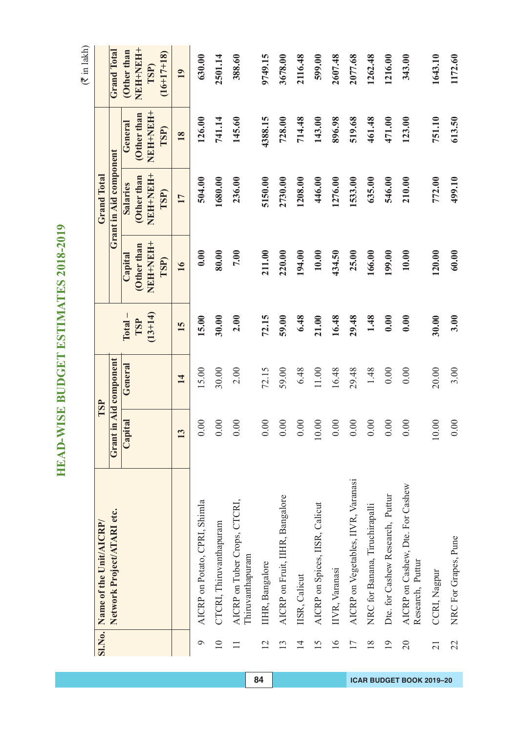**HEAD-WISE BUDGET ESTIMATES 2018-2019 HEAD-WISE BUDGET ESTIMATES 2018-2019**

|                 | SI.No. Name of the Unit/AICRP/                       |         | TSP              |           |            | <b>Grand Total</b>     |            |                    |
|-----------------|------------------------------------------------------|---------|------------------|-----------|------------|------------------------|------------|--------------------|
|                 | Network Project/ATARI etc.                           | Grant   | in Aid component |           |            | Grant in Aid component |            | <b>Grand Total</b> |
|                 |                                                      | Capital | General          | $Total -$ | Capital    | <b>Salaries</b>        | General    | Other than         |
|                 |                                                      |         |                  | TSP       | Other than | Other than             | Other than | NEH+NEH+           |
|                 |                                                      |         |                  | $(13+14)$ | NEH-NEH-   | NEH-NEH-               | NEH-NEH-   | <b>TSP)</b>        |
|                 |                                                      |         |                  |           | TSP)       | TSP)                   | TSP)       | $(16+17+18)$       |
|                 |                                                      | 13      | 14               | 15        | 16         | 17                     | 18         | 19                 |
| $\circ$         | AICRP on Potato, CPRI, Shimla                        | 0.00    | 15.00            | 15.00     | 0.00       | 504.00                 | 126.00     | 630.00             |
| $\overline{10}$ | CTCRI, Thiruvanthapuram                              | 0.00    | 30.00            | 30.00     | 80.00      | 1680.00                | 741.14     | 2501.14            |
| $\Box$          | AICRP on Tuber Crops, CTCRI,<br>Thiruvanthapuram     | 00(     | 2.00             | 2.00      | 7.00       | 236.00                 | 145.60     | 388.60             |
| $\overline{2}$  | IIHR, Bangalore                                      | 0.00    | 72.15            | 72.15     | 211.00     | 5150.00                | 4388.15    | 9749.15            |
| $\overline{13}$ | AICRP on Fruit, IIHR, Bangalore                      | 0.00    | 59.00            | 59.00     | 220.00     | 2730.00                | 728.00     | 3678.00            |
| $\overline{4}$  | IISR, Calicut                                        | 0.00    | 6.48             | 6.48      | 194.00     | 1208.00                | 714.48     | 2116.48            |
| 15              | AICRP on Spices, IISR, Calicut                       | 0.00    | $11.00\,$        | 21.00     | 10.00      | 446.00                 | 143.00     | 599.00             |
| $\frac{6}{1}$   | IIVR, Varanasi                                       | 0.00    | 16.48            | 16.48     | 434.50     | 1276.00                | 896.98     | 2607.48            |
| $\overline{17}$ | AICRP on Vegetables, IIVR, Varanasi                  | 0.00    | 29.48            | 29.48     | 25.00      | 1533.00                | 519.68     | 2077.68            |
| $\frac{8}{18}$  | NRC for Banana, Tiruchirapalli                       | 0.00    | 1.48             | 1.48      | 166.00     | 635.00                 | 461.48     | 1262.48            |
| $\overline{19}$ | Dte. for Cashew Research, Puttur                     | 0.00    | 0.00             | 0.00      | 199.00     | 546.00                 | 471.00     | 1216.00            |
| $\overline{c}$  | AICRP on Cashew, Dte. For Cashew<br>Research, Puttur | 00(     | 0.00             | 0.00      | 10.00      | 210.00                 | 123.00     | 343.00             |
| $\overline{21}$ | CCRI, Nagpur                                         | 10.00   | 20.00            | 30.00     | 120.00     | 772.00                 | 751.10     | 1643.10            |
| 22              | NRC For Grapes, Pune                                 | 0.00    | 3.00             | 3.00      | 60.00      | 499.10                 | 613.50     | 1172.60            |

**84 ICAR BUDGET BOOK 2019–20**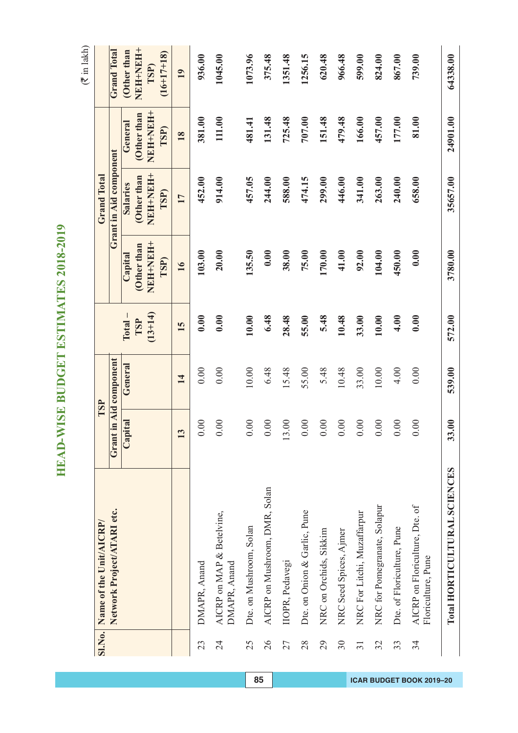HEAD-WISE BUDGET ESTIMATES 2018-2019 **HEAD-WISE BUDGET ESTIMATES 2018-2019**

|                                                      | SI.No. Name of the Unit/AICRP/ |              | TSP                    |           |                  | <b>Grand Total</b>            |                  |                      |
|------------------------------------------------------|--------------------------------|--------------|------------------------|-----------|------------------|-------------------------------|------------------|----------------------|
| Network Project/ATARI etc.                           |                                |              | Grant in Aid component |           |                  | <b>Grant in Aid component</b> |                  | <b>Grand Total</b>   |
|                                                      |                                | Capital      | General                | $Total -$ | Capital          | <b>Salaries</b>               | General          | Other than           |
|                                                      |                                |              |                        | TSP       | Other than       | Other than                    | Other than       | NEH-NEH+             |
|                                                      |                                |              |                        | $(13+14)$ | NEH+NEH+<br>TSP) | NEH-NEH+<br>TSP)              | NEH-NEH-<br>TSP) | $(16+17+18)$<br>TSP) |
|                                                      |                                | $\mathbf{C}$ | 14                     | 15        | 16               | 17                            | <b>18</b>        | 19                   |
| DMAPR, Anand                                         |                                | 0.00         | 0.00                   | 0.00      | 103.00           | 452.00                        | 381.00           | 936.00               |
| AICRP on MAP & Betelvine,<br>DMAPR, Anand            |                                | 0.00         | 0.00                   | 0.00      | 20.00            | 914.00                        | 111.00           | 1045.00              |
| Dte. on Mushroom, Solan                              |                                | 0.00         | 10.00                  | 10.00     | 135.50           | 457.05                        | 481.41           | 1073.96              |
| AICRP on Mushroom, DMR, Solan                        |                                | 0.00         | 6.48                   | 6.48      | 0.00             | 244.00                        | 131.48           | 375.48               |
| IIOPR, Pedavegi                                      |                                | 3.00         | 15.48                  | 28.48     | 38.00            | 588.00                        | 725.48           | 1351.48              |
| Dte. on Onion & Garlic, Pune                         |                                | 0.00         | 55.00                  | 55.00     | 75.00            | 474.15                        | 707.00           | 1256.15              |
| NRC on Orchids, Sikkim                               |                                | 0.00         | 5.48                   | 5.48      | 170.00           | 299.00                        | 151.48           | 620.48               |
| NRC Seed Spices, Ajmer                               |                                | 0.00         | 10.48                  | 10.48     | 41.00            | 446.00                        | 479.48           | 966.48               |
| NRC For Litchi, Muzaffarpur                          |                                | 0.00         | 33.00                  | 33.00     | 92.00            | 341.00                        | 166.00           | 599.00               |
| NRC for Pomegranate, Solapur                         |                                | 0.00         | 10.00                  | 10.00     | 104.00           | 263.00                        | 457.00           | 824.00               |
| Dte. of Floriculture, Pune                           |                                | 0.00         | 4.00                   | 4.00      | 450.00           | 240.00                        | 177.00           | 867.00               |
| AICRP on Floriculture, Dte. of<br>Floriculture, Pune |                                | 0.00         | 0.00                   | 0.00      | 0.00             | 658.00                        | 81.00            | 739.00               |
| Total HORTICULTURAL SCIENCES                         |                                | 33.00        | 539.00                 | 572.00    | 3780.00          | 35657.00                      | 24901.00         | 64338.00             |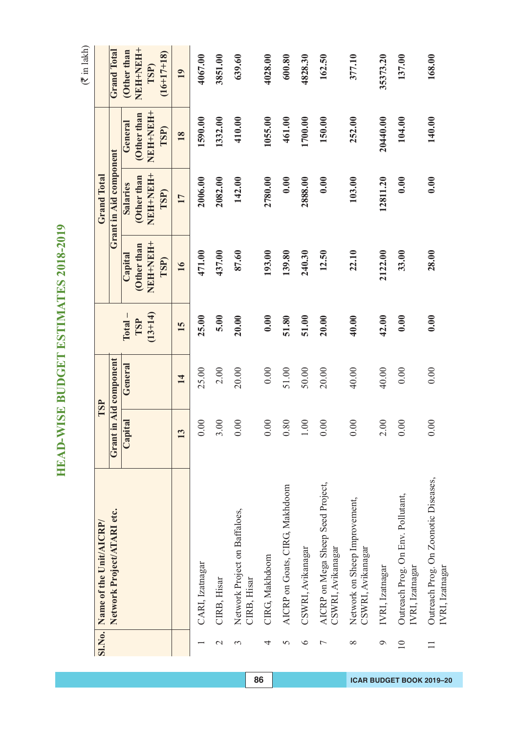HEAD-WISE BUDGET ESTIMATES 2018-2019 **HEAD-WISE BUDGET ESTIMATES 2018-2019**

|                 | Sl.No. Name of the Unit/AICRP/                          |         | TSP                    |           |                  | <b>Grand Total</b>     |                |                      |
|-----------------|---------------------------------------------------------|---------|------------------------|-----------|------------------|------------------------|----------------|----------------------|
|                 | Network Project/ATARI etc.                              |         | Grant in Aid component |           |                  | Grant in Aid component |                | <b>Grand Total</b>   |
|                 |                                                         | Capital | General                | $Total -$ | Capital          | <b>Salaries</b>        | General        | Other than           |
|                 |                                                         |         |                        | TSP       | Other than       | (Other than            | Other than     | HHHHHH+              |
|                 |                                                         |         |                        | $(13+14)$ | NEH-NEH-<br>TSP) | HHHHHH<br>TSP)         | HEHHHH<br>TSP) | $(16+17+18)$<br>TSP) |
|                 |                                                         | 13      | 14                     | 15        | 16               | 17                     | 18             | 19                   |
|                 | CARI, Izatnagar                                         | 0.00    | 25.00                  | 25.00     | 471.00           | 2006.00                | 1590.00        | 4067.00              |
| $\mathbf{\sim}$ | CIRB, Hisar                                             | 3.00    | 2.00                   | 5.00      | 437.00           | 2082.00                | 1332.00        | 3851.00              |
| 3               | Network Project on Baffaloes,<br>CIRB, Hisar            | 0.00    | 20.00                  | 20.00     | 87.60            | 142.00                 | 410.00         | 639.60               |
| 4               | CIRG, Makhdoom                                          | 0.00    | 0.00                   | 0.00      | 193.00           | 2780.00                | 1055.00        | 4028.00              |
| $\overline{5}$  | AICRP on Goats, CIRG, Makhdoom                          | 0.80    | 51.00                  | 51.80     | 139.80           | 0.00                   | 461.00         | 600.80               |
| $\circ$         | CSWRI, Avikanagar                                       | 1.00    | 50.00                  | 51.00     | 240.30           | 2888.00                | 1700.00        | 4828.30              |
| $\overline{ }$  | AICRP on Mega Sheep Seed Project,<br>CSWRI, Avikanagar  | 0.00    | 20.00                  | 20.00     | 12.50            | 0.00                   | 150.00         | 162.50               |
| $\infty$        | Network on Sheep Improvement,<br>CSWRI, Avikanagar      | 0.00    | 40.00                  | 40.00     | 22.10            | 103.00                 | 252.00         | 377.10               |
| Q               | IVRI, Izatnagar                                         | 2.00    | 40.00                  | 42.00     | 2122.00          | 12811.20               | 20440.00       | 35373.20             |
| $\overline{10}$ | Outreach Prog. On Env. Pollutant,<br>IVRI, Izatnagar    | 0.00    | 0.00                   | 0.00      | 33.00            | 0.00                   | 104.00         | 137.00               |
|                 | Outreach Prog. On Zoonotic Diseases,<br>IVRI, Izatnagar | 0.00    | 0.00                   | 0.00      | 28.00            | 0.00                   | 140.00         | 168.00               |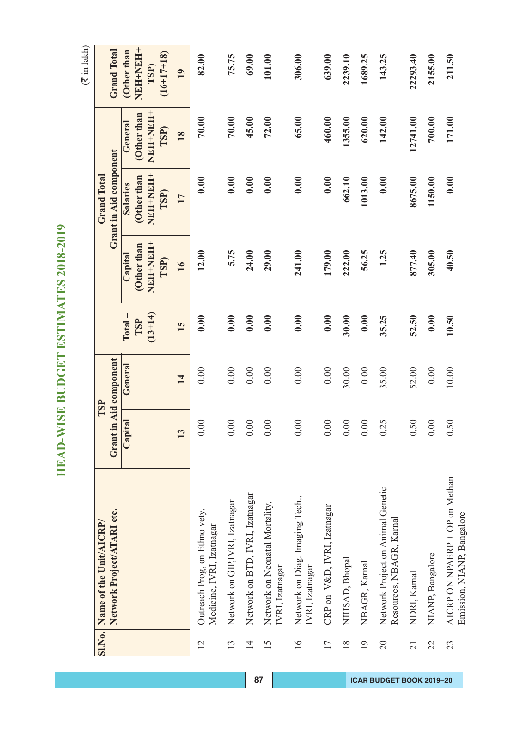HEAD-WISE BUDGET ESTIMATES 2018-2019 **HEAD-WISE BUDGET ESTIMATES 2018-2019**

|                 | Sl.No. Name of the Unit/AICRP/                               |                         | TSP                    |           |                | <b>Grand Total</b>     |                          |                      |
|-----------------|--------------------------------------------------------------|-------------------------|------------------------|-----------|----------------|------------------------|--------------------------|----------------------|
|                 | Network Project/ATARI etc.                                   |                         | Grant in Aid component |           |                | Grant in Aid component |                          | <b>Grand Total</b>   |
|                 |                                                              | Capital                 | General                | $Total -$ | Capital        | <b>Salaries</b>        | General                  | Other than           |
|                 |                                                              |                         |                        | TSP       | Other than     | Other than             | (Other than              | NEH+NEH+             |
|                 |                                                              |                         |                        | $(13+14)$ | HHHHHH<br>TSP) | HERN+HERN<br>TSP)      | HEEN+HEEN<br><b>TSP)</b> | $(16+17+18)$<br>TSP) |
|                 |                                                              | $\overline{\mathbf{c}}$ | 14                     | 15        | 16             | 17                     | 18                       | 19                   |
| 12              | Outreach Prog, on Ethno vety.<br>Medicine, IVRI, Izatnagar   | 0.00                    | 0.00                   | 0.00      | 12.00          | 0.00                   | 70.00                    | 82.00                |
| 13              | Network on GIP,IVRI, Izatnagar                               | 0.00                    | 0.00                   | 0.00      | 5.75           | 0.00                   | 70.00                    | 75.75                |
| $\overline{1}$  | Network on BTD, IVRI, Izatnagar                              | $0.00\,$                | 0.00                   | 0.00      | 24.00          | 0.00                   | 45.00                    | 69.00                |
| 15              | Network on Neonatal Mortality,<br>IVRI, Izatnagar            | 0.00                    | 0.00                   | 0.00      | 29.00          | 0.00                   | 72.00                    | 101.00               |
| $\overline{16}$ | Network on Diag. Imaging Tech.,<br>IVRI, Izatnagar           | $0.00$                  | 0.00                   | 0.00      | 241.00         | 0.00                   | 65.00                    | 306.00               |
| 17              | CRP on V&D, IVRI, Izatnagar                                  | $0.00\,$                | 0.00                   | 0.00      | 179.00         | 0.00                   | 460.00                   | 639.00               |
| $\frac{8}{18}$  | NIHSAD, Bhopal                                               | $0.00$                  | 30.00                  | 30.00     | 222.00         | 662.10                 | 1355.00                  | 2239.10              |
| 19              | NBAGR, Karnal                                                | 0.00                    | 0.00                   | 0.00      | 56.25          | 1013.00                | 620.00                   | 1689.25              |
| 20              | Network Project on Animal Genetic<br>Resources, NBAGR, Karna | 0.25                    | 35.00                  | 35.25     | 1.25           | 0.00                   | 142.00                   | 143.25               |
| 21              | NDRI, Kamal                                                  | 0.50                    | 52.00                  | 52.50     | 877.40         | 8675.00                | 12741.00                 | 22293.40             |
| 22              | NIANP, Bangalore                                             | 0.00                    | 0.00                   | 0.00      | 305.00         | 1150.00                | 700.00                   | 2155.00              |
| 23              | AICRP ON NPAERP + OP on Methan<br>Emission, NIANP, Bangalore | 0.50                    | 10.00                  | 10.50     | 40.50          | 0.00                   | 171.00                   | 211.50               |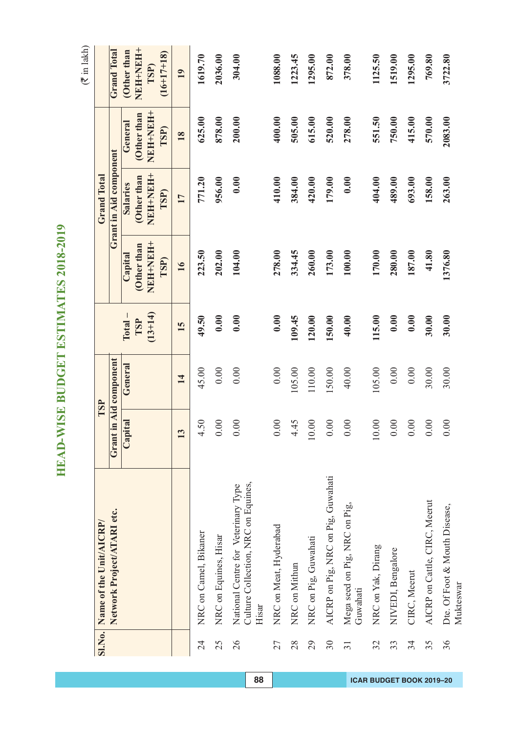HEAD-WISE BUDGET ESTIMATES 2018-2019 **HEAD-WISE BUDGET ESTIMATES 2018-2019**

|                 | Sl.No. Name of the Unit/AICRP/                                                      | TSP                    |          |           |                 | <b>Grand Total</b>      |                 |                      |
|-----------------|-------------------------------------------------------------------------------------|------------------------|----------|-----------|-----------------|-------------------------|-----------------|----------------------|
|                 | Network Project/ATARI etc.                                                          | Grant in Aid component |          |           |                 | Grant in Aid component  |                 | <b>Grand Total</b>   |
|                 |                                                                                     |                        |          |           |                 |                         |                 |                      |
|                 |                                                                                     | Capital                | General  | $Total -$ | Capital         | <b>Salaries</b>         | General         | Other than           |
|                 |                                                                                     |                        |          | TSP       | Other than      | Other than              | Other than      | <b>HEHNEH</b>        |
|                 |                                                                                     |                        |          | $(13+14)$ | +HHHHHH<br>TSP) | <b>+HNHHNEN</b><br>TSP) | +HNHHNH<br>TSP) | $(16+17+18)$<br>TSP) |
|                 |                                                                                     | 13                     | 14       | 15        | 16              | 17                      | 18              | 19                   |
| $\overline{24}$ | NRC on Camel, Bikaner                                                               | 4.50                   | 45.00    | 49.50     | 223.50          | 771.20                  | 625.00          | 1619.70              |
| 25              | NRC on Equines, Hisar                                                               | 0.00                   | 0.00     | 0.00      | 202.00          | 956.00                  | 878.00          | 2036.00              |
| 26              | Culture Collection, NRC on Equines,<br>National Centre for Veterinary Type<br>Hisar | 0.00                   | 0.00     | 0.00      | 104.00          | 0.00                    | 200.00          | 304.00               |
| 27              | NRC on Meat, Hyderabad                                                              | 0.00                   | 0.00     | 0.00      | 278.00          | 410.00                  | 400.00          | 1088.00              |
| 28              | NRC on Mithun                                                                       | 4.45                   | 105.00   | 109.45    | 334.45          | 384.00                  | 505.00          | 1223.45              |
| 29              | NRC on Pig, Guwahati                                                                | 0.00                   | 110.00   | 120.00    | 260.00          | 420.00                  | 615.00          | 1295.00              |
| $30\,$          | AICRP on Pig, NRC on Pig, Guwahati                                                  | 0.00                   | 150.00   | 150.00    | 173.00          | 179.00                  | 520.00          | 872.00               |
| $\overline{31}$ | Mega seed on Pig, NRC on Pig,<br>Guwahati                                           | 0.00                   | 40.00    | 40.00     | 100.00          | 0.00                    | 278.00          | 378.00               |
| 32              | NRC on Yak, Dirang                                                                  | 0.00                   | 105.00   | 115.00    | 170.00          | 404.00                  | 551.50          | 1125.50              |
| 33              | NIVEDI, Bengalore                                                                   | 0.00                   | $0.00\,$ | 0.00      | 280.00          | 489.00                  | 750.00          | 1519.00              |
| 34              | CIRC, Meerut                                                                        | 0.00                   | 0.00     | 0.00      | 187.00          | 693.00                  | 415.00          | 1295.00              |
| 35              | AICRP on Cattle, CIRC, Meerut                                                       | 0.00                   | 30.00    | 30.00     | 41.80           | 158.00                  | 570.00          | 769.80               |
| 36              | Dte. Of Foot & Mouth Disease,<br>Mukteswar                                          | 0.00                   | 30.00    | 30.00     | 1376.80         | 263.00                  | 2083.00         | 3722.80              |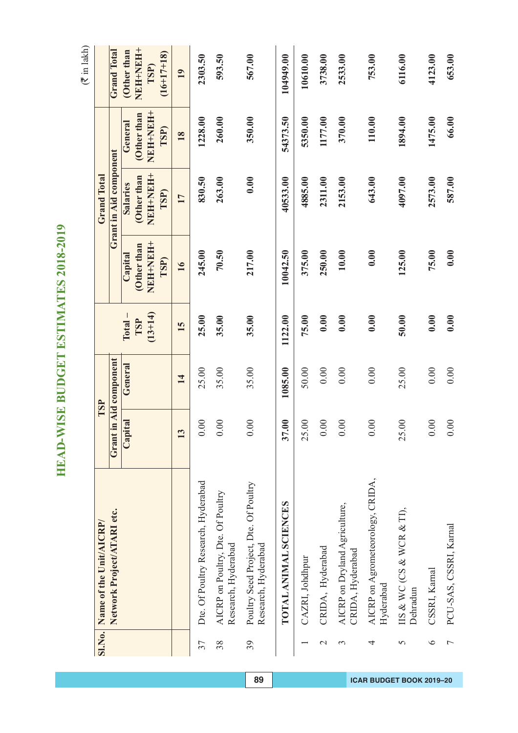HEAD-WISE BUDGET ESTIMATES 2018-2019 **HEAD-WISE BUDGET ESTIMATES 2018-2019**

|                | SI.No. Name of the Unit/AICRP/                               | TSP                    |         |           |                  | <b>Grand Total</b>     |                  |                      |
|----------------|--------------------------------------------------------------|------------------------|---------|-----------|------------------|------------------------|------------------|----------------------|
|                | Network Project/ATARI etc.                                   | Grant in Aid component |         |           |                  | Grant in Aid component |                  | <b>Grand Total</b>   |
|                |                                                              | Capital                | General | $Total -$ | Capital          | <b>Salaries</b>        | General          | Other than           |
|                |                                                              |                        |         | TSP       | Other than       | Other than             | Other than       | NEH-NEH+             |
|                |                                                              |                        |         | $(13+14)$ | NEH-NEH-<br>TSP) | NEH-NEH-<br>TSP)       | NEH-NEH+<br>TSP) | $(16+17+18)$<br>TSP) |
|                |                                                              | 13                     | 14      | 15        | 16               | 17                     | <b>18</b>        | 19                   |
| 37             | Dte. Of Poultry Research, Hyderabad                          | 0.00                   | 25.00   | 25.00     | 245.00           | 830.50                 | 1228.00          | 2303.50              |
| 38             | AICRP on Poultry, Dte. Of Poultry<br>Research, Hyderabad     | 0.00                   | 35.00   | 35.00     | 70.50            | 263.00                 | 260.00           | 593.50               |
| 39             | Poultry Seed Project, Dte. Of Poultry<br>Research, Hyderabad | 0.00                   | 35.00   | 35.00     | 217.00           | 0.00                   | 350.00           | 567.00               |
|                | TOTAL ANIMAL SCIENCES                                        | 17.00<br>ొ             | 1085.00 | 1122.00   | 10042.50         | 40533.00               | 54373.50         | 104949.00            |
|                | CAZRI, Johdhpur                                              | 5.00<br>$\sim$         | 50.00   | 75.00     | 375.00           | 4885.00                | 5350.00          | 10610.00             |
| $\mathcal{L}$  | CRIDA, Hyderabad                                             | 0.00                   | 0.00    | 0.00      | 250.00           | 2311.00                | 1177.00          | 3738.00              |
| 3              | AICRP on Dryland Agriculture,<br>CRIDA, Hyderabad            | 0.00                   | 0.00    | 0.00      | 10.00            | 2153.00                | 370.00           | 2533.00              |
| 4              | AICRP on Agrometeorology, CRIDA,<br>Hyderabad                | 0.00                   | 0.00    | 0.00      | 0.00             | 643.00                 | 110.00           | 753.00               |
| 5              | IIS & WC (CS & WCR & TI),<br>Dehradun                        | <b>15.00</b><br>$\sim$ | 25.00   | 50.00     | 125.00           | 4097.00                | 1894.00          | 6116.00              |
| $\circ$        | CSSRI, Karnal                                                | 0.00                   | 0.00    | 0.00      | 75.00            | 2573.00                | 1475.00          | 4123.00              |
| $\overline{ }$ | PCU-SAS, CSSRI, Karnal                                       | 0.00                   | 0.00    | 0.00      | 0.00             | 587.00                 | 66.00            | 653.00               |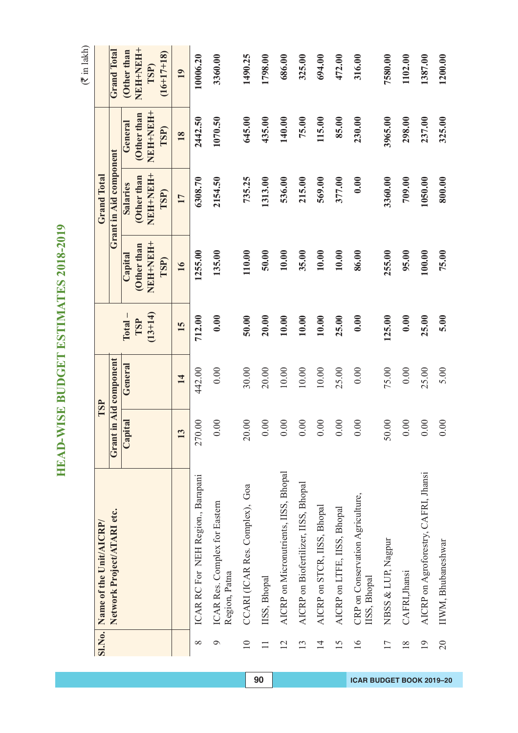HEAD-WISE BUDGET ESTIMATES 2018-2019 **HEAD-WISE BUDGET ESTIMATES 2018-2019**

 $\overline{1}$ 

| <b>SI.No.</b>   | Name of the Unit/AICRP/                          | TSP                    |         |           |                  | <b>Grand Total</b>     |                 |                      |
|-----------------|--------------------------------------------------|------------------------|---------|-----------|------------------|------------------------|-----------------|----------------------|
|                 | Network Project/ATARI etc.                       | Grant in Aid component |         |           |                  | Grant in Aid component |                 | <b>Grand Total</b>   |
|                 |                                                  | Capital                | General | $Total -$ | Capital          | Salaries               | General         | (Other than          |
|                 |                                                  |                        |         | TSP       | Other than       | Other than             | Other than      | HHHHHH               |
|                 |                                                  |                        |         | $(13+14)$ | NEH+NEH+<br>TSP) | HHHHHH<br>TSP)         | HHNHHNH<br>TSP) | $(16+17+18)$<br>TSP) |
|                 |                                                  | 13                     | 14      | 15        | 16               | 17                     | 18              | 19                   |
| $\infty$        | ICAR RC For NEH Region., Barapani                | 270.00                 | 442.00  | 712.00    | 1255.00          | 6308.70                | 2442.50         | 10006.20             |
| $\circ$         | ICAR Res. Complex for Eastern<br>Region, Patna   | $0.00$                 | 0.00    | 0.00      | 135.00           | 2154.50                | 1070.50         | 3360.00              |
| $\overline{10}$ | CCARI (ICAR Res. Complex), Goa                   | 20.00                  | 30.00   | 50.00     | 110.00           | 735.25                 | 645.00          | 1490.25              |
|                 | IISS, Bhopal                                     | 0.00                   | 20.00   | 20.00     | 50.00            | 1313.00                | 435.00          | 1798.00              |
| $\overline{2}$  | AICRP on Micronutrients, IISS, Bhopal            | 0.00                   | 10.00   | 10.00     | 10.00            | 536.00                 | 140.00          | 686.00               |
| 13              | AICRP on Biofertilizer, IISS, Bhopal             | 0.00                   | 10.00   | 10.00     | 35.00            | 215.00                 | 75.00           | 325.00               |
| $\overline{1}$  | AICRP on STCR, IISS, Bhopal                      | 0.00                   | 10.00   | 10.00     | 10.00            | 569.00                 | 115.00          | 694.00               |
| 15              | AICRP on LTFE, IISS, Bhopal                      | 0.00                   | 25.00   | 25.00     | 10.00            | 377.00                 | 85.00           | 472.00               |
| $\overline{16}$ | CRP on Conservation Agriculture,<br>IISS, Bhopal | 0.00                   | 0.00    | 0.00      | 86.00            | 0.00                   | 230.00          | 316.00               |
| $\overline{17}$ | NBSS & LUP, Nagpur                               | 50.00                  | 75.00   | 125.00    | 255.00           | 3360.00                | 3965.00         | 7580.00              |
| $\frac{8}{18}$  | CAFRI, Jhansi                                    | 0.00                   | 0.00    | 0.00      | 95.00            | 709.00                 | 298.00          | 1102.00              |
| $\overline{1}$  | AICRP on Agroforestry, CAFRI, Jhansi             | 0.00                   | 25.00   | 25.00     | 100.00           | 1050.00                | 237.00          | 1387.00              |
| $\overline{0}$  | IIWM, Bhubaneshwar                               | 0.00                   | 5.00    | 5.00      | 75.00            | 800.00                 | 325.00          | 1200.00              |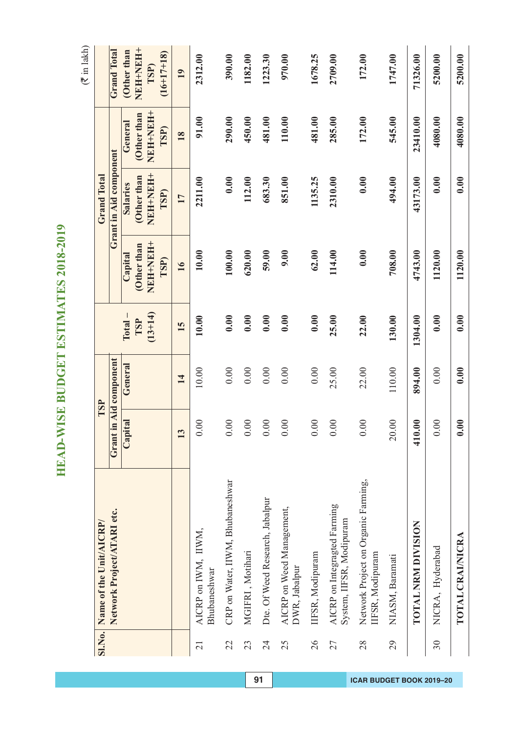HEAD-WISE BUDGET ESTIMATES 2018-2019 **HEAD-WISE BUDGET ESTIMATES 2018-2019**

| <b>SI.No.</b>   | Name of the Unit/AICRP/                                  |                         | TSP                    |           |                 | <b>Grand Total</b>     |                  |                      |
|-----------------|----------------------------------------------------------|-------------------------|------------------------|-----------|-----------------|------------------------|------------------|----------------------|
|                 | Network Project/ATARI etc.                               |                         | Grant in Aid component |           |                 | Grant in Aid component |                  | <b>Grand Total</b>   |
|                 |                                                          | oital<br>$\mathbf{Cap}$ | General                | $Total -$ | Capital         | <b>Salaries</b>        | General          | (Other than          |
|                 |                                                          |                         |                        | TSP       | Other than      | (Other than            | Other than       | NEH+NEH+             |
|                 |                                                          |                         |                        | $(13+14)$ | HHHHHH<br>TSP)  | NEH-NEH-<br>TSP)       | NEH+NEH+<br>TSP) | $(16+17+18)$<br>TSP) |
|                 |                                                          | $\tilde{\mathbf{c}}$    | 14                     | 15        | $\overline{16}$ | 17                     | 18               | 19                   |
| $\overline{21}$ | AICRP on IWM, IIWM,<br>Bhubaneshwar                      | 0.00                    | 10.00                  | 10.00     | 10.00           | 2211.00                | 91.00            | 2312.00              |
| 22              | CRP on Water, IIWM, Bhubaneshwar                         | 0.00                    | 0.00                   | 0.00      | 100.00          | 0.00                   | 290.00           | 390.00               |
| 23              | MGIFRI, Motihari                                         | 0.00                    | 0.00                   | 0.00      | 620.00          | 112.00                 | 450.00           | 1182.00              |
| 24              | Dte. Of Weed Research, Jabalpur                          | 0.00                    | 0.00                   | 0.00      | 59.00           | 683.30                 | 481.00           | 1223.30              |
| 25              | AICRP on Weed Management,<br>DWR, Jabalpur               | 0.00                    | 0.00                   | 0.00      | 9.00            | 851.00                 | 110.00           | 970.00               |
| 26              | IIFSR, Modipuram                                         | 0.00                    | 0.00                   | 0.00      | 62.00           | 1135.25                | 481.00           | 1678.25              |
| 27              | AICRP on Integragted Farming<br>System, IIFSR, Modipuram | 0.00                    | 25.00                  | 25.00     | 114.00          | 2310.00                | 285.00           | 2709.00              |
| 28              | Network Project on Organic Farming,<br>IFSR, Modipuram   | 0.00                    | 22.00                  | 22.00     | 0.00            | 0.00                   | 172.00           | 172.00               |
| 29              | NIASM, Baramati                                          | 20.00                   | 110.00                 | 130.00    | 708.00          | 494.00                 | 545.00           | 1747.00              |
|                 | TOTAL NRM DIVISION                                       | 0.00<br>$\frac{1}{4}$   | 894.00                 | 1304.00   | 4743.00         | 43173.00               | 23410.00         | 71326.00             |
| 30              | NICRA, Hyderabad                                         | 0.00                    | 0.00                   | 0.00      | 1120.00         | 0.00                   | 4080.00          | 5200.00              |
|                 | TOTAL CRAINICRA                                          | 0.00                    | 0.00                   | 0.00      | 1120.00         | 0.00                   | 4080.00          | 5200.00              |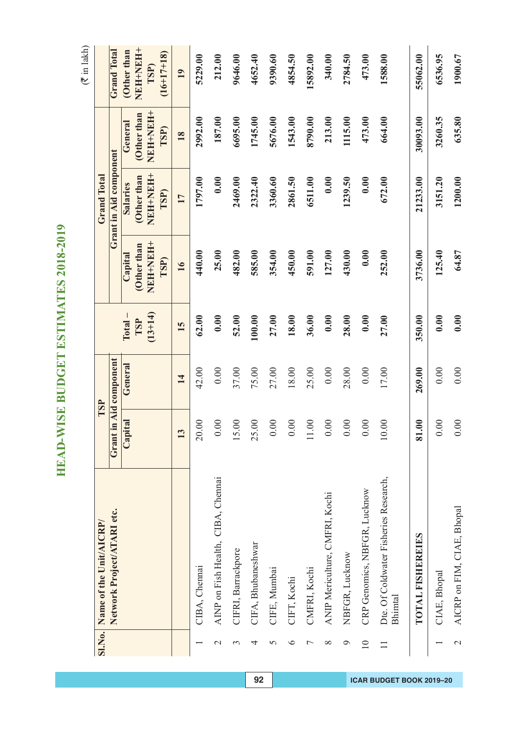HEAD-WISE BUDGET ESTIMATES 2018-2019 **HEAD-WISE BUDGET ESTIMATES 2018-2019**

|                          | SI.No. Name of the Unit/AICRP/                   |                                   | TSP                    |           |                | <b>Grand Total</b>     |                       |                      |
|--------------------------|--------------------------------------------------|-----------------------------------|------------------------|-----------|----------------|------------------------|-----------------------|----------------------|
|                          | Network Project/ATARI etc.                       |                                   | Grant in Aid component |           |                | Grant in Aid component |                       | <b>Grand Total</b>   |
|                          |                                                  | pital<br>$\overline{\text{C}}$ aj | General                | $Total -$ | Capital        | <b>Salaries</b>        | General               | Other than           |
|                          |                                                  |                                   |                        | TSP       | Other than     | (Other than            | Other than            | NEH-NEH+             |
|                          |                                                  |                                   |                        | $(13+14)$ | HHHHHH<br>TSP) | NEHNEH+<br>TSP)        | <b>HEHNEH</b><br>TSP) | $(16+17+18)$<br>TSP) |
|                          |                                                  | $\mathbf{c}$                      | 14                     | 15        | 16             | 17                     | 18                    | 19                   |
|                          | CIBA, Chennai                                    | 20.00                             | 42.00                  | 62.00     | 440.00         | 1797.00                | 2992.00               | 5229.00              |
| $\mathcal{C}$            | AINP on Fish Health, CIBA, Chennai               | 0.00                              | 0.00                   | 0.00      | 25.00          | 0.00                   | 187.00                | 212.00               |
| 3                        | CIFRI, Barrackpore                               | 15.00                             | 37.00                  | 52.00     | 482.00         | 2469.00                | 6695.00               | 9646.00              |
| 4                        | CIFA, Bhubaneshwar                               | 25.00                             | 75.00                  | 100.00    | 585.00         | 2322.40                | 1745.00               | 4652.40              |
| 5                        | CIFE, Mumbai                                     | 0.00                              | 27.00                  | 27.00     | 354.00         | 3360.60                | 5676.00               | 9390.60              |
| $\circ$                  | CIFT, Kochi                                      | 0.00                              | 18.00                  | 18.00     | 450.00         | 2861.50                | 1543.00               | 4854.50              |
| ↽                        | CMFRI, Kochi                                     | $1.00\,$                          | 25.00                  | 36.00     | 591.00         | 6511.00                | 8790.00               | 15892.00             |
| ∞                        | ANIP Mericulture, CMFRI, Kochi                   | 0.00                              | 0.00                   | 0.00      | 127.00         | 0.00                   | 213.00                | 340.00               |
| Q                        | NBFGR, Lucknow                                   | 0.00                              | 28.00                  | 28.00     | 430.00         | 1239.50                | 1115.00               | 2784.50              |
| $\overline{10}$          | CRP Genomics, NBFGR, Lucknow                     | 0.00                              | 0.00                   | 0.00      | 0.00           | 0.00                   | 473.00                | 473.00               |
|                          | Dte. Of Coldwater Fisheries Research,<br>Bhimtal | 10.00                             | 17.00                  | 27.00     | 252.00         | 672.00                 | 664.00                | 1588.00              |
|                          | TOTAL FISHEREIES                                 | 81.00                             | 269.00                 | 350.00    | 3736.00        | 21233.00               | 30093.00              | 55062.00             |
|                          | CIAE, Bhopal                                     | 0.00                              | 0.00                   | 0.00      | 125.40         | 3151.20                | 3260.35               | 6536.95              |
| $\overline{\mathcal{C}}$ | AICRP on FIM, CIAE, Bhopal                       | 0.00                              | 0.00                   | 0.00      | 64.87          | 1200.00                | 635.80                | 1900.67              |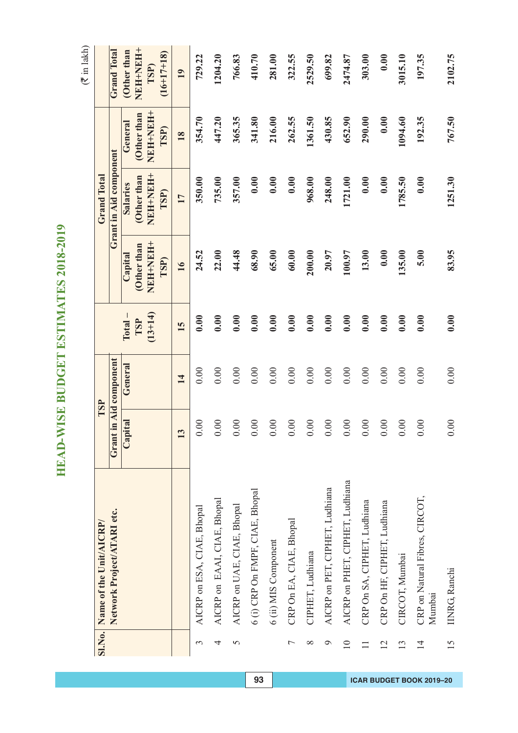HEAD-WISE BUDGET ESTIMATES 2018-2019 **HEAD-WISE BUDGET ESTIMATES 2018-2019**

|                 | SI.No. Name of the Unit/AICRP/           |         | TSP              |           |                  | <b>Grand Total</b>     |                  |                             |
|-----------------|------------------------------------------|---------|------------------|-----------|------------------|------------------------|------------------|-----------------------------|
|                 | Network Project/ATARI etc.               | Grant   | in Aid component |           |                  | Grant in Aid component |                  | <b>Grand Total</b>          |
|                 |                                          | Capital | General          | $Total -$ | Capital          | <b>Salaries</b>        | General          | Other than                  |
|                 |                                          |         |                  | TSP       | Other than       | Other than             | Other than       | NEH-NEH+                    |
|                 |                                          |         |                  | $(13+14)$ | NEH-NEH-<br>TSP) | NEH-NEH+<br>TSP)       | NEH+NEH+<br>TSP) | $(16+17+18)$<br><b>TSP)</b> |
|                 |                                          | 13      | 14               | 15        | 16               | 17                     | 18               | 19                          |
| 3               | AICRP on ESA, CIAE, Bhopal               | 0.00    | 0.00             | 0.00      | 24.52            | 350.00                 | 354.70           | 729.22                      |
| 4               | AICRP on EAAI, CIAE, Bhopal              | 00(     | 0.00             | 0.00      | 22.00            | 735.00                 | 447.20           | 1204.20                     |
| 5               | AICRP on UAE, CIAE, Bhopal               | 0.00    | 0.00             | 0.00      | 44.48            | 357.00                 | 365.35           | 766.83                      |
|                 | 6 (i) CRP On FMPF, CIAE, Bhopal          | 0.00    | 0.00             | 0.00      | 68.90            | 0.00                   | 341.80           | 410.70                      |
|                 | 6 (ii) MIS Component                     | 0.00    | 0.00             | 0.00      | 65.00            | 0.00                   | 216.00           | 281.00                      |
| Γ               | CRP On EA, CIAE, Bhopal                  | 0.00    | 0.00             | 0.00      | 60.00            | 0.00                   | 262.55           | 322.55                      |
| $\infty$        | CIPHET, Ludhiana                         | 0.00    | $0.00\,$         | 0.00      | 200.00           | 968.00                 | 1361.50          | 2529.50                     |
| P               | AICRP on PET, CIPHET, Ludhiana           | 0.00    | 0.00             | 0.00      | 20.97            | 248.00                 | 430.85           | 699.82                      |
| $\overline{10}$ | AICRP on PHET, CIPHET, Ludhiana          | 00(     | 0.00             | 0.00      | 100.97           | 1721.00                | 652.90           | 2474.87                     |
| $\Box$          | CRP On SA, CIPHET, Ludhiana              | 0.00    | 0.00             | 0.00      | 13.00            | 0.00                   | 290.00           | 303.00                      |
| $\overline{2}$  | CRP On HF, CIPHET, Ludhiana              | 0.00    | 0.00             | 0.00      | 0.00             | 0.00                   | 0.00             | 0.00                        |
| $\overline{13}$ | CIRCOT, Mumbai                           | 0.00    | 0.00             | 0.00      | 135.00           | 1785.50                | 1094.60          | 3015.10                     |
| $\overline{14}$ | CRP on Natural Fibres, CIRCOT,<br>Mumbai | 00(     | 0.00             | 0.00      | 5.00             | 0.00                   | 192.35           | 197.35                      |
| 15              | <b>IINRG</b> , Ranchi                    | 0.00    | 0.00             | 0.00      | 83.95            | 1251.30                | 767.50           | 2102.75                     |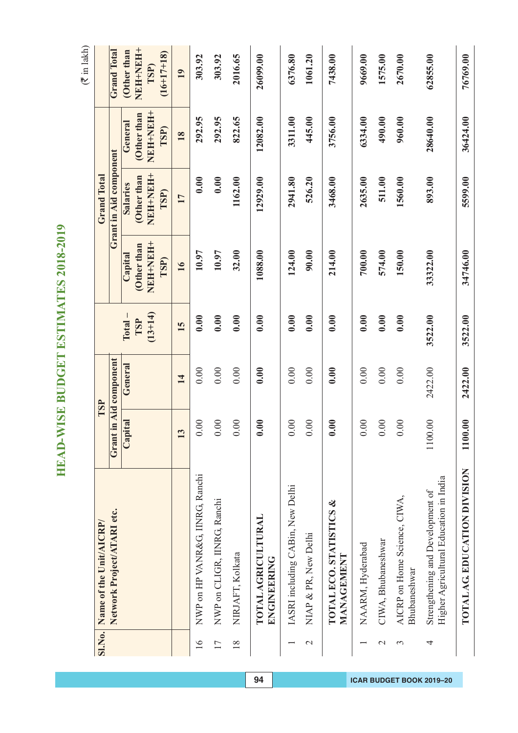HEAD-WISE BUDGET ESTIMATES 2018-2019 **HEAD-WISE BUDGET ESTIMATES 2018-2019**

 $(3 \pi)$  in lakh)

|                 |                                                                            |              |                        |           |                  |                               |                  | $($ munition $($     |
|-----------------|----------------------------------------------------------------------------|--------------|------------------------|-----------|------------------|-------------------------------|------------------|----------------------|
| <b>SI.No.</b>   | Name of the Unit/AICRP/                                                    |              | TSP                    |           |                  | <b>Grand Total</b>            |                  |                      |
|                 | Network Project/ATARI etc.                                                 |              | Grant in Aid component |           |                  | <b>Grant in Aid component</b> |                  | <b>Grand Total</b>   |
|                 |                                                                            | Capital      | General                | $Total -$ | Capital          | <b>Salaries</b>               | General          | Other than           |
|                 |                                                                            |              |                        | TSP       | Other than       | (Other than                   | (Other than      | HHHHHH+              |
|                 |                                                                            |              |                        | $(13+14)$ | NEH-NEH-<br>TSP) | NEH+NEH+<br>TSP)              | NEH+NEH+<br>TSP) | $(16+17+18)$<br>TSP) |
|                 |                                                                            | $\mathbf{C}$ | 14                     | 15        | $\overline{16}$  | 17                            | 18               | 19                   |
| $\overline{16}$ | NWP on HP VANR&G, IINRG, Ranchi                                            | 0.00         | 0.00                   | 0.00      | 10.97            | 0.00                          | 292.95           | 303.92               |
|                 |                                                                            |              |                        |           |                  |                               |                  |                      |
| 17              | NWP on CLIGR, IINRG, Ranchi                                                | 0.00         | 0.00                   | 0.00      | 10.97            | 0.00                          | 292.95           | 303.92               |
| $\frac{8}{18}$  | NIRJAFT, Kolkata                                                           | 0.00         | 0.00                   | 0.00      | 32.00            | 1162.00                       | 822.65           | 2016.65              |
|                 | <b>TOTAL AGRICULTURAL</b><br>ENGINEERING                                   | 0.00         | 0.00                   | 0.00      | 1088.00          | 12929.00                      | 12082.00         | 26099.00             |
|                 | IASRI including CABin, New Delhi                                           | 0.00         | 0.00                   | 0.00      | 124.00           | 2941.80                       | 3311.00          | 6376.80              |
| $\mathcal{C}$   | NIAP & PR, New Delhi                                                       | 0.00         | 0.00                   | 0.00      | 90.00            | 526.20                        | 445.00           | 1061.20              |
|                 | TOTAL ECO. STATISTICS &<br>MANAGEMENT                                      | 0.00         | 0.00                   | 0.00      | 214.00           | 3468.00                       | 3756.00          | 7438.00              |
|                 | NAARM, Hyderabad                                                           | 0.00         | 0.00                   | 0.00      | 700.00           | 2635.00                       | 6334.00          | 9669.00              |
| $\mathcal{L}$   | CIWA, Bhubaneshwar                                                         | 0.00         | 0.00                   | 0.00      | 574.00           | 511.00                        | 490.00           | 1575.00              |
| 3               | AICRP on Home Science, CIWA,<br>Bhubaneshwar                               | 0.00         | 0.00                   | 0.00      | 150.00           | 1560.00                       | 960.00           | 2670.00              |
| 4               | Higher Agricultural Education in India<br>Strengthening and Development of | 1100.00      | 2422.00                | 3522.00   | 33322.00         | 893.00                        | 28640.00         | 62855.00             |
|                 | TOTAL AG EDUCATION DIVISION                                                | 1100.00      | 2422.00                | 3522.00   | 34746.00         | 5599.00                       | 36424.00         | 76769.00             |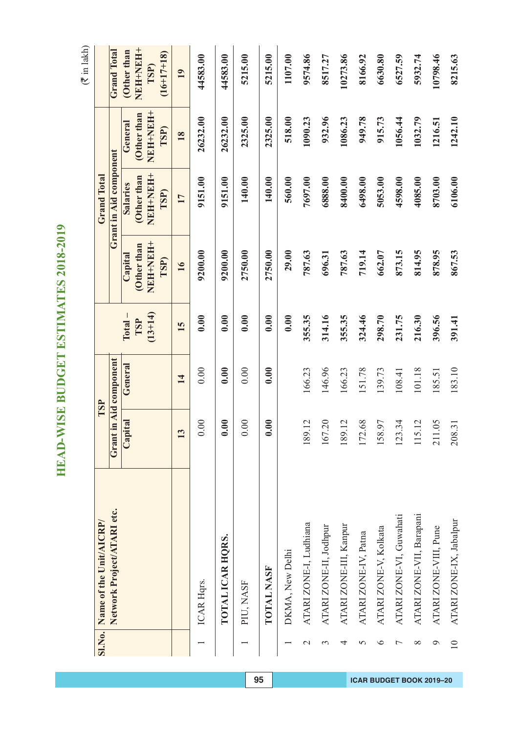HEAD-WISE BUDGET ESTIMATES 2018-2019 **HEAD-WISE BUDGET ESTIMATES 2018-2019**

 $(3 \pi)$  in lakh)

|                 |                            |                        |         |           |                  |                        |                  | $($ must lake        |
|-----------------|----------------------------|------------------------|---------|-----------|------------------|------------------------|------------------|----------------------|
| SI.No.          | Name of the Unit/AICRP/    | TSP                    |         |           |                  | <b>Grand Total</b>     |                  |                      |
|                 | Network Project/ATARI etc. | Grant in Aid component |         |           |                  | Grant in Aid component |                  | <b>Grand Total</b>   |
|                 |                            | Capital                | General | $Total -$ | Capital          | <b>Salaries</b>        | General          | (Other than          |
|                 |                            |                        |         | TSP       | Other than       | Other than             | Other than       | NEH-NEH+             |
|                 |                            |                        |         | $(13+14)$ | NEH+NEH+<br>TSP) | NEH-NEH-<br>TSP)       | NEH-NEH-<br>TSP) | $(16+17+18)$<br>TSP) |
|                 |                            | 13                     | 14      | 15        | 16               | 17                     | 18               | 19                   |
|                 | ICAR Hqrs.                 | 0.00                   | 0.00    | 0.00      | 9200.00          | 9151.00                | 26232.00         | 44583.00             |
|                 | TOTAL ICAR HQRS.           | 0.00                   | 0.00    | 0.00      | 9200.00          | 9151.00                | 26232.00         | 44583.00             |
|                 | PIU, NASF                  | 0.00                   | 0.00    | 0.00      | 2750.00          | 140.00                 | 2325.00          | 5215.00              |
|                 | TOTAL NASF                 | 0.00                   | 0.00    | 0.00      | 2750.00          | 140.00                 | 2325.00          | 5215.00              |
|                 | DKMA, New Delhi            |                        |         | 0.00      | 29.00            | 560.00                 | 518.00           | 1107.00              |
| $\mathbf{\sim}$ | ATARI ZONE-I, Ludhiana     | 189.12                 | 166.23  | 355.35    | 787.63           | 7697.00                | 1090.23          | 9574.86              |
| 3               | ATARI ZONE-II, Jodhpur     | 167.20                 | 146.96  | 314.16    | 696.31           | 6888.00                | 932.96           | 8517.27              |
| 4               | ATARI ZONE-III, Kanpur     | 189.12                 | 166.23  | 355.35    | 787.63           | 8400.00                | 1086.23          | 10273.86             |
| 5               | ATARI ZONE-IV, Patna       | 172.68                 | 151.78  | 324.46    | 719.14           | 6498.00                | 949.78           | 8166.92              |
| ७               | ATARI ZONE-V, Kolkata      | 158.97                 | 139.73  | 298.70    | 662.07           | 5053.00                | 915.73           | 6630.80              |
|                 | ATARI ZONE-VI, Guwahati    | 123.34                 | 108.41  | 231.75    | 873.15           | 4598.00                | 1056.44          | 6527.59              |
| ∞               | ATARI ZONE-VII, Barapani   | 15.12<br>$\equiv$      | 101.18  | 216.30    | 814.95           | 4085.00                | 1032.79          | 5932.74              |
| ᢦ               | ATARI ZONE-VIII, Pune      | 211.05                 | 185.51  | 396.56    | 878.95           | 8703.00                | 1216.51          | 10798.46             |
| $\overline{10}$ | ATARI ZONE-IX, Jabalpur    | 208.31                 | 183.10  | 391.41    | 867.53           | 6106.00                | 1242.10          | 8215.63              |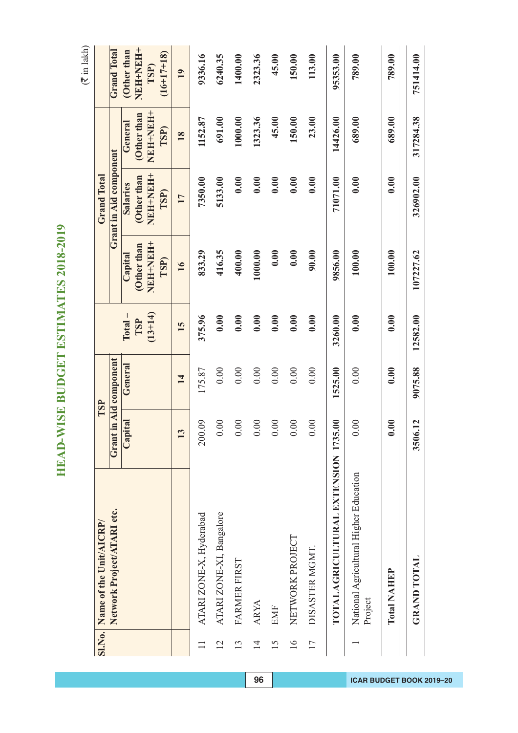HEAD-WISE BUDGET ESTIMATES 2018-2019 **HEAD-WISE BUDGET ESTIMATES 2018-2019**

|                 |                                                   |              | TSP              |           |                  |                        |                 |                      |
|-----------------|---------------------------------------------------|--------------|------------------|-----------|------------------|------------------------|-----------------|----------------------|
|                 | SI.No. Name of the Unit/AICRP/                    |              |                  |           |                  | <b>Grand Total</b>     |                 |                      |
|                 | Network Project/ATARI etc.                        | Grant        | in Aid component |           |                  | Grant in Aid component |                 | <b>Grand Total</b>   |
|                 |                                                   | Capital      | General          | $Total -$ | Capital          | <b>Salaries</b>        | General         | Other than           |
|                 |                                                   |              |                  | TSP       | Other than       | Other than             | Other than      | NEH-NEH-             |
|                 |                                                   |              |                  | $(13+14)$ | NEH-NEH-<br>TSP) | NEH-NEH-<br>TSP)       | HHAHHAH<br>TSP) | $(16+17+18)$<br>TSP) |
|                 |                                                   | $\mathbf{c}$ | 14               | 15        | $\overline{16}$  | 17                     | 18              | 19                   |
|                 | ATARI ZONE-X, Hyderabad                           | 200.09       | 175.87           | 375.96    | 833.29           | 7350.00                | 1152.87         | 9336.16              |
| $\overline{12}$ | ATARI ZONE-XI, Bangalore                          | 0.00         | 0.00             | 0.00      | 416.35           | 5133.00                | 691.00          | 6240.35              |
| 13              | FARMER FIRST                                      | 0.00         | 0.00             | 0.00      | 400.00           | 0.00                   | 1000.00         | 1400.00              |
| $\overline{1}$  | ARYA                                              | 0.00         | 0.00             | 0.00      | 1000.00          | 0.00                   | 1323.36         | 2323.36              |
| 15              | EMF                                               | 0.00         | 0.00             | 0.00      | 0.00             | 0.00                   | 45.00           | 45.00                |
| $\overline{16}$ | NETWORK PROJECT                                   | 0.00         | 0.00             | 0.00      | 0.00             | 0.00                   | 150.00          | 150.00               |
| $\overline{17}$ | DISASTER MGMT.                                    | $\odot$      | 0.00             | 0.00      | 90.00            | 0.00                   | 23.00           | 113.00               |
|                 | TOTAL AGRICULTURAL EXTENSION 1735.00              |              | 1525.00          | 3260.00   | 9856.00          | 71071.00               | 14426.00        | 95353.00             |
|                 | National Agricultural Higher Education<br>Project | 0.00         | 0.00             | 0.00      | 100.00           | 0.00                   | 689.00          | 789.00               |
|                 | <b>Total NAHEP</b>                                | 0.00         | 0.00             | 0.00      | 100.00           | 0.00                   | 689.00          | 789.00               |
|                 | <b>GRAND TOTAL</b>                                | 3506.12      | 9075.88          | 12582.00  | 107227.62        | 326902.00              | 317284.38       | 751414.00            |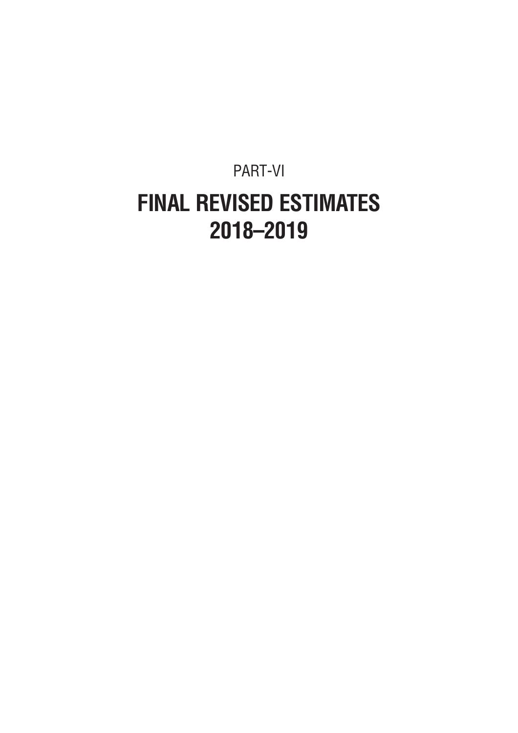### PART-VI **FINAL REVISED ESTIMATES 2018–2019**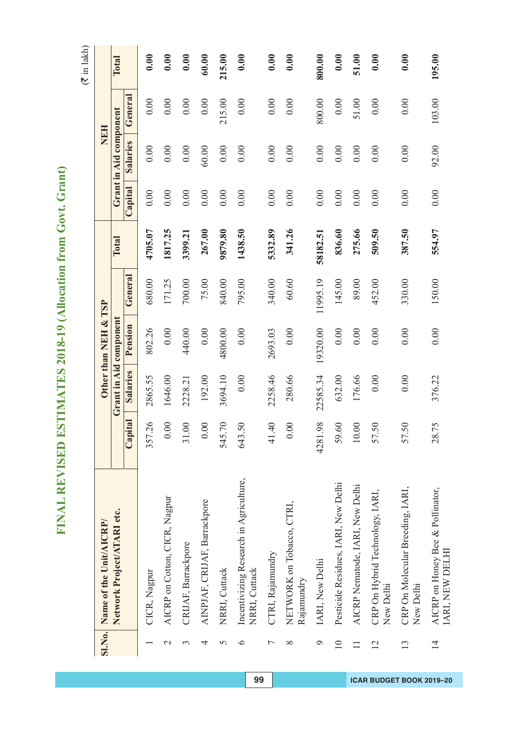FINAL REVISED ESTIMATES 2018-19 (Allocation from Govt. Grant) **FINAL REVISED ESTIMATES 2018-19 (Allocation from Govt. Grant)**

|                 | SI.No. Name of the Unit/AICRP/                          |                                  |          | Other than NEH & TSP   |          |          |         | NEH                    |         |        |
|-----------------|---------------------------------------------------------|----------------------------------|----------|------------------------|----------|----------|---------|------------------------|---------|--------|
|                 | Network Project/ATARI etc.                              |                                  |          | Grant in Aid component |          | Total    |         | Grant in Aid component |         | Total  |
|                 |                                                         | Capital                          | Salaries | Pension                | General  |          | Capital | <b>Salaries</b>        | General |        |
|                 | CICR, Nagpur                                            | 26<br>357                        | 2865.55  | 802.26                 | 680.00   | 4705.07  | 0.00    | 0.00                   | 0.00    | 0.00   |
| $\mathcal{C}$   | AICRP on Cotton, CICR, Nagpur                           | $\odot$                          | 1646.00  | 0.00                   | 171.25   | 1817.25  | 0.00    | 0.00                   | 0.00    | 0.00   |
| 3               | CRIJAF, Barrackpore                                     | $\odot$<br>$\overline{31}$       | 2228.21  | 440.00                 | 700.00   | 3399.2   | 0.00    | 0.00                   | 0.00    | 0.00   |
| 4               | AINPJAF, CRIJAF, Barrackpore                            | $\odot$<br>0                     | 192.00   | 0.00                   | 75.00    | 267.00   | 0.00    | 60.00                  | 0.00    | 60.00  |
| 5               | NRRI, Cuttack                                           | $\overline{C}$<br>545            | 3694.10  | 4800.00                | 840.00   | 9879.80  | 0.00    | 0.00                   | 215.00  | 215.00 |
| $\circ$         | Incentivizing Research in Agriculture,<br>NRRI, Cuttack | $\overline{50}$<br>643           | 0.00     | 0.00                   | 795.00   | 1438.50  | 0.00    | 0.00                   | 0.00    | 0.00   |
| Γ               | CTRI, Rajamundry                                        | $\overline{40}$<br>$\frac{1}{4}$ | 2258.46  | 2693.03                | 340.00   | 5332.89  | 0.00    | 0.00                   | 0.00    | 0.00   |
| $\infty$        | NETWORK on Tobacco, CTRI,<br>Rajamundry                 | 00                               | 280.66   | 0.00                   | 60.60    | 341.26   | 0.00    | 0.00                   | 0.00    | 0.00   |
| $\circ$         | IARI, New Delhi                                         | 98<br>4281                       | 22585.34 | 19320.00               | 11995.19 | 58182.51 | 0.00    | 0.00                   | 800.00  | 800.00 |
| $\overline{10}$ | Pesticide Residues, IARI, New Delhi                     | 60<br>59                         | 632.00   | 0.00                   | 145.00   | 836.60   | 0.00    | 0.00                   | 0.00    | 0.00   |
| $\Box$          | AICRP Nematode, IARI, New Delhi                         | $\overline{0}$<br>$\supseteq$    | 176.66   | 0.00                   | 89.00    | 275.66   | 0.00    | 0.00                   | 51.00   | 51.00  |
| 12              | CRP On Hybrid Technology, IARI,<br>New Delhi            | 50<br>57                         | 0.00     | 0.00                   | 452.00   | 509.50   | 0.00    | 0.00                   | 0.00    | 0.00   |
| 13              | CRP On Molecular Breeding, IARI,<br>New Delhi           | 50<br>57                         | 0.00     | 0.00                   | 330.00   | 387.50   | 0.00    | 0.00                   | 0.00    | 0.00   |
| $\overline{1}$  | AICRP on Honey Bee & Pollinator,<br>IARI, NEW DELHI     | 575<br>28                        | 376.22   | 0.00                   | 150.00   | 554.97   | 0.00    | 92.00                  | 103.00  | 195.00 |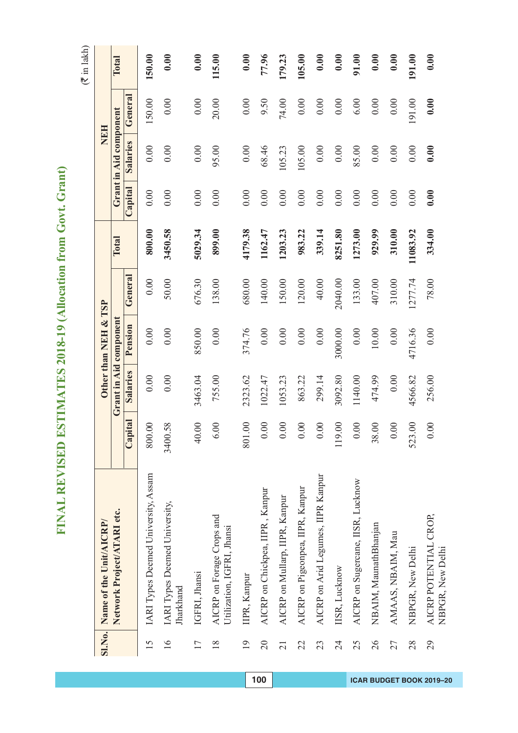# FINAL REVISED ESTIMATES 2018-19 (Allocation from Govt. Grant) **FINAL REVISED ESTIMATES 2018-19 (Allocation from Govt. Grant)**

|                 | Sl.No. Name of the Unit/AICRP/                          |                           |          | Other than NEH & TSP   |         |          |         | NEH                    |         |        |
|-----------------|---------------------------------------------------------|---------------------------|----------|------------------------|---------|----------|---------|------------------------|---------|--------|
|                 | Network Project/ATARI etc.                              |                           |          | Grant in Aid component |         | Total    |         | Grant in Aid component |         | Total  |
|                 |                                                         | Capital                   | Salaries | Pension                | General |          | Capital | <b>Salaries</b>        | General |        |
| 15              | IARI Types Deemed University, Assam                     | $\odot$<br>800            | 0.00     | 0.00                   | 0.00    | 800.00   | 0.00    | 0.00                   | 150.00  | 150.00 |
| $\frac{6}{1}$   | IARI Types Deemed University,<br>Jharkhand              | 58<br>3400                | 0.00     | 0.00                   | 50.00   | 3450.58  | 0.00    | 0.00                   | 0.00    | 0.00   |
| 17              | IGFRI, Jhansi                                           | 00<br>$\overline{4}$      | 3463.04  | 850.00                 | 676.30  | 5029.34  | 0.00    | 0.00                   | 0.00    | 0.00   |
| $\frac{8}{18}$  | AICRP on Forage Crops and<br>Utilization, IGFRI, Jhansi | $\odot$<br>$\circ$        | 755.00   | 0.00                   | 138.00  | 899.00   | 0.00    | 95.00                  | 20.00   | 115.00 |
| $\overline{19}$ | IIPR, Kanpur                                            | $\odot$<br>801            | 2323.62  | 374.76                 | 680.00  | 4179.38  | 0.00    | 0.00                   | 0.00    | 0.00   |
| $\overline{20}$ | AICRP on Chickpea, IIPR, Kanpur                         | 00.1<br>$\circ$           | 1022.47  | 0.00                   | 140.00  | 1162.47  | 0.00    | 68.46                  | 9.50    | 77.96  |
| $\overline{21}$ | AICRP on Mullarp, IIPR, Kanpur                          | $\odot$<br>$\circ$        | 1053.23  | 0.00                   | 150.00  | 1203.23  | 0.00    | 105.23                 | 74.00   | 179.23 |
| 22              | AICRP on Pigeonpea, IIPR, Kanpur                        | $\odot$<br>$\circ$        | 863.22   | 0.00                   | 120.00  | 983.22   | 0.00    | 105.00                 | 0.00    | 105.00 |
| 23              | AICRP on Arid Legumes, IIPR Kanpur                      | $\overline{0}$<br>$\circ$ | 299.14   | 0.00                   | 40.00   | 339.14   | 0.00    | 0.00                   | 0.00    | 0.00   |
| $\overline{24}$ | IISR, Lucknow                                           | 00<br>119                 | 3092.80  | 3000.00                | 2040.00 | 8251.80  | 0.00    | 0.00                   | 0.00    | 0.00   |
| 25              | AICRP on Sugercane, IISR, Lucknow                       | $\odot$<br>$\circ$        | 1140.00  | 0.00                   | 133.00  | 1273.00  | 0.00    | 85.00                  | 6.00    | 91.00  |
| 26              | NBAIM, MaunathBhanjan                                   | 00<br>38                  | 474.99   | 10.00                  | 407.00  | 929.99   | 0.00    | 0.00                   | 0.00    | 0.00   |
| 27              | AMAAS, NBAIM, Mau                                       | $\odot$<br>$\circ$        | 0.00     | 0.00                   | 310.00  | 310.00   | 0.00    | 0.00                   | 0.00    | 0.00   |
| 28              | NBPGR, New Delhi                                        | 00<br>523                 | 4566.82  | 4716.36                | 1277.74 | 11083.92 | 0.00    | 0.00                   | 191.00  | 191.00 |
| 29              | AICRP POTENTIAL CROP,<br>NBPGR, New Delhi               | $\odot$<br>$\circ$        | 256.00   | 0.00                   | 78.00   | 334.00   | 0.00    | 0.00                   | 0.00    | 0.00   |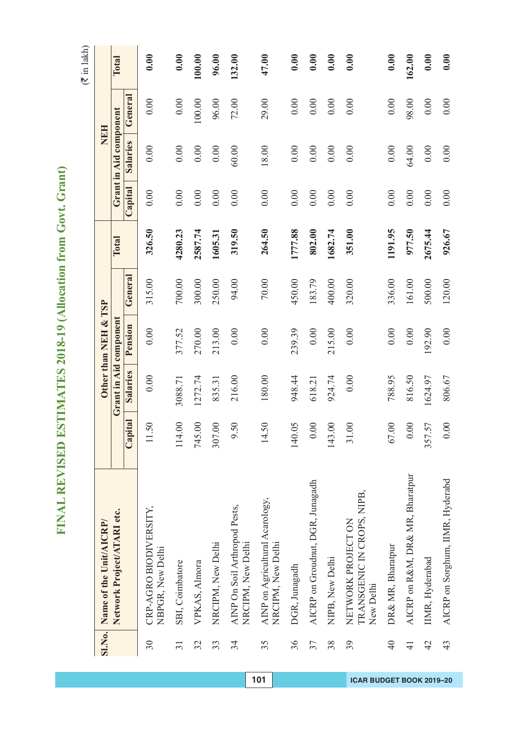| Į                             |
|-------------------------------|
| í<br>Í<br>í                   |
| l                             |
| l<br>I                        |
| ้<br>I                        |
|                               |
| ì<br>י<br>ו                   |
| j<br>I<br>١                   |
| J<br>١                        |
| l                             |
|                               |
| Í<br>١                        |
| ١                             |
| l<br>Í                        |
|                               |
| í<br>İ                        |
| I<br>١<br>I                   |
|                               |
| I<br>I                        |
| ١                             |
| l<br>ŗ                        |
| í<br>l                        |
| I                             |
|                               |
|                               |
| l<br>۱<br>ſ                   |
| 0<br>J                        |
| l<br>Í                        |
| ¢<br>,                        |
| $\overline{\phantom{a}}$<br>l |
| ໄ<br>2                        |
|                               |
|                               |
|                               |
|                               |
|                               |
| ſ.                            |
| I<br>I                        |
| ۱                             |
| j<br>Į                        |
|                               |
|                               |
| ļ                             |
|                               |
| Ì                             |
| ļ<br>l                        |
| Ì                             |
|                               |
| Ĕ                             |
|                               |
| I                             |
| I                             |
| ļ                             |
| I<br>F<br>l                   |
|                               |
| Œ<br>Í                        |

|                 | Sl.No. Name of the Unit/AICRP/                               |                            |                        | Other than NEH & TSP |         |         |         | NEH                    |         |        |
|-----------------|--------------------------------------------------------------|----------------------------|------------------------|----------------------|---------|---------|---------|------------------------|---------|--------|
|                 | Network Project/ATARI etc.                                   |                            | Grant in Aid component |                      |         | Total   |         | Grant in Aid component |         | Total  |
|                 |                                                              | Capital                    | Salaries               | Pension              | General |         | Capital | <b>Salaries</b>        | General |        |
| 30              | CRP-AGRO BIODIVERSITY.<br>NBPGR, New Delhi                   | .50<br>$\Box$              | 0.00                   | 0.00                 | 315.00  | 326.50  | 0.00    | 0.00                   | 0.00    | 0.00   |
| $\overline{31}$ | SBI, Coimbatore                                              | 114.00                     | 3088.71                | 377.52               | 700.00  | 4280.23 | 0.00    | 0.00                   | 0.00    | 0.00   |
| 32              | VPKAS, Almora                                                | $\odot$<br>745             | 1272.74                | 270.00               | 300.00  | 2587.74 | 0.00    | 0.00                   | 100.00  | 100.00 |
| 33              | NRCIPM, New Delhi                                            | $\odot$<br>307             | 835.31                 | 213.00               | 250.00  | 1605.31 | 0.00    | 0.00                   | 96.00   | 96.00  |
| 34              | AINP On Soil Arthropod Pests,<br>NRCIPM, New Delhi           | 50<br>$\circ$              | 216.00                 | 0.00                 | 94.00   | 319.50  | 0.00    | 60.00                  | 72.00   | 132.00 |
| 35              | AINP on Agricultural Acarology,<br>NRCIPM, New Delhi         | 50<br>$\overline{1}$       | 180.00                 | $0.00\,$             | $70.00$ | 264.50  | 0.00    | 18.00                  | 29.00   | 47.00  |
| 36              | DGR, Junagadh                                                | $\widetilde{5}0$ .<br>140  | 948.44                 | 239.39               | 450.00  | 1777.88 | 0.00    | 0.00                   | 0.00    | 0.00   |
| 37              | AICRP on Groudnut, DGR, Junagadh                             | $\odot$<br>$\circ$         | 618.21                 | 0.00                 | 183.79  | 802.00  | 0.00    | 0.00                   | 0.00    | 0.00   |
| 38              | NIPB, New Delhi                                              | $\odot$<br>143             | 924.74                 | 215.00               | 400.00  | 1682.74 | 0.00    | 0.00                   | 0.00    | 0.00   |
| 39              | TRANSGENIC IN CROPS, NIPB,<br>NETWORK PROJECTON<br>New Delhi | $\odot$<br>$\overline{31}$ | 0.00                   | 0.00                 | 320.00  | 351.00  | 0.00    | 0.00                   | 0.00    | 0.00   |
| $\overline{40}$ | DR& MR, Bharatpur                                            | $\odot$<br>67              | 788.95                 | 0.00                 | 336.00  | 1191.95 | 0.00    | 0.00                   | 0.00    | 0.00   |
| $\overline{4}$  | AICRP on R&M, DR& MR, Bharatpur                              | $\overline{0}$<br>$\circ$  | 816.50                 | 0.00                 | 161.00  | 977.50  | 0.00    | 64.00                  | 98.00   | 162.00 |
| 42              | IMR, Hyderabad                                               | 57<br>357                  | 1624.97                | 192.90               | 500.00  | 2675.44 | 0.00    | 0.00                   | 0.00    | 0.00   |
| 43              | AICRP on Sorghum, IIMR, Hyderabd                             | $\overline{0}$<br>$\circ$  | 806.67                 | 0.00                 | 120.00  | 926.67  | 0.00    | 0.00                   | 0.00    | 0.00   |

**101 ICAR BUDGET BOOK 2019–20**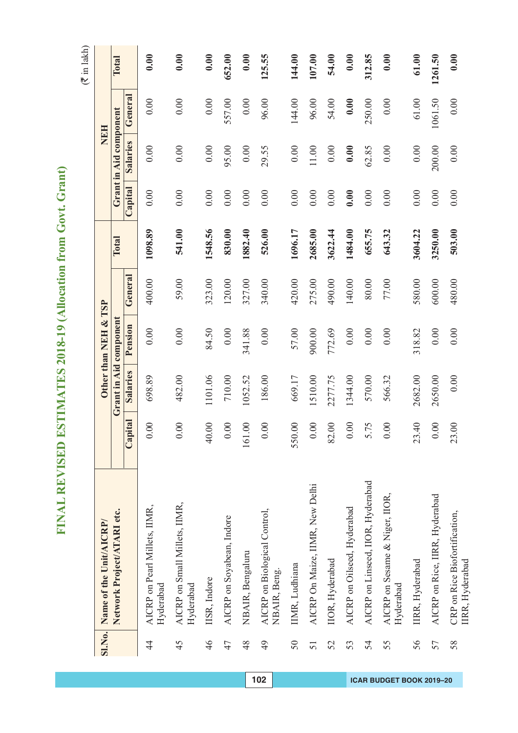| Į                             |
|-------------------------------|
| í<br>Í<br>í                   |
| l                             |
| l<br>I                        |
| ้<br>I                        |
|                               |
| ì<br>י<br>ו                   |
| j<br>I<br>۱                   |
| J<br>١                        |
| l                             |
|                               |
| Í<br>١                        |
| ۱                             |
| l<br>l                        |
|                               |
| í<br>İ                        |
| I<br>١<br>I                   |
|                               |
| I<br>I                        |
| ١                             |
| l<br>ŗ                        |
| í<br>l                        |
| I                             |
|                               |
|                               |
| Í<br>۱<br>ſ                   |
| 0<br>J                        |
| l<br>Í                        |
| ¢<br>,                        |
| $\overline{\phantom{a}}$<br>l |
| ໄ<br>2                        |
|                               |
|                               |
|                               |
|                               |
|                               |
| ſ.                            |
| I<br>I                        |
| ١                             |
| j<br>Į                        |
|                               |
|                               |
| ļ                             |
|                               |
| Ì                             |
| ļ<br>l                        |
| Ì                             |
|                               |
| Ĕ                             |
|                               |
| I                             |
| I                             |
| ļ                             |
| I<br>F<br>l                   |
|                               |
| Œ<br>Í                        |

|               | SI.No. Name of the Unit/AICRP/                   |                      |                        | Other than NEH & TSP |         |         |         |                        | <b>NEH</b> |         |
|---------------|--------------------------------------------------|----------------------|------------------------|----------------------|---------|---------|---------|------------------------|------------|---------|
|               | Network Project/ATARI etc.                       |                      | Grant in Aid component |                      |         | Total   |         | Grant in Aid component |            | Total   |
|               |                                                  | Capital              | Salaries               | Pension              | General |         | Capital | Salaries               | General    |         |
| $\frac{4}{3}$ | AICRP on Pearl Millets, IIMR,<br>Hyderabad       | 0.00                 | 698.89                 | 0.00                 | 400.00  | 1098.89 | 0.00    | 0.00                   | 0.00       | 0.00    |
| 45            | AICRP on Small Millets, IIMR,<br>Hyderabad       | 00.1                 | 482.00                 | 0.00                 | 59.00   | 541.00  | 0.00    | 0.00                   | 0.00       | 0.00    |
| 46            | IISR, Indore                                     | 00.<br>$\theta$      | 1101.06                | 84.50                | 323.00  | 1548.56 | 0.00    | 0.00                   | 0.00       | 0.00    |
| 47            | AICRP on Soyabean, Indore                        | $\odot$              | 710.00                 | 0.00                 | 120.00  | 830.00  | 0.00    | 95.00                  | 557.00     | 652.00  |
| 48            | NBAIR, Bengaluru                                 | $\odot$<br>161       | 1052.52                | 341.88               | 327.00  | 1882.40 | 0.00    | 0.00                   | $0.00\,$   | 0.00    |
| 49            | AICRP on Biological Control,<br>NBAIR, Beng.     | 00                   | 186.00                 | $0.00\,$             | 340.00  | 526.00  | 0.00    | 29.55                  | 96.00      | 125.55  |
| 50            | IIMR, Ludhiana                                   | 550.00               | 669.17                 | 57.00                | 420.00  | 1696.17 | 0.00    | 0.00                   | 144.00     | 144.00  |
| 51            | AICRP On Maize, IIMR, New Delhi                  | 0.00                 | 1510.00                | 900.00               | 275.00  | 2685.00 | 0.00    | 11.00                  | 96.00      | 107.00  |
| 52            | IIOR, Hyderabad                                  | 82.00                | 2277.75                | 772.69               | 490.00  | 3622.44 | 0.00    | 0.00                   | 54.00      | 54.00   |
| 53            | AICRP on Oilseed, Hyderabad                      | 0.00                 | 1344.00                | 0.00                 | 140.00  | 1484.00 | 0.00    | 0.00                   | 0.00       | 0.00    |
| 54            | AICRP on Linseed, IIOR, Hyderabad                | 51.75                | 570.00                 | $0.00\,$             | 80.00   | 655.75  | 0.00    | 62.85                  | 250.00     | 312.85  |
| 55            | AICRP on Sesame & Niger, IIOR,<br>Hyderabad      | $\odot$              | 566.32                 | 0.00                 | 77.00   | 643.32  | 0.00    | 0.00                   | 0.00       | 0.00    |
| 56            | IIRR, Hyderabad                                  | $\overline{4}$<br>23 | 2682.00                | 318.82               | 580.00  | 3604.22 | 0.00    | 0.00                   | $61.00\,$  | 61.00   |
| 57            | AICRP on Rice, IIRR, Hyderabad                   | 0.00                 | 2650.00                | 0.00                 | 600.00  | 3250.00 | 0.00    | 200.00                 | 1061.50    | 1261.50 |
| 58            | CRP on Rice Biofortification,<br>IIRR, Hyderabad | $\overline{0}$<br>23 | 0.00                   | 0.00                 | 480.00  | 503.00  | 0.00    | 0.00                   | 0.00       | 0.00    |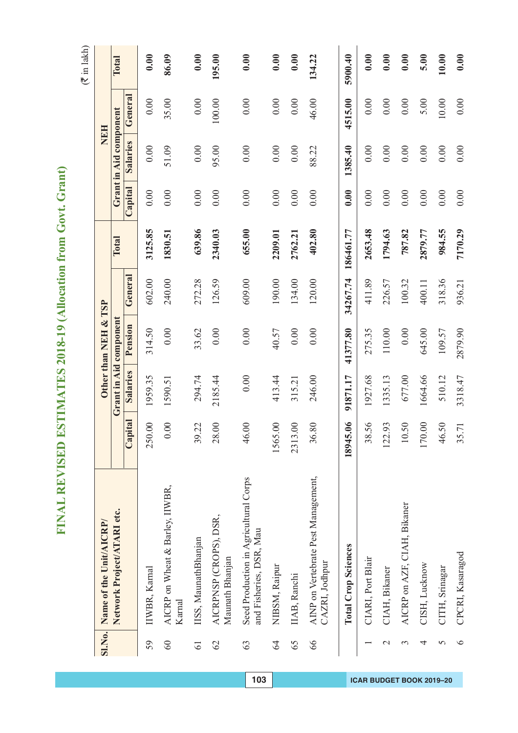# FINAL REVISED ESTIMATES 2018-19 (Allocation from Govt. Grant) **FINAL REVISED ESTIMATES 2018-19 (Allocation from Govt. Grant)**

|                 | SI.No. Name of the Unit/AICRP/                                   |                           |                 | Other than NEH & TSP   |          |           |         | <b>NEH</b>             |         |         |
|-----------------|------------------------------------------------------------------|---------------------------|-----------------|------------------------|----------|-----------|---------|------------------------|---------|---------|
|                 | Network Project/ATARI etc.                                       |                           |                 | Grant in Aid component |          | Total     |         | Grant in Aid component |         | Total   |
|                 |                                                                  | ital<br>Cap               | <b>Salaries</b> | Pension                | General  |           | Capital | Salaries               | General |         |
| 59              | IIWBR, Karnal                                                    | $\infty$<br>250.          | 1959.35         | 314.50                 | 602.00   | 3125.85   | 0.00    | 0.00                   | 0.00    | 0.00    |
| 60              | AICRP on Wheat & Barley, IIWBR,<br>Karnal                        | $\infty$<br>$\dot{\circ}$ | 1590.51         | 0.00                   | 240.00   | 1830.51   | 0.00    | 51.09                  | 35.00   | 86.09   |
| $\overline{61}$ | IISS, MaunathBhanjan                                             | 39.22                     | 294.74          | 33.62                  | 272.28   | 639.86    | 0.00    | 0.00                   | 0.00    | 0.00    |
| $\mathcal{O}$   | AICRPNSP (CROPS), DSR,<br>Maunath Bhanjan                        | $\infty$<br>28.           | 2185.44         | 0.00                   | 126.59   | 2340.03   | 0.00    | 95.00                  | 100.00  | 195.00  |
| 63              | Seed Production in Agricultural Corps<br>and Fisheries, DSR, Mau | $\infty$<br>46.           | 0.00            | 0.00                   | 609.00   | 655.00    | 0.00    | 0.00                   | 0.00    | 0.00    |
| $\mathcal{L}$   | NIBSM, Raipur                                                    | $\infty$<br>1565.         | 413.44          | 40.57                  | 190.00   | 2209.01   | 0.00    | 0.00                   | 0.00    | 0.00    |
| 65              | IIAB, Ranchi                                                     | $\infty$<br>2313.         | 315.21          | $0.00$                 | 134.00   | 2762.21   | 0.00    | 0.00                   | 0.00    | 0.00    |
| 66              | AINP on Vertebrate Pest Management,<br>CAZRI, Jodhpur            | 80<br>36.                 | 246.00          | 0.00                   | 120.00   | 402.80    | 0.00    | 88.22                  | 46.00   | 134.22  |
|                 | <b>Total Crop Sciences</b>                                       | 18945.06                  | 91871.17        | 41377.80               | 34267.74 | 186461.77 | 0.00    | 1385.40                | 4515.00 | 5900.40 |
|                 | CIARI, Port Blair                                                | 56<br>38.                 | 1927.68         | 275.35                 | 411.89   | 2653.48   | 0.00    | 0.00                   | 0.00    | 0.00    |
| $\mathcal{C}$   | CIAH, Bikaner                                                    | 93<br>122.                | 1335.13         | 110.00                 | 226.57   | 1794.63   | 0.00    | 0.00                   | 0.00    | 0.00    |
| 3               | AICRP on AZF, CIAH, Bikaner                                      | 50<br>$\overline{10}$ .   | 677.00          | 0.00                   | 100.32   | 787.82    | 0.00    | 0.00                   | 0.00    | 0.00    |
| 4               | CISH, Lucknow                                                    | $\infty$<br>170.          | 1664.66         | 645.00                 | 400.11   | 2879.77   | 0.00    | 0.00                   | 5.00    | 5.00    |
| 5               | CITH, Srinagar                                                   | 50<br>46.                 | 510.12          | 109.57                 | 318.36   | 984.55    | 0.00    | 0.00                   | $10.00$ | 10.00   |
| $\circ$         | CPCRI, Kasaragod                                                 | 35.71                     | 3318.47         | 2879.90                | 936.21   | 7170.29   | 0.00    | 0.00                   | 0.00    | 0.00    |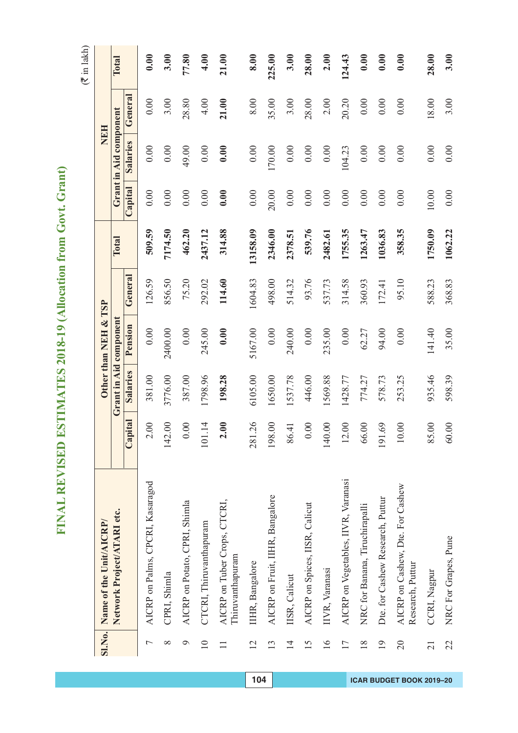# FINAL REVISED ESTIMATES 2018-19 (Allocation from Govt. Grant) **FINAL REVISED ESTIMATES 2018-19 (Allocation from Govt. Grant)**

|                 | SI.No. Name of the Unit/AICRP/                       |                         |          | Other than NEH & TSP          |         |              |         | <b>NEH</b>             |          |        |
|-----------------|------------------------------------------------------|-------------------------|----------|-------------------------------|---------|--------------|---------|------------------------|----------|--------|
|                 | Network Project/ATARI etc.                           |                         |          | <b>Grant in Aid component</b> |         | <b>Total</b> |         | Grant in Aid component |          | Total  |
|                 |                                                      | Capital                 | Salaries | Pension                       | General |              | Capital | <b>Salaries</b>        | General  |        |
| $\overline{ }$  | AICRP on Palms, CPCRI, Kasaragod                     | 2.00                    | 381.00   | 0.00                          | 126.59  | 509.59       | 0.00    | 0.00                   | 0.00     | 0.00   |
| ∞               | CPRI, Shimla                                         | 142.00                  | 3776.00  | 2400.00                       | 856.50  | 7174.50      | 0.00    | 0.00                   | 3.00     | 3.00   |
| σ               | AICRP on Potato, CPRI, Shimla                        | 0.00                    | 387.00   | $0.00\,$                      | 75.20   | 462.20       | 0.00    | 49.00                  | 28.80    | 77.80  |
| $\supseteq$     | CTCRI, Thiruvanthapuram                              | 1.14<br>$\sum$          | 1798.96  | 245.00                        | 292.02  | 2437.12      | 0.00    | 0.00                   | 4.00     | 4.00   |
|                 | AICRP on Tuber Crops, CTCRI,<br>Thiruvanthapuram     | 2.00                    | 198.28   | 0.00                          | 114.60  | 314.88       | 0.00    | 0.00                   | 21.00    | 21.00  |
| 12              | IIHR, Bangalore                                      | 281.26                  | 6105.00  | 5167.00                       | 1604.83 | 13158.09     | 0.00    | 0.00                   | $8.00\,$ | 8.00   |
| 13              | AICRP on Fruit, IIHR, Bangalore                      | 198.00                  | 1650.00  | 0.00                          | 498.00  | 2346.00      | 20.00   | 170.00                 | 35.00    | 225.00 |
| $\overline{1}$  | IISR, Calicut                                        | 86.41                   | 1537.78  | 240.00                        | 514.32  | 2378.51      | 0.00    | 0.00                   | 3.00     | 3.00   |
| 15              | AICRP on Spices, IISR, Calicut                       | 0.00                    | 446.00   | 0.00                          | 93.76   | 539.76       | 0.00    | 0.00                   | 28.00    | 28.00  |
| 16              | IIVR, Varanasi                                       | 140.00                  | 1569.88  | 235.00                        | 537.73  | 2482.61      | 0.00    | 0.00                   | 2.00     | 2.00   |
| 17              | AICRP on Vegetables, IIVR, Varanasi                  | 12.00                   | 1428.77  | $0.00$                        | 314.58  | 1755.35      | 0.00    | 104.23                 | 20.20    | 124.43 |
| $\frac{8}{18}$  | NRC for Banana, Tiruchirapalli                       | 66.00                   | 774.27   | 62.27                         | 360.93  | 1263.47      | 0.00    | 0.00                   | 0.00     | 0.00   |
| 19              | Dte. for Cashew Research, Puttur                     | .69<br>$\overline{191}$ | 578.73   | 94.00                         | 172.41  | 1036.83      | 0.00    | 0.00                   | 0.00     | 0.00   |
| $\overline{20}$ | AICRP on Cashew, Dte. For Cashew<br>Research, Puttur | 10.00                   | 253.25   | 0.00                          | 95.10   | 358.35       | 0.00    | 0.00                   | 0.00     | 0.00   |
| $\overline{21}$ | CCRI, Nagpur                                         | 85.00                   | 935.46   | 141.40                        | 588.23  | 1750.09      | 10.00   | 0.00                   | 18.00    | 28.00  |
| 22              | NRC For Grapes, Pune                                 | 60.00                   | 598.39   | 35.00                         | 368.83  | 1062.22      | 0.00    | 0.00                   | 3.00     | 3.00   |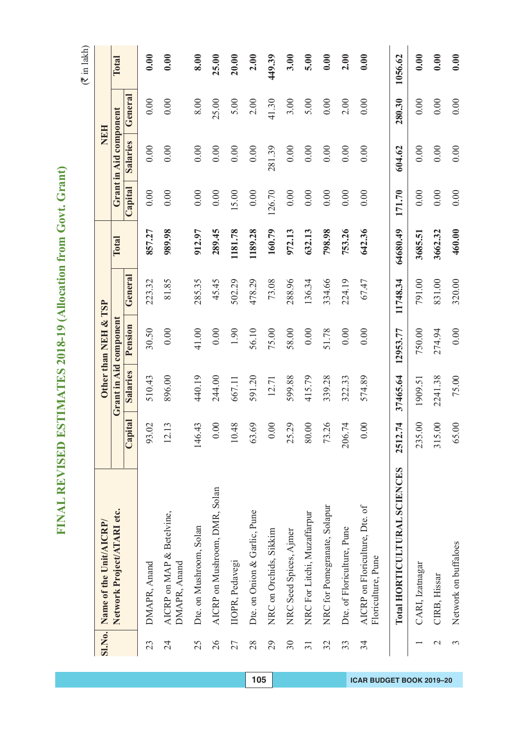$(\overline{\mathfrak{F}}$  in lakh)

|                 | SI.No. Name of the Unit/AICRP/                       |                       |          | Other than NEH & TSP   |          |          |         |                        | <b>NEH</b> |              |
|-----------------|------------------------------------------------------|-----------------------|----------|------------------------|----------|----------|---------|------------------------|------------|--------------|
|                 | Network Project/ATARI etc.                           |                       |          | Grant in Aid component |          | Total    |         | Grant in Aid component |            | <b>Total</b> |
|                 |                                                      | Capital               | Salaries | Pension                | General  |          | Capital | Salaries               | General    |              |
| 23              | DMAPR, Anand                                         | $\Omega$<br>93.       | 510.43   | 30.50                  | 223.32   | 857.27   | 0.00    | 0.00                   | 0.00       | 0.00         |
| 24              | AICRP on MAP & Betelvine,<br>DMAPR, Anand            | 12.13                 | 896.00   | 0.00                   | 81.85    | 989.98   | 0.00    | 0.00                   | 0.00       | 0.00         |
| 25              | Dte. on Mushroom, Solan                              | 43<br>146.            | 440.19   | 41.00                  | 285.35   | 912.97   | 0.00    | 0.00                   | 8.00       | 8.00         |
| 26              | AICRP on Mushroom, DMR, Solan                        | $\odot$<br>$\circ$    | 244.00   | 0.00                   | 45.45    | 289.45   | 0.00    | 0.00                   | 25.00      | 25.00        |
| 27              | IIOPR, Pedavegi                                      | 48<br>$\overline{10}$ | 667.11   | 1.90                   | 502.29   | 1181.78  | 15.00   | 0.00                   | 5.00       | 20.00        |
| 28              | Dte. on Onion & Garlic, Pune                         | 69<br>63              | 591.20   | 56.10                  | 478.29   | 1189.28  | 0.00    | 0.00                   | 2.00       | 2.00         |
| 29              | NRC on Orchids, Sikkim                               | $\odot$<br>$\circ$    | 12.71    | 75.00                  | 73.08    | 160.79   | 126.70  | 281.39                 | 41.30      | 449.39       |
| $30\,$          | NRC Seed Spices, Ajmer                               | 29<br>25.             | 599.88   | 58.00                  | 288.96   | 972.13   | 0.00    | 0.00                   | 3.00       | 3.00         |
| $\overline{31}$ | NRC For Litchi, Muzaffarpur                          | $\odot$<br>80.        | 415.79   | 0.00                   | 136.34   | 632.13   | 0.00    | 0.00                   | 5.00       | 5.00         |
| 32              | NRC for Pomegranate, Solapur                         | 26<br>73.             | 339.28   | 51.78                  | 334.66   | 798.98   | 0.00    | 0.00                   | 0.00       | 0.00         |
| 33              | Dte. of Floriculture, Pune                           | 74<br>206.            | 322.33   | 0.00                   | 224.19   | 753.26   | 0.00    | 0.00                   | 2.00       | 2.00         |
| 34              | AICRP on Floriculture, Dte. of<br>Floriculture, Pune | $\odot$<br>$\circ$    | 574.89   | 0.00                   | 67.47    | 642.36   | 0.00    | 0.00                   | 0.00       | 0.00         |
|                 | Total HORTICULTURAL SCIENCES                         | 2512.74               | 37465.64 | 12953.77               | 11748.34 | 64680.49 | 171.70  | 604.62                 | 280.30     | 1056.62      |
|                 | CARI, Izatnagar                                      | $\odot$<br>235.       | 1909.51  | 750.00                 | 791.00   | 3685.51  | 0.00    | 0.00                   | 0.00       | 0.00         |
| $\mathcal{L}$   | CIRB, Hissar                                         | $\odot$<br>315.       | 2241.38  | 274.94                 | 831.00   | 3662.32  | 0.00    | 0.00                   | 0.00       | 0.00         |
|                 | Network on buffaloes                                 | 65.00                 | 75.00    | 0.00                   | 320.00   | 460.00   | 0.00    | 0.00                   | 0.00       | 0.00         |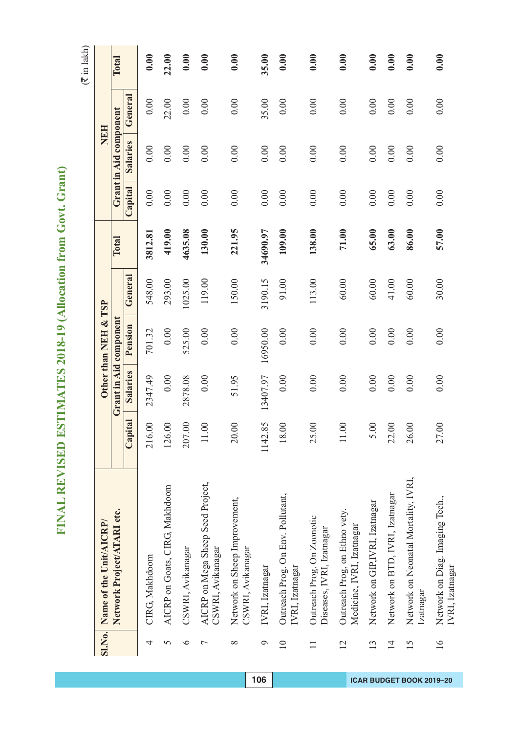|                 | SI.No. Name of the Unit/AICRP/                             |                                  |                 | Other than NEH & TSP   |         |          |         | NEH                    |         |       |
|-----------------|------------------------------------------------------------|----------------------------------|-----------------|------------------------|---------|----------|---------|------------------------|---------|-------|
|                 | Network Project/ATARI etc.                                 |                                  |                 | Grant in Aid component |         | Total    |         | Grant in Aid component |         | Total |
|                 |                                                            | Capital                          | <b>Salaries</b> | Pension                | General |          | Capital | <b>Salaries</b>        | General |       |
| 4               | CIRG, Makhdoom                                             | $\overline{00}$<br>216           | 2347.49         | 701.32                 | 548.00  | 3812.8   | 0.00    | 0.00                   | 0.00    | 0.00  |
| 5               | AICRP on Goats, CIRG, Makhdoom                             | 00<br>126                        | 0.00            | 0.00                   | 293.00  | 419.00   | 0.00    | 0.00                   | 22.00   | 22.00 |
| $\circ$         | CSWRI, Avikanagar                                          | $\odot$<br>207                   | 2878.08         | 525.00                 | 1025.00 | 4635.08  | 0.00    | 0.00                   | 0.00    | 0.00  |
| $\overline{ }$  | AICRP on Mega Sheep Seed Project,<br>CSWRI, Avikanagar     | $\infty$<br>$\Box$               | 0.00            | 0.00                   | 119.00  | 130.00   | 0.00    | 0.00                   | 0.00    | 0.00  |
| $\infty$        | Network on Sheep Improvement,<br>CSWRI, Avikanagar         | $\overline{0}$<br>$\overline{c}$ | 51.95           | 0.00                   | 150.00  | 221.95   | 0.00    | 0.00                   | 0.00    | 0.00  |
| $\mathcal{Q}$   | IVRI, Izatnagar                                            | .85<br>1142                      | 13407.97        | 16950.00               | 3190.15 | 34690.97 | 0.00    | 0.00                   | 35.00   | 35.00 |
| $\overline{10}$ | Outreach Prog. On Env. Pollutant,<br>IVRI, Izatnagar       | $\overline{0}$<br>$\frac{8}{18}$ | 0.00            | 0.00                   | 91.00   | 109.00   | 0.00    | 0.00                   | 0.00    | 0.00  |
| $\Box$          | Outreach Prog. On Zoonotic<br>Diseases, IVRI, Izatnagar    | $\odot$<br>25                    | 0.00            | 0.00                   | 113.00  | 138.00   | 0.00    | 0.00                   | 0.00    | 0.00  |
| $\overline{2}$  | Outreach Prog, on Ethno vety.<br>Medicine, IVRI, Izatnagar | $\odot$<br>$\Box$                | 0.00            | 0.00                   | 60.00   | 71.00    | 0.00    | 0.00                   | 0.00    | 0.00  |
| 13              | Network on GIP,IVRI, Izatnagar                             | $\overline{0}$<br>$\sim$         | 0.00            | 0.00                   | 60.00   | 65.00    | 0.00    | 0.00                   | 0.00    | 0.00  |
| $\overline{1}$  | Network on BTD, IVRI, Izatnagar                            | $\odot$<br>22                    | 0.00            | $0.00\,$               | 41.00   | 63.00    | 0.00    | 0.00                   | 0.00    | 0.00  |
| 15              | Network on Neonatal Mortality, IVRI,<br>Izatnagar          | $\infty$<br>26                   | 0.00            | 0.00                   | 60.00   | 86.00    | 0.00    | 0.00                   | 0.00    | 0.00  |
| $\overline{16}$ | Network on Diag. Imaging Tech.,<br>IVRI, Izatnagar         | $\odot$<br>27                    | 0.00            | 0.00                   | 30.00   | 57.00    | 0.00    | 0.00                   | 0.00    | 0.00  |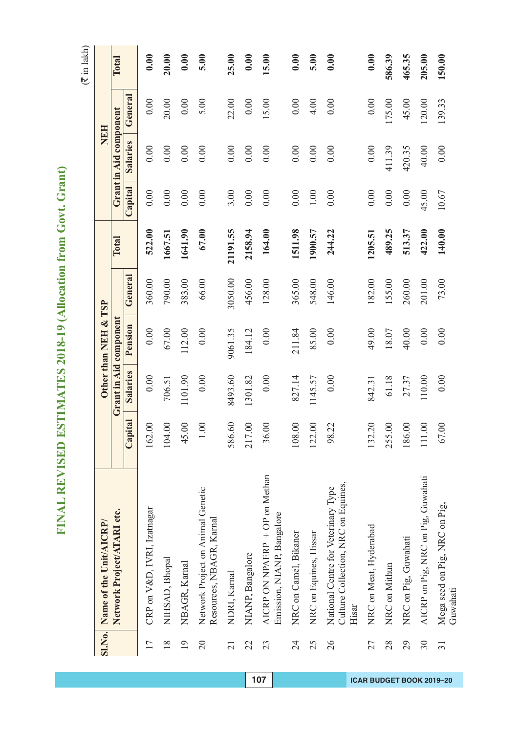FINAL REVISED ESTIMATES 2018-19 (Allocation from Govt. Grant) **FINAL REVISED ESTIMATES 2018-19 (Allocation from Govt. Grant)**

|                 | SI.No. Name of the Unit/AICRP/                                                      |         |          | Other than NEH & TSP   |         |          |         | <b>NEH</b>             |         |        |
|-----------------|-------------------------------------------------------------------------------------|---------|----------|------------------------|---------|----------|---------|------------------------|---------|--------|
|                 | Network Project/ATARI etc.                                                          |         |          | Grant in Aid component |         | Total    |         | Grant in Aid component |         | Total  |
|                 |                                                                                     | Capital | Salaries | Pension                | General |          | Capital | Salaries               | General |        |
| 17              | CRP on V&D, IVRI, Izatnagar                                                         | 162.00  | 0.00     | 0.00                   | 360.00  | 522.00   | 0.00    | 0.00                   | 0.00    | 0.00   |
| $\frac{8}{18}$  | NIHSAD, Bhopal                                                                      | 104.00  | 706.51   | 67.00                  | 790.00  | 1667.51  | 0.00    | 0.00                   | 20.00   | 20.00  |
| $\overline{19}$ | NBAGR, Karnal                                                                       | 45.00   | 1101.90  | 112.00                 | 383.00  | 1641.90  | 0.00    | 0.00                   | 0.00    | 0.00   |
| $\overline{20}$ | Network Project on Animal Genetic<br>Resources, NBAGR, Karnal                       | 1.00    | 0.00     | 0.00                   | 66.00   | 67.00    | 0.00    | 0.00                   | 5.00    | 5.00   |
| $\overline{21}$ | NDRI, Kamal                                                                         | 586.60  | 8493.60  | 9061.35                | 3050.00 | 21191.55 | 3.00    | 0.00                   | 22.00   | 25.00  |
| 22              | NIANP, Bangalore                                                                    | 217.00  | 1301.82  | 184.12                 | 456.00  | 2158.94  | 0.00    | 0.00                   | 0.00    | 0.00   |
| 23              | AICRP ON NPAERP + OP on Methan<br>Emission, NIANP, Bangalore                        | 36.00   | 0.00     | 0.00                   | 128.00  | 164.00   | 0.00    | 0.00                   | 15.00   | 15.00  |
| 24              | NRC on Camel, Bikaner                                                               | 108.00  | 827.14   | 211.84                 | 365.00  | 1511.98  | 0.00    | 0.00                   | 0.00    | 0.00   |
| 25              | NRC on Equines, Hissar                                                              | 122.00  | 1145.57  | 85.00                  | 548.00  | 1900.57  | 1.00    | 0.00                   | 4.00    | 5.00   |
| 26              | Culture Collection, NRC on Equines,<br>National Centre for Veterinary Type<br>Hisar | 98.22   | 0.00     | 0.00                   | 146.00  | 244.22   | 0.00    | 0.00                   | 0.00    | 0.00   |
| 27              | NRC on Meat, Hyderabad                                                              | 132.20  | 842.31   | 49.00                  | 182.00  | 1205.51  | 0.00    | 0.00                   | 0.00    | 0.00   |
| 28              | NRC on Mithun                                                                       | 255.00  | 61.18    | 18.07                  | 155.00  | 489.25   | 0.00    | 411.39                 | 175.00  | 586.39 |
| 29              | NRC on Pig, Guwahati                                                                | 186.00  | 27.37    | 40.00                  | 260.00  | 513.37   | 0.00    | 420.35                 | 45.00   | 465.35 |
| $30\,$          | AICRP on Pig, NRC on Pig, Guwahati                                                  | 111.00  | 110.00   | 0.00                   | 201.00  | 422.00   | 45.00   | 40.00                  | 120.00  | 205.00 |
| $\overline{31}$ | Mega seed on Pig, NRC on Pig,<br>Guwahati                                           | 67.00   | 0.00     | 0.00                   | 73.00   | 140.00   | 10.67   | 0.00                   | 139.33  | 150.00 |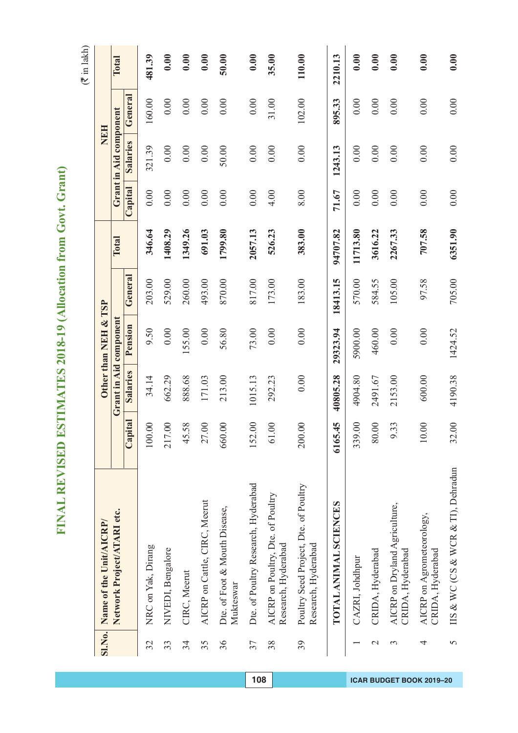FINAL REVISED ESTIMATES 2018-19 (Allocation from Govt. Grant) **FINAL REVISED ESTIMATES 2018-19 (Allocation from Govt. Grant)**

 $($  $\bar{z}$  in lakh)

| <b>SI.No.</b>  | Name of the Unit/AICRP/                                      |                            |          | Other than NEH & TSP   |          |          |         | NEH                    |         |         |
|----------------|--------------------------------------------------------------|----------------------------|----------|------------------------|----------|----------|---------|------------------------|---------|---------|
|                | Network Project/ATARI etc.                                   |                            |          | Grant in Aid component |          | Total    |         | Grant in Aid component |         | Total   |
|                |                                                              | Capital                    | Salaries | Pension                | General  |          | Capital | <b>Salaries</b>        | General |         |
| 32             | NRC on Yak, Dirang                                           | 00<br>100                  | 34.14    | 9.50                   | 203.00   | 346.64   | 0.00    | 321.39                 | 160.00  | 481.39  |
| 33             | NIVEDI, Bengalore                                            | $\infty$<br>217            | 662.29   | 0.00                   | 529.00   | 1408.29  | 0.00    | 0.00                   | 0.00    | 0.00    |
| 34             | CIRC, Meerut                                                 | 58<br>45                   | 888.68   | 155.00                 | 260.00   | 1349.26  | 0.00    | 0.00                   | 0.00    | 0.00    |
| 35             | AICRP on Cattle, CIRC, Meerut                                | $\odot$<br>27              | 171.03   | $0.00\,$               | 493.00   | 691.03   | 0.00    | 0.00                   | 0.00    | 0.00    |
| 36             | Dte. of Foot & Mouth Disease,<br>Mukteswar                   | $\overline{0}$<br>660      | 213.00   | 56.80                  | 870.00   | 1799.80  | 0.00    | 50.00                  | 0.00    | 50.00   |
| 37             | Dte. of Poultry Research, Hyderabad                          | $\odot$<br>152             | 1015.13  | 73.00                  | 817.00   | 2057.13  | 0.00    | 0.00                   | 0.00    | 0.00    |
| 38             | AICRP on Poultry, Dte. of Poultry<br>Research, Hyderabad     | $\infty$<br>$\overline{6}$ | 292.23   | 0.00                   | 173.00   | 526.23   | 4.00    | 0.00                   | 31.00   | 35.00   |
| 39             | Poultry Seed Project, Dte. of Poultry<br>Research, Hyderabad | $\odot$<br>200             | 0.00     | 0.00                   | 183.00   | 383.00   | 8.00    | 0.00                   | 102.00  | 110.00  |
|                | TOTAL ANIMAL SCIENCES                                        | 6165.45                    | 40805.28 | 29323.94               | 18413.15 | 94707.82 | 71.67   | 1243.13                | 895.33  | 2210.13 |
|                | CAZRI, Johdhpur                                              | $\odot$<br>339             | 4904.80  | 5900.00                | 570.00   | 11713.80 | 0.00    | 0.00                   | 0.00    | 0.00    |
| $\mathcal{C}$  | CRIDA, Hyderabad                                             | $\overline{0}$<br>80       | 2491.67  | 460.00                 | 584.55   | 3616.22  | 0.00    | 0.00                   | 0.00    | 0.00    |
| $\mathfrak{c}$ | AICRP on Dryland Agriculture,<br>CRIDA, Hyderabad            | 33<br>$\circ$              | 2153.00  | 0.00                   | 105.00   | 2267.33  | 0.00    | 0.00                   | 0.00    | 0.00    |
| 4              | AICRP on Agrometeorology,<br>CRIDA, Hyderabad                | $\odot$<br>$\overline{10}$ | 600.00   | 0.00                   | 97.58    | 707.58   | 0.00    | 0.00                   | 0.00    | 0.00    |
| $\sigma$       | IIS & WC (CS & WCR & TI), Dehradun                           | $\overline{0}$<br>32       | 4190.38  | 1424.52                | 705.00   | 6351.90  | 0.00    | 0.00                   | 0.00    | 0.00    |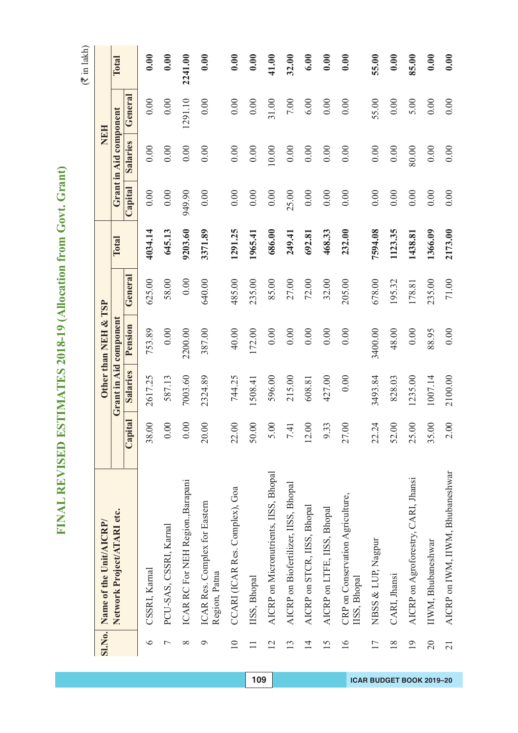|                            | SI.No. Name of the Unit/AICRP/        |         |          | Other than NEH & TSP   |           |         |         |                        | NEH     |         |
|----------------------------|---------------------------------------|---------|----------|------------------------|-----------|---------|---------|------------------------|---------|---------|
| Network Project/ATARI etc. |                                       |         |          | Grant in Aid component |           | Total   |         | Grant in Aid component |         | Total   |
|                            |                                       | Capital | Salaries | Pension                | General   |         | Capital | <b>Salaries</b>        | General |         |
| CSSRI, Karnal              |                                       | 38.00   | 2617.25  | 753.89                 | 625.00    | 4034.14 | 0.00    | 0.00                   | 0.00    | 0.00    |
|                            | PCU-SAS, CSSRI, Karnal                | 0.00    | 587.13   | 0.00                   | 58.00     | 645.13  | 0.00    | 0.00                   | 0.00    | 0.00    |
|                            | ICAR RC For NEH Region., Barapani     | 0.00    | 7003.60  | 2200.00                | $0.00\,$  | 9203.60 | 949.90  | 0.00                   | 1291.10 | 2241.00 |
| Region, Patna              | ICAR Res. Complex for Eastern         | 20.00   | 2324.89  | 387.00                 | 640.00    | 3371.89 | 0.00    | 0.00                   | 0.00    | 0.00    |
|                            | CCARI (ICAR Res. Complex), Goa        | 22.00   | 744.25   | 40.00                  | 485.00    | 1291.25 | 0.00    | 0.00                   | 0.00    | 0.00    |
| IISS, Bhopal               |                                       | 50.00   | 1508.41  | 172.00                 | 235.00    | 1965.41 | 0.00    | 0.00                   | 0.00    | 0.00    |
|                            | AICRP on Micronutrients, IISS, Bhopal | 5.00    | 596.00   | 0.00                   | 85.00     | 686.00  | 0.00    | $10.00$                | 31.00   | 41.00   |
|                            | AICRP on Biofertilizer, IISS, Bhopal  | 7.41    | 215.00   | 0.00                   | 27.00     | 249.41  | 25.00   | 0.00                   | 7.00    | 32.00   |
|                            | AICRP on STCR, IISS, Bhopal           | 12.00   | 608.81   | 0.00                   | 72.00     | 692.81  | 0.00    | 0.00                   | 6.00    | 6.00    |
|                            | AICRP on LTFE, IISS, Bhopal           | 9.33    | 427.00   | 0.00                   | 32.00     | 468.33  | 0.00    | 0.00                   | 0.00    | 0.00    |
| IISS, Bhopal               | CRP on Conservation Agriculture,      | 27.00   | 0.00     | 0.00                   | 205.00    | 232.00  | 0.00    | 0.00                   | 0.00    | 0.00    |
| NBSS & LUP, Nagpur         |                                       | 22.24   | 3493.84  | 3400.00                | 678.00    | 7594.08 | 0.00    | 0.00                   | 55.00   | 55.00   |
| CARI, Jhansi               |                                       | 52.00   | 828.03   | 48.00                  | 195.32    | 1123.35 | 0.00    | 0.00                   | 0.00    | 0.00    |
|                            | AICRP on Agroforestry, CARI, Jhansi   | 25.00   | 1235.00  | 0.00                   | 178.81    | 1438.81 | 0.00    | 80.00                  | 5.00    | 85.00   |
| IIWM, Bhubaneshwar         |                                       | 35.00   | 1007.14  | 88.95                  | 235.00    | 1366.09 | 0.00    | 0.00                   | 0.00    | 0.00    |
|                            | AICRP on IWM, IIWM, Bhubaneshwar      | 2.00    | 2100.00  | 0.00                   | $71.00\,$ | 2173.00 | 0.00    | 0.00                   | 0.00    | 0.00    |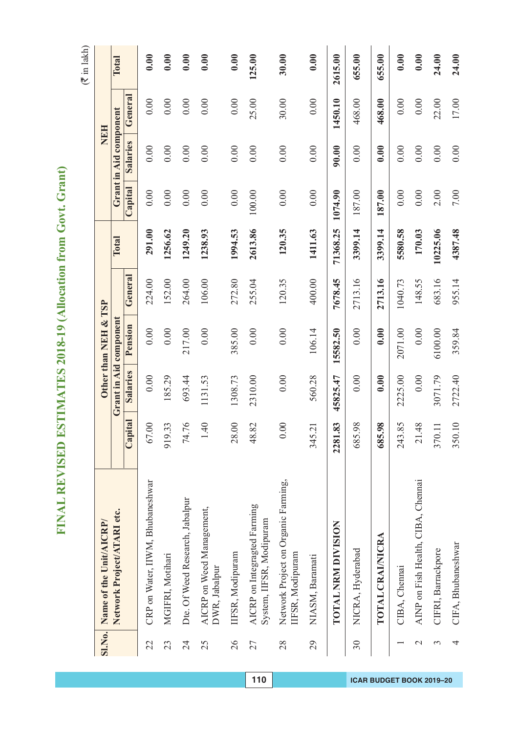FINAL REVISED ESTIMATES 2018-19 (Allocation from Govt. Grant) **FINAL REVISED ESTIMATES 2018-19 (Allocation from Govt. Grant)**

| <b>SI.No.</b> | Name of the Unit/AICRP/                                  |                           |          | Other than NEH & TSP   |         |          |         | NEH                    |         |         |
|---------------|----------------------------------------------------------|---------------------------|----------|------------------------|---------|----------|---------|------------------------|---------|---------|
|               | Network Project/ATARI etc.                               |                           |          | Grant in Aid component |         | Total    |         | Grant in Aid component |         | Total   |
|               |                                                          | ital<br>Cap               | Salaries | Pension                | General |          | Capital | Salaries               | General |         |
| 22            | CRP on Water, IIWM, Bhubaneshwar                         | $\odot$<br>67.            | 0.00     | $0.00\,$               | 224.00  | 291.00   | 0.00    | 0.00                   | 0.00    | 0.00    |
| 23            | MGIFRI, Motihari                                         | 33<br>919.                | 185.29   | 0.00                   | 152.00  | 1256.62  | 0.00    | 0.00                   | 0.00    | 0.00    |
| 24            | Dte. Of Weed Research, Jabalpur                          | 76<br>74.                 | 693.44   | 217.00                 | 264.00  | 1249.20  | 0.00    | 0.00                   | 0.00    | 0.00    |
| 25            | AICRP on Weed Management,<br>DWR, Jabalpur               | $\overline{40}$           | 1131.53  | 0.00                   | 106.00  | 1238.93  | 0.00    | 0.00                   | 0.00    | 0.00    |
| 26            | IFSR, Modipuram                                          | $\infty$<br>28.           | 1308.73  | 385.00                 | 272.80  | 1994.53  | 0.00    | 0.00                   | 0.00    | 0.00    |
| 27            | AICRP on Integragted Farming<br>System, IIFSR, Modipuram | 82<br>48.                 | 2310.00  | 0.00                   | 255.04  | 2613.86  | 100.00  | 0.00                   | 25.00   | 125.00  |
| 28            | Network Project on Organic Farming,<br>IFSR, Modipuram   | $\infty$<br>$\dot{\circ}$ | 0.00     | 0.00                   | 120.35  | 120.35   | 0.00    | 0.00                   | 30.00   | 30.00   |
| 29            | NIASM, Baramati                                          | 345.21                    | 560.28   | 106.14                 | 400.00  | 1411.63  | 0.00    | 0.00                   | 0.00    | 0.00    |
|               | TOTAL NRM DIVISION                                       | 83<br>2281.               | 45825.47 | 15582.50               | 7678.45 | 71368.25 | 1074.90 | 90.00                  | 1450.10 | 2615.00 |
| 30            | NICRA, Hyderabad                                         | 98<br>685.                | 0.00     | 0.00                   | 2713.16 | 3399.14  | 187.00  | 0.00                   | 468.00  | 655.00  |
|               | TOTAL CRAI/NICRA                                         | 98<br>685.                | 0.00     | 0.00                   | 2713.16 | 3399.14  | 187.00  | 0.00                   | 468.00  | 655.00  |
|               | CIBA, Chennai                                            | 85<br>243.                | 2225.00  | 2071.00                | 1040.73 | 5580.58  | 0.00    | 0.00                   | 0.00    | 0.00    |
| $\mathcal{L}$ | AINP on Fish Health, CIBA, Chennai                       | 48<br>$\overline{21}$ .   | 0.00     | 0.00                   | 148.55  | 170.03   | 0.00    | 0.00                   | 0.00    | 0.00    |
| 3             | CIFRI, Barrackpore                                       | 370.11                    | 3071.79  | 6100.00                | 683.16  | 10225.06 | 2.00    | 0.00                   | 22.00   | 24.00   |
| 4             | CIFA, Bhubaneshwar                                       | 350.10                    | 2722.40  | 359.84                 | 955.14  | 4387.48  | 7.00    | 0.00                   | 17.00   | 24.00   |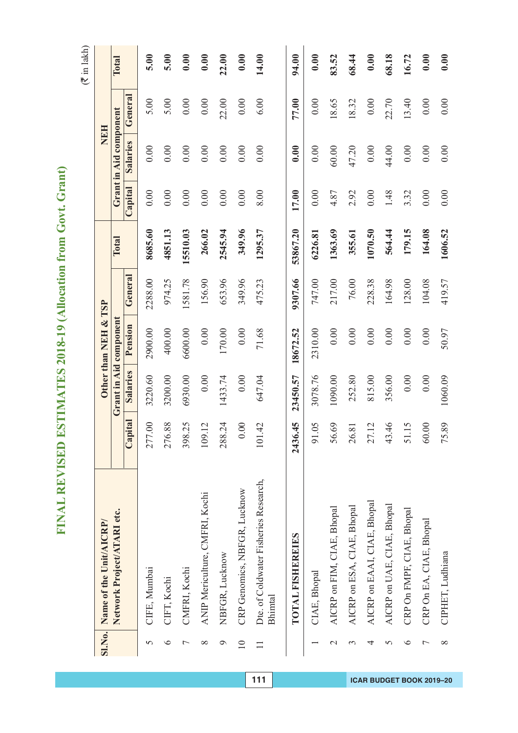FINAL REVISED ESTIMATES 2018-19 (Allocation from Govt. Grant) **FINAL REVISED ESTIMATES 2018-19 (Allocation from Govt. Grant)**

 $(3 \times 1)$  lakh)

|               |                                                                                                                                                                                                                                                                                                                                                                                                                                                                                       |          |          |         |                                                |         |                 |         | $($ The correct $($                  |
|---------------|---------------------------------------------------------------------------------------------------------------------------------------------------------------------------------------------------------------------------------------------------------------------------------------------------------------------------------------------------------------------------------------------------------------------------------------------------------------------------------------|----------|----------|---------|------------------------------------------------|---------|-----------------|---------|--------------------------------------|
|               |                                                                                                                                                                                                                                                                                                                                                                                                                                                                                       |          |          |         |                                                |         |                 |         |                                      |
|               |                                                                                                                                                                                                                                                                                                                                                                                                                                                                                       |          |          |         | Total                                          |         |                 |         | Total                                |
|               | Capital                                                                                                                                                                                                                                                                                                                                                                                                                                                                               | Salaries | Pension  | General |                                                | Capital | <b>Salaries</b> | General |                                      |
|               | $\odot$<br>277                                                                                                                                                                                                                                                                                                                                                                                                                                                                        | 3220.60  | 2900.00  | 2288.00 | 8685.60                                        | 0.00    | 0.00            | 5.00    | 5.00                                 |
|               | 88<br>276                                                                                                                                                                                                                                                                                                                                                                                                                                                                             | 3200.00  | 400.00   | 974.25  | 4851.13                                        | 0.00    | 0.00            | 5.00    | 5.00                                 |
|               | 25<br>398                                                                                                                                                                                                                                                                                                                                                                                                                                                                             | 6930.00  | 6600.00  | 1581.78 | 15510.03                                       | 0.00    | 0.00            | 0.00    | 0.00                                 |
|               | $\overline{12}$<br>109                                                                                                                                                                                                                                                                                                                                                                                                                                                                | 0.00     | 0.00     | 156.90  | 266.02                                         | 0.00    | 0.00            | 0.00    | 0.00                                 |
|               | $\ddot{c}$<br>288                                                                                                                                                                                                                                                                                                                                                                                                                                                                     | 1433.74  | 170.00   | 653.96  | 2545.94                                        | 0.00    | 0.00            | 22.00   | 22.00                                |
|               | $\odot$<br>$\circ$                                                                                                                                                                                                                                                                                                                                                                                                                                                                    | 0.00     | 0.00     | 349.96  | 349.96                                         | 0.00    | 0.00            | 0.00    | 0.00                                 |
|               | $\overline{4}$<br>$101\,$                                                                                                                                                                                                                                                                                                                                                                                                                                                             | 647.04   | 71.68    | 475.23  | 1295.37                                        | 8.00    | 0.00            | 6.00    | 14.00                                |
|               | 2436.45                                                                                                                                                                                                                                                                                                                                                                                                                                                                               | 23450.57 | 18672.52 | 9307.66 | 53867.20                                       | 17.00   | 0.00            | 77.00   | 94.00                                |
|               | 65<br>$\overline{91}$                                                                                                                                                                                                                                                                                                                                                                                                                                                                 | 3078.76  | 2310.00  | 747.00  | 6226.81                                        | 0.00    | 0.00            | 0.00    | 0.00                                 |
|               | 69<br>56                                                                                                                                                                                                                                                                                                                                                                                                                                                                              | 1090.00  | 0.00     | 217.00  | 1363.69                                        | 4.87    | 60.00           | 18.65   | 83.52                                |
|               | $\overline{81}$<br>26                                                                                                                                                                                                                                                                                                                                                                                                                                                                 | 252.80   | 0.00     | 76.00   | 355.61                                         | 2.92    | 47.20           | 18.32   | 68.44                                |
|               | $\overline{12}$<br>27                                                                                                                                                                                                                                                                                                                                                                                                                                                                 | 815.00   | 0.00     | 228.38  | 1070.50                                        | 0.00    | 0.00            | 0.00    | 0.00                                 |
|               | $\overline{46}$<br>43                                                                                                                                                                                                                                                                                                                                                                                                                                                                 | 356.00   | 0.00     | 164.98  | 564.44                                         | 1.48    | 44.00           | 22.70   | 68.18                                |
|               | .15<br>51                                                                                                                                                                                                                                                                                                                                                                                                                                                                             | 0.00     | 0.00     | 128.00  | 179.15                                         | 3.32    | 0.00            | 13.40   | 16.72                                |
|               | $\odot$<br>60                                                                                                                                                                                                                                                                                                                                                                                                                                                                         | 0.00     | 0.00     | 104.08  | 164.08                                         | 0.00    | 0.00            | 0.00    | 0.00                                 |
|               | 89<br>75                                                                                                                                                                                                                                                                                                                                                                                                                                                                              | 1060.09  | 50.97    | 419.57  | 1606.52                                        | 0.00    | 0.00            | 0.00    | 0.00                                 |
| <b>SI.No.</b> | Dte. of Coldwater Fisheries Research,<br>CRP Genomics, NBFGR, Lucknow<br>ANIP Mericulture, CMFRI, Kochi<br>AICRP on EAAI, CIAE, Bhopal<br>AICRP on UAE, CIAE, Bhopal<br>AICRP on ESA, CIAE, Bhopal<br>AICRP on FIM, CIAE, Bhopal<br>CRP On FMPF, CIAE, Bhopal<br>Network Project/ATARI etc.<br>CRP On EA, CIAE, Bhopal<br>Name of the Unit/AICRP/<br>TOTAL FISHEREIES<br>CIPHET, Ludhiana<br>NBFGR, Lucknow<br>CMFRI, Kochi<br>CIFE, Mumbai<br>CIAE, Bhopal<br>CIFT, Kochi<br>Bhimtal |          |          |         | Other than NEH & TSP<br>Grant in Aid component |         |                 |         | Grant in Aid component<br><b>NEH</b> |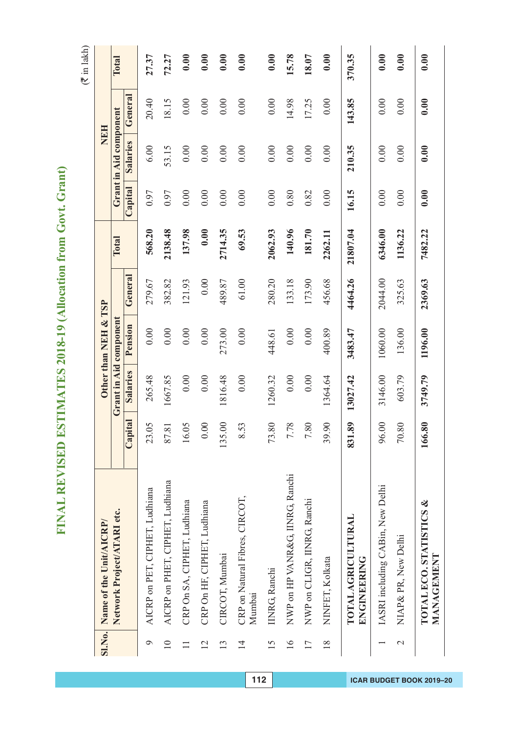| <b>SI.No.</b>     | Name of the Unit/AICRP/                  |               |                        | Other than NEH & TSP |         |          |         | NEH                    |         |        |
|-------------------|------------------------------------------|---------------|------------------------|----------------------|---------|----------|---------|------------------------|---------|--------|
|                   | Network Project/ATARI etc.               |               | Grant in Aid component |                      |         | Total    |         | Grant in Aid component |         | Total  |
|                   |                                          | Capital       | Salaries               | Pension              | General |          | Capital | Salaries               | General |        |
| $\circ$           | AICRP on PET, CIPHET, Ludhiana           | 23.05         | 265.48                 | 0.00                 | 279.67  | 568.20   | 0.97    | 6.00                   | 20.40   | 27.37  |
| $\overline{10}$   | AICRP on PHET, CIPHET, Ludhiana          | 87.81         | 1667.85                | 0.00                 | 382.82  | 2138.48  | 0.97    | 53.15                  | 18.15   | 72.27  |
| $\Box$            | CRP On SA, CIPHET, Ludhiana              | 16.05         | 0.00                   | 0.00                 | 121.93  | 137.98   | 0.00    | 0.00                   | 0.00    | 0.00   |
| $\overline{12}$   | CRP On HF, CIPHET, Ludhiana              | $0.00$        | 0.00                   | 0.00                 | 0.00    | 0.00     | 0.00    | 0.00                   | 0.00    | 0.00   |
| 13                | CIRCOT, Mumbai                           | 135.00        | 1816.48                | 273.00               | 489.87  | 2714.35  | 0.00    | 0.00                   | 0.00    | 0.00   |
| $\overline{1}$    | CRP on Natural Fibres, CIRCOT,<br>Mumbai | 8.53          | 0.00                   | 0.00                 | 61.00   | 69.53    | 0.00    | 0.00                   | 0.00    | 0.00   |
| 15                | <b>IINRG, Ranchi</b>                     | 73.80         | 1260.32                | 448.61               | 280.20  | 2062.93  | 0.00    | 0.00                   | 0.00    | 0.00   |
| $\overline{16}$   | NWP on HP VANR&G, IINRG, Ranchi          | 7.78          | 0.00                   | 0.00                 | 133.18  | 140.96   | 0.80    | 0.00                   | 14.98   | 15.78  |
| 17                | NWP on CLIGR, IINRG, Ranchi              | 7.80          | 0.00                   | 0.00                 | 173.90  | 181.70   | 0.82    | 0.00                   | 17.25   | 18.07  |
| $\frac{8}{18}$    | NINFET, Kolkata                          | 39.90         | 1364.64                | 400.89               | 456.68  | 2262.11  | 0.00    | 0.00                   | 0.00    | 0.00   |
|                   | <b>TOTAL AGRICULTURAL</b><br>ENGINEERING | 89<br>831     | 13027.42               | 3483.47              | 4464.26 | 21807.04 | 16.15   | 210.35                 | 143.85  | 370.35 |
|                   | IASRI including CABin, New Delhi         | 96.00         | 3146.00                | 1060.00              | 2044.00 | 6346.00  | 0.00    | 0.00                   | 0.00    | 0.00   |
| $\mathbf{\Omega}$ | NIAP& PR, New Delhi                      | $80\,$<br>70. | 603.79                 | 136.00               | 325.63  | 1136.22  | 0.00    | 0.00                   | 0.00    | 0.00   |
|                   | TOTAL ECO. STATISTICS &<br>MANAGEMENT    | 80<br>166.    | 3749.79                | 1196.00              | 2369.63 | 7482.22  | 0.00    | 0.00                   | 0.00    | 0.00   |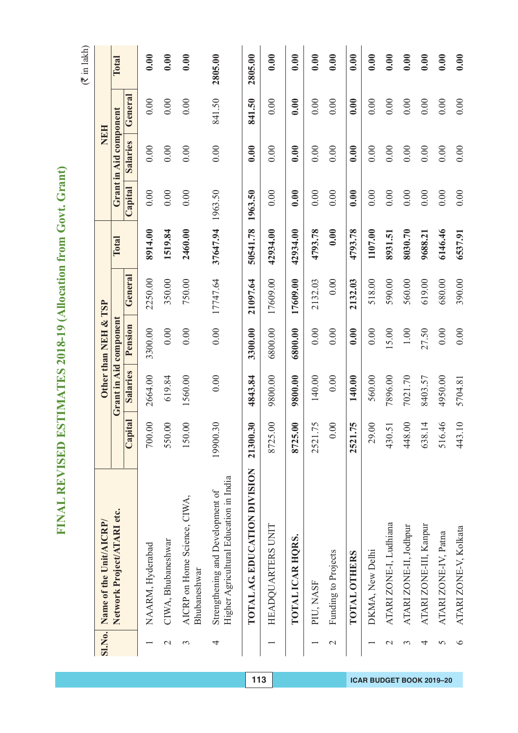FINAL REVISED ESTIMATES 2018-19 (Allocation from Govt. Grant) **FINAL REVISED ESTIMATES 2018-19 (Allocation from Govt. Grant)**

 $(3 \times 1)$  lakh)

| <b>SI.No.</b> | Name of the Unit/AICRP/                                                    |                   |          | Other than NEH & TSP   |          |          |          | <b>NEH</b>             |         |              |
|---------------|----------------------------------------------------------------------------|-------------------|----------|------------------------|----------|----------|----------|------------------------|---------|--------------|
|               | Network Project/ATARI etc.                                                 |                   |          | Grant in Aid component |          | Total    |          | Grant in Aid component |         | <b>Total</b> |
|               |                                                                            | Capital           | Salaries | Pension                | General  |          | Capital  | <b>Salaries</b>        | General |              |
|               | NAARM, Hyderabad                                                           | 700.00            | 2664.00  | 3300.00                | 2250.00  | 8914.00  | $0.00\,$ | 0.00                   | 0.00    | 0.00         |
| $\mathcal{C}$ | CIWA, Bhubaneshwar                                                         | 550.00            | 619.84   | $0.00\,$               | 350.00   | 1519.84  | 0.00     | 0.00                   | 0.00    | 0.00         |
| 3             | AICRP on Home Science, CIWA,<br>Bhubaneshwar                               | 150.00            | 1560.00  | 0.00                   | 750.00   | 2460.00  | 0.00     | 0.00                   | 0.00    | 0.00         |
| 4             | Higher Agricultural Education in India<br>Strengthening and Development of | 19900.30          | $0.00\,$ | 0.00                   | 17747.64 | 37647.94 | 1963.50  | 0.00                   | 841.50  | 2805.00      |
|               | TOTAL AG. EDUCATION DIVISION                                               | 21300.30          | 4843.84  | 3300.00                | 21097.64 | 50541.78 | 1963.50  | 0.00                   | 841.50  | 2805.00      |
|               | HEADQUARTERS UNIT                                                          | $\infty$<br>8725. | 9800.00  | 6800.00                | 17609.00 | 42934.00 | 0.00     | 0.00                   | 0.00    | 0.00         |
|               | TOTAL ICAR HORS.                                                           | $\infty$<br>8725. | 9800.00  | 6800.00                | 17609.00 | 42934.00 | 0.00     | 0.00                   | 0.00    | 0.00         |
|               | PIU, NASF                                                                  | 2521.75           | 140.00   | 0.00                   | 2132.03  | 4793.78  | 0.00     | 0.00                   | 0.00    | 0.00         |
| $\mathcal{C}$ | Funding to Projects                                                        | $0.00\,$          | $0.00$   | 0.00                   | 0.00     | 0.00     | 0.00     | 0.00                   | 0.00    | 0.00         |
|               | TOTAL OTHERS                                                               | 75<br>2521.       | 140.00   | 0.00                   | 2132.03  | 4793.78  | 0.00     | 0.00                   | 0.00    | 0.00         |
|               | DKMA, New Delhi                                                            | 29.00             | 560.00   | 0.00                   | 518.00   | 1107.00  | 0.00     | 0.00                   | 0.00    | 0.00         |
| $\mathcal{L}$ | ATARI ZONE-I, Ludhiana                                                     | 430.51            | 7896.00  | 15.00                  | 590.00   | 8931.51  | $0.00\,$ | 0.00                   | 0.00    | 0.00         |
| 3             | ATARI ZONE-II, Jodhpur                                                     | 448.00            | 7021.70  | $1.00\,$               | 560.00   | 8030.70  | 0.00     | 0.00                   | 0.00    | 0.00         |
| 4             | ATARI ZONE-III, Kanpur                                                     | 638.14            | 8403.57  | 27.50                  | 619.00   | 9688.21  | 0.00     | 0.00                   | 0.00    | 0.00         |
| 5             | ATARI ZONE-IV, Patna                                                       | 516.46            | 4950.00  | 0.00                   | 680.00   | 6146.46  | 0.00     | 0.00                   | 0.00    | 0.00         |
| $\circ$       | ATARI ZONE-V, Kolkata                                                      | $\equiv$<br>443.  | 5704.81  | 0.00                   | 390.00   | 6537.91  | 0.00     | 0.00                   | 0.00    | 0.00         |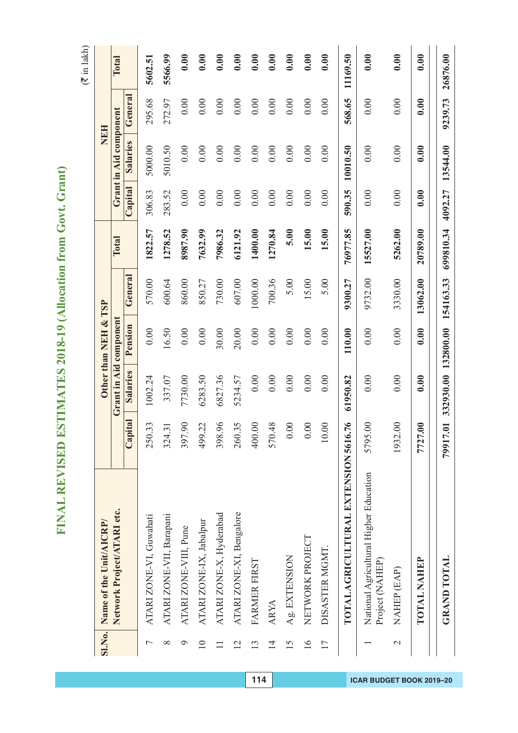$(3 \pi)$ 

|                            | Name of the Unit/AICRP/                |          |          | Other than NEH & TSP   |           |           |         |                        | <b>NEH</b> | $($ must mu |
|----------------------------|----------------------------------------|----------|----------|------------------------|-----------|-----------|---------|------------------------|------------|-------------|
| Network Project/ATARI etc. |                                        |          |          | Grant in Aid component |           | Total     |         | Grant in Aid component |            | Total       |
|                            |                                        | Capital  | Salaries | Pension                | General   |           | Capital | Salaries               | General    |             |
| ATARI ZONE-VI, Guwahati    |                                        | 250.33   | 1002.24  | 0.00                   | 570.00    | 1822.57   | 306.83  | 5000.00                | 295.68     | 5602.51     |
| ATARI ZONE-VII, Barapani   |                                        | 324.31   | 337.07   | 16.50                  | 600.64    | 1278.52   | 283.52  | 5010.50                | 272.97     | 5566.99     |
| ATARI ZONE-VIII, Pune      |                                        | 397.90   | 7730.00  | 0.00                   | 860.00    | 8987.90   | 0.00    | 0.00                   | 0.00       | 0.00        |
| ATARI ZONE-IX, Jabalpur    |                                        | 499.22   | 6283.50  | 0.00                   | 850.27    | 7632.99   | 0.00    | 0.00                   | 0.00       | 0.00        |
| ATARI ZONE-X, Hyderabad    |                                        | 398.96   | 6827.36  | 30.00                  | 730.00    | 7986.32   | 0.00    | 0.00                   | 0.00       | 0.00        |
|                            | ATARI ZONE-XI, Bengalore               | 260.35   | 5234.57  | 20.00                  | 607.00    | 6121.92   | 0.00    | 0.00                   | 0.00       | 0.00        |
| FARMER FIRST               |                                        | 400.00   | 0.00     | 0.00                   | 1000.00   | 1400.00   | 0.00    | 0.00                   | 0.00       | 0.00        |
| <b>ARYA</b>                |                                        | 570.48   | 0.00     | 0.00                   | 700.36    | 1270.84   | 0.00    | 0.00                   | 0.00       | 0.00        |
| Ag. EXTENSION              |                                        | 0.00     | 0.00     | 0.00                   | 5.00      | 5.00      | 0.00    | 0.00                   | 0.00       | 0.00        |
| NETWORK PROJECT            |                                        | 0.00     | 0.00     | 0.00                   | 15.00     | 15.00     | 0.00    | 0.00                   | 0.00       | 0.00        |
| DISASTER MGMT              |                                        | 10.00    | 0.00     | 0.00                   | 5.00      | 15.00     | 0.00    | 0.00                   | 0.00       | 0.00        |
|                            | TOTAL AGRICULTURAL EXTENSION 5616.76   |          | 61950.82 | 110.00                 | 9300.27   | 76977.85  | 590.35  | 10010.50               | 568.65     | 11169.50    |
| Project (NAHEP)            | National Agricultural Higher Education | 5795.00  | 0.00     | 0.00                   | 9732.00   | 15527.00  | 0.00    | 0.00                   | 0.00       | 0.00        |
| NAHEP (EAP)                |                                        | 1932.00  | 0.00     | 0.00                   | 3330.00   | 5262.00   | 0.00    | 0.00                   | 0.00       | 0.00        |
| <b>TOTAL NAHEP</b>         |                                        | 7727.00  | 0.00     | 0.00                   | 13062.00  | 20789.00  | 0.00    | 0.00                   | 0.00       | 0.00        |
| <b>GRAND TOTAL</b>         |                                        | 79917.01 |          | 332930.00 132800.00    | 154163.33 | 699810.34 | 4092.27 | 13544.00               | 9239.73    | 26876.00    |
|                            |                                        |          |          |                        |           |           |         |                        |            |             |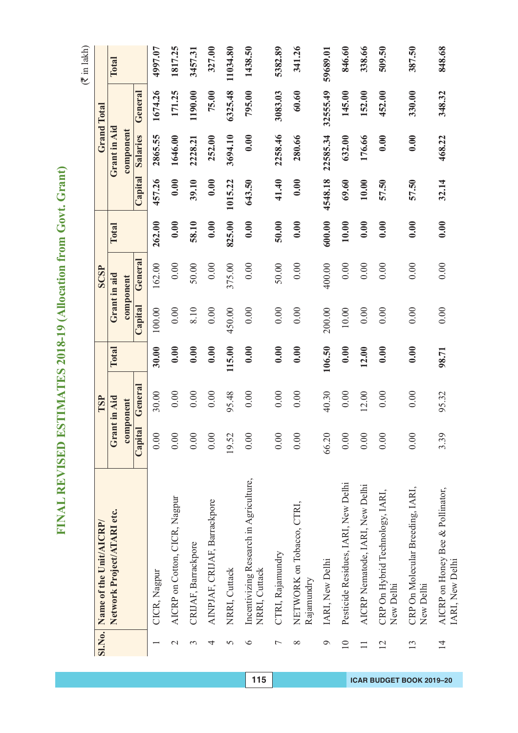|                 | SI.No. Name of the Unit/AICRP/                          |         | TSP          |        |         | <b>SCSP</b>  |        |         |              | <b>Grand Total</b> |          |
|-----------------|---------------------------------------------------------|---------|--------------|--------|---------|--------------|--------|---------|--------------|--------------------|----------|
|                 | Network Project/ATARI etc.                              |         | Grant in Aid | Total  |         | Grant in aid | Total  |         | Grant in Aid |                    | Total    |
|                 |                                                         |         | component    |        |         | component    |        |         | component    |                    |          |
|                 |                                                         | Capital | General      |        | Capital | General      |        | Capital | Salaries     | General            |          |
|                 | CICR, Nagpur                                            | 0.00    | 30.00        | 30.00  | 100.00  | 162.00       | 262.00 | 457.26  | 2865.55      | 1674.26            | 4997.07  |
| $\mathcal{L}$   | AICRP on Cotton, CICR, Nagpur                           | 0.00    | 0.00         | 0.00   | 0.00    | 0.00         | 0.00   | 0.00    | 1646.00      | 171.25             | 1817.25  |
| 3               | CRIJAF, Barrackpore                                     | 0.00    | 0.00         | 0.00   | 8.10    | 50.00        | 58.10  | 39.10   | 2228.21      | 1190.00            | 3457.31  |
| 4               | AINPJAF, CRIJAF, Barrackpore                            | 0.00    | 0.00         | 0.00   | 0.00    | 0.00         | 0.00   | 0.00    | 252.00       | 75.00              | 327.00   |
| 5               | NRRI, Cuttack                                           | 19.52   | 95.48        | 115.00 | 450.00  | 375.00       | 825.00 | 1015.22 | 3694.10      | 6325.48            | 11034.80 |
| $\circ$         | Incentivizing Research in Agriculture,<br>NRRI, Cuttack | 0.00    | 0.00         | 0.00   | 0.00    | 0.00         | 0.00   | 643.50  | 0.00         | 795.00             | 1438.50  |
| $\overline{ }$  | CTRI, Rajamundry                                        | 0.00    | 0.00         | 0.00   | 0.00    | 50.00        | 50.00  | 41.40   | 2258.46      | 3083.03            | 5382.89  |
| $\infty$        | NETWORK on Tobacco, CTRI,<br>Rajamundry                 | 0.00    | 0.00         | 0.00   | 0.00    | 0.00         | 0.00   | 0.00    | 280.66       | 60.60              | 341.26   |
| $\circ$         | IARI, New Delhi                                         | 66.20   | 40.30        | 106.50 | 200.00  | 400.00       | 600.00 | 4548.18 | 22585.34     | 32555.49           | 59689.01 |
| $\overline{10}$ | Pesticide Residues, IARI, New Delhi                     | 0.00    | 0.00         | 0.00   | 10.00   | 0.00         | 10.00  | 69.60   | 632.00       | 145.00             | 846.60   |
|                 | AICRP Nematode, IARI, New Delhi                         | 0.00    | 12.00        | 12.00  | 0.00    | 0.00         | 0.00   | 10.00   | 176.66       | 152.00             | 338.66   |
| 12              | CRP On Hybrid Technology, IARI,<br>New Delhi            | 0.00    | 0.00         | 0.00   | 0.00    | 0.00         | 0.00   | 57.50   | 0.00         | 452.00             | 509.50   |
| 13              | CRP On Molecular Breeding, IARI,<br>New Delhi           | 0.00    | 0.00         | 0.00   | 0.00    | 0.00         | 0.00   | 57.50   | 0.00         | 330.00             | 387.50   |
| $\overline{1}$  | AICRP on Honey Bee & Pollinator,<br>IARI, New Delhi     | 3.39    | 95.32        | 98.71  | 0.00    | 0.00         | 0.00   | 32.14   | 468.22       | 348.32             | 848.68   |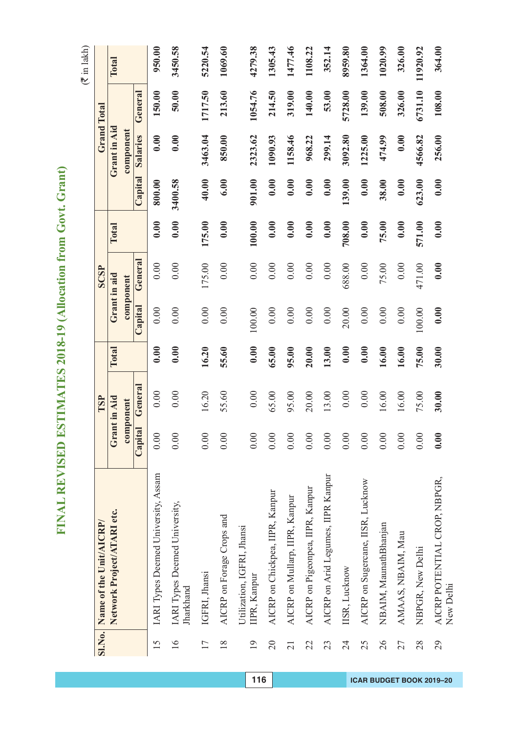|                 | SI.No. Name of the Unit/AICRP/             |         | TSP          |       |         | SCSP         |        |         | Grand Total  |         |          |
|-----------------|--------------------------------------------|---------|--------------|-------|---------|--------------|--------|---------|--------------|---------|----------|
|                 | Network Project/ATARI etc.                 |         | Grant in Aid | Total |         | Grant in aid | Total  |         | Grant in Aid |         | Total    |
|                 |                                            |         | component    |       |         | component    |        |         | component    |         |          |
|                 |                                            | Capital | General      |       | Capital | General      |        | Capital | Salaries     | General |          |
| 15              | IARI Types Deemed University, Assam        | 0.00    | 0.00         | 0.00  | 0.00    | 0.00         | 0.00   | 800.00  | 0.00         | 150.00  | 950.00   |
| $\overline{16}$ | IARI Types Deemed University,<br>Jharkhand | 0.00    | 0.00         | 0.00  | 0.00    | 0.00         | 0.00   | 3400.58 | 0.00         | 50.00   | 3450.58  |
| 17              | IGFRI, Jhansi                              | 0.00    | 16.20        | 16.20 | 0.00    | 175.00       | 175.00 | 40.00   | 3463.04      | 1717.50 | 5220.54  |
| $\frac{8}{18}$  | AICRP on Forage Crops and                  | 0.00    | 55.60        | 55.60 | 0.00    | 0.00         | 0.00   | 6.00    | 850.00       | 213.60  | 1069.60  |
| $\overline{19}$ | Utilization, IGFRI, Jhansi<br>IIPR, Kanpur | 0.00    | 0.00         | 0.00  | 100.00  | 0.00         | 100.00 | 901.00  | 2323.62      | 1054.76 | 4279.38  |
| $\overline{20}$ | AICRP on Chickpea, IIPR, Kanpur            | 0.00    | 65.00        | 65.00 | 0.00    | 0.00         | 0.00   | 0.00    | 1090.93      | 214.50  | 1305.43  |
| 21              | AICRP on Mullarp, IIPR, Kanpur             | 0.00    | 95.00        | 95.00 | 0.00    | 0.00         | 0.00   | 0.00    | 1158.46      | 319.00  | 1477.46  |
| 22              | AICRP on Pigeonpea, IIPR, Kanpur           | 0.00    | 20.00        | 20.00 | 0.00    | 0.00         | 0.00   | 0.00    | 968.22       | 140.00  | 1108.22  |
| 23              | AICRP on Arid Legumes, IIPR Kanpur         | 0.00    | 13.00        | 13.00 | 0.00    | 0.00         | 0.00   | 0.00    | 299.14       | 53.00   | 352.14   |
| 24              | IISR, Lucknow                              | 0.00    | 0.00         | 0.00  | 20.00   | 688.00       | 708.00 | 139.00  | 3092.80      | 5728.00 | 8959.80  |
| 25              | AICRP on Sugercane, IISR, Lucknow          | 0.00    | 0.00         | 0.00  | 0.00    | 0.00         | 0.00   | 0.00    | 1225.00      | 139.00  | 1364.00  |
| 26              | NBAIM, MaunathBhanjan                      | 0.00    | 16.00        | 16.00 | 0.00    | 75.00        | 75.00  | 38.00   | 474.99       | 508.00  | 1020.99  |
| 27              | AMAAS, NBAIM, Mau                          | 0.00    | 16.00        | 16.00 | 0.00    | 0.00         | 0.00   | 0.00    | 0.00         | 326.00  | 326.00   |
| 28              | NBPGR, New Delhi                           | 0.00    | 75.00        | 75.00 | 100.00  | 471.00       | 571.00 | 623.00  | 4566.82      | 6731.10 | 11920.92 |
| 29              | AICRP POTENTIAL CROP, NBPGR,<br>New Delhi  | 0.00    | 30.00        | 30.00 | 0.00    | 0.00         | 0.00   | 0.00    | 256.00       | 108.00  | 364.00   |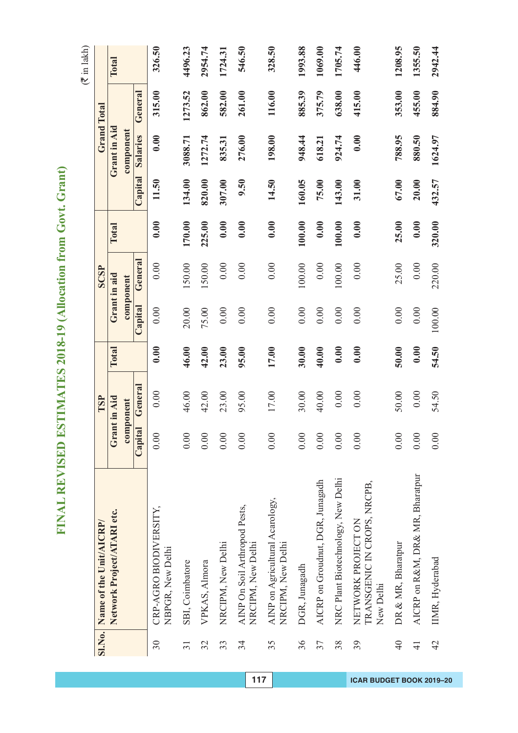| í                       |  |
|-------------------------|--|
| Í<br>I<br>f             |  |
|                         |  |
| l<br>I                  |  |
| ١<br>Ì                  |  |
|                         |  |
| ì                       |  |
| Ì                       |  |
| I<br>١                  |  |
| I<br>ใ                  |  |
|                         |  |
| Í                       |  |
| í<br>Ì<br>í             |  |
| Ì<br>J                  |  |
| ĥ<br>į                  |  |
| ę<br>₹                  |  |
|                         |  |
| م<br>م<br>í             |  |
| ١                       |  |
| Ï                       |  |
| ¢                       |  |
|                         |  |
|                         |  |
|                         |  |
| ŀ                       |  |
| t                       |  |
| I                       |  |
|                         |  |
| Ć                       |  |
|                         |  |
| $\overline{\mathbf{5}}$ |  |
|                         |  |
| $\overline{\bullet}$    |  |
|                         |  |
| ć<br>l                  |  |
|                         |  |
| $\overline{\zeta}$<br>≀ |  |
| ŗ                       |  |
|                         |  |
|                         |  |
| í<br>d                  |  |
| t                       |  |
|                         |  |
| ŗ<br>l<br>ŀ             |  |
| Ę                       |  |
| ĺ                       |  |
| $\overline{c}$<br>I     |  |
|                         |  |
|                         |  |
| ſ                       |  |
|                         |  |
|                         |  |
| ζ                       |  |
|                         |  |
| FVVI<br>$\frac{1}{2}$   |  |
|                         |  |
| J                       |  |
| ł                       |  |
| Í                       |  |
|                         |  |
| ŀ                       |  |
|                         |  |
| ١<br>ł                  |  |
| è<br>ł                  |  |
|                         |  |
| $\overline{\mathbf{z}}$ |  |
|                         |  |

|                 | SI.No. Name of the Unit/AICRP/                                 |         | TSP          |       |         | <b>SCSP</b>  |        |         | <b>Grand Total</b> |         |         |
|-----------------|----------------------------------------------------------------|---------|--------------|-------|---------|--------------|--------|---------|--------------------|---------|---------|
|                 | Network Project/ATARI etc.                                     |         | Grant in Aid | Total |         | Grant in aid | Total  |         | Grant in Aid       |         | Total   |
|                 |                                                                |         | component    |       |         | component    |        |         | component          |         |         |
|                 |                                                                | Capital | General      |       | Capital | General      |        | Capital | Salaries           | General |         |
| 30              | CRP-AGRO BIODIVERSITY,<br>NBPGR, New Delhi                     | 0.00    | 0.00         | 0.00  | 0.00    | 0.00         | 0.00   | 11.50   | 0.00               | 315.00  | 326.50  |
| $\overline{31}$ | SBI, Coimbatore                                                | 0.00    | 46.00        | 46.00 | 20.00   | 150.00       | 170.00 | 134.00  | 3088.71            | 1273.52 | 4496.23 |
| 32              | VPKAS, Almora                                                  | 0.00    | 42.00        | 42.00 | 75.00   | 150.00       | 225.00 | 820.00  | 1272.74            | 862.00  | 2954.74 |
| 33              | NRCIPM, New Delhi                                              | 0.00    | 23.00        | 23.00 | 0.00    | 0.00         | 0.00   | 307.00  | 835.31             | 582.00  | 1724.31 |
| 34              | AINP On Soil Arthropod Pests,<br>NRCIPM, New Delhi             | 0.00    | 95.00        | 95.00 | 0.00    | 0.00         | 0.00   | 9.50    | 276.00             | 261.00  | 546.50  |
| 35              | AINP on Agricultural Acarology,<br>NRCIPM, New Delhi           | 0.00    | 17.00        | 17.00 | 0.00    | 0.00         | 0.00   | 14.50   | 198.00             | 116.00  | 328.50  |
| 36              | DGR, Junagadh                                                  | 0.00    | 30.00        | 30.00 | 0.00    | 100.00       | 100.00 | 160.05  | 948.44             | 885.39  | 1993.88 |
| 37              | AICRP on Groudnut, DGR, Junagadh                               | 0.00    | 40.00        | 40.00 | 0.00    | 0.00         | 0.00   | 75.00   | 618.21             | 375.79  | 1069.00 |
| 38              | NRC Plant Biotechnology, New Delhi                             | 0.00    | 0.00         | 0.00  | 0.00    | 100.00       | 100.00 | 143.00  | 924.74             | 638.00  | 1705.74 |
| 39              | TRANSGENIC IN CROPS, NRCPB,<br>NETWORK PROJECT ON<br>New Delhi | 0.00    | 0.00         | 0.00  | 0.00    | 0.00         | 0.00   | 31.00   | 0.00               | 415.00  | 446.00  |
| $\frac{1}{4}$   | DR & MR, Bharatpur                                             | 0.00    | 50.00        | 50.00 | 0.00    | 25.00        | 25.00  | 67.00   | 788.95             | 353.00  | 1208.95 |
| $\overline{4}$  | AICRP on R&M, DR& MR, Bharatpur                                | 0.00    | 0.00         | 0.00  | 0.00    | 0.00         | 0.00   | 20.00   | 880.50             | 455.00  | 1355.50 |
| $\overline{4}$  | IIMR, Hyderabad                                                | 0.00    | 54.50        | 54.50 | 100.00  | 220.00       | 320.00 | 432.57  | 1624.97            | 884.90  | 2942.44 |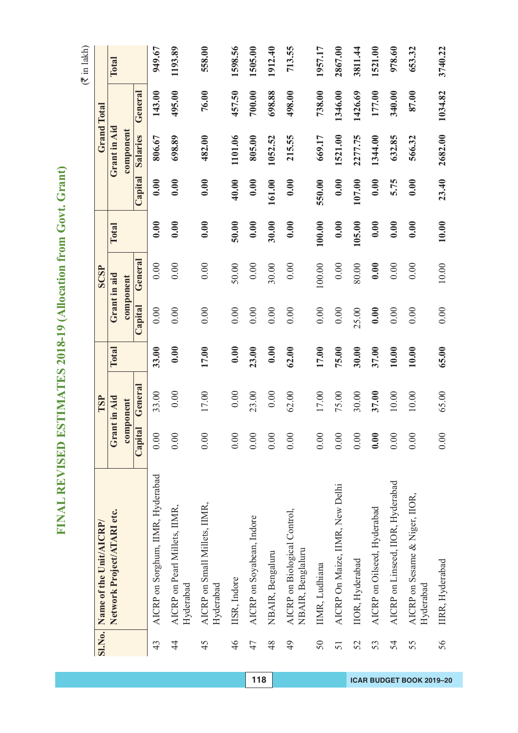| Į           |
|-------------|
| í<br>Í<br>í |
| l           |
| l<br>I      |
| ้<br>I      |
|             |
| ì<br>i      |
| j<br>I<br>۱ |
| J<br>١      |
| l           |
|             |
| Í<br>١      |
| ۱           |
| l<br>l      |
|             |
| í<br>İ      |
| I<br>١<br>I |
|             |
| I<br>I      |
| ١           |
| l<br>ŗ      |
| í<br>l      |
| I           |
|             |
|             |
| Í<br>۱<br>ſ |
| 0<br>J      |
| l<br>Í      |
| ¢<br>)      |
| Ç<br>l      |
| ໄ<br>2      |
|             |
|             |
|             |
|             |
|             |
| ſ.          |
| I<br>I      |
| ١           |
| j<br>Į      |
|             |
|             |
| ļ           |
|             |
| Ì           |
| ļ<br>l      |
| Ì           |
|             |
| Ĕ           |
|             |
| I           |
| I           |
| ļ           |
| I<br>F<br>l |
|             |
| Œ<br>Í      |

|             | SI.No. Name of the Unit/AICRP/                    |              | TSP       |       |         | <b>SCSP</b>  |        |         |              | <b>Grand Total</b> |         |
|-------------|---------------------------------------------------|--------------|-----------|-------|---------|--------------|--------|---------|--------------|--------------------|---------|
|             | Network Project/ATARI etc.                        | Grant in Aid |           | Total |         | Grant in aid | Total  |         | Grant in Aid |                    | Total   |
|             |                                                   |              | component |       |         | component    |        |         | component    |                    |         |
|             |                                                   | Capital      | General   |       | Capital | General      |        | Capital | Salaries     | General            |         |
| 43          | AICRP on Sorghum, IIMR, Hyderabad                 | 0.00         | 33.00     | 33.00 | 0.00    | 0.00         | 0.00   | 0.00    | 806.67       | 143.00             | 949.67  |
| $rac{4}{4}$ | AICRP on Pearl Millets, IIMR,<br>Hyderabad        | 0.00         | 0.00      | 0.00  | 0.00    | 0.00         | 0.00   | 0.00    | 698.89       | 495.00             | 1193.89 |
| 45          | AICRP on Small Millets, IIMR,<br>Hyderabad        | 0.00         | 17.00     | 17.00 | 0.00    | 0.00         | 0.00   | 0.00    | 482.00       | 76.00              | 558.00  |
| 46          | IISR, Indore                                      | 0.00         | 0.00      | 0.00  | 0.00    | 50.00        | 50.00  | 40.00   | 1101.06      | 457.50             | 1598.56 |
| 47          | AICRP on Soyabean, Indore                         | 0.00         | 23.00     | 23.00 | 0.00    | 0.00         | 0.00   | 0.00    | 805.00       | 700.00             | 1505.00 |
| 48          | NBAIR, Bengaluru                                  | 0.00         | 0.00      | 0.00  | 0.00    | 30.00        | 30.00  | 161.00  | 1052.52      | 698.88             | 1912.40 |
| 49          | AICRP on Biological Control,<br>NBAIR, Benglaluru | 0.00         | 62.00     | 62.00 | 0.00    | 0.00         | 0.00   | 0.00    | 215.55       | 498.00             | 713.55  |
| 50          | IIMR, Ludhiana                                    | 0.00         | 17.00     | 17.00 | 0.00    | 100.00       | 100.00 | 550.00  | 669.17       | 738.00             | 1957.17 |
| 51          | AICRP On Maize, IIMR, New Delhi                   | 0.00         | 75.00     | 75.00 | 0.00    | 0.00         | 0.00   | 0.00    | 1521.00      | 1346.00            | 2867.00 |
| 52          | <b>IIOR</b> , Hyderabad                           | 0.00         | 30.00     | 30.00 | 25.00   | 80.00        | 105.00 | 107.00  | 2277.75      | 1426.69            | 3811.44 |
| 53          | AICRP on Oilseed, Hyderabad                       | 0.00         | 37.00     | 37.00 | 0.00    | 0.00         | 0.00   | 0.00    | 1344.00      | 177.00             | 1521.00 |
| 54          | AICRP on Linseed, IIOR, Hyderabad                 | 0.00         | 10.00     | 10.00 | 0.00    | 0.00         | 0.00   | 5.75    | 632.85       | 340.00             | 978.60  |
| 55          | AICRP on Sesame & Niger, IIOR,<br>Hyderabad       | $0.00$       | 10.00     | 10.00 | 0.00    | 0.00         | 0.00   | 0.00    | 566.32       | 87.00              | 653.32  |
| 56          | IIRR, Hyderabad                                   | 0.00         | 65.00     | 65.00 | 0.00    | 10.00        | 10.00  | 23.40   | 2682.00      | 1034.82            | 3740.22 |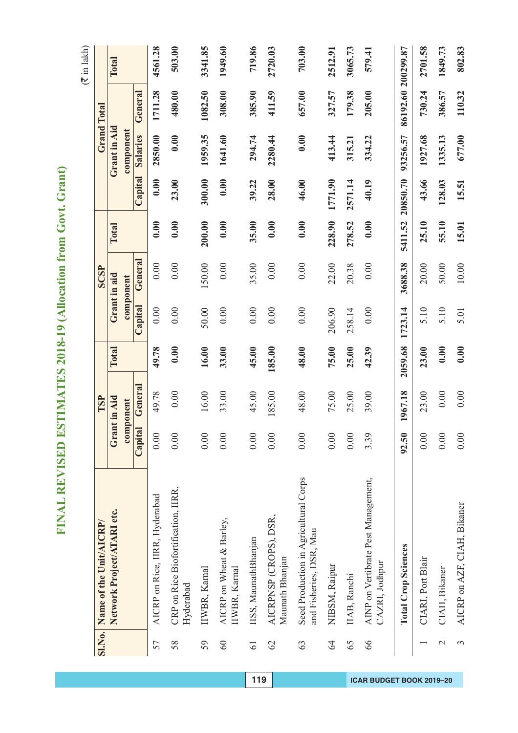| Į           |
|-------------|
| í<br>Í<br>í |
| l           |
| l<br>I      |
| ้<br>I      |
|             |
| ì<br>i      |
| j<br>I<br>۱ |
| J<br>١      |
| l           |
|             |
| Í<br>١      |
| ۱           |
| l<br>l      |
|             |
| í<br>İ      |
| I<br>١<br>I |
|             |
| I<br>I      |
| ١           |
| l<br>ŗ      |
| í<br>l      |
| I           |
|             |
|             |
| Í<br>۱<br>ſ |
| 0<br>J      |
| l<br>Í      |
| ¢<br>)      |
| Ç<br>l      |
| ໄ<br>2      |
|             |
|             |
|             |
|             |
|             |
| ſ.          |
| I<br>I      |
| ۱           |
| j<br>Į      |
|             |
|             |
| ļ           |
|             |
| Ì           |
| ļ<br>l      |
| Ì           |
|             |
| Ĕ           |
|             |
| I           |
| I           |
| ļ           |
| I<br>F<br>l |
|             |
| Œ<br>Í      |

|                 | Sl.No. Name of the Unit/AICRP/                                   |         | TSP       |         |         | <b>SCSP</b>  |         |          |                 | <b>Grand Total</b> |         |
|-----------------|------------------------------------------------------------------|---------|-----------|---------|---------|--------------|---------|----------|-----------------|--------------------|---------|
|                 | Network Project/ATARI etc.                                       | Gra     | nt in Aid | Total   |         | Grant in aid | Total   |          | Grant in Aid    |                    | Total   |
|                 |                                                                  |         | component |         |         | component    |         |          | component       |                    |         |
|                 |                                                                  | Capital | General   |         | Capital | General      |         | Capital  | <b>Salaries</b> | General            |         |
| 57              | AICRP on Rice, IIRR, Hyderabad                                   | 0.00    | 49.78     | 49.78   | 0.00    | 0.00         | 0.00    | 0.00     | 2850.00         | 1711.28            | 4561.28 |
| 58              | CRP on Rice Biofortification, IIRR,<br>Hyderabad                 | 0.00    | 0.00      | 0.00    | 0.00    | 0.00         | 0.00    | 23.00    | 0.00            | 480.00             | 503.00  |
| 59              | IIWBR, Karnal                                                    | 0.00    | 16.00     | 16.00   | 50.00   | 150.00       | 200.00  | 300.00   | 1959.35         | 1082.50            | 3341.85 |
| 60              | AICRP on Wheat & Barley,<br>IIWBR, Karnal                        | 0.00    | 33.00     | 33.00   | 0.00    | 0.00         | 0.00    | 0.00     | 1641.60         | 308.00             | 1949.60 |
| $\overline{61}$ | IISS, MaunathBhanjan                                             | 0.00    | 45.00     | 45.00   | 0.00    | 35.00        | 35.00   | 39.22    | 294.74          | 385.90             | 719.86  |
| 62              | AICRPNSP (CROPS), DSR,<br>Maunath Bhanjan                        | 0.00    | 185.00    | 185.00  | 0.00    | 0.00         | 0.00    | 28.00    | 2280.44         | 411.59             | 2720.03 |
| 63              | Seed Production in Agricultural Corps<br>and Fisheries, DSR, Mau | 0.00    | 48.00     | 48.00   | 0.00    | 0.00         | 0.00    | 46.00    | 0.00            | 657.00             | 703.00  |
| 64              | NIBSM, Raipur                                                    | 0.00    | 75.00     | 75.00   | 206.90  | 22.00        | 228.90  | 1771.90  | 413.44          | 327.57             | 2512.91 |
| 65              | IIAB, Ranchi                                                     | 0.00    | 25.00     | 25.00   | 258.14  | 20.38        | 278.52  | 2571.14  | 315.21          | 179.38             | 3065.73 |
| 66              | AINP on Vertibrate Pest Management,<br>CAZRI, Jodhpur            | 3.39    | 39.00     | 42.39   | 0.00    | 0.00         | 0.00    | 40.19    | 334.22          | 205.00             | 579.41  |
|                 | <b>Total Crop Sciences</b>                                       | 92.50   | 1967.18   | 2059.68 | 1723.14 | 3688.38      | 5411.52 | 20850.70 | 93256.57        | 86192.60 200299.87 |         |
|                 | CIARI, Port Blair                                                | 0.00    | 23.00     | 23.00   | 5.10    | 20.00        | 25.10   | 43.66    | 1927.68         | 730.24             | 2701.58 |
| $\mathbf{C}$    | CIAH, Bikaner                                                    | 0.00    | 0.00      | 0.00    | 5.10    | 50.00        | 55.10   | 128.03   | 1335.13         | 386.57             | 1849.73 |
|                 | AICRP on AZF, CIAH, Bikaner                                      | 0.00    | 0.00      | 0.00    | 5.01    | $10.00$      | 15.01   | 15.51    | 677.00          | 110.32             | 802.83  |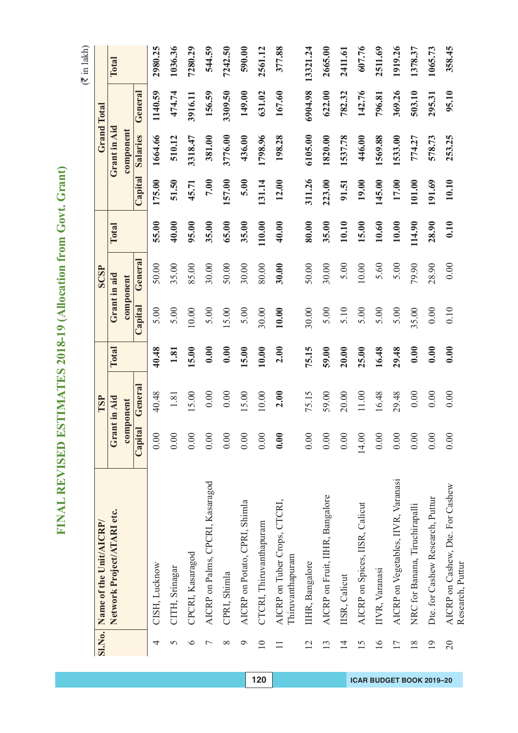|                 | SI.No. Name of the Unit/AICRP/                       |         | TSP          |       |         | <b>SCSP</b>  |        |         |              | <b>Grand Total</b> |          |
|-----------------|------------------------------------------------------|---------|--------------|-------|---------|--------------|--------|---------|--------------|--------------------|----------|
|                 |                                                      |         |              |       |         |              |        |         |              |                    |          |
|                 | Network Project/ATARI etc.                           |         | Grant in Aid | Total |         | Grant in aid | Total  |         | Grant in Aid |                    | Total    |
|                 |                                                      |         | component    |       |         | component    |        |         | component    |                    |          |
|                 |                                                      | Capital | General      |       | Capital | General      |        | Capital | Salaries     | General            |          |
| 4               | CISH, Lucknow                                        | 0.00    | 40.48        | 40.48 | 5.00    | 50.00        | 55.00  | 175.00  | 1664.66      | 1140.59            | 2980.25  |
| 5               | CITH, Srinagar                                       | 0.00    | 1.81         | 1.81  | 5.00    | 35.00        | 40.00  | 51.50   | 510.12       | 474.74             | 1036.36  |
| $\circ$         | CPCRI, Kasaragod                                     | 0.00    | 15.00        | 15.00 | 10.00   | 85.00        | 95.00  | 45.71   | 3318.47      | 3916.11            | 7280.29  |
| $\overline{ }$  | AICRP on Palms, CPCRI, Kasaragod                     | 0.00    | 0.00         | 0.00  | 5.00    | 30.00        | 35.00  | 7.00    | 381.00       | 156.59             | 544.59   |
| $\infty$        | CPRI, Shimla                                         | 0.00    | 0.00         | 0.00  | 15.00   | 50.00        | 65.00  | 157.00  | 3776.00      | 3309.50            | 7242.50  |
| $\circ$         | AICRP on Potato, CPRI, Shimla                        | 0.00    | 15.00        | 15.00 | 5.00    | 30.00        | 35.00  | 5.00    | 436.00       | 149.00             | 590.00   |
| $\overline{10}$ | CTCRI, Thiruvanthapuram                              | 0.00    | 10.00        | 10.00 | 30.00   | 80.00        | 110.00 | 131.14  | 1798.96      | 631.02             | 2561.12  |
|                 | AICRP on Tuber Crops, CTCRI,<br>Thiruvanthapuram     | 0.00    | 2.00         | 2.00  | 10.00   | 30.00        | 40.00  | 12.00   | 198.28       | 167.60             | 377.88   |
| $\overline{2}$  | IIHR, Bangalore                                      | 0.00    | 75.15        | 75.15 | 30.00   | 50.00        | 80.00  | 311.26  | 6105.00      | 6904.98            | 13321.24 |
| 13              | AICRP on Fruit, IIHR, Bangalore                      | 0.00    | 59.00        | 59.00 | 5.00    | 30.00        | 35.00  | 223.00  | 1820.00      | 622.00             | 2665.00  |
| $\overline{1}$  | IISR, Calicut                                        | 0.00    | 20.00        | 20.00 | 5.10    | 5.00         | 10.10  | 91.51   | 1537.78      | 782.32             | 2411.61  |
| 15              | AICRP on Spices, IISR, Calicut                       | 14.00   | $11.00$      | 25.00 | 5.00    | 10.00        | 15.00  | 19.00   | 446.00       | 142.76             | 607.76   |
| $\geq$          | IIVR, Varanasi                                       | 0.00    | 16.48        | 16.48 | 5.00    | 5.60         | 10.60  | 145.00  | 1569.88      | 796.81             | 2511.69  |
| 17              | AICRP on Vegetables, IIVR, Varanasi                  | 0.00    | 29.48        | 29.48 | 5.00    | 5.00         | 10.00  | 17.00   | 1533.00      | 369.26             | 1919.26  |
| $\frac{8}{18}$  | NRC for Banana, Tiruchirapalli                       | 0.00    | 0.00         | 0.00  | 35.00   | 79.90        | 114.90 | 101.00  | 774.27       | 503.10             | 1378.37  |
| $\overline{19}$ | Dte. for Cashew Research, Puttur                     | 0.00    | 0.00         | 0.00  | 0.00    | 28.90        | 28.90  | 191.69  | 578.73       | 295.31             | 1065.73  |
| $\overline{0}$  | AICRP on Cashew, Dte. For Cashew<br>Research, Puttur | 0.00    | 0.00         | 0.00  | 0.10    | 0.00         | 0.10   | 10.10   | 253.25       | 95.10              | 358.45   |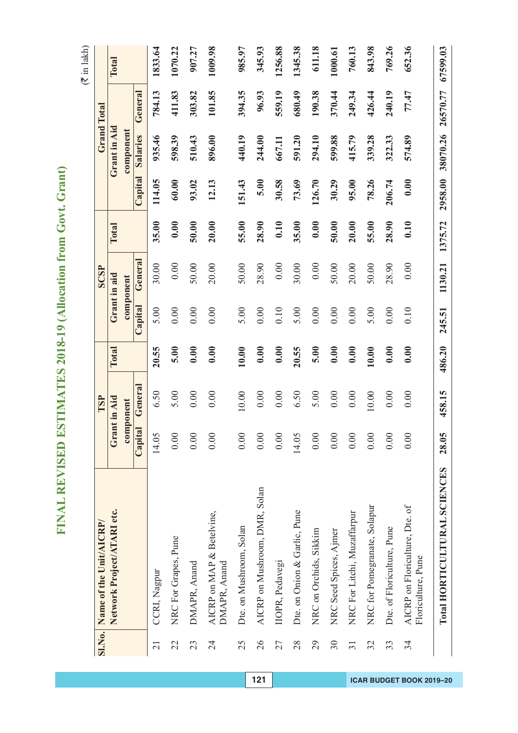|                 | Sl.No. Name of the Unit/AICRP/                       |              | TSP       |              |         | <b>SCSP</b>  |         |         |                 | <b>Grand Total</b> |          |
|-----------------|------------------------------------------------------|--------------|-----------|--------------|---------|--------------|---------|---------|-----------------|--------------------|----------|
|                 | Network Project/ATARI etc.                           | Grant in Aid |           | <b>Total</b> |         | Grant in aid | Total   |         | Grant in Aid    |                    | Total    |
|                 |                                                      |              | component |              |         | component    |         |         | component       |                    |          |
|                 |                                                      | Capital      | General   |              | Capital | General      |         | Capital | <b>Salaries</b> | General            |          |
| $\overline{21}$ | CCRI, Nagpur                                         | 14.05        | 6.50      | 20.55        | 5.00    | 30.00        | 35.00   | 114.05  | 935.46          | 784.13             | 1833.64  |
| 22              | NRC For Grapes, Pune                                 | 0.00         | 5.00      | 5.00         | 0.00    | 0.00         | 0.00    | 60.00   | 598.39          | 411.83             | 1070.22  |
| 23              | DMAPR, Anand                                         | 0.00         | 0.00      | 0.00         | 0.00    | 50.00        | 50.00   | 93.02   | 510.43          | 303.82             | 907.27   |
| 24              | AICRP on MAP & Betelvine,<br>DMAPR, Anand            | 0.00         | 0.00      | 0.00         | 0.00    | 20.00        | 20.00   | 12.13   | 896.00          | 101.85             | 1009.98  |
| 25              | Dte. on Mushroom, Solan                              | 0.00         | 10.00     | 10.00        | 5.00    | 50.00        | 55.00   | 151.43  | 440.19          | 394.35             | 985.97   |
| 26              | AICRP on Mushroom, DMR, Solan                        | 0.00         | 0.00      | 0.00         | 0.00    | 28.90        | 28.90   | 5.00    | 244.00          | 96.93              | 345.93   |
| 27              | <b>IIOPR</b> , Pedavegi                              | 0.00         | 0.00      | 0.00         | 0.10    | $0.00\,$     | 0.10    | 30.58   | 667.11          | 559.19             | 1256.88  |
| 28              | Dte. on Onion & Garlic, Pune                         | 14.05        | 6.50      | 20.55        | 5.00    | 30.00        | 35.00   | 73.69   | 591.20          | 680.49             | 1345.38  |
| 29              | NRC on Orchids, Sikkim                               | 0.00         | 5.00      | 5.00         | 0.00    | 0.00         | 0.00    | 126.70  | 294.10          | 190.38             | 611.18   |
| 30              | NRC Seed Spices, Ajmer                               | 0.00         | 0.00      | 0.00         | 0.00    | 50.00        | 50.00   | 30.29   | 599.88          | 370.44             | 1000.61  |
| $\overline{31}$ | NRC For Litchi, Muzaffarpur                          | 0.00         | 0.00      | 0.00         | 0.00    | 20.00        | 20.00   | 95.00   | 415.79          | 249.34             | 760.13   |
| 32              | NRC for Pomegranate, Solapur                         | 0.00         | 10.00     | 10.00        | 5.00    | 50.00        | 55.00   | 78.26   | 339.28          | 426.44             | 843.98   |
| 33              | Dte. of Floriculture, Pune                           | 0.00         | 0.00      | 0.00         | 0.00    | 28.90        | 28.90   | 206.74  | 322.33          | 240.19             | 769.26   |
| 34              | AICRP on Floriculture, Dte. of<br>Floriculture, Pune | 0.00         | 0.00      | 0.00         | 0.10    | 0.00         | 0.10    | 0.00    | 574.89          | 77.47              | 652.36   |
|                 | Total HORTICULTURAL SCIENCES                         | 28.05        | 458.15    | 486.20       | 245.51  | 1130.21      | 1375.72 | 2958.00 | 38070.26        | 26570.77           | 67599.03 |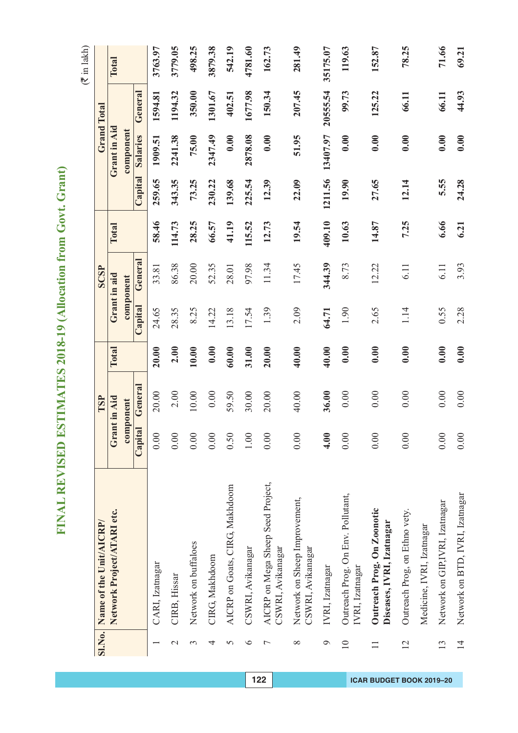|                 | SI.No. Name of the Unit/AICRP/                          |         | TSP                  |       |         | SCSP                      |        |         |                       | <b>Grand Total</b> |          |
|-----------------|---------------------------------------------------------|---------|----------------------|-------|---------|---------------------------|--------|---------|-----------------------|--------------------|----------|
|                 | Network Project/ATARI etc.                              |         | Grant in Aid         | Total |         | Grant in aid<br>component | Total  |         | Grant in Aid          |                    | Total    |
|                 |                                                         | Capital | General<br>component |       | Capital | <b>General</b>            |        | Capital | component<br>Salaries | General            |          |
|                 |                                                         |         |                      | 20.00 | 24.65   | 33.81                     |        | 259.65  | 1909.51               | 1594.81            | 3763.97  |
|                 | CARI, Izatnagar                                         | 0.00    | 20.00                |       |         |                           | 58.46  |         |                       |                    |          |
| $\mathcal{L}$   | CIRB, Hissar                                            | 0.00    | 2.00                 | 2.00  | 28.35   | 86.38                     | 114.73 | 343.35  | 2241.38               | 1194.32            | 3779.05  |
| 3               | Network on buffaloes                                    | 0.00    | 10.00                | 10.00 | 8.25    | 20.00                     | 28.25  | 73.25   | 75.00                 | 350.00             | 498.25   |
| 4               | CIRG, Makhdoom                                          | 0.00    | 0.00                 | 0.00  | 14.22   | 52.35                     | 66.57  | 230.22  | 2347.49               | 1301.67            | 3879.38  |
| 5               | AICRP on Goats, CIRG, Makhdoom                          | 0.50    | 59.50                | 60.00 | 13.18   | 28.01                     | 41.19  | 139.68  | 0.00                  | 402.51             | 542.19   |
| $\circ$         | CSWRI, Avikanagar                                       | $1.00$  | 30.00                | 31.00 | 17.54   | 97.98                     | 115.52 | 225.54  | 2878.08               | 1677.98            | 4781.60  |
| $\overline{ }$  | AICRP on Mega Sheep Seed Project,<br>CSWRI, Avikanagar  | 0.00    | 20.00                | 20.00 | 1.39    | 11.34                     | 12.73  | 12.39   | 0.00                  | 150.34             | 162.73   |
| $\infty$        | Network on Sheep Improvement,<br>CSWRI, Avikanagar      | 0.00    | 40.00                | 40.00 | 2.09    | 17.45                     | 19.54  | 22.09   | 51.95                 | 207.45             | 281.49   |
| $\circ$         | IVRI, Izatnagar                                         | 4.00    | 36.00                | 40.00 | 64.71   | 344.39                    | 409.10 | 1211.56 | 13407.97              | 20555.54           | 35175.07 |
| $\overline{10}$ | Outreach Prog. On Env. Pollutant,<br>IVRI, Izatnagar    | 0.00    | 0.00                 | 0.00  | 1.90    | 8.73                      | 10.63  | 19.90   | 0.00                  | 99.73              | 119.63   |
| $\Box$          | Outreach Prog. On Zoonotic<br>Diseases, IVRI, Izatnagar | 0.00    | 0.00                 | 0.00  | 2.65    | 12.22                     | 14.87  | 27.65   | 0.00                  | 125.22             | 152.87   |
| $\overline{2}$  | Outreach Prog, on Ethno vety.                           | 0.00    | 0.00                 | 0.00  | 1.14    | 6.11                      | 7.25   | 12.14   | 0.00                  | 66.11              | 78.25    |
|                 | Medicine, IVRI, Izatnagar                               |         |                      |       |         |                           |        |         |                       |                    |          |
| 13              | Network on GIP,IVRI, Izatnagar                          | 0.00    | 0.00                 | 0.00  | 0.55    | 6.11                      | 6.66   | 5.55    | 0.00                  | 66.11              | 71.66    |
| $\overline{1}$  | Network on BTD, IVRI, Izatnagar                         | 0.00    | 0.00                 | 0.00  | 2.28    | 3.93                      | 6.21   | 24.28   | 0.00                  | 44.93              | 69.21    |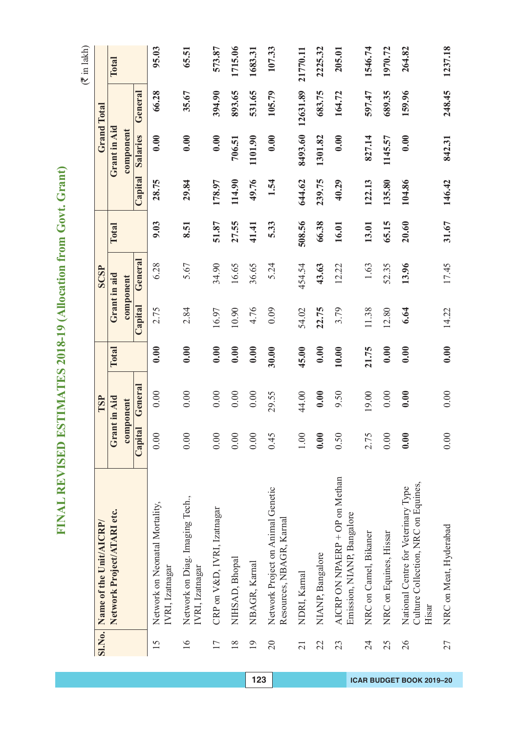| í<br>l                                 |
|----------------------------------------|
| í<br>ĺ<br>۱                            |
| ζ<br>I                                 |
| I<br>j<br>I<br>١                       |
| I<br>١<br>ไ                            |
| i<br>ĺ<br>Ì<br>)                       |
| Í<br>ę<br>í<br>l                       |
| ¢<br>)<br>í<br>I<br>I                  |
| Ï<br>ŀ                                 |
| ł                                      |
| $\blacksquare$<br>í                    |
| Ō<br>J                                 |
| v<br>1<br>ć<br>$\epsilon$<br>l         |
|                                        |
| $\zeta$<br>2                           |
| Ì                                      |
| ļ<br>ł                                 |
| í<br>Ì                                 |
|                                        |
| $\overline{\phantom{a}}$<br>l          |
| 1<br>ļ<br>2                            |
| ļ<br>þ                                 |
| l<br>Ĕ                                 |
| E                                      |
| ١<br>ļ<br>é<br>$\overline{\mathbf{z}}$ |

|                 | SI.No. Name of the Unit/AICRP/                                                      |         | TSP          |       |              | <b>SCSP</b> |        |         |              | Grand Total |          |
|-----------------|-------------------------------------------------------------------------------------|---------|--------------|-------|--------------|-------------|--------|---------|--------------|-------------|----------|
|                 | Network Project/ATARI etc.                                                          |         | Grant in Aid | Total | Grant in aid |             | Total  |         | Grant in Aid |             | Total    |
|                 |                                                                                     |         | component    |       | component    |             |        |         | component    |             |          |
|                 |                                                                                     | Capital | General      |       | Capital      | General     |        | Capital | Salaries     | General     |          |
| 15              | Network on Neonatal Mortality,<br>IVRI, Izatnagar                                   | 0.00    | 0.00         | 0.00  | 2.75         | 6.28        | 9.03   | 28.75   | 0.00         | 66.28       | 95.03    |
| $\overline{16}$ | Network on Diag. Imaging Tech.,<br>IVRI, Izatnagar                                  | 0.00    | 0.00         | 0.00  | 2.84         | 5.67        | 8.51   | 29.84   | 0.00         | 35.67       | 65.51    |
| $\overline{17}$ | CRP on V&D, IVRI, Izatnagar                                                         | 0.00    | 0.00         | 0.00  | 16.97        | 34.90       | 51.87  | 178.97  | 0.00         | 394.90      | 573.87   |
| $\frac{8}{18}$  | NIHSAD, Bhopal                                                                      | 0.00    | 0.00         | 0.00  | 10.90        | 16.65       | 27.55  | 114.90  | 706.51       | 893.65      | 1715.06  |
| $\overline{19}$ | NBAGR, Kamal                                                                        | 0.00    | 0.00         | 0.00  | 4.76         | 36.65       | 41.41  | 49.76   | 1101.90      | 531.65      | 1683.31  |
| $\overline{c}$  | Network Project on Animal Genetic<br>Resources, NBAGR, Karnal                       | 0.45    | 29.55        | 30.00 | 0.09         | 5.24        | 5.33   | 1.54    | 0.00         | 105.79      | 107.33   |
| 21              | NDRI, Kamal                                                                         | 1.00    | 44.00        | 45.00 | 54.02        | 454.54      | 508.56 | 644.62  | 8493.60      | 12631.89    | 21770.11 |
| 22              | NIANP, Bangalore                                                                    | 0.00    | 0.00         | 0.00  | 22.75        | 43.63       | 66.38  | 239.75  | 1301.82      | 683.75      | 2225.32  |
| 23              | AICRP ON NPAERP + OP on Methan<br>Emission, NIANP, Bangalore                        | 0.50    | 9.50         | 10.00 | 3.79         | 12.22       | 16.01  | 40.29   | 0.00         | 164.72      | 205.01   |
| 24              | NRC on Camel, Bikaner                                                               | 2.75    | 19.00        | 21.75 | 11.38        | 1.63        | 13.01  | 122.13  | 827.14       | 597.47      | 1546.74  |
| 25              | NRC on Equines, Hissar                                                              | 0.00    | 0.00         | 0.00  | 12.80        | 52.35       | 65.15  | 135.80  | 1145.57      | 689.35      | 1970.72  |
| 26              | Culture Collection, NRC on Equines,<br>National Centre for Veterinary Type<br>Hisar | 0.00    | 0.00         | 0.00  | 6.64         | 13.96       | 20.60  | 104.86  | 0.00         | 159.96      | 264.82   |
| 27              | NRC on Meat, Hyderabad                                                              | 0.00    | 0.00         | 0.00  | 14.22        | 17.45       | 31.67  | 146.42  | 842.31       | 248.45      | 1237.18  |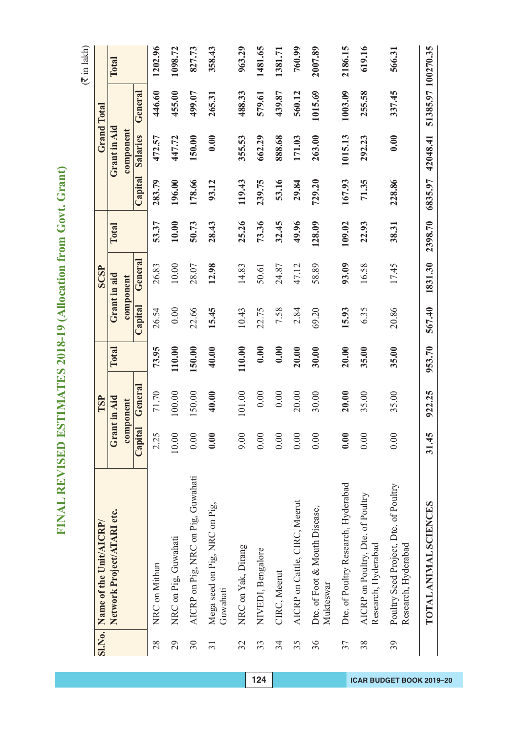|                 | SI.No. Name of the Unit/AICRP/                               |         | TSP          |        |         | <b>SCSP</b>  |         |         |              | <b>Grand Total</b> |              |
|-----------------|--------------------------------------------------------------|---------|--------------|--------|---------|--------------|---------|---------|--------------|--------------------|--------------|
|                 | Network Project/ATARI etc.                                   |         | Grant in Aid | Total  |         | Grant in aid | Total   |         | Grant in Aid |                    | <b>Total</b> |
|                 |                                                              |         | component    |        |         | component    |         |         | component    |                    |              |
|                 |                                                              | Capital | General      |        | Capital | General      |         | Capital | Salaries     | General            |              |
| 28              | NRC on Mithun                                                | 2.25    | 71.70        | 73.95  | 26.54   | 26.83        | 53.37   | 283.79  | 472.57       | 446.60             | 1202.96      |
| 29              | NRC on Pig, Guwahati                                         | 10.00   | 100.00       | 110.00 | 0.00    | 10.00        | 10.00   | 196.00  | 447.72       | 455.00             | 1098.72      |
| 30              | AICRP on Pig, NRC on Pig, Guwahati                           | 0.00    | 150.00       | 150.00 | 22.66   | 28.07        | 50.73   | 178.66  | 150.00       | 499.07             | 827.73       |
| $\overline{31}$ | Mega seed on Pig, NRC on Pig,<br>Guwahati                    | 0.00    | 40.00        | 40.00  | 15.45   | 12.98        | 28.43   | 93.12   | 0.00         | 265.31             | 358.43       |
| 32              | NRC on Yak, Dirang                                           | 0.00    | 101.00       | 110.00 | 10.43   | 14.83        | 25.26   | 119.43  | 355.53       | 488.33             | 963.29       |
| 33              | NIVEDI, Bengalore                                            | 0.00    | 0.00         | 0.00   | 22.75   | 50.61        | 73.36   | 239.75  | 662.29       | 579.61             | 1481.65      |
| 34              | CIRC, Meerut                                                 | 0.00    | 0.00         | 0.00   | 7.58    | 24.87        | 32.45   | 53.16   | 888.68       | 439.87             | 1381.71      |
| 35              | AICRP on Cattle, CIRC, Meerut                                | 0.00    | 20.00        | 20.00  | 2.84    | 47.12        | 49.96   | 29.84   | 171.03       | 560.12             | 760.99       |
| 36              | Dte. of Foot & Mouth Disease,<br>Mukteswar                   | 0.00    | 30.00        | 30.00  | 69.20   | 58.89        | 128.09  | 729.20  | 263.00       | 1015.69            | 2007.89      |
| 37              | Dte. of Poultry Research, Hyderabad                          | 0.00    | 20.00        | 20.00  | 15.93   | 93.09        | 109.02  | 167.93  | 1015.13      | 1003.09            | 2186.15      |
| 38              | AICRP on Poultry, Dte. of Poultry<br>Research, Hyderabad     | 0.00    | 35.00        | 35.00  | 6.35    | 16.58        | 22.93   | 71.35   | 292.23       | 255.58             | 619.16       |
| 39              | Poultry Seed Project, Dte. of Poultry<br>Research, Hyderabad | 0.00    | 35.00        | 35.00  | 20.86   | 17.45        | 38.31   | 228.86  | 0.00         | 337.45             | 566.31       |
|                 | TOTAL ANIMAL SCIENCES                                        | 31.45   | 922.25       | 953.70 | 567.40  | 1831.30      | 2398.70 | 6835.97 | 42048.41     | 51385.97 100270.35 |              |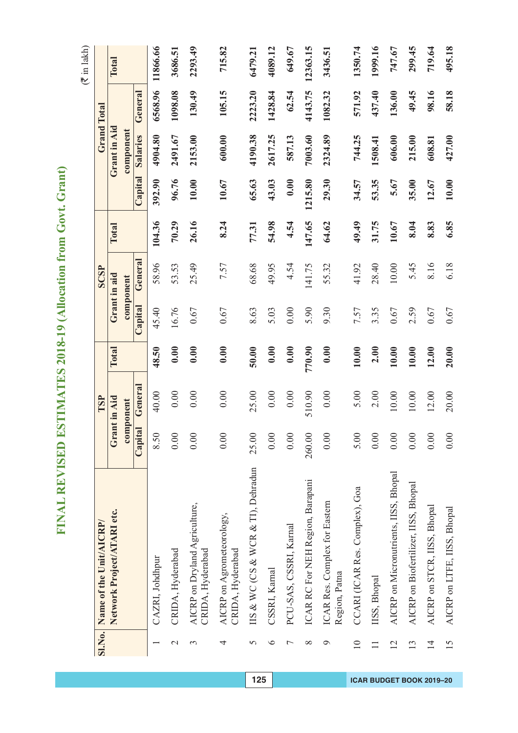|                 | SI.No. Name of the Unit/AICRP/                    |         | TSP          |        |         | SCSP         |        |         |              | <b>Grand Total</b> |              |
|-----------------|---------------------------------------------------|---------|--------------|--------|---------|--------------|--------|---------|--------------|--------------------|--------------|
|                 | Network Project/ATARI etc.                        |         | Grant in Aid | Total  |         | Grant in aid | Total  |         | Grant in Aid |                    | <b>Total</b> |
|                 |                                                   |         | component    |        |         | component    |        |         | component    |                    |              |
|                 |                                                   | Capital | General      |        | Capital | General      |        | Capital | Salaries     | General            |              |
|                 | CAZRI, Johdhpur                                   | 8.50    | 40.00        | 48.50  | 45.40   | 58.96        | 104.36 | 392.90  | 4904.80      | 6568.96            | 11866.66     |
| $\mathbf{\sim}$ | CRIDA, Hyderabad                                  | 0.00    | 0.00         | 0.00   | 16.76   | 53.53        | 70.29  | 96.76   | 2491.67      | 1098.08            | 3686.51      |
| 3               | AICRP on Dryland Agriculture,<br>CRIDA, Hyderabad | 0.00    | 0.00         | 0.00   | 0.67    | 25.49        | 26.16  | 10.00   | 2153.00      | 130.49             | 2293.49      |
| 4               | AICRP on Agrometeorology,<br>CRIDA, Hyderabad     | 0.00    | 0.00         | 0.00   | 0.67    | 7.57         | 8.24   | 10.67   | 600.00       | 105.15             | 715.82       |
| 5               | IIS & WC (CS & WCR & TI), Dehradun                | 25.00   | 25.00        | 50.00  | 8.63    | 68.68        | 77.31  | 65.63   | 4190.38      | 2223.20            | 6479.21      |
| $\circ$         | CSSRI, Karnal                                     | 0.00    | 0.00         | 0.00   | 5.03    | 49.95        | 54.98  | 43.03   | 2617.25      | 1428.84            | 4089.12      |
| $\overline{ }$  | PCU-SAS, CSSRI, Karnal                            | 0.00    | 0.00         | 0.00   | 0.00    | 4.54         | 4.54   | 0.00    | 587.13       | 62.54              | 649.67       |
| $\infty$        | ICAR RC For NEH Region, Barapani                  | 260.00  | 510.90       | 770.90 | 5.90    | 141.75       | 147.65 | 1215.80 | 7003.60      | 4143.75            | 12363.15     |
| $\circ$         | ICAR Res. Complex for Eastern<br>Region, Patna    | 0.00    | 0.00         | 0.00   | 9.30    | 55.32        | 64.62  | 29.30   | 2324.89      | 1082.32            | 3436.51      |
| $\overline{10}$ | CCARI (ICAR Res. Complex), Goa                    | 5.00    | 5.00         | 10.00  | 7.57    | 41.92        | 49.49  | 34.57   | 744.25       | 571.92             | 1350.74      |
| $\Box$          | IISS, Bhopal                                      | 0.00    | 2.00         | 2.00   | 3.35    | 28.40        | 31.75  | 53.35   | 1508.41      | 437.40             | 1999.16      |
| $\overline{2}$  | AICRP on Micronutrients, IISS, Bhopal             | 0.00    | 10.00        | 10.00  | 0.67    | 10.00        | 10.67  | 5.67    | 606.00       | 136.00             | 747.67       |
| 13              | AICRP on Biofertilizer, IISS, Bhopal              | 0.00    | 10.00        | 10.00  | 2.59    | 5.45         | 8.04   | 35.00   | 215.00       | 49.45              | 299.45       |
| $\overline{1}$  | AICRP on STCR, IISS, Bhopal                       | 0.00    | 12.00        | 12.00  | 0.67    | 8.16         | 8.83   | 12.67   | 608.81       | 98.16              | 719.64       |
| 15              | AICRP on LTFE, IISS, Bhopal                       | 0.00    | 20.00        | 20.00  | 0.67    | 6.18         | 6.85   | 10.00   | 427.00       | 58.18              | 495.18       |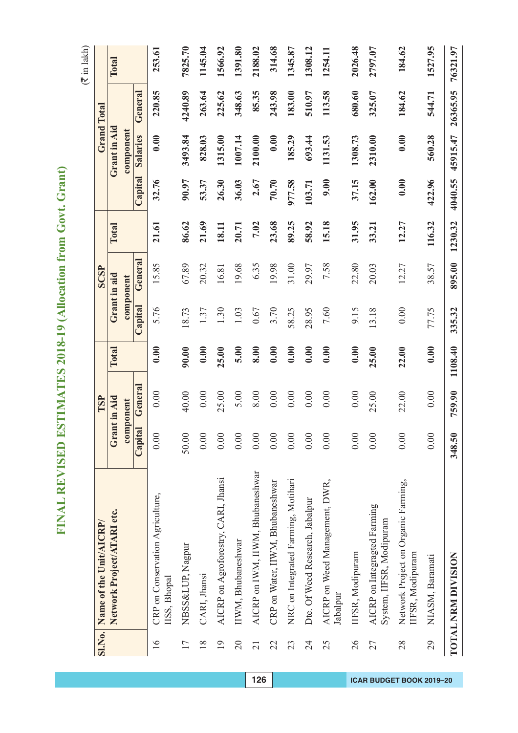| Į<br>í                                         |
|------------------------------------------------|
| l<br>í                                         |
| l                                              |
| l<br>I<br>้<br>I                               |
|                                                |
| ì                                              |
| ֖֖֖֖֖֚֚֚֚֚֚֚֚֚֚֚֚֚֚֚֚֚֚֬֡֡֡֡֡֡֡֡֬֝֬֞֡֡֡֬֝<br>j |
| I<br>١                                         |
| þ<br>١<br>l                                    |
|                                                |
| ļ<br>١                                         |
| Ć<br>١                                         |
| Í                                              |
| ł                                              |
| l<br>í                                         |
| I<br>١<br>l                                    |
|                                                |
| I                                              |
| ١                                              |
| l<br>ŀ<br>í                                    |
| l                                              |
| I                                              |
|                                                |
| Í<br>١                                         |
| Ι                                              |
| Ο<br>J<br>l                                    |
| ¢<br>Þ                                         |
| Ç<br>l                                         |
| ໄ                                              |
| 2                                              |
|                                                |
|                                                |
|                                                |
|                                                |
| ļ<br>۱                                         |
| I                                              |
| j<br>Į                                         |
|                                                |
|                                                |
| ļ                                              |
|                                                |
| Ì                                              |
| l                                              |
| j                                              |
|                                                |
| Ĕ                                              |
|                                                |
| I                                              |
|                                                |
| I<br>ļ                                         |
| ٦<br>Í                                         |
| E<br>Í                                         |
|                                                |

|                 | Sl.No. Name of the Unit/AICRP/                           |         | TSP          |         |         | SCSP         |         |         |              | Grand Total |          |
|-----------------|----------------------------------------------------------|---------|--------------|---------|---------|--------------|---------|---------|--------------|-------------|----------|
|                 | Network Project/ATARI etc.                               |         | Grant in Aid | Total   |         | Grant in aid | Total   |         | Grant in Aid |             | Total    |
|                 |                                                          |         | component    |         |         | component    |         |         | component    |             |          |
|                 |                                                          | Capital | General      |         | Capital | General      |         | Capital | Salaries     | General     |          |
| 16              | CRP on Conservation Agriculture,<br>IISS, Bhopal         | 0.00    | 0.00         | 0.00    | 5.76    | 15.85        | 21.61   | 32.76   | 0.00         | 220.85      | 253.61   |
| 17              | NBSS&LUP, Nagpur                                         | 50.00   | 40.00        | 90.00   | 18.73   | 67.89        | 86.62   | 90.97   | 3493.84      | 4240.89     | 7825.70  |
| $\frac{8}{18}$  | CARI, Jhansi                                             | 0.00    | 0.00         | 0.00    | 1.37    | 20.32        | 21.69   | 53.37   | 828.03       | 263.64      | 1145.04  |
| $\overline{19}$ | AICRP on Agroforestry, CARI, Jhansi                      | 0.00    | 25.00        | 25.00   | 1.30    | 16.81        | 18.11   | 26.30   | 1315.00      | 225.62      | 1566.92  |
| 20              | IIWM, Bhubaneshwar                                       | 0.00    | 5.00         | 5.00    | 1.03    | 19.68        | 20.71   | 36.03   | 1007.14      | 348.63      | 1391.80  |
| $\overline{21}$ | AICRP on IWM, IIWM, Bhubaneshwar                         | 0.00    | 8.00         | 8.00    | 0.67    | 6.35         | 7.02    | 2.67    | 2100.00      | 85.35       | 2188.02  |
| 22              | CRP on Water, IIWM, Bhubaneshwar                         | 0.00    | 0.00         | 0.00    | 3.70    | 19.98        | 23.68   | 70.70   | 0.00         | 243.98      | 314.68   |
| 23              | NRC on Integrated Farming, Motihari                      | 0.00    | 0.00         | 0.00    | 58.25   | 31.00        | 89.25   | 977.58  | 185.29       | 183.00      | 1345.87  |
| 24              | Dte. Of Weed Research, Jabalpur                          | 0.00    | 0.00         | 0.00    | 28.95   | 29.97        | 58.92   | 103.71  | 693.44       | 510.97      | 1308.12  |
| 25              | AICRP on Weed Management, DWR,<br>Jabalpur               | 0.00    | 0.00         | 0.00    | 7.60    | 7.58         | 15.18   | 9.00    | 1131.53      | 113.58      | 1254.11  |
| 26              | IFSR, Modipuram                                          | 0.00    | 0.00         | 0.00    | 9.15    | 22.80        | 31.95   | 37.15   | 1308.73      | 680.60      | 2026.48  |
| 27              | AICRP on Integragted Farming<br>System, IIFSR, Modipuram | 0.00    | 25.00        | 25.00   | 13.18   | 20.03        | 33.21   | 162.00  | 2310.00      | 325.07      | 2797.07  |
| 28              | Network Project on Organic Farming,<br>IIFSR, Modipuram  | 0.00    | 22.00        | 22.00   | 0.00    | 12.27        | 12.27   | 0.00    | 0.00         | 184.62      | 184.62   |
| 29              | NIASM, Baramati                                          | 0.00    | 0.00         | 0.00    | 77.75   | 38.57        | 116.32  | 422.96  | 560.28       | 544.71      | 1527.95  |
|                 | TOTAL NRM DIVISION                                       | 348.50  | 759.90       | 1108.40 | 335.32  | 895.00       | 1230.32 | 4040.55 | 45915.47     | 26365.95    | 76321.97 |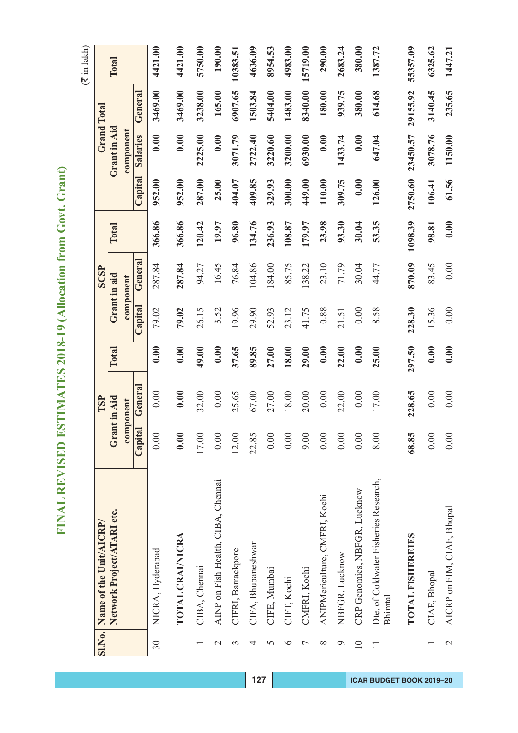|                 | SI.No. Name of the Unit/AICRP/                   |         | TSP          |        |         | <b>SCSP</b>  |         |         |              | <b>Grand Total</b> |          |
|-----------------|--------------------------------------------------|---------|--------------|--------|---------|--------------|---------|---------|--------------|--------------------|----------|
|                 | Network Project/ATARI etc.                       |         | Grant in Aid | Total  |         | Grant in aid | Total   |         | Grant in Aid |                    | Total    |
|                 |                                                  |         | component    |        |         | component    |         |         | component    |                    |          |
|                 |                                                  | Capital | General      |        | Capital | General      |         | Capital | Salaries     | General            |          |
| 30              | NICRA, Hyderabad                                 | 0.00    | 0.00         | 0.00   | 79.02   | 287.84       | 366.86  | 952.00  | 0.00         | 3469.00            | 4421.00  |
|                 | TOTAL CRAINICRA                                  | 0.00    | 0.00         | 0.00   | 79.02   | 287.84       | 366.86  | 952.00  | 0.00         | 3469.00            | 4421.00  |
|                 | CIBA, Chennai                                    | 17.00   | 32.00        | 49.00  | 26.15   | 94.27        | 120.42  | 287.00  | 2225.00      | 3238.00            | 5750.00  |
| $\mathbf 2$     | AINP on Fish Health, CIBA, Chennai               | 0.00    | 0.00         | 0.00   | 3.52    | 16.45        | 19.97   | 25.00   | 0.00         | 165.00             | 190.00   |
| 3               | CIFRI, Barrackpore                               | 12.00   | 25.65        | 37.65  | 19.96   | 76.84        | 96.80   | 404.07  | 3071.79      | 6907.65            | 10383.51 |
| 4               | CIFA, Bhubaneshwar                               | 22.85   | 67.00        | 89.85  | 29.90   | 104.86       | 134.76  | 409.85  | 2722.40      | 1503.84            | 4636.09  |
| 5               | CIFE, Mumbai                                     | 0.00    | 27.00        | 27.00  | 52.93   | 184.00       | 236.93  | 329.93  | 3220.60      | 5404.00            | 8954.53  |
| $\circ$         | CIFT, Kochi                                      | 0.00    | 18.00        | 18.00  | 23.12   | 85.75        | 108.87  | 300.00  | 3200.00      | 1483.00            | 4983.00  |
| Γ               | CMFRI, Kochi                                     | 9.00    | 20.00        | 29.00  | 41.75   | 138.22       | 179.97  | 449.00  | 6930.00      | 8340.00            | 15719.00 |
| $\infty$        | ANIPMericulture, CMFRI, Kochi                    | 0.00    | 0.00         | 0.00   | 0.88    | 23.10        | 23.98   | 110.00  | 0.00         | 180.00             | 290.00   |
| ᢦ               | NBFGR, Lucknow                                   | 0.00    | 22.00        | 22.00  | 21.51   | 71.79        | 93.30   | 309.75  | 1433.74      | 939.75             | 2683.24  |
| $\overline{10}$ | CRP Genomics, NBFGR, Lucknow                     | 0.00    | 0.00         | 0.00   | 0.00    | 30.04        | 30.04   | 0.00    | 0.00         | 380.00             | 380.00   |
| $\Box$          | Dte. of Coldwater Fisheries Research,<br>Bhimtal | 8.00    | 17.00        | 25.00  | 8.58    | 44.77        | 53.35   | 126.00  | 647.04       | 614.68             | 1387.72  |
|                 | TOTAL FISHEREIES                                 | 68.85   | 228.65       | 297.50 | 228.30  | 870.09       | 1098.39 | 2750.60 | 23450.57     | 29155.92           | 55357.09 |
|                 | CIAE, Bhopal                                     | 0.00    | 0.00         | 0.00   | 15.36   | 83.45        | 98.81   | 106.41  | 3078.76      | 3140.45            | 6325.62  |
| $\mathcal{L}$   | AICRP on FIM, CIAE, Bhopal                       | 0.00    | 0.00         | 0.00   | 0.00    | 0.00         | 0.00    | 61.56   | 1150.00      | 235.65             | 1447.21  |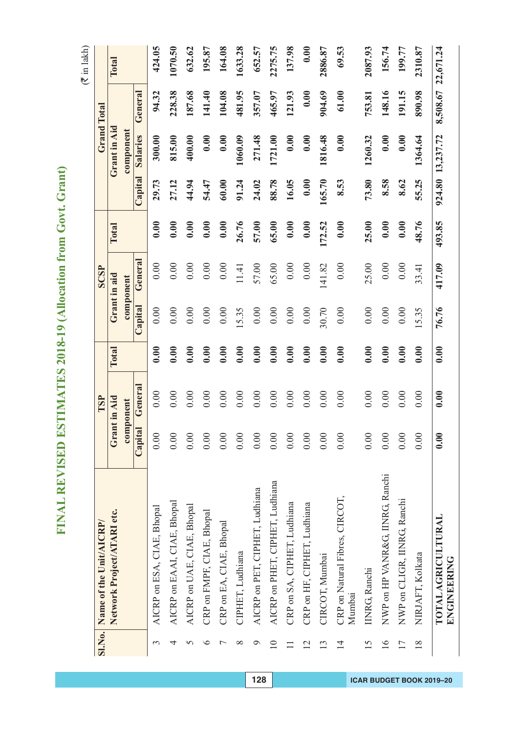$($  $\bar{z}$  in lakh)

|                 | SI.No. Name of the Unit/AICRP/           |         | TSP          |       |         | <b>SCSP</b>  |        |         |              | <b>Grand Total</b> |           |
|-----------------|------------------------------------------|---------|--------------|-------|---------|--------------|--------|---------|--------------|--------------------|-----------|
|                 | Network Project/ATARI etc.               |         | Grant in Aid | Total |         | Grant in aid | Total  |         | Grant in Aid |                    | Total     |
|                 |                                          |         | component    |       |         | component    |        |         | component    |                    |           |
|                 |                                          | Capital | General      |       | Capital | General      |        | Capital | Salaries     | General            |           |
| 3               | AICRP on ESA, CIAE, Bhopal               | 0.00    | 0.00         | 0.00  | 0.00    | 0.00         | 0.00   | 29.73   | 300.00       | 94.32              | 424.05    |
| 4               | AICRP on EAAI, CIAE, Bhopal              | 0.00    | 0.00         | 0.00  | 0.00    | 0.00         | 0.00   | 27.12   | 815.00       | 228.38             | 1070.50   |
| 5               | AICRP on UAE, CIAE, Bhopal               | 0.00    | 0.00         | 0.00  | 0.00    | 0.00         | 0.00   | 44.94   | 400.00       | 187.68             | 632.62    |
| ∘               | CRP on FMPF, CIAE, Bhopal                | 0.00    | 0.00         | 0.00  | 0.00    | 0.00         | 0.00   | 54.47   | 0.00         | 141.40             | 195.87    |
|                 | CRP on EA, CIAE, Bhopal                  | 0.00    | 0.00         | 0.00  | 0.00    | 0.00         | 0.00   | 60.00   | 0.00         | 104.08             | 164.08    |
| $\infty$        | CIPHET, Ludhiana                         | 0.00    | 0.00         | 0.00  | 15.35   | 11.41        | 26.76  | 91.24   | 1060.09      | 481.95             | 1633.28   |
| $\mathfrak{D}$  | AICRP on PET, CIPHET, Ludhiana           | 0.00    | 0.00         | 0.00  | 0.00    | 57.00        | 57.00  | 24.02   | 271.48       | 357.07             | 652.57    |
| $\overline{10}$ | AICRP on PHET, CIPHET, Ludhiana          | 0.00    | 0.00         | 0.00  | 0.00    | 65.00        | 65.00  | 88.78   | 1721.00      | 465.97             | 2275.75   |
|                 | CRP on SA, CIPHET, Ludhiana              | 0.00    | 0.00         | 0.00  | 0.00    | 0.00         | 0.00   | 16.05   | 0.00         | 121.93             | 137.98    |
| $\overline{2}$  | CRP on HF, CIPHET, Ludhiana              | 0.00    | 0.00         | 0.00  | 0.00    | 0.00         | 0.00   | 0.00    | 0.00         | 0.00               | 0.00      |
| $\mathbf{C}$    | CIRCOT, Mumbai                           | 0.00    | 0.00         | 0.00  | 30.70   | 141.82       | 172.52 | 165.70  | 1816.48      | 904.69             | 2886.87   |
| $\overline{1}$  | CRP on Natural Fibres, CIRCOT,<br>Mumbai | 0.00    | 0.00         | 0.00  | 0.00    | 0.00         | 0.00   | 8.53    | 0.00         | 61.00              | 69.53     |
| 15              | <b>IINRG, Ranchi</b>                     | 0.00    | 0.00         | 0.00  | 0.00    | 25.00        | 25.00  | 73.80   | 1260.32      | 753.81             | 2087.93   |
| $\overline{16}$ | NWP on HP VANR&G, IINRG, Ranchi          | 0.00    | 0.00         | 0.00  | 0.00    | 0.00         | 0.00   | 8.58    | 0.00         | 148.16             | 156.74    |
| 17              | NWP on CLIGR, IINRG, Ranchi              | 0.00    | 0.00         | 0.00  | 0.00    | 0.00         | 0.00   | 8.62    | 0.00         | 191.15             | 199.77    |
| 18              | NIRJAFT, Kolkata                         | 0.00    | 0.00         | 0.00  | 5.35    | 33.41        | 48.76  | 55.25   | 1364.64      | 890.98             | 2310.87   |
|                 | TOTAL AGRICULTURAL<br>ENGINEERING        | 0.00    | 0.00         | 0.00  | 76.76   | 417.09       | 493.85 | 924.80  | 13,237.72    | 8,508.67           | 22,671.24 |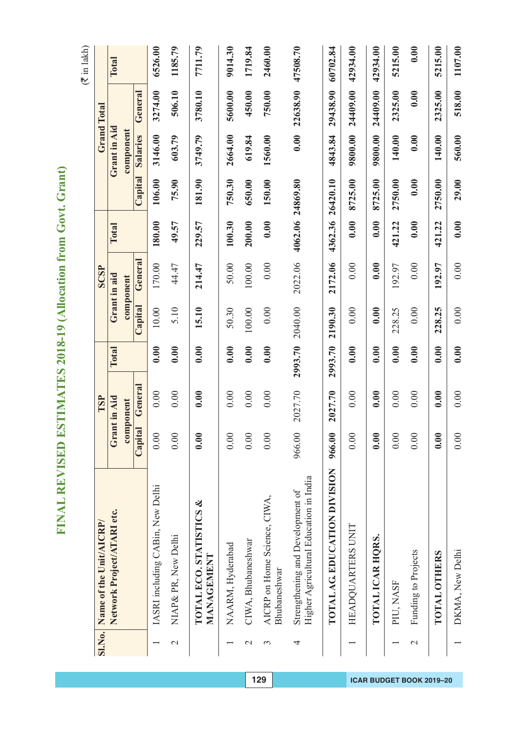| Į<br>í                                         |
|------------------------------------------------|
| l<br>í                                         |
| l                                              |
| l<br>I<br>้<br>I                               |
|                                                |
| ì                                              |
| ֖֖֖֖֖֚֚֚֚֚֚֚֚֚֚֚֚֚֚֚֚֚֚֬֡֡֡֡֡֡֡֡֬֝֬֞֡֡֡֬֝<br>j |
| I<br>١                                         |
| þ<br>١<br>l                                    |
|                                                |
| ļ<br>١                                         |
| Ć<br>١                                         |
| Í                                              |
| ł                                              |
| l<br>í                                         |
| I<br>١<br>l                                    |
|                                                |
| I                                              |
| ١                                              |
| l<br>ŀ<br>í                                    |
| l                                              |
| I                                              |
|                                                |
| Í<br>١                                         |
| Ι                                              |
| Ο<br>J<br>l                                    |
| ¢<br>Þ                                         |
| Ç<br>l                                         |
| ໄ                                              |
| 2                                              |
|                                                |
|                                                |
|                                                |
|                                                |
| ļ<br>۱                                         |
| I                                              |
| j<br>į                                         |
|                                                |
|                                                |
| ļ                                              |
|                                                |
| Ì                                              |
| l                                              |
| j                                              |
|                                                |
| Ĕ                                              |
|                                                |
| I                                              |
|                                                |
| I<br>ļ                                         |
| ٦<br>Í                                         |
| E<br>Í                                         |
|                                                |

| <b>SI.No.</b>         | Name of the Unit/AICRP/                                                    |         | TSP                  |         |          | SCSP                 |                  |          |                       | <b>Grand Total</b> |          |
|-----------------------|----------------------------------------------------------------------------|---------|----------------------|---------|----------|----------------------|------------------|----------|-----------------------|--------------------|----------|
|                       | Network Project/ATARI etc.                                                 |         | Grant in Aid         | Total   |          | Grant in aid         | Total            |          | Grant in Aid          |                    | Total    |
|                       |                                                                            | Capital | General<br>component |         | Capital  | General<br>component |                  | Capital  | component<br>Salaries | General            |          |
|                       |                                                                            |         |                      |         |          |                      |                  |          |                       |                    |          |
|                       | IASRI including CABin, New Delhi                                           | 0.00    | 0.00                 | 0.00    | 10.00    | 170.00               | 180.00           | 106.00   | 3146.00               | 3274.00            | 6526.00  |
| $\mathcal{L}$         | NIAP & PR, New Delhi                                                       | 0.00    | 0.00                 | 0.00    | 5.10     | 44.47                | 49.57            | 75.90    | 603.79                | 506.10             | 1185.79  |
|                       | TOTAL ECO. STATISTICS &<br>MANAGEMENT                                      | 0.00    | 0.00                 | 0.00    | 15.10    | 214.47               | 229.57           | 181.90   | 3749.79               | 3780.10            | 7711.79  |
|                       | NAARM, Hyderabad                                                           | 0.00    | 0.00                 | 0.00    | 50.30    | 50.00                | 100.30           | 750.30   | 2664.00               | 5600.00            | 9014.30  |
| $\mathcal{L}$         | CIWA, Bhubaneshwar                                                         | 0.00    | 0.00                 | 0.00    | 100.00   | 100.00               | 200.00           | 650.00   | 619.84                | 450.00             | 1719.84  |
| $\tilde{\phantom{0}}$ | AICRP on Home Science, CIWA,<br>Bhubaneshwar                               | 0.00    | 0.00                 | 0.00    | $0.00\,$ | 0.00                 | 0.00             | 150.00   | 1560.00               | 750.00             | 2460.00  |
| 4                     | Higher Agricultural Education in India<br>Strengthening and Development of | 966.00  | 2027.70              | 2993.70 | 2040.00  | 2022.06              | 4062.06 24869.80 |          | 0.00                  | 22638.90           | 47508.70 |
|                       | TOTAL AG EDUCATION DIVISION                                                | 966.00  | 2027.70              | 2993.70 | 2190.30  | 2172.06              | 4362.36          | 26420.10 | 4843.84               | 29438.90           | 60702.84 |
|                       | HEADQUARTERS UNIT                                                          | 0.00    | 0.00                 | 0.00    | 0.00     | 0.00                 | 0.00             | 8725.00  | 9800.00               | 24409.00           | 42934.00 |
|                       | TOTAL ICAR HORS.                                                           | 0.00    | 0.00                 | 0.00    | 0.00     | 0.00                 | 0.00             | 8725.00  | 9800.00               | 24409.00           | 42934.00 |
|                       | PIU, NASF                                                                  | 0.00    | 0.00                 | 0.00    | 228.25   | 192.97               | 421.22           | 2750.00  | 140.00                | 2325.00            | 5215.00  |
| $\mathcal{L}$         | Funding to Projects                                                        | 0.00    | 0.00                 | 0.00    | 0.00     | 0.00                 | 0.00             | 0.00     | 0.00                  | 0.00               | 0.00     |
|                       | <b>TOTAL OTHERS</b>                                                        | 0.00    | 0.00                 | 0.00    | 228.25   | 192.97               | 421.22           | 2750.00  | 140.00                | 2325.00            | 5215.00  |
|                       | DKMA, New Delhi                                                            | 0.00    | 0.00                 | 0.00    | 0.00     | 0.00                 | 0.00             | 29.00    | 560.00                | 518.00             | 1107.00  |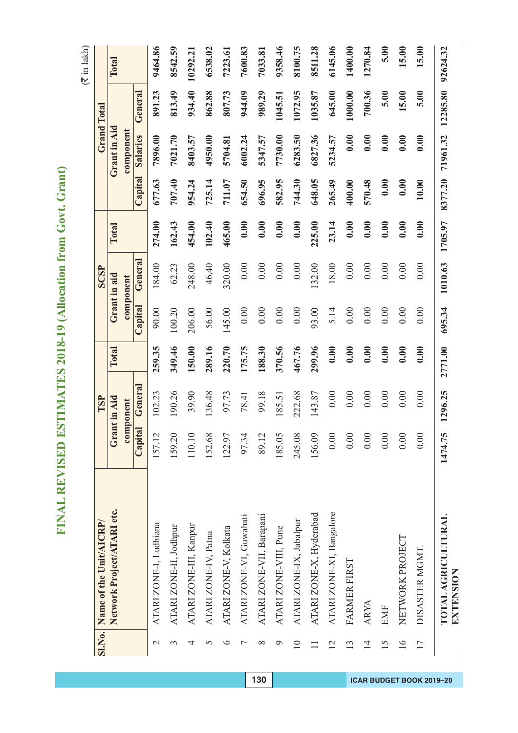|                 | Sl.No. Name of the Unit/AICRP/         |         | TSP       |         |          | <b>SCSP</b>  |         |         |              | <b>Grand Total</b> |          |
|-----------------|----------------------------------------|---------|-----------|---------|----------|--------------|---------|---------|--------------|--------------------|----------|
|                 | Network Project/ATARI etc.             | Gra     | nt in Aid | Total   |          | Grant in aid | Total   |         | Grant in Aid |                    | Total    |
|                 |                                        |         | component |         |          | component    |         |         | component    |                    |          |
|                 |                                        | Capital | General   |         | Capital  | General      |         | Capital | Salaries     | General            |          |
| $\mathbf{\sim}$ | ATARI ZONE-I, Ludhiana                 | 157.12  | 102.23    | 259.35  | 90.00    | 184.00       | 274.00  | 677.63  | 7896.00      | 891.23             | 9464.86  |
| 3               | ATARI ZONE-II, Jodhpur                 | 159.20  | 190.26    | 349.46  | 100.20   | 62.23        | 162.43  | 707.40  | 7021.70      | 813.49             | 8542.59  |
| 4               | ATARI ZONE-III, Kanpur                 | 110.10  | 39.90     | 150.00  | 206.00   | 248.00       | 454.00  | 954.24  | 8403.57      | 934.40             | 10292.21 |
| 5               | ATARI ZONE-IV, Patna                   | 152.68  | 136.48    | 289.16  | 56.00    | 46.40        | 102.40  | 725.14  | 4950.00      | 862.88             | 6538.02  |
| ∘               | ATARI ZONE-V, Kolkata                  | 122.97  | 97.73     | 220.70  | 145.00   | 320.00       | 465.00  | 711.07  | 5704.81      | 807.73             | 7223.61  |
|                 | ATARI ZONE-VI, Guwahati                | 97.34   | 78.41     | 175.75  | 0.00     | 0.00         | 0.00    | 654.50  | 6002.24      | 944.09             | 7600.83  |
| ∞               | ATARI ZONE-VII, Barapani               | 89.12   | 99.18     | 188.30  | 0.00     | 0.00         | 0.00    | 696.95  | 5347.57      | 989.29             | 7033.81  |
| P               | ATARI ZONE-VIII, Pune                  | 185.05  | 185.51    | 370.56  | 0.00     | 0.00         | 0.00    | 582.95  | 7730.00      | 1045.51            | 9358.46  |
| $\overline{10}$ | ATARI ZONE-IX, Jabalpur                | 245.08  | 222.68    | 467.76  | 0.00     | 0.00         | 0.00    | 744.30  | 6283.50      | 1072.95            | 8100.75  |
|                 | ATARI ZONE-X, Hyderabad                | 156.09  | 143.87    | 299.96  | 93.00    | 132.00       | 225.00  | 648.05  | 6827.36      | 1035.87            | 8511.28  |
| $\overline{2}$  | ATARI ZONE-XI, Bangalore               | 0.00    | 0.00      | 0.00    | 5.14     | 18.00        | 23.14   | 265.49  | 5234.57      | 645.00             | 6145.06  |
| 13              | FARMER FIRST                           | 0.00    | $0.00\,$  | 0.00    | $0.00\,$ | 0.00         | 0.00    | 400.00  | 0.00         | 1000.00            | 1400.00  |
| $\overline{1}$  | <b>ARYA</b>                            | 0.00    | 0.00      | 0.00    | 0.00     | 0.00         | 0.00    | 570.48  | 0.00         | 700.36             | 1270.84  |
| $\overline{15}$ | <b>EMF</b>                             | 0.00    | 0.00      | 0.00    | 0.00     | 0.00         | 0.00    | 0.00    | 0.00         | 5.00               | 5.00     |
| $\overline{16}$ | NETWORK PROJECT                        | 0.00    | 0.00      | 0.00    | 0.00     | 0.00         | 0.00    | 0.00    | 0.00         | 15.00              | 15.00    |
| $\overline{17}$ | DISASTER MGMT                          | 0.00    | 0.00      | 0.00    | 0.00     | 0.00         | 0.00    | 10.00   | 0.00         | 5.00               | 5.00     |
|                 | <b>TOTAL AGRICULTURAL</b><br>EXTENSION | 1474.75 | 1296.25   | 2771.00 | 695.34   | 1010.63      | 1705.97 | 8377.20 | 71961.32     | 12285.80           | 92624.32 |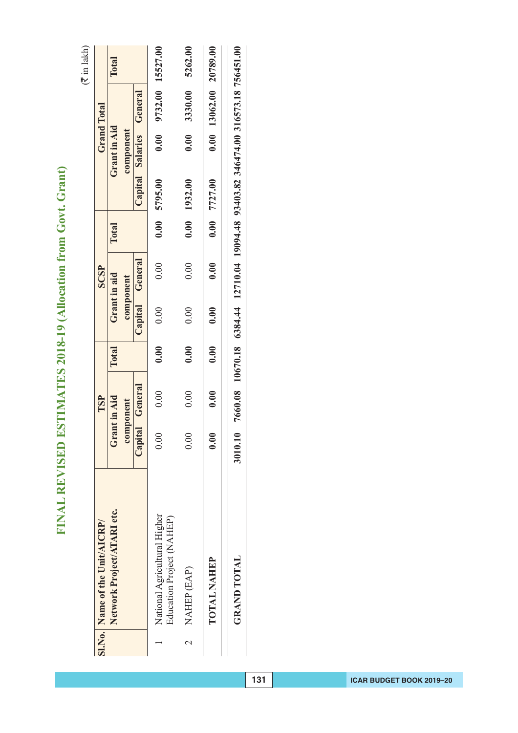| Capital General<br>0.00<br>component<br>0.00<br>0.00                              | General<br>0.00<br>component<br>Capita<br>0.00 |
|-----------------------------------------------------------------------------------|------------------------------------------------|
|                                                                                   |                                                |
|                                                                                   |                                                |
|                                                                                   |                                                |
| 0.00<br>0.00<br>0.00                                                              | 0.00                                           |
| 0.00<br>0.00<br>0.00                                                              | 0.00                                           |
| 7660.08 10670.18 6384.44 12710.04 19094.48 93403.82 346474.00 316573.18 756451.00 |                                                |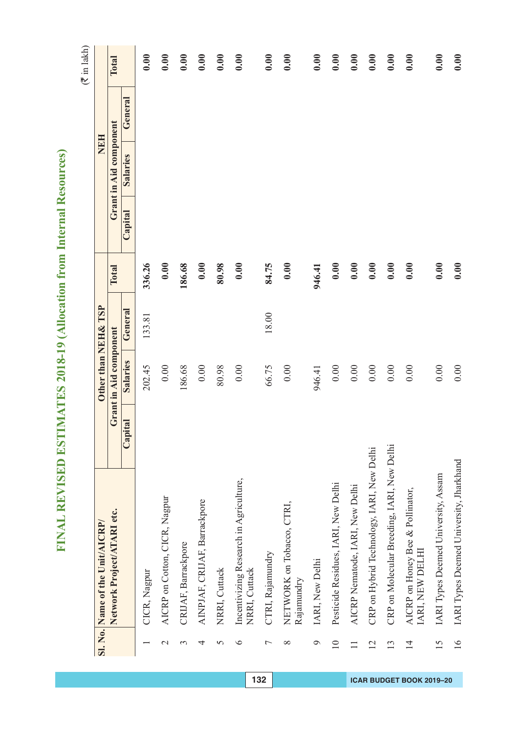| I<br>١         |
|----------------|
| Ċ<br>۵         |
| Ġ<br>١         |
| Š              |
| í<br>į,        |
| I              |
| I              |
|                |
| ł              |
| ł              |
| ļ<br>í         |
|                |
| í<br>l         |
| l              |
| ì<br>S         |
| l              |
| Ó              |
|                |
|                |
|                |
| ŀ              |
|                |
| Ξ              |
| ¢<br>١         |
|                |
| ĥ<br>l<br>¢    |
| j<br>ŧ         |
|                |
| Ξ              |
| ¢<br>١         |
| ⋍<br>Ī.        |
| ı              |
| j<br>I         |
|                |
| I              |
|                |
| ſ,<br>į        |
|                |
|                |
|                |
|                |
| σ              |
|                |
| v<br>t         |
| ì              |
| ∝<br>)         |
| 1              |
| Ś              |
| ć<br>Ó         |
| I              |
| ζ              |
| $\overline{a}$ |
|                |
|                |
| E              |
| 1              |
|                |
| l              |
|                |
| ŀ              |
| Í              |
|                |
| Ì<br>l         |
|                |
|                |
|                |
| J<br>l         |
|                |
| j              |
| Ì<br>Ì         |
| í              |
| ļ              |
| J              |
|                |
|                |
| j              |
| ţ              |
|                |
| I              |
| l              |
| ł<br>I         |
| j<br>I         |
|                |
| ═<br>Ξ<br>I    |

|                                 | Total                      |                          | 0.00         | 0.00                          | 0.00                | 0.00                         | 0.00          | 0.00                                                    | 0.00             | 0.00                                    | 0.00            | 0.00                                | 0.00                            | 0.00                                      | 0.00                                       | 0.00                                                | 0.00                                | 0.00                                    |
|---------------------------------|----------------------------|--------------------------|--------------|-------------------------------|---------------------|------------------------------|---------------|---------------------------------------------------------|------------------|-----------------------------------------|-----------------|-------------------------------------|---------------------------------|-------------------------------------------|--------------------------------------------|-----------------------------------------------------|-------------------------------------|-----------------------------------------|
|                                 |                            | General                  |              |                               |                     |                              |               |                                                         |                  |                                         |                 |                                     |                                 |                                           |                                            |                                                     |                                     |                                         |
| NEH                             | Grant in Aid component     | <b>Salaries</b>          |              |                               |                     |                              |               |                                                         |                  |                                         |                 |                                     |                                 |                                           |                                            |                                                     |                                     |                                         |
|                                 |                            | $\operatorname{Capital}$ |              |                               |                     |                              |               |                                                         |                  |                                         |                 |                                     |                                 |                                           |                                            |                                                     |                                     |                                         |
|                                 | Total                      |                          | 336.26       | 0.00                          | 186.68              | 0.00                         | 80.98         | 0.00                                                    | 84.75            | 0.00                                    | 946.41          | 0.00                                | 0.00                            | 0.00                                      | 0.00                                       | 0.00                                                | 0.00                                | 0.00                                    |
|                                 |                            | General                  | 133.81       |                               |                     |                              |               |                                                         | 18.00            |                                         |                 |                                     |                                 |                                           |                                            |                                                     |                                     |                                         |
| Other than NEH& TSP             | Grant in Aid component     | Salaries                 | 202.45       | 0.00                          | 186.68              | $0.00\,$                     | 80.98         | 0.00                                                    | 66.75            | 0.00                                    | 946.41          | $0.00$                              | 0.00                            | 0.00                                      | 0.00                                       | 0.00                                                | 0.00                                | 0.00                                    |
|                                 |                            | Capital                  |              |                               |                     |                              |               |                                                         |                  |                                         |                 |                                     |                                 |                                           |                                            |                                                     |                                     |                                         |
| Sl. No. Name of the Unit/AICRP/ | Network Project/ATARI etc. |                          | CICR, Nagpur | AICRP on Cotton, CICR, Nagpur | CRIJAF, Barrackpore | AINPJAF, CRIJAF, Barrackpore | NRRI, Cuttack | Incentivizing Research in Agriculture,<br>NRRI, Cuttack | CTRI, Rajamundry | NETWORK on Tobacco, CTRI,<br>Rajamundry | IARI, New Delhi | Pesticide Residues, IARI, New Delhi | AICRP Nematode, IARI, New Delhi | CRP on Hybrid Technology, IARI, New Delhi | CRP on Molecular Breeding, IARI, New Delhi | AICRP on Honey Bee & Pollinator,<br>IARI, NEW DELHI | IARI Types Deemed University, Assam | IARI Types Deemed University, Jharkhand |
|                                 |                            |                          |              | $\mathbf{\sim}$               | 3                   | 4                            | 5             | ∘                                                       | Γ                | $\infty$                                | P               | $\overline{10}$                     | $\equiv$                        | 12                                        | 13                                         | $\overline{1}$                                      | 15                                  | $\frac{1}{6}$                           |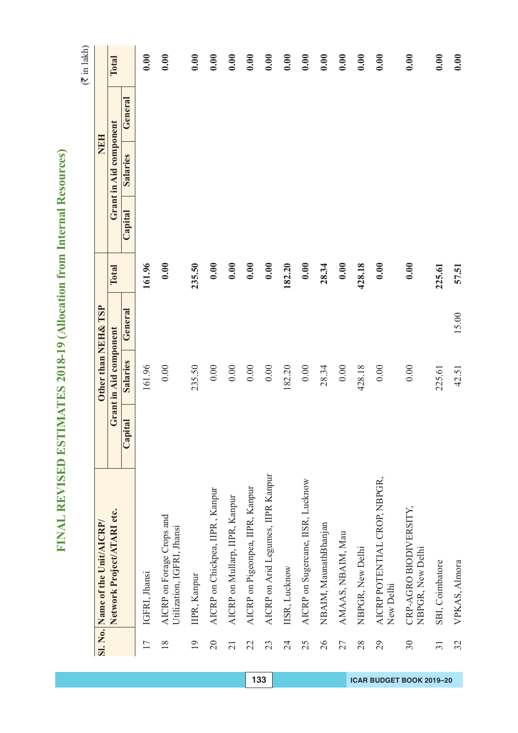| Ì           |
|-------------|
| ¢<br>נ      |
| ć<br>J      |
| ۱           |
| l.          |
| Ī.          |
| I           |
|             |
| í           |
| í           |
| ļ<br>í      |
| í           |
|             |
| Ć<br>۹      |
| ۱           |
| ĺ<br>Í      |
| l           |
| ١<br>ļ      |
|             |
| l           |
| ŀ           |
|             |
| ì           |
| S<br>C<br>١ |
| ŀ           |
| Í<br>Ġ<br>ì |
| Í           |
| 1           |
| ŀ           |
| Ï<br>١      |
| í<br>ŕ      |
| ı           |
| l           |
| l           |
| I           |
| ļ           |
| I           |
| ֚֘֝֬        |
|             |
|             |
|             |
|             |
|             |
| ŧ           |
|             |
| ١<br>ð      |
| ۱<br>ï      |
| ١           |
|             |
| j<br>IJ     |
| ໄ           |
|             |
| ļ           |
|             |
|             |
| l           |
| ŀ           |
|             |
|             |
| ļ<br>I      |
| Í           |
|             |
| ł           |
|             |
|             |
|             |
| ļ<br>l      |
|             |
| l           |
| Ì<br>冫      |
| Í           |
| ļ           |
| j           |
|             |
|             |
| j           |
| Ĩ           |
|             |
| l<br>ŀ      |
| l           |
| I           |
| l<br>ſ      |
| þ<br>Í      |
| Ξ           |

|                 | Sl. No. Name of the Unit/AICRP/                         |         | Other than NEH& TSP    |         |        |         | <b>NEH</b>             |         |       |
|-----------------|---------------------------------------------------------|---------|------------------------|---------|--------|---------|------------------------|---------|-------|
|                 | Network Project/ATARI etc.                              |         | Grant in Aid component |         | Total  |         | Grant in Aid component |         | Total |
|                 |                                                         | Capital | Salaries               | General |        | Capital | <b>Salaries</b>        | General |       |
| $\overline{17}$ | IGFRI, Jhansi                                           |         | 161.96                 |         | 161.96 |         |                        |         | 0.00  |
| $\frac{8}{18}$  | AICRP on Forage Crops and<br>Utilization, IGFRI, Jhansi |         | 0.00                   |         | 0.00   |         |                        |         | 0.00  |
| $\overline{19}$ | IIPR, Kanpur                                            |         | 235.50                 |         | 235.50 |         |                        |         | 0.00  |
| $\overline{20}$ | AICRP on Chickpea, IIPR, Kanpur                         |         | 0.00                   |         | 0.00   |         |                        |         | 0.00  |
| $\overline{21}$ | AICRP on Mullarp, IIPR, Kanpur                          |         | 0.00                   |         | 0.00   |         |                        |         | 0.00  |
| 22              | AICRP on Pigeonpea, IIPR, Kanpur                        |         | 0.00                   |         | 0.00   |         |                        |         | 0.00  |
| 23              | AICRP on Arid Legumes, IIPR Kanpur                      |         | 0.00                   |         | 0.00   |         |                        |         | 0.00  |
| 24              | IISR, Lucknow                                           |         | 182.20                 |         | 182.20 |         |                        |         | 0.00  |
| 25              | AICRP on Sugercane, IISR, Lucknow                       |         | 0.00                   |         | 0.00   |         |                        |         | 0.00  |
| 26              | NBAIM, MaunathBhanjan                                   |         | 28.34                  |         | 28.34  |         |                        |         | 0.00  |
| 27              | AMAAS, NBAIM, Mau                                       |         | 0.00                   |         | 0.00   |         |                        |         | 0.00  |
| 28              | NBPGR, New Delhi                                        |         | 428.18                 |         | 428.18 |         |                        |         | 0.00  |
| 29              | AICRP POTENTIAL CROP, NBPGR,<br>New Delhi               |         | 0.00                   |         | 0.00   |         |                        |         | 0.00  |
| 30              | CRP-AGRO BIODIVERSITY,<br>NBPGR, New Delhi              |         | 0.00                   |         | 0.00   |         |                        |         | 0.00  |
| $\overline{31}$ | SBI, Coimbatore                                         |         | 225.61                 |         | 225.61 |         |                        |         | 0.00  |
| 32              | VPKAS, Almora                                           |         | 42.51                  | 15.00   | 57.51  |         |                        |         | 0.00  |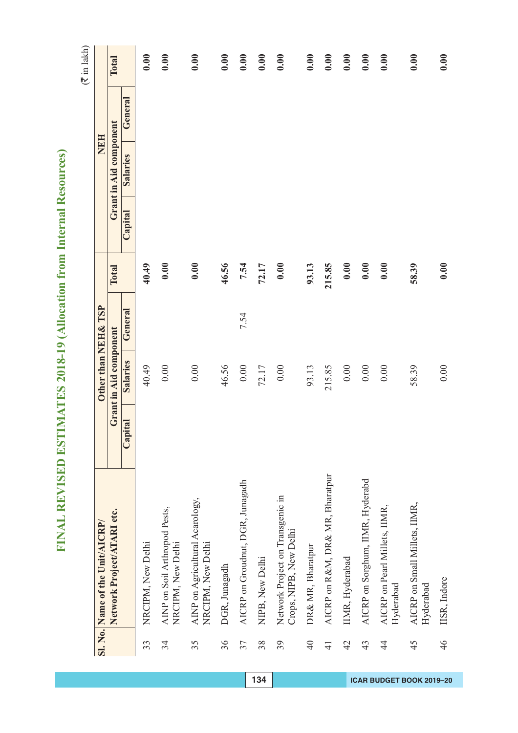| Ì           |
|-------------|
| ¢<br>נ      |
| ć<br>J      |
| ۱           |
| l.          |
| Ī.          |
| I           |
|             |
| í           |
| í           |
| ļ<br>í      |
| í           |
|             |
| Ć<br>۹      |
| ۱           |
| ĺ<br>Í      |
| l           |
| ١<br>ļ      |
|             |
| l           |
| ŀ           |
|             |
| ì           |
| S<br>C<br>١ |
| ŀ           |
| Í<br>Ġ<br>ì |
| Í           |
| 1           |
| ŀ           |
| Ï<br>١      |
| í<br>ŕ      |
| ı           |
| l           |
| l           |
| I           |
| ļ           |
| I           |
| ֚֘֝֬        |
|             |
|             |
|             |
|             |
|             |
| ŧ           |
|             |
| ١<br>ð      |
| ۱<br>ï      |
| ١           |
|             |
| j<br>IJ     |
| ໄ           |
|             |
| ļ           |
|             |
|             |
| l           |
| ŀ           |
|             |
|             |
| ļ<br>I      |
| Í           |
|             |
| ł           |
|             |
|             |
|             |
| ļ<br>l      |
|             |
| l           |
| Ì<br>冫      |
| Í           |
| ļ           |
| j           |
|             |
|             |
| j           |
| Ĩ           |
|             |
| l<br>ŀ      |
| l           |
| I           |
| l<br>ſ      |
| þ<br>Í      |
| Ξ           |

|                 | Sl. No. Name of the Unit/AICRP/                            |         | Other than NEH& TSP    |         |        |         | <b>NEH</b>             |         |       |
|-----------------|------------------------------------------------------------|---------|------------------------|---------|--------|---------|------------------------|---------|-------|
|                 | Network Project/ATARI etc.                                 |         | Grant in Aid component |         | Total  |         | Grant in Aid component |         | Total |
|                 |                                                            | Capital | Salaries               | General |        | Capital | <b>Salaries</b>        | General |       |
| 33              | NRCIPM, New Delhi                                          |         | 40.49                  |         | 40.49  |         |                        |         | 0.00  |
| 34              | AINP on Soil Arthropod Pests,<br>NRCIPM, New Delhi         |         | 0.00                   |         | 0.00   |         |                        |         | 0.00  |
| 35              | AINP on Agricultural Acarology,<br>NRCIPM, New Delhi       |         | 0.00                   |         | 0.00   |         |                        |         | 0.00  |
| 36              | DGR, Junagadh                                              |         | 46.56                  |         | 46.56  |         |                        |         | 0.00  |
| 37              | AICRP on Groudnut, DGR, Junagadh                           |         | $0.00$                 | 7.54    | 7.54   |         |                        |         | 0.00  |
| 38              | NIPB, New Delhi                                            |         | 72.17                  |         | 72.17  |         |                        |         | 0.00  |
| 39              | Network Project on Transgenic in<br>Crops, NIPB, New Delhi |         | 0.00                   |         | 0.00   |         |                        |         | 0.00  |
| $\overline{40}$ | DR& MR, Bharatpur                                          |         | 93.13                  |         | 93.13  |         |                        |         | 0.00  |
| $\overline{4}$  | AICRP on R&M, DR& MR, Bharatpur                            |         | 215.85                 |         | 215.85 |         |                        |         | 0.00  |
| 42              | IIMR, Hyderabad                                            |         | 0.00                   |         | 0.00   |         |                        |         | 0.00  |
| 43              | AICRP on Sorghum, IIMR, Hyderabd                           |         | 0.00                   |         | 0.00   |         |                        |         | 0.00  |
| $\overline{4}$  | AICRP on Pearl Millets, IIMR,<br>Hyderabad                 |         | 0.00                   |         | 0.00   |         |                        |         | 0.00  |
| 45              | AICRP on Small Millets, IIMR,<br>Hyderabad                 |         | 58.39                  |         | 58.39  |         |                        |         | 0.00  |
| 46              | IISR, Indore                                               |         | 0.00                   |         | 0.00   |         |                        |         | 0.00  |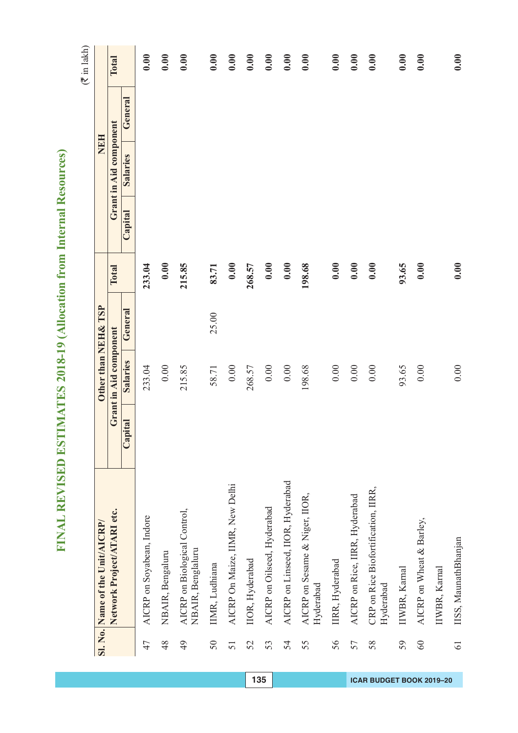| Ì<br>١<br>ŋ          |
|----------------------|
| Ċ<br>۵               |
| ć<br>١               |
| Š                    |
| í<br>é               |
| í                    |
| I                    |
|                      |
| Ó                    |
| ł                    |
| ļ<br>۱               |
|                      |
| í                    |
| ¢<br>l               |
| ì<br>S               |
|                      |
| í                    |
| Ó<br>١               |
|                      |
|                      |
| ŀ                    |
|                      |
| E                    |
|                      |
| Ċ<br>١               |
| ĥ<br>í               |
| ¢<br>ŧ<br>ŧ          |
|                      |
| $\blacksquare$       |
| l<br>þ               |
| ≚                    |
| ı                    |
| j<br>I               |
|                      |
|                      |
| ı                    |
| Ė                    |
| l                    |
| I                    |
|                      |
|                      |
|                      |
| σ                    |
|                      |
| Ÿ<br>۱               |
| ì                    |
| ∝<br>)               |
| 1<br>i,              |
| á                    |
| ֧֓ <sup>֚</sup><br>ť |
| ï                    |
| ζ                    |
| ∖                    |
|                      |
|                      |
| ۳                    |
| 1                    |
|                      |
| ŀ                    |
| I                    |
| ŀ<br>⊣               |
|                      |
| ı                    |
|                      |
| Ì<br>l               |
|                      |
|                      |
|                      |
| J<br>I               |
| l                    |
|                      |
| İ<br>į               |
| 1                    |
| ļ                    |
| ۱                    |
|                      |
| ļ                    |
| I<br>€               |
|                      |
|                      |
| l<br>I               |
| Í                    |
| ł<br>I               |
| Ź<br>I               |
|                      |
| ═<br>Ξ<br>I          |

|                 | Sl. No. Name of the Unit/AICRP/                   |             | Other than NEH& TSP    |         |        |         | NEH                    |         |       |
|-----------------|---------------------------------------------------|-------------|------------------------|---------|--------|---------|------------------------|---------|-------|
|                 | Network Project/ATARI etc.                        |             | Grant in Aid component |         | Total  |         | Grant in Aid component |         | Total |
|                 |                                                   | ital<br>Cap | Salaries               | General |        | Capital | <b>Salaries</b>        | General |       |
| 47              | AICRP on Soyabean, Indore                         |             | 233.04                 |         | 233.04 |         |                        |         | 0.00  |
| 48              | NBAIR, Bengaluru                                  |             | 0.00                   |         | 0.00   |         |                        |         | 0.00  |
| 49              | AICRP on Biological Control,<br>NBAIR, Benglaluru |             | 215.85                 |         | 215.85 |         |                        |         | 0.00  |
| $50\,$          | IIMR, Ludhiana                                    |             | 58.71                  | 25.00   | 83.71  |         |                        |         | 0.00  |
| 51              | AICRP On Maize, IIMR, New Delhi                   |             | $0.00\,$               |         | 0.00   |         |                        |         | 0.00  |
| 52              | IIOR, Hyderabad                                   |             | 268.57                 |         | 268.57 |         |                        |         | 0.00  |
| 53              | AICRP on Oilseed, Hyderabad                       |             | $0.00\,$               |         | 0.00   |         |                        |         | 0.00  |
| 54              | AICRP on Linseed, IIOR, Hyderabad                 |             | $0.00$                 |         | 0.00   |         |                        |         | 0.00  |
| 55              | AICRP on Sesame & Niger, IIOR,<br>Hyderabad       |             | 198.68                 |         | 198.68 |         |                        |         | 0.00  |
| 56              | IIRR, Hyderabad                                   |             | 0.00                   |         | 0.00   |         |                        |         | 0.00  |
| 57              | AICRP on Rice, IIRR, Hyderabad                    |             | $0.00\,$               |         | 0.00   |         |                        |         | 0.00  |
| 58              | CRP on Rice Biofortification, IIRR,<br>Hyderabad  |             | 0.00                   |         | 0.00   |         |                        |         | 0.00  |
| 59              | IIWBR, Karnal                                     |             | 93.65                  |         | 93.65  |         |                        |         | 0.00  |
| 60              | AICRP on Wheat & Barley,                          |             | 0.00                   |         | 0.00   |         |                        |         | 0.00  |
|                 | IIWBR, Karnal                                     |             |                        |         |        |         |                        |         |       |
| $\overline{61}$ | IISS, MaunathBhanjan                              |             | $0.00$                 |         | 0.00   |         |                        |         | 0.00  |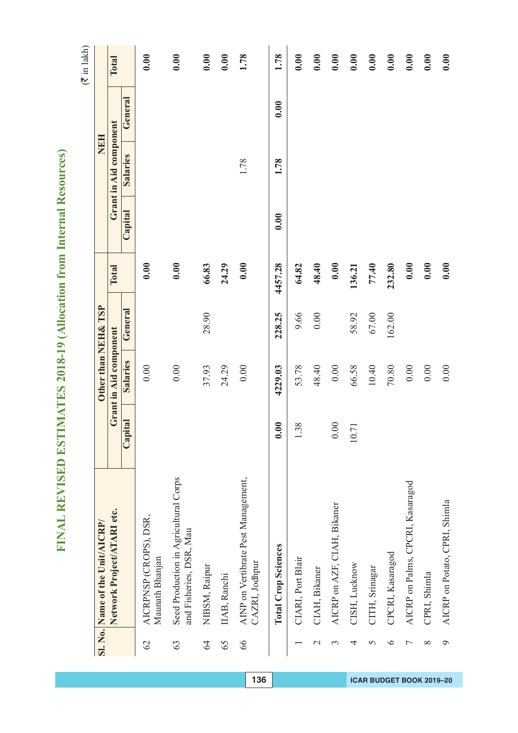| I<br>١         |
|----------------|
| Ċ<br>۵         |
| Ġ<br>١         |
| Š              |
| í<br>į,        |
| I              |
| I              |
|                |
| ł              |
| ł              |
| ļ<br>í         |
|                |
| í<br>l         |
| l              |
| ì<br>S         |
| l              |
| Ó              |
|                |
|                |
|                |
| ŀ              |
|                |
| Ξ              |
| ¢<br>١         |
|                |
| ĥ<br>l<br>¢    |
| j<br>ŧ         |
|                |
| Ξ              |
| ¢<br>١         |
| ⋍<br>Ī.        |
| ı              |
| j<br>I         |
|                |
| I              |
|                |
| ſ,<br>į        |
|                |
|                |
|                |
|                |
| σ              |
|                |
| v<br>t         |
| ì              |
| ∝<br>)         |
| 1              |
| Ś              |
| ć<br>Ó         |
| I              |
| ζ              |
| $\overline{a}$ |
|                |
|                |
| E              |
| 1              |
|                |
| l              |
|                |
| ŀ              |
| Í              |
|                |
| Ì<br>l         |
|                |
|                |
|                |
| J<br>l         |
|                |
| j              |
| Ì<br>Ì         |
| í              |
| ļ              |
| J              |
|                |
|                |
| j              |
| ţ              |
|                |
| I              |
| l              |
| ł<br>I         |
| j<br>I         |
|                |
| ═<br>Ξ<br>I    |

|                | Sl. No. Name of the Unit/AICRP/                                  |                                      | Other than NEH& TSP    |         |         |         | <b>HRN</b>             |         |       |
|----------------|------------------------------------------------------------------|--------------------------------------|------------------------|---------|---------|---------|------------------------|---------|-------|
|                | Network Project/ATARI etc.                                       |                                      | Grant in Aid component |         | Total   |         | Grant in Aid component |         | Total |
|                |                                                                  | Capital                              | Salaries               | General |         | Capital | <b>Salaries</b>        | General |       |
| $\mathcal{O}$  | AICRPNSP (CROPS), DSR,<br>Maunath Bhanjan                        |                                      | 0.00                   |         | 0.00    |         |                        |         | 0.00  |
| 63             | Seed Production in Agricultural Corps<br>and Fisheries, DSR, Mau |                                      | 0.00                   |         | 0.00    |         |                        |         | 0.00  |
| 64             | NIBSM, Raipur                                                    |                                      | 37.93                  | 28.90   | 66.83   |         |                        |         | 0.00  |
| 65             | IIAB, Ranchi                                                     |                                      | 24.29                  |         | 24.29   |         |                        |         | 0.00  |
| 66             | AINP on Vertibrate Pest Management,<br>CAZRI, Jodhpur            |                                      | 0.00                   |         | 0.00    |         | 1.78                   |         | 1.78  |
|                | <b>Total Crop Sciences</b>                                       | $\ddot{\boldsymbol{0}}$<br>$\bullet$ | 4229.03                | 228.25  | 4457.28 | 0.00    | 1.78                   | 0.00    | 1.78  |
|                | CIARI, Port Blair                                                | 38                                   | 53.78                  | 9.66    | 64.82   |         |                        |         | 0.00  |
| $\mathcal{C}$  | CIAH, Bikaner                                                    |                                      | 48.40                  | 0.00    | 48.40   |         |                        |         | 0.00  |
| 3              | AICRP on AZF, CIAH, Bikaner                                      | 0.00                                 | 0.00                   |         | 0.00    |         |                        |         | 0.00  |
| 4              | CISH, Lucknow                                                    | $\overline{.71}$<br>$\overline{10}$  | 66.58                  | 58.92   | 136.21  |         |                        |         | 0.00  |
| 5              | CITH, Srinagar                                                   |                                      | 10.40                  | 67.00   | 77.40   |         |                        |         | 0.00  |
| ७              | CPCRI, Kasaragod                                                 |                                      | $70.80\,$              | 162.00  | 232.80  |         |                        |         | 0.00  |
| ↽              | AICRP on Palms, CPCRI, Kasaragod                                 |                                      | $0.00\,$               |         | 0.00    |         |                        |         | 0.00  |
| $\infty$       | CPRI, Shimla                                                     |                                      | $0.00\,$               |         | 0.00    |         |                        |         | 0.00  |
| $\mathfrak{g}$ | AICRP on Potato, CPRI, Shimla                                    |                                      | 0.00                   |         | 0.00    |         |                        |         | 0.00  |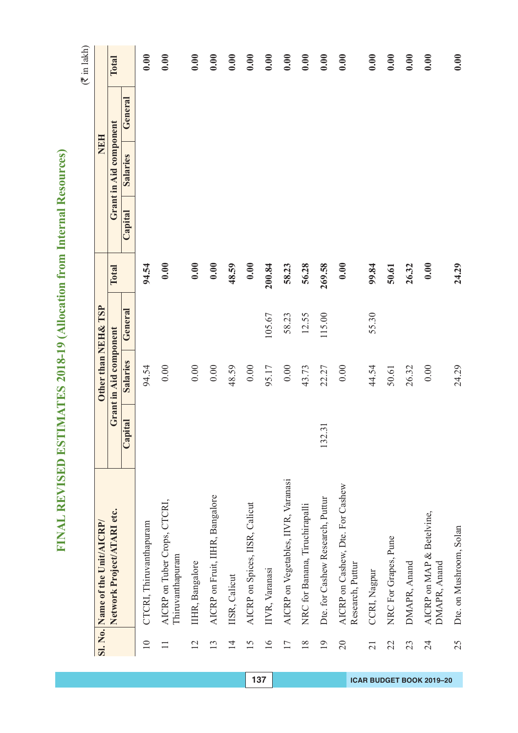| I<br>١         |
|----------------|
| Ċ<br>۵         |
| Ġ<br>١         |
| Š              |
| í<br>į,        |
| I              |
| I              |
|                |
| ł              |
| ł              |
| ļ<br>í         |
|                |
| í<br>l         |
| l              |
| ì<br>S         |
| l              |
| Ó              |
|                |
|                |
|                |
| ŀ              |
|                |
| Ξ              |
| ¢<br>١         |
|                |
| ĥ<br>l<br>¢    |
| j<br>ŧ         |
|                |
| Ξ              |
| ¢<br>١         |
| ⋍<br>Ī.        |
| ı              |
| j<br>I         |
|                |
| I              |
|                |
| ſ,<br>į        |
|                |
|                |
|                |
|                |
| σ              |
|                |
| v<br>t         |
| ì              |
| ∝<br>)         |
| 1              |
| Ś              |
| ć<br>Ó         |
| I              |
| ζ              |
| $\overline{a}$ |
|                |
|                |
| E              |
| 1              |
|                |
| l              |
|                |
| ŀ              |
| Í              |
|                |
| Ì<br>l         |
|                |
|                |
|                |
| J<br>l         |
|                |
| j              |
| Ì<br>Ì         |
| í              |
| ļ              |
| J              |
|                |
|                |
| j              |
| ţ              |
|                |
| I              |
| l              |
| ł<br>I         |
| j<br>I         |
|                |
| ═<br>Ξ<br>I    |

|                 | Sl. No. Name of the Unit/AICRP/                      |                        | Other than NEH& TSP    |         |        |         | NEH                    |         |       |
|-----------------|------------------------------------------------------|------------------------|------------------------|---------|--------|---------|------------------------|---------|-------|
|                 | Network Project/ATARI etc.                           |                        | Grant in Aid component |         | Total  |         | Grant in Aid component |         | Total |
|                 |                                                      | Capital                | Salaries               | General |        | Capital | <b>Salaries</b>        | General |       |
| $\overline{10}$ | CTCRI, Thiruvanthapuram                              |                        | 94.54                  |         | 94.54  |         |                        |         | 0.00  |
| $\equiv$        | AICRP on Tuber Crops, CTCRI,<br>Thiruvanthapuram     |                        | 0.00                   |         | 0.00   |         |                        |         | 0.00  |
| $\overline{2}$  | IIHR, Bangalore                                      |                        | 0.00                   |         | 0.00   |         |                        |         | 0.00  |
| 13              | AICRP on Fruit, IIHR, Bangalore                      |                        | 0.00                   |         | 0.00   |         |                        |         | 0.00  |
| $\overline{1}$  | IISR, Calicut                                        |                        | 48.59                  |         | 48.59  |         |                        |         | 0.00  |
| 15              | AICRP on Spices, IISR, Calicut                       |                        | 0.00                   |         | 0.00   |         |                        |         | 0.00  |
| $\overline{16}$ | IIVR, Varanasi                                       |                        | 95.17                  | 105.67  | 200.84 |         |                        |         | 0.00  |
| 17              | AICRP on Vegetables, IIVR, Varanasi                  |                        | 0.00                   | 58.23   | 58.23  |         |                        |         | 0.00  |
| 18              | NRC for Banana, Tiruchirapalli                       |                        | 43.73                  | 12.55   | 56.28  |         |                        |         | 0.00  |
| $\overline{19}$ | Dte. for Cashew Research, Puttur                     | $\overline{31}$<br>132 | 22.27                  | 115.00  | 269.58 |         |                        |         | 0.00  |
| $\overline{20}$ | AICRP on Cashew, Dte. For Cashew<br>Research, Puttur |                        | 0.00                   |         | 0.00   |         |                        |         | 0.00  |
| $\overline{21}$ | CCRI, Nagpur                                         |                        | 44.54                  | 55.30   | 99.84  |         |                        |         | 0.00  |
| 22              | NRC For Grapes, Pune                                 |                        | 50.61                  |         | 50.61  |         |                        |         | 0.00  |
| 23              | DMAPR, Anand                                         |                        | 26.32                  |         | 26.32  |         |                        |         | 0.00  |
| 24              | AICRP on MAP & Betelvine,<br>DMAPR, Anand            |                        | 0.00                   |         | 0.00   |         |                        |         | 0.00  |
| 25              | Dte. on Mushroom, Solan                              |                        | 24.29                  |         | 24.29  |         |                        |         | 0.00  |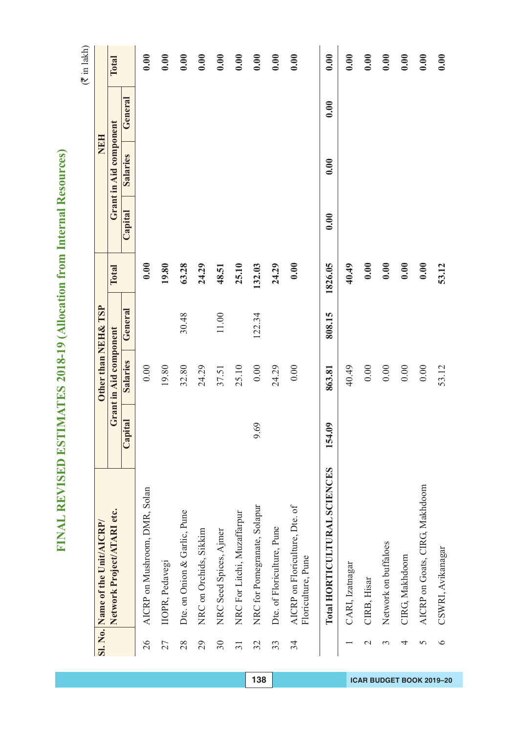| I<br>١         |
|----------------|
| Ċ<br>۵         |
| Ġ<br>١         |
| Š              |
| í<br>į,        |
| I              |
| I              |
|                |
| ł              |
| ł              |
| ļ<br>í         |
|                |
| í<br>l         |
| l              |
| ì<br>S         |
| l              |
| Ó              |
|                |
|                |
|                |
| ŀ              |
|                |
| Ξ              |
| ¢<br>١         |
|                |
| ĥ<br>l<br>¢    |
| j<br>ŧ         |
|                |
| Ξ              |
| ¢<br>١         |
| ⋍<br>Ī.        |
| ı              |
| j<br>I         |
|                |
| I              |
|                |
| ſ,<br>į        |
|                |
|                |
|                |
|                |
| σ              |
|                |
| v<br>t         |
| ì              |
| ∝<br>)         |
| 1              |
| Ś              |
| ć<br>Ó         |
| I              |
| ζ              |
| $\overline{a}$ |
|                |
|                |
| E              |
| 1              |
|                |
| l              |
|                |
| ŀ              |
| Í              |
|                |
| Ì<br>l         |
|                |
|                |
|                |
| J<br>l         |
|                |
| l              |
| Ì<br>Ì         |
| í              |
| ļ              |
| J              |
|                |
|                |
| j              |
| ţ              |
|                |
| I              |
| l              |
| ł<br>I         |
| j<br>I         |
|                |
| ═<br>Ξ<br>I    |

|                 | Sl. No. Name of the Unit/AICRP/                      |               | Other than NEH& TSP    |         |         |         | <b>NEH</b>             |         |       |
|-----------------|------------------------------------------------------|---------------|------------------------|---------|---------|---------|------------------------|---------|-------|
|                 | Network Project/ATARI etc.                           |               | Grant in Aid component |         | Total   |         | Grant in Aid component |         | Total |
|                 |                                                      | Capital       | Salaries               | General |         | Capital | <b>Salaries</b>        | General |       |
| $\overline{26}$ | AICRP on Mushroom, DMR, Solan                        |               | 0.00                   |         | 0.00    |         |                        |         | 0.00  |
| 27              | IIOPR, Pedavegi                                      |               | 19.80                  |         | 19.80   |         |                        |         | 0.00  |
| 28              | Dte. on Onion & Garlic, Pune                         |               | 32.80                  | 30.48   | 63.28   |         |                        |         | 0.00  |
| 29              | NRC on Orchids, Sikkim                               |               | 24.29                  |         | 24.29   |         |                        |         | 0.00  |
| $30\,$          | NRC Seed Spices, Ajmer                               |               | 37.51                  | $11.00$ | 48.51   |         |                        |         | 0.00  |
| $\overline{31}$ | NRC For Litchi, Muzaffarpur                          |               | 25.10                  |         | 25.10   |         |                        |         | 0.00  |
| 32              | NRC for Pomegranate, Solapur                         | 69<br>$\circ$ | $0.00\,$               | 122.34  | 132.03  |         |                        |         | 0.00  |
| 33              | Dte. of Floriculture, Pune                           |               | 24.29                  |         | 24.29   |         |                        |         | 0.00  |
| 34              | AICRP on Floriculture, Dte. of<br>Floriculture, Pune |               | 0.00                   |         | 0.00    |         |                        |         | 0.00  |
|                 | Total HORTICULTURAL SCIENCES                         | 154.09        | 863.81                 | 808.15  | 1826.05 | 0.00    | 0.00                   | 0.00    | 0.00  |
|                 | CARI, Izatnagar                                      |               | 40.49                  |         | 40.49   |         |                        |         | 0.00  |
| $\mathcal{L}$   | CIRB, Hisar                                          |               | $0.00\,$               |         | 0.00    |         |                        |         | 0.00  |
| 3               | Network on buffaloes                                 |               | 0.00                   |         | 0.00    |         |                        |         | 0.00  |
| 4               | CIRG, Makhdoom                                       |               | $0.00\,$               |         | 0.00    |         |                        |         | 0.00  |
| 5               | AICRP on Goats, CIRG, Makhdoom                       |               | 0.00                   |         | 0.00    |         |                        |         | 0.00  |
| $\circ$         | CSWRI, Avikanagar                                    |               | 53.12                  |         | 53.12   |         |                        |         | 0.00  |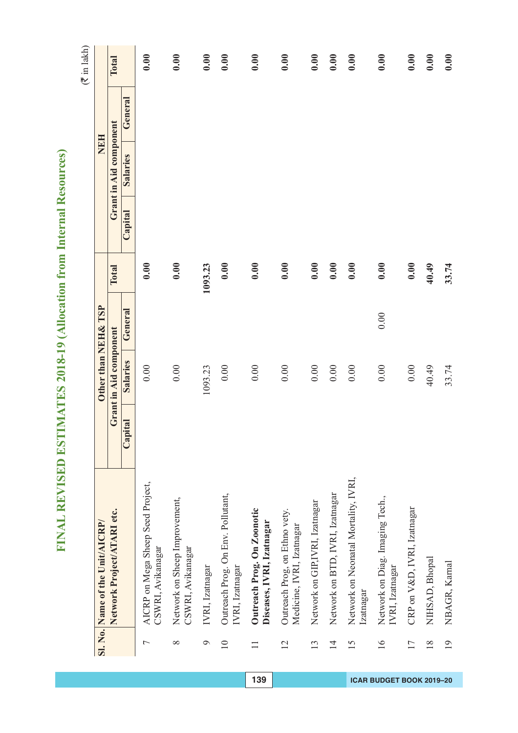| J            |
|--------------|
| ¢<br>١       |
| é            |
|              |
|              |
| I            |
| l            |
| İ            |
| l            |
|              |
| ļ            |
| ۱            |
| ī            |
| f            |
|              |
| İ<br>۱       |
| ĺ<br>Í       |
| l<br>ì<br>ì  |
|              |
| İ            |
| ŀ<br>Ξ       |
|              |
| S<br>C       |
| Í            |
| ֚֘֝֬         |
| Í            |
| ę<br>ŧ<br>í  |
|              |
| ĺ<br>l       |
| ¢<br>١       |
| i<br>Í       |
| ı<br>ì       |
| ť            |
| l<br>ì       |
| I<br>)       |
|              |
| ļ            |
| Í            |
| I            |
|              |
|              |
|              |
|              |
| ţ            |
|              |
| 0<br>١       |
| Ι<br>ī       |
|              |
| ١            |
| ij           |
| j            |
| Ì            |
|              |
| ļ            |
| l            |
| l            |
|              |
| l            |
|              |
|              |
| ļ            |
| Í            |
|              |
| l<br>2       |
|              |
|              |
|              |
| ļ<br>l       |
|              |
|              |
| İ            |
| l            |
| I            |
| J            |
|              |
| ļ            |
| l            |
|              |
|              |
| I            |
| l<br>ł       |
| I<br>ŕ       |
| l            |
| ŀ<br>È       |
| 2<br>Ļ,<br>I |

|                                 | Total                      |                 | 0.00                                                   | 0.00                                               | 0.00            | 0.00                                                 | 0.00                                                    | 0.00                                                       | 0.00                            | 0.00                            | 0.00                                              | 0.00                                               | 0.00                        | 0.00           | 0.00            |
|---------------------------------|----------------------------|-----------------|--------------------------------------------------------|----------------------------------------------------|-----------------|------------------------------------------------------|---------------------------------------------------------|------------------------------------------------------------|---------------------------------|---------------------------------|---------------------------------------------------|----------------------------------------------------|-----------------------------|----------------|-----------------|
| NEH                             |                            | General         |                                                        |                                                    |                 |                                                      |                                                         |                                                            |                                 |                                 |                                                   |                                                    |                             |                |                 |
|                                 | Grant in Aid component     | <b>Salaries</b> |                                                        |                                                    |                 |                                                      |                                                         |                                                            |                                 |                                 |                                                   |                                                    |                             |                |                 |
|                                 |                            | Capital         |                                                        |                                                    |                 |                                                      |                                                         |                                                            |                                 |                                 |                                                   |                                                    |                             |                |                 |
| Other than NEH& TSP             | Total                      |                 | 0.00                                                   | 0.00                                               | 1093.23         | 0.00                                                 | 0.00                                                    | 0.00                                                       | 0.00                            | 0.00                            | 0.00                                              | 0.00                                               | 0.00                        | 40.49          | 33.74           |
|                                 |                            | General         |                                                        |                                                    |                 |                                                      |                                                         |                                                            |                                 |                                 |                                                   | 0.00                                               |                             |                |                 |
|                                 | Grant in Aid component     | Salaries        | 0.00                                                   | 0.00                                               | 1093.23         | 0.00                                                 | 0.00                                                    | 0.00                                                       | 0.00                            | 0.00                            | 0.00                                              | 0.00                                               | 0.00                        | 40.49          | 33.74           |
|                                 |                            | Capital         |                                                        |                                                    |                 |                                                      |                                                         |                                                            |                                 |                                 |                                                   |                                                    |                             |                |                 |
| Sl. No. Name of the Unit/AICRP/ | Network Project/ATARI etc. |                 | AICRP on Mega Sheep Seed Project,<br>CSWRI, Avikanagar | Network on Sheep Improvement,<br>CSWRI, Avikanagar | IVRI, Izatnagar | Outreach Prog. On Env. Pollutant,<br>IVRI, Izatnagar | Outreach Prog. On Zoonotic<br>Diseases, IVRI, Izatnagar | Outreach Prog, on Ethno vety.<br>Medicine, IVRI, Izatnagar | Network on GIP, IVRI, Izatnagar | Network on BTD, IVRI, Izatnagar | Network on Neonatal Mortality, IVRI,<br>Izatnagar | Network on Diag. Imaging Tech.,<br>IVRI, Izatnagar | CRP on V&D, IVRI, Izatnagar | NIHSAD, Bhopal | NBAGR, Karnal   |
|                                 |                            |                 | $\overline{ }$                                         | $\infty$                                           | P               | $\overline{10}$                                      | $\equiv$                                                | 12                                                         | 13                              | $\overline{1}$                  | 15                                                | $\overline{16}$                                    | $\overline{17}$             | 18             | $\overline{19}$ |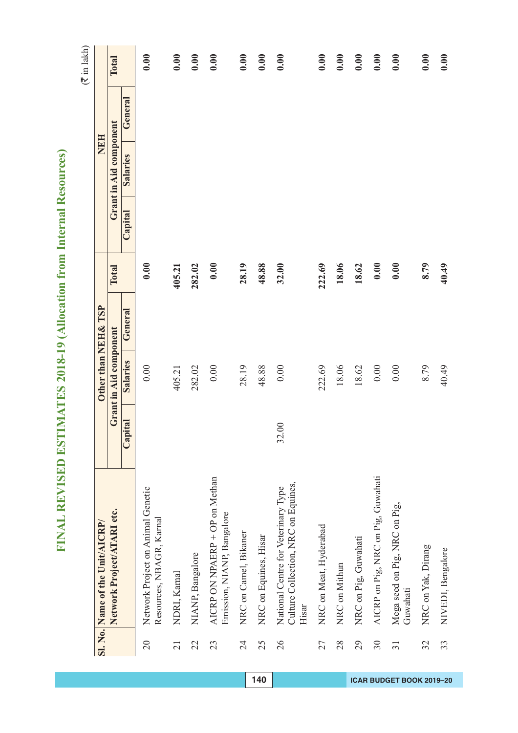| J            |
|--------------|
| ¢<br>١       |
| é            |
|              |
|              |
| I            |
| l            |
| İ            |
| l            |
|              |
| ļ            |
| ۱            |
| ī            |
| f            |
|              |
| İ<br>۱       |
| ĺ<br>Í       |
| l<br>ì<br>ì  |
|              |
| İ            |
| ŀ<br>Ξ       |
|              |
| S<br>C       |
| Í            |
| ֚֘֝֬         |
| Í            |
| ę<br>ŧ<br>í  |
|              |
| ĺ<br>l       |
| ¢<br>١       |
| i<br>Í       |
| ı<br>ì       |
| ť            |
| l<br>ì       |
| I<br>)       |
|              |
| ļ            |
| Í            |
| I            |
|              |
|              |
|              |
|              |
| ţ            |
|              |
| 0<br>١       |
| Ι<br>ī       |
| ١            |
|              |
| ij           |
| j            |
| Ì            |
|              |
| ļ            |
| l            |
| l            |
|              |
| l            |
|              |
| ļ<br>I       |
|              |
| Í            |
|              |
| l<br>2       |
|              |
|              |
|              |
| ļ<br>l       |
|              |
|              |
| İ            |
| l            |
| I            |
| J            |
|              |
| ļ            |
| l            |
|              |
|              |
| I            |
| l<br>ł       |
| I<br>ŕ       |
| l            |
| ŀ<br>È       |
| 2<br>Ļ,<br>I |

|                                                               | Total                  |          | 0.00                                                          | 0.00            | 0.00             | 0.00                                                         | 0.00                  | 0.00                  | 0.00                                                                                | 0.00                   | 0.00          | 0.00                 | 0.00                               | 0.00                                      | 0.00               | 0.00              |
|---------------------------------------------------------------|------------------------|----------|---------------------------------------------------------------|-----------------|------------------|--------------------------------------------------------------|-----------------------|-----------------------|-------------------------------------------------------------------------------------|------------------------|---------------|----------------------|------------------------------------|-------------------------------------------|--------------------|-------------------|
| <b>NEH</b>                                                    |                        | General  |                                                               |                 |                  |                                                              |                       |                       |                                                                                     |                        |               |                      |                                    |                                           |                    |                   |
|                                                               | Grant in Aid component | Salaries |                                                               |                 |                  |                                                              |                       |                       |                                                                                     |                        |               |                      |                                    |                                           |                    |                   |
| Other than NEH& TSP                                           |                        | Capital  |                                                               |                 |                  |                                                              |                       |                       |                                                                                     |                        |               |                      |                                    |                                           |                    |                   |
|                                                               | Total                  |          | 0.00                                                          | 405.21          | 282.02           | 0.00                                                         | 28.19                 | 48.88                 | 32.00                                                                               | 222.69                 | 18.06         | 18.62                | 0.00                               | 0.00                                      | 8.79               | 40.49             |
|                                                               |                        | General  |                                                               |                 |                  |                                                              |                       |                       |                                                                                     |                        |               |                      |                                    |                                           |                    |                   |
|                                                               | Grant in Aid component | Salaries | 0.00                                                          | 405.21          | 282.02           | 0.00                                                         | 28.19                 | 48.88                 | 0.00                                                                                | 222.69                 | 18.06         | 18.62                | $0.00$                             | 0.00                                      | 8.79               | 40.49             |
|                                                               |                        | Capital  |                                                               |                 |                  |                                                              |                       |                       | 32.00                                                                               |                        |               |                      |                                    |                                           |                    |                   |
| Network Project/ATARI etc.<br>Sl. No. Name of the Unit/AICRP/ |                        |          | Network Project on Animal Genetic<br>Resources, NBAGR, Karnal | NDRI, Kamal     | NIANP, Bangalore | AICRP ON NPAERP + OP on Methan<br>Emission, NIANP, Bangalore | NRC on Camel, Bikaner | NRC on Equines, Hisar | Culture Collection, NRC on Equines,<br>National Centre for Veterinary Type<br>Hisar | NRC on Meat, Hyderabad | NRC on Mithun | NRC on Pig, Guwahati | AICRP on Pig, NRC on Pig, Guwahati | Mega seed on Pig, NRC on Pig,<br>Guwahati | NRC on Yak, Dirang | NIVEDI, Bengalore |
|                                                               |                        |          | $\overline{20}$                                               | $\overline{21}$ | 22               | 23                                                           | 24                    | 25                    | 26                                                                                  | 27                     | 28            | 29                   | 30                                 | $\overline{31}$                           | 32                 | 33                |
| 140<br>ICAR BUDGET BOOK 2019-20                               |                        |          |                                                               |                 |                  |                                                              |                       |                       |                                                                                     |                        |               |                      |                                    |                                           |                    |                   |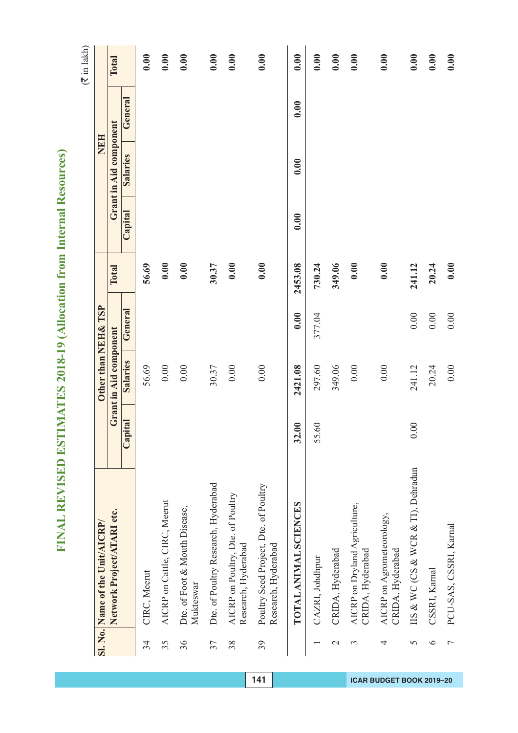| I<br>١         |
|----------------|
| Ċ<br>۵         |
| Ġ<br>١         |
| Š              |
| í<br>į,        |
| I              |
| I              |
|                |
| ł              |
| ł              |
| ļ<br>í         |
|                |
| í<br>l         |
| l              |
| ì<br>S         |
| l              |
| Ó              |
|                |
|                |
|                |
| ŀ              |
|                |
| Ξ              |
| ¢<br>١         |
|                |
| ĥ<br>l<br>¢    |
| j<br>ŧ         |
|                |
| Ξ              |
| ¢<br>١         |
| ⋍<br>Ī.        |
| ı              |
| j<br>I         |
|                |
| I              |
|                |
| ſ,<br>į        |
|                |
|                |
|                |
|                |
| σ              |
|                |
| v<br>t         |
| ì              |
| ∝<br>)         |
| 1              |
| Ś              |
| ć<br>Ó         |
| J              |
| ζ              |
| $\overline{a}$ |
|                |
|                |
| E              |
| 1              |
|                |
| l              |
|                |
| ŀ              |
| Í              |
|                |
| Ì<br>l         |
|                |
|                |
|                |
| J<br>l         |
|                |
| j              |
| Ì<br>Ì         |
| í              |
| ļ              |
| J              |
|                |
|                |
| j              |
| ţ              |
|                |
| I              |
| l              |
| ł<br>I         |
| j<br>I         |
|                |
| ═<br>Ξ<br>I    |

|                | Sl. No. Name of the Unit/AICRP/                              |                            | Other than NEH& TSP    |         |         |         | NEH                    |         |              |
|----------------|--------------------------------------------------------------|----------------------------|------------------------|---------|---------|---------|------------------------|---------|--------------|
|                | Network Project/ATARI etc.                                   |                            | Grant in Aid component |         | Total   |         | Grant in Aid component |         | <b>Total</b> |
|                |                                                              | Capital                    | Salaries               | General |         | Capital | <b>Salaries</b>        | General |              |
| 34             | CIRC, Meerut                                                 |                            | 56.69                  |         | 56.69   |         |                        |         | 0.00         |
| 35             | AICRP on Cattle, CIRC, Meerut                                |                            | $0.00\,$               |         | 0.00    |         |                        |         | 0.00         |
| 36             | Dte. of Foot & Mouth Disease,<br>Mukteswar                   |                            | 0.00                   |         | 0.00    |         |                        |         | 0.00         |
| 37             | Dte. of Poultry Research, Hyderabad                          |                            | 30.37                  |         | 30.37   |         |                        |         | 0.00         |
| 38             | AICRP on Poultry, Dte. of Poultry<br>Research, Hyderabad     |                            | 0.00                   |         | 0.00    |         |                        |         | 0.00         |
| 39             | Poultry Seed Project, Dte. of Poultry<br>Research, Hyderabad |                            | 0.00                   |         | 0.00    |         |                        |         | 0.00         |
|                | TOTAL ANIMAL SCIENCES                                        | $\ddot{\phantom{0}}$<br>32 | 2421.08                | 0.00    | 2453.08 | 0.00    | 0.00                   | 0.00    | 0.00         |
|                | CAZRI, Johdhpur                                              | <b>60</b><br>55            | 297.60                 | 377.04  | 730.24  |         |                        |         | 0.00         |
| $\mathcal{L}$  | CRIDA, Hyderabad                                             |                            | 349.06                 |         | 349.06  |         |                        |         | 0.00         |
| 3              | AICRP on Dryland Agriculture,<br>CRIDA, Hyderabad            |                            | 0.00                   |         | 0.00    |         |                        |         | 0.00         |
| 4              | AICRP on Agrometeorology,<br>CRIDA, Hyderabad                |                            | 0.00                   |         | 0.00    |         |                        |         | 0.00         |
| $\overline{5}$ | IIS & WC (CS & WCR & TI), Dehradun                           | $\overline{00}$<br>$\circ$ | 241.12                 | 0.00    | 241.12  |         |                        |         | 0.00         |
| $\circ$        | CSSRI, Karnal                                                |                            | 20.24                  | 0.00    | 20.24   |         |                        |         | 0.00         |
| 7              | PCU-SAS, CSSRI, Karnal                                       |                            | 0.00                   | 0.00    | 0.00    |         |                        |         | 0.00         |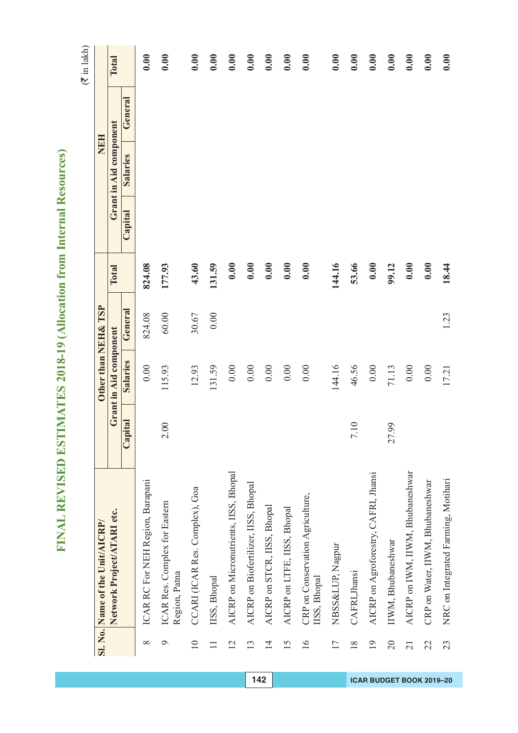| )                                            |
|----------------------------------------------|
| Ć<br>١                                       |
| é                                            |
|                                              |
|                                              |
|                                              |
| l                                            |
| İ                                            |
| l                                            |
|                                              |
| ļ                                            |
|                                              |
| Ī                                            |
| l                                            |
| İ                                            |
| ֖֖ׅ֖֚֚֚֚֚֚֚֚֚֚֚֚֚֚֚֚֚֚֚֚֚֚֚֡֡֡֡֡֡֡֡֡֬֡֡֡֡֡֬֝ |
| ì<br>l                                       |
|                                              |
|                                              |
|                                              |
| ł                                            |
|                                              |
| C<br>C<br>C                                  |
|                                              |
|                                              |
| 1<br>¢                                       |
| Í<br>i                                       |
|                                              |
| ۱<br>I                                       |
| l<br>١                                       |
|                                              |
|                                              |
| l                                            |
| Ć                                            |
| I<br>١                                       |
| ļ                                            |
|                                              |
|                                              |
| ׇ֚֡                                          |
|                                              |
|                                              |
|                                              |
|                                              |
| ţ<br>į                                       |
| I                                            |
| ¢<br>3<br>J                                  |
| ۱                                            |
| ١<br>¢                                       |
|                                              |
| J<br>l                                       |
|                                              |
| ļ                                            |
| ļ                                            |
|                                              |
|                                              |
| ֡֡֡֡֡֡֡                                      |
|                                              |
| ١                                            |
|                                              |
| ١<br>֡֡֡֡֡֡֡                                 |
| Í                                            |
|                                              |
| i                                            |
|                                              |
|                                              |
|                                              |
| ļ<br>l                                       |
|                                              |
| l                                            |
| Ì<br>Ì                                       |
| Í                                            |
| l                                            |
| l                                            |
|                                              |
|                                              |
| ļ                                            |
| ļ<br>ł                                       |
|                                              |
| ו<br>ו<br>I                                  |
| l                                            |
| I<br>l                                       |
|                                              |
| I<br>J                                       |
| ×,                                           |

|                 | Sl. No. Name of the Unit/AICRP/                  |          | Other than NEH& TSP    |         |        |         | <b>NEH</b>             |         |       |
|-----------------|--------------------------------------------------|----------|------------------------|---------|--------|---------|------------------------|---------|-------|
|                 | Network Project/ATARI etc.                       |          | Grant in Aid component |         | Total  |         | Grant in Aid component |         | Total |
|                 |                                                  | Capital  | Salaries               | General |        | Capital | Salaries               | General |       |
| $\infty$        | ICAR RC For NEH Region, Barapani                 |          | 0.00                   | 824.08  | 824.08 |         |                        |         | 0.00  |
| $\mathfrak{g}$  | ICAR Res. Complex for Eastern<br>Region, Patna   | 2.00     | 115.93                 | 60.00   | 177.93 |         |                        |         | 0.00  |
| $\equiv$        | CCARI (ICAR Res. Complex), Goa                   |          | 12.93                  | 30.67   | 43.60  |         |                        |         | 0.00  |
| $\Box$          | IISS, Bhopal                                     |          | 131.59                 | 0.00    | 131.59 |         |                        |         | 0.00  |
| 12              | AICRP on Micronutrients, IISS, Bhopal            |          | $0.00\,$               |         | 0.00   |         |                        |         | 0.00  |
| 13              | AICRP on Biofertilizer, IISS, Bhopal             |          | $0.00\,$               |         | 0.00   |         |                        |         | 0.00  |
| $\overline{4}$  | AICRP on STCR, IISS, Bhopal                      |          | $0.00\,$               |         | 0.00   |         |                        |         | 0.00  |
| 15              | AICRP on LTFE, IISS, Bhopal                      |          | 0.00                   |         | 0.00   |         |                        |         | 0.00  |
| $\overline{16}$ | CRP on Conservation Agriculture,<br>IISS, Bhopal |          | 0.00                   |         | 0.00   |         |                        |         | 0.00  |
| $\overline{17}$ | NBSS&LUP, Nagpur                                 |          | 144.16                 |         | 144.16 |         |                        |         | 0.00  |
| 18              | CAFRI, Jhansi                                    | 7.10     | 46.56                  |         | 53.66  |         |                        |         | 0.00  |
| $\overline{19}$ | AICRP on Agroforestry, CAFRI, Jhansi             |          | 0.00                   |         | 0.00   |         |                        |         | 0.00  |
| 20              | IIWM, Bhubaneshwar                               | 99<br>27 | 71.13                  |         | 99.12  |         |                        |         | 0.00  |
| 21              | AICRP on IWM, IIWM, Bhubaneshwar                 |          | $0.00\,$               |         | 0.00   |         |                        |         | 0.00  |
| 22              | CRP on Water, IIWM, Bhubaneshwar                 |          | 0.00                   |         | 0.00   |         |                        |         | 0.00  |
| 23              | NRC on Integrated Farming, Motihari              |          | 17.21                  | 1.23    | 18.44  |         |                        |         | 0.00  |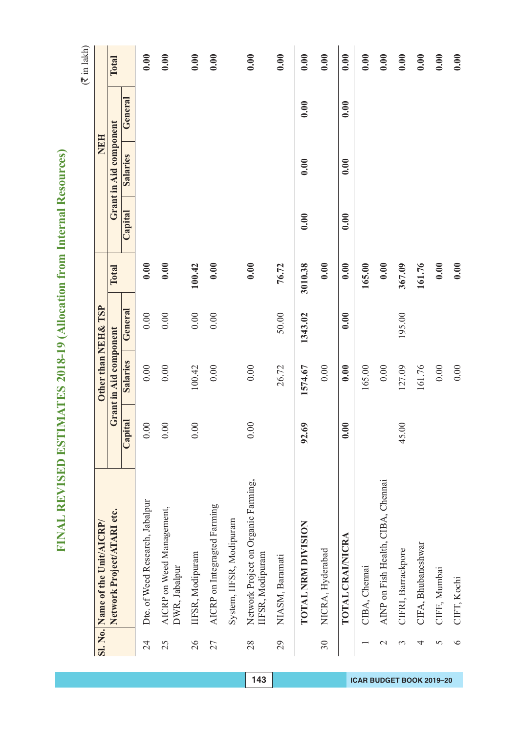| I<br>١              |
|---------------------|
| Ċ                   |
| ۵                   |
| é<br>١              |
| ۱<br>í              |
| į                   |
| í                   |
| l                   |
|                     |
| l                   |
| ł                   |
| ļ<br>í              |
|                     |
| í                   |
| l<br>l              |
| à                   |
| S                   |
| í                   |
| d                   |
|                     |
|                     |
|                     |
| ŀ                   |
|                     |
| E                   |
|                     |
| Ċ<br>١              |
| ĥ                   |
| í<br>¢<br>Î         |
| ŧ                   |
|                     |
| $\blacksquare$      |
| ¢<br>١              |
| ⋍<br>Ī.             |
| ı                   |
| j<br>I              |
|                     |
|                     |
| I                   |
|                     |
| p                   |
| į                   |
|                     |
|                     |
|                     |
|                     |
| σ                   |
|                     |
| v<br>t              |
| ì                   |
| ∝<br>)              |
| 1                   |
|                     |
| 5<br>Ĝ              |
| Ó<br>J              |
|                     |
| ζ                   |
| ∖                   |
|                     |
|                     |
| ۳                   |
| 1                   |
|                     |
| ١                   |
|                     |
|                     |
| ŀ<br>۳              |
|                     |
| Í                   |
|                     |
| İ<br>ļ              |
|                     |
|                     |
|                     |
| l                   |
| ļ                   |
| l                   |
|                     |
| Ì<br>į              |
| í                   |
| ļ                   |
| J                   |
|                     |
|                     |
| j                   |
| ļ<br>۹              |
|                     |
|                     |
| I                   |
| l                   |
| I<br>I              |
| ź                   |
| I                   |
| $=$<br>Ξ<br>ì,<br>ļ |

|               | Sl. No. Name of the Unit/AICRP/                        |                                     | Other than NEH& TSP    |         |         |         | <b>NEH</b>             |         |       |
|---------------|--------------------------------------------------------|-------------------------------------|------------------------|---------|---------|---------|------------------------|---------|-------|
|               | Network Project/ATARI etc.                             |                                     | Grant in Aid component |         | Total   |         | Grant in Aid component |         | Total |
|               |                                                        | Capital                             | Salaries               | General |         | Capital | <b>Salaries</b>        | General |       |
| 24            | Dte. of Weed Research, Jabalpur                        | 00<br>$\circ$                       | 0.00                   | 0.00    | 0.00    |         |                        |         | 0.00  |
| 25            | AICRP on Weed Management,<br>DWR, Jabalpur             | $\odot$<br>0                        | $0.00$                 | 0.00    | 0.00    |         |                        |         | 0.00  |
| 26            | IFSR, Modipuram                                        | $\odot$<br>0                        | 100.42                 | 0.00    | 100.42  |         |                        |         | 0.00  |
| 27            | AICRP on Integragted Farming                           |                                     | $0.00$                 | 0.00    | 0.00    |         |                        |         | 0.00  |
|               | System, IIFSR, Modipuram                               |                                     |                        |         |         |         |                        |         |       |
| 28            | Network Project on Organic Farming,<br>IFSR, Modipuram | 0.00                                | $0.00\,$               |         | 0.00    |         |                        |         | 0.00  |
| 29            | NIASM, Baramati                                        |                                     | 26.72                  | 50.00   | 76.72   |         |                        |         | 0.00  |
|               | TOTAL NRM DIVISION                                     | $\ddot{\text{o}}$<br>$\mathfrak{D}$ | 1574.67                | 1343.02 | 3010.38 | 0.00    | 0.00                   | 0.00    | 0.00  |
| 30            | NICRA, Hyderabad                                       |                                     | 0.00                   |         | 0.00    |         |                        |         | 0.00  |
|               | TOTAL CRAI/NICRA                                       | 0.00<br>$\bullet$                   | 0.00                   | 0.00    | 0.00    | 0.00    | 0.00                   | 0.00    | 0.00  |
|               | CIBA, Chennai                                          |                                     | 165.00                 |         | 165.00  |         |                        |         | 0.00  |
| $\mathcal{C}$ | AINP on Fish Health, CIBA, Chennai                     |                                     | 0.00                   |         | 0.00    |         |                        |         | 0.00  |
| 3             | CIFRI, Barrackpore                                     | $\odot$<br>45                       | 127.09                 | 195.00  | 367.09  |         |                        |         | 0.00  |
| 4             | CIFA, Bhubaneshwar                                     |                                     | 161.76                 |         | 161.76  |         |                        |         | 0.00  |
| 5             | CIFE, Mumbai                                           |                                     | $0.00\,$               |         | 0.00    |         |                        |         | 0.00  |
| $\circ$       | CIFT, Kochi                                            |                                     | 0.00                   |         | 0.00    |         |                        |         | 0.00  |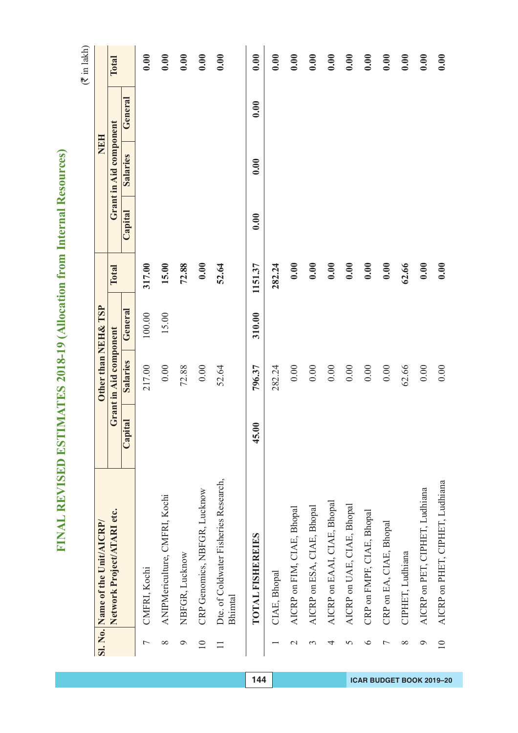| I              |
|----------------|
| Ċ<br>۵         |
| Ġ<br>١         |
| Š              |
| í<br>ŕ         |
| ĺ.             |
| l              |
|                |
| Ó              |
| ł              |
| ļ<br>۱         |
|                |
| í<br>l         |
| Ć              |
| ٦<br>S         |
| í              |
| d              |
|                |
|                |
|                |
| þ              |
|                |
| E              |
| ¢<br>١         |
|                |
| ĥ<br>í<br>¢    |
| į<br>j         |
|                |
| $\blacksquare$ |
| Í<br>١         |
| ⋍<br>Ī.<br>ı   |
| Ì<br>I         |
|                |
|                |
| I              |
|                |
| ſ,<br>I        |
|                |
|                |
|                |
| Θ              |
|                |
|                |
| ŧ<br>t         |
| ì              |
| ∝<br>י         |
| 1              |
| Ĝ<br>b         |
| ť<br>J         |
|                |
| ζ              |
| ℷ              |
|                |
|                |
| ۳              |
| 1              |
| ŀ              |
|                |
| I              |
| I<br>Ξ         |
| ı              |
|                |
| Ì<br>ļ         |
|                |
|                |
|                |
| J<br>I         |
|                |
| l              |
| İ<br>į         |
| 1              |
| ļ              |
| ۱              |
|                |
|                |
| ļ              |
| ۹              |
|                |
| I              |
| Í              |
| ł<br>I         |
| Ź<br>I         |
| ▬              |
| Ξ<br>I         |

|                 | Sl. No. Name of the Unit/AICRP/                  |         | Other than NEH& TSP    |         |         |         | NEH                    |         |       |
|-----------------|--------------------------------------------------|---------|------------------------|---------|---------|---------|------------------------|---------|-------|
|                 | Network Project/ATARI etc.                       |         | Grant in Aid component |         | Total   |         | Grant in Aid component |         | Total |
|                 |                                                  | Capital | Salaries               | General |         | Capital | <b>Salaries</b>        | General |       |
| 7               | CMFRI, Kochi                                     |         | 217.00                 | 100.00  | 317.00  |         |                        |         | 0.00  |
| $\infty$        | ANIPMericulture, CMFRI, Kochi                    |         | $0.00\,$               | 15.00   | 15.00   |         |                        |         | 0.00  |
| $\circ$         | NBFGR, Lucknow                                   |         | 72.88                  |         | 72.88   |         |                        |         | 0.00  |
| $\overline{10}$ | CRP Genomics, NBFGR, Lucknow                     |         | $0.00\,$               |         | 0.00    |         |                        |         | 0.00  |
|                 | Dte. of Coldwater Fisheries Research,<br>Bhimtal |         | 52.64                  |         | 52.64   |         |                        |         | 0.00  |
|                 | <b>TOTAL FISHEREIES</b>                          | 45.00   | 796.37                 | 310.00  | 1151.37 | 0.00    | 0.00                   | 0.00    | 0.00  |
|                 | CIAE, Bhopal                                     |         | 282.24                 |         | 282.24  |         |                        |         | 0.00  |
| $\mathcal{L}$   | AICRP on FIM, CIAE, Bhopal                       |         | $0.00\,$               |         | 0.00    |         |                        |         | 0.00  |
| 3               | AICRP on ESA, CIAE, Bhopal                       |         | $0.00\,$               |         | 0.00    |         |                        |         | 0.00  |
| 4               | AICRP on EAAI, CIAE, Bhopal                      |         | $0.00\,$               |         | 0.00    |         |                        |         | 0.00  |
| 5               | AICRP on UAE, CIAE, Bhopal                       |         | 0.00                   |         | 0.00    |         |                        |         | 0.00  |
| ७               | CRP on FMPF, CIAE, Bhopal                        |         | 0.00                   |         | 0.00    |         |                        |         | 0.00  |
| 7               | CRP on EA, CIAE, Bhopal                          |         | 0.00                   |         | 0.00    |         |                        |         | 0.00  |
| ${}^{\circ}$    | CIPHET, Ludhiana                                 |         | 62.66                  |         | 62.66   |         |                        |         | 0.00  |
| P               | AICRP on PET, CIPHET, Ludhiana                   |         | 0.00                   |         | 0.00    |         |                        |         | 0.00  |
| $\supseteq$     | AICRP on PHET, CIPHET, Ludhiana                  |         | 0.00                   |         | 0.00    |         |                        |         | 0.00  |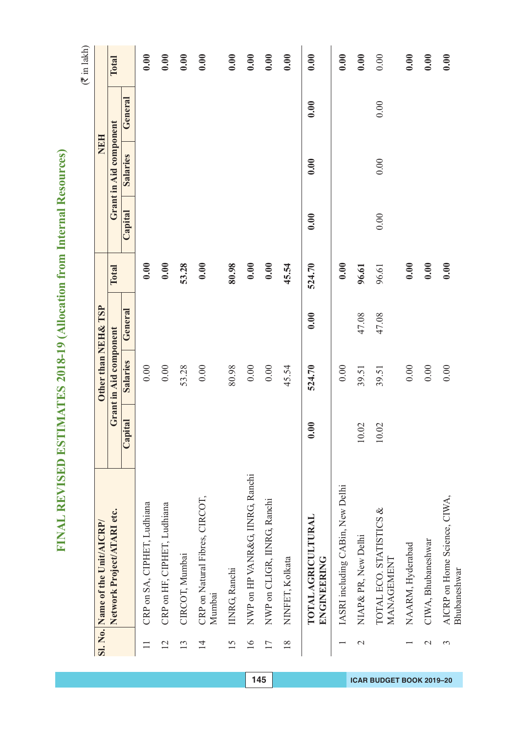| Ì<br>١<br>ŋ          |
|----------------------|
| Ċ<br>۵               |
| ć<br>١               |
| Š                    |
| í<br>é               |
| í                    |
| I                    |
|                      |
| Ó                    |
| ł                    |
| ļ<br>۱               |
|                      |
| í                    |
| ¢<br>l               |
| ì<br>S               |
|                      |
| í                    |
| Ó<br>١               |
|                      |
|                      |
| ŀ                    |
|                      |
| E                    |
|                      |
| Ċ<br>١               |
| ĥ<br>í               |
| ¢<br>ŧ<br>ŧ          |
|                      |
| $\blacksquare$       |
| l<br>þ               |
| ≚                    |
| ı                    |
| j<br>I               |
|                      |
|                      |
| ı                    |
| Ė                    |
| l                    |
| I                    |
|                      |
|                      |
|                      |
| σ                    |
|                      |
| Ÿ<br>۱               |
| ì                    |
| ∝<br>)               |
| 1<br>i,              |
| á                    |
| ֧֓ <sup>֚</sup><br>ť |
| ï                    |
| ζ                    |
| ∖                    |
|                      |
|                      |
| ۳                    |
| 1                    |
|                      |
| ŀ                    |
| I                    |
| ŀ<br>⊣               |
|                      |
| ı                    |
|                      |
| Ì<br>l               |
|                      |
|                      |
|                      |
| J<br>I               |
| l                    |
|                      |
| İ<br>į               |
| 1                    |
| ļ                    |
| ۱                    |
|                      |
| ļ                    |
| I<br>€               |
|                      |
|                      |
| l<br>I               |
| Í                    |
| ł<br>I               |
| Ź<br>I               |
|                      |
| ═<br>Ξ<br>I          |

|                 | Sl. No. Name of the Unit/AICRP/              |                       | Other than NEH& TSP    |         |        |                          | NEH                    |         |              |
|-----------------|----------------------------------------------|-----------------------|------------------------|---------|--------|--------------------------|------------------------|---------|--------------|
|                 | Network Project/ATARI etc.                   |                       | Grant in Aid component |         | Total  |                          | Grant in Aid component |         | <b>Total</b> |
|                 |                                              | Capital               | Salaries               | General |        | $\operatorname{Capital}$ | Salaries               | General |              |
| $\Box$          | CRP on SA, CIPHET, Ludhiana                  |                       | 0.00                   |         | 0.00   |                          |                        |         | 0.00         |
| $\overline{2}$  | CRP on HF, CIPHET, Ludhiana                  |                       | 0.00                   |         | 0.00   |                          |                        |         | 0.00         |
| 13              | CIRCOT, Mumbai                               |                       | 53.28                  |         | 53.28  |                          |                        |         | 0.00         |
| $\overline{1}$  | CRP on Natural Fibres, CIRCOT,<br>Mumbai     |                       | 0.00                   |         | 0.00   |                          |                        |         | 0.00         |
| 15              | IINRG, Ranchi                                |                       | 80.98                  |         | 80.98  |                          |                        |         | 0.00         |
| $\overline{16}$ | NWP on HP VANR&G, IINRG, Ranchi              |                       | $0.00\,$               |         | 0.00   |                          |                        |         | 0.00         |
| 17              | NWP on CLIGR, IINRG, Ranchi                  |                       | 0.00                   |         | 0.00   |                          |                        |         | 0.00         |
| $\frac{8}{18}$  | NINFET, Kolkata                              |                       | 45.54                  |         | 45.54  |                          |                        |         | 0.00         |
|                 | <b>TOTALAGRICULTURAL</b><br>ENGINEERING      | 0.00                  | 524.70                 | 0.00    | 524.70 | 0.00                     | 0.00                   | 0.00    | 0.00         |
|                 | IASRI including CABin, New Delhi             |                       | 0.00                   |         | 0.00   |                          |                        |         | 0.00         |
| $\mathcal{L}$   | NIAP & PR, New Delhi                         | 10.02                 | 39.51                  | 47.08   | 96.61  |                          |                        |         | 0.00         |
|                 | TOTAL ECO. STATISTICS &<br>MANAGEMENT        | 02<br>$\overline{10}$ | 39.51                  | 47.08   | 96.61  | 0.00                     | 0.00                   | 0.00    | 0.00         |
|                 | NAARM, Hyderabad                             |                       | 0.00                   |         | 0.00   |                          |                        |         | 0.00         |
| $\mathcal{L}$   | CIWA, Bhubaneshwar                           |                       | 0.00                   |         | 0.00   |                          |                        |         | 0.00         |
| $\epsilon$      | AICRP on Home Science, CIWA,<br>Bhubaneshwar |                       | 0.00                   |         | 0.00   |                          |                        |         | 0.00         |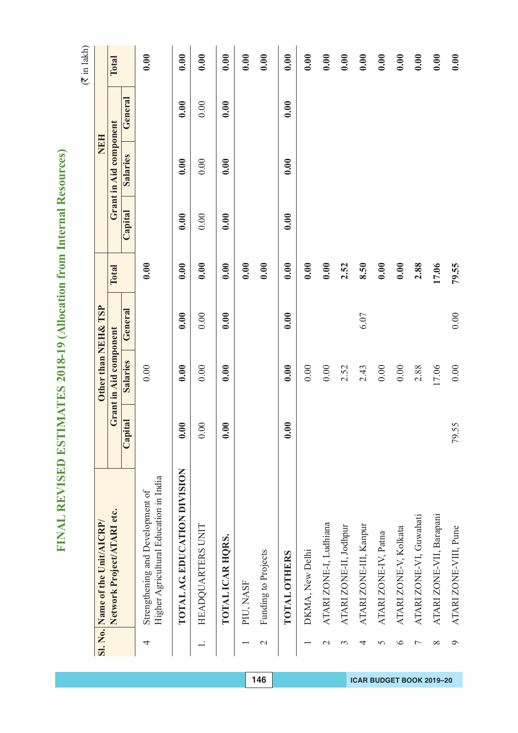| Ì<br>١                                                     |
|------------------------------------------------------------|
| Ċ<br>۵                                                     |
|                                                            |
| ć<br>١                                                     |
| Š<br>í                                                     |
| È                                                          |
| í                                                          |
| Ć                                                          |
|                                                            |
| Ó                                                          |
| ł                                                          |
| ſ<br>ł                                                     |
|                                                            |
| í                                                          |
| Ć<br>l                                                     |
| ä                                                          |
|                                                            |
| S<br>l                                                     |
| ć                                                          |
|                                                            |
|                                                            |
|                                                            |
| Þ                                                          |
|                                                            |
|                                                            |
| Ξ                                                          |
| Ċ<br>١                                                     |
|                                                            |
| ĥ<br>í<br>¢                                                |
| į<br>ŧ                                                     |
|                                                            |
| Ξ                                                          |
| ć<br>١                                                     |
| ⋍<br>t                                                     |
| ı                                                          |
| j<br>ł                                                     |
|                                                            |
|                                                            |
| I                                                          |
|                                                            |
| ſ,                                                         |
| I                                                          |
|                                                            |
|                                                            |
|                                                            |
|                                                            |
| Θ                                                          |
|                                                            |
| ŧ<br>t                                                     |
| ì                                                          |
| ∝<br>)                                                     |
| 1                                                          |
|                                                            |
| ֧֧֧֧֦֧֧֧֧֦֧֧֧֧֧֧֧֧֧֧֧֧֚֚֚֚֚֝֓֓֓֓֓֓֓֓֓֝֓֓֝֓֝֬֝֬֝֬֓֓֓֓֓֓֞֓֞֓ |
| $\overline{\phantom{a}}$<br>¢<br>J                         |
|                                                            |
| ζ<br>∖                                                     |
|                                                            |
|                                                            |
|                                                            |
| Ŧ,                                                         |
| 1                                                          |
|                                                            |
| b                                                          |
|                                                            |
| ŗ                                                          |
| ŀ                                                          |
| ť                                                          |
| I                                                          |
| Ì<br>l                                                     |
|                                                            |
| ļ                                                          |
|                                                            |
|                                                            |
| ۱<br>I                                                     |
|                                                            |
| l<br>l                                                     |
| Ì<br>į                                                     |
|                                                            |
| ţ<br>ļ                                                     |
|                                                            |
| ۱                                                          |
|                                                            |
| j                                                          |
|                                                            |
| ļ<br>ţ                                                     |
|                                                            |
| I                                                          |
| 1                                                          |
| ł                                                          |
| l<br>ź                                                     |
| ĺ                                                          |
| ═                                                          |
| Ξ<br>ļ                                                     |

|                | Sl. No. Name of the Unit/AICRP/                                            |         | Other than NEH& TSP    |         |       |         | <b>NEH</b>             |         |       |
|----------------|----------------------------------------------------------------------------|---------|------------------------|---------|-------|---------|------------------------|---------|-------|
|                | Network Project/ATARI etc.                                                 |         | Grant in Aid component |         | Total |         | Grant in Aid component |         | Total |
|                |                                                                            | Capital | Salaries               | General |       | Capital | Salaries               | General |       |
| 4              | Higher Agricultural Education in India<br>Strengthening and Development of |         | 0.00                   |         | 0.00  |         |                        |         | 0.00  |
|                | TOTAL AG. EDUCATION DIVISION                                               | 0.00    | 0.00                   | 0.00    | 0.00  | 0.00    | 0.00                   | 0.00    | 0.00  |
|                | HEADQUARTERS UNIT                                                          | 0.00    | 0.00                   | 0.00    | 0.00  | 0.00    | 0.00                   | 0.00    | 0.00  |
|                | TOTAL ICAR HQRS.                                                           | 0.00    | 0.00                   | 0.00    | 0.00  | 0.00    | 0.00                   | 0.00    | 0.00  |
|                | PIU, NASF                                                                  |         |                        |         | 0.00  |         |                        |         | 0.00  |
| $\mathcal{L}$  | Funding to Projects                                                        |         |                        |         | 0.00  |         |                        |         | 0.00  |
|                | <b>TOTAL OTHERS</b>                                                        | 0.00    | 0.00                   | 0.00    | 0.00  | 0.00    | 0.00                   | 0.00    | 0.00  |
|                | DKMA, New Delhi                                                            |         | $0.00\,$               |         | 0.00  |         |                        |         | 0.00  |
| $\mathcal{L}$  | ATARI ZONE-I, Ludhiana                                                     |         | 0.00                   |         | 0.00  |         |                        |         | 0.00  |
| 3              | ATARI ZONE-II, Jodhpur                                                     |         | 2.52                   |         | 2.52  |         |                        |         | 0.00  |
| 4              | ATARI ZONE-III, Kanpur                                                     |         | 2.43                   | 6.07    | 8.50  |         |                        |         | 0.00  |
| 5              | ATARI ZONE-IV, Patna                                                       |         | $0.00\,$               |         | 0.00  |         |                        |         | 0.00  |
| $\bullet$      | ATARI ZONE-V, Kolkata                                                      |         | 0.00                   |         | 0.00  |         |                        |         | 0.00  |
| $\overline{ }$ | ATARI ZONE-VI, Guwahati                                                    |         | 2.88                   |         | 2.88  |         |                        |         | 0.00  |
| $\infty$       | ATARI ZONE-VII, Barapani                                                   |         | 17.06                  |         | 17.06 |         |                        |         | 0.00  |
| $\circ$        | ATARI ZONE-VIII, Pune                                                      | 79.55   | 0.00                   | 0.00    | 79.55 |         |                        |         | 0.00  |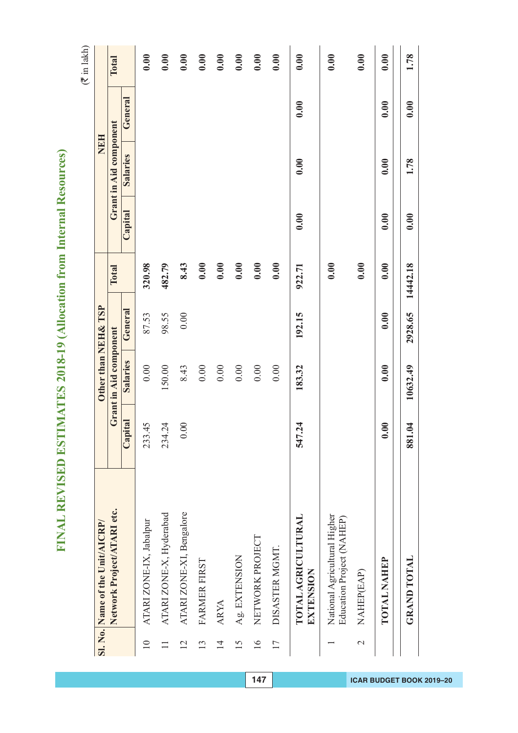| ž                           |
|-----------------------------|
| ¢<br>Í                      |
| é<br>١                      |
|                             |
|                             |
|                             |
| l                           |
| İ                           |
| l                           |
| l                           |
| ľ<br>l                      |
|                             |
| ī                           |
| l<br>١                      |
| İ<br>í                      |
| ĺ                           |
| Í<br>l<br>١                 |
| ì                           |
| í                           |
| İ<br>ׅ֚֡֡֡֡֡֡֝              |
| ŀ<br>Í<br>í                 |
|                             |
| $\mathbf{r}$<br>C<br>C<br>C |
| ١                           |
|                             |
| ŀ<br>Í<br>ę                 |
| ŧ<br>۱                      |
|                             |
| 1<br>l                      |
| ¢<br>١                      |
| i<br>Í                      |
| ı                           |
| ť                           |
| l                           |
| I<br>)                      |
| ļ                           |
| Í                           |
|                             |
| I                           |
|                             |
|                             |
|                             |
|                             |
| ţ                           |
|                             |
| 0<br>١                      |
| Ι<br>ī                      |
| ١                           |
|                             |
| ć<br>Į                      |
|                             |
| ļ<br>į                      |
| ļ                           |
|                             |
| Í                           |
| 1                           |
| I                           |
|                             |
| ļ                           |
| j<br>۱                      |
| Í                           |
|                             |
| l<br>2                      |
|                             |
| Į                           |
|                             |
| ļ<br>ì                      |
|                             |
| j                           |
| İ<br>Ì                      |
| l                           |
| l                           |
| l                           |
|                             |
|                             |
| ļ                           |
| ļ<br>ł                      |
|                             |
| I                           |
| í                           |
| ł<br>I                      |
| ٢<br>I                      |
|                             |
| ŀ<br>=<br>Ξ<br>I            |

|                 | Sl. No. Name of the Unit/AICRP/                           |                        | Other than NEH& TSP    |         |          |         | <b>NEH</b>             |         |       |
|-----------------|-----------------------------------------------------------|------------------------|------------------------|---------|----------|---------|------------------------|---------|-------|
|                 | Network Project/ATARI etc.                                |                        | Grant in Aid component |         | Total    |         | Grant in Aid component |         | Total |
|                 |                                                           | Capital                | Salaries               | General |          | Capital | <b>Salaries</b>        | General |       |
| $\overline{10}$ | ATARI ZONE-IX, Jabalpur                                   | 233.45                 | 0.00                   | 87.53   | 320.98   |         |                        |         | 0.00  |
|                 | ATARI ZONE-X, Hyderabad                                   | 234.24                 | 150.00                 | 98.55   | 482.79   |         |                        |         | 0.00  |
| $\overline{C}$  | ATARI ZONE-XI, Bengalore                                  | 0.00                   | 8.43                   | 0.00    | 8.43     |         |                        |         | 0.00  |
| $\frac{3}{2}$   | FARMER FIRST                                              |                        | $0.00\,$               |         | 0.00     |         |                        |         | 0.00  |
| $\overline{4}$  | <b>ARYA</b>                                               |                        | 0.00                   |         | 0.00     |         |                        |         | 0.00  |
| 15              | Ag. EXTENSION                                             |                        | $0.00\,$               |         | 0.00     |         |                        |         | 0.00  |
| $\frac{6}{1}$   | NETWORK PROJECT                                           |                        | $0.00\,$               |         | 0.00     |         |                        |         | 0.00  |
| 17              | DISASTER MGMT.                                            |                        | 0.00                   |         | 0.00     |         |                        |         | 0.00  |
|                 | <b>TOTAL AGRICULTURAL</b><br>EXTENSION                    | 547.24                 | 183.32                 | 192.15  | 922.71   | 0.00    | 0.00                   | 0.00    | 0.00  |
|                 | National Agricultural Higher<br>Education Project (NAHEP) |                        |                        |         | 0.00     |         |                        |         | 0.00  |
| $\mathbf{\sim}$ | NAHEP(EAP)                                                |                        |                        |         | 0.00     |         |                        |         | 0.00  |
|                 | <b>TOTAL NAHEP</b>                                        | 0.00                   | 0.00                   | 0.00    | 0.00     | 0.00    | 0.00                   | 0.00    | 0.00  |
|                 | <b>GRAND TOTAL</b>                                        | $\overline{a}$<br>881. | 10632.49               | 2928.65 | 14442.18 | 0.00    | 1.78                   | 0.00    | 1.78  |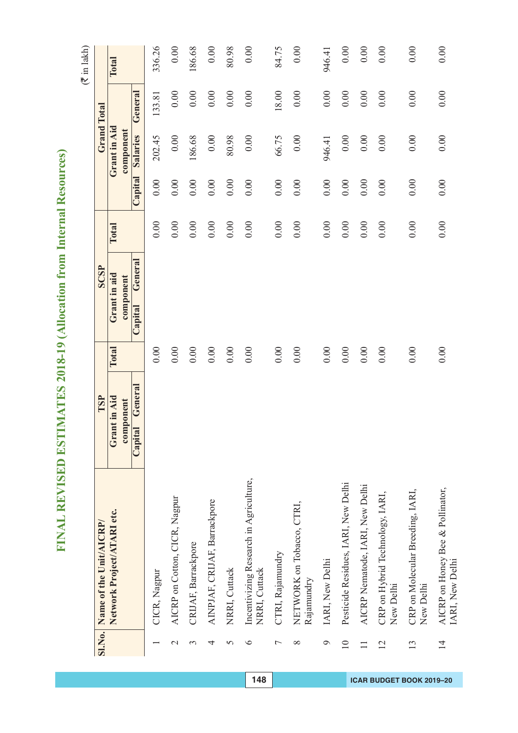# FINAL REVISED ESTIMATES 2018-19 (Allocation from Internal Resources) **FINAL REVISED ESTIMATES 2018-19 (Allocation from Internal Resources)**

 $(\overline{\mathfrak{F}}$  in lakh)

|                 | SI.No. Name of the Unit/AICRP/                          | TSP                |              | <b>SCSP</b>        |              |          |              | <b>Grand Total</b> |          |
|-----------------|---------------------------------------------------------|--------------------|--------------|--------------------|--------------|----------|--------------|--------------------|----------|
|                 | Network Project/ATARI etc.                              | Grant in Aid       | <b>Total</b> | Grant in aid       | <b>Total</b> |          | Grant in Aid |                    | Total    |
|                 |                                                         | component          |              | component          |              |          | component    |                    |          |
|                 |                                                         | General<br>Capital |              | General<br>Capital |              | Capital  | Salaries     | General            |          |
|                 | CICR, Nagpur                                            |                    | 0.00         |                    | 0.00         | 0.00     | 202.45       | 133.81             | 336.26   |
| $\mathcal{C}$   | AICRP on Cotton, CICR, Nagpur                           |                    | 0.00         |                    | 0.00         | $0.00\,$ | $0.00\,$     | 0.00               | 0.00     |
| 3               | CRIJAF, Barrackpore                                     |                    | 0.00         |                    | 0.00         | 0.00     | 186.68       | 0.00               | 186.68   |
| 4               | AINPJAF, CRIJAF, Barrackpore                            |                    | 0.00         |                    | 0.00         | 0.00     | 0.00         | 0.00               | 0.00     |
| 5               | NRRI, Cuttack                                           |                    | 0.00         |                    | 0.00         | 0.00     | 80.98        | 0.00               | 80.98    |
| $\bullet$       | Incentivizing Research in Agriculture,<br>NRRI, Cuttack |                    | 0.00         |                    | 0.00         | 0.00     | 0.00         | 0.00               | 0.00     |
| $\overline{ }$  | CTRI, Rajamundry                                        |                    | 0.00         |                    | 0.00         | 0.00     | 66.75        | 18.00              | 84.75    |
| ∞               | NETWORK on Tobacco, CTRI,<br>Rajamundry                 |                    | 0.00         |                    | 0.00         | 0.00     | 0.00         | 0.00               | 0.00     |
| $\circ$         | IARI, New Delhi                                         |                    | 0.00         |                    | 0.00         | 0.00     | 946.41       | 0.00               | 946.41   |
| $\overline{10}$ | Pesticide Residues, IARI, New Delhi                     |                    | 0.00         |                    | $0.00\,$     | $0.00\,$ | $0.00\,$     | 0.00               | $0.00\,$ |
|                 | AICRP Nematode, IARI, New Delhi                         |                    | 0.00         |                    | 0.00         | 0.00     | $0.00\,$     | 0.00               | 0.00     |
| $\overline{2}$  | CRP on Hybrid Technology, IARI,<br>New Delhi            |                    | 0.00         |                    | 0.00         | 0.00     | 0.00         | 0.00               | 0.00     |
| 13              | CRP on Molecular Breeding, IARI,<br>New Delhi           |                    | 0.00         |                    | 0.00         | 0.00     | 0.00         | 0.00               | 0.00     |
| $\overline{4}$  | AICRP on Honey Bee & Pollinator,<br>IARI, New Delhi     |                    | 0.00         |                    | 0.00         | 0.00     | 0.00         | 0.00               | 0.00     |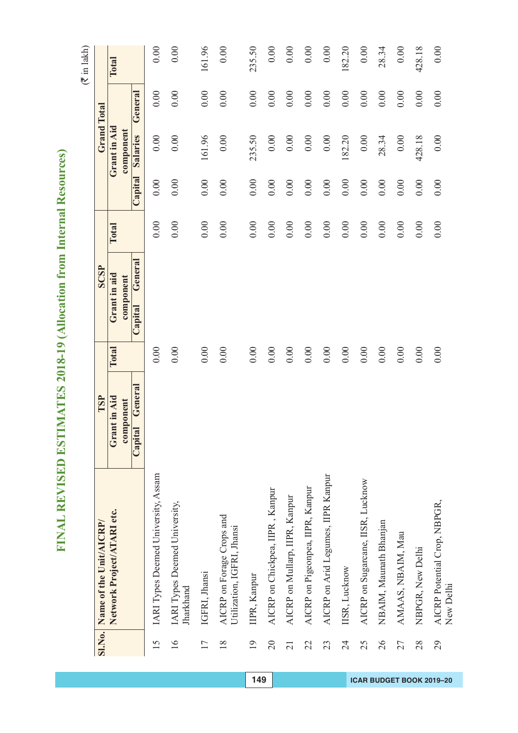| I                  |
|--------------------|
| ¢<br>۵             |
| ¢<br>J             |
| Ê<br>֚֚֚֬          |
| J                  |
| Ī.                 |
| I                  |
|                    |
| í                  |
| í                  |
| ļ                  |
|                    |
| í                  |
| ť                  |
|                    |
|                    |
| ĺ<br>l             |
| l                  |
| ١<br>l             |
|                    |
| l                  |
| I                  |
|                    |
| S<br>C<br>i        |
|                    |
| ١                  |
| ŀ<br>l             |
| G<br>ł<br>۹        |
|                    |
| ۱                  |
|                    |
| Í<br>١             |
| í<br>Ē             |
| ı                  |
| l                  |
| l                  |
| I                  |
|                    |
| ļ                  |
|                    |
| ֚֘֝                |
|                    |
|                    |
|                    |
|                    |
|                    |
| ţ                  |
|                    |
| )<br>ŋ             |
| ۱<br>ï             |
| ١                  |
|                    |
| l                  |
| ¢                  |
| $\overline{\zeta}$ |
|                    |
| ļ                  |
| í                  |
|                    |
| ۱                  |
|                    |
| ŀ                  |
|                    |
| ĺ<br>l             |
| ۱                  |
| í                  |
| ĺ                  |
| i                  |
|                    |
|                    |
|                    |
|                    |
| ļ<br>I             |
|                    |
| l                  |
| İ<br>冫             |
| í                  |
| ļ                  |
| j                  |
|                    |
|                    |
| ļ                  |
| ľ<br>1             |
|                    |
| l<br>ŀ             |
| l                  |
| I                  |
| l                  |
| ľ                  |
| I<br>E             |
| Ξ                  |

|                 | SI.No. Name of the Unit/AICRP/                          | TSP                       |       | SCSP                      |       |         | <b>Grand Total</b>        |         |        |
|-----------------|---------------------------------------------------------|---------------------------|-------|---------------------------|-------|---------|---------------------------|---------|--------|
|                 | Network Project/ATARI etc.                              | Grant in Aid<br>component | Total | Grant in aid<br>component | Total |         | Grant in Aid<br>component |         | Total  |
|                 |                                                         | General<br>Capital        |       | General<br>Capital        |       | Capital | Salaries                  | General |        |
| 15              | IARI Types Deemed University, Assam                     |                           | 0.00  |                           | 0.00  | 0.00    | 0.00                      | 0.00    | 0.00   |
| $\overline{16}$ | IARI Types Deemed University,<br>Jharkhand              |                           | 0.00  |                           | 0.00  | 0.00    | 0.00                      | 0.00    | 0.00   |
| 17              | IGFRI, Jhansi                                           |                           | 0.00  |                           | 0.00  | 0.00    | 161.96                    | 0.00    | 161.96 |
| 18              | AICRP on Forage Crops and<br>Utilization, IGFRI, Jhansi |                           | 0.00  |                           | 0.00  | 0.00    | 0.00                      | 0.00    | 0.00   |
| $\overline{19}$ | IIPR, Kanpur                                            |                           | 0.00  |                           | 0.00  | 0.00    | 235.50                    | 0.00    | 235.50 |
| $\overline{20}$ | AICRP on Chickpea, IIPR, Kanpur                         |                           | 0.00  |                           | 0.00  | 0.00    | 0.00                      | 0.00    | 0.00   |
| $\overline{c}$  | AICRP on Mullarp, IIPR, Kanpur                          |                           | 0.00  |                           | 0.00  | 0.00    | 0.00                      | 0.00    | 0.00   |
| 22              | AICRP on Pigeonpea, IIPR, Kanpur                        |                           | 0.00  |                           | 0.00  | 0.00    | $0.00\,$                  | 0.00    | 0.00   |
| 23              | AICRP on Arid Legumes, IIPR Kanpur                      |                           | 0.00  |                           | 0.00  | 0.00    | 0.00                      | 0.00    | 0.00   |
| $\overline{24}$ | IISR, Lucknow                                           |                           | 0.00  |                           | 0.00  | 0.00    | 182.20                    | 0.00    | 182.20 |
| 25              | AICRP on Sugarcane, IISR, Lucknow                       |                           | 0.00  |                           | 0.00  | 0.00    | 0.00                      | 0.00    | 0.00   |
| 26              | NBAIM, Maunath Bhanjan                                  |                           | 0.00  |                           | 0.00  | 0.00    | 28.34                     | 0.00    | 28.34  |
| 27              | AMAAS, NBAIM, Mau                                       |                           | 0.00  |                           | 0.00  | 0.00    | $0.00\,$                  | 0.00    | 0.00   |
| 28              | NBPGR, New Delhi                                        |                           | 0.00  |                           | 0.00  | 0.00    | 428.18                    | 0.00    | 428.18 |
| 29              | AICRP Potential Crop, NBPGR,<br>New Delhi               |                           | 0.00  |                           | 0.00  | 0.00    | 0.00                      | 0.00    | 0.00   |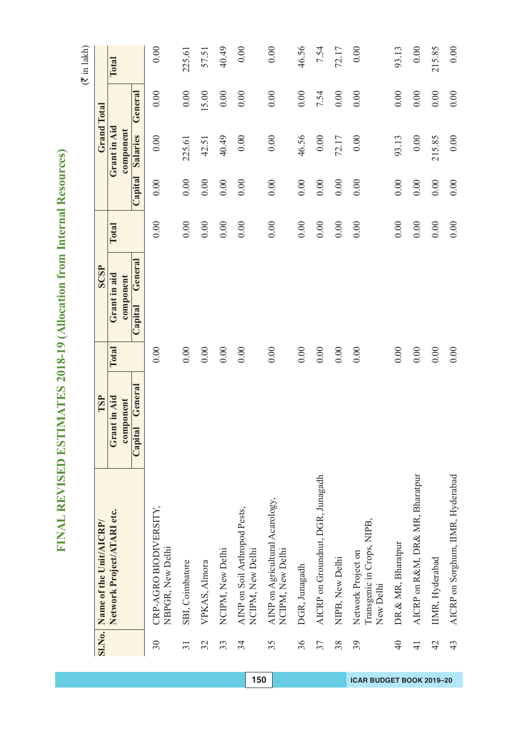| ַ            |
|--------------|
| Ì            |
|              |
|              |
|              |
| I            |
|              |
| l<br>١       |
|              |
|              |
|              |
| ï<br>ļ       |
| l            |
|              |
|              |
|              |
|              |
|              |
| l<br>l       |
| l<br>١       |
|              |
| l            |
|              |
| I<br>l       |
|              |
|              |
| l<br>Ì       |
|              |
| ¢<br>)       |
| ĥ            |
| í<br>ł<br>ę  |
| ł            |
| ĺ            |
| Ś<br>í       |
| ¢<br>١       |
| í            |
| l            |
|              |
| I            |
| I            |
|              |
| Ï            |
|              |
| i            |
|              |
| ֚֘֝          |
|              |
|              |
|              |
|              |
|              |
| ţ            |
|              |
| ¢<br>)       |
|              |
| ţ            |
| ١            |
| ¢            |
| l            |
| Q            |
|              |
| $\zeta$<br>2 |
|              |
| ļ<br>ן       |
|              |
|              |
|              |
|              |
| ١            |
|              |
| ĺ            |
| I<br>۱       |
|              |
| I<br>֘֝֬     |
|              |
| l            |
|              |
|              |
|              |
|              |
| ļ<br>I       |
|              |
| į            |
| )            |
| Ì            |
| ļ<br>I       |
|              |
| j            |
|              |
| ļ            |
| ļ            |
| ļ<br>Ì       |
|              |
|              |
| l<br>I       |
| l            |
| ١            |
| l            |
| ſ            |
| J<br>Í       |
| z            |

|                 | SI.No. Name of the Unit/AICRP/                                | TSP                |          | SCSP               |          |          |              | <b>Grand Total</b> |        |
|-----------------|---------------------------------------------------------------|--------------------|----------|--------------------|----------|----------|--------------|--------------------|--------|
|                 | Network Project/ATARI etc.                                    | Grant in Aid       | Total    | Grant in aid       | Total    |          | Grant in Aid |                    | Total  |
|                 |                                                               | component          |          | component          |          |          | component    |                    |        |
|                 |                                                               | General<br>Capital |          | General<br>Capital |          | Capital  | Salaries     | General            |        |
| 30              | CRP-AGRO BIODIVERSITY,<br>NBPGR, New Delhi                    |                    | 0.00     |                    | 0.00     | 0.00     | 0.00         | 0.00               | 0.00   |
| $\overline{31}$ | SBI, Coimbatore                                               |                    | $0.00\,$ |                    | 0.00     | 0.00     | 225.61       | 0.00               | 225.61 |
| 32              | VPKAS, Almora                                                 |                    | $0.00$   |                    | 0.00     | 0.00     | 42.51        | 15.00              | 57.51  |
| 33              | NCIPM, New Delhi                                              |                    | 0.00     |                    | $0.00\,$ | 0.00     | 40.49        | $0.00\,$           | 40.49  |
| 34              | AINP on Soil Arthropod Pests,<br>NCIPM, New Delhi             |                    | 0.00     |                    | 0.00     | 0.00     | 0.00         | 0.00               | $0.00$ |
| 35              | AINP on Agricultural Acarology,<br>NCIPM, New Delhi           |                    | 0.00     |                    | 0.00     | 0.00     | 0.00         | 0.00               | 0.00   |
| 36              | DGR, Junagadh                                                 |                    | 0.00     |                    | 0.00     | 0.00     | 46.56        | 0.00               | 46.56  |
| 37              | AICRP on Groundnut, DGR, Junagadh                             |                    | 0.00     |                    | 0.00     | 0.00     | 0.00         | 7.54               | 7.54   |
| 38              | NIPB, New Delhi                                               |                    | 0.00     |                    | 0.00     | 0.00     | 72.17        | 0.00               | 72.17  |
| 39              | Transgenic in Crops, NIPB,<br>Network Project on<br>New Delhi |                    | 0.00     |                    | 0.00     | 0.00     | 0.00         | 0.00               | 0.00   |
| 40              | DR & MR, Bharatpur                                            |                    | 0.00     |                    | 0.00     | 0.00     | 93.13        | 0.00               | 93.13  |
| $\frac{1}{4}$   | AICRP on R&M, DR& MR, Bharatpur                               |                    | 0.00     |                    | 0.00     | $0.00\,$ | 0.00         | 0.00               | $0.00$ |
| 42              | IIMR, Hyderabad                                               |                    | 0.00     |                    | $0.00\,$ | 0.00     | 215.85       | 0.00               | 215.85 |
| 43              | AICRP on Sorghum, IIMR, Hyderabad                             |                    | 0.00     |                    | 0.00     | 0.00     | 0.00         | 0.00               | $0.00$ |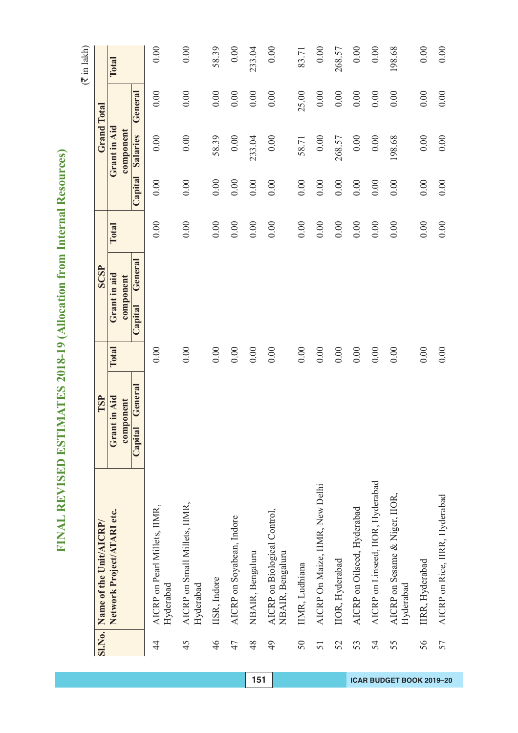| ì<br>Ì             |
|--------------------|
| Ċ<br>J<br>ļ        |
|                    |
| i<br>ı             |
| ì                  |
| ١<br>I             |
| Ì<br>į<br>¢<br>١   |
| ï                  |
| ſ<br>٦             |
| Ī                  |
| ١                  |
|                    |
| i<br>Santa Sa<br>٦ |
| í<br>ć<br>۵        |
| j                  |
| i<br>í             |
| I<br>⋍             |
|                    |
|                    |
| Ì<br>Í<br>١        |
| ۱                  |
| 1<br>¢<br>₹        |
| f                  |
| h                  |
| ١                  |
| 1<br>F<br>ì        |
| ı<br>Ċ             |
| ¢                  |
| I                  |
|                    |
| E                  |
| I                  |
|                    |
|                    |
|                    |
| E                  |
| ŧ                  |
|                    |
| ¢<br>X<br>J        |
| ¢<br>i             |
| ć<br>)             |
| 1<br>C             |
| ł                  |
| י                  |
|                    |
| l<br>í             |
| 1                  |
|                    |
| i<br>ŀ             |
|                    |
| j<br>Í             |
| Í<br>Í             |
| ļ<br>Į             |
|                    |
| l                  |
|                    |
| ļ<br>١             |
| l<br>ļ             |
| į<br>ζ             |
| í                  |
| ļ                  |
| þ                  |
| ļ                  |
| ļ                  |
| ļ<br>۱             |
|                    |
| ŀ<br>l             |
| l                  |
| j                  |
| ۶<br>E<br>ŀ        |
| Ξ<br>ļ             |

| <b>SI.No.</b>  | Name of the Unit/AICRP/                          | TSP                |       | <b>SCSP</b>        |          |          | <b>Grand Total</b> |          |          |
|----------------|--------------------------------------------------|--------------------|-------|--------------------|----------|----------|--------------------|----------|----------|
|                | Network Project/ATARI etc.                       | Grant in Aid       | Total | Grant in aid       | Total    |          | Grant in Aid       |          | Total    |
|                |                                                  | component          |       | component          |          |          | component          |          |          |
|                |                                                  | General<br>Capital |       | General<br>Capital |          | Capital  | Salaries           | General  |          |
| $\overline{4}$ | AICRP on Pearl Millets, IIMR,<br>Hyderabad       |                    | 0.00  |                    | 0.00     | 0.00     | 0.00               | 0.00     | 0.00     |
| 45             | AICRP on Small Millets, IIMR,<br>Hyderabad       |                    | 0.00  |                    | 0.00     | 0.00     | 0.00               | 0.00     | 0.00     |
| 46             | IISR, Indore                                     |                    | 0.00  |                    | 0.00     | 0.00     | 58.39              | 0.00     | 58.39    |
| 47             | AICRP on Soyabean, Indore                        |                    | 0.00  |                    | 0.00     | 0.00     | 0.00               | 0.00     | 0.00     |
| 48             | NBAIR, Bengaluru                                 |                    | 0.00  |                    | $0.00\,$ | 0.00     | 233.04             | 0.00     | 233.04   |
| 49             | AICRP on Biological Control,<br>NBAIR, Bengaluru |                    | 0.00  |                    | 0.00     | 0.00     | 0.00               | 0.00     | 0.00     |
| 50             | IIMR, Ludhiana                                   |                    | 0.00  |                    | 0.00     | 0.00     | 58.71              | 25.00    | 83.71    |
| 51             | AICRP On Maize, IIMR, New Delhi                  |                    | 0.00  |                    | 0.00     | 0.00     | $0.00\,$           | 0.00     | $0.00\,$ |
| 52             | IIOR, Hyderabad                                  |                    | 0.00  |                    | 0.00     | $0.00\,$ | 268.57             | $0.00\,$ | 268.57   |
| 53             | AICRP on Oilseed, Hyderabad                      |                    | 0.00  |                    | $0.00\,$ | $0.00\,$ | 0.00               | 0.00     | 0.00     |
| 54             | AICRP on Linseed, IIOR, Hyderabad                |                    | 0.00  |                    | $0.00\,$ | 0.00     | $0.00\,$           | $0.00\,$ | 0.00     |
| 55             | AICRP on Sesame & Niger, IIOR,<br>Hyderabad      |                    | 0.00  |                    | 0.00     | 0.00     | 198.68             | 0.00     | 198.68   |
| 56             | IIRR, Hyderabad                                  |                    | 0.00  |                    | 0.00     | 0.00     | 0.00               | 0.00     | 0.00     |
| 57             | AICRP on Rice, IIRR, Hyderabad                   |                    | 0.00  |                    | 0.00     | 0.00     | 0.00               | 0.00     | 0.00     |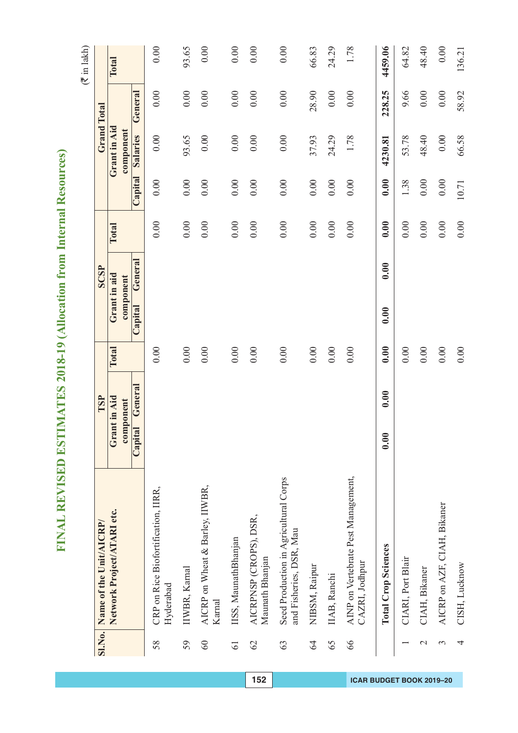| C<br>ì              |
|---------------------|
| )                   |
| ĕ<br>)              |
| Ŝ<br>í              |
| н                   |
|                     |
| ¢<br>)              |
| ¢<br>ž              |
| d<br>١<br>ï         |
| ≏                   |
| 1                   |
| í                   |
| é<br>à              |
| E                   |
| Ş<br>í              |
| í                   |
| è<br>J              |
| ì<br>j              |
| ĺ<br>í              |
| ł<br>Í<br>í         |
|                     |
| ı<br>Ξ              |
|                     |
| ¢<br>١              |
| 1                   |
| ę<br>F              |
|                     |
| l<br>S              |
| ć<br>١              |
| Í                   |
|                     |
| Ć                   |
| ć                   |
|                     |
| l                   |
| j                   |
| Í                   |
| I                   |
|                     |
|                     |
|                     |
|                     |
| ł                   |
| Ì                   |
| ¢<br>X<br>J         |
| t<br>ī              |
|                     |
| ¢<br>٥              |
| ¢<br>J              |
|                     |
| $\zeta$<br>2<br>J   |
|                     |
| ן<br>ļ<br>ľ         |
|                     |
| 1                   |
|                     |
| ۱<br>ŀ              |
|                     |
| þ<br>1              |
|                     |
| ĺ<br>I              |
| Ì                   |
| ļ                   |
|                     |
|                     |
|                     |
| ļ<br>١              |
|                     |
| l                   |
| İ<br>$\overline{a}$ |
| ļ<br>E              |
|                     |
| j                   |
| ŗ                   |
| ļ                   |
| ļ<br>Í              |
|                     |
| l<br>ŀ              |
| Í                   |
| ١                   |
| j                   |
| ٦                   |
| ٦<br>E<br>Ξ         |

|                 | SI.No. Name of the Unit/AICRP/                                   | TSP                       |          | <b>SCSP</b>               |       |          |          | <b>Grand Total</b>        |          |         |
|-----------------|------------------------------------------------------------------|---------------------------|----------|---------------------------|-------|----------|----------|---------------------------|----------|---------|
|                 | Network Project/ATARI etc.                                       | Grant in Aid<br>component | Total    | Grant in aid<br>component | Total |          |          | Grant in Aid<br>component |          | Total   |
|                 |                                                                  | General<br>Capital        |          | General<br>Capital        |       |          | Capital  | Salaries                  | General  |         |
| 58              | CRP on Rice Biofortification, IIRR,<br>Hyderabad                 |                           | 0.00     |                           |       | 0.00     | 0.00     | 0.00                      | 0.00     | 0.00    |
| 59              | IIWBR, Karnal                                                    |                           | 0.00     |                           |       | 0.00     | 0.00     | 93.65                     | 0.00     | 93.65   |
| 60              | AICRP on Wheat & Barley, IIWBR,<br>Karnal                        |                           | 0.00     |                           |       | 0.00     | 0.00     | 0.00                      | 0.00     | 0.00    |
| $\overline{61}$ | IISS, MaunathBhanjan                                             |                           | 0.00     |                           |       | 0.00     | 0.00     | 0.00                      | 0.00     | 0.00    |
| $\mathcal{O}$   | AICRPNSP (CROPS), DSR,<br>Maunath Bhanjan                        |                           | 0.00     |                           |       | 0.00     | 0.00     | 0.00                      | 0.00     | 0.00    |
| 63              | Seed Production in Agricultural Corps<br>and Fisheries, DSR, Mau |                           | 0.00     |                           |       | 0.00     | 0.00     | 0.00                      | 0.00     | 0.00    |
| 64              | NIBSM, Raipur                                                    |                           | 0.00     |                           |       | 0.00     | 0.00     | 37.93                     | 28.90    | 66.83   |
| 65              | IIAB, Ranchi                                                     |                           | $0.00\,$ |                           |       | $0.00\,$ | $0.00\,$ | 24.29                     | $0.00\,$ | 24.29   |
| 66              | AINP on Vertebrate Pest Management,<br>CAZRI, Jodhpur            |                           | 0.00     |                           |       | 0.00     | 0.00     | 1.78                      | 0.00     | 1.78    |
|                 | <b>Total Crop Sciences</b>                                       | 0.00<br>0.00              | 0.00     | 0.00                      | 0.00  | 0.00     | 0.00     | 4230.81                   | 228.25   | 4459.06 |
|                 | CIARI, Port Blair                                                |                           | 0.00     |                           |       | 0.00     | 1.38     | 53.78                     | 9.66     | 64.82   |
| $\mathcal{L}$   | CIAH, Bikaner                                                    |                           | $0.00$   |                           |       | $0.00\,$ | $0.00\,$ | 48.40                     | 0.00     | 48.40   |
| 3               | AICRP on AZF, CIAH, Bikaner                                      |                           | $0.00\,$ |                           |       | $0.00\,$ | $0.00\,$ | $0.00\,$                  | 0.00     | 0.00    |
| 4               | CISH, Lucknow                                                    |                           | 0.00     |                           |       | 0.00     | 10.71    | 66.58                     | 58.92    | 136.21  |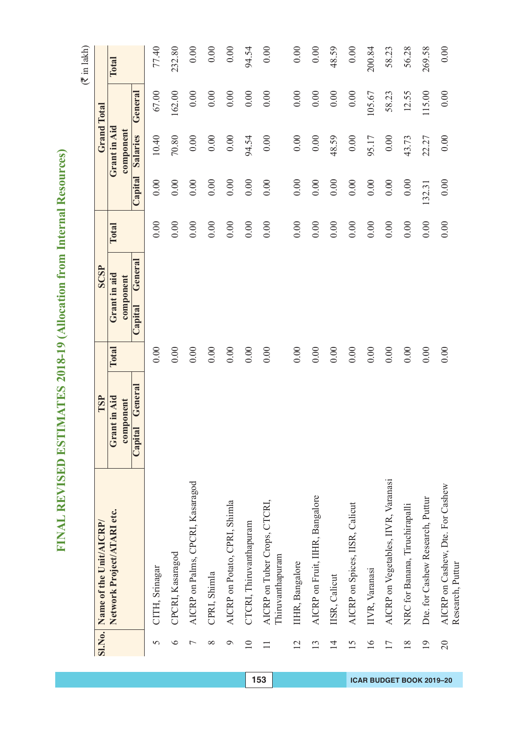# FINAL REVISED ESTIMATES 2018-19 (Allocation from Internal Resources) **FINAL REVISED ESTIMATES 2018-19 (Allocation from Internal Resources)**

 $(\overline{\mathfrak{F}}$  in lakh)

| <b>SI.No.</b>   | Name of the Unit/AICRP/                              | TSP                |          | SCSP               |       |          | <b>Grand Total</b> |         |        |
|-----------------|------------------------------------------------------|--------------------|----------|--------------------|-------|----------|--------------------|---------|--------|
|                 | Network Project/ATARI etc.                           | Grant in Aid       | Total    | Grant in aid       | Total |          | Grant in Aid       |         | Total  |
|                 |                                                      | component          |          | component          |       |          | component          |         |        |
|                 |                                                      | General<br>Capital |          | General<br>Capital |       | Capital  | Salaries           | General |        |
| 5               | CITH, Srinagar                                       |                    | 0.00     |                    | 0.00  | 0.00     | 10.40              | 67.00   | 77.40  |
| $\circ$         | CPCRI, Kasaragod                                     |                    | 0.00     |                    | 0.00  | 0.00     | $70.80\,$          | 162.00  | 232.80 |
| $\overline{ }$  | AICRP on Palms, CPCRI, Kasaragod                     |                    | 0.00     |                    | 0.00  | 0.00     | $0.00\,$           | 0.00    | 0.00   |
| $\infty$        | CPRI, Shimla                                         |                    | 0.00     |                    | 0.00  | 0.00     | 0.00               | 0.00    | 0.00   |
| $\circ$         | AICRP on Potato, CPRI, Shimla                        |                    | $0.00\,$ |                    | 0.00  | 0.00     | 0.00               | 0.00    | 0.00   |
| $\overline{10}$ | CTCRI, Thiruvanthapuram                              |                    | 0.00     |                    | 0.00  | 0.00     | 94.54              | 0.00    | 94.54  |
|                 | AICRP on Tuber Crops, CTCRI,<br>Thiruvanthapuram     |                    | 0.00     |                    | 0.00  | 0.00     | 0.00               | 0.00    | 0.00   |
| $\overline{12}$ | IIHR, Bangalore                                      |                    | 0.00     |                    | 0.00  | 0.00     | $0.00\,$           | 0.00    | 0.00   |
| 13              | AICRP on Fruit, IIHR, Bangalore                      |                    | 0.00     |                    | 0.00  | $0.00\,$ | 0.00               | 0.00    | 0.00   |
| $\overline{14}$ | IISR, Calicut                                        |                    | $0.00\,$ |                    | 0.00  | 0.00     | 48.59              | 0.00    | 48.59  |
| 15              | AICRP on Spices, IISR, Calicut                       |                    | 0.00     |                    | 0.00  | 0.00     | 0.00               | 0.00    | 0.00   |
| $\overline{16}$ | IIVR, Varanasi                                       |                    | 0.00     |                    | 0.00  | 0.00     | 95.17              | 105.67  | 200.84 |
| 17              | AICRP on Vegetables, IIVR, Varanasi                  |                    | 0.00     |                    | 0.00  | 0.00     | 0.00               | 58.23   | 58.23  |
| $\frac{8}{18}$  | NRC for Banana, Tiruchirapalli                       |                    | 0.00     |                    | 0.00  | 0.00     | 43.73              | 12.55   | 56.28  |
| $\overline{19}$ | Dte. for Cashew Research, Puttur                     |                    | 0.00     |                    | 0.00  | 132.31   | 22.27              | 115.00  | 269.58 |
| 20              | AICRP on Cashew, Dte. For Cashew<br>Research, Puttur |                    | 0.00     |                    | 0.00  | 0.00     | 0.00               | 0.00    | 0.00   |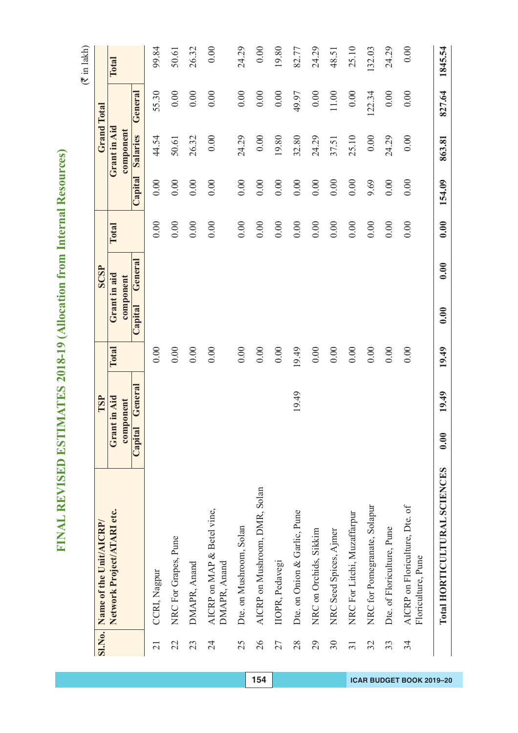# FINAL REVISED ESTIMATES 2018-19 (Allocation from Internal Resources) **FINAL REVISED ESTIMATES 2018-19 (Allocation from Internal Resources)**

 $(\overline{\mathfrak{F}}$  in lakh)

| <b>SI.No.</b>   | Name of the Unit/AICRP/                              |                           | TSP     |        | SCSP                      |          |          |                           | <b>Grand Total</b> |         |
|-----------------|------------------------------------------------------|---------------------------|---------|--------|---------------------------|----------|----------|---------------------------|--------------------|---------|
|                 |                                                      |                           |         |        |                           |          |          |                           |                    |         |
|                 | Network Project/ATARI etc.                           | Grant in Aid<br>component |         | Total  | Grant in aid<br>component | Total    |          | Grant in Aid<br>component |                    | Total   |
|                 |                                                      | Capital                   | General |        | General<br>Capital        |          | Capital  | Salaries                  | General            |         |
| $\overline{21}$ | CCRI, Nagpur                                         |                           |         | 0.00   |                           | 0.00     | 0.00     | 44.54                     | 55.30              | 99.84   |
| 22              | NRC For Grapes, Pune                                 |                           |         | 0.00   |                           | 0.00     | $0.00\,$ | 50.61                     | 0.00               | 50.61   |
| 23              | DMAPR, Anand                                         |                           |         | 0.00   |                           | 0.00     | 0.00     | 26.32                     | 0.00               | 26.32   |
| 24              | AICRP on MAP & Betel vine,<br>DMAPR, Anand           |                           |         | 0.00   |                           | 0.00     | 0.00     | 0.00                      | 0.00               | 0.00    |
| 25              | Dte. on Mushroom, Solan                              |                           |         | 0.00   |                           | 0.00     | $0.00\,$ | 24.29                     | 0.00               | 24.29   |
| 26              | AICRP on Mushroom, DMR, Solan                        |                           |         | 0.00   |                           | 0.00     | $0.00\,$ | 0.00                      | 0.00               | 0.00    |
| 27              | IIOPR, Pedavegi                                      |                           |         | $0.00$ |                           | $0.00\,$ | 0.00     | 19.80                     | 0.00               | 19.80   |
| 28              | Dte. on Onion & Garlic, Pune                         |                           | 19.49   | 19.49  |                           | $0.00\,$ | 0.00     | 32.80                     | 49.97              | 82.77   |
| 29              | NRC on Orchids, Sikkim                               |                           |         | 0.00   |                           | $0.00\,$ | $0.00\,$ | 24.29                     | 0.00               | 24.29   |
| 30              | NRC Seed Spices, Ajmer                               |                           |         | 0.00   |                           | 0.00     | 0.00     | 37.51                     | 11.00              | 48.51   |
| $\overline{31}$ | NRC For Litchi, Muzaffarpur                          |                           |         | 0.00   |                           | 0.00     | 0.00     | 25.10                     | 0.00               | 25.10   |
| 32              | NRC for Pomegranate, Solapur                         |                           |         | 0.00   |                           | 0.00     | 9.69     | 0.00                      | 122.34             | 132.03  |
| 33              | Dte. of Floriculture, Pune                           |                           |         | 0.00   |                           | 0.00     | 0.00     | 24.29                     | 0.00               | 24.29   |
| 34              | AICRP on Floriculture, Dte. of<br>Floriculture, Pune |                           |         | 0.00   |                           | 0.00     | 0.00     | 0.00                      | 0.00               | 0.00    |
|                 | Total HORTICULTURAL SCIENCES                         | 0.00                      | 19.49   | 19.49  | 0.00<br>0.00              | 0.00     | 154.09   | 863.81                    | 827.64             | 1845.54 |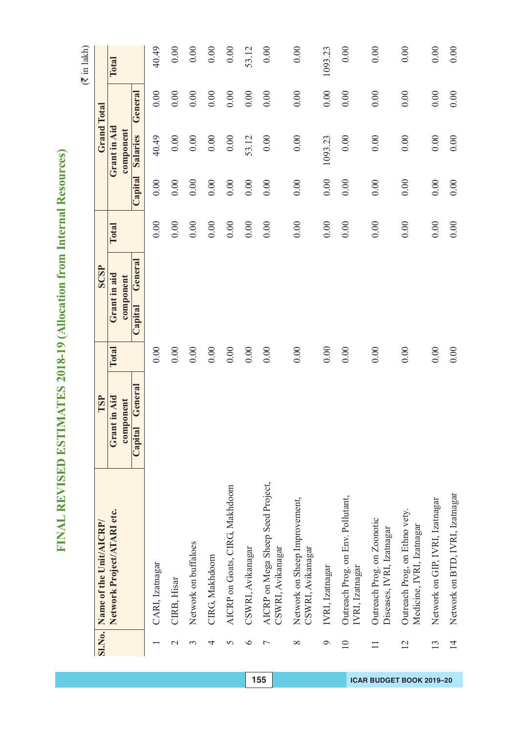| I              |
|----------------|
| Ċ<br>۵         |
| Ġ<br>١         |
| Š              |
| í<br>ŕ         |
| ĺ.             |
| l              |
|                |
| Ó              |
| ł              |
| ļ<br>۱         |
|                |
| í<br>l         |
| Ć              |
| ٦<br>S         |
| í              |
| d              |
|                |
|                |
|                |
| þ              |
|                |
| E              |
| ¢<br>١         |
|                |
| ĥ<br>í<br>¢    |
| į<br>j         |
|                |
| $\blacksquare$ |
| Í<br>١         |
| ⋍<br>Ī.<br>ı   |
| Ì<br>I         |
|                |
|                |
| I              |
|                |
| ſ,<br>I        |
|                |
|                |
|                |
| Θ              |
|                |
|                |
| ŧ<br>t         |
| ì              |
| ∝<br>י         |
| 1              |
| Ĝ<br>b         |
| ť<br>J         |
|                |
| ζ              |
| ℷ              |
|                |
|                |
| ۳              |
| 1              |
| ŀ              |
|                |
| I              |
| I<br>Ξ         |
| ı              |
|                |
| Ì<br>ļ         |
|                |
|                |
|                |
| J<br>I         |
|                |
| l              |
| İ<br>į         |
| 1              |
| ļ              |
| ۱              |
|                |
|                |
| ļ              |
| ۹              |
|                |
| I              |
| Í              |
| ł<br>I         |
| Ź<br>I         |
| ▬              |
| Ξ<br>I         |

|                 | Name of the Unit/AICRP/                                    | TSP                |          | <b>SCSP</b>        |          |          |              | <b>Grand Total</b> |          |
|-----------------|------------------------------------------------------------|--------------------|----------|--------------------|----------|----------|--------------|--------------------|----------|
| <b>SI.No.</b>   |                                                            |                    |          |                    |          |          |              |                    |          |
|                 | Network Project/ATARI etc.                                 | Grant in Aid       | Total    | Grant in aid       | Total    |          | Grant in Aid |                    | Total    |
|                 |                                                            | component          |          | component          |          |          | component    |                    |          |
|                 |                                                            | General<br>Capital |          | General<br>Capital |          | Capital  | Salaries     | General            |          |
|                 | CARI, Izatnagar                                            |                    | 0.00     |                    | 0.00     | 0.00     | 40.49        | 0.00               | 40.49    |
| $\mathcal{C}$   | CIRB, Hisar                                                |                    | $0.00\,$ |                    | $0.00\,$ | $0.00\,$ | 0.00         | 0.00               | 0.00     |
| 3               | Network on buffaloes                                       |                    | $0.00\,$ |                    | 0.00     | 0.00     | 0.00         | 0.00               | 0.00     |
| 4               | CIRG, Makhdoom                                             |                    | 0.00     |                    | 0.00     | $0.00\,$ | 0.00         | 0.00               | $0.00\,$ |
| 5               | AICRP on Goats, CIRG, Makhdoom                             |                    | 0.00     |                    | 0.00     | 0.00     | $0.00\,$     | 0.00               | 0.00     |
| $\circ$         | CSWRI, Avikanagar                                          |                    | $0.00\,$ |                    | 0.00     | $0.00\,$ | 53.12        | 0.00               | 53.12    |
| $\overline{ }$  | AICRP on Mega Sheep Seed Project,<br>CSWRI, Avikanagar     |                    | 0.00     |                    | 0.00     | 0.00     | 0.00         | 0.00               | 0.00     |
| $\infty$        | Network on Sheep Improvement,<br>CSWRI, Avikanagar         |                    | 0.00     |                    | 0.00     | 0.00     | 0.00         | 0.00               | 0.00     |
| $\circ$         | IVRI, Izatnagar                                            |                    | 0.00     |                    | 0.00     | 0.00     | 1093.23      | 0.00               | 1093.23  |
| $\overline{10}$ | Outreach Prog. on Env. Pollutant,<br>IVRI, Izatnagar       |                    | 0.00     |                    | 0.00     | 0.00     | 0.00         | 0.00               | 0.00     |
| $\Box$          | Outreach Prog. on Zoonotic<br>Diseases, IVRI, Izatnagar    |                    | 0.00     |                    | 0.00     | 0.00     | 0.00         | 0.00               | 0.00     |
| $\overline{2}$  | Outreach Prog, on Ethno vety.<br>Medicine, IVRI, Izatnagar |                    | 0.00     |                    | 0.00     | 0.00     | 0.00         | 0.00               | 0.00     |
| 13              | Network on GIP, IVRI, Izatnagar                            |                    | 0.00     |                    | 0.00     | $0.00\,$ | 0.00         | 0.00               | 0.00     |
| $\overline{4}$  | Network on BTD, IVRI, Izatnagar                            |                    | 0.00     |                    | 0.00     | 0.00     | 0.00         | 0.00               | 0.00     |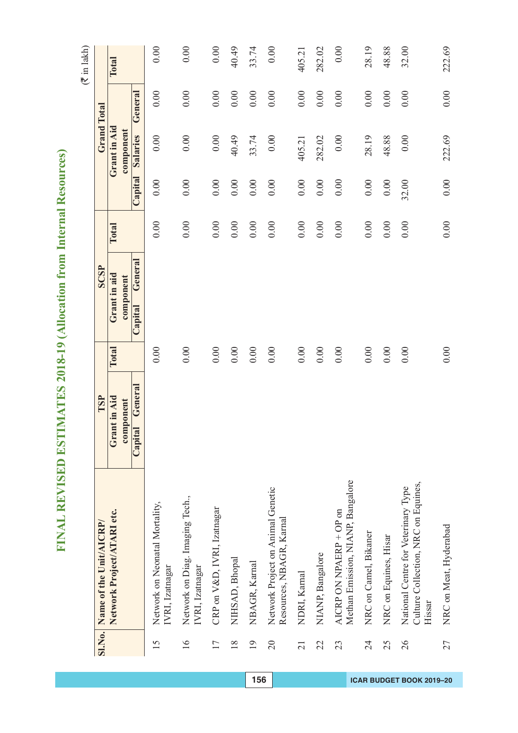| l                   |
|---------------------|
| I                   |
| ŀ<br>ł              |
|                     |
| Ī.                  |
| ż                   |
| Ó                   |
|                     |
| ļ                   |
|                     |
| Ì<br>l              |
|                     |
| l<br>Í              |
| ĺ<br>֕              |
| Ć                   |
| Į                   |
| ı                   |
| ۱<br>֚֘֝֬           |
|                     |
| Ì<br>İ              |
| ć                   |
| 5                   |
| ŀ<br>l<br>¢         |
| í                   |
| i                   |
| í<br>l<br>١         |
| Í                   |
| ļ<br>١              |
| I                   |
| Ċ<br>ì              |
| I<br>j              |
|                     |
| i                   |
| Í<br>ł              |
|                     |
|                     |
|                     |
| $\bullet$           |
| t                   |
| ï<br>Ï              |
| 0<br>١              |
| t<br>۳              |
| ć                   |
|                     |
| Ĉ<br>J              |
| I                   |
|                     |
|                     |
| í                   |
| ۱                   |
|                     |
| ۱<br>ŀ              |
|                     |
| I<br>l              |
|                     |
| j<br>l              |
| Ì<br>Į              |
|                     |
| ׀                   |
|                     |
| ļ<br>l              |
|                     |
| l                   |
| ļ<br>$\overline{2}$ |
| I<br>E              |
| l                   |
|                     |
|                     |
| ļ                   |
| ļ<br>Ę              |
|                     |
| l<br>ŀ              |
| Í<br>ł              |
| l                   |
| ı                   |
| ĺ<br>Í<br>ļ         |

|                 | SI.No. Name of the Unit/AICRP/                                                       | TSP                |       | SCSP               |       |                |              | <b>Grand Total</b> |        |
|-----------------|--------------------------------------------------------------------------------------|--------------------|-------|--------------------|-------|----------------|--------------|--------------------|--------|
|                 | Network Project/ATARI etc.                                                           | Grant in Aid       | Total | Grant in aid       | Total |                | Grant in Aid |                    | Total  |
|                 |                                                                                      | component          |       | component          |       |                | component    |                    |        |
|                 |                                                                                      | General<br>Capital |       | General<br>Capital |       | <b>Capital</b> | Salaries     | General            |        |
| 15              | Network on Neonatal Mortality,<br>IVRI, Izatnagar                                    |                    | 0.00  |                    | 0.00  | 0.00           | 0.00         | 0.00               | 0.00   |
| $\overline{16}$ | Network on Diag. Imaging Tech.,<br>IVRI, Izatnagar                                   |                    | 0.00  |                    | 0.00  | 0.00           | 0.00         | 0.00               | 0.00   |
| 17              | CRP on V&D, IVRI, Izatnagar                                                          |                    | 0.00  |                    | 0.00  | $0.00\,$       | 0.00         | 0.00               | 0.00   |
| $\frac{8}{18}$  | NIHSAD, Bhopal                                                                       |                    | 0.00  |                    | 0.00  | 0.00           | 40.49        | 0.00               | 40.49  |
| 19              | NBAGR, Karnal                                                                        |                    | 0.00  |                    | 0.00  | 0.00           | 33.74        | 0.00               | 33.74  |
| 20              | Network Project on Animal Genetic<br>Resources, NBAGR, Karnal                        |                    | 0.00  |                    | 0.00  | 0.00           | 0.00         | 0.00               | 0.00   |
| $\overline{21}$ | NDRI, Kamal                                                                          |                    | 0.00  |                    | 0.00  | 0.00           | 405.21       | 0.00               | 405.21 |
| 22              | NIANP, Bangalore                                                                     |                    | 0.00  |                    | 0.00  | 0.00           | 282.02       | 0.00               | 282.02 |
| 23              | Methan Emission, NIANP, Bangalore<br>AICRP ON NPAERP + OP on                         |                    | 0.00  |                    | 0.00  | 0.00           | 0.00         | 0.00               | 0.00   |
| 24              | NRC on Camel, Bikaner                                                                |                    | 0.00  |                    | 0.00  | $0.00\,$       | 28.19        | 0.00               | 28.19  |
| 25              | NRC on Equines, Hisar                                                                |                    | 0.00  |                    | 0.00  | 0.00           | 48.88        | 0.00               | 48.88  |
| 26              | Culture Collection, NRC on Equines,<br>National Centre for Veterinary Type<br>Hissar |                    | 0.00  |                    | 0.00  | 32.00          | 0.00         | 0.00               | 32.00  |
| 27              | NRC on Meat, Hyderabad                                                               |                    | 0.00  |                    | 0.00  | 0.00           | 222.69       | 0.00               | 222.69 |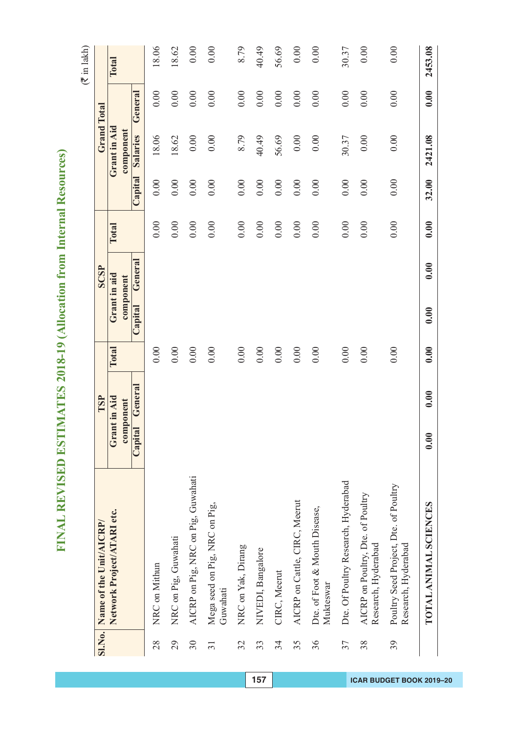| I              |
|----------------|
| Ċ<br>۵         |
| Ġ<br>١         |
| Š              |
| í<br>ŕ         |
| ĺ.             |
| l              |
|                |
| Ó              |
| ł              |
| ļ<br>۱         |
|                |
| í<br>l         |
| Ć              |
| ٦<br>S         |
| í              |
| d              |
|                |
|                |
|                |
| þ              |
|                |
| E              |
| ¢<br>١         |
|                |
| ĥ<br>í<br>¢    |
| į<br>j         |
|                |
| $\blacksquare$ |
| Í<br>١         |
| ⋍<br>Ī.<br>ı   |
| Ì<br>I         |
|                |
|                |
| I              |
|                |
| ſ,<br>I        |
|                |
|                |
|                |
| Θ              |
|                |
|                |
| ŧ<br>t         |
| ì              |
| ∝<br>י         |
| 1              |
| Ĝ<br>b         |
| ť<br>J         |
|                |
| ζ              |
| ℷ              |
|                |
|                |
| ۳              |
| 1              |
| ŀ              |
|                |
| I              |
| I<br>Ξ         |
| ı              |
|                |
| Ì<br>ļ         |
|                |
|                |
|                |
| J<br>I         |
|                |
| l              |
| İ<br>į         |
| 1              |
| ļ              |
| ۱              |
|                |
|                |
| ļ              |
| ۹              |
|                |
| I              |
| Í              |
| ł<br>I         |
| Ź<br>I         |
| ▬              |
| Ξ<br>I         |

|                 | SI.No. Name of the Unit/AICRP/                               | TSP                             |       | <b>SCSP</b>                     |       |          |                              | <b>Grand Total</b> |              |
|-----------------|--------------------------------------------------------------|---------------------------------|-------|---------------------------------|-------|----------|------------------------------|--------------------|--------------|
|                 |                                                              |                                 |       |                                 |       |          |                              |                    |              |
|                 | Network Project/ATARI etc.                                   | Grant in Aid                    | Total | Grant in aid                    | Total |          | Grant in Aid                 |                    | <b>Total</b> |
|                 |                                                              | General<br>component<br>Capital |       | General<br>component<br>Capital |       | Capital  | component<br><b>Salaries</b> | General            |              |
| 28              | NRC on Mithun                                                |                                 | 0.00  |                                 | 0.00  | $0.00\,$ | 18.06                        | 0.00               | 18.06        |
| 29              | NRC on Pig, Guwahati                                         |                                 | 0.00  |                                 | 0.00  | 0.00     | 18.62                        | 0.00               | 18.62        |
| 30              | AICRP on Pig, NRC on Pig, Guwahati                           |                                 | 0.00  |                                 | 0.00  | 0.00     | 0.00                         | 0.00               | 0.00         |
| $\overline{31}$ | Mega seed on Pig, NRC on Pig,<br>Guwahati                    |                                 | 0.00  |                                 | 0.00  | 0.00     | 0.00                         | 0.00               | 0.00         |
| 32              | NRC on Yak, Dirang                                           |                                 | 0.00  |                                 | 0.00  | 0.00     | 8.79                         | 0.00               | 8.79         |
| 33              | NIVEDI, Bangalore                                            |                                 | 0.00  |                                 | 0.00  | 0.00     | 40.49                        | 0.00               | 40.49        |
| 34              | CIRC, Meerut                                                 |                                 | 0.00  |                                 | 0.00  | 0.00     | 56.69                        | 0.00               | 56.69        |
| 35              | AICRP on Cattle, CIRC, Meerut                                |                                 | 0.00  |                                 | 0.00  | 0.00     | 0.00                         | 0.00               | 0.00         |
| 36              | Dte. of Foot & Mouth Disease,<br>Mukteswar                   |                                 | 0.00  |                                 | 0.00  | 0.00     | 0.00                         | 0.00               | 0.00         |
| 37              | Dte. Of Poultry Research, Hyderabad                          |                                 | 0.00  |                                 | 0.00  | 0.00     | 30.37                        | 0.00               | 30.37        |
| 38              | AICRP on Poultry, Dte. of Poultry<br>Research, Hyderabad     |                                 | 0.00  |                                 | 0.00  | 0.00     | 0.00                         | 0.00               | 0.00         |
| 39              | Poultry Seed Project, Dte. of Poultry<br>Research, Hyderabad |                                 | 0.00  |                                 | 0.00  | 0.00     | 0.00                         | 0.00               | 0.00         |
|                 | TOTAL ANIMAL SCIENCES                                        | 0.00<br>0.00                    | 0.00  | 0.00<br>0.00                    | 0.00  | 32.00    | 2421.08                      | 0.00               | 2453.08      |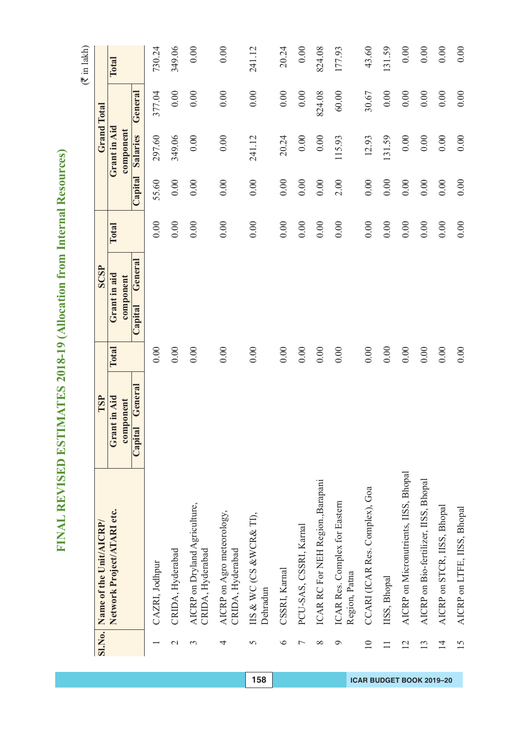# FINAL REVISED ESTIMATES 2018-19 (Allocation from Internal Resources) **FINAL REVISED ESTIMATES 2018-19 (Allocation from Internal Resources)**

 $(\overline{\mathfrak{F}}$  in lakh)

| <b>SI.No.</b>   | Name of the Unit/AICRP/                           | TSP                       |       | SCSP                      |       |          | <b>Grand Total</b>        |         |        |
|-----------------|---------------------------------------------------|---------------------------|-------|---------------------------|-------|----------|---------------------------|---------|--------|
|                 | Network Project/ATARI etc.                        | Grant in Aid<br>component | Total | Grant in aid<br>component | Total |          | Grant in Aid<br>component |         | Total  |
|                 |                                                   | General<br>Capital        |       | General<br>Capital        |       | Capital  | Salaries                  | General |        |
|                 | CAZRI, Jodhpur                                    |                           | 0.00  |                           | 0.00  | 55.60    | 297.60                    | 377.04  | 730.24 |
| $\mathcal{L}$   | CRIDA, Hyderabad                                  |                           | 0.00  |                           | 0.00  | 0.00     | 349.06                    | 0.00    | 349.06 |
| 3               | AICRP on Dryland Agriculture,<br>CRIDA, Hyderabad |                           | 0.00  |                           | 0.00  | 0.00     | 0.00                      | 0.00    | 0.00   |
| 4               | AICRP on Agro meteorology,<br>CRIDA, Hyderabad    |                           | 0.00  |                           | 0.00  | 0.00     | 0.00                      | 0.00    | 0.00   |
| 5               | IIS & WC(CS & WCR& TI),<br>Dehradun               |                           | 0.00  |                           | 0.00  | 0.00     | 241.12                    | 0.00    | 241.12 |
| $\circ$         | CSSRI, Karnal                                     |                           | 0.00  |                           | 0.00  | 0.00     | 20.24                     | 0.00    | 20.24  |
| ↽               | PCU-SAS, CSSRI, Karnal                            |                           | 0.00  |                           | 0.00  | 0.00     | 0.00                      | 0.00    | 0.00   |
| $\infty$        | ICAR RC For NEH Region., Barapani                 |                           | 0.00  |                           | 0.00  | 0.00     | 0.00                      | 824.08  | 824.08 |
| ᢦ               | ICAR Res. Complex for Eastern<br>Region, Patna    |                           | 0.00  |                           | 0.00  | 2.00     | 115.93                    | 60.00   | 177.93 |
| $\overline{10}$ | CCARI (ICAR Res. Complex), Goa                    |                           | 0.00  |                           | 0.00  | 0.00     | 12.93                     | 30.67   | 43.60  |
|                 | IISS, Bhopal                                      |                           | 0.00  |                           | 0.00  | 0.00     | 131.59                    | 0.00    | 131.59 |
| 12              | AICRP on Micronutrients, IISS, Bhopal             |                           | 0.00  |                           | 0.00  | $0.00\,$ | $0.00\,$                  | 0.00    | 0.00   |
| 13              | AICRP on Bio-fertilizer, IISS, Bhopal             |                           | 0.00  |                           | 0.00  | 0.00     | $0.00\,$                  | 0.00    | 0.00   |
| $\overline{14}$ | AICRP on STCR, IISS, Bhopal                       |                           | 0.00  |                           | 0.00  | 0.00     | 0.00                      | 0.00    | 0.00   |
| $\overline{15}$ | AICRP on LTFE, IISS, Bhopal                       |                           | 0.00  |                           | 0.00  | 0.00     | 0.00                      | 0.00    | 0.00   |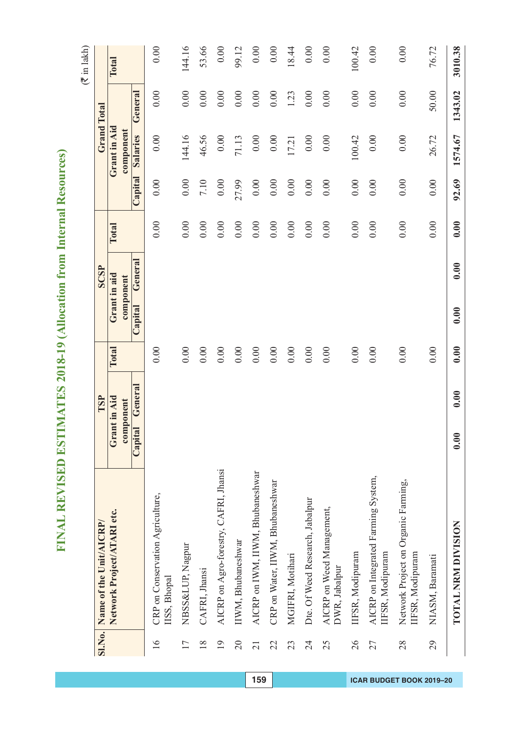| ¢<br>١<br>Ć<br>I<br>J<br>í<br>ſ |
|---------------------------------|
| Ì<br>l                          |
| í<br>Í<br>١<br>ł<br>Į<br>İ<br>I |
|                                 |
| i<br>I<br>Í<br>١<br>í<br>t      |
| l                               |
| Í<br>ï<br>I                     |
| I                               |
| I<br>j.<br>ı<br>I               |
|                                 |
|                                 |
| ۱<br>I                          |
| ¢<br>J                          |
| 1<br>Í,<br>¢<br>ś               |
| ĺ<br>J                          |
| l<br>Į                          |
|                                 |
| ί                               |
| 1                               |
| l<br>ľ                          |
| I<br>Í                          |
| İ                               |
| l                               |
| I                               |
|                                 |
| l<br>l<br>l                     |
| Ì                               |
| 1                               |
| J                               |
|                                 |
| l<br>ί                          |
| I                               |
| j                               |
| l                               |
| I<br>Í                          |
| í                               |

|                 | SI.No. Name of the Unit/AICRP/                          | TSP                |       | SCSP               |              |          |              | <b>Grand Total</b> |         |
|-----------------|---------------------------------------------------------|--------------------|-------|--------------------|--------------|----------|--------------|--------------------|---------|
|                 | Network Project/ATARI etc.                              | Grant in Aid       | Total | Grant in aid       | <b>Total</b> |          | Grant in Aid |                    | Total   |
|                 |                                                         | component          |       | component          |              |          | component    |                    |         |
|                 |                                                         | General<br>Capital |       | General<br>Capital |              | Capital  | Salaries     | General            |         |
| $\overline{16}$ | CRP on Conservation Agriculture,<br>IISS, Bhopal        |                    | 0.00  |                    | 0.00         | 0.00     | 0.00         | 0.00               | 0.00    |
| 17              | NBSS&LUP, Nagpur                                        |                    | 0.00  |                    | 0.00         | 0.00     | 144.16       | 0.00               | 144.16  |
| 18              | CAFRI, Jhansi                                           |                    | 0.00  |                    | 0.00         | 7.10     | 46.56        | 0.00               | 53.66   |
| $\overline{19}$ | AICRP on Agro-forestry, CAFRI, Jhansi                   |                    | 0.00  |                    | 0.00         | 0.00     | 0.00         | 0.00               | 0.00    |
| $\overline{20}$ | IIWM, Bhubaneshwar                                      |                    | 0.00  |                    | 0.00         | 27.99    | 71.13        | 0.00               | 99.12   |
| $\overline{21}$ | AICRP on IWM, IIWM, Bhubaneshwar                        |                    | 0.00  |                    | 0.00         | $0.00\,$ | $0.00\,$     | 0.00               | 0.00    |
| 22              | CRP on Water, IIWM, Bhubaneshwar                        |                    | 0.00  |                    | 0.00         | 0.00     | 0.00         | 0.00               | 0.00    |
| 23              | MGIFRI, Motihari                                        |                    | 0.00  |                    | $0.00\,$     | 0.00     | 17.21        | 1.23               | 18.44   |
| 24              | Dte. Of Weed Research, Jabalpur                         |                    | 0.00  |                    | 0.00         | 0.00     | $0.00\,$     | 0.00               | 0.00    |
| 25              | AICRP on Weed Management,<br>DWR, Jabalpur              |                    | 0.00  |                    | 0.00         | 0.00     | 0.00         | 0.00               | 0.00    |
| 26              | IIFSR, Modipuram                                        |                    | 0.00  |                    | 0.00         | 0.00     | 100.42       | 0.00               | 100.42  |
| 27              | AICRP on Integrated Farming System,<br>IIFSR, Modipuram |                    | 0.00  |                    | 0.00         | 0.00     | 0.00         | 0.00               | 0.00    |
| 28              | Network Project on Organic Farming,<br>IIFSR, Modipuram |                    | 0.00  |                    | 0.00         | 0.00     | 0.00         | 0.00               | 0.00    |
| 29              | NIASM, Baramati                                         |                    | 0.00  |                    | 0.00         | 0.00     | 26.72        | 50.00              | 76.72   |
|                 | TOTAL NRM DIVISION                                      | 0.00<br>0.00       | 0.00  | 0.00<br>0.00       | 0.00         | 92.69    | 1574.67      | 1343.02            | 3010.38 |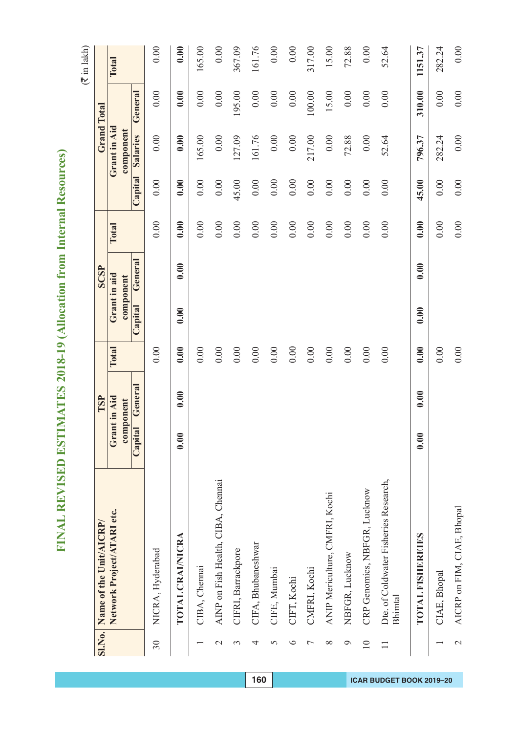| ž               |
|-----------------|
| ¢<br>Í          |
| é<br>J          |
|                 |
|                 |
| I               |
| ı               |
| İ               |
| l               |
| l               |
| ľ<br>۱          |
|                 |
| I               |
| é<br>I          |
| ĺ<br>í          |
| ĺ               |
| I<br>d<br>١     |
| à               |
| í               |
| İ<br>Í          |
| þ<br>Í<br>í     |
|                 |
| İ               |
| S<br>C<br>١     |
|                 |
| ۱<br>Í<br>ę     |
| ł<br>í,         |
| l               |
| l               |
| ¢<br>١          |
| Í<br>i<br>١     |
| ı               |
| ť               |
| Ć<br>ì          |
| ١<br>I          |
| ļ               |
| í<br>d          |
|                 |
| I               |
|                 |
|                 |
|                 |
|                 |
| t               |
|                 |
| 0<br>١          |
| Ι<br>ī          |
| ١               |
|                 |
| $\epsilon$<br>J |
|                 |
| ζ<br>2          |
| Ì<br>ļ          |
|                 |
| í               |
| 1               |
| I               |
|                 |
| ļ               |
| ŀ<br>Í          |
| Í               |
|                 |
| Ì<br>2          |
|                 |
| l<br>l          |
|                 |
| ļ<br>ì          |
|                 |
| l               |
| İ<br>Ì          |
| l               |
| l               |
| J               |
|                 |
| ļ               |
|                 |
| I<br>I          |
|                 |
| l<br>I          |
| í               |
| I<br>l          |
| ٢<br>ĺ          |
|                 |
| ⋚<br>Ξ<br>ļ     |

|                 | SI.No. Name of the Unit/AICRP/                   |                           | TSP     |          |                           | SCSP    |          |          | <b>Grand Total</b>        |          |         |
|-----------------|--------------------------------------------------|---------------------------|---------|----------|---------------------------|---------|----------|----------|---------------------------|----------|---------|
|                 | Network Project/ATARI etc.                       | Grant in Aid<br>component |         | Total    | Grant in aid<br>component |         | Total    |          | Grant in Aid<br>component |          | Total   |
|                 |                                                  | Capital                   | General |          | Capital                   | General |          | Capital  | Salaries                  | General  |         |
| 30 <sub>o</sub> | NICRA, Hyderabad                                 |                           |         | 0.00     |                           |         | 0.00     | 0.00     | 0.00                      | 0.00     | 0.00    |
|                 | TOTAL CRAINICRA                                  | 0.00                      | 0.00    | 0.00     | 0.00                      | 0.00    | 0.00     | 0.00     | 0.00                      | 0.00     | 0.00    |
|                 | CIBA, Chemai                                     |                           |         | 0.00     |                           |         | 0.00     | 0.00     | 165.00                    | 0.00     | 165.00  |
| $\mathbf 2$     | AINP on Fish Health, CIBA, Chennai               |                           |         | 0.00     |                           |         | 0.00     | 0.00     | $0.00\,$                  | 0.00     | 0.00    |
| $\epsilon$      | CIFRI, Barrackpore                               |                           |         | 0.00     |                           |         | 0.00     | 45.00    | 127.09                    | 195.00   | 367.09  |
| 4               | CIFA, Bhubaneshwar                               |                           |         | 0.00     |                           |         | 0.00     | 0.00     | 161.76                    | 0.00     | 161.76  |
| 5               | CIFE, Mumbai                                     |                           |         | 0.00     |                           |         | 0.00     | 0.00     | $0.00\,$                  | 0.00     | 0.00    |
| $\circ$         | CIFT, Kochi                                      |                           |         | 0.00     |                           |         | 0.00     | 0.00     | 0.00                      | $0.00\,$ | 0.00    |
| ⊢               | CMFRI, Kochi                                     |                           |         | 0.00     |                           |         | $0.00\,$ | $0.00\,$ | 217.00                    | 100.00   | 317.00  |
| $\infty$        | ANIP Mericulture, CMFRI, Kochi                   |                           |         | 0.00     |                           |         | $0.00\,$ | 0.00     | $0.00\,$                  | 15.00    | 15.00   |
| Ó               | NBFGR, Lucknow                                   |                           |         | $0.00\,$ |                           |         | $0.00\,$ | $0.00\,$ | 72.88                     | $0.00\,$ | 72.88   |
| $\overline{10}$ | CRP Genomics, NBFGR, Lucknow                     |                           |         | 0.00     |                           |         | 0.00     | 0.00     | 0.00                      | 0.00     | 0.00    |
|                 | Dte. of Coldwater Fisheries Research,<br>Bhimtal |                           |         | 0.00     |                           |         | 0.00     | 0.00     | 52.64                     | 0.00     | 52.64   |
|                 | TOTAL FISHEREIES                                 | 0.00                      | 0.00    | 0.00     | 0.00                      | 0.00    | 0.00     | 45.00    | 796.37                    | 310.00   | 1151.37 |
|                 | CIAE, Bhopal                                     |                           |         | $0.00\,$ |                           |         | 0.00     | $0.00\,$ | 282.24                    | 0.00     | 282.24  |
| $\mathbf{C}$    | AICRP on FIM, CIAE, Bhopal                       |                           |         | 0.00     |                           |         | 0.00     | 0.00     | 0.00                      | 0.00     | 0.00    |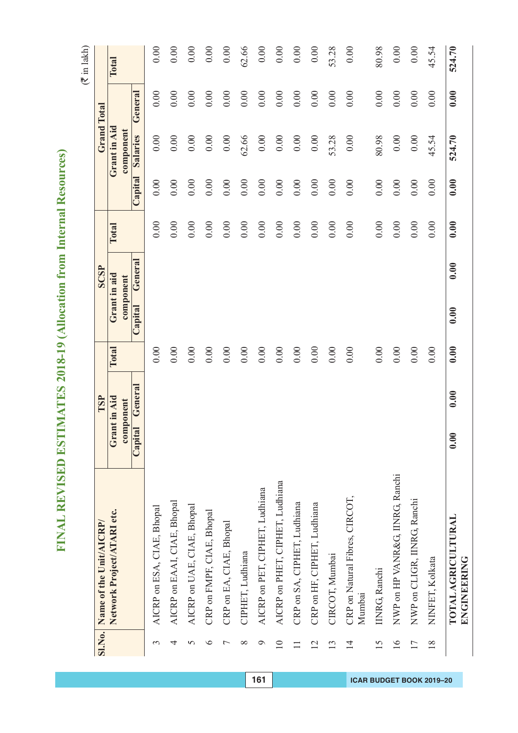| J           |
|-------------|
| ١           |
| ¢           |
| é           |
|             |
|             |
| l           |
| l           |
| İ           |
|             |
| l           |
|             |
| ļ<br>l      |
|             |
| ī           |
| ĺ           |
|             |
| İ           |
| ĺ<br>Í      |
| l<br>ì      |
|             |
|             |
| İ           |
| ŀ<br>Ξ      |
|             |
|             |
| S<br>C<br>١ |
| ׇ֘֝֕֡       |
|             |
| í<br>Í      |
| ę<br>ŧ<br>í |
|             |
| 1<br>l      |
|             |
| ¢<br>١      |
| i<br>í      |
| ı           |
| ť           |
| l           |
|             |
| I           |
|             |
| ļ           |
| 1           |
| I           |
|             |
|             |
|             |
|             |
|             |
| ţ           |
|             |
| )<br>ŋ      |
|             |
| Ι           |
| ١           |
|             |
| j<br>l      |
|             |
| Ì           |
|             |
| ļ           |
|             |
| l           |
| l           |
|             |
| l           |
|             |
|             |
| ļ           |
|             |
| Í           |
|             |
| Ì           |
|             |
| I           |
|             |
| l           |
| I           |
|             |
|             |
| Ì           |
| l           |
| I           |
| J           |
|             |
|             |
| ļ           |
| ļ           |
| l           |
|             |
| I           |
| í           |
| I           |
| I           |
| l           |
| E<br>į      |
| I<br>j<br>f |

|                 | SI.No. Name of the Unit/AICRP/           |                           | TSP     |          | SCSP                      |       |         | <b>Grand Total</b>        |         |        |
|-----------------|------------------------------------------|---------------------------|---------|----------|---------------------------|-------|---------|---------------------------|---------|--------|
|                 | Network Project/ATARI etc.               | Grant in Aid<br>component |         | Total    | Grant in aid<br>component | Total |         | Grant in Aid<br>component |         | Total  |
|                 |                                          | Capital                   | General |          | General<br>Capital        |       | Capital | Salaries                  | General |        |
| 3               | AICRP on ESA, CIAE, Bhopal               |                           |         | 0.00     |                           | 0.00  | 0.00    | 0.00                      | 0.00    | 0.00   |
| 4               | AICRP on EAAI, CIAE, Bhopal              |                           |         | 0.00     |                           | 0.00  | 0.00    | 0.00                      | 0.00    | 0.00   |
| 5               | AICRP on UAE, CIAE, Bhopal               |                           |         | 0.00     |                           | 0.00  | 0.00    | 0.00                      | 0.00    | 0.00   |
| $\circ$         | CRP on FMPF, CIAE, Bhopal                |                           |         | 0.00     |                           | 0.00  | 0.00    | 0.00                      | 0.00    | 0.00   |
| Γ               | CRP on EA, CIAE, Bhopal                  |                           |         | 0.00     |                           | 0.00  | 0.00    | $0.00\,$                  | 0.00    | 0.00   |
| ${}^{\infty}$   | CIPHET, Ludhiana                         |                           |         | $0.00\,$ |                           | 0.00  | 0.00    | 62.66                     | 0.00    | 62.66  |
| $\circ$         | AICRP on PET, CIPHET, Ludhiana           |                           |         | 0.00     |                           | 0.00  | 0.00    | 0.00                      | 0.00    | 0.00   |
| $\overline{10}$ | AICRP on PHET, CIPHET, Ludhiana          |                           |         | 0.00     |                           | 0.00  | 0.00    | 0.00                      | 0.00    | 0.00   |
|                 | CRP on SA, CIPHET, Ludhiana              |                           |         | 0.00     |                           | 0.00  | 0.00    | 0.00                      | 0.00    | 0.00   |
| $\overline{2}$  | CRP on HF, CIPHET, Ludhiana              |                           |         | $0.00\,$ |                           | 0.00  | 0.00    | 0.00                      | 0.00    | 0.00   |
| $\overline{13}$ | CIRCOT, Mumbai                           |                           |         | $0.00\,$ |                           | 0.00  | 0.00    | 53.28                     | 0.00    | 53.28  |
| $\overline{1}$  | CRP on Natural Fibres, CIRCOT,<br>Mumbai |                           |         | 0.00     |                           | 0.00  | 0.00    | 0.00                      | 0.00    | 0.00   |
| 15              | <b>IINRG, Ranchi</b>                     |                           |         | 0.00     |                           | 0.00  | 0.00    | 80.98                     | 0.00    | 80.98  |
| $\frac{6}{1}$   | NWP on HP VANR&G, IINRG, Ranchi          |                           |         | $0.00\,$ |                           | 0.00  | 0.00    | $0.00\,$                  | 0.00    | 0.00   |
| 17              | NWP on CLIGR, IINRG, Ranchi              |                           |         | 0.00     |                           | 0.00  | 0.00    | 0.00                      | 0.00    | 0.00   |
| $\frac{8}{18}$  | NINFET, Kolkata                          |                           |         | 0.00     |                           | 0.00  | 0.00    | 45.54                     | 0.00    | 45.54  |
|                 | TOTAL AGRICULTURAL<br>ENGINEERING        | 0.00                      | 0.00    | 0.00     | 0.00<br>0.00              | 0.00  | 0.00    | 524.70                    | 0.00    | 524.70 |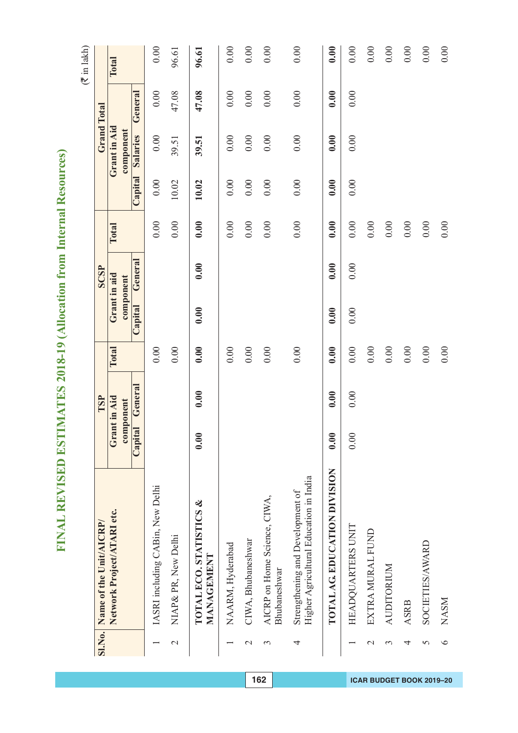| ž                           |
|-----------------------------|
| ¢<br>Í                      |
| é<br>١                      |
|                             |
|                             |
|                             |
| l                           |
| İ                           |
| l                           |
| l                           |
| ľ<br>l                      |
|                             |
| ī                           |
| l<br>١                      |
| İ<br>í                      |
| ĺ                           |
| Í<br>l<br>١                 |
| ì                           |
| í                           |
| İ<br>֡֡֡֡֡֡֡                |
| ŀ<br>Í<br>í                 |
|                             |
| $\mathbf{r}$<br>C<br>C<br>C |
| ١                           |
|                             |
| ŀ<br>Í<br>ę                 |
| ŧ<br>۱                      |
|                             |
| 1<br>l                      |
| ¢<br>١                      |
| i<br>Í                      |
| ı                           |
| ť                           |
| l                           |
| I<br>)                      |
| ļ                           |
| Í                           |
|                             |
| I                           |
|                             |
|                             |
|                             |
|                             |
| ţ                           |
|                             |
| 0<br>١                      |
| Ι<br>ī                      |
| ١                           |
|                             |
| ć<br>Į                      |
|                             |
| ļ<br>į                      |
| ļ                           |
|                             |
| Í                           |
| 1                           |
| I                           |
|                             |
| ļ                           |
| j<br>۱                      |
| Í                           |
|                             |
| l<br>2                      |
|                             |
| Į                           |
|                             |
| ļ<br>ì                      |
|                             |
| j                           |
| İ<br>Ì                      |
| l                           |
| l                           |
| l                           |
|                             |
|                             |
| ļ                           |
| ļ<br>ł                      |
|                             |
| I                           |
| í                           |
| ł<br>I                      |
| ۹<br>I                      |
|                             |
| ŀ<br>=<br>Ξ<br>I            |

|                | SI.No. Name of the Unit/AICRP/                                             |               | TSP          |          |         | <b>SCSP</b>  |       |          |              | <b>Grand Total</b> |       |
|----------------|----------------------------------------------------------------------------|---------------|--------------|----------|---------|--------------|-------|----------|--------------|--------------------|-------|
|                | Network Project/ATARI etc.                                                 |               | Grant in Aid | Total    |         | Grant in aid | Total |          | Grant in Aid |                    | Total |
|                |                                                                            | $\frac{1}{2}$ | ponent       |          |         | component    |       |          | component    |                    |       |
|                |                                                                            | Capital       | General      |          | Capital | General      |       | Capital  | Salaries     | General            |       |
|                | IASRI including CABin, New Delhi                                           |               |              | 0.00     |         |              | 0.00  | 0.00     | 0.00         | 0.00               | 0.00  |
| $\mathcal{L}$  | NIAP & PR, New Delhi                                                       |               |              | 0.00     |         |              | 0.00  | 10.02    | 39.51        | 47.08              | 96.61 |
|                | TOTAL ECO. STATISTICS &<br>MANAGEMENT                                      | 0.00          | 0.00         | 0.00     | 0.00    | 0.00         | 0.00  | 10.02    | 39.51        | 47.08              | 96.61 |
|                | NAARM, Hyderabad                                                           |               |              | 0.00     |         |              | 0.00  | $0.00\,$ | 0.00         | 0.00               | 0.00  |
| $\mathcal{C}$  | CIWA, Bhubaneshwar                                                         |               |              | 0.00     |         |              | 0.00  | $0.00\,$ | 0.00         | $0.00\,$           | 0.00  |
| 3              | AICRP on Home Science, CIWA,<br>Bhubaneshwar                               |               |              | 0.00     |         |              | 0.00  | 0.00     | 0.00         | 0.00               | 0.00  |
| 4              | Higher Agricultural Education in India<br>Strengthening and Development of |               |              | 0.00     |         |              | 0.00  | 0.00     | 0.00         | 0.00               | 0.00  |
|                | TOTAL AG. EDUCATION DIVISION                                               | 0.00          | 0.00         | 0.00     | 0.00    | 0.00         | 0.00  | 0.00     | 0.00         | 0.00               | 0.00  |
|                | HEADQUARTERS UNIT                                                          | 0.00          | 0.00         | 0.00     | 0.00    | 0.00         | 0.00  | 0.00     | 0.00         | 0.00               | 0.00  |
| $\mathcal{L}$  | EXTRA MURAL FUND                                                           |               |              | $0.00\,$ |         |              | 0.00  |          |              |                    | 0.00  |
| $\mathfrak{c}$ | <b>AUDITORIUM</b>                                                          |               |              | 0.00     |         |              | 0.00  |          |              |                    | 0.00  |
| 4              | <b>ASRB</b>                                                                |               |              | 0.00     |         |              | 0.00  |          |              |                    | 0.00  |
| 5              | SOCIETIES/AWARD                                                            |               |              | 0.00     |         |              | 0.00  |          |              |                    | 0.00  |
| $\circ$        | <b>NASM</b>                                                                |               |              | 0.00     |         |              | 0.00  |          |              |                    | 0.00  |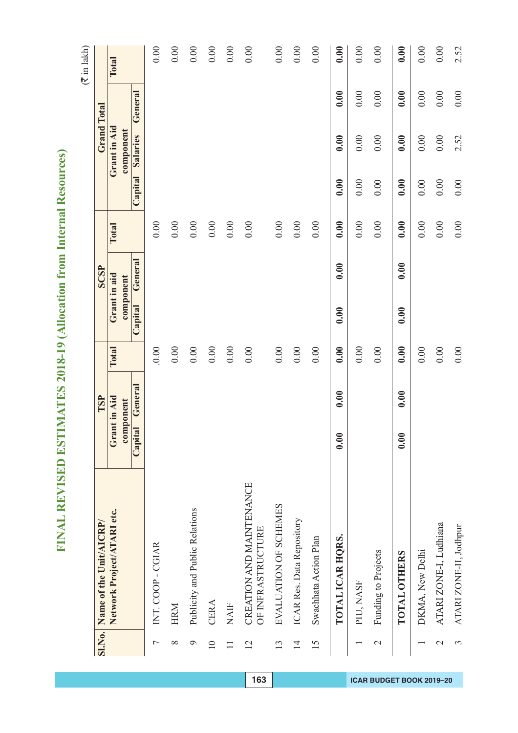|                 |                                               |                           |         |          |                           |         |          |          |                           |         | $(\bar{\tau}$ in lakh) |
|-----------------|-----------------------------------------------|---------------------------|---------|----------|---------------------------|---------|----------|----------|---------------------------|---------|------------------------|
| <b>SI.No.</b>   | Name of the Unit/AICRP/                       |                           | TSP     |          |                           | SCSP    |          |          | <b>Grand Total</b>        |         |                        |
|                 | Network Project/ATARI etc.                    | Grant in Aid<br>component |         | Total    | Grant in aid<br>component |         | Total    |          | Grant in Aid<br>component |         | Total                  |
|                 |                                               | Capital                   | General |          | Capital                   | General |          | Capital  | Salaries                  | General |                        |
| Γ               | INT. COOP - CGIAR                             |                           |         | 0.00     |                           |         | 0.00     |          |                           |         | 0.00                   |
| ${}^{\circ}$    | <b>HRM</b>                                    |                           |         | $0.00\,$ |                           |         | $0.00\,$ |          |                           |         | 0.00                   |
| $\mathcal{Q}$   | Publicity and Public Relations                |                           |         | $0.00\,$ |                           |         | $0.00\,$ |          |                           |         | 0.00                   |
| $\overline{10}$ | CERA                                          |                           |         | $0.00\,$ |                           |         | 0.00     |          |                           |         | 0.00                   |
| $\equiv$        | <b>NAIF</b>                                   |                           |         | $0.00\,$ |                           |         | 0.00     |          |                           |         | 0.00                   |
| 12              | CREATION AND MAINTENANCE<br>OF INFRASTRUCTURE |                           |         | 0.00     |                           |         | 0.00     |          |                           |         | 0.00                   |
| 13              | EVALUATION OF SCHEMES                         |                           |         | $0.00\,$ |                           |         | 0.00     |          |                           |         | 0.00                   |
| $\overline{1}$  | ICAR Res. Data Repository                     |                           |         | $0.00\,$ |                           |         | $0.00\,$ |          |                           |         | 0.00                   |
| 15              | Swachhata Action Plan                         |                           |         | 0.00     |                           |         | 0.00     |          |                           |         | 0.00                   |
|                 | TOTAL ICAR HORS.                              | 0.00                      | 0.00    | 0.00     | 0.00                      | 0.00    | 0.00     | 0.00     | 0.00                      | 0.00    | 0.00                   |
|                 | PIU, NASF                                     |                           |         | 0.00     |                           |         | 0.00     | 0.00     | 0.00                      | 0.00    | 0.00                   |
| $\mathcal{L}$   | Funding to Projects                           |                           |         | 0.00     |                           |         | $0.00\,$ | $0.00\,$ | 0.00                      | 0.00    | 0.00                   |
|                 | <b>TOTAL OTHERS</b>                           | 0.00                      | 0.00    | 0.00     | 0.00                      | 0.00    | 0.00     | 0.00     | 0.00                      | 0.00    | 0.00                   |
|                 | DKMA, New Delhi                               |                           |         | 0.00     |                           |         | 0.00     | 0.00     | $0.00\,$                  | 0.00    | 0.00                   |
| $\mathcal{L}$   | ATARI ZONE-I, Ludhiana                        |                           |         | $0.00\,$ |                           |         | $0.00\,$ | 0.00     | $0.00\,$                  | 0.00    | 0.00                   |
| 3               | ATARI ZONE-II, Jodhpur                        |                           |         | 0.00     |                           |         | $0.00\,$ | 0.00     | 2.52                      | 0.00    | 2.52                   |

FINAL REVISED ESTIMATES 2018-19 (Allocation from Internal Resources) **FINAL REVISED ESTIMATES 2018-19 (Allocation from Internal Resources)**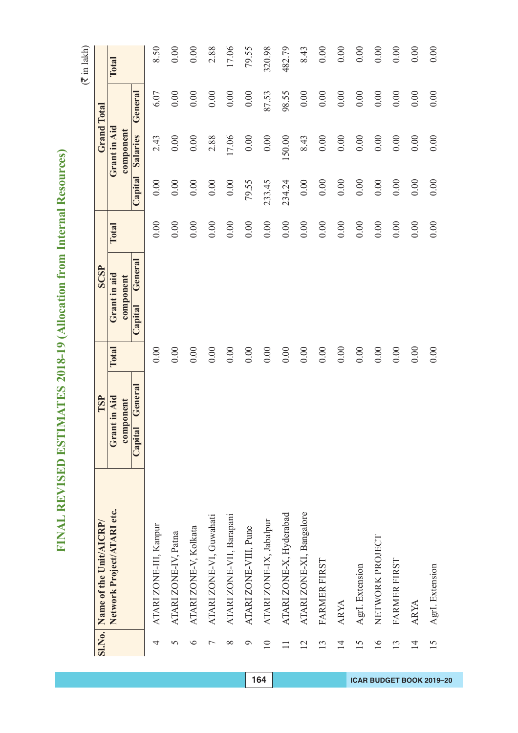# FINAL REVISED ESTIMATES 2018-19 (Allocation from Internal Resources) **FINAL REVISED ESTIMATES 2018-19 (Allocation from Internal Resources)**

|                 | SI.No. Name of the Unit/AICRP/ | TSP                |          | <b>SCSP</b>        |          |         |              | <b>Grand Total</b> |        |
|-----------------|--------------------------------|--------------------|----------|--------------------|----------|---------|--------------|--------------------|--------|
|                 | Network Project/ATARI etc.     | Grant in Aid       | Total    | Grant in aid       | Total    |         | Grant in Aid |                    | Total  |
|                 |                                | component          |          | component          |          |         | component    |                    |        |
|                 |                                | General<br>Capital |          | General<br>Capital |          | Capital | Salaries     | General            |        |
| 4               | ATARI ZONE-III, Kanpur         |                    | 0.00     |                    | 0.00     | 0.00    | 2.43         | 6.07               | 8.50   |
| 5               | ATARI ZONE-IV, Patna           |                    | 0.00     |                    | 0.00     | 0.00    | 0.00         | 0.00               | 0.00   |
| $\bullet$       | ATARI ZONE-V, Kolkata          |                    | 0.00     |                    | 0.00     | 0.00    | 0.00         | 0.00               | 0.00   |
|                 | ATARI ZONE-VI, Guwahati        |                    | 0.00     |                    | 0.00     | 0.00    | 2.88         | 0.00               | 2.88   |
| $\infty$        | ATARI ZONE-VII, Barapani       |                    | 0.00     |                    | 0.00     | 0.00    | 17.06        | 0.00               | 17.06  |
| $\circ$         | ATARI ZONE-VIII, Pune          |                    | 0.00     |                    | 0.00     | 79.55   | 0.00         | 0.00               | 79.55  |
| $\overline{10}$ | ATARI ZONE-IX, Jabalpur        |                    | 0.00     |                    | $0.00\,$ | 233.45  | 0.00         | 87.53              | 320.98 |
|                 | ATARI ZONE-X, Hyderabad        |                    | 0.00     |                    | $0.00\,$ | 234.24  | 150.00       | 98.55              | 482.79 |
| $\overline{2}$  | ATARI ZONE-XI, Bangalore       |                    | 0.00     |                    | $0.00\,$ | 0.00    | 8.43         | 0.00               | 8.43   |
| $\overline{3}$  | FARMER FIRST                   |                    | 0.00     |                    | 0.00     | 0.00    | $0.00\,$     | 0.00               | 0.00   |
| $\overline{4}$  | <b>ARYA</b>                    |                    | $0.00\,$ |                    | 0.00     | 0.00    | 0.00         | 0.00               | 0.00   |
| $\overline{5}$  | AgrI. Extension                |                    | $0.00\,$ |                    | 0.00     | 0.00    | 0.00         | 0.00               | 0.00   |
| $\geq$          | NETWORK PROJECT                |                    | $0.00\,$ |                    | 0.00     | 0.00    | 0.00         | 0.00               | 0.00   |
| 13              | FARMER FIRST                   |                    | $0.00\,$ |                    | 0.00     | 0.00    | 0.00         | 0.00               | 0.00   |
| $\overline{4}$  | <b>ARYA</b>                    |                    | 0.00     |                    | 0.00     | 0.00    | 0.00         | 0.00               | 0.00   |
| 15              | AgrI. Extension                |                    | 0.00     |                    | 0.00     | 0.00    | 0.00         | 0.00               | 0.00   |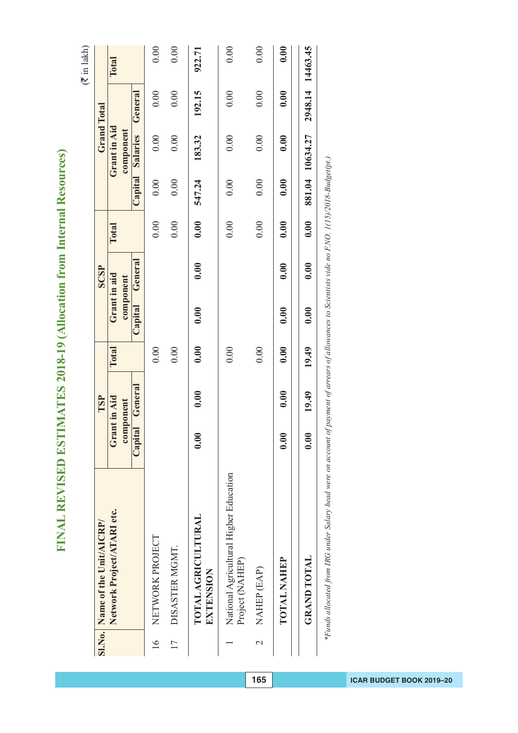| J                        |  |
|--------------------------|--|
| ¢<br>ð                   |  |
| Ġ                        |  |
|                          |  |
|                          |  |
|                          |  |
| I                        |  |
| l                        |  |
| i                        |  |
|                          |  |
|                          |  |
|                          |  |
| ļ                        |  |
|                          |  |
| Ī                        |  |
| I<br>١                   |  |
|                          |  |
| l                        |  |
|                          |  |
| í<br>ì                   |  |
| l<br>۱                   |  |
|                          |  |
|                          |  |
| I                        |  |
| ł                        |  |
|                          |  |
|                          |  |
|                          |  |
| ć<br>í                   |  |
|                          |  |
|                          |  |
| 1<br>ę                   |  |
| İ<br>i                   |  |
|                          |  |
| ŀ<br>1                   |  |
|                          |  |
| Ó<br>١                   |  |
| ١                        |  |
|                          |  |
| I                        |  |
|                          |  |
| Ć<br>١                   |  |
|                          |  |
| I<br>١                   |  |
| ļ                        |  |
|                          |  |
|                          |  |
| ׇ֚֡                      |  |
|                          |  |
|                          |  |
|                          |  |
|                          |  |
|                          |  |
|                          |  |
| ţ<br>ī,                  |  |
| I                        |  |
| Ć<br>J<br>3              |  |
|                          |  |
| ۱                        |  |
| ١<br>¢                   |  |
|                          |  |
| J<br>l                   |  |
|                          |  |
|                          |  |
| $\overline{\mathcal{L}}$ |  |
|                          |  |
| ļ                        |  |
|                          |  |
|                          |  |
|                          |  |
|                          |  |
| ١                        |  |
|                          |  |
|                          |  |
| ļ<br>I                   |  |
|                          |  |
| l<br>I                   |  |
|                          |  |
| j                        |  |
|                          |  |
| I                        |  |
|                          |  |
|                          |  |
|                          |  |
| ļ<br>۱                   |  |
|                          |  |
| į                        |  |
| Ì<br>į                   |  |
|                          |  |
| ļ<br>Í                   |  |
|                          |  |
| j                        |  |
|                          |  |
| ļ                        |  |
| ļ                        |  |
| ļ<br>ł                   |  |
|                          |  |
|                          |  |
| ĺ<br>I                   |  |
| l                        |  |
|                          |  |
| I<br>l                   |  |
|                          |  |
| I                        |  |
| J<br>Í                   |  |
| ż,                       |  |

|                  | SI.No. Name of the Unit/AICRP/                            |                           | TSP     |       |                           | <b>SCSP</b> |       |                |                           | <b>Grand Total</b> |                  |
|------------------|-----------------------------------------------------------|---------------------------|---------|-------|---------------------------|-------------|-------|----------------|---------------------------|--------------------|------------------|
|                  | Network Project/ATARI etc.                                | Grant in Aid<br>component |         | Total | Grant in aid<br>component |             | Total |                | Grant in Aid<br>component |                    | Total            |
|                  |                                                           | Capita                    | General |       | Capital                   | General     |       | <b>Capital</b> | Salaries                  | General            |                  |
| $\frac{6}{1}$    | NETWORK PROJECT                                           |                           |         | 0.00  |                           |             | 0.00  | 0.00           | 0.00                      | 0.00               | 0.00             |
| 17               | DISASTER MGMT.                                            |                           |         | 0.00  |                           |             | 0.00  | 0.00           | 0.00                      | 0.00               | 0.00             |
|                  | <b>TOTAL AGRICULTURAL</b><br>EXTENSION                    | 0.00                      | 0.00    | 0.00  | 0.00                      | 0.00        | 0.00  | 547.24         | 183.32                    | 192.15             | 922.71           |
|                  | National Agricultural Higher Education<br>Project (NAHEP) |                           |         | 0.00  |                           |             | 0.00  | 0.00           | 0.00                      | 0.00               | 0.00             |
| $\mathrel{\sim}$ | NAHEP (EAP)                                               |                           |         | 0.00  |                           |             | 0.00  | 0.00           | 0.00                      | 0.00               | 0.00             |
|                  | <b>TOTAL NAHEP</b>                                        | 0.00                      | 0.00    | 0.00  | 0.00                      | 0.00        | 0.00  | 0.00           | 0.00                      | 0.00               | 0.00             |
|                  | <b>GRAND TOTAL</b>                                        | 0.00                      | 19.49   | 19.49 | 0.00                      | 0.00        | 0.00  |                | 881.04 10634.27           |                    | 2948.14 14463.45 |
|                  |                                                           |                           |         | i.    |                           |             |       |                |                           |                    |                  |

\*Funds allocated from IRG under Salary head were on account of payment of arrears of allowances to Scientists vide no F.NO. 1(15)/2018-Budget(pt.) *\*Funds allocated from IRG under Salary head were on account of payment of arrears of allowances to Scientists vide no F.NO. 1(15)/2018-Budget(pt.)*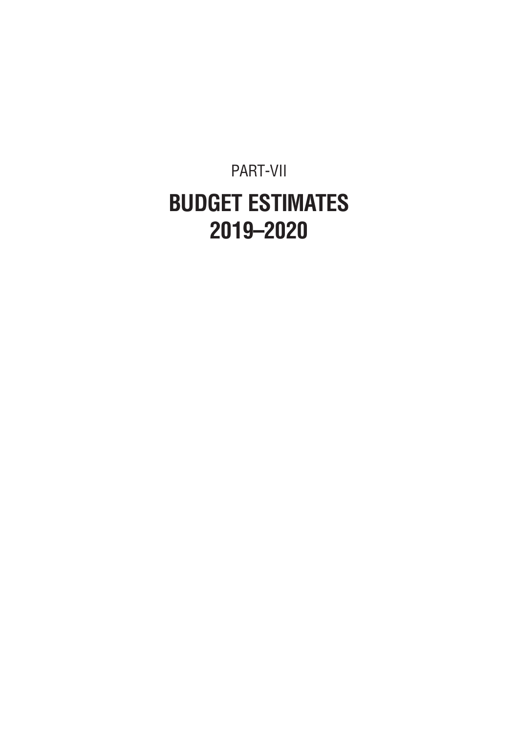#### PART-VII **BUDGET ESTIMATES 2019–2020**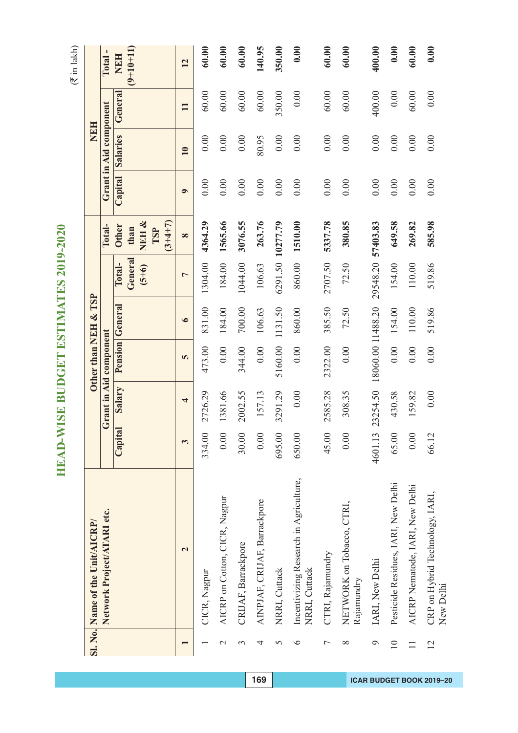$(\overline{\mathfrak{F}}$  in lakh)

**HEAD-WISE BUDGET ESTIMATES 2019-2020**

HEAD-WISE BUDGET ESTIMATES 2019-2020

|                 | Sl. No. Name of the Unit/AICRP/                         |         |          | Other than NEH & TSP   |                        |                    |                                   |           | <b>NEH</b>             |              |             |
|-----------------|---------------------------------------------------------|---------|----------|------------------------|------------------------|--------------------|-----------------------------------|-----------|------------------------|--------------|-------------|
|                 | Network Project/ATARI etc.                              |         |          | Grant in Aid component |                        |                    | Total-                            |           | Grant in Aid component |              | Total-      |
|                 |                                                         | Capital | Salary   |                        | <b>Pension General</b> | Total-             | <b>Other</b>                      |           | Capital Salaries       | General      | <b>NEH</b>  |
|                 |                                                         |         |          |                        |                        | General<br>$(5+6)$ | NEH &<br>$(3+4+7)$<br>than<br>TSP |           |                        |              | $(9+10+11)$ |
|                 | $\overline{\mathbf{C}}$                                 | 3       | 4        | 5                      | $\bullet$              | $\overline{ }$     | $\infty$                          | $\bullet$ | 10                     | $\mathbf{H}$ | 12          |
|                 | CICR, Nagpur                                            | 334.00  | 2726.29  | 473.00                 | 831.00                 | 1304.00            | 4364.29                           | 0.00      | 0.00                   | 60.00        | 60.00       |
| $\mathcal{L}$   | AICRP on Cotton, CICR, Nagpur                           | 0.00    | 1381.66  | 0.00                   | 184.00                 | 184.00             | 1565.66                           | 0.00      | 0.00                   | 60.00        | 60.00       |
| 3               | CRIJAF, Barrackpore                                     | 30.00   | 2002.55  | 344.00                 | 700.00                 | 1044.00            | 3076.55                           | 0.00      | 0.00                   | 60.00        | 60.00       |
| 4               | AINPJAF, CRIJAF, Barrackpore                            | 0.00    | 157.13   | 0.00                   | 106.63                 | 106.63             | 263.76                            | 0.00      | 80.95                  | 60.00        | 140.95      |
| 5               | NRRI, Cuttack                                           | 695.00  | 3291.29  | 5160.00                | 1131.50                |                    | 6291.50 10277.79                  | 0.00      | 0.00                   | 350.00       | 350.00      |
| $\circ$         | Incentivizing Research in Agriculture,<br>NRRI, Cuttack | 650.00  | 0.00     | 0.00                   | 860.00                 | 860.00             | 1510.00                           | 0.00      | 0.00                   | 0.00         | 0.00        |
| $\overline{ }$  | CTRI, Rajamundry                                        | 45.00   | 2585.28  | 2322.00                | 385.50                 | 2707.50            | 5337.78                           | 0.00      | 0.00                   | 60.00        | 60.00       |
| $\infty$        | NETWORK on Tobacco, CTRI,<br>Rajamundry                 | 0.00    | 308.35   | 0.00                   | 72.50                  | 72.50              | 380.85                            | 0.00      | 0.00                   | 60.00        | 60.00       |
| $\circ$         | IARI, New Delhi                                         | 4601.13 | 23254.50 | 18060.00 11488.20      |                        | 29548.20 57403.83  |                                   | 0.00      | 0.00                   | 400.00       | 400.00      |
| $\overline{10}$ | Pesticide Residues, IARI, New Delhi                     | 65.00   | 430.58   | 0.00                   | 154.00                 | 154.00             | 649.58                            | 0.00      | 0.00                   | 0.00         | 0.00        |
|                 | AICRP Nematode, IARI, New Delhi                         | 0.00    | 159.82   | 0.00                   | 110.00                 | 110.00             | 269.82                            | 0.00      | 0.00                   | 60.00        | 60.00       |
| 12              | CRP on Hybrid Technology, IARI,<br>New Delhi            | 66.12   | 0.00     | 0.00                   | 519.86                 | 519.86             | 585.98                            | 0.00      | 0.00                   | 0.00         | 0.00        |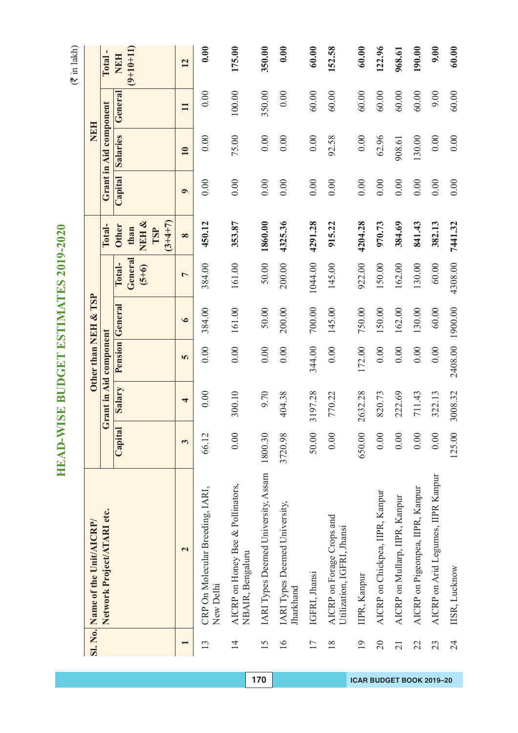|                 | Sl. No. Name of the Unit/AICRP/                         |         |                         | Other than NEH & TSP   |                        |                              |                                                   |           | NEH                    |              |                           |
|-----------------|---------------------------------------------------------|---------|-------------------------|------------------------|------------------------|------------------------------|---------------------------------------------------|-----------|------------------------|--------------|---------------------------|
|                 | Network Project/ATARI etc.                              |         |                         | Grant in Aid component |                        |                              | Total-                                            |           | Grant in Aid component |              | <b>Total</b>              |
|                 |                                                         | Capital | Salary                  |                        | <b>Pension</b> General | General<br>Total-<br>$(5+6)$ | NEH &<br>$(3+4+7)$<br><b>Other</b><br>than<br>TSP | Capital   | <b>Salaries</b>        | General      | $(9+10+11)$<br><b>NEH</b> |
|                 | $\overline{\mathbf{c}}$                                 | 3       | $\overline{\mathbf{r}}$ | 5                      | $\bullet$              | $\overline{ }$               | $\infty$                                          | $\bullet$ | 10                     | $\mathbf{H}$ | 12                        |
| 13              | CRP On Molecular Breeding, IARI,<br>New Delhi           | 66.12   | 0.00                    | 0.00                   | 384.00                 | 384.00                       | 450.12                                            | 0.00      | 0.00                   | 0.00         | 0.00                      |
| $\overline{1}$  | AICRP on Honey Bee & Pollinators,<br>NBAIR, Bengaluru   | 0.00    | 300.10                  | 0.00                   | 161.00                 | 161.00                       | 353.87                                            | 0.00      | 75.00                  | 100.00       | 175.00                    |
| 15              | IARI Types Deemed University, Assam                     | 1800.30 | 9.70                    | 0.00                   | 50.00                  | 50.00                        | 1860.00                                           | 0.00      | 0.00                   | 350.00       | 350.00                    |
| $\geq$          | IARI Types Deemed University,<br>Jharkhand              | 3720.98 | 404.38                  | 0.00                   | 200.00                 | 200.00                       | 4325.36                                           | 0.00      | 0.00                   | 0.00         | 0.00                      |
| 17              | IGFRI, Jhansi                                           | 50.00   | 3197.28                 | 344.00                 | 700.00                 | 1044.00                      | 4291.28                                           | 0.00      | 0.00                   | 60.00        | 60.00                     |
| $\frac{8}{18}$  | AICRP on Forage Crops and<br>Utilization, IGFRI, Jhansi | 0.00    | 770.22                  | 0.00                   | 145.00                 | 145.00                       | 915.22                                            | 0.00      | 92.58                  | 60.00        | 152.58                    |
| 19              | IIPR, Kanpur                                            | 650.00  | 2632.28                 | 172.00                 | 750.00                 | 922.00                       | 4204.28                                           | 0.00      | 0.00                   | 60.00        | 60.00                     |
| $\overline{0}$  | AICRP on Chickpea, IIPR, Kanpur                         | 0.00    | 820.73                  | 0.00                   | 150.00                 | 150.00                       | 970.73                                            | 0.00      | 62.96                  | 60.00        | 122.96                    |
| $\overline{21}$ | AICRP on Mullarp, IIPR, Kanpur                          | 0.00    | 222.69                  | 0.00                   | 162.00                 | 162.00                       | 384.69                                            | 0.00      | 908.61                 | 60.00        | 968.61                    |
| 22              | AICRP on Pigeonpea, IIPR, Kanpur                        | 0.00    | 711.43                  | 0.00                   | 130.00                 | 130.00                       | 841.43                                            | 0.00      | 130.00                 | 60.00        | 190.00                    |
| 23              | AICRP on Arid Legumes, IIPR Kanpur                      | 0.00    | 322.13                  | 0.00                   | 60.00                  | 60.00                        | 382.13                                            | 0.00      | 0.00                   | 9.00         | 0.00                      |
| 24              | IISR, Lucknow                                           | 125.00  | 3008.32                 | 2408.00                | 1900.00                | 4308.00                      | 7441.32                                           | 0.00      | 0.00                   | 60.00        | 60.00                     |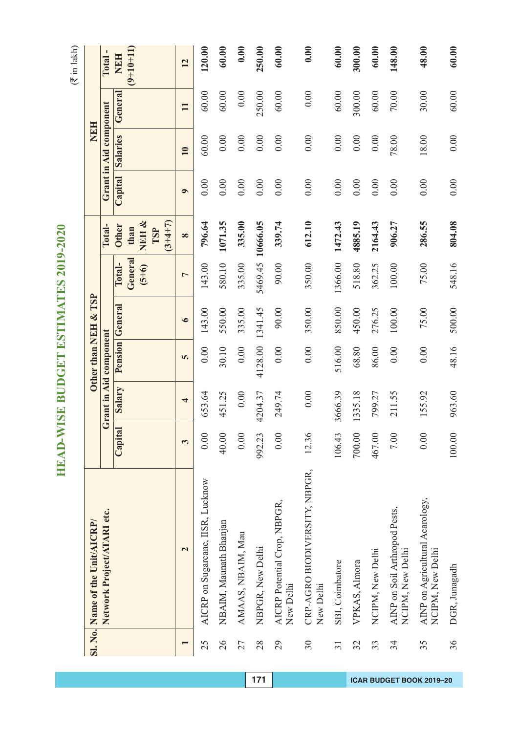$(\overline{\mathfrak{F}}$  in lakh)

|                 | Sl. No. Name of the Unit/AICRP/                     |         |         | Other than NEH & TSP   |                 |                              |                                                  |                  | NEH                    |              |                           |
|-----------------|-----------------------------------------------------|---------|---------|------------------------|-----------------|------------------------------|--------------------------------------------------|------------------|------------------------|--------------|---------------------------|
|                 | Network Project/ATARI etc.                          |         |         | Grant in Aid component |                 |                              | Total-                                           |                  | Grant in Aid component |              | Total-                    |
|                 |                                                     | Capital | Salary  |                        | Pension General | General<br>Total-<br>$(5+6)$ | NEH&<br>$(3+4+7)$<br><b>Other</b><br>than<br>TSP | Capital Salaries |                        | General      | $(9+10+11)$<br><b>NEH</b> |
|                 | $\overline{\mathbf{c}}$                             | 3       | 4       | 5                      | $\bullet$       | $\overline{a}$               | $\infty$                                         | $\bullet$        | $\overline{10}$        | $\mathbf{H}$ | 12                        |
| 25              | AICRP on Sugarcane, IISR, Lucknow                   | 0.00    | 653.64  | 0.00                   | 143.00          | 143.00                       | 796.64                                           | 0.00             | 60.00                  | 60.00        | 120.00                    |
| 26              | NBAIM, Maunath Bhanjan                              | 40.00   | 451.25  | 30.10                  | 550.00          | 580.10                       | 1071.35                                          | 0.00             | 0.00                   | 60.00        | 60.00                     |
| 27              | AMAAS, NBAIM, Mau                                   | 0.00    | 0.00    | 0.00                   | 335.00          | 335.00                       | 335.00                                           | 0.00             | 0.00                   | 0.00         | 0.00                      |
| 28              | NBPGR, New Delhi                                    | 992.23  | 4204.37 | 4128.00                | 1341.45         | 5469.45                      | 10666.05                                         | 0.00             | 0.00                   | 250.00       | 250.00                    |
| 29              | AICRP Potential Crop, NBPGR,<br>New Delhi           | 0.00    | 249.74  | 0.00                   | 90.00           | 90.00                        | 339.74                                           | 0.00             | 0.00                   | 60.00        | 60.00                     |
| 30              | CRP-AGRO BIODIVERSITY, NBPGR,<br>New Delhi          | 12.36   | 0.00    | 0.00                   | 350.00          | 350.00                       | 612.10                                           | 0.00             | 0.00                   | 0.00         | 0.00                      |
| $\overline{31}$ | SBI, Coimbatore                                     | 106.43  | 3666.39 | 516.00                 | 850.00          | 1366.00                      | 1472.43                                          | 0.00             | 0.00                   | 60.00        | 60.00                     |
| 32              | VPKAS, Almora                                       | 700.00  | 1335.18 | 68.80                  | 450.00          | 518.80                       | 4885.19                                          | 0.00             | 0.00                   | 300.00       | 300.00                    |
| 33              | NCIPM, New Delhi                                    | 467.00  | 799.27  | 86.00                  | 276.25          | 362.25                       | 2164.43                                          | 0.00             | 0.00                   | 60.00        | 60.00                     |
| 34              | AINP on Soil Arthropod Pests,<br>NCIPM, New Delhi   | 7.00    | 211.55  | 0.00                   | 100.00          | 100.00                       | 906.27                                           | 0.00             | 78.00                  | $70.00$      | 148.00                    |
| 35              | AINP on Agricultural Acarology,<br>NCIPM, New Delhi | 0.00    | 155.92  | 0.00                   | 75.00           | 75.00                        | 286.55                                           | 0.00             | 18.00                  | 30.00        | 48.00                     |
| 36              | DGR, Junagadh                                       | 100.00  | 963.60  | 48.16                  | 500.00          | 548.16                       | 804.08                                           | 0.00             | 0.00                   | 60.00        | 60.00                     |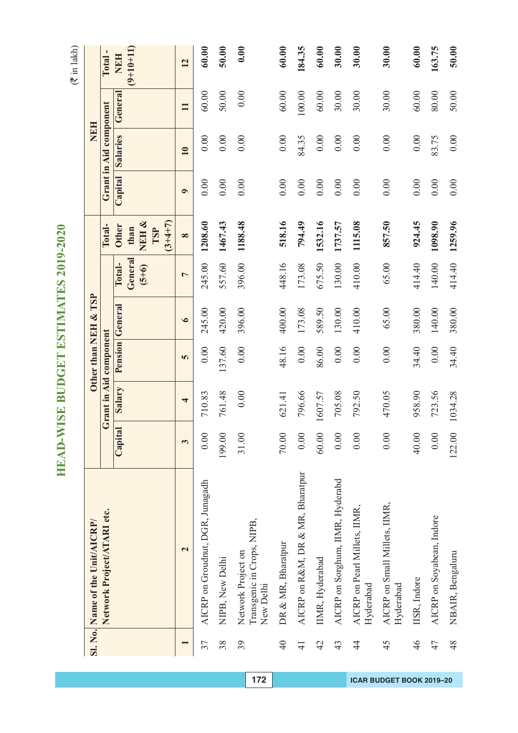|                 | Sl. No. Name of the Unit/AICRP/                               |         |                        | Other than NEH & TSP |                        |                              |                                     |           | NEH                    |              |                           |
|-----------------|---------------------------------------------------------------|---------|------------------------|----------------------|------------------------|------------------------------|-------------------------------------|-----------|------------------------|--------------|---------------------------|
|                 | Network Project/ATARI etc.                                    |         | Grant in Aid component |                      |                        |                              | Total-                              |           | Grant in Aid component |              | Total.                    |
|                 |                                                               | Capital | Salary                 |                      | <b>Pension</b> General | General<br>Total-<br>$(5+6)$ | NEH&<br><b>Other</b><br>than<br>TSP |           | Capital Salaries       | General      | $(9+10+11)$<br><b>NEH</b> |
|                 | $\overline{\mathbf{c}}$                                       | 3       | 4                      | 5                    | $\bullet$              | $\overline{ }$               | $(3+4+7)$<br>$\infty$               | $\bullet$ | $\overline{10}$        | $\mathbf{I}$ | 12                        |
| 37              | AICRP on Groudnut, DGR, Junagadh                              | 0.00    | 710.83                 | 0.00                 | 245.00                 | 245.00                       | 1208.60                             | 0.00      | 0.00                   | 60.00        | 60.00                     |
| 38              | NIPB, New Delhi                                               | 199.00  | 761.48                 | 137.60               | 420.00                 | 557.60                       | 1467.43                             | 0.00      | 0.00                   | 50.00        | 50.00                     |
| 39              | Transgenic in Crops, NIPB,<br>Network Project on<br>New Delhi | 31.00   | 0.00                   | 0.00                 | 396.00                 | 396.00                       | 1188.48                             | 0.00      | 0.00                   | 0.00         | 0.00                      |
| $\overline{40}$ | DR & MR, Bharatpur                                            | 70.00   | 621.41                 | 48.16                | 400.00                 | 448.16                       | 518.16                              | 0.00      | 0.00                   | 60.00        | 60.00                     |
| $\frac{1}{4}$   | AICRP on R&M, DR & MR, Bharatpur                              | 0.00    | 796.66                 | 0.00                 | 173.08                 | 173.08                       | 794.49                              | 0.00      | 84.35                  | 100.00       | 184.35                    |
| $\overline{4}$  | IIMR, Hyderabad                                               | 60.00   | 1607.57                | 86.00                | 589.50                 | 675.50                       | 1532.16                             | 0.00      | 0.00                   | 60.00        | 60.00                     |
| 43              | AICRP on Sorghum, IIMR, Hyderabd                              | 0.00    | 705.08                 | 0.00                 | 130.00                 | 130.00                       | 1737.57                             | 0.00      | 0.00                   | 30.00        | 30.00                     |
| $\frac{4}{3}$   | AICRP on Pearl Millets, IIMR,<br>Hyderabad                    | 0.00    | 792.50                 | 0.00                 | 410.00                 | 410.00                       | 1115.08                             | 0.00      | 0.00                   | 30.00        | 30.00                     |
| 45              | AICRP on Small Millets, IIMR,<br>Hyderabad                    | 0.00    | 470.05                 | 0.00                 | 65.00                  | 65.00                        | 857.50                              | 0.00      | 0.00                   | 30.00        | 30.00                     |
| 46              | IISR, Indore                                                  | 40.00   | 958.90                 | 34.40                | 380.00                 | 414.40                       | 924.45                              | 0.00      | 0.00                   | 60.00        | 60.00                     |
| 47              | AICRP on Soyabean, Indore                                     | 0.00    | 723.56                 | 0.00                 | 140.00                 | 140.00                       | 1098.90                             | 0.00      | 83.75                  | 80.00        | 163.75                    |
| 48              | NBAIR, Bengaluru                                              | 122.00  | 1034.28                | 34.40                | 380.00                 | 414.40                       | 1259.96                             | 0.00      | 0.00                   | 50.00        | 50.00                     |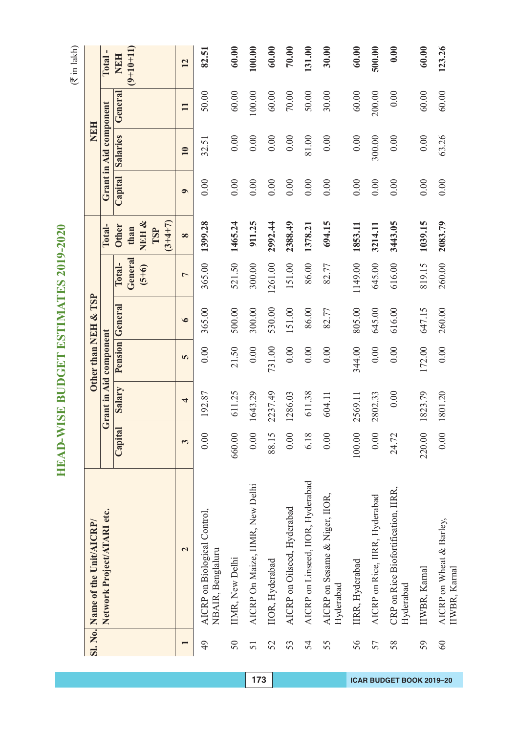HEAD-WISE BUDGET ESTIMATES 2019-2020 **HEAD-WISE BUDGET ESTIMATES 2019-2020**

|    | Sl. No. Name of the Unit/AICRP/                   |        |                         |          | Other than NEH & TSP |                              |                                                   |           | NEH                    |              |                           |
|----|---------------------------------------------------|--------|-------------------------|----------|----------------------|------------------------------|---------------------------------------------------|-----------|------------------------|--------------|---------------------------|
|    | Network Project/ATARI etc.                        |        | Grant in Aid component  |          |                      |                              | Total-                                            |           | Grant in Aid component |              | $\mathbf{I}$<br>Total     |
|    |                                                   | Capita | Salary                  |          | Pension General      | General<br>Total-<br>$(5+6)$ | NEH &<br>$(3+4+7)$<br><b>Other</b><br>than<br>TSP | Capital   | <b>Salaries</b>        | General      | $(9+10+11)$<br><b>NEH</b> |
|    | $\mathbf{\tilde{c}}$                              | 3      | $\overline{\mathbf{r}}$ | 5        | $\bullet$            | $\overline{ }$               | $\infty$                                          | $\bullet$ | $\overline{10}$        | $\mathbf{H}$ | 12                        |
| 49 | AICRP on Biological Control,<br>NBAIR, Benglaluru | 0.00   | 192.87                  | 0.00     | 365.00               | 365.00                       | 1399.28                                           | 0.00      | 32.51                  | 50.00        | 82.51                     |
| 50 | IIMR, New Delhi                                   | 660.00 | 611.25                  | 21.50    | 500.00               | 521.50                       | 1465.24                                           | 0.00      | 0.00                   | 60.00        | 60.00                     |
| 51 | AICRP On Maize, IIMR, New Delhi                   | 0.00   | 1643.29                 | 0.00     | 300.00               | 300.00                       | 911.25                                            | 0.00      | 0.00                   | 100.00       | 100.00                    |
| 52 | IIOR, Hyderabad                                   | 88.15  | 2237.49                 | 731.00   | 530.00               | 1261.00                      | 2992.44                                           | 0.00      | 0.00                   | 60.00        | 60.00                     |
| 53 | AICRP on Oilseed, Hyderabad                       | 0.00   | 1286.03                 | $0.00\,$ | 151.00               | 151.00                       | 2388.49                                           | 0.00      | 0.00                   | $70.00$      | 70.00                     |
| 54 | AICRP on Linseed, IIOR, Hyderabad                 | 6.18   | 611.38                  | 0.00     | 86.00                | 86.00                        | 1378.21                                           | 0.00      | 81.00                  | 50.00        | 131.00                    |
| 55 | AICRP on Sesame & Niger, IIOR,<br>Hyderabad       | 0.00   | 604.11                  | 0.00     | 82.77                | 82.77                        | 694.15                                            | 0.00      | 0.00                   | 30.00        | 30.00                     |
| 56 | IIRR, Hyderabad                                   | 100.00 | 2569.11                 | 344.00   | 805.00               | 1149.00                      | 1853.11                                           | 0.00      | 0.00                   | 60.00        | 60.00                     |
| 57 | AICRP on Rice, IIRR, Hyderabad                    | 0.00   | 2802.33                 | 0.00     | 645.00               | 645.00                       | 3214.11                                           | 0.00      | 300.00                 | 200.00       | 500.00                    |
| 58 | CRP on Rice Biofortification, IIRR,<br>Hyderabad  | 24.72  | 0.00                    | 0.00     | 616.00               | 616.00                       | 3443.05                                           | 0.00      | 0.00                   | 0.00         | 0.00                      |
| 59 | IIWBR, Karnal                                     | 220.00 | 1823.79                 | 172.00   | 647.15               | 819.15                       | 1039.15                                           | 0.00      | 0.00                   | 60.00        | 60.00                     |
| 60 | AICRP on Wheat & Barley,<br>IIWBR, Karnal         | 0.00   | 1801.20                 | 0.00     | 260.00               | 260.00                       | 2083.79                                           | 0.00      | 63.26                  | 60.00        | 123.26                    |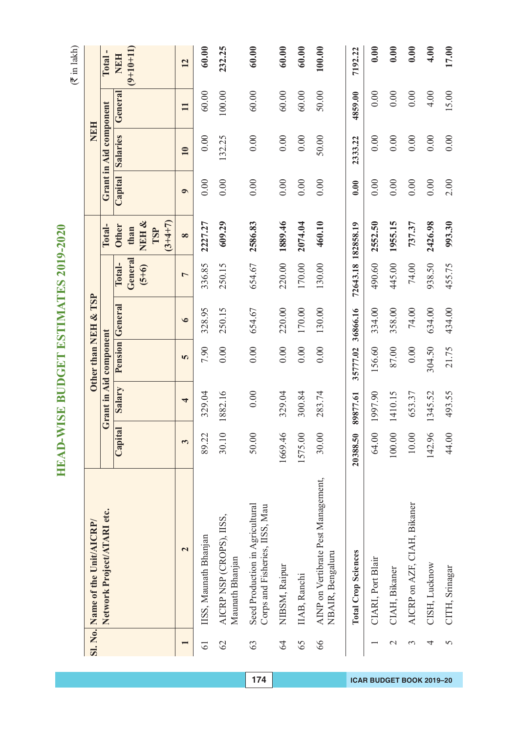$(\overline{\mathfrak{F}}$  in lakh)

|                 | Sl. No. Name of the Unit/AICRP/                                   |          |                         |                        | Other than NEH & TSP   |                    |                                   |           | <b>NEH</b>             |              |             |
|-----------------|-------------------------------------------------------------------|----------|-------------------------|------------------------|------------------------|--------------------|-----------------------------------|-----------|------------------------|--------------|-------------|
|                 | Network Project/ATARI etc.                                        |          |                         | Grant in Aid component |                        |                    | Total-                            |           | Grant in Aid component |              | Total-      |
|                 |                                                                   | Capital  | Salary                  |                        | <b>Pension General</b> | Total-             | <b>Other</b>                      | Capital   | <b>Salaries</b>        | General      | NEH         |
|                 |                                                                   |          |                         |                        |                        | General<br>$(5+6)$ | NEH &<br>$(3+4+7)$<br>than<br>TSP |           |                        |              | $(9+10+11)$ |
|                 | $\overline{\mathbf{c}}$                                           | 3        | $\overline{\mathbf{r}}$ | 5                      | $\bullet$              | 1                  | $\infty$                          | $\bullet$ | $\overline{10}$        | $\mathbf{I}$ | 12          |
| $\overline{61}$ | IISS, Maunath Bhanjan                                             | 89.22    | 329.04                  | 7.90                   | 328.95                 | 336.85             | 2227.27                           | 0.00      | 0.00                   | 60.00        | 60.00       |
| $\overline{62}$ | AICRP NSP (CROPS), IISS,<br>Maunath Bhanjan                       | 30.10    | 1882.16                 | 0.00                   | 250.15                 | 250.15             | 609.29                            | 0.00      | 132.25                 | 100.00       | 232.25      |
| 63              | Seed Production in Agricultural<br>Corps and Fisheries, IISS, Mau | 50.00    | 0.00                    | 0.00                   | 654.67                 | 654.67             | 2586.83                           | 0.00      | 0.00                   | 60.00        | 60.00       |
| 64              | NIBSM, Raipur                                                     | 1669.46  | 329.04                  | 0.00                   | 220.00                 | 220.00             | 1889.46                           | 0.00      | 0.00                   | 60.00        | 60.00       |
| 65              | IIAB, Ranchi                                                      | 1575.00  | 300.84                  | 0.00                   | 170.00                 | 170.00             | 2074.04                           | 0.00      | 0.00                   | 60.00        | 60.00       |
| 66              | AINP on Vertibrate Pest Management,<br>NBAIR, Bengaluru           | 30.00    | 283.74                  | 0.00                   | 130.00                 | 130.00             | 460.10                            | 0.00      | 50.00                  | 50.00        | 100.00      |
|                 | <b>Total Crop Sciences</b>                                        | 20388.50 | 89877.61                | 35777.02               | 36866.16               | 72643.18 182858.19 |                                   | 0.00      | 2333.22                | 4859.00      | 7192.22     |
|                 | CIARI, Port Blair                                                 | 64.00    | 1997.90                 | 156.60                 | 334.00                 | 490.60             | 2552.50                           | 0.00      | 0.00                   | 0.00         | 0.00        |
| $\mathcal{L}$   | CIAH, Bikaner                                                     | 100.00   | 1410.15                 | 87.00                  | 358.00                 | 445.00             | 1955.15                           | 0.00      | 0.00                   | 0.00         | 0.00        |
| $\epsilon$      | AICRP on AZF, CIAH, Bikaner                                       | 10.00    | 653.37                  | 0.00                   | 74.00                  | 74.00              | 737.37                            | 0.00      | 0.00                   | 0.00         | 0.00        |
| 4               | CISH, Lucknow                                                     | 142.96   | 1345.52                 | 304.50                 | 634.00                 | 938.50             | 2426.98                           | 0.00      | 0.00                   | 4.00         | 4.00        |
| 5               | CITH, Srinagar                                                    | 44.00    | 493.55                  | 21.75                  | 434.00                 | 455.75             | 993.30                            | 2.00      | 0.00                   | 15.00        | 17.00       |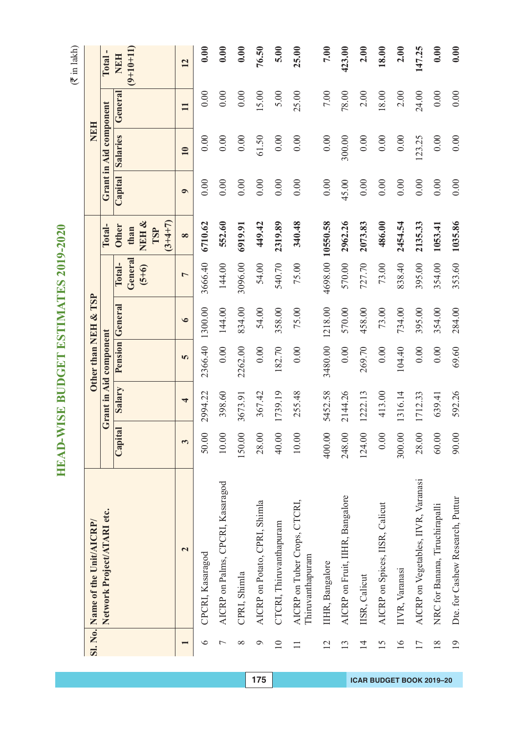|                 | Sl. No. Name of the Unit/AICRP/                  |         |                        |         | Other than NEH & TSP |                              |                               |           | <b>NEH</b>             |                |                           |
|-----------------|--------------------------------------------------|---------|------------------------|---------|----------------------|------------------------------|-------------------------------|-----------|------------------------|----------------|---------------------------|
|                 | Network Project/ATARI etc.                       |         | Grant in Aid component |         |                      |                              | Total-                        |           | Grant in Aid component |                | Total-                    |
|                 |                                                  | Capital | Salary                 |         | Pension General      | General<br>Total-<br>$(5+6)$ | NEH &<br><b>Other</b><br>than |           | Capital Salaries       | General        | $(9+10+11)$<br><b>NEH</b> |
|                 |                                                  |         |                        |         |                      |                              | $(3+4+7)$<br>TSP              |           |                        |                |                           |
|                 | $\overline{\mathbf{c}}$                          | 3       | 4                      | 5       | $\bullet$            | $\overline{ }$               | $\infty$                      | $\bullet$ | $\overline{10}$        | $\blacksquare$ | 12                        |
| $\bullet$       | CPCRI, Kasaragod                                 | 50.00   | 2994.22                | 2366.40 | 1300.00              | 3666.40                      | 6710.62                       | 0.00      | 0.00                   | 0.00           | 0.00                      |
| Γ               | AICRP on Palms, CPCRI, Kasaragod                 | 10.00   | 398.60                 | 0.00    | 144.00               | 144.00                       | 552.60                        | 0.00      | 0.00                   | 0.00           | 0.00                      |
| $\infty$        | CPRI, Shimla                                     | 150.00  | 3673.91                | 2262.00 | 834.00               | 3096.00                      | 6919.91                       | 0.00      | 0.00                   | 0.00           | 0.00                      |
| $\circ$         | AICRP on Potato, CPRI, Shimla                    | 28.00   | 367.42                 | 0.00    | 54.00                | 54.00                        | 449.42                        | 0.00      | 61.50                  | 15.00          | 76.50                     |
| $\overline{10}$ | CTCRI, Thiruvanthapuram                          | 40.00   | 1739.19                | 182.70  | 358.00               | 540.70                       | 2319.89                       | 0.00      | 0.00                   | 5.00           | 5.00                      |
| $\Box$          | AICRP on Tuber Crops, CTCRI,<br>Thiruvanthapuram | 10.00   | 255.48                 | 0.00    | 75.00                | 75.00                        | 340.48                        | 0.00      | 0.00                   | 25.00          | 25.00                     |
| 12              | IIHR, Bangalore                                  | 400.00  | 5452.58                | 3480.00 | 1218.00              |                              | 4698.00 10550.58              | 0.00      | 0.00                   | 7.00           | 7.00                      |
| 13              | AICRP on Fruit, IIHR, Bangalore                  | 248.00  | 2144.26                | 0.00    | 570.00               | 570.00                       | 2962.26                       | 45.00     | 300.00                 | 78.00          | 423.00                    |
| $\overline{1}$  | IISR, Calicut                                    | 124.00  | 1222.13                | 269.70  | 458.00               | 727.70                       | 2073.83                       | 0.00      | 0.00                   | 2.00           | 2.00                      |
| 15              | AICRP on Spices, IISR, Calicut                   | 0.00    | 413.00                 | $0.00$  | 73.00                | 73.00                        | 486.00                        | 0.00      | 0.00                   | 18.00          | 18.00                     |
| $\overline{16}$ | IIVR, Varanasi                                   | 300.00  | 1316.14                | 104.40  | 734.00               | 838.40                       | 2454.54                       | 0.00      | 0.00                   | 2.00           | 2.00                      |
| 17              | AICRP on Vegetables, IIVR, Varanasi              | 28.00   | 1712.33                | 0.00    | 395.00               | 395.00                       | 2135.33                       | 0.00      | 123.25                 | 24.00          | 147.25                    |
| $\frac{8}{18}$  | NRC for Banana, Tiruchirapalli                   | 60.00   | 639.41                 | 0.00    | 354.00               | 354.00                       | 1053.41                       | 0.00      | 0.00                   | 0.00           | 0.00                      |
| $\overline{19}$ | Dte. for Cashew Research, Puttur                 | 90.00   | 592.26                 | 69.60   | 284.00               | 353.60                       | 1035.86                       | 0.00      | 0.00                   | 0.00           | 0.00                      |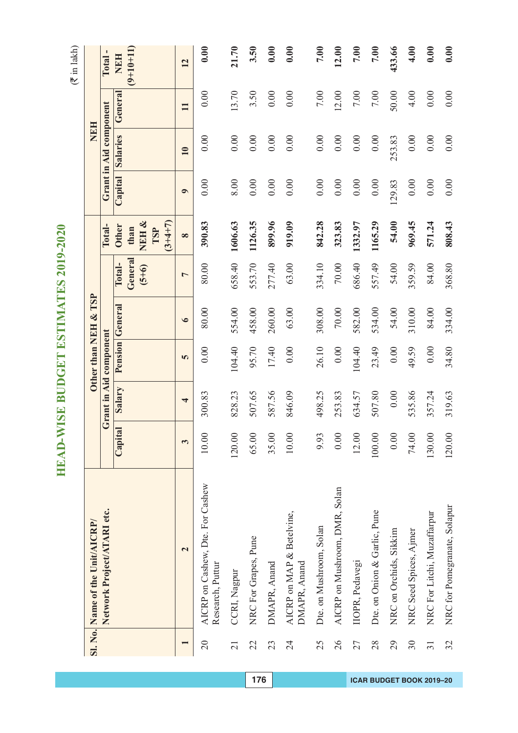|                          | Sl. No. Name of the Unit/AICRP/                      |         |                         |                        | Other than NEH & TSP |                              |                                                   |           | <b>NEH</b>             |              |                           |
|--------------------------|------------------------------------------------------|---------|-------------------------|------------------------|----------------------|------------------------------|---------------------------------------------------|-----------|------------------------|--------------|---------------------------|
|                          | Network Project/ATARI etc.                           |         |                         | Grant in Aid component |                      |                              | Total-                                            |           | Grant in Aid component |              | Total.                    |
|                          |                                                      | Capital | Salary                  |                        | Pension General      | General<br>Total-<br>$(5+6)$ | NEH &<br>$(3+4+7)$<br><b>Other</b><br>than<br>TSP | Capital   | <b>Salaries</b>        | General      | $(9+10+11)$<br><b>NEH</b> |
|                          | $\overline{\mathbf{c}}$                              | 3       | $\overline{\mathbf{r}}$ | 5                      | $\bullet$            | $\overline{ }$               | $\infty$                                          | $\bullet$ | 10                     | $\mathbf{H}$ | 12                        |
| $\overline{20}$          | AICRP on Cashew, Dte. For Cashew<br>Research, Puttur | 10.00   | 300.83                  | 0.00                   | 80.00                | 80.00                        | 390.83                                            | 0.00      | 0.00                   | 0.00         | 0.00                      |
| $\overline{21}$          | CCRI, Nagpur                                         | 120.00  | 828.23                  | 104.40                 | 554.00               | 658.40                       | 1606.63                                           | 8.00      | 0.00                   | 13.70        | 21.70                     |
| 22                       | NRC For Grapes, Pune                                 | 65.00   | 507.65                  | 95.70                  | 458.00               | 553.70                       | 1126.35                                           | 0.00      | 0.00                   | 3.50         | 3.50                      |
| 23                       | DMAPR, Anand                                         | 35.00   | 587.56                  | 17.40                  | 260.00               | 277.40                       | 899.96                                            | 0.00      | 0.00                   | 0.00         | 0.00                      |
| 24                       | AICRP on MAP & Betelvine,<br>DMAPR, Anand            | 10.00   | 846.09                  | 0.00                   | 63.00                | 63.00                        | 919.09                                            | 0.00      | 0.00                   | 0.00         | 0.00                      |
| 25                       | Dte. on Mushroom, Solan                              | 9.93    | 498.25                  | 26.10                  | 308.00               | 334.10                       | 842.28                                            | 0.00      | 0.00                   | 7.00         | 7.00                      |
| 26                       | AICRP on Mushroom, DMR, Solan                        | 0.00    | 253.83                  | $0.00$                 | $70.00$              | $70.00$                      | 323.83                                            | 0.00      | 0.00                   | 12.00        | 12.00                     |
| 27                       | IIOPR, Pedavegi                                      | 12.00   | 634.57                  | 104.40                 | 582.00               | 686.40                       | 1332.97                                           | 0.00      | 0.00                   | 7.00         | 7.00                      |
| 28                       | Dte. on Onion & Garlic, Pune                         | 100.00  | 507.80                  | 23.49                  | 534.00               | 557.49                       | 1165.29                                           | 0.00      | 0.00                   | 7.00         | 7.00                      |
| 29                       | NRC on Orchids, Sikkim                               | $0.00$  | 0.00                    | 0.00                   | 54.00                | 54.00                        | 54.00                                             | 129.83    | 253.83                 | 50.00        | 433.66                    |
| 30                       | NRC Seed Spices, Ajmer                               | 74.00   | 535.86                  | 49.59                  | 310.00               | 359.59                       | 969.45                                            | 0.00      | 0.00                   | 4.00         | 4.00                      |
| $\overline{\mathcal{E}}$ | NRC For Litchi, Muzaffarpur                          | 130.00  | 357.24                  | 0.00                   | 84.00                | 84.00                        | 571.24                                            | 0.00      | 0.00                   | 0.00         | 0.00                      |
| 32                       | NRC for Pomegranate, Solapur                         | 120.00  | 319.63                  | 34.80                  | 334.00               | 368.80                       | 808.43                                            | 0.00      | 0.00                   | 0.00         | 0.00                      |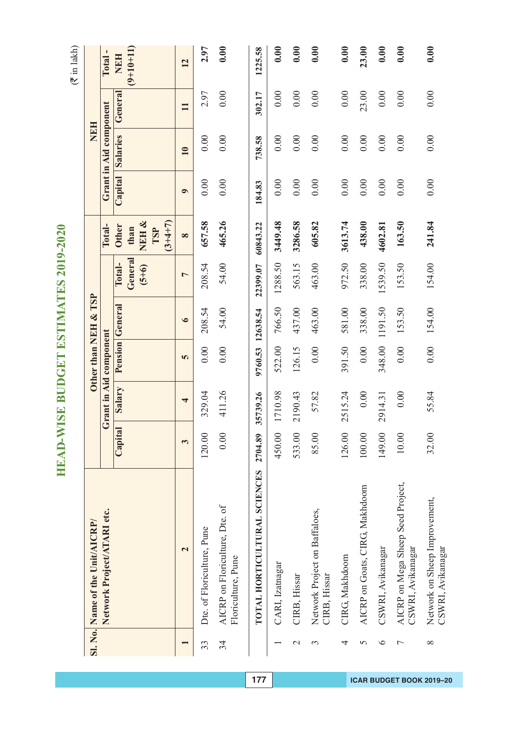$(\overline{\mathfrak{F}}$  in lakh)

|                | Sl. No. Name of the Unit/AICRP/                        |         |                         | Other than NEH & TSP |                        |                    |                                  |           | <b>NEH</b>             |              |                 |
|----------------|--------------------------------------------------------|---------|-------------------------|----------------------|------------------------|--------------------|----------------------------------|-----------|------------------------|--------------|-----------------|
|                | Network Project/ATARI etc.                             |         | Grant in Aid component  |                      |                        |                    | Total-                           |           | Grant in Aid component |              | Total-          |
|                |                                                        | Capital | Salary                  |                      | <b>Pension</b> General | Total-             | <b>Other</b>                     | Capital   | Salaries               | General      | <b>NEH</b>      |
|                |                                                        |         |                         |                      |                        | General<br>$(5+6)$ | NEH&<br>$(3+4+7)$<br>than<br>TSP |           |                        |              | $(9+10+11)$     |
|                | $\overline{\mathbf{c}}$                                | 3       | $\overline{\mathbf{r}}$ | 5                    | $\bullet$              | $\overline{ }$     | $\infty$                         | $\bullet$ | $\overline{10}$        | $\mathbf{H}$ | $\overline{12}$ |
| 33             | Dte. of Floriculture, Pune                             | 120.00  | 329.04                  | 0.00                 | 208.54                 | 208.54             | 657.58                           | 0.00      | 0.00                   | 2.97         | 2.97            |
| 34             | AICRP on Floriculture, Dte. of<br>Floriculture, Pune   | 0.00    | 411.26                  | 0.00                 | 54.00                  | 54.00              | 465.26                           | 0.00      | 0.00                   | 0.00         | 0.00            |
|                | TOTAL HORTICULTURAL SCIENCES                           | 2704.89 | 35739.26                | 9760.53              | 12638.54               | 22399.07           | 60843.22                         | 184.83    | 738.58                 | 302.17       | 1225.58         |
|                | CARI, Izatnagar                                        | 450.00  | 1710.98                 | 522.00               | 766.50                 | 1288.50            | 3449.48                          | 0.00      | 0.00                   | 0.00         | 0.00            |
| $\mathcal{L}$  | CIRB, Hissar                                           | 533.00  | 2190.43                 | 126.15               | 437.00                 | 563.15             | 3286.58                          | 0.00      | 0.00                   | 0.00         | 0.00            |
| $\mathfrak{g}$ | Network Project on Baffaloes,<br>CIRB, Hissar          | 85.00   | 57.82                   | 0.00                 | 463.00                 | 463.00             | 605.82                           | 0.00      | 0.00                   | 0.00         | 0.00            |
| 4              | CIRG, Makhdoom                                         | 126.00  | 2515.24                 | 391.50               | 581.00                 | 972.50             | 3613.74                          | 0.00      | 0.00                   | 0.00         | 0.00            |
| 5              | AICRP on Goats, CIRG, Makhdoom                         | 100.00  | 0.00                    | 0.00                 | 338.00                 | 338.00             | 438.00                           | 0.00      | 0.00                   | 23.00        | 23.00           |
| $\circ$        | CSWRI, Avikanagar                                      | 149.00  | 2914.31                 | 348.00               | 1191.50                | 1539.50            | 4602.81                          | 0.00      | 0.00                   | 0.00         | 0.00            |
| $\overline{ }$ | AICRP on Mega Sheep Seed Project,<br>CSWRI, Avikanagar | 10.00   | 0.00                    | 0.00                 | 153.50                 | 153.50             | 163.50                           | 0.00      | 0.00                   | 0.00         | 0.00            |
| $\infty$       | Network on Sheep Improvement,<br>CSWRI, Avikanagar     | 32.00   | 55.84                   | 0.00                 | 154.00                 | 154.00             | 241.84                           | 0.00      | 0.00                   | 0.00         | 0.00            |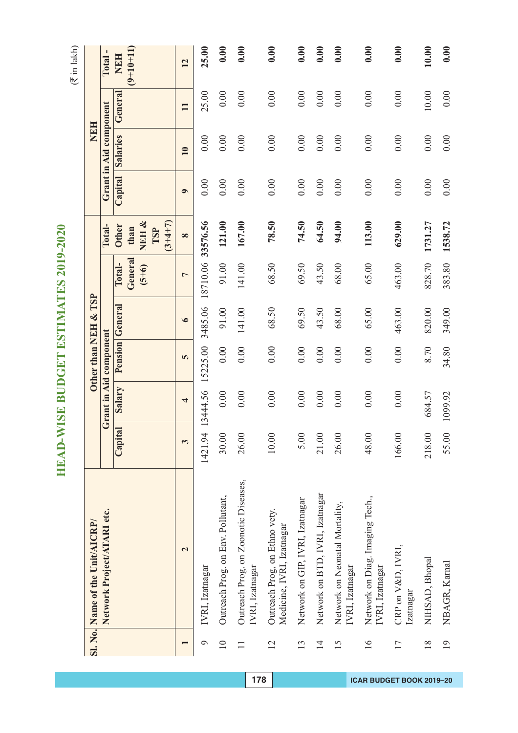$(\overline{\mathfrak{F}}$  in lakh)

|                 | Sl. No. Name of the Unit/AICRP/                            |              |                         | Other than NEH & TSP   |                 |                              |                                                       |           | NEH                    |         |                                    |
|-----------------|------------------------------------------------------------|--------------|-------------------------|------------------------|-----------------|------------------------------|-------------------------------------------------------|-----------|------------------------|---------|------------------------------------|
|                 | Network Project/ATARI etc.                                 |              |                         | Grant in Aid component |                 |                              | Total-                                                |           | Grant in Aid component |         | $\overline{\phantom{a}}$<br>Total. |
|                 |                                                            | Capital      | Salary                  |                        | Pension General | General<br>Total-<br>$(5+6)$ | NEH &<br>$(3 + 4 + 7)$<br><b>Other</b><br>than<br>TSP | Capital   | <b>Salaries</b>        | General | $(9+10+11)$<br><b>NEH</b>          |
|                 | $\mathbf{\Omega}$                                          | $\mathbf{c}$ | $\overline{\mathbf{r}}$ | 5                      | $\bullet$       | $\overline{ }$               | $\infty$                                              | $\bullet$ | $\overline{10}$        | Ξ       | 12                                 |
| $\circ$         | IVRI, Izatnagar                                            | 1421.94      | 13444.56                | 15225.00               | 3485.06         | 18710.06 33576.56            |                                                       | 0.00      | 0.00                   | 25.00   | 25.00                              |
| $\overline{10}$ | Outreach Prog. on Env. Pollutant,                          | 30.00        | 0.00                    | 0.00                   | 91.00           | 91.00                        | 121.00                                                | 0.00      | 0.00                   | 0.00    | 0.00                               |
| $\Box$          | Outreach Prog. on Zoonotic Diseases,<br>IVRI, Izatnagar    | 26.00        | 0.00                    | 0.00                   | 141.00          | 141.00                       | 167.00                                                | 0.00      | 0.00                   | 0.00    | 0.00                               |
| $\overline{2}$  | Outreach Prog, on Ethno vety.<br>Medicine, IVRI, Izatnagar | 10.00        | 0.00                    | 0.00                   | 68.50           | 68.50                        | 78.50                                                 | 0.00      | 0.00                   | 0.00    | 0.00                               |
| 13              | Network on GIP, IVRI, Izatnagar                            | 5.00         | 0.00                    | 0.00                   | 69.50           | 69.50                        | 74.50                                                 | 0.00      | 0.00                   | 0.00    | 0.00                               |
| $\overline{1}$  | Network on BTD, IVRI, Izatnagar                            | 21.00        | 0.00                    | 0.00                   | 43.50           | 43.50                        | 64.50                                                 | 0.00      | 0.00                   | 0.00    | 0.00                               |
| 15              | Network on Neonatal Mortality,<br>IVRI, Izatnagar          | 26.00        | 0.00                    | 0.00                   | 68.00           | 68.00                        | 94.00                                                 | 0.00      | 0.00                   | 0.00    | 0.00                               |
| $\overline{16}$ | Network on Diag. Imaging Tech.,<br>IVRI, Izatnagar         | 48.00        | 0.00                    | 0.00                   | 65.00           | 65.00                        | 113.00                                                | 0.00      | 0.00                   | 0.00    | 0.00                               |
| 17              | CRP on V&D, IVRI,<br>Izatnagar                             | 166.00       | 0.00                    | 0.00                   | 463.00          | 463.00                       | 629.00                                                | 0.00      | 0.00                   | 0.00    | 0.00                               |
| $\frac{8}{18}$  | NIHSAD, Bhopal                                             | 218.00       | 684.57                  | 8.70                   | 820.00          | 828.70                       | 1731.27                                               | 0.00      | 0.00                   | $10.00$ | 10.00                              |
| $\overline{19}$ | NBAGR, Kamal                                               | 55.00        | 1099.92                 | 34.80                  | 349.00          | 383.80                       | 1538.72                                               | 0.00      | 0.00                   | 0.00    | 0.00                               |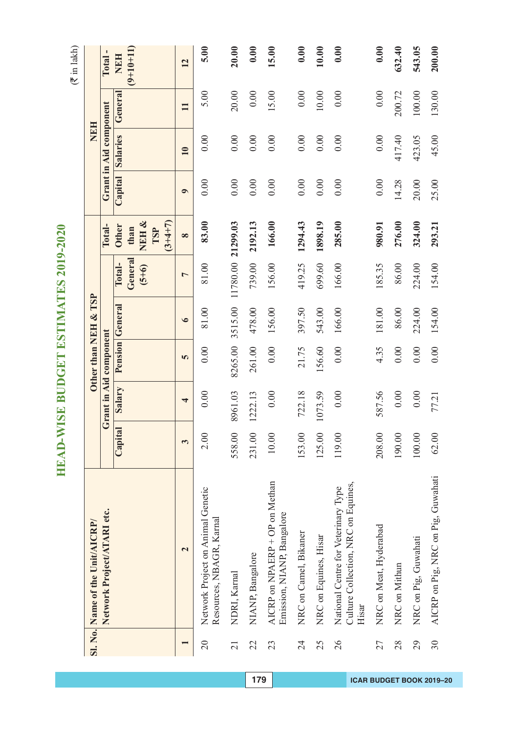|                 | Sl. No. Name of the Unit/AICRP/                                                     |         |                         |         | Other than NEH & TSP   |                   |                          |           | <b>HPH</b>             |              |                           |
|-----------------|-------------------------------------------------------------------------------------|---------|-------------------------|---------|------------------------|-------------------|--------------------------|-----------|------------------------|--------------|---------------------------|
|                 | Network Project/ATARI etc.                                                          |         | Grant in Aid component  |         |                        |                   | Total-                   |           | Grant in Aid component |              | Total-                    |
|                 |                                                                                     | Capital | Salary                  |         | <b>Pension</b> General | General<br>Total- | <b>Other</b><br>than     |           | Capital Salaries       | General      | $(9+10+11)$<br><b>NEH</b> |
|                 |                                                                                     |         |                         |         |                        | $(5+6)$           | NEH&<br>$(3+4+7)$<br>TSP |           |                        |              |                           |
|                 | $\overline{\mathbf{c}}$                                                             | 3       | $\overline{\mathbf{r}}$ | 5       | $\bullet$              | $\overline{a}$    | $\infty$                 | $\bullet$ | $\overline{10}$        | $\mathbf{H}$ | 12                        |
| 20              | Network Project on Animal Genetic<br>Resources, NBAGR, Karnal                       | 2.00    | 0.00                    | 0.00    | 81.00                  | 81.00             | 83.00                    | 0.00      | 0.00                   | 5.00         | 5.00                      |
| $\overline{21}$ | NDRI, Kamal                                                                         | 558.00  | 8961.03                 | 8265.00 | 3515.00                | 11780.00 21299.03 |                          | 0.00      | 0.00                   | 20.00        | 20.00                     |
| 22              | NIANP, Bangalore                                                                    | 231.00  | 1222.13                 | 261.00  | 478.00                 | 739.00            | 2192.13                  | 0.00      | 0.00                   | 0.00         | 0.00                      |
| 23              | AICRP on NPAERP + OP on Methan<br>Emission, NIANP, Bangalore                        | 10.00   | 0.00                    | 0.00    | 156.00                 | 156.00            | 166.00                   | 0.00      | 0.00                   | 15.00        | 15.00                     |
| $\overline{24}$ | NRC on Camel, Bikaner                                                               | 153.00  | 722.18                  | 21.75   | 397.50                 | 419.25            | 1294.43                  | 0.00      | 0.00                   | 0.00         | 0.00                      |
| 25              | NRC on Equines, Hisar                                                               | 125.00  | 1073.59                 | 156.60  | 543.00                 | 699.60            | 1898.19                  | 0.00      | 0.00                   | $10.00$      | 10.00                     |
| $\overline{26}$ | Culture Collection, NRC on Equines,<br>National Centre for Veterinary Type<br>Hisar | 119.00  | 0.00                    | 0.00    | 166.00                 | 166.00            | 285.00                   | 0.00      | 0.00                   | 0.00         | 0.00                      |
| 27              | NRC on Meat, Hyderabad                                                              | 208.00  | 587.56                  | 4.35    | 181.00                 | 185.35            | 980.91                   | 0.00      | 0.00                   | 0.00         | 0.00                      |
| 28              | NRC on Mithun                                                                       | 190.00  | $0.00$                  | 0.00    | 86.00                  | 86.00             | 276.00                   | 14.28     | 417.40                 | 200.72       | 632.40                    |
| 29              | NRC on Pig, Guwahati                                                                | 100.00  | 0.00                    | 0.00    | 224.00                 | 224.00            | 324.00                   | 20.00     | 423.05                 | 100.00       | 543.05                    |
| 30              | AICRP on Pig, NRC on Pig, Guwahati                                                  | 62.00   | 77.21                   | 0.00    | 154.00                 | 154.00            | 293.21                   | 25.00     | 45.00                  | 130.00       | 200.00                    |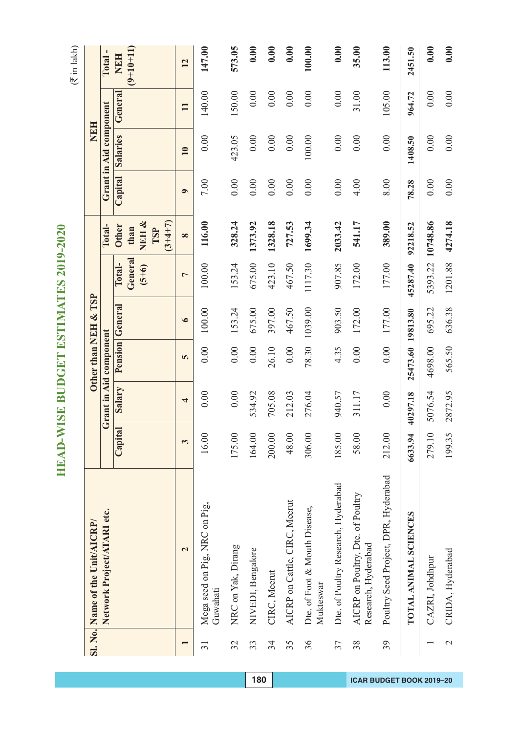$(\overline{\mathfrak{F}}$  in lakh)

|                 | Sl. No. Name of the Unit/AICRP/                          |         |                          | Other than NEH & TSP   |                 |                              |                                                   |           | <b>NEH</b>             |              |                           |
|-----------------|----------------------------------------------------------|---------|--------------------------|------------------------|-----------------|------------------------------|---------------------------------------------------|-----------|------------------------|--------------|---------------------------|
|                 | Network Project/ATARI etc.                               |         |                          | Grant in Aid component |                 |                              | Total-                                            |           | Grant in Aid component |              | J.<br>Total.              |
|                 |                                                          | Capital | Salary                   |                        | Pension General | General<br>Total-<br>$(5+6)$ | NEH &<br>$(3+4+7)$<br><b>Other</b><br>than<br>TSP | Capital   | <b>Salaries</b>        | General      | $(9+10+11)$<br><b>NEH</b> |
|                 | $\overline{\mathbf{c}}$                                  | 3       | $\overline{\phantom{a}}$ | 5                      | $\bullet$       | $\overline{a}$               | $\infty$                                          | $\bullet$ | 10                     | $\mathbf{H}$ | 12                        |
| 31              | Mega seed on Pig, NRC on Pig,<br>Guwahati                | 16.00   | 0.00                     | 0.00                   | 100.00          | 100.00                       | 116.00                                            | 7.00      | 0.00                   | 140.00       | 147.00                    |
| 32              | NRC on Yak, Dirang                                       | 175.00  | 0.00                     | 0.00                   | 153.24          | 153.24                       | 328.24                                            | 0.00      | 423.05                 | 150.00       | 573.05                    |
| 33              | NIVEDI, Bengalore                                        | 164.00  | 534.92                   | 0.00                   | 675.00          | 675.00                       | 1373.92                                           | 0.00      | 0.00                   | 0.00         | 0.00                      |
| 34              | CIRC, Meerut                                             | 200.00  | 705.08                   | 26.10                  | 397.00          | 423.10                       | 1328.18                                           | 0.00      | 0.00                   | 0.00         | 0.00                      |
| 35              | AICRP on Cattle, CIRC, Meerut                            | 48.00   | 212.03                   | 0.00                   | 467.50          | 467.50                       | 727.53                                            | 0.00      | 0.00                   | 0.00         | 0.00                      |
| 36              | Dte. of Foot & Mouth Disease,<br>Mukteswar               | 306.00  | 276.04                   | 78.30                  | 1039.00         | 1117.30                      | 1699.34                                           | 0.00      | 100.00                 | 0.00         | 100.00                    |
| 37              | Dte. of Poultry Research, Hyderabad                      | 185.00  | 940.57                   | 4.35                   | 903.50          | 907.85                       | 2033.42                                           | 0.00      | 0.00                   | 0.00         | 0.00                      |
| 38              | AICRP on Poultry, Dte. of Poultry<br>Research, Hyderabad | 58.00   | 311.17                   | 0.00                   | 172.00          | 172.00                       | 541.17                                            | 4.00      | 0.00                   | 31.00        | 35.00                     |
| 39              | Poultry Seed Project, DPR, Hyderabad                     | 212.00  | 0.00                     | 0.00                   | 177.00          | 177.00                       | 389.00                                            | 8.00      | 0.00                   | 105.00       | 113.00                    |
|                 | TOTAL ANIMAL SCIENCES                                    | 6633.94 | 40297.18                 | 25473.60               | 19813.80        | 45287.40                     | 92218.52                                          | 78.28     | 1408.50                | 964.72       | 2451.50                   |
|                 | CAZRI, Johdhpur                                          | 279.10  | 5076.54                  | 4698.00                | 695.22          | 5393.22                      | 10748.86                                          | 0.00      | 0.00                   | 0.00         | 0.00                      |
| $\mathbf{\sim}$ | CRIDA, Hyderabad                                         | 199.35  | 2872.95                  | 565.50                 | 636.38          | 1201.88                      | 4274.18                                           | 0.00      | 0.00                   | 0.00         | 0.00                      |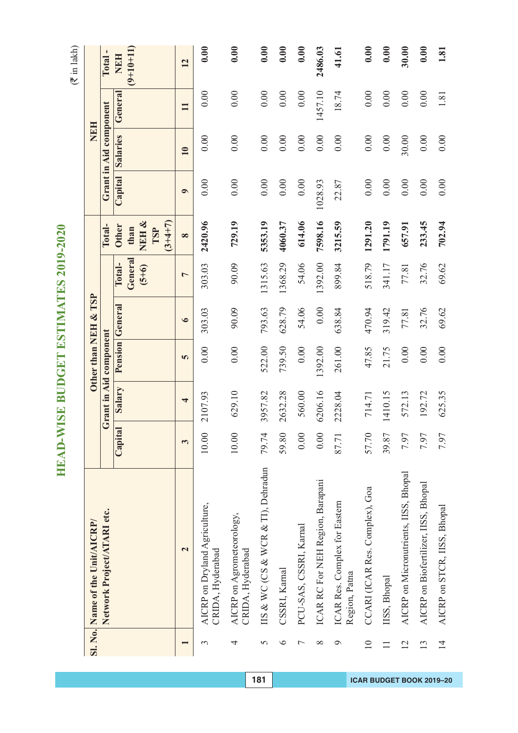|                 | Sl. No. Name of the Unit/AICRP/                   |         |         | Other than NEH & TSP   |                 |                              |                                                   |           | <b>NEH</b>             |              |                              |
|-----------------|---------------------------------------------------|---------|---------|------------------------|-----------------|------------------------------|---------------------------------------------------|-----------|------------------------|--------------|------------------------------|
|                 | Network Project/ATARI etc.                        |         |         | Grant in Aid component |                 |                              | Total-                                            |           | Grant in Aid component |              | $\mathbf{I}$<br><b>Total</b> |
|                 |                                                   | Capital | Salary  |                        | Pension General | General<br>Total-<br>$(5+6)$ | NEH &<br>$(3+4+7)$<br><b>Other</b><br>than<br>TSP | Capital   | Salaries               | General      | $(9+10+11)$<br><b>NEH</b>    |
|                 | $\mathbf{\Omega}$                                 | 3       | 4       | 5                      | $\bullet$       | $\overline{ }$               | $\infty$                                          | $\bullet$ | 10                     | $\mathbf{H}$ | 12                           |
| 3               | AICRP on Dryland Agriculture,<br>CRIDA, Hyderabad | $10.00$ | 2107.93 | 0.00                   | 303.03          | 303.03                       | 2420.96                                           | 0.00      | 0.00                   | 0.00         | 0.00                         |
| 4               | AICRP on Agrometeorology,<br>CRIDA, Hyderabad     | $10.00$ | 629.10  | 0.00                   | 90.09           | 90.09                        | 729.19                                            | 0.00      | 0.00                   | 0.00         | 0.00                         |
| 5               | IIS & WC (CS & WCR & TI), Dehradun                | 79.74   | 3957.82 | 522.00                 | 793.63          | 1315.63                      | 5353.19                                           | 0.00      | 0.00                   | 0.00         | 0.00                         |
| $\circ$         | CSSRI, Karnal                                     | 59.80   | 2632.28 | 739.50                 | 628.79          | 1368.29                      | 4060.37                                           | 0.00      | 0.00                   | 0.00         | 0.00                         |
| $\overline{ }$  | PCU-SAS, CSSRI, Karnal                            | 0.00    | 560.00  | 0.00                   | 54.06           | 54.06                        | 614.06                                            | 0.00      | 0.00                   | 0.00         | 0.00                         |
| $\infty$        | ICAR RC For NEH Region, Barapani                  | 0.00    | 6206.16 | 1392.00                | 0.00            | 1392.00                      | 7598.16                                           | 1028.93   | 0.00                   | 1457.10      | 2486.03                      |
| $\sigma$        | ICAR Res. Complex for Eastern<br>Region, Patna    | 87.71   | 2228.04 | 261.00                 | 638.84          | 899.84                       | 3215.59                                           | 22.87     | 0.00                   | 18.74        | 41.61                        |
| $\overline{10}$ | CCARI (ICAR Res. Complex), Goa                    | 57.70   | 714.71  | 47.85                  | 470.94          | 518.79                       | 1291.20                                           | 0.00      | 0.00                   | 0.00         | 0.00                         |
| $\Box$          | IISS, Bhopal                                      | 39.87   | 1410.15 | 21.75                  | 319.42          | 341.17                       | 1791.19                                           | 0.00      | 0.00                   | 0.00         | 0.00                         |
| 12              | AICRP on Micronutrients, IISS, Bhopal             | 7.97    | 572.13  | 0.00                   | 77.81           | 77.81                        | 657.91                                            | 0.00      | 30.00                  | 0.00         | 30.00                        |
| 13              | AICRP on Biofertilizer, IISS, Bhopal              | 7.97    | 192.72  | 0.00                   | 32.76           | 32.76                        | 233.45                                            | 0.00      | 0.00                   | 0.00         | 0.00                         |
| $\overline{1}$  | AICRP on STCR, IISS, Bhopal                       | 7.97    | 625.35  | 0.00                   | 69.62           | 69.62                        | 702.94                                            | 0.00      | 0.00                   | 1.81         | 1.81                         |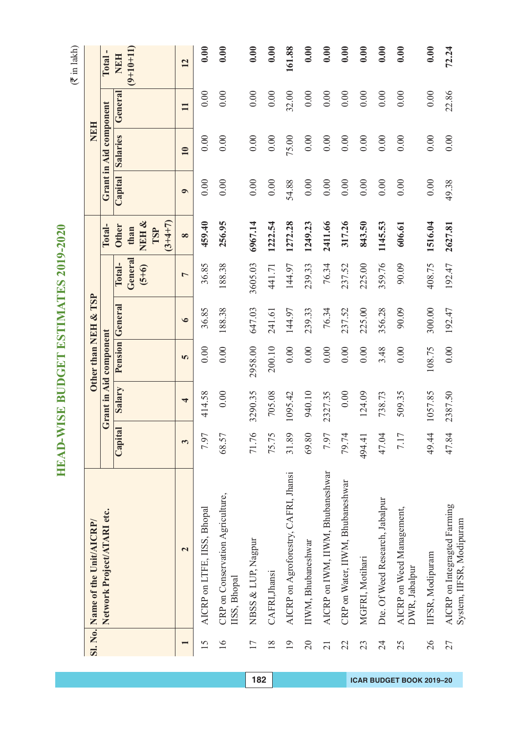|                          | Sl. No. Name of the Unit/AICRP/                          |         |                         | Other than NEH & TSP   |                 |                              |                                                   |           | NEH                    |              |                    |
|--------------------------|----------------------------------------------------------|---------|-------------------------|------------------------|-----------------|------------------------------|---------------------------------------------------|-----------|------------------------|--------------|--------------------|
|                          | Network Project/ATARI etc.                               |         |                         | Grant in Aid component |                 |                              | Total-                                            |           | Grant in Aid component |              | J,<br><b>Total</b> |
|                          |                                                          | Capital | Salary                  |                        | Pension General | General<br>Total-<br>$(5+6)$ | NEH &<br>$(3+4+7)$<br><b>Other</b><br>than<br>TSP | Capital   | <b>Salaries</b>        | General      | $(9+10+11)$<br>NEH |
| $\overline{\phantom{0}}$ | $\mathbf{\Omega}$                                        | 3       | $\overline{\mathbf{r}}$ | <b>In</b>              | $\bullet$       | $\overline{ }$               | $\infty$                                          | $\bullet$ | 10                     | $\mathbf{H}$ | 12                 |
| $\overline{15}$          | AICRP on LTFE, IISS, Bhopal                              | 7.97    | 414.58                  | 0.00                   | 36.85           | 36.85                        | 459.40                                            | 0.00      | 0.00                   | 0.00         | 0.00               |
| $\overline{16}$          | CRP on Conservation Agriculture,<br>IISS, Bhopal         | 68.57   | 0.00                    | 0.00                   | 188.38          | 188.38                       | 256.95                                            | 0.00      | 0.00                   | 0.00         | 0.00               |
| 17                       | NBSS & LUP, Nagpur                                       | 71.76   | 3290.35                 | 2958.00                | 647.03          | 3605.03                      | 6967.14                                           | 0.00      | 0.00                   | 0.00         | 0.00               |
| $\frac{8}{18}$           | CAFRI, Jhansi                                            | 75.75   | 705.08                  | 200.10                 | 241.61          | 441.71                       | 1222.54                                           | 0.00      | 0.00                   | 0.00         | 0.00               |
| $\overline{19}$          | AICRP on Agroforestry, CAFRI, Jhansi                     | 31.89   | 1095.42                 | 0.00                   | 144.97          | 144.97                       | 1272.28                                           | 54.88     | 75.00                  | 32.00        | 161.88             |
| $\overline{20}$          | IIWM, Bhubaneshwar                                       | 69.80   | 940.10                  | 0.00                   | 239.33          | 239.33                       | 1249.23                                           | 0.00      | 0.00                   | 0.00         | 0.00               |
| $\overline{21}$          | AICRP on IWM, IIWM, Bhubaneshwar                         | 7.97    | 2327.35                 | 0.00                   | 76.34           | 76.34                        | 2411.66                                           | 0.00      | 0.00                   | 0.00         | 0.00               |
| 22                       | CRP on Water, IIWM, Bhubaneshwar                         | 79.74   | 0.00                    | 0.00                   | 237.52          | 237.52                       | 317.26                                            | 0.00      | 0.00                   | 0.00         | 0.00               |
| 23                       | MGFRI, Motihari                                          | 494.41  | 124.09                  | 0.00                   | 225.00          | 225.00                       | 843.50                                            | 0.00      | 0.00                   | 0.00         | 0.00               |
| 24                       | Dte. Of Weed Research, Jabalpur                          | 47.04   | 738.73                  | 3.48                   | 356.28          | 359.76                       | 1145.53                                           | 0.00      | 0.00                   | 0.00         | 0.00               |
| 25                       | AICRP on Weed Management,<br>DWR, Jabalpur               | 7.17    | 509.35                  | 0.00                   | 90.09           | 90.09                        | 606.61                                            | 0.00      | 0.00                   | 0.00         | 0.00               |
| 26                       | IIFSR, Modipuram                                         | 49.44   | 1057.85                 | 108.75                 | 300.00          | 408.75                       | 1516.04                                           | 0.00      | 0.00                   | 0.00         | 0.00               |
| 27                       | AICRP on Integragted Farming<br>System, IIFSR, Modipuram | 47.84   | 2387.50                 | 0.00                   | 192.47          | 192.47                       | 2627.81                                           | 49.38     | 0.00                   | 22.86        | 72.24              |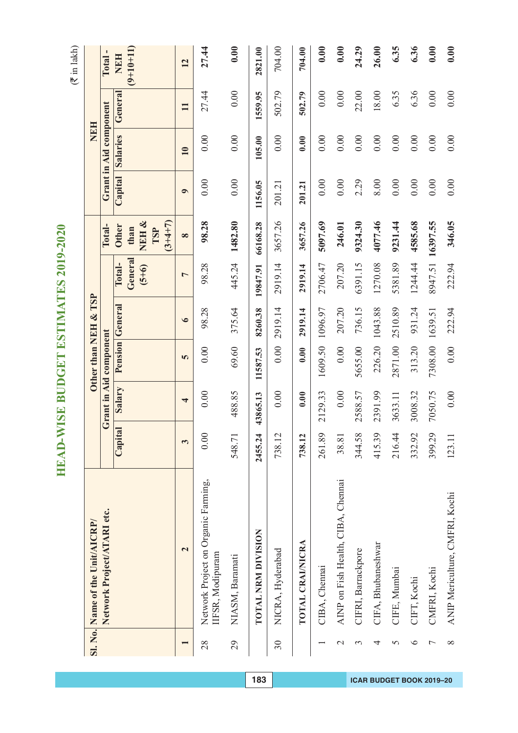$(\overline{\mathfrak{F}}$  in lakh)

|                | Sl. No. Name of the Unit/AICRP/                         |         |                        |          | Other than NEH & TSP |                              |                              |           | NEH                    |              |                           |
|----------------|---------------------------------------------------------|---------|------------------------|----------|----------------------|------------------------------|------------------------------|-----------|------------------------|--------------|---------------------------|
|                | Network Project/ATARI etc.                              |         | Grant in Aid component |          |                      |                              | Total-                       |           | Grant in Aid component |              | Total-                    |
|                |                                                         | Capital | Salary                 |          | Pension General      | General<br>Total-<br>$(5+6)$ | NEH&<br><b>Other</b><br>than |           | Capital Salaries       | General      | $(9+10+11)$<br><b>NEH</b> |
|                |                                                         |         |                        |          |                      |                              | $(3+4+7)$<br>TSP             |           |                        |              |                           |
|                | $\overline{\mathbf{c}}$                                 | 3       | 4                      | 5        | $\bullet$            | $\overline{ }$               | $\infty$                     | $\bullet$ | 10                     | $\mathbf{H}$ | 12                        |
| 28             | Network Project on Organic Farming,<br>IIFSR, Modipuram | 0.00    | 0.00                   | 0.00     | 98.28                | 98.28                        | 98.28                        | 0.00      | 0.00                   | 27.44        | 27.44                     |
| 29             | NIASM, Baramati                                         | 548.71  | 488.85                 | 69.60    | 375.64               | 445.24                       | 1482.80                      | 0.00      | 0.00                   | 0.00         | 0.00                      |
|                | <b>TOTAL NRM DIVISION</b>                               | 2455.24 | 43865.13               | 11587.53 | 8260.38              | 19847.91                     | 66168.28                     | 1156.05   | 105.00                 | 1559.95      | 2821.00                   |
| 30             | NICRA, Hyderabad                                        | 738.12  | 0.00                   | 0.00     | 2919.14              | 2919.14                      | 3657.26                      | 201.21    | 0.00                   | 502.79       | 704.00                    |
|                | TOTAL CRAINICRA                                         | 738.12  | 0.00                   | 0.00     | 2919.14              | 2919.14                      | 3657.26                      | 201.21    | 0.00                   | 502.79       | 704.00                    |
|                | CIBA, Chennai                                           | 261.89  | 2129.33                | 1609.50  | 1096.97              | 2706.47                      | 5097.69                      | 0.00      | 0.00                   | 0.00         | 0.00                      |
| $\mathcal{C}$  | AINP on Fish Health, CIBA, Chennai                      | 38.81   | 0.00                   | 0.00     | 207.20               | 207.20                       | 246.01                       | 0.00      | 0.00                   | 0.00         | 0.00                      |
| 3              | CIFRI, Barrackpore                                      | 344.58  | 2588.57                | 5655.00  | 736.15               | 6391.15                      | 9324.30                      | 2.29      | 0.00                   | 22.00        | 24.29                     |
| 4              | CIFA, Bhubaneshwar                                      | 415.39  | 2391.99                | 226.20   | 1043.88              | 1270.08                      | 4077.46                      | 8.00      | 0.00                   | 18.00        | 26.00                     |
| 5              | CIFE, Mumbai                                            | 216.44  | 3633.11                | 2871.00  | 2510.89              | 5381.89                      | 9231.44                      | 0.00      | 0.00                   | 6.35         | 6.35                      |
| $\circ$        | CIFT, Kochi                                             | 332.92  | 3008.32                | 313.20   | 931.24               | 1244.44                      | 4585.68                      | 0.00      | 0.00                   | 6.36         | 6.36                      |
| $\overline{ }$ | CMFRI, Kochi                                            | 399.29  | 7050.75                | 7308.00  | 1639.51              | 8947.51                      | 16397.55                     | 0.00      | 0.00                   | 0.00         | 0.00                      |
| $\infty$       | ANIP Mericulture, CMFRI, Kochi                          | 123.11  | 0.00                   | 0.00     | 222.94               | 222.94                       | 346.05                       | 0.00      | 0.00                   | 0.00         | 0.00                      |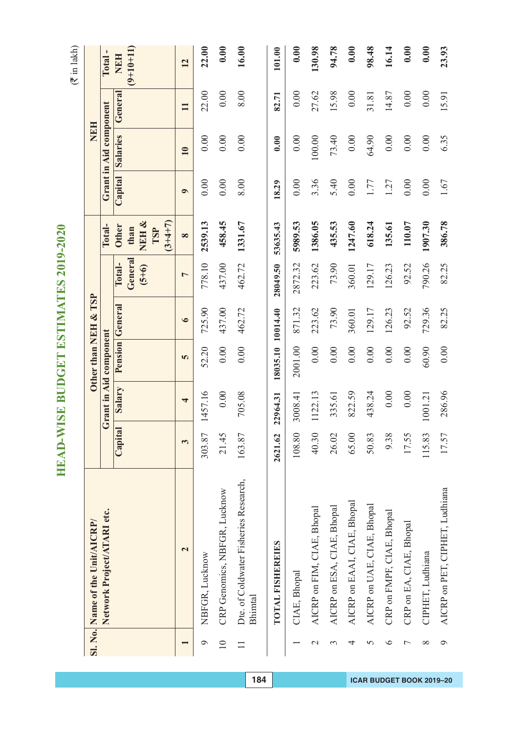|                    | Sl. No. Name of the Unit/AICRP/                  |         |                         |          | Other than NEH & TSP   |                    |                                   |           | <b>NEH</b>             |              |             |
|--------------------|--------------------------------------------------|---------|-------------------------|----------|------------------------|--------------------|-----------------------------------|-----------|------------------------|--------------|-------------|
|                    | Network Project/ATARI etc.                       |         | Grant in Aid component  |          |                        |                    | Total-                            |           | Grant in Aid component |              | Total-      |
|                    |                                                  | Capital | Salary                  |          | <b>Pension General</b> | Total-             | <b>Other</b>                      | Capital   | <b>Salaries</b>        | General      | <b>NEH</b>  |
|                    |                                                  |         |                         |          |                        | General<br>$(5+6)$ | NEH &<br>$(3+4+7)$<br>than<br>TSP |           |                        |              | $(9+10+11)$ |
|                    | $\mathbf{z}$                                     | 3       | $\overline{\mathbf{r}}$ | 5        | $\bullet$              | $\overline{ }$     | $\infty$                          | $\bullet$ | $\overline{10}$        | $\mathbf{H}$ | 12          |
| $\mathbf{\hat{c}}$ | NBFGR, Lucknow                                   | 303.87  | 1457.16                 | 52.20    | 725.90                 | 778.10             | 2539.13                           | 0.00      | 0.00                   | 22.00        | 22.00       |
| $\overline{10}$    | CRP Genomics, NBFGR, Lucknow                     | 21.45   | 0.00                    | 0.00     | 437.00                 | 437.00             | 458.45                            | 0.00      | 0.00                   | 0.00         | 0.00        |
| $\Box$             | Dte. of Coldwater Fisheries Research,<br>Bhimtal | 163.87  | 705.08                  | 0.00     | 462.72                 | 462.72             | 1331.67                           | 8.00      | 0.00                   | 8.00         | 16.00       |
|                    | TOTAL FISHEREIES                                 | 2621.62 | 22964.31                | 18035.10 | 10014.40               | 28049.50           | 53635.43                          | 18.29     | 0.00                   | 82.71        | 101.00      |
|                    | CIAE, Bhopal                                     | 108.80  | 3008.41                 | 2001.00  | 871.32                 | 2872.32            | 5989.53                           | 0.00      | 0.00                   | 0.00         | 0.00        |
| $\mathbf{\sim}$    | AICRP on FIM, CIAE, Bhopal                       | 40.30   | 1122.13                 | 0.00     | 223.62                 | 223.62             | 1386.05                           | 3.36      | 100.00                 | 27.62        | 130.98      |
| 3                  | AICRP on ESA, CIAE, Bhopal                       | 26.02   | 335.61                  | 0.00     | 73.90                  | 73.90              | 435.53                            | 5.40      | 73.40                  | 15.98        | 94.78       |
| 4                  | AICRP on EAAI, CIAE, Bhopal                      | 65.00   | 822.59                  | 0.00     | 360.01                 | 360.01             | 1247.60                           | 0.00      | 0.00                   | 0.00         | 0.00        |
| 5                  | AICRP on UAE, CIAE, Bhopal                       | 50.83   | 438.24                  | 0.00     | 129.17                 | 129.17             | 618.24                            | 1.77      | 64.90                  | 31.81        | 98.48       |
| $\circ$            | CRP on FMPF, CIAE, Bhopal                        | 9.38    | 0.00                    | 0.00     | 126.23                 | 126.23             | 135.61                            | 1.27      | 0.00                   | 14.87        | 16.14       |
| $\overline{ }$     | CRP on EA, CIAE, Bhopal                          | 17.55   | 0.00                    | 0.00     | 92.52                  | 92.52              | 110.07                            | 0.00      | 0.00                   | 0.00         | 0.00        |
| $\infty$           | CIPHET, Ludhiana                                 | 115.83  | 1001.21                 | 60.90    | 729.36                 | 790.26             | 1907.30                           | 0.00      | 0.00                   | 0.00         | 0.00        |
| $\circ$            | AICRP on PET, CIPHET, Ludhiana                   | 17.57   | 286.96                  | 0.00     | 82.25                  | 82.25              | 386.78                            | 1.67      | 6.35                   | 15.91        | 23.93       |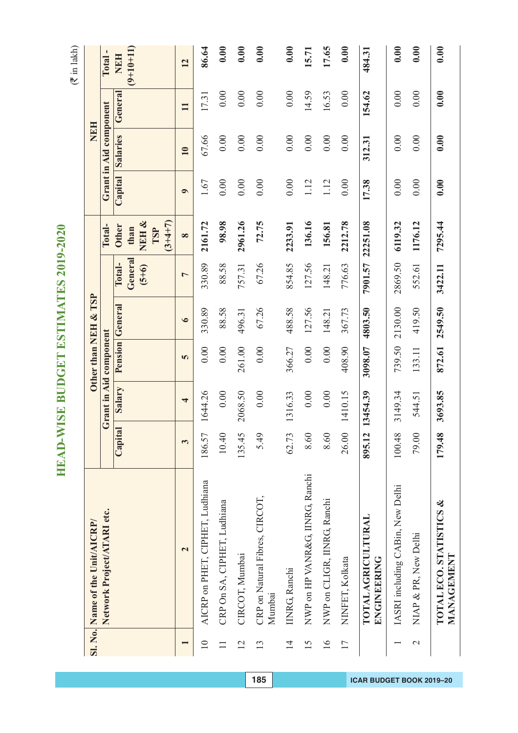|                 | Sl. No. Name of the Unit/AICRP/          |         |                         |         | Other than NEH & TSP   |                              |                                                      |           | <b>NEH</b>             |              |                    |
|-----------------|------------------------------------------|---------|-------------------------|---------|------------------------|------------------------------|------------------------------------------------------|-----------|------------------------|--------------|--------------------|
|                 | Network Project/ATARI etc.               |         | Grant in Aid component  |         |                        |                              | Total-                                               |           | Grant in Aid component |              | Total-             |
|                 |                                          | Capital | Salary                  |         | <b>Pension</b> General | General<br>Total-<br>$(5+6)$ | NEH&<br>$(3 + 4 + 7)$<br><b>Other</b><br>than<br>TSP | Capital   | <b>Salaries</b>        | General      | $(9+10+11)$<br>NEH |
|                 | $\mathbf{\Omega}$                        | 3       | $\overline{\mathbf{r}}$ | 5       | $\bullet$              | 1                            | $\infty$                                             | $\bullet$ | $\overline{10}$        | $\mathbf{I}$ | 12                 |
| $\overline{10}$ | AICRP on PHET, CIPHET, Ludhiana          | 186.57  | 1644.26                 | 0.00    | 330.89                 | 330.89                       | 2161.72                                              | 1.67      | 67.66                  | 17.31        | 86.64              |
|                 | CRP On SA, CIPHET, Ludhiana              | 10.40   | 0.00                    | 0.00    | 88.58                  | 88.58                        | 98.98                                                | 0.00      | 0.00                   | 0.00         | 0.00               |
| 12              | CIRCOT, Mumbai                           | 135.45  | 2068.50                 | 261.00  | 496.31                 | 757.31                       | 2961.26                                              | 0.00      | 0.00                   | 0.00         | 0.00               |
| 13              | CRP on Natural Fibres, CIRCOT,<br>Mumbai | 5.49    | 0.00                    | 0.00    | 67.26                  | 67.26                        | 72.75                                                | 0.00      | 0.00                   | 0.00         | 0.00               |
| $\overline{14}$ | IINRG, Ranchi                            | 62.73   | 1316.33                 | 366.27  | 488.58                 | 854.85                       | 2233.91                                              | 0.00      | 0.00                   | 0.00         | 0.00               |
| 15              | NWP on HP VANR&G, IINRG, Ranchi          | 8.60    | $0.00\,$                | 0.00    | 127.56                 | 127.56                       | 136.16                                               | 1.12      | 0.00                   | 14.59        | 15.71              |
| $\overline{16}$ | NWP on CLIGR, IINRG, Ranchi              | 8.60    | 0.00                    | 0.00    | 148.21                 | 148.21                       | 156.81                                               | 1.12      | 0.00                   | 16.53        | 17.65              |
| 17              | NINFET, Kolkata                          | 26.00   | 1410.15                 | 408.90  | 367.73                 | 776.63                       | 2212.78                                              | 0.00      | 0.00                   | 0.00         | 0.00               |
|                 | <b>TOTAL AGRICULTURAL</b><br>ENGINEERING | 895.12  | 13454.39                | 3098.07 | 4803.50                | 7901.57                      | 22251.08                                             | 17.38     | 312.31                 | 154.62       | 484.31             |
|                 | IASRI including CABin, New Delhi         | 100.48  | 3149.34                 | 739.50  | 2130.00                | 2869.50                      | 6119.32                                              | 0.00      | 0.00                   | 0.00         | 0.00               |
| $\mathcal{C}$   | NIAP & PR, New Delhi                     | 79.00   | 544.51                  | 133.11  | 419.50                 | 552.61                       | 1176.12                                              | 0.00      | 0.00                   | 0.00         | 0.00               |
|                 | TOTAL ECO. STATISTICS &<br>MANAGEMENT    | 179.48  | 3693.85                 | 872.61  | 2549.50                | 3422.11                      | 7295.44                                              | 0.00      | 0.00                   | 0.00         | 0.00               |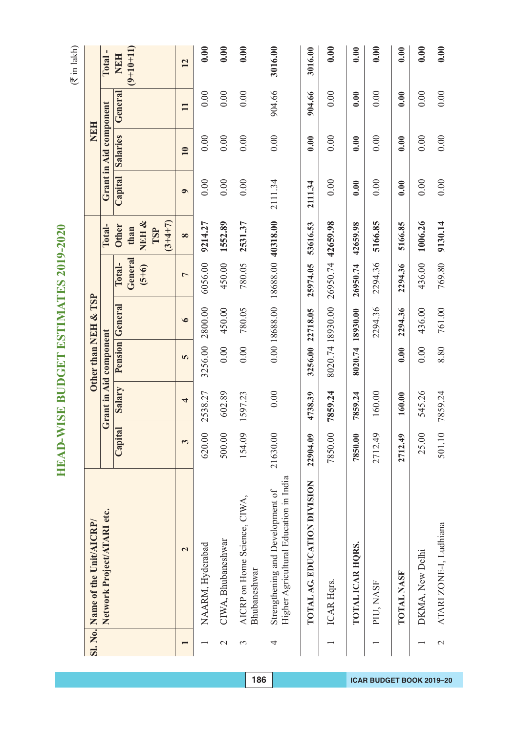|               | Sl. No. Name of the Unit/AICRP/                                            |          |                         |                  | Other than NEH & TSP |                   |                          |           | <b>NEH</b>             |              |                           |
|---------------|----------------------------------------------------------------------------|----------|-------------------------|------------------|----------------------|-------------------|--------------------------|-----------|------------------------|--------------|---------------------------|
|               | Network Project/ATARI etc.                                                 |          | Grant in Aid component  |                  |                      |                   | Total-                   |           | Grant in Aid component |              | Total-                    |
|               |                                                                            | Capital  | Salary                  |                  | Pension General      | General<br>Total- | <b>Other</b><br>than     | Capital   | <b>Salaries</b>        | General      | $(9+10+11)$<br><b>NEH</b> |
|               |                                                                            |          |                         |                  |                      | $(5+6)$           | $(3+4+7)$<br>NEH&<br>TSP |           |                        |              |                           |
|               | $\overline{\mathbf{c}}$                                                    | 3        | $\overline{\mathbf{r}}$ | 5                | $\bullet$            | $\overline{ }$    | $\infty$                 | $\bullet$ | 10                     | $\mathbf{H}$ | 12                        |
|               | NAARM, Hyderabad                                                           | 620.00   | 2538.27                 | 3256.00          | 2800.00              | 6056.00           | 9214.27                  | 0.00      | 0.00                   | 0.00         | 0.00                      |
| $\mathcal{L}$ | CIWA, Bhubaneshwar                                                         | 500.00   | 602.89                  | 0.00             | 450.00               | 450.00            | 1552.89                  | 0.00      | 0.00                   | 0.00         | 0.00                      |
| $\epsilon$    | AICRP on Home Science, CIWA,<br>Bhubaneshwar                               | 154.09   | 1597.23                 | 0.00             | 780.05               | 780.05            | 2531.37                  | 0.00      | 0.00                   | 0.00         | 0.00                      |
| 4             | Higher Agricultural Education in India<br>Strengthening and Development of | 21630.00 | 0.00                    |                  | 0.00 18688.00        | 18688.00 40318.00 |                          | 2111.34   | 0.00                   | 904.66       | 3016.00                   |
|               | TOTAL AG. EDUCATION DIVISION                                               | 22904.09 | 4738.39                 | 3256.00 22718.05 |                      | 25974.05          | 53616.53                 | 2111.34   | 0.00                   | 904.66       | 3016.00                   |
|               | ICAR Hqrs.                                                                 | 7850.00  | 7859.24                 | 8020.74 18930.00 |                      | 26950.74 42659.98 |                          | 0.00      | 0.00                   | 0.00         | 0.00                      |
|               | TOTAL ICAR HQRS.                                                           | 7850.00  | 7859.24                 | 8020.74          | 18930.00             | 26950.74          | 42659.98                 | 0.00      | 0.00                   | 0.00         | 0.00                      |
|               | PIU, NASF                                                                  | 2712.49  | 160.00                  |                  | 2294.36              | 2294.36           | 5166.85                  | 0.00      | 0.00                   | 0.00         | 0.00                      |
|               | <b>TOTAL NASF</b>                                                          | 2712.49  | 160.00                  | 0.00             | 2294.36              | 2294.36           | 5166.85                  | 0.00      | 0.00                   | 0.00         | 0.00                      |
|               | DKMA, New Delhi                                                            | 25.00    | 545.26                  | 0.00             | 436.00               | 436.00            | 1006.26                  | 0.00      | 0.00                   | 0.00         | 0.00                      |
| $\mathcal{L}$ | ATARI ZONE-I, Ludhiana                                                     | 501.10   | 7859.24                 | 8.80             | 761.00               | 769.80            | 9130.14                  | 0.00      | 0.00                   | 0.00         | 0.00                      |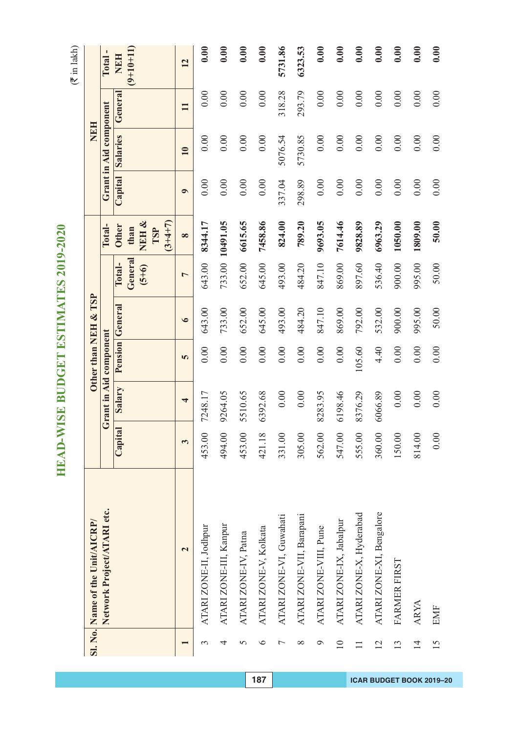#### $\tilde{\epsilon}$

**HEAD-WISE BUDGET ESTIMATES 2019-2020**

HEAD-WISE BUDGET ESTIMATES 2019-2020

|   | ╮  |
|---|----|
|   |    |
|   |    |
|   | ≂  |
|   | -  |
|   |    |
|   | ⊂  |
|   |    |
| ı | ۰. |

|                 | Sl. No. Name of the Unit/AICRP/ |         |                        |        | Other than NEH & TSP   |                    |                                   |           | <b>NEH</b>             |              |             |
|-----------------|---------------------------------|---------|------------------------|--------|------------------------|--------------------|-----------------------------------|-----------|------------------------|--------------|-------------|
|                 | Network Project/ATARI etc.      |         | Grant in Aid component |        |                        |                    | Total-                            |           | Grant in Aid component |              | Total-      |
|                 |                                 | Capital | Salary                 |        | <b>Pension</b> General | Total-             | <b>Other</b>                      |           | Capital Salaries       | General      | <b>NEH</b>  |
|                 |                                 |         |                        |        |                        | General<br>$(5+6)$ | NEH &<br>$(3+4+7)$<br>than<br>TSP |           |                        |              | $(9+10+11)$ |
|                 | $\overline{\mathbf{C}}$         | 3       | 4                      | 5      | $\bullet$              | $\overline{ }$     | $\infty$                          | $\bullet$ | $\overline{10}$        | $\mathbf{I}$ | 12          |
| 3               | ATARI ZONE-II, Jodhpur          | 453.00  | 7248.17                | 0.00   | 643.00                 | 643.00             | 8344.17                           | 0.00      | 0.00                   | 0.00         | 0.00        |
| 4               | ATARI ZONE-III, Kanpur          | 494.00  | 9264.05                | 0.00   | 733.00                 |                    | 733.00 10491.05                   | 0.00      | 0.00                   | 0.00         | 0.00        |
| 5               | ATARI ZONE-IV, Patna            | 453.00  | 5510.65                | 0.00   | 652.00                 | 652.00             | 6615.65                           | 0.00      | 0.00                   | 0.00         | 0.00        |
| $\circ$         | ATARI ZONE-V, Kolkata           | 421.18  | 6392.68                | 0.00   | 645.00                 | 645.00             | 7458.86                           | 0.00      | 0.00                   | 0.00         | 0.00        |
| $\overline{ }$  | ATARI ZONE-VI, Guwahati         | 331.00  | 0.00                   | 0.00   | 493.00                 | 493.00             | 824.00                            | 337.04    | 5076.54                | 318.28       | 5731.86     |
| ∞               | ATARI ZONE-VII, Barapani        | 305.00  | 0.00                   | 0.00   | 484.20                 | 484.20             | 789.20                            | 298.89    | 5730.85                | 293.79       | 6323.53     |
| Q               | ATARI ZONE-VIII, Pune           | 562.00  | 8283.95                | 0.00   | 847.10                 | 847.10             | 9693.05                           | 0.00      | 0.00                   | 0.00         | 0.00        |
| $\overline{10}$ | ATARI ZONE-IX, Jabalpur         | 547.00  | 6198.46                | 0.00   | 869.00                 | 869.00             | 7614.46                           | 0.00      | 0.00                   | 0.00         | 0.00        |
|                 | ATARI ZONE-X, Hyderabad         | 555.00  | 8376.29                | 105.60 | 792.00                 | 897.60             | 9828.89                           | 0.00      | 0.00                   | 0.00         | 0.00        |
| 12              | ATARI ZONE-XI, Bengalore        | 360.00  | 6066.89                | 4.40   | 532.00                 | 536.40             | 6963.29                           | 0.00      | 0.00                   | 0.00         | 0.00        |
| 13              | FARMER FIRST                    | 150.00  | 0.00                   | 0.00   | 900.00                 | 900.00             | 1050.00                           | 0.00      | 0.00                   | 0.00         | 0.00        |
| $\overline{1}$  | <b>ARYA</b>                     | 814.00  | 0.00                   | 0.00   | 995.00                 | 995.00             | 1809.00                           | 0.00      | 0.00                   | 0.00         | 0.00        |
| 15              | EMF                             | 0.00    | 0.00                   | 0.00   | 50.00                  | 50.00              | 50.00                             | 0.00      | 0.00                   | 0.00         | 0.00        |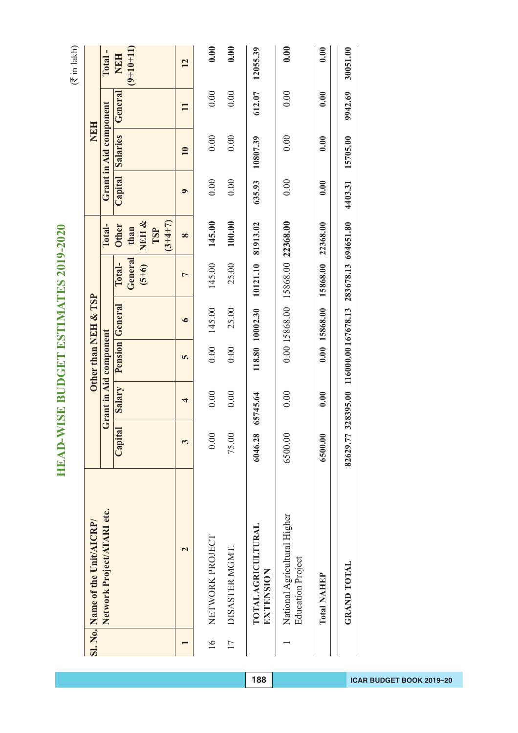| ∍                            |  |
|------------------------------|--|
| ij                           |  |
|                              |  |
| JUVU<br>J                    |  |
|                              |  |
|                              |  |
|                              |  |
| ì                            |  |
| $\frac{1}{2}$                |  |
| ľ<br>l                       |  |
| <b>C</b><br>F<br>F<br>F<br>F |  |
| f                            |  |
|                              |  |
| ⋞                            |  |
| Ų                            |  |
| ۱                            |  |
|                              |  |
|                              |  |
| 2                            |  |
| ESTI                         |  |
|                              |  |
| $\overline{\phantom{a}}$     |  |
|                              |  |
| ¥                            |  |
|                              |  |
|                              |  |
| ı                            |  |
|                              |  |
| $\overline{\mathbf{r}}$      |  |
|                              |  |
| TOL                          |  |
|                              |  |
|                              |  |
| ١                            |  |
|                              |  |
|                              |  |
|                              |  |
| d                            |  |
|                              |  |
| ī                            |  |
| ī                            |  |
|                              |  |

|               | Sl. No. Name of the Unit/AICRP/                          |          |          | Other than NEH & TSP                              |                        |                                 |                                                      |         | <b>NEH</b>             |         |                    |
|---------------|----------------------------------------------------------|----------|----------|---------------------------------------------------|------------------------|---------------------------------|------------------------------------------------------|---------|------------------------|---------|--------------------|
|               | Network Project/ATARI etc.                               |          |          | Grant in Aid component                            |                        |                                 | Total-                                               |         | Grant in Aid component |         | Total-             |
|               |                                                          | Capital  | Salary   |                                                   | <b>Pension</b> General | General<br>Total-<br>$(5+6)$    | NEH&<br>$(3 + 4 + 7)$<br><b>Other</b><br>than<br>TSP |         | Capital Salaries       | General | $(9+10+11)$<br>NEH |
|               | $\mathbf{\sim}$                                          |          | ₹        | 5                                                 | $\bullet$              | ᡕ                               | $\infty$                                             | ⊝       | $\overline{10}$        |         | 12                 |
| $\frac{6}{1}$ | NETWORK PROJECT                                          | 0.00     | 0.00     | 0.00                                              | 145.00                 | 145.00                          | 145.00                                               | 0.00    | 0.00                   | 0.00    | 0.00               |
| 17            | DISASTER MGMT.                                           | 75.00    | 0.00     | 0.00                                              | 25.00                  | 25.00                           | 100.00                                               | 0.00    | 0.00                   | 0.00    | 0.00               |
|               | <b>TOTAL AGRICULTURAL</b><br>EXTENSION                   | 6046.28  | 65745.64 |                                                   | 118.80 10002.30        | 10121.10 81913.02               |                                                      | 635.93  | 10807.39               | 612.07  | 12055.39           |
|               | National Agricultural Higher<br><b>Education Project</b> | 6500.00  | 0.00     |                                                   |                        | 0.00 15868.00 15868.00 22368.00 |                                                      | 0.00    | 0.00                   | 0.00    | 0.00               |
|               | Total NAHEP                                              | 6500.00  | 0.00     |                                                   | 0.00 15868.00          | 15868.00                        | 22368.00                                             | 0.00    | 0.00                   | 0.00    | 0.00               |
|               | <b>GRAND TOTAL</b>                                       | 82629.77 |          | 328395.00 116000.00 167678.13 283678.13 694651.80 |                        |                                 |                                                      | 4403.31 | 15705.00               | 9942.69 | 30051.00           |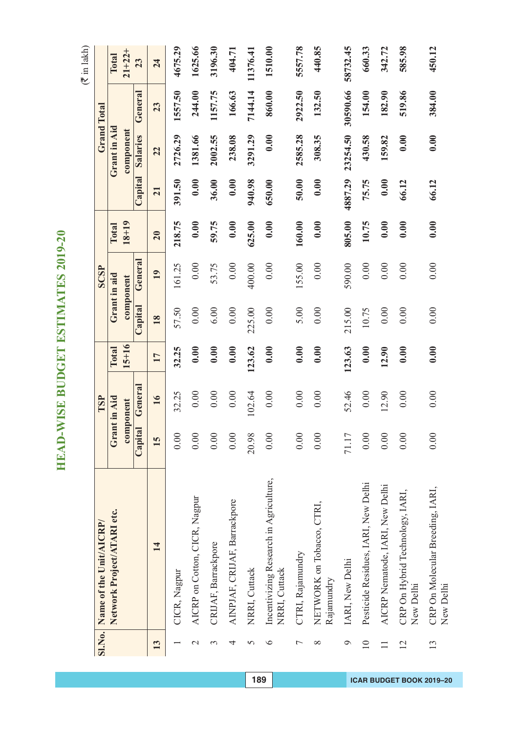| <b>SI.No.</b>  | Name of the Unit/AICRP/                                 |         | TSP          |           |         | SCSP         |           |         |              | <b>Grand Total</b> |             |
|----------------|---------------------------------------------------------|---------|--------------|-----------|---------|--------------|-----------|---------|--------------|--------------------|-------------|
|                | Network Project/ATARI etc.                              |         | Grant in Aid | Total     |         | Grant in aid | Total     |         | Grant in Aid |                    | Total       |
|                |                                                         |         | component    | $15 + 16$ |         | component    | $18 + 19$ |         | component    |                    | $21 + 22 +$ |
|                |                                                         | Capital | General      |           | Capital | General      |           | Capital | Salaries     | General            | 23          |
| 13             | $\mathbf{14}$                                           | 15      | 16           | 17        | 18      | 19           | 20        | 21      | 22           | 23                 | 24          |
|                | CICR, Nagpur                                            | 0.00    | 32.25        | 32.25     | 57.50   | 161.25       | 218.75    | 391.50  | 2726.29      | 1557.50            | 4675.29     |
| $\mathcal{C}$  | AICRP on Cotton, CICR, Nagpur                           | 0.00    | 0.00         | 0.00      | 0.00    | 0.00         | 0.00      | 0.00    | 1381.66      | 244.00             | 1625.66     |
| 3              | CRIJAF, Barrackpore                                     | 0.00    | 0.00         | 0.00      | 6.00    | 53.75        | 59.75     | 36.00   | 2002.55      | 1157.75            | 3196.30     |
| 4              | AINPJAF, CRIJAF, Barrackpore                            | 0.00    | 0.00         | 0.00      | 0.00    | 0.00         | 0.00      | 0.00    | 238.08       | 166.63             | 404.71      |
| 5              | NRRI, Cuttack                                           | 20.98   | 102.64       | 123.62    | 225.00  | 400.00       | 625.00    | 940.98  | 3291.29      | 7144.14            | 11376.41    |
| $\circ$        | Incentivizing Research in Agriculture,<br>NRRI, Cuttack | 0.00    | 0.00         | 0.00      | 0.00    | 0.00         | 0.00      | 650.00  | 0.00         | 860.00             | 1510.00     |
| $\overline{ }$ | CTRI, Rajamundry                                        | 0.00    | 0.00         | 0.00      | 5.00    | 155.00       | 160.00    | 50.00   | 2585.28      | 2922.50            | 5557.78     |
| $\infty$       | NETWORK on Tobacco, CTRI,<br>Rajamundry                 | 0.00    | 0.00         | 0.00      | 0.00    | 0.00         | 0.00      | 0.00    | 308.35       | 132.50             | 440.85      |
| $\circ$        | IARI, New Delhi                                         | 71.17   | 52.46        | 123.63    | 215.00  | 590.00       | 805.00    | 4887.29 | 23254.50     | 30590.66           | 58732.45    |
| $\subseteq$    | Pesticide Residues, IARI, New Delhi                     | 0.00    | 0.00         | 0.00      | 10.75   | 0.00         | 10.75     | 75.75   | 430.58       | 154.00             | 660.33      |
|                | AICRP Nematode, IARI, New Delhi                         | 0.00    | 12.90        | 12.90     | 0.00    | 0.00         | 0.00      | 0.00    | 159.82       | 182.90             | 342.72      |
| $\overline{2}$ | CRP On Hybrid Technology, IARI,<br>New Delhi            | 0.00    | 0.00         | 0.00      | 0.00    | 0.00         | 0.00      | 66.12   | 0.00         | 519.86             | 585.98      |
| 13             | CRP On Molecular Breeding, IARI,<br>New Delhi           | 0.00    | 0.00         | 0.00      | 0.00    | 0.00         | 0.00      | 66.12   | 0.00         | 384.00             | 450.12      |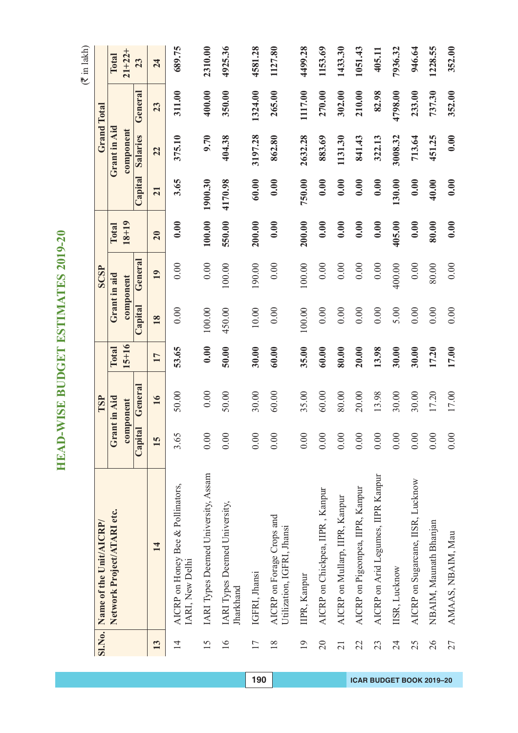|                 | SI.No. Name of the Unit/AICRP/                          |         | TSP                       |                    |         | SCSP                      |                    |         |                           | <b>Grand Total</b> |                      |
|-----------------|---------------------------------------------------------|---------|---------------------------|--------------------|---------|---------------------------|--------------------|---------|---------------------------|--------------------|----------------------|
|                 | Network Project/ATARI etc.                              |         | Grant in Aid<br>component | $15 + 16$<br>Total |         | Grant in aid<br>component | $18 + 19$<br>Total |         | Grant in Aid<br>component |                    | $21 + 22 +$<br>Total |
|                 |                                                         | Capital | General                   |                    | Capital | General                   |                    | Capital | <b>Salaries</b>           | General            | 23                   |
| 13              | 14                                                      | 15      | 16                        | 17                 | 18      | 19                        | 20                 | 21      | 22                        | 23                 | 24                   |
| $\overline{4}$  | AICRP on Honey Bee & Pollinators,<br>IARI, New Delhi    | 3.65    | 50.00                     | 53.65              | 0.00    | 0.00                      | 0.00               | 3.65    | 375.10                    | 311.00             | 689.75               |
| 15              | IARI Types Deemed University, Assam                     | 0.00    | 0.00                      | 0.00               | 100.00  | 0.00                      | 100.00             | 1900.30 | 9.70                      | 400.00             | 2310.00              |
| $\overline{16}$ | IARI Types Deemed University,<br>Jharkhand              | 0.00    | 50.00                     | 50.00              | 450.00  | 100.00                    | 550.00             | 4170.98 | 404.38                    | 350.00             | 4925.36              |
| 17              | IGFRI, Jhansi                                           | 0.00    | 30.00                     | 30.00              | 10.00   | 190.00                    | 200.00             | 60.00   | 3197.28                   | 1324.00            | 4581.28              |
| $\frac{8}{18}$  | AICRP on Forage Crops and<br>Utilization, IGFRI, Jhansi | 0.00    | 60.00                     | 60.00              | 0.00    | 0.00                      | 0.00               | 0.00    | 862.80                    | 265.00             | 1127.80              |
| $\overline{19}$ | IIPR, Kanpur                                            | 0.00    | 35.00                     | 35.00              | 100.00  | 100.00                    | 200.00             | 750.00  | 2632.28                   | 1117.00            | 4499.28              |
| $\overline{20}$ | AICRP on Chickpea, IIPR, Kanpur                         | 0.00    | 60.00                     | 60.00              | 0.00    | 0.00                      | 0.00               | 0.00    | 883.69                    | 270.00             | 1153.69              |
| 21              | AICRP on Mullarp, IIPR, Kanpur                          | 0.00    | 80.00                     | 80.00              | 0.00    | 0.00                      | 0.00               | 0.00    | 1131.30                   | 302.00             | 1433.30              |
| 22              | AICRP on Pigeonpea, IIPR, Kanpur                        | 0.00    | 20.00                     | 20.00              | 0.00    | 0.00                      | 0.00               | 0.00    | 841.43                    | 210.00             | 1051.43              |
| 23              | AICRP on Arid Legumes, IIPR Kanpur                      | 0.00    | 13.98                     | 13.98              | 0.00    | 0.00                      | 0.00               | 0.00    | 322.13                    | 82.98              | 405.11               |
| 24              | IISR, Lucknow                                           | 0.00    | 30.00                     | 30.00              | 5.00    | 400.00                    | 405.00             | 130.00  | 3008.32                   | 4798.00            | 7936.32              |
| 25              | AICRP on Sugarcane, IISR, Lucknow                       | 0.00    | 30.00                     | 30.00              | 0.00    | 0.00                      | 0.00               | 0.00    | 713.64                    | 233.00             | 946.64               |
| 26              | NBAIM, Maunath Bhanjan                                  | 0.00    | 17.20                     | 17.20              | 0.00    | 80.00                     | 80.00              | 40.00   | 451.25                    | 737.30             | 1228.55              |
| 27              | AMAAS, NBAIM, Mau                                       | 0.00    | 17.00                     | 17.00              | 0.00    | 0.00                      | 0.00               | 0.00    | 0.00                      | 352.00             | 352.00               |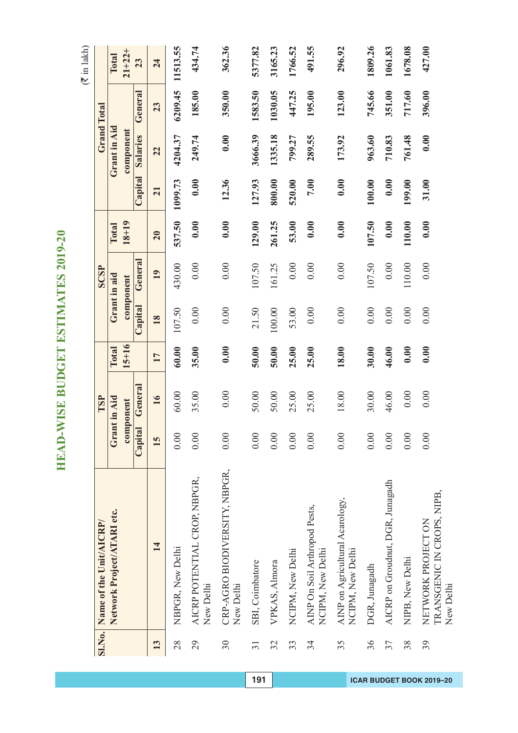$(\overline{\mathfrak{F}}$  in lakh)

| <b>SI.No.</b>   | Name of the Unit/AICRP/                                       |         | TSP          |              |         | <b>SCSP</b>  |           |         | <b>Grand Total</b> |         |          |
|-----------------|---------------------------------------------------------------|---------|--------------|--------------|---------|--------------|-----------|---------|--------------------|---------|----------|
|                 | Network Project/ATARI etc.                                    |         | Grant in Aid | <b>Total</b> |         | Grant in aid | Total     |         | Grant in Aid       |         | Total    |
|                 |                                                               |         | component    | $15 + 16$    |         | component    | $18 + 19$ |         | component          |         | $21+22+$ |
|                 |                                                               | Capital | Genera       |              | Capital | General      |           | Capital | Salaries           | General | 23       |
| 13              | 14                                                            | 15      | 16           | 17           | 18      | 19           | 20        | 21      | 22                 | 23      | 24       |
| 28              | NBPGR, New Delhi                                              | 0.00    | 60.00        | 60.00        | 107.50  | 430.00       | 537.50    | 1099.73 | 4204.37            | 6209.45 | 11513.55 |
| 29              | AICRP POTENTIAL CROP, NBPGR,<br>New Delhi                     | 0.00    | 35.00        | 35.00        | 0.00    | 0.00         | 0.00      | 0.00    | 249.74             | 185.00  | 434.74   |
| 30              | CRP-AGRO BIODIVERSITY, NBPGR,<br>New Delhi                    | 0.00    | 0.00         | 0.00         | 0.00    | 0.00         | 0.00      | 12.36   | 0.00               | 350.00  | 362.36   |
| $\overline{31}$ | SBI, Coimbatore                                               | 0.00    | 50.00        | 50.00        | 21.50   | 107.50       | 129.00    | 127.93  | 3666.39            | 1583.50 | 5377.82  |
| 32              | VPKAS, Almora                                                 | 0.00    | 50.00        | 50.00        | 100.00  | 161.25       | 261.25    | 800.00  | 1335.18            | 1030.05 | 3165.23  |
| 33              | NCIPM, New Delhi                                              | 0.00    | 25.00        | 25.00        | 53.00   | $0.00\,$     | 53.00     | 520.00  | 799.27             | 447.25  | 1766.52  |
| 34              | AINP On Soil Arthropod Pests,<br>NCIPM, New Delhi             | 0.00    | 25.00        | 25.00        | 0.00    | 0.00         | 0.00      | 7.00    | 289.55             | 195.00  | 491.55   |
| 35              | AINP on Agricultural Acarology,<br>NCIPM, New Delhi           | 0.00    | 18.00        | 18.00        | 0.00    | 0.00         | 0.00      | 0.00    | 173.92             | 123.00  | 296.92   |
| 36              | DGR, Junagadh                                                 | 0.00    | 30.00        | 30.00        | 0.00    | 107.50       | 107.50    | 100.00  | 963.60             | 745.66  | 1809.26  |
| 37              | AICRP on Groudnut, DGR, Junagadh                              | 0.00    | 46.00        | 46.00        | 0.00    | $0.00\,$     | 0.00      | 0.00    | 710.83             | 351.00  | 1061.83  |
| 38              | NIPB, New Delhi                                               | 0.00    | $0.00$       | 0.00         | 0.00    | 110.00       | 110.00    | 199.00  | 761.48             | 717.60  | 1678.08  |
| 39              | TRANSGENIC IN CROPS, NIPB,<br>NETWORK PROJECT ON<br>New Delhi | 0.00    | 0.00         | 0.00         | 0.00    | 0.00         | 0.00      | 31.00   | 0.00               | 396.00  | 427.00   |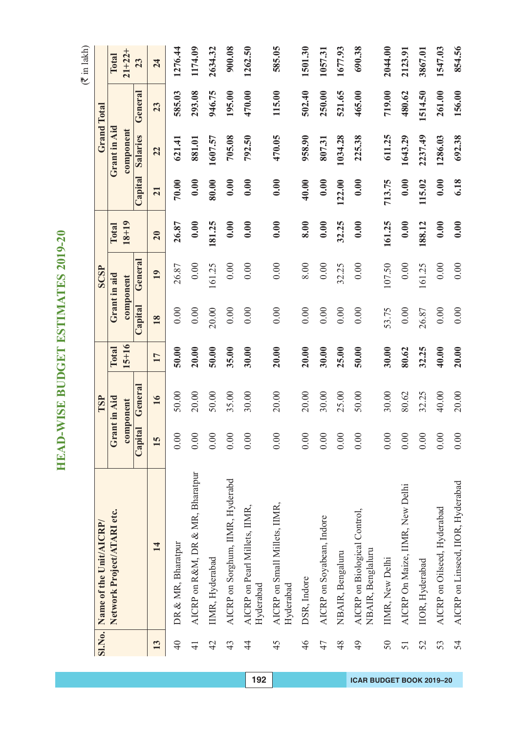|                 | SI.No. Name of the Unit/AICRP/                    |         | TSP          |          |         | SCSP         |           |         |                 | <b>Grand Total</b> |             |
|-----------------|---------------------------------------------------|---------|--------------|----------|---------|--------------|-----------|---------|-----------------|--------------------|-------------|
|                 | Network Project/ATARI etc.                        |         | Grant in Aid | Total    |         | Grant in aid | Total     |         | Grant in Aid    |                    | Total       |
|                 |                                                   |         | component    | $5 + 16$ |         | component    | $18 + 19$ |         | component       |                    | $21 + 22 +$ |
|                 |                                                   | Capital | General      |          | Capital | Genera       |           | Capital | <b>Salaries</b> | General            | 23          |
| 13              | 14                                                | 15      | 16           | 17       | 18      | 19           | 20        | 21      | 22              | 23                 | 24          |
| $\overline{40}$ | DR & MR, Bharatpur                                | 0.00    | 50.00        | 50.00    | 0.00    | 26.87        | 26.87     | 70.00   | 621.41          | 585.03             | 1276.44     |
| $\overline{4}$  | AICRP on R&M, DR & MR, Bharatpur                  | 0.00    | 20.00        | 20.00    | 0.00    | 0.00         | 0.00      | 0.00    | 881.01          | 293.08             | 1174.09     |
| 42              | IIMR, Hyderabad                                   | 0.00    | 50.00        | 50.00    | 20.00   | 161.25       | 181.25    | 80.00   | 1607.57         | 946.75             | 2634.32     |
| 43              | AICRP on Sorghum, IIMR, Hyderabd                  | 0.00    | 35.00        | 35.00    | 0.00    | 0.00         | 0.00      | 0.00    | 705.08          | 195.00             | 900.08      |
| $\overline{4}$  | AICRP on Pearl Millets, IIMR,<br>Hyderabad        | 0.00    | 30.00        | 30.00    | 0.00    | 0.00         | 0.00      | 0.00    | 792.50          | 470.00             | 1262.50     |
| 45              | AICRP on Small Millets, IIMR,<br>Hyderabad        | 0.00    | 20.00        | 20.00    | 0.00    | 0.00         | 0.00      | 0.00    | 470.05          | 115.00             | 585.05      |
| 46              | DSR, Indore                                       | 0.00    | 20.00        | 20.00    | 0.00    | 8.00         | 8.00      | 40.00   | 958.90          | 502.40             | 1501.30     |
| 47              | AICRP on Soyabean, Indore                         | 0.00    | 30.00        | 30.00    | 0.00    | 0.00         | 0.00      | 0.00    | 807.31          | 250.00             | 1057.31     |
| 48              | NBAIR, Bengaluru                                  | 0.00    | 25.00        | 25.00    | 0.00    | 32.25        | 32.25     | 122.00  | 1034.28         | 521.65             | 1677.93     |
| 49              | AICRP on Biological Control,<br>NBAIR, Benglaluru | 0.00    | 50.00        | 50.00    | 0.00    | 0.00         | 0.00      | 0.00    | 225.38          | 465.00             | 690.38      |
| 50              | IIMR, New Delhi                                   | 0.00    | 30.00        | 30.00    | 53.75   | 107.50       | 161.25    | 713.75  | 611.25          | 719.00             | 2044.00     |
| 51              | AICRP On Maize, IIMR, New Delhi                   | 0.00    | 80.62        | 80.62    | 0.00    | 0.00         | 0.00      | 0.00    | 1643.29         | 480.62             | 2123.91     |
| 52              | IIOR, Hyderabad                                   | 0.00    | 32.25        | 32.25    | 26.87   | 161.25       | 188.12    | 115.02  | 2237.49         | 1514.50            | 3867.01     |
| 53              | AICRP on Oilseed, Hyderabad                       | 0.00    | 40.00        | 40.00    | 0.00    | 0.00         | 0.00      | 0.00    | 1286.03         | 261.00             | 1547.03     |
| 54              | AICRP on Linseed, IIOR, Hyderabad                 | 0.00    | 20.00        | 20.00    | 0.00    | 0.00         | 0.00      | 6.18    | 692.38          | 156.00             | 854.56      |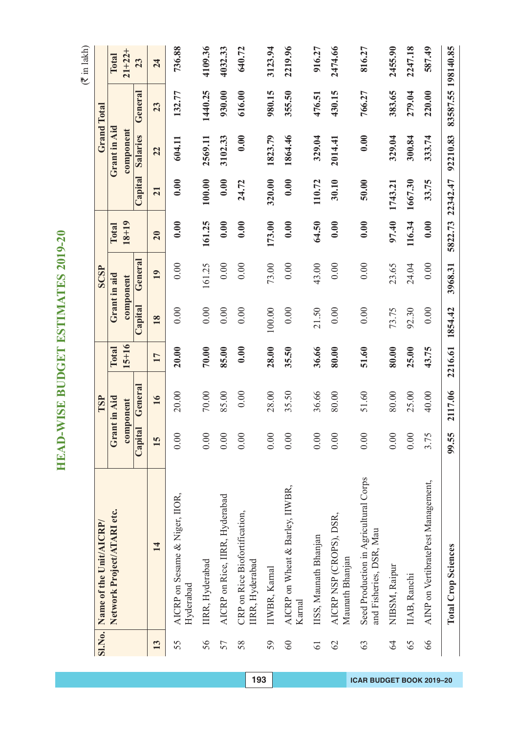|                 |                                                                  |         | TSP          |           |         | <b>SCSP</b>  |              |          |                 |                    |             |
|-----------------|------------------------------------------------------------------|---------|--------------|-----------|---------|--------------|--------------|----------|-----------------|--------------------|-------------|
|                 | SI.No. Name of the Unit/AICRP/                                   |         |              |           |         |              |              |          |                 | <b>Grand Total</b> |             |
|                 | Network Project/ATARI etc.                                       |         | Grant in Aid | Total     |         | Grant in aid | <b>Total</b> |          | Grant in Aid    |                    | Total       |
|                 |                                                                  |         | component    | $15 + 16$ |         | component    | $18 + 19$    |          | component       |                    | $21 + 22 +$ |
|                 |                                                                  | Capital | General      |           | Capital | Genera       |              | Capital  | <b>Salaries</b> | General            | 23          |
| 13              | 14                                                               | 15      | 16           | 17        | 18      | 19           | 20           | 21       | 22              | 23                 | 24          |
| 55              | AICRP on Sesame & Niger, IIOR,<br>Hyderabad                      | 0.00    | 20.00        | 20.00     | 0.00    | 0.00         | 0.00         | 0.00     | 604.11          | 132.77             | 736.88      |
| 56              | IIRR, Hyderabad                                                  | 0.00    | 70.00        | 70.00     | 0.00    | 161.25       | 161.25       | 100.00   | 2569.11         | 1440.25            | 4109.36     |
| 57              | AICRP on Rice, IIRR, Hyderabad                                   | 0.00    | 85.00        | 85.00     | 0.00    | 0.00         | 0.00         | 0.00     | 3102.33         | 930.00             | 4032.33     |
| 58              | CRP on Rice Biofortification,<br>IIRR, Hyderabad                 | 0.00    | 0.00         | 0.00      | 0.00    | 0.00         | 0.00         | 24.72    | 0.00            | 616.00             | 640.72      |
| 59              | IIWBR, Karnal                                                    | 0.00    | 28.00        | 28.00     | 100.00  | 73.00        | 173.00       | 320.00   | 1823.79         | 980.15             | 3123.94     |
| 60              | AICRP on Wheat & Barley, IIWBR,<br>Karnal                        | 0.00    | 35.50        | 35.50     | 0.00    | 0.00         | 0.00         | 0.00     | 1864.46         | 355.50             | 2219.96     |
| $\overline{61}$ | IISS, Maunath Bhanjan                                            | 0.00    | 36.66        | 36.66     | 21.50   | 43.00        | 64.50        | 110.72   | 329.04          | 476.51             | 916.27      |
| $\mathcal{O}$   | AICRP NSP (CROPS), DSR,<br>Maunath Bhanjan                       | 0.00    | 80.00        | 80.00     | 0.00    | 0.00         | 0.00         | 30.10    | 2014.41         | 430.15             | 2474.66     |
| 63              | Seed Production in Agricultural Corps<br>and Fisheries, DSR, Mau | 0.00    | 51.60        | 51.60     | 0.00    | 0.00         | 0.00         | 50.00    | 0.00            | 766.27             | 816.27      |
| 64              | NIBSM, Raipur                                                    | 0.00    | 80.00        | 80.00     | 73.75   | 23.65        | 97.40        | 1743.21  | 329.04          | 383.65             | 2455.90     |
| 65              | IIAB, Ranchi                                                     | 0.00    | 25.00        | 25.00     | 92.30   | 24.04        | 116.34       | 1667.30  | 300.84          | 279.04             | 2247.18     |
| 66              | AINP on VertibratePest Management,                               | 3.75    | 40.00        | 43.75     | 0.00    | 0.00         | 0.00         | 33.75    | 333.74          | 220.00             | 587.49      |
|                 | <b>Total Crop Sciences</b>                                       | 99.55   | 2117.06      | 2216.61   | 1854.42 | 3968.31      | 5822.73      | 22342.47 | 92210.83        | 83587.55 198140.85 |             |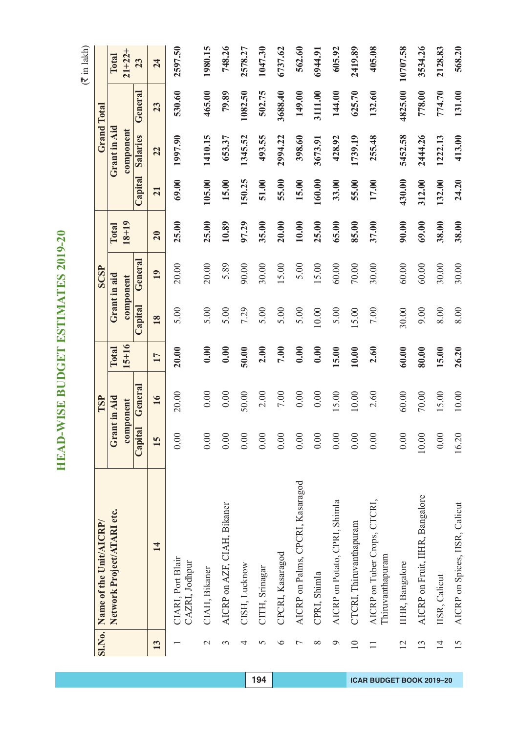|                 | Sl.No. Name of the Unit/AICRP/                   |         | TSP          |           |              | SCSP   |           |         | <b>Grand Total</b> |         |             |
|-----------------|--------------------------------------------------|---------|--------------|-----------|--------------|--------|-----------|---------|--------------------|---------|-------------|
|                 | Network Project/ATARI etc.                       |         | Grant in Aid | Total     | Grant in aid |        | Total     |         | Grant in Aid       |         | Total       |
|                 |                                                  |         | component    | $15 + 16$ | component    |        | $18 + 19$ |         | component          |         | $21 + 22 +$ |
|                 |                                                  | Capital | General      |           | Capital      | Genera |           | Capital | Salaries           | General | 23          |
| 13              | 14                                               | 15      | 16           | 17        | 18           | 19     | 20        | 21      | 22                 | 23      | 24          |
|                 | CIARI, Port Blair<br>CAZRI, Jodhpur              | 0.00    | 20.00        | 20.00     | 5.00         | 20.00  | 25.00     | 69.00   | 1997.90            | 530.60  | 2597.50     |
| $\mathbf{C}$    | CIAH, Bikaner                                    | 0.00    | 0.00         | 0.00      | 5.00         | 20.00  | 25.00     | 105.00  | 1410.15            | 465.00  | 1980.15     |
| 3               | AICRP on AZF, CIAH, Bikaner                      | 0.00    | 0.00         | 0.00      | 5.00         | 5.89   | 10.89     | 15.00   | 653.37             | 79.89   | 748.26      |
| 4               | CISH, Lucknow                                    | 0.00    | 50.00        | 50.00     | 7.29         | 90.00  | 97.29     | 150.25  | 1345.52            | 1082.50 | 2578.27     |
| 5               | CITH, Srinagar                                   | 0.00    | 2.00         | 2.00      | 5.00         | 30.00  | 35.00     | 51.00   | 493.55             | 502.75  | 1047.30     |
| $\bullet$       | CPCRI, Kasaragod                                 | 0.00    | 7.00         | 7.00      | 5.00         | 15.00  | 20.00     | 55.00   | 2994.22            | 3688.40 | 6737.62     |
| $\overline{ }$  | AICRP on Palms, CPCRI, Kasaragod                 | 0.00    | 0.00         | 0.00      | 5.00         | 5.00   | 10.00     | 15.00   | 398.60             | 149.00  | 562.60      |
| $\infty$        | CPRI, Shimla                                     | 0.00    | 0.00         | 0.00      | 10.00        | 15.00  | 25.00     | 160.00  | 3673.91            | 3111.00 | 6944.91     |
| $\circ$         | AICRP on Potato, CPRI, Shimla                    | 0.00    | 15.00        | 15.00     | 5.00         | 60.00  | 65.00     | 33.00   | 428.92             | 144.00  | 605.92      |
| $\overline{10}$ | CTCRI, Thiruvanthapuram                          | 0.00    | 10.00        | 10.00     | 15.00        | 70.00  | 85.00     | 55.00   | 1739.19            | 625.70  | 2419.89     |
| $\Box$          | AICRP on Tuber Crops, CTCRI,<br>Thiruvanthapuram | 0.00    | 2.60         | 2.60      | 7.00         | 30.00  | 37.00     | 17.00   | 255.48             | 132.60  | 405.08      |
| 12              | IIHR, Bangalore                                  | 0.00    | 60.00        | 60.00     | 30.00        | 60.00  | 90.00     | 430.00  | 5452.58            | 4825.00 | 10707.58    |
| 13              | AICRP on Fruit, IIHR, Bangalore                  | 10.00   | 70.00        | 80.00     | 9.00         | 60.00  | 69.00     | 312.00  | 2444.26            | 778.00  | 3534.26     |
| $\overline{1}$  | IISR, Calicut                                    | 0.00    | 15.00        | 15.00     | 8.00         | 30.00  | 38.00     | 132.00  | 1222.13            | 774.70  | 2128.83     |
| 15              | AICRP on Spices, IISR, Calicut                   | 16.20   | 10.00        | 26.20     | 8.00         | 30.00  | 38.00     | 24.20   | 413.00             | 131.00  | 568.20      |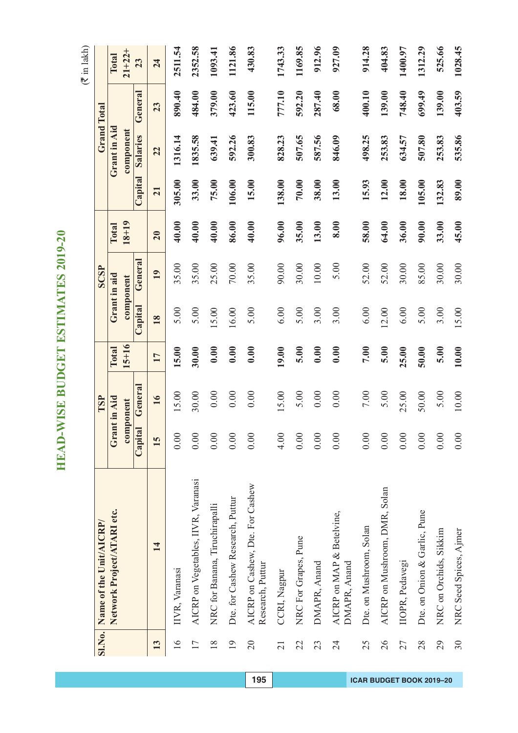$($  $\bar{z}$  in lakh)

|                 | SI.No. Name of the Unit/AICRP/                       |         | TSP          |           |              | SCSP      |           |         |              | <b>Grand Total</b> |             |
|-----------------|------------------------------------------------------|---------|--------------|-----------|--------------|-----------|-----------|---------|--------------|--------------------|-------------|
|                 | Network Project/ATARI etc.                           |         | Grant in Aid | Total     | Grant in aid |           | Total     |         | Grant in Aid |                    | Total       |
|                 |                                                      |         | component    | $15 + 16$ |              | component | $18 + 19$ |         | component    |                    | $21 + 22 +$ |
|                 |                                                      | Capital | General      |           | Capital      | General   |           | Capital | Salaries     | General            | 23          |
| 13              | 14                                                   | 15      | 16           | 17        | 18           | 19        | 20        | 21      | 22           | 23                 | 24          |
| $\frac{6}{1}$   | IIVR, Varanasi                                       | 0.00    | 15.00        | 15.00     | 5.00         | 35.00     | 40.00     | 305.00  | 1316.14      | 890.40             | 2511.54     |
| 17              | AICRP on Vegetables, IIVR, Varanasi                  | 0.00    | 30.00        | 30.00     | 5.00         | 35.00     | 40.00     | 33.00   | 1835.58      | 484.00             | 2352.58     |
| $\frac{8}{18}$  | NRC for Banana, Tiruchirapalli                       | 0.00    | 0.00         | 0.00      | 15.00        | 25.00     | 40.00     | 75.00   | 639.41       | 379.00             | 1093.41     |
| $\overline{19}$ | Dte. for Cashew Research, Puttur                     | 0.00    | 0.00         | 0.00      | 16.00        | $70.00\,$ | 86.00     | 106.00  | 592.26       | 423.60             | 1121.86     |
| $\overline{c}$  | AICRP on Cashew, Dte. For Cashew<br>Research, Puttur | 0.00    | 0.00         | 0.00      | 5.00         | 35.00     | 40.00     | 15.00   | 300.83       | 115.00             | 430.83      |
| $\overline{21}$ | CCRI, Nagpur                                         | 4.00    | 15.00        | 19.00     | 6.00         | 90.00     | 96.00     | 138.00  | 828.23       | 777.10             | 1743.33     |
| 22              | NRC For Grapes, Pune                                 | 0.00    | 5.00         | 5.00      | 5.00         | 30.00     | 35.00     | 70.00   | 507.65       | 592.20             | 1169.85     |
| 23              | DMAPR, Anand                                         | 0.00    | 0.00         | 0.00      | 3.00         | $10.00$   | 13.00     | 38.00   | 587.56       | 287.40             | 912.96      |
| 24              | AICRP on MAP & Betelvine,<br>DMAPR, Anand            | 0.00    | 0.00         | 0.00      | 3.00         | 5.00      | 8.00      | 13.00   | 846.09       | 68.00              | 927.09      |
| 25              | Dte. on Mushroom, Solan                              | 0.00    | 7.00         | 7.00      | $6.00\,$     | 52.00     | 58.00     | 15.93   | 498.25       | 400.10             | 914.28      |
| 26              | AICRP on Mushroom, DMR, Solan                        | 0.00    | 5.00         | 5.00      | 12.00        | 52.00     | 64.00     | 12.00   | 253.83       | 139.00             | 404.83      |
| 27              | IIOPR, Pedavegi                                      | 0.00    | 25.00        | 25.00     | 6.00         | 30.00     | 36.00     | 18.00   | 634.57       | 748.40             | 1400.97     |
| 28              | Dte. on Onion & Garlic, Pune                         | 0.00    | 50.00        | 50.00     | 5.00         | 85.00     | 90.00     | 105.00  | 507.80       | 699.49             | 1312.29     |
| 29              | NRC on Orchids, Sikkim                               | 0.00    | 5.00         | 5.00      | 3.00         | 30.00     | 33.00     | 132.83  | 253.83       | 139.00             | 525.66      |
| 30              | NRC Seed Spices, Ajmer                               | 0.00    | 10.00        | 10.00     | 15.00        | 30.00     | 45.00     | 89.00   | 535.86       | 403.59             | 1028.45     |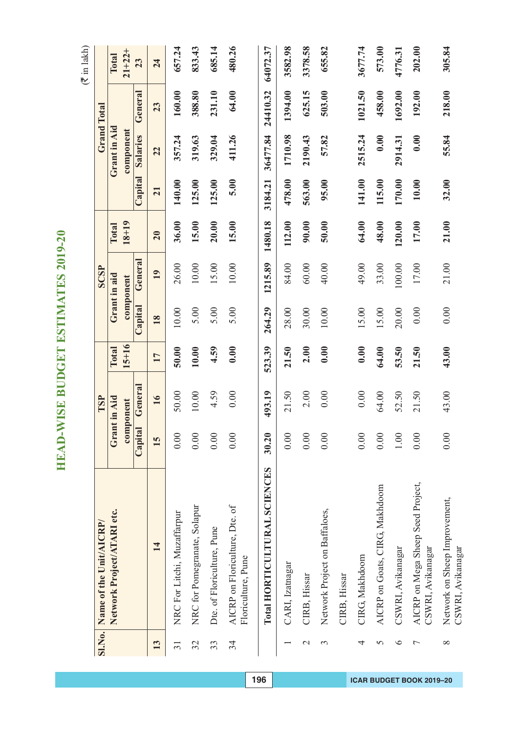$(3 \times 1)$  lakh)

|                 |                                                        |              |          |           |         |              |           |         |              |                    | $\left($ Trining $\left($ |
|-----------------|--------------------------------------------------------|--------------|----------|-----------|---------|--------------|-----------|---------|--------------|--------------------|---------------------------|
| <b>SI.No.</b>   | Name of the Unit/AICRP/                                |              | TSP      |           |         | SCSP         |           |         |              | <b>Grand Total</b> |                           |
|                 | Network Project/ATARI etc.                             | Grant in Aid |          | Total     |         | Grant in aid | Total     |         | Grant in Aid |                    | Total                     |
|                 |                                                        | component    |          | $15 + 16$ |         | component    | $18 + 19$ |         | component    |                    | $21 + 22 +$               |
|                 |                                                        | Capital      | General  |           | Capital | General      |           | Capital | Salaries     | General            | 23                        |
| 13              | 14                                                     | 15           | 16       | 17        | 18      | 19           | 20        | 21      | 22           | 23                 | 24                        |
| $\overline{31}$ | NRC For Litchi, Muzaffarpur                            | 0.00         | 50.00    | 50.00     | 10.00   | 26.00        | 36.00     | 140.00  | 357.24       | 160.00             | 657.24                    |
| 32              | NRC for Pomegranate, Solapur                           | 0.00         | 10.00    | 10.00     | 5.00    | $10.00$      | 15.00     | 125.00  | 319.63       | 388.80             | 833.43                    |
| 33              | Dte. of Floriculture, Pune                             | 0.00         | 4.59     | 4.59      | 5.00    | 15.00        | 20.00     | 125.00  | 329.04       | 231.10             | 685.14                    |
| 34              | AICRP on Floriculture, Dte. of<br>Floriculture, Pune   | 0.00         | 0.00     | 0.00      | 5.00    | $10.00$      | 15.00     | 5.00    | 411.26       | 64.00              | 480.26                    |
|                 | Total HORTICULTURAL SCIENCES                           | 30.20        | 493.19   | 523.39    | 264.29  | 1215.89      | 1480.18   | 3184.21 | 36477.84     | 24410.32           | 64072.37                  |
|                 | CARI, Izatnagar                                        | 0.00         | 21.50    | 21.50     | 28.00   | 84.00        | 112.00    | 478.00  | 1710.98      | 1394.00            | 3582.98                   |
| $\mathcal{L}$   | CIRB, Hissar                                           | 0.00         | 2.00     | 2.00      | 30.00   | 60.00        | 90.00     | 563.00  | 2190.43      | 625.15             | 3378.58                   |
| 3               | Network Project on Baffaloes,                          | 0.00         | 0.00     | 0.00      | $10.00$ | 40.00        | 50.00     | 95.00   | 57.82        | 503.00             | 655.82                    |
|                 | CIRB, Hissar                                           |              |          |           |         |              |           |         |              |                    |                           |
| 4               | CIRG, Makhdoom                                         | 0.00         | $0.00\,$ | 0.00      | 15.00   | 49.00        | 64.00     | 141.00  | 2515.24      | 1021.50            | 3677.74                   |
| 5               | AICRP on Goats, CIRG, Makhdoom                         | 0.00         | 64.00    | 64.00     | 15.00   | 33.00        | 48.00     | 115.00  | 0.00         | 458.00             | 573.00                    |
| $\circ$         | CSWRI, Avikanagar                                      | 1.00         | 52.50    | 53.50     | 20.00   | 100.00       | 120.00    | 170.00  | 2914.31      | 1692.00            | 4776.31                   |
| $\overline{ }$  | AICRP on Mega Sheep Seed Project,<br>CSWRI, Avikanagar | 0.00         | 21.50    | 21.50     | 0.00    | 17.00        | 17.00     | 10.00   | 0.00         | 192.00             | 202.00                    |
| $\infty$        | Network on Sheep Improvement,<br>CSWRI, Avikanagar     | 0.00         | 43.00    | 43.00     | 0.00    | 21.00        | 21.00     | 32.00   | 55.84        | 218.00             | 305.84                    |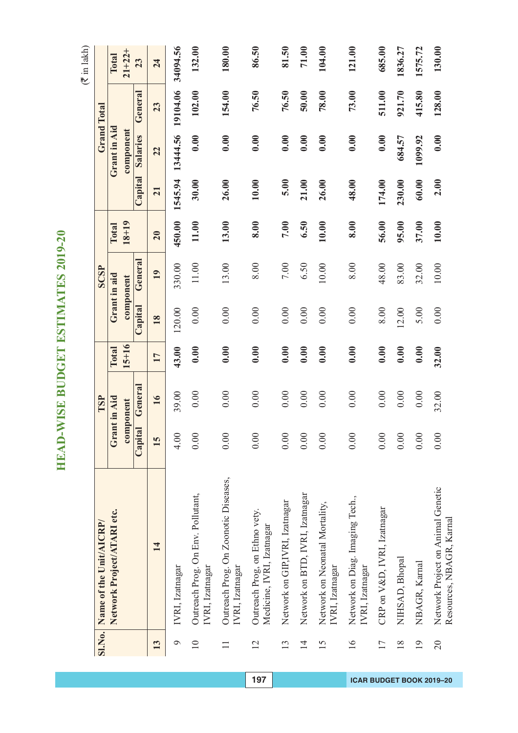|                 | SI.No. Name of the Unit/AICRP/                                |         | TSP          |              |              | SCSP      |           |                 |              | <b>Grand Total</b> |             |
|-----------------|---------------------------------------------------------------|---------|--------------|--------------|--------------|-----------|-----------|-----------------|--------------|--------------------|-------------|
|                 | Network Project/ATARI etc.                                    |         | Grant in Aid | <b>Total</b> | Grant in aid |           | Total     |                 | Grant in Aid |                    | Total       |
|                 |                                                               |         | component    | $15 + 16$    |              | component | $18 + 19$ |                 | component    |                    | $21 + 22 +$ |
|                 |                                                               | Capital | General      |              | Capital      | General   |           | Capital         | Salaries     | General            | 23          |
| 13              | 14                                                            | 15      | 16           | 17           | 18           | 19        | 20        | $\overline{21}$ | 22           | 23                 | 24          |
| $\circ$         | IVRI, Izatnagar                                               | 4.00    | 39.00        | 43.00        | 120.00       | 330.00    | 450.00    | 1545.94         | 13444.56     | 19104.06           | 34094.56    |
| $\overline{10}$ | Outreach Prog. On Env. Pollutant,<br>IVRI, Izatnagar          | 0.00    | 0.00         | 0.00         | 0.00         | 11.00     | 11.00     | 30.00           | 0.00         | 102.00             | 132.00      |
| $\Box$          | Outreach Prog. On Zoonotic Diseases,<br>IVRI, Izatnagar       | 0.00    | 0.00         | 0.00         | 0.00         | 13.00     | 13.00     | 26.00           | 0.00         | 154.00             | 180.00      |
| $\overline{2}$  | Outreach Prog, on Ethno vety.<br>Medicine, IVRI, Izatnagar    | 0.00    | 0.00         | 0.00         | 0.00         | 8.00      | 8.00      | 10.00           | 0.00         | 76.50              | 86.50       |
| 13              | Network on GIP,IVRI, Izatnagar                                | 0.00    | 0.00         | 0.00         | 0.00         | $7.00\,$  | 7.00      | 5.00            | 0.00         | 76.50              | 81.50       |
| $\overline{1}$  | Network on BTD, IVRI, Izatnagar                               | 0.00    | 0.00         | 0.00         | 0.00         | 6.50      | 6.50      | 21.00           | 0.00         | 50.00              | 71.00       |
| 15              | Network on Neonatal Mortality,<br>IVRI, Izatnagar             | 0.00    | 0.00         | 0.00         | 0.00         | 10.00     | 10.00     | 26.00           | 0.00         | 78.00              | 104.00      |
| $\frac{6}{1}$   | Network on Diag. Imaging Tech.,<br>IVRI, Izatnagar            | 0.00    | 0.00         | 0.00         | 0.00         | 8.00      | 8.00      | 48.00           | 0.00         | 73.00              | 121.00      |
| 17              | CRP on V&D, IVRI, Izatnagar                                   | 0.00    | 0.00         | 0.00         | 8.00         | 48.00     | 56.00     | 174.00          | 0.00         | 511.00             | 685.00      |
| $\frac{8}{18}$  | NIHSAD, Bhopal                                                | 0.00    | 0.00         | 0.00         | 12.00        | 83.00     | 95.00     | 230.00          | 684.57       | 921.70             | 1836.27     |
| $\overline{19}$ | NBAGR, Karnal                                                 | 0.00    | 0.00         | 0.00         | 5.00         | 32.00     | 37.00     | 60.00           | 1099.92      | 415.80             | 1575.72     |
| 20              | Network Project on Animal Genetic<br>Resources, NBAGR, Karnal | 0.00    | 32.00        | 32.00        | 0.00         | 10.00     | 10.00     | 2.00            | 0.00         | 128.00             | 130.00      |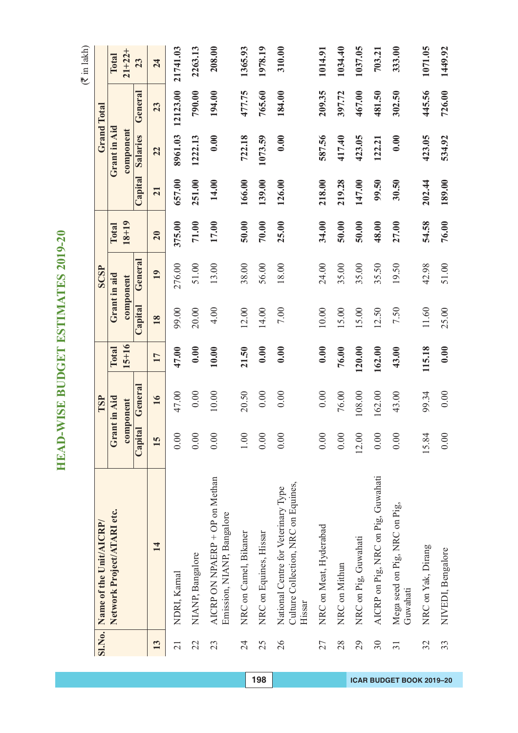|                 | SI.No. Name of the Unit/AICRP/                                                       |              | TSP                 |         |         | <b>SCSP</b>         |                    |                  |                       | Grand Total |                             |
|-----------------|--------------------------------------------------------------------------------------|--------------|---------------------|---------|---------|---------------------|--------------------|------------------|-----------------------|-------------|-----------------------------|
|                 | Network Project/ATARI etc.                                                           | Grant in Aid |                     | Total   |         | Grant in aid        | $18 + 19$<br>Total |                  | Grant in Aid          |             | $21 + 22 +$<br><b>Total</b> |
|                 |                                                                                      | Capital      | Genera<br>component | $15+16$ | Capital | Genera<br>component |                    | $\text{Capital}$ | component<br>Salaries | Genera      | 23                          |
| 13              | 14                                                                                   | 15           | 16                  | 17      | 18      | 19                  | 20                 | 21               | 22                    | 23          | 24                          |
| $\overline{21}$ | NDRI, Kamal                                                                          | 0.00         | 47.00               | 47.00   | 99.00   | 276.00              | 375.00             | 657.00           | 8961.03               | 12123.00    | 21741.03                    |
| 22              | NIANP, Bangalore                                                                     | 0.00         | 0.00                | 0.00    | 20.00   | 51.00               | 71.00              | 251.00           | 1222.13               | 790.00      | 2263.13                     |
| 23              | AICRP ON NPAERP + OP on Methan<br>Emission, NIANP, Bangalore                         | 0.00         | 10.00               | 10.00   | 4.00    | 13.00               | 17.00              | 14.00            | 0.00                  | 194.00      | 208.00                      |
| 24              | NRC on Camel, Bikaner                                                                | 1.00         | 20.50               | 21.50   | 12.00   | 38.00               | 50.00              | 166.00           | 722.18                | 477.75      | 1365.93                     |
| 25              | NRC on Equines, Hissar                                                               | 0.00         | 0.00                | 0.00    | 14.00   | 56.00               | 70.00              | 139.00           | 1073.59               | 765.60      | 1978.19                     |
| 26              | Culture Collection, NRC on Equines,<br>National Centre for Veterinary Type<br>Hissar | 0.00         | 0.00                | 0.00    | 7.00    | 18.00               | 25.00              | 126.00           | 0.00                  | 184.00      | 310.00                      |
| 27              | NRC on Meat, Hyderabad                                                               | 0.00         | 0.00                | 0.00    | 10.00   | 24.00               | 34.00              | 218.00           | 587.56                | 209.35      | 1014.91                     |
| 28              | NRC on Mithun                                                                        | 0.00         | 76.00               | 76.00   | 15.00   | 35.00               | 50.00              | 219.28           | 417.40                | 397.72      | 1034.40                     |
| 29              | NRC on Pig, Guwahati                                                                 | 12.00        | 108.00              | 120.00  | 15.00   | 35.00               | 50.00              | 147.00           | 423.05                | 467.00      | 1037.05                     |
| $30\,$          | AICRP on Pig, NRC on Pig, Guwahati                                                   | 0.00         | 162.00              | 162.00  | 12.50   | 35.50               | 48.00              | 99.50            | 122.21                | 481.50      | 703.21                      |
| $\overline{31}$ | Mega seed on Pig, NRC on Pig,<br>Guwahati                                            | 0.00         | 43.00               | 43.00   | 7.50    | 19.50               | 27.00              | 30.50            | 0.00                  | 302.50      | 333.00                      |
| 32              | NRC on Yak, Dirang                                                                   | 15.84        | 99.34               | 115.18  | 11.60   | 42.98               | 54.58              | 202.44           | 423.05                | 445.56      | 1071.05                     |
| 33              | NIVEDI, Bengalore                                                                    | 0.00         | 0.00                | 0.00    | 25.00   | 51.00               | 76.00              | 189.00           | 534.92                | 726.00      | 1449.92                     |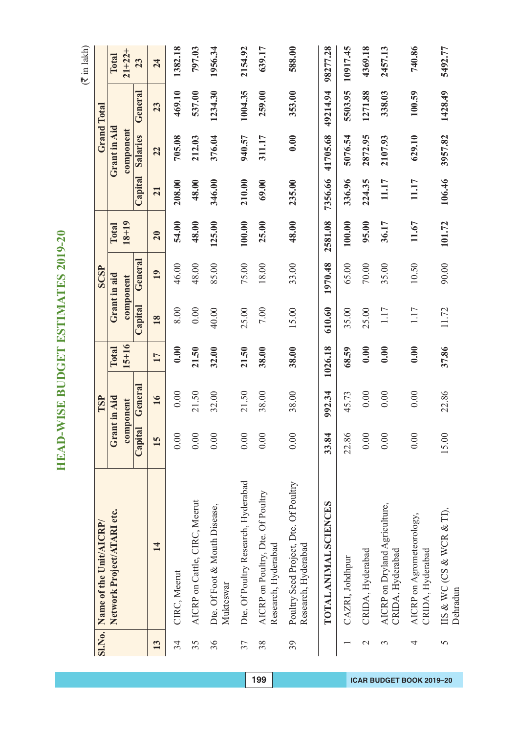$(\overline{\mathfrak{F}}$  in lakh)

| <b>SI.No.</b>            | Name of the Unit/AICRP/                                      |         | TSP          |           |         | SCSP         |           |         |              | <b>Grand Total</b> |          |
|--------------------------|--------------------------------------------------------------|---------|--------------|-----------|---------|--------------|-----------|---------|--------------|--------------------|----------|
|                          |                                                              |         |              |           |         |              |           |         |              |                    |          |
|                          | Network Project/ATARI etc.                                   |         | Grant in Aid | Total     |         | Grant in aid | Total     |         | Grant in Aid |                    | Total    |
|                          |                                                              |         | component    | $15 + 16$ |         | component    | $18 + 19$ |         | component    |                    | $21+22+$ |
|                          |                                                              | Capital | General      |           | Capital | Genera       |           | Capital | Salaries     | General            | 23       |
| 13                       | 14                                                           | 15      | 16           | 17        | 18      | 19           | 20        | 21      | 22           | 23                 | 24       |
| 34                       | CIRC, Meerut                                                 | 0.00    | 0.00         | 0.00      | 8.00    | 46.00        | 54.00     | 208.00  | 705.08       | 469.10             | 1382.18  |
| 35                       | AICRP on Cattle, CIRC, Meerut                                | 0.00    | 21.50        | 21.50     | 0.00    | 48.00        | 48.00     | 48.00   | 212.03       | 537.00             | 797.03   |
| 36                       | Dte. Of Foot & Mouth Disease,<br>Mukteswar                   | 0.00    | 32.00        | 32.00     | 40.00   | 85.00        | 125.00    | 346.00  | 376.04       | 1234.30            | 1956.34  |
| 37                       | Dte. Of Poultry Research, Hyderabad                          | 0.00    | 21.50        | 21.50     | 25.00   | 75.00        | 100.00    | 210.00  | 940.57       | 1004.35            | 2154.92  |
| 38                       | AICRP on Poultry, Dte. Of Poultry<br>Research, Hyderabad     | 0.00    | 38.00        | 38.00     | 7.00    | 18.00        | 25.00     | 69.00   | 311.17       | 259.00             | 639.17   |
| 39                       | Poultry Seed Project, Dte. Of Poultry<br>Research, Hyderabad | 0.00    | 38.00        | 38.00     | 15.00   | 33.00        | 48.00     | 235.00  | 0.00         | 353.00             | 588.00   |
|                          | TOTAL ANIMAL SCIENCES                                        | 33.84   | 992.34       | 1026.18   | 610.60  | 1970.48      | 2581.08   | 7356.66 | 41705.68     | 49214.94           | 98277.28 |
|                          | CAZRI, Johdhpur                                              | 22.86   | 45.73        | 68.59     | 35.00   | 65.00        | 100.00    | 336.96  | 5076.54      | 5503.95            | 10917.45 |
| $\overline{\mathcal{C}}$ | CRIDA, Hyderabad                                             | 0.00    | 0.00         | 0.00      | 25.00   | $70.00$      | 95.00     | 224.35  | 2872.95      | 1271.88            | 4369.18  |
| 3                        | AICRP on Dryland Agriculture,<br>CRIDA, Hyderabad            | 0.00    | 0.00         | 0.00      | 1.17    | 35.00        | 36.17     | 11.17   | 2107.93      | 338.03             | 2457.13  |
| 4                        | AICRP on Agrometeorology,<br>CRIDA, Hyderabad                | 0.00    | 0.00         | 0.00      | 1.17    | 10.50        | 11.67     | 11.17   | 629.10       | 100.59             | 740.86   |
| 5                        | IIS & WC (CS & WCR & TI),<br>Dehradun                        | 15.00   | 22.86        | 37.86     | 11.72   | 90.00        | 101.72    | 106.46  | 3957.82      | 1428.49            | 5492.77  |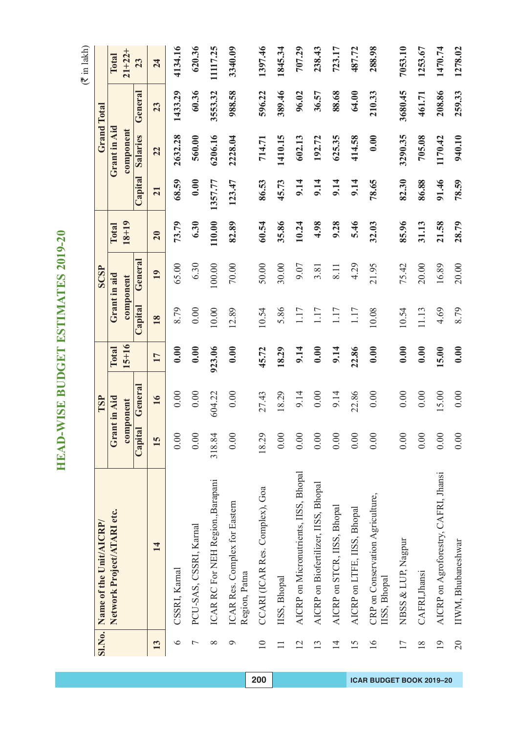| <b>SI.No.</b>   | Name of the Unit/AICRP/                          |         | TSP          |           |              | <b>SCSP</b>   |           |         |              | <b>Grand Total</b> |             |
|-----------------|--------------------------------------------------|---------|--------------|-----------|--------------|---------------|-----------|---------|--------------|--------------------|-------------|
|                 | Network Project/ATARI etc.                       |         | Grant in Aid | Total     | Grant in aid |               | Total     |         | Grant in Aid |                    | Total       |
|                 |                                                  |         | component    | $15 + 16$ |              | component     | $18 + 19$ |         | component    |                    | $21 + 22 +$ |
|                 |                                                  | Capital | General      |           | Capital      | <b>Genera</b> |           | Capital | Salaries     | Genera             | 23          |
| 13              | 14                                               | 15      | 16           | 17        | 18           | 19            | 20        | 21      | 22           | 23                 | 24          |
| $\circ$         | CSSRI, Karnal                                    | 0.00    | 0.00         | 0.00      | 8.79         | 65.00         | 73.79     | 68.59   | 2632.28      | 1433.29            | 4134.16     |
| $\overline{ }$  | PCU-SAS, CSSRI, Karnal                           | 0.00    | 0.00         | 0.00      | 0.00         | 6.30          | 6.30      | 0.00    | 560.00       | 60.36              | 620.36      |
| $\infty$        | ICAR RC For NEH Region., Barapani                | 318.84  | 604.22       | 923.06    | 10.00        | 100.00        | 110.00    | 1357.77 | 6206.16      | 3553.32            | 11117.25    |
| $\sigma$        | ICAR Res. Complex for Eastern<br>Region, Patna   | 0.00    | 0.00         | 0.00      | 12.89        | $70.00$       | 82.89     | 123.47  | 2228.04      | 988.58             | 3340.09     |
| $\overline{10}$ | CCARI (ICAR Res. Complex), Goa                   | 18.29   | 27.43        | 45.72     | 10.54        | 50.00         | 60.54     | 86.53   | 714.71       | 596.22             | 1397.46     |
| $\Box$          | IISS, Bhopal                                     | 0.00    | 18.29        | 18.29     | 5.86         | 30.00         | 35.86     | 45.73   | 1410.15      | 389.46             | 1845.34     |
| $\overline{2}$  | AICRP on Micronutrients, IISS, Bhopal            | 0.00    | 9.14         | 9.14      | 1.17         | 9.07          | 10.24     | 9.14    | 602.13       | 96.02              | 707.29      |
| 13              | AICRP on Biofertilizer, IISS, Bhopal             | 0.00    | 0.00         | 0.00      | 1.17         | 3.81          | 4.98      | 9.14    | 192.72       | 36.57              | 238.43      |
| $\overline{14}$ | AICRP on STCR, IISS, Bhopal                      | 0.00    | 9.14         | 9.14      | 1.17         | 8.11          | 9.28      | 9.14    | 625.35       | 88.68              | 723.17      |
| 15              | AICRP on LTFE, IISS, Bhopal                      | 0.00    | 22.86        | 22.86     | 1.17         | 4.29          | 5.46      | 9.14    | 414.58       | 64.00              | 487.72      |
| 16              | CRP on Conservation Agriculture,<br>IISS, Bhopal | 0.00    | 0.00         | 0.00      | 10.08        | 21.95         | 32.03     | 78.65   | 0.00         | 210.33             | 288.98      |
| 17              | NBSS & LUP, Nagpur                               | 0.00    | 0.00         | 0.00      | 10.54        | 75.42         | 85.96     | 82.30   | 3290.35      | 3680.45            | 7053.10     |
| 18              | CAFRI, Jhansi                                    | 0.00    | 0.00         | 0.00      | 11.13        | 20.00         | 31.13     | 86.88   | 705.08       | 461.71             | 1253.67     |
| 19              | AICRP on Agroforestry, CAFRI, Jhansi             | 0.00    | 15.00        | 15.00     | 4.69         | 16.89         | 21.58     | 91.46   | 1170.42      | 208.86             | 1470.74     |
| $\overline{20}$ | IIWM, Bhubaneshwar                               | 0.00    | 0.00         | 0.00      | 8.79         | 20.00         | 28.79     | 78.59   | 940.10       | 259.33             | 1278.02     |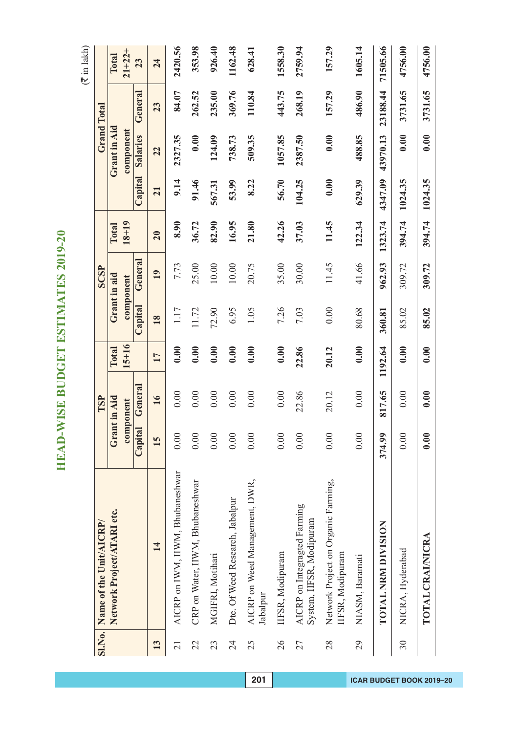$($  $\bar{z}$  in lakh)

| <b>SI.No.</b>   | Name of the Unit/AICRP/                                  |         | TSP                       |                    |         | <b>SCSP</b>               |                    |         |                           | <b>Grand Total</b> |                      |
|-----------------|----------------------------------------------------------|---------|---------------------------|--------------------|---------|---------------------------|--------------------|---------|---------------------------|--------------------|----------------------|
|                 | Network Project/ATARI etc.                               |         | Grant in Aid<br>component | $15 + 16$<br>Total |         | Grant in aid<br>component | $18 + 19$<br>Total |         | Grant in Aid<br>component |                    | $21 + 22 +$<br>Total |
|                 |                                                          | Capital | General                   |                    | Capital | General                   |                    | Capital | <b>Salaries</b>           | General            | 23                   |
| 13              | 14                                                       | 15      | 16                        | 17                 | 18      | 19                        | 20                 | 21      | 22                        | 23                 | 24                   |
| $\overline{21}$ | AICRP on IWM, IIWM, Bhubaneshwar                         | 0.00    | 0.00                      | 0.00               | 1.17    | 7.73                      | 8.90               | 9.14    | 2327.35                   | 84.07              | 2420.56              |
| 22              | CRP on Water, IIWM, Bhubaneshwar                         | 0.00    | 0.00                      | 0.00               | 11.72   | 25.00                     | 36.72              | 91.46   | 0.00                      | 262.52             | 353.98               |
| 23              | MGIFRI, Motihari                                         | 0.00    | 0.00                      | 0.00               | 72.90   | 10.00                     | 82.90              | 567.31  | 124.09                    | 235.00             | 926.40               |
| 24              | Dte. Of Weed Research, Jabalpur                          | 0.00    | 0.00                      | 0.00               | 6.95    | 10.00                     | 16.95              | 53.99   | 738.73                    | 369.76             | 1162.48              |
| 25              | AICRP on Weed Management, DWR,<br>Jabalpur               | 0.00    | 0.00                      | 0.00               | 1.05    | 20.75                     | 21.80              | 8.22    | 509.35                    | 110.84             | 628.41               |
| $\overline{26}$ | IIFSR, Modipuram                                         | 0.00    | 0.00                      | 0.00               | 7.26    | 35.00                     | 42.26              | 56.70   | 1057.85                   | 443.75             | 1558.30              |
| 27              | AICRP on Integragted Farming<br>System, IIFSR, Modipuram | 0.00    | 22.86                     | 22.86              | 7.03    | 30.00                     | 37.03              | 104.25  | 2387.50                   | 268.19             | 2759.94              |
| 28              | Network Project on Organic Farming,<br>IIFSR, Modipuram  | 0.00    | 20.12                     | 20.12              | 0.00    | 11.45                     | 11.45              | 0.00    | 0.00                      | 157.29             | 157.29               |
| 29              | NIASM, Baramati                                          | 0.00    | 0.00                      | 0.00               | 80.68   | 41.66                     | 122.34             | 629.39  | 488.85                    | 486.90             | 1605.14              |
|                 | TOTAL NRM DIVISION                                       | 374.99  | 817.65                    | 1192.64            | 360.81  | 962.93                    | 1323.74            | 4347.09 | 43970.13                  | 23188.44           | 71505.66             |
| 30              | NICRA, Hyderabad                                         | 0.00    | 0.00                      | 0.00               | 85.02   | 309.72                    | 394.74             | 1024.35 | 0.00                      | 3731.65            | 4756.00              |
|                 | TOTAL CRAINICRA                                          | 0.00    | 0.00                      | 0.00               | 85.02   | 309.72                    | 394.74             | 1024.35 | 0.00                      | 3731.65            | 4756.00              |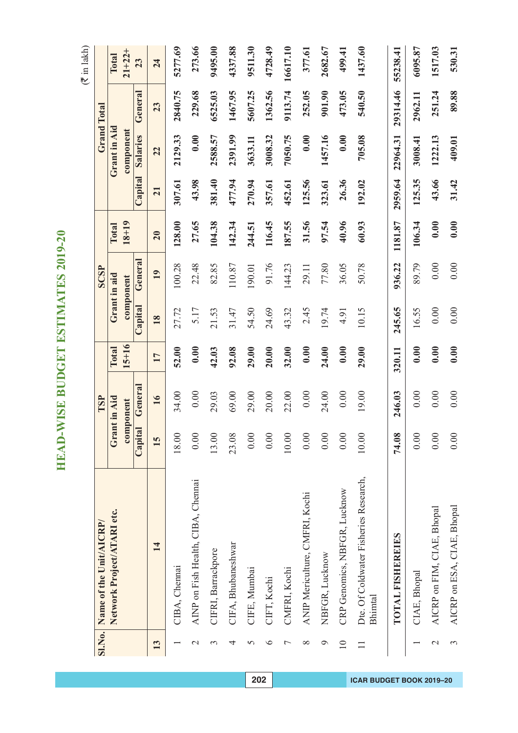|                 | SI.No. Name of the Unit/AICRP/                   |         | TSP          |           |              | <b>SCSP</b>   |           |         |              | <b>Grand Total</b> |             |
|-----------------|--------------------------------------------------|---------|--------------|-----------|--------------|---------------|-----------|---------|--------------|--------------------|-------------|
|                 | Network Project/ATARI etc.                       |         | Grant in Aid | Total     | Grant in aid |               | Total     |         | Grant in Aid |                    | Total       |
|                 |                                                  |         | component    | $15 + 16$ |              | component     | $18 + 19$ |         | component    |                    | $21 + 22 +$ |
|                 |                                                  | Capital | General      |           | Capital      | <b>Genera</b> |           | Capital | Salaries     | General            | 23          |
| 13              | 14                                               | 15      | 16           | 17        | 18           | 19            | 20        | 21      | 22           | 23                 | 24          |
|                 | CIBA, Chennai                                    | 18.00   | 34.00        | 52.00     | 27.72        | 100.28        | 128.00    | 307.61  | 2129.33      | 2840.75            | 5277.69     |
| $\mathcal{C}$   | AINP on Fish Health, CIBA, Chennai               | 0.00    | 0.00         | 0.00      | 5.17         | 22.48         | 27.65     | 43.98   | 0.00         | 229.68             | 273.66      |
| $\mathfrak{g}$  | CIFRI, Barrackpore                               | 13.00   | 29.03        | 42.03     | 21.53        | 82.85         | 104.38    | 381.40  | 2588.57      | 6525.03            | 9495.00     |
| 4               | CIFA, Bhubaneshwar                               | 23.08   | 69.00        | 92.08     | 31.47        | 110.87        | 142.34    | 477.94  | 2391.99      | 1467.95            | 4337.88     |
| 5               | CIFE, Mumbai                                     | 0.00    | 29.00        | 29.00     | 54.50        | 190.01        | 244.51    | 270.94  | 3633.11      | 5607.25            | 9511.30     |
| $\bullet$       | CIFT, Kochi                                      | 0.00    | 20.00        | 20.00     | 24.69        | 91.76         | 116.45    | 357.61  | 3008.32      | 1362.56            | 4728.49     |
|                 | CMFRI, Kochi                                     | 10.00   | 22.00        | 32.00     | 43.32        | 144.23        | 187.55    | 452.61  | 7050.75      | 9113.74            | 16617.10    |
| $\infty$        | ANIP Mericulture, CMFRI, Kochi                   | 0.00    | 0.00         | 0.00      | 2.45         | 29.11         | 31.56     | 125.56  | 0.00         | 252.05             | 377.61      |
| $\circ$         | NBFGR, Lucknow                                   | 0.00    | 24.00        | 24.00     | 19.74        | 77.80         | 97.54     | 323.61  | 1457.16      | 901.90             | 2682.67     |
| $\overline{10}$ | CRP Genomics, NBFGR, Lucknow                     | 0.00    | 0.00         | 0.00      | 4.91         | 36.05         | 40.96     | 26.36   | 0.00         | 473.05             | 499.41      |
| $\Box$          | Dte. Of Coldwater Fisheries Research,<br>Bhimtal | $10.00$ | 19.00        | 29.00     | 10.15        | 50.78         | 60.93     | 192.02  | 705.08       | 540.50             | 1437.60     |
|                 | TOTAL FISHEREIES                                 | 74.08   | 246.03       | 320.11    | 245.65       | 936.22        | 1181.87   | 2959.64 | 22964.31     | 29314.46           | 55238.41    |
|                 | CIAE, Bhopal                                     | 0.00    | 0.00         | 0.00      | 16.55        | 89.79         | 106.34    | 125.35  | 3008.41      | 2962.11            | 6095.87     |
| $\mathcal{L}$   | AICRP on FIM, CIAE, Bhopal                       | 0.00    | 0.00         | 0.00      | 0.00         | 0.00          | 0.00      | 43.66   | 1222.13      | 251.24             | 1517.03     |
| 3               | AICRP on ESA, CIAE, Bhopal                       | 0.00    | 0.00         | 0.00      | 0.00         | 0.00          | 0.00      | 31.42   | 409.01       | 89.88              | 530.31      |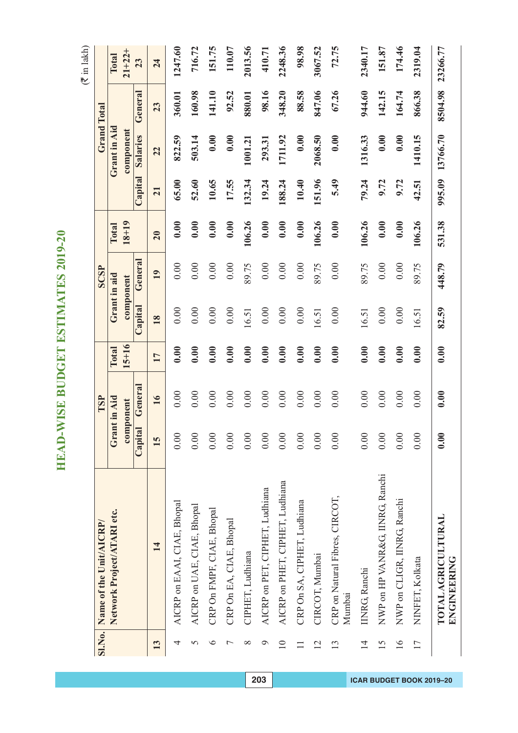|                 | SI.No. Name of the Unit/AICRP/           |         | TSP          |           |         | <b>SCSP</b>   |           |                  | <b>Grand Total</b> |         |          |
|-----------------|------------------------------------------|---------|--------------|-----------|---------|---------------|-----------|------------------|--------------------|---------|----------|
|                 | Network Project/ATARI etc.               |         | Grant in Aid | Total     |         | Grant in aid  | Total     |                  | Grant in Aid       |         | Total    |
|                 |                                          |         | component    | $15 + 16$ |         | component     | $18 + 19$ |                  | component          |         | $21+22+$ |
|                 |                                          | Capital | General      |           | Capital | <b>Genera</b> |           | $\text{Capital}$ | Salaries           | General | 23       |
| 13              | 14                                       | 15      | 16           | 17        | 18      | 19            | 20        | $\overline{21}$  | 22                 | 23      | 24       |
| 4               | AICRP on EAAI, CIAE, Bhopal              | 0.00    | 0.00         | 0.00      | 0.00    | 0.00          | 0.00      | 65.00            | 822.59             | 360.01  | 1247.60  |
| 5               | AICRP on UAE, CIAE, Bhopal               | 0.00    | 0.00         | 0.00      | 0.00    | 0.00          | 0.00      | 52.60            | 503.14             | 160.98  | 716.72   |
| $\bullet$       | CRP On FMPF, CIAE, Bhopal                | 0.00    | 0.00         | 0.00      | 0.00    | 0.00          | 0.00      | 10.65            | 0.00               | 141.10  | 151.75   |
| $\overline{ }$  | CRP On EA, CIAE, Bhopal                  | 0.00    | 0.00         | 0.00      | 0.00    | 0.00          | 0.00      | 17.55            | 0.00               | 92.52   | 110.07   |
| $\infty$        | CIPHET, Ludhiana                         | 0.00    | 0.00         | 0.00      | 16.51   | 89.75         | 106.26    | 132.34           | 1001.21            | 880.01  | 2013.56  |
| $\circ$         | AICRP on PET, CIPHET, Ludhiana           | 0.00    | 0.00         | 0.00      | 0.00    | $0.00\,$      | 0.00      | 19.24            | 293.31             | 98.16   | 410.71   |
| $\overline{10}$ | AICRP on PHET, CIPHET, Ludhiana          | 0.00    | 0.00         | 0.00      | 0.00    | 0.00          | 0.00      | 188.24           | 1711.92            | 348.20  | 2248.36  |
|                 | CRP On SA, CIPHET, Ludhiana              | 0.00    | 0.00         | 0.00      | 0.00    | 0.00          | 0.00      | 10.40            | 0.00               | 88.58   | 98.98    |
| 12              | CIRCOT, Mumbai                           | 0.00    | 0.00         | 0.00      | 16.51   | 89.75         | 106.26    | 151.96           | 2068.50            | 847.06  | 3067.52  |
| 13              | CRP on Natural Fibres, CIRCOT,<br>Mumbai | 0.00    | 0.00         | 0.00      | 0.00    | 0.00          | 0.00      | 5.49             | 0.00               | 67.26   | 72.75    |
| $\overline{1}$  | <b>INRG, Ranchi</b>                      | 0.00    | 0.00         | 0.00      | 16.51   | 89.75         | 106.26    | 79.24            | 1316.33            | 944.60  | 2340.17  |
| 15              | NWP on HP VANR&G, IINRG, Ranchi          | 0.00    | 0.00         | 0.00      | 0.00    | 0.00          | 0.00      | 9.72             | 0.00               | 142.15  | 151.87   |
| 16              | NWP on CLIGR, IINRG, Ranchi              | 0.00    | 0.00         | 0.00      | 0.00    | 0.00          | 0.00      | 9.72             | 0.00               | 164.74  | 174.46   |
| $\overline{17}$ | NINFET, Kolkata                          | 0.00    | 0.00         | 0.00      | 16.51   | 89.75         | 106.26    | 42.51            | 1410.15            | 866.38  | 2319.04  |
|                 | <b>TOTAL AGRICULTURAL</b><br>ENGINERING  | 0.00    | 0.00         | 0.00      | 82.59   | 448.79        | 531.38    | 995.09           | 13766.70           | 8504.98 | 23266.77 |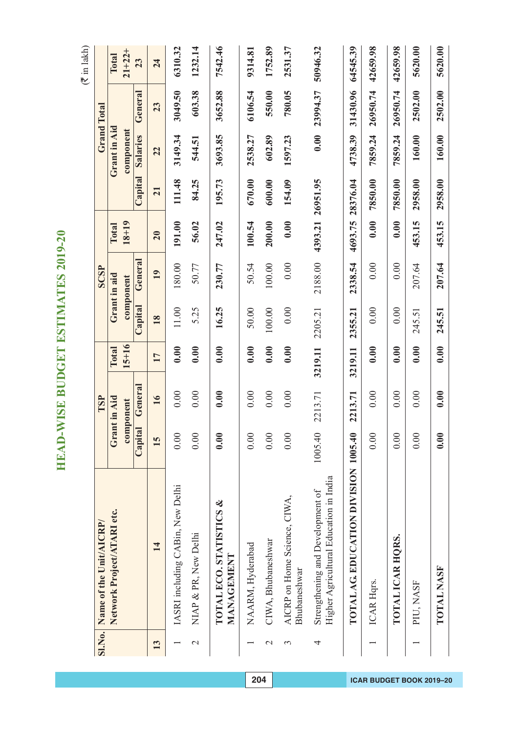| Ç                        |
|--------------------------|
| d                        |
| Π                        |
| C                        |
|                          |
| Č<br>₹                   |
|                          |
|                          |
|                          |
| DGET BSTIMATES<br>I      |
|                          |
|                          |
|                          |
|                          |
|                          |
|                          |
|                          |
|                          |
|                          |
|                          |
|                          |
|                          |
|                          |
|                          |
|                          |
|                          |
|                          |
|                          |
|                          |
|                          |
|                          |
| Ξ                        |
| I                        |
| $\overline{a}$           |
|                          |
|                          |
|                          |
| E                        |
| ļ                        |
|                          |
| ļ<br>U                   |
|                          |
| $\geq$                   |
|                          |
|                          |
|                          |
| ⋞                        |
|                          |
| 으                        |
|                          |
| $\overline{\phantom{a}}$ |
|                          |

| <b>SI.No.</b> | Name of the Unit/AICRP/                                                    |         | TSP          |           |         | SCSP         |                  |          |              | <b>Grand Total</b> |          |
|---------------|----------------------------------------------------------------------------|---------|--------------|-----------|---------|--------------|------------------|----------|--------------|--------------------|----------|
|               |                                                                            |         |              |           |         |              |                  |          |              |                    |          |
|               | Network Project/ATARI etc.                                                 |         | Grant in Aid | Total     |         | Grant in aid | Total            |          | Grant in Aid |                    | Total    |
|               |                                                                            |         | component    | $15 + 16$ |         | component    | $18 + 19$        |          | component    |                    | $21+22+$ |
|               |                                                                            | Capital | General      |           | Capital | General      |                  | Capital  | Salaries     | General            | 23       |
| 13            | 14                                                                         | 15      | 16           | 17        | 18      | 19           | 20               | 21       | 22           | 23                 | 24       |
|               | IASRI including CABin, New Delhi                                           | 0.00    | 0.00         | 0.00      | $11.00$ | 180.00       | 191.00           | 111.48   | 3149.34      | 3049.50            | 6310.32  |
| $\mathcal{L}$ | NIAP & PR, New Delhi                                                       | 0.00    | 0.00         | 0.00      | 5.25    | 50.77        | 56.02            | 84.25    | 544.51       | 603.38             | 1232.14  |
|               | <b>TOTAL ECO. STATISTICS &amp;</b><br>MANAGEMENT                           | 0.00    | 0.00         | 0.00      | 16.25   | 230.77       | 247.02           | 195.73   | 3693.85      | 3652.88            | 7542.46  |
|               | NAARM, Hyderabad                                                           | 0.00    | 0.00         | 0.00      | 50.00   | 50.54        | 100.54           | 670.00   | 2538.27      | 6106.54            | 9314.81  |
| $\mathbf 2$   | CIWA, Bhubaneshwar                                                         | 0.00    | 0.00         | 0.00      | 100.00  | 100.00       | 200.00           | 600.00   | 602.89       | 550.00             | 1752.89  |
| 3             | AICRP on Home Science, CIWA,<br>Bhubaneshwar                               | 0.00    | 0.00         | 0.00      | 0.00    | 0.00         | 0.00             | 154.09   | 1597.23      | 780.05             | 2531.37  |
| 4             | Higher Agricultural Education in India<br>Strengthening and Development of | 1005.40 | 2213.71      | 3219.11   | 2205.21 | 2188.00      | 4393.21 26951.95 |          | 0.00         | 23994.37           | 50946.32 |
|               | TOTAL AG EDUCATION DIVISION 1005.40                                        |         | 2213.71      | 3219.11   | 2355.21 | 2338.54      | 4693.75          | 28376.04 | 4738.39      | 31430.96           | 64545.39 |
|               | ICAR Hqrs.                                                                 | 0.00    | 0.00         | 0.00      | 0.00    | 0.00         | 0.00             | 7850.00  | 7859.24      | 26950.74           | 42659.98 |
|               | TOTAL ICAR HQRS.                                                           | 0.00    | 0.00         | 0.00      | 0.00    | 0.00         | 0.00             | 7850.00  | 7859.24      | 26950.74           | 42659.98 |
|               | PIU, NASF                                                                  | 0.00    | 0.00         | 0.00      | 245.51  | 207.64       | 453.15           | 2958.00  | 160.00       | 2502.00            | 5620.00  |
|               | <b>TOTAL NASF</b>                                                          | 0.00    | 0.00         | 0.00      | 245.51  | 207.64       | 453.15           | 2958.00  | 160.00       | 2502.00            | 5620.00  |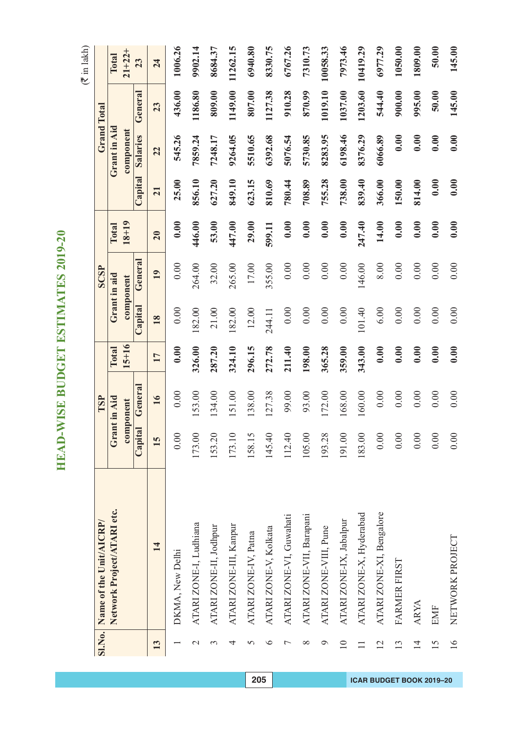$($  $\bar{z}$  in lakh)

|                 | SI.No. Name of the Unit/AICRP/ |         | TSP          |           |         | <b>SCSP</b>  |           |         |              | <b>Grand Total</b> |              |
|-----------------|--------------------------------|---------|--------------|-----------|---------|--------------|-----------|---------|--------------|--------------------|--------------|
|                 | Network Project/ATARI etc.     |         | Grant in Aid | Total     |         | Grant in aid | Total     |         | Grant in Aid |                    | <b>Total</b> |
|                 |                                |         | component    | $15 + 16$ |         | component    | $18 + 19$ |         | component    |                    | $21 + 22 +$  |
|                 |                                | Capital | General      |           | Capital | Genera.      |           | Capital | Salaries     | General            | 23           |
| 13              | $\overline{14}$                | 15      | 16           | 17        | 18      | 19           | 20        | 21      | 22           | 23                 | 24           |
|                 | DKMA, New Delhi                | 0.00    | 0.00         | 0.00      | 0.00    | 0.00         | 0.00      | 25.00   | 545.26       | 436.00             | 1006.26      |
| $\mathcal{C}$   | ATARI ZONE-I, Ludhiana         | 173.00  | 153.00       | 326.00    | 182.00  | 264.00       | 446.00    | 856.10  | 7859.24      | 1186.80            | 9902.14      |
| 3               | ATARI ZONE-II, Jodhpur         | 153.20  | 134.00       | 287.20    | 21.00   | 32.00        | 53.00     | 627.20  | 7248.17      | 809.00             | 8684.37      |
| 4               | ATARI ZONE-III, Kanpur         | 173.10  | 151.00       | 324.10    | 182.00  | 265.00       | 447.00    | 849.10  | 9264.05      | 1149.00            | 11262.15     |
| 5               | ATARI ZONE-IV, Patna           | 158.15  | 138.00       | 296.15    | 12.00   | 17.00        | 29.00     | 623.15  | 5510.65      | 807.00             | 6940.80      |
| $\circ$         | ATARI ZONE-V, Kolkata          | 145.40  | 127.38       | 272.78    | 244.11  | 355.00       | 599.11    | 810.69  | 6392.68      | 1127.38            | 8330.75      |
| 7               | ATARI ZONE-VI, Guwahati        | 112.40  | 99.00        | 211.40    | 0.00    | 0.00         | 0.00      | 780.44  | 5076.54      | 910.28             | 6767.26      |
| $\infty$        | ATARI ZONE-VII, Barapani       | 105.00  | 93.00        | 198.00    | 0.00    | 0.00         | 0.00      | 708.89  | 5730.85      | 870.99             | 7310.73      |
| ᢀ               | ATARI ZONE-VIII, Pune          | 193.28  | 172.00       | 365.28    | 0.00    | 0.00         | 0.00      | 755.28  | 8283.95      | 1019.10            | 10058.33     |
| $\overline{10}$ | ATARI ZONE-IX, Jabalpur        | 191.00  | 168.00       | 359.00    | 0.00    | 0.00         | 0.00      | 738.00  | 6198.46      | 1037.00            | 7973.46      |
|                 | ATARI ZONE-X, Hyderabad        | 183.00  | 160.00       | 343.00    | 101.40  | 146.00       | 247.40    | 839.40  | 8376.29      | 1203.60            | 10419.29     |
| $\overline{12}$ | ATARI ZONE-XI, Bengalore       | 0.00    | 0.00         | 0.00      | 6.00    | 8.00         | 14.00     | 366.00  | 6066.89      | 544.40             | 6977.29      |
| 13              | FARMER FIRST                   | 0.00    | 0.00         | 0.00      | 0.00    | 0.00         | 0.00      | 150.00  | 0.00         | 900.00             | 1050.00      |
| $\overline{1}$  | <b>ARYA</b>                    | 0.00    | 0.00         | 0.00      | 0.00    | 0.00         | 0.00      | 814.00  | 0.00         | 995.00             | 1809.00      |
| 15              | <b>EMF</b>                     | 0.00    | 0.00         | 0.00      | 0.00    | 0.00         | 0.00      | 0.00    | 0.00         | 50.00              | 50.00        |
| $\frac{6}{1}$   | NETWORK PROJECT                | 0.00    | 0.00         | 0.00      | 0.00    | 0.00         | 0.00      | 0.00    | 0.00         | 145.00             | 145.00       |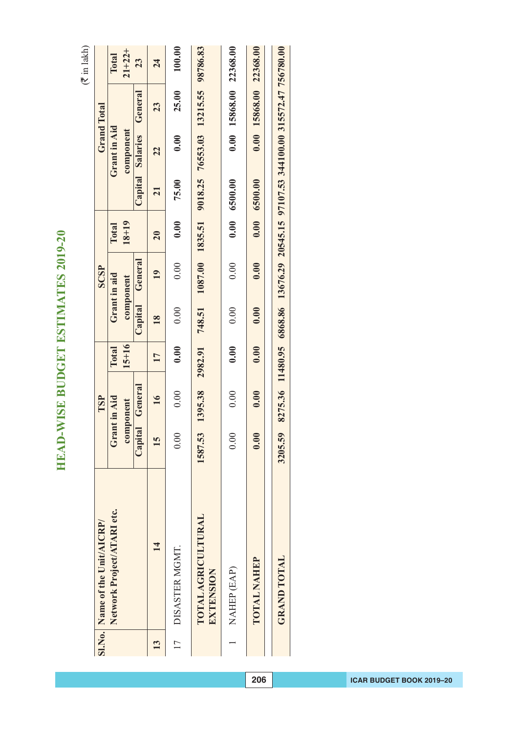|               | SI.No. Name of the Unit/AICRP/         |         | TSP                       |                           |                 | SCSP                      |                           |               |                           | <b>Grand Total</b>                                                                |                      |
|---------------|----------------------------------------|---------|---------------------------|---------------------------|-----------------|---------------------------|---------------------------|---------------|---------------------------|-----------------------------------------------------------------------------------|----------------------|
|               | Network Project/ATARI etc.             |         | Grant in Aid<br>component | $15 + 16$<br><b>Total</b> |                 | Grant in aid<br>component | $18 + 19$<br><b>Total</b> |               | Grant in Aid<br>component |                                                                                   | $21 + 22 +$<br>Total |
|               |                                        | Capital | General                   |                           | Capital         | General                   |                           |               | Capital Salaries          | General                                                                           | 23                   |
| $\mathbf{13}$ | $\overline{14}$                        | 15      | $\overline{16}$           | 17                        | $\overline{18}$ | $\overline{19}$           | 20                        | 21            | 22                        | 23                                                                                | 24                   |
| 17            | DISASTER MGMT.                         | 0.00    | 0.00                      | 0.00                      | 0.00            | 0.00                      | 0.00                      | 75.00         | 0.00                      | 25.00                                                                             | 100.00               |
|               | <b>TOTAL AGRICULTURAL</b><br>EXTENSION | 1587.53 | 1395.38                   | 2982.91                   | 748.51          |                           | 1087.00 1835.51           |               |                           | 9018.25 76553.03 13215.55 98786.83                                                |                      |
|               | NAHEP (EAP)                            | 0.00    | 0.00                      | 0.00                      | 0.00            | 0.00                      |                           | 0.00 6500.00  |                           | 0.00 15868.00 22368.00                                                            |                      |
|               | <b>TOTAL NAHEP</b>                     | 0.00    | 0.00                      | 0.00                      | 0.00            | 0.00                      |                           | 0.00060000000 |                           | 0.00 15868.00 22368.00                                                            |                      |
|               | <b>GRAND TOTAL</b>                     | 3205.59 |                           |                           |                 |                           |                           |               |                           | 8275.36 11480.95 6868.86 13676.29 20545.15 97107.53 344100.00 315572.47 756780.00 |                      |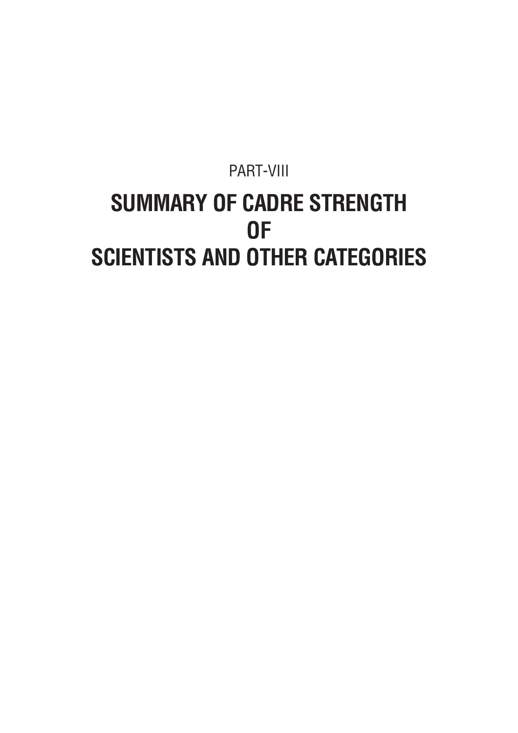#### PART-VIII **SUMMARY OF CADRE STRENGTH OF SCIENTISTS AND OTHER CATEGORIES**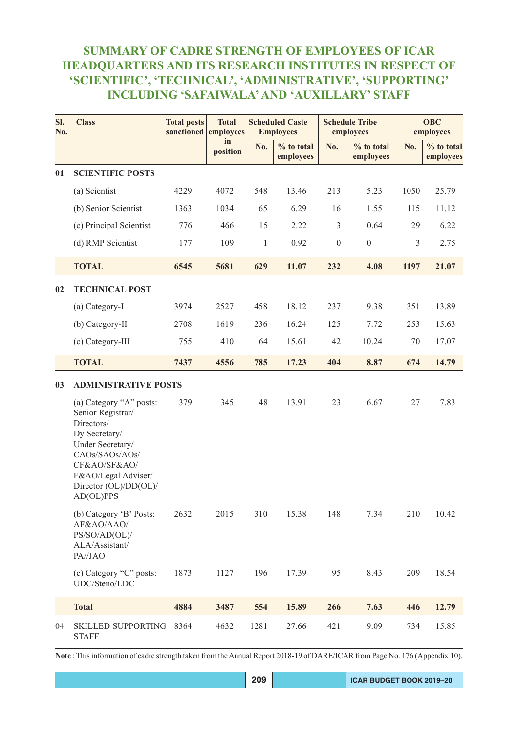#### **SUMMARY OF CADRE STRENGTH OF EMPLOYEES OF ICAR HEADQUARTERS AND ITS RESEARCH INSTITUTES IN RESPECT OF 'SCIENTIFIC', 'TECHNICAL', 'ADMINISTRATIVE', 'SUPPORTING' INCLUDING 'SAFAIWALA' AND 'AUXILLARY' STAFF**

| SI.<br>No. | <b>Class</b>                                                                                                                                                                                   | <b>Total posts</b><br>sanctioned | <b>Total</b><br>employees |              | <b>Scheduled Caste</b><br><b>Employees</b> |                  | <b>Schedule Tribe</b><br>employees |      | <b>OBC</b><br>employees |
|------------|------------------------------------------------------------------------------------------------------------------------------------------------------------------------------------------------|----------------------------------|---------------------------|--------------|--------------------------------------------|------------------|------------------------------------|------|-------------------------|
|            |                                                                                                                                                                                                |                                  | in<br>position            | No.          | % to total<br>employees                    | No.              | % to total<br>employees            | No.  | % to total<br>employees |
| 01         | <b>SCIENTIFIC POSTS</b>                                                                                                                                                                        |                                  |                           |              |                                            |                  |                                    |      |                         |
|            | (a) Scientist                                                                                                                                                                                  | 4229                             | 4072                      | 548          | 13.46                                      | 213              | 5.23                               | 1050 | 25.79                   |
|            | (b) Senior Scientist                                                                                                                                                                           | 1363                             | 1034                      | 65           | 6.29                                       | 16               | 1.55                               | 115  | 11.12                   |
|            | (c) Principal Scientist                                                                                                                                                                        | 776                              | 466                       | 15           | 2.22                                       | $\mathfrak{Z}$   | 0.64                               | 29   | 6.22                    |
|            | (d) RMP Scientist                                                                                                                                                                              | 177                              | 109                       | $\mathbf{1}$ | 0.92                                       | $\boldsymbol{0}$ | $\boldsymbol{0}$                   | 3    | 2.75                    |
|            | <b>TOTAL</b>                                                                                                                                                                                   | 6545                             | 5681                      | 629          | 11.07                                      | 232              | 4.08                               | 1197 | 21.07                   |
| 02         | <b>TECHNICAL POST</b>                                                                                                                                                                          |                                  |                           |              |                                            |                  |                                    |      |                         |
|            | (a) Category-I                                                                                                                                                                                 | 3974                             | 2527                      | 458          | 18.12                                      | 237              | 9.38                               | 351  | 13.89                   |
|            | (b) Category-II                                                                                                                                                                                | 2708                             | 1619                      | 236          | 16.24                                      | 125              | 7.72                               | 253  | 15.63                   |
|            | (c) Category-III                                                                                                                                                                               | 755                              | 410                       | 64           | 15.61                                      | 42               | 10.24                              | 70   | 17.07                   |
|            | <b>TOTAL</b>                                                                                                                                                                                   | 7437                             | 4556                      | 785          | 17.23                                      | 404              | 8.87                               | 674  | 14.79                   |
| 03         | <b>ADMINISTRATIVE POSTS</b>                                                                                                                                                                    |                                  |                           |              |                                            |                  |                                    |      |                         |
|            | (a) Category "A" posts:<br>Senior Registrar/<br>Directors/<br>Dy Secretary/<br>Under Secretary/<br>CAOs/SAOs/AOs/<br>CF&AO/SF&AO/<br>F&AO/Legal Adviser/<br>Director (OL)/DD(OL)/<br>AD(OL)PPS | 379                              | 345                       | 48           | 13.91                                      | 23               | 6.67                               | 27   | 7.83                    |
|            | (b) Category 'B' Posts:<br>AF&AO/AAO/<br>PS/SO/AD(OL)/<br>ALA/Assistant/<br>PA//JAO                                                                                                            | 2632                             | 2015                      | 310          | 15.38                                      | 148              | 7.34                               | 210  | 10.42                   |
|            | (c) Category "C" posts:<br>UDC/Steno/LDC                                                                                                                                                       | 1873                             | 1127                      | 196          | 17.39                                      | 95               | 8.43                               | 209  | 18.54                   |
|            | <b>Total</b>                                                                                                                                                                                   | 4884                             | 3487                      | 554          | 15.89                                      | 266              | 7.63                               | 446  | 12.79                   |
| 04         | <b>SKILLED SUPPORTING</b><br><b>STAFF</b>                                                                                                                                                      | 8364                             | 4632                      | 1281         | 27.66                                      | 421              | 9.09                               | 734  | 15.85                   |

**Note** : This information of cadre strength taken from the Annual Report 2018-19 of DARE/ICAR from Page No. 176 (Appendix 10).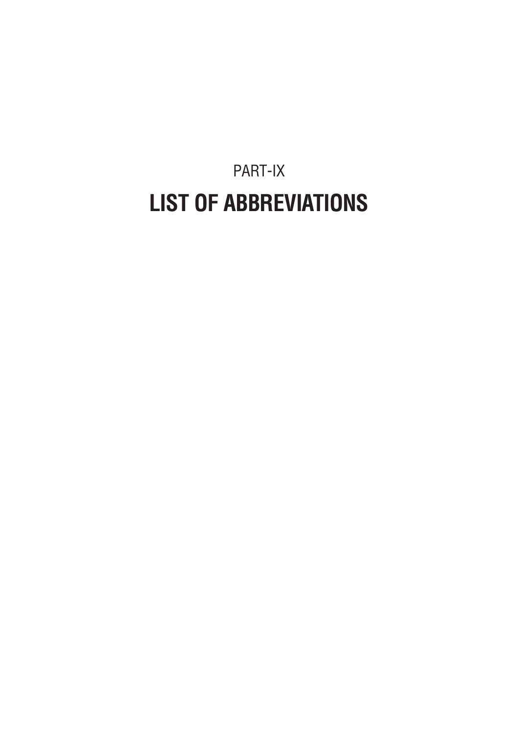PART-IX **LIST OF ABBREVIATIONS**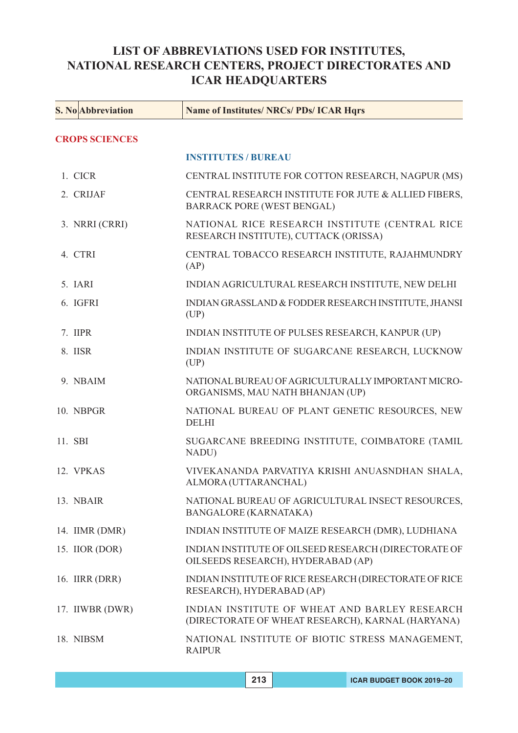# **LIST OF ABBREVIATIONS USED FOR INSTITUTES, NATIONAL RESEARCH CENTERS, PROJECT DIRECTORATES AND ICAR HEADQUARTERS**

| <b>S. No</b> Abbreviation | <b>Name of Institutes/ NRCs/ PDs/ ICAR Hqrs</b>                                                    |
|---------------------------|----------------------------------------------------------------------------------------------------|
| <b>CROPS SCIENCES</b>     |                                                                                                    |
|                           | <b>INSTITUTES / BUREAU</b>                                                                         |
| 1. CICR                   | CENTRAL INSTITUTE FOR COTTON RESEARCH, NAGPUR (MS)                                                 |
| 2. CRIJAF                 | CENTRAL RESEARCH INSTITUTE FOR JUTE & ALLIED FIBERS,<br><b>BARRACK PORE (WEST BENGAL)</b>          |
| 3. NRRI (CRRI)            | NATIONAL RICE RESEARCH INSTITUTE (CENTRAL RICE<br>RESEARCH INSTITUTE), CUTTACK (ORISSA)            |
| 4. CTRI                   | CENTRAL TOBACCO RESEARCH INSTITUTE, RAJAHMUNDRY<br>(AP)                                            |
| 5. IARI                   | INDIAN AGRICULTURAL RESEARCH INSTITUTE, NEW DELHI                                                  |
| 6. IGFRI                  | INDIAN GRASSLAND & FODDER RESEARCH INSTITUTE, JHANSI<br>(UP)                                       |
| 7. IIPR                   | INDIAN INSTITUTE OF PULSES RESEARCH, KANPUR (UP)                                                   |
| 8. IISR                   | INDIAN INSTITUTE OF SUGARCANE RESEARCH, LUCKNOW<br>(UP)                                            |
| 9. NBAIM                  | NATIONAL BUREAU OF AGRICULTURALLY IMPORTANT MICRO-<br>ORGANISMS, MAU NATH BHANJAN (UP)             |
| 10. NBPGR                 | NATIONAL BUREAU OF PLANT GENETIC RESOURCES, NEW<br><b>DELHI</b>                                    |
| 11. SBI                   | SUGARCANE BREEDING INSTITUTE, COIMBATORE (TAMIL<br>NADU)                                           |
| 12. VPKAS                 | VIVEKANANDA PARVATIYA KRISHI ANUASNDHAN SHALA,<br>ALMORA (UTTARANCHAL)                             |
| 13. NBAIR                 | NATIONAL BUREAU OF AGRICULTURAL INSECT RESOURCES,<br><b>BANGALORE (KARNATAKA)</b>                  |
| 14. IIMR (DMR)            | INDIAN INSTITUTE OF MAIZE RESEARCH (DMR), LUDHIANA                                                 |
| 15. IIOR (DOR)            | INDIAN INSTITUTE OF OILSEED RESEARCH (DIRECTORATE OF<br>OILSEEDS RESEARCH), HYDERABAD (AP)         |
| 16. <b>IIRR</b> (DRR)     | INDIAN INSTITUTE OF RICE RESEARCH (DIRECTORATE OF RICE<br>RESEARCH), HYDERABAD (AP)                |
| 17. IIWBR (DWR)           | INDIAN INSTITUTE OF WHEAT AND BARLEY RESEARCH<br>(DIRECTORATE OF WHEAT RESEARCH), KARNAL (HARYANA) |
| 18. NIBSM                 | NATIONAL INSTITUTE OF BIOTIC STRESS MANAGEMENT,<br><b>RAIPUR</b>                                   |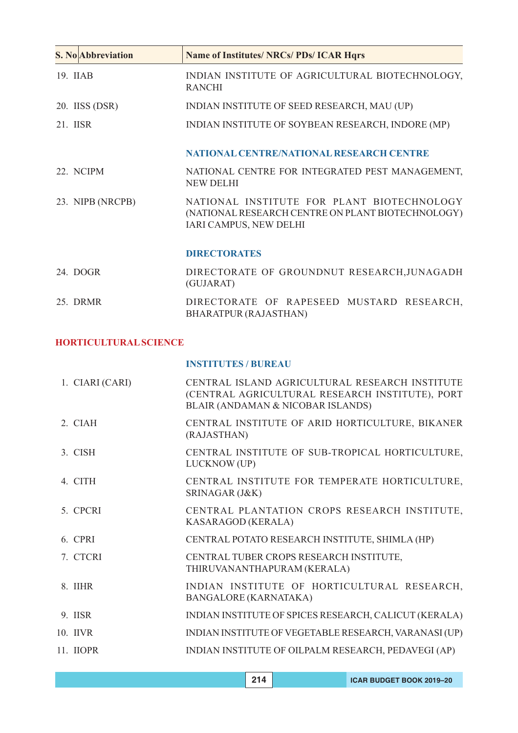| <b>S. No Abbreviation</b> | <b>Name of Institutes/ NRCs/ PDs/ ICAR Hqrs</b>                                                                           |
|---------------------------|---------------------------------------------------------------------------------------------------------------------------|
| 19. IIAB                  | INDIAN INSTITUTE OF AGRICULTURAL BIOTECHNOLOGY,<br><b>RANCHI</b>                                                          |
| 20. IISS (DSR)            | INDIAN INSTITUTE OF SEED RESEARCH, MAU (UP)                                                                               |
| 21. IISR                  | INDIAN INSTITUTE OF SOYBEAN RESEARCH, INDORE (MP)                                                                         |
|                           | NATIONAL CENTRE/NATIONAL RESEARCH CENTRE                                                                                  |
| 22. NCIPM                 | NATIONAL CENTRE FOR INTEGRATED PEST MANAGEMENT,<br><b>NEW DELHI</b>                                                       |
| 23. NIPB (NRCPB)          | NATIONAL INSTITUTE FOR PLANT BIOTECHNOLOGY<br>(NATIONAL RESEARCH CENTRE ON PLANT BIOTECHNOLOGY)<br>IARI CAMPUS, NEW DELHI |
|                           | <b>DIRECTORATES</b>                                                                                                       |
| 24. DOGR                  | DIRECTORATE OF GROUNDNUT RESEARCH, JUNAGADH<br>(GUJARAT)                                                                  |
| 25 DRMR                   | DIRECTORATE OF RAPESEED MUSTARD RESEARCH,<br>BHARATPUR (RAJASTHAN)                                                        |

# **HORTICULTURAL SCIENCE**

**INSTITUTES / BUREAU**

| 1. CIARI (CARI) | CENTRAL ISLAND AGRICULTURAL RESEARCH INSTITUTE<br>(CENTRAL AGRICULTURAL RESEARCH INSTITUTE), PORT<br>BLAIR (ANDAMAN & NICOBAR ISLANDS) |
|-----------------|----------------------------------------------------------------------------------------------------------------------------------------|
| $2$ CIAH        | CENTRAL INSTITUTE OF ARID HORTICULTURE, BIKANER<br>(RAJASTHAN)                                                                         |
| 3 CISH          | CENTRAL INSTITUTE OF SUB-TROPICAL HORTICULTURE,<br>LUCKNOW (UP)                                                                        |
| 4. CITH         | CENTRAL INSTITUTE FOR TEMPERATE HORTICULTURE,<br>SRINAGAR (J&K)                                                                        |
| 5. CPCRI        | CENTRAL PLANTATION CROPS RESEARCH INSTITUTE,<br>KASARAGOD (KERALA)                                                                     |
| 6. CPRI         | CENTRAL POTATO RESEARCH INSTITUTE, SHIMLA (HP)                                                                                         |
| 7. CTCRI        | CENTRAL TUBER CROPS RESEARCH INSTITUTE,<br>THIRUVANANTHAPURAM (KERALA)                                                                 |
| 8. IIHR         | INDIAN INSTITUTE OF HORTICULTURAL RESEARCH,<br><b>BANGALORE (KARNATAKA)</b>                                                            |
| 9. IISR         | INDIAN INSTITUTE OF SPICES RESEARCH, CALICUT (KERALA)                                                                                  |
| 10. IIVR        | INDIAN INSTITUTE OF VEGETABLE RESEARCH, VARANASI (UP)                                                                                  |
| 11. IIOPR       | INDIAN INSTITUTE OF OILPALM RESEARCH, PEDAVEGI (AP)                                                                                    |
|                 |                                                                                                                                        |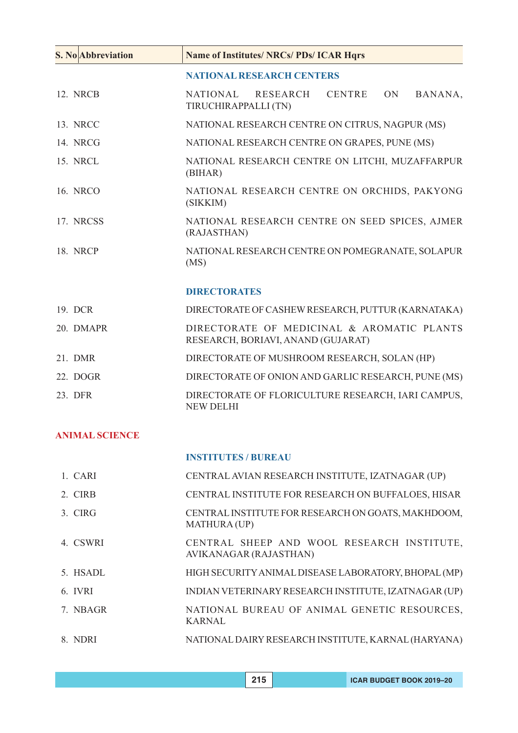| <b>S. No Abbreviation</b> | <b>Name of Institutes/ NRCs/ PDs/ ICAR Hqrs</b>                                              |
|---------------------------|----------------------------------------------------------------------------------------------|
|                           | <b>NATIONAL RESEARCH CENTERS</b>                                                             |
| 12. NRCB                  | <b>CENTRE</b><br><b>NATIONAL</b><br>RESEARCH<br><b>ON</b><br>BANANA,<br>TIRUCHIRAPPALLI (TN) |
| 13. NRCC                  | NATIONAL RESEARCH CENTRE ON CITRUS, NAGPUR (MS)                                              |
| 14. NRCG                  | NATIONAL RESEARCH CENTRE ON GRAPES, PUNE (MS)                                                |
| 15. NRCL                  | NATIONAL RESEARCH CENTRE ON LITCHI, MUZAFFARPUR<br>(BIHAR)                                   |
| 16. NRCO                  | NATIONAL RESEARCH CENTRE ON ORCHIDS, PAKYONG<br>(SIKKIM)                                     |
| 17. NRCSS                 | NATIONAL RESEARCH CENTRE ON SEED SPICES, AJMER<br>(RAJASTHAN)                                |
| 18. NRCP                  | NATIONAL RESEARCH CENTRE ON POMEGRANATE, SOLAPUR<br>(MS)                                     |
|                           | <b>DIRECTORATES</b>                                                                          |
| 19. DCR                   | DIRECTORATE OF CASHEW RESEARCH, PUTTUR (KARNATAKA)                                           |
| 20. DMAPR                 | DIRECTORATE OF MEDICINAL & AROMATIC PLANTS<br>RESEARCH, BORIAVI, ANAND (GUJARAT)             |
| 21. DMR                   | DIRECTORATE OF MUSHROOM RESEARCH, SOLAN (HP)                                                 |
| 22. DOGR                  | DIRECTORATE OF ONION AND GARLIC RESEARCH, PUNE (MS)                                          |
| 23. DFR                   | DIRECTORATE OF FLORICULTURE RESEARCH, IARI CAMPUS,<br><b>NEW DELHI</b>                       |

# **ANIMAL SCIENCE**

### **INSTITUTES / BUREAU**

| 1. CARI  | CENTRAL AVIAN RESEARCH INSTITUTE, IZATNAGAR (UP)                     |
|----------|----------------------------------------------------------------------|
| 2. CIRB  | CENTRAL INSTITUTE FOR RESEARCH ON BUFFALOES, HISAR                   |
| 3. CIRG  | CENTRAL INSTITUTE FOR RESEARCH ON GOATS, MAKHDOOM,<br>MATHURA (UP)   |
| 4. CSWRI | CENTRAL SHEEP AND WOOL RESEARCH INSTITUTE,<br>AVIKANAGAR (RAJASTHAN) |
| 5. HSADL | HIGH SECURITY ANIMAL DISEASE LABORATORY, BHOPAL (MP)                 |
| 6. IVRI  | INDIAN VETERINARY RESEARCH INSTITUTE, IZATNAGAR (UP)                 |
| 7. NBAGR | NATIONAL BUREAU OF ANIMAL GENETIC RESOURCES,<br><b>KARNAL</b>        |
| 8. NDRI  | NATIONAL DAIRY RESEARCH INSTITUTE, KARNAL (HARYANA)                  |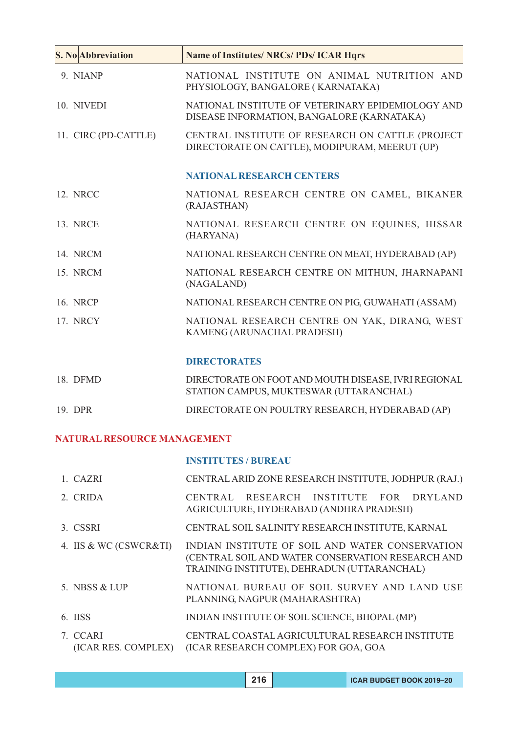| <b>S. No Abbreviation</b> | <b>Name of Institutes/ NRCs/ PDs/ ICAR Hqrs</b>                                                    |
|---------------------------|----------------------------------------------------------------------------------------------------|
| 9. NIANP                  | NATIONAL INSTITUTE ON ANIMAL NUTRITION AND<br>PHYSIOLOGY, BANGALORE (KARNATAKA)                    |
| 10. NIVEDI                | NATIONAL INSTITUTE OF VETERINARY EPIDEMIOLOGY AND<br>DISEASE INFORMATION, BANGALORE (KARNATAKA)    |
| 11. CIRC (PD-CATTLE)      | CENTRAL INSTITUTE OF RESEARCH ON CATTLE (PROJECT<br>DIRECTORATE ON CATTLE), MODIPURAM, MEERUT (UP) |
|                           | <b>NATIONAL RESEARCH CENTERS</b>                                                                   |
| 12. NRCC                  | NATIONAL RESEARCH CENTRE ON CAMEL, BIKANER<br>(RAJASTHAN)                                          |
| <b>13. NRCE</b>           | NATIONAL RESEARCH CENTRE ON EQUINES, HISSAR<br>(HARYANA)                                           |
| 14. NRCM                  | NATIONAL RESEARCH CENTRE ON MEAT, HYDERABAD (AP)                                                   |
| 15. NRCM                  | NATIONAL RESEARCH CENTRE ON MITHUN, JHARNAPANI<br>(NAGALAND)                                       |
| 16. NRCP                  | NATIONAL RESEARCH CENTRE ON PIG, GUWAHATI (ASSAM)                                                  |
| 17. NRCY                  | NATIONAL RESEARCH CENTRE ON YAK, DIRANG, WEST<br>KAMENG (ARUNACHAL PRADESH)                        |
|                           | <b>DIRECTORATES</b>                                                                                |

| 18. DFMD | DIRECTORATE ON FOOT AND MOUTH DISEASE, IVRI REGIONAL<br>STATION CAMPUS, MUKTESWAR (UTTARANCHAL) |
|----------|-------------------------------------------------------------------------------------------------|
| 19. DPR  | DIRECTORATE ON POULTRY RESEARCH, HYDERABAD (AP)                                                 |

# **NATURAL RESOURCE MANAGEMENT**

### **INSTITUTES / BUREAU**

| 1 CAZRI                | CENTRAL ARID ZONE RESEARCH INSTITUTE, JODHPUR (RAJ.)                                                                                                |
|------------------------|-----------------------------------------------------------------------------------------------------------------------------------------------------|
| 2. CRIDA               | CENTRAL RESEARCH INSTITUTE FOR DRYLAND<br>AGRICULTURE, HYDERABAD (ANDHRA PRADESH)                                                                   |
| 3. CSSRI               | CENTRAL SOIL SALINITY RESEARCH INSTITUTE, KARNAL                                                                                                    |
| 4. IIS & WC (CSWCR&TI) | INDIAN INSTITUTE OF SOIL AND WATER CONSERVATION<br>(CENTRAL SOIL AND WATER CONSERVATION RESEARCH AND<br>TRAINING INSTITUTE), DEHRADUN (UTTARANCHAL) |
| 5. NBSS & LUP          | NATIONAL BUREAU OF SOIL SURVEY AND LAND USE<br>PLANNING, NAGPUR (MAHARASHTRA)                                                                       |
| $6$ IISS               | INDIAN INSTITUTE OF SOIL SCIENCE, BHOPAL (MP)                                                                                                       |
| 7. CCARI               | CENTRAL COASTAL AGRICULTURAL RESEARCH INSTITUTE<br>(ICAR RES. COMPLEX) (ICAR RESEARCH COMPLEX) FOR GOA, GOA                                         |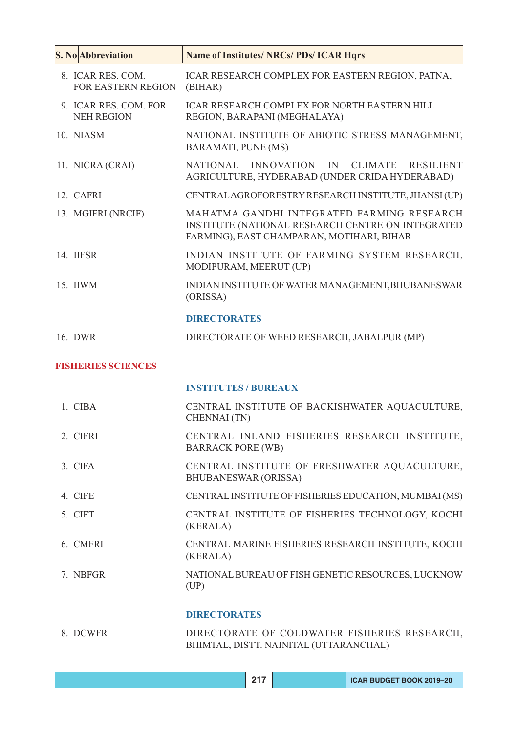| <b>S. No</b> Abbreviation                      | <b>Name of Institutes/ NRCs/ PDs/ ICAR Hqrs</b>                                                                                              |
|------------------------------------------------|----------------------------------------------------------------------------------------------------------------------------------------------|
| 8. ICAR RES. COM.<br><b>FOR EASTERN REGION</b> | ICAR RESEARCH COMPLEX FOR EASTERN REGION, PATNA,<br>(BIHAR)                                                                                  |
| 9. ICAR RES. COM. FOR<br><b>NEH REGION</b>     | <b>ICAR RESEARCH COMPLEX FOR NORTH EASTERN HILL</b><br>REGION, BARAPANI (MEGHALAYA)                                                          |
| 10. NIASM                                      | NATIONAL INSTITUTE OF ABIOTIC STRESS MANAGEMENT,<br><b>BARAMATI, PUNE (MS)</b>                                                               |
| 11. NICRA (CRAI)                               | <b>NATIONAL</b><br><b>INNOVATION</b><br>IN<br><b>CLIMATE</b><br><b>RESILIENT</b><br>AGRICULTURE, HYDERABAD (UNDER CRIDA HYDERABAD)           |
| 12. CAFRI                                      | CENTRAL AGROFORESTRY RESEARCH INSTITUTE, JHANSI (UP)                                                                                         |
| 13. MGIFRI (NRCIF)                             | MAHATMA GANDHI INTEGRATED FARMING RESEARCH<br>INSTITUTE (NATIONAL RESEARCH CENTRE ON INTEGRATED<br>FARMING), EAST CHAMPARAN, MOTIHARI, BIHAR |
| 14. IIFSR                                      | INDIAN INSTITUTE OF FARMING SYSTEM RESEARCH,<br>MODIPURAM, MEERUT (UP)                                                                       |
| 15. IIWM                                       | INDIAN INSTITUTE OF WATER MANAGEMENT, BHUBANESWAR<br>(ORISSA)                                                                                |
|                                                | <b>DIRECTORATES</b>                                                                                                                          |
| 16. DWR                                        | DIRECTORATE OF WEED RESEARCH, JABALPUR (MP)                                                                                                  |
| <b>FISHERIES SCIENCES</b>                      |                                                                                                                                              |
|                                                | <b>INSTITUTES / BUREAUX</b>                                                                                                                  |
| 1. CIBA                                        | CENTRAL INSTITUTE OF BACKISHWATER AQUACULTURE,<br><b>CHENNAI</b> (TN)                                                                        |
| 2. CIFRI                                       | CENTRAL INLAND FISHERIES RESEARCH INSTITUTE,<br><b>BARRACK PORE (WB)</b>                                                                     |
| 3. CIFA                                        | CENTRAL INSTITUTE OF FRESHWATER AQUACULTURE,<br><b>BHUBANESWAR (ORISSA)</b>                                                                  |
| 4. CIFE                                        | CENTRAL INSTITUTE OF FISHERIES EDUCATION, MUMBAI (MS)                                                                                        |
| 5. CIFT                                        | CENTRAL INSTITUTE OF FISHERIES TECHNOLOGY, KOCHI<br>(KERALA)                                                                                 |
| 6. CMFRI                                       | CENTRAL MARINE FISHERIES RESEARCH INSTITUTE, KOCHI<br>(KERALA)                                                                               |
| 7. NBFGR                                       | NATIONAL BUREAU OF FISH GENETIC RESOURCES, LUCKNOW<br>(UP)                                                                                   |
|                                                | <b>DIDECTOD ATEC</b>                                                                                                                         |

#### **DIRECTORATES**

| 8. DCWFR | DIRECTORATE OF COLDWATER FISHERIES RESEARCH, |  |  |
|----------|----------------------------------------------|--|--|
|          | BHIMTAL, DISTT. NAINITAL (UTTARANCHAL)       |  |  |